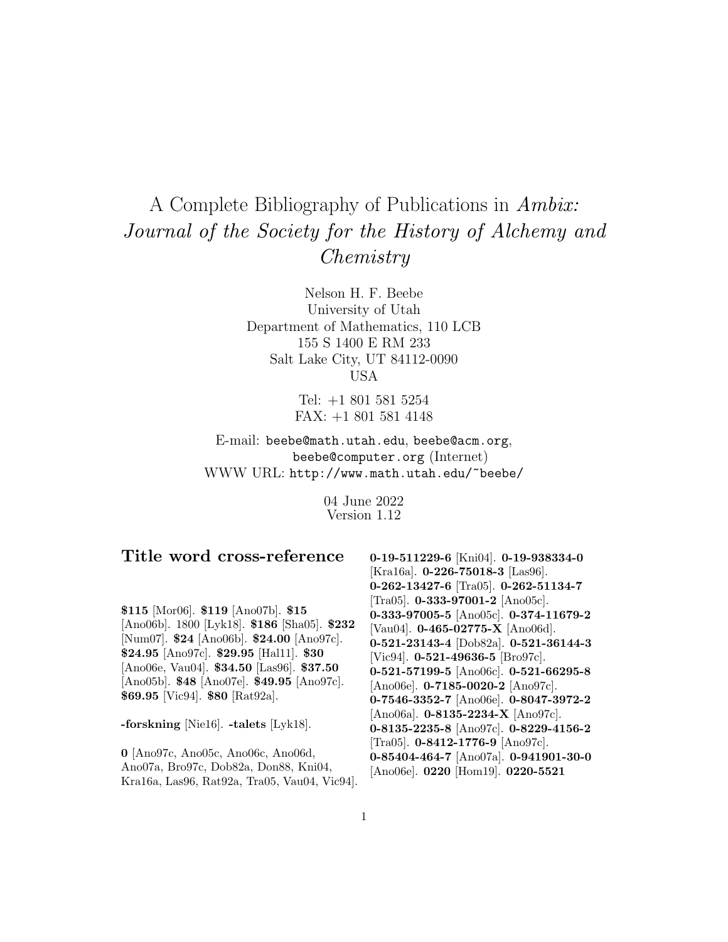# A Complete Bibliography of Publications in Ambix: Journal of the Society for the History of Alchemy and Chemistry

Nelson H. F. Beebe University of Utah Department of Mathematics, 110 LCB 155 S 1400 E RM 233 Salt Lake City, UT 84112-0090 USA

> Tel: +1 801 581 5254 FAX: +1 801 581 4148

E-mail: beebe@math.utah.edu, beebe@acm.org, beebe@computer.org (Internet) WWW URL: http://www.math.utah.edu/~beebe/

> 04 June 2022 Version 1.12

## **Title word cross-reference**

**\$115** [Mor06]. **\$119** [Ano07b]. **\$15** [Ano06b]. 1800 [Lyk18]. **\$186** [Sha05]. **\$232** [Num07]. **\$24** [Ano06b]. **\$24.00** [Ano97c]. **\$24.95** [Ano97c]. **\$29.95** [Hal11]. **\$30** [Ano06e, Vau04]. **\$34.50** [Las96]. **\$37.50** [Ano05b]. **\$48** [Ano07e]. **\$49.95** [Ano97c]. **\$69.95** [Vic94]. **\$80** [Rat92a].

**-forskning** [Nie16]. **-talets** [Lyk18].

**0** [Ano97c, Ano05c, Ano06c, Ano06d, Ano07a, Bro97c, Dob82a, Don88, Kni04, Kra16a, Las96, Rat92a, Tra05, Vau04, Vic94].

**0-19-511229-6** [Kni04]. **0-19-938334-0** [Kra16a]. **0-226-75018-3** [Las96]. **0-262-13427-6** [Tra05]. **0-262-51134-7** [Tra05]. **0-333-97001-2** [Ano05c]. **0-333-97005-5** [Ano05c]. **0-374-11679-2** [Vau04]. **0-465-02775-X** [Ano06d]. **0-521-23143-4** [Dob82a]. **0-521-36144-3** [Vic94]. **0-521-49636-5** [Bro97c]. **0-521-57199-5** [Ano06c]. **0-521-66295-8** [Ano06e]. **0-7185-0020-2** [Ano97c]. **0-7546-3352-7** [Ano06e]. **0-8047-3972-2** [Ano06a]. **0-8135-2234-X** [Ano97c]. **0-8135-2235-8** [Ano97c]. **0-8229-4156-2** [Tra05]. **0-8412-1776-9** [Ano97c]. **0-85404-464-7** [Ano07a]. **0-941901-30-0** [Ano06e]. **0220** [Hom19]. **0220-5521**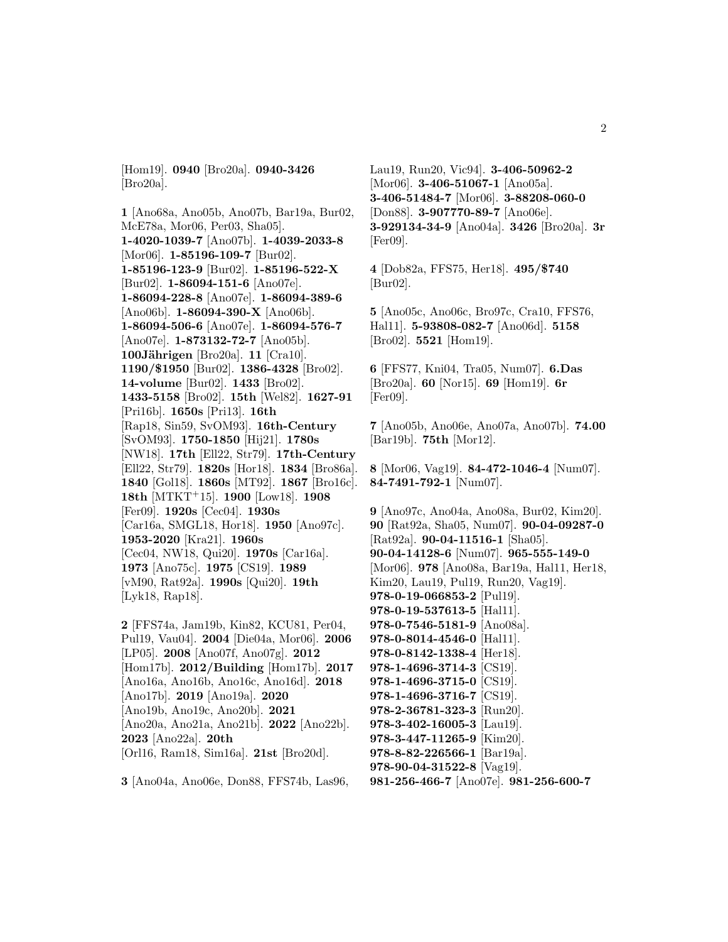[Hom19]. **0940** [Bro20a]. **0940-3426** [Bro20a].

**1** [Ano68a, Ano05b, Ano07b, Bar19a, Bur02, McE78a, Mor06, Per03, Sha05]. **1-4020-1039-7** [Ano07b]. **1-4039-2033-8** [Mor06]. **1-85196-109-7** [Bur02]. **1-85196-123-9** [Bur02]. **1-85196-522-X** [Bur02]. **1-86094-151-6** [Ano07e]. **1-86094-228-8** [Ano07e]. **1-86094-389-6** [Ano06b]. **1-86094-390-X** [Ano06b]. **1-86094-506-6** [Ano07e]. **1-86094-576-7** [Ano07e]. **1-873132-72-7** [Ano05b]. **100J¨ahrigen** [Bro20a]. **11** [Cra10]. **1190/\$1950** [Bur02]. **1386-4328** [Bro02]. **14-volume** [Bur02]. **1433** [Bro02]. **1433-5158** [Bro02]. **15th** [Wel82]. **1627-91** [Pri16b]. **1650s** [Pri13]. **16th** [Rap18, Sin59, SvOM93]. **16th-Century** [SvOM93]. **1750-1850** [Hij21]. **1780s** [NW18]. **17th** [Ell22, Str79]. **17th-Century** [Ell22, Str79]. **1820s** [Hor18]. **1834** [Bro86a]. **1840** [Gol18]. **1860s** [MT92]. **1867** [Bro16c]. **18th** [MTKT<sup>+</sup>15]. **1900** [Low18]. **1908** [Fer09]. **1920s** [Cec04]. **1930s** [Car16a, SMGL18, Hor18]. **1950** [Ano97c]. **1953-2020** [Kra21]. **1960s** [Cec04, NW18, Qui20]. **1970s** [Car16a]. **1973** [Ano75c]. **1975** [CS19]. **1989** [vM90, Rat92a]. **1990s** [Qui20]. **19th** [Lyk18, Rap18].

**2** [FFS74a, Jam19b, Kin82, KCU81, Per04, Pul19, Vau04]. **2004** [Die04a, Mor06]. **2006** [LP05]. **2008** [Ano07f, Ano07g]. **2012** [Hom17b]. **2012/Building** [Hom17b]. **2017** [Ano16a, Ano16b, Ano16c, Ano16d]. **2018** [Ano17b]. **2019** [Ano19a]. **2020** [Ano19b, Ano19c, Ano20b]. **2021** [Ano20a, Ano21a, Ano21b]. **2022** [Ano22b]. **2023** [Ano22a]. **20th** [Orl16, Ram18, Sim16a]. **21st** [Bro20d].

Lau19, Run20, Vic94]. **3-406-50962-2** [Mor06]. **3-406-51067-1** [Ano05a]. **3-406-51484-7** [Mor06]. **3-88208-060-0** [Don88]. **3-907770-89-7** [Ano06e]. **3-929134-34-9** [Ano04a]. **3426** [Bro20a]. **3r** [Fer09].

**4** [Dob82a, FFS75, Her18]. **495/\$740** [Bur02].

**5** [Ano05c, Ano06c, Bro97c, Cra10, FFS76, Hal11]. **5-93808-082-7** [Ano06d]. **5158** [Bro02]. **5521** [Hom19].

**6** [FFS77, Kni04, Tra05, Num07]. **6.Das** [Bro20a]. **60** [Nor15]. **69** [Hom19]. **6r** [Fer09].

**7** [Ano05b, Ano06e, Ano07a, Ano07b]. **74.00** [Bar19b]. **75th** [Mor12].

**8** [Mor06, Vag19]. **84-472-1046-4** [Num07]. **84-7491-792-1** [Num07].

**9** [Ano97c, Ano04a, Ano08a, Bur02, Kim20]. **90** [Rat92a, Sha05, Num07]. **90-04-09287-0** [Rat92a]. **90-04-11516-1** [Sha05]. **90-04-14128-6** [Num07]. **965-555-149-0** [Mor06]. **978** [Ano08a, Bar19a, Hal11, Her18, Kim20, Lau19, Pul19, Run20, Vag19]. **978-0-19-066853-2** [Pul19]. **978-0-19-537613-5** [Hal11]. **978-0-7546-5181-9** [Ano08a]. **978-0-8014-4546-0** [Hal11]. **978-0-8142-1338-4** [Her18]. **978-1-4696-3714-3** [CS19]. **978-1-4696-3715-0** [CS19]. **978-1-4696-3716-7** [CS19]. **978-2-36781-323-3** [Run20]. **978-3-402-16005-3** [Lau19]. **978-3-447-11265-9** [Kim20]. **978-8-82-226566-1** [Bar19a]. **978-90-04-31522-8** [Vag19]. **981-256-466-7** [Ano07e]. **981-256-600-7**

**3** [Ano04a, Ano06e, Don88, FFS74b, Las96,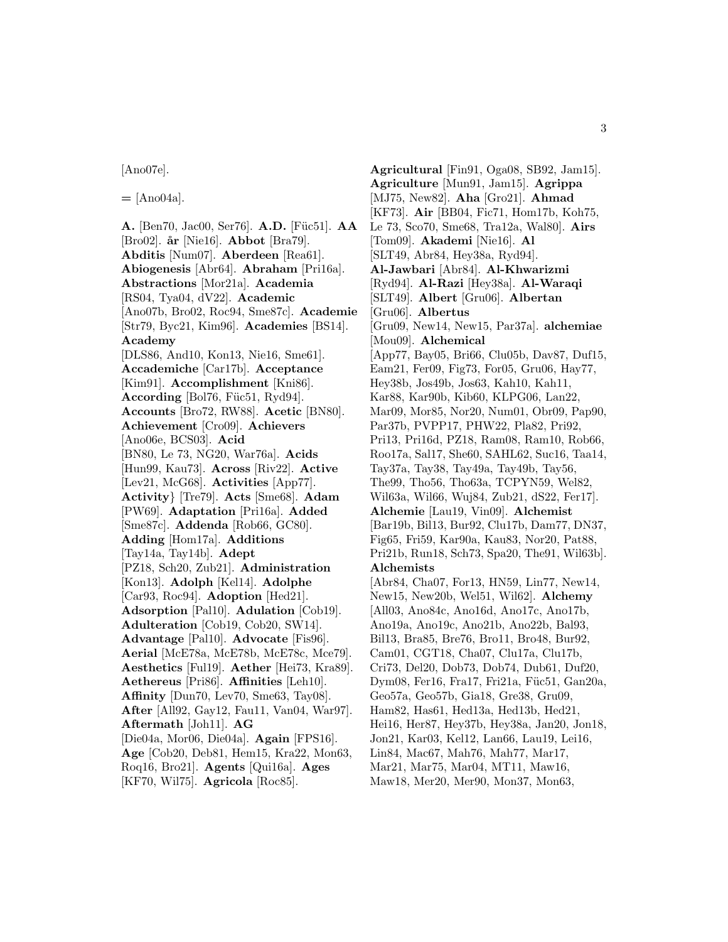[Ano07e].

**=** [Ano04a].

**A.** [Ben70, Jac00, Ser76]. **A.D.** [F¨uc51]. **AA** [Bro02]. **år** [Nie16]. **Abbot** [Bra79]. **Abditis** [Num07]. **Aberdeen** [Rea61]. **Abiogenesis** [Abr64]. **Abraham** [Pri16a]. **Abstractions** [Mor21a]. **Academia** [RS04, Tya04, dV22]. **Academic** [Ano07b, Bro02, Roc94, Sme87c]. **Academie** [Str79, Byc21, Kim96]. **Academies** [BS14]. **Academy** [DLS86, And10, Kon13, Nie16, Sme61]. **Accademiche** [Car17b]. **Acceptance** [Kim91]. **Accomplishment** [Kni86]. **According** [Bol76, Füc51, Ryd94]. **Accounts** [Bro72, RW88]. **Acetic** [BN80]. **Achievement** [Cro09]. **Achievers** [Ano06e, BCS03]. **Acid** [BN80, Le 73, NG20, War76a]. **Acids** [Hun99, Kau73]. **Across** [Riv22]. **Active** [Lev21, McG68]. **Activities** [App77]. **Activity**} [Tre79]. **Acts** [Sme68]. **Adam** [PW69]. **Adaptation** [Pri16a]. **Added** [Sme87c]. **Addenda** [Rob66, GC80]. **Adding** [Hom17a]. **Additions** [Tay14a, Tay14b]. **Adept** [PZ18, Sch20, Zub21]. **Administration** [Kon13]. **Adolph** [Kel14]. **Adolphe** [Car93, Roc94]. **Adoption** [Hed21]. **Adsorption** [Pal10]. **Adulation** [Cob19]. **Adulteration** [Cob19, Cob20, SW14]. **Advantage** [Pal10]. **Advocate** [Fis96]. **Aerial** [McE78a, McE78b, McE78c, Mce79]. **Aesthetics** [Ful19]. **Aether** [Hei73, Kra89]. **Aethereus** [Pri86]. **Affinities** [Leh10]. **Affinity** [Dun70, Lev70, Sme63, Tay08]. **After** [All92, Gay12, Fau11, Van04, War97]. **Aftermath** [Joh11]. **AG** [Die04a, Mor06, Die04a]. **Again** [FPS16]. **Age** [Cob20, Deb81, Hem15, Kra22, Mon63, Roq16, Bro21]. **Agents** [Qui16a]. **Ages** [KF70, Wil75]. **Agricola** [Roc85].

**Agricultural** [Fin91, Oga08, SB92, Jam15]. **Agriculture** [Mun91, Jam15]. **Agrippa** [MJ75, New82]. **Aha** [Gro21]. **Ahmad** [KF73]. **Air** [BB04, Fic71, Hom17b, Koh75, Le 73, Sco70, Sme68, Tra12a, Wal80]. **Airs** [Tom09]. **Akademi** [Nie16]. **Al** [SLT49, Abr84, Hey38a, Ryd94]. **Al-Jawbari** [Abr84]. **Al-Khwarizmi** [Ryd94]. **Al-Razi** [Hey38a]. **Al-Waraqi** [SLT49]. **Albert** [Gru06]. **Albertan** [Gru06]. **Albertus** [Gru09, New14, New15, Par37a]. **alchemiae** [Mou09]. **Alchemical** [App77, Bay05, Bri66, Clu05b, Dav87, Duf15, Eam21, Fer09, Fig73, For05, Gru06, Hay77, Hey38b, Jos49b, Jos63, Kah10, Kah11, Kar88, Kar90b, Kib60, KLPG06, Lan22, Mar09, Mor85, Nor20, Num01, Obr09, Pap90, Par37b, PVPP17, PHW22, Pla82, Pri92, Pri13, Pri16d, PZ18, Ram08, Ram10, Rob66, Roo17a, Sal17, She60, SAHL62, Suc16, Taa14, Tay37a, Tay38, Tay49a, Tay49b, Tay56, The99, Tho56, Tho63a, TCPYN59, Wel82, Wil63a, Wil66, Wuj84, Zub21, dS22, Fer17]. **Alchemie** [Lau19, Vin09]. **Alchemist** [Bar19b, Bil13, Bur92, Clu17b, Dam77, DN37, Fig65, Fri59, Kar90a, Kau83, Nor20, Pat88, Pri21b, Run18, Sch73, Spa20, The91, Wil63b]. **Alchemists** [Abr84, Cha07, For13, HN59, Lin77, New14, New15, New20b, Wel51, Wil62]. **Alchemy** [All03, Ano84c, Ano16d, Ano17c, Ano17b, Ano19a, Ano19c, Ano21b, Ano22b, Bal93, Bil13, Bra85, Bre76, Bro11, Bro48, Bur92, Cam01, CGT18, Cha07, Clu17a, Clu17b, Cri73, Del20, Dob73, Dob74, Dub61, Duf20, Dym08, Fer16, Fra17, Fri21a, Füc51, Gan20a, Geo57a, Geo57b, Gia18, Gre38, Gru09, Ham82, Has61, Hed13a, Hed13b, Hed21, Hei16, Her87, Hey37b, Hey38a, Jan20, Jon18, Jon21, Kar03, Kel12, Lan66, Lau19, Lei16, Lin84, Mac67, Mah76, Mah77, Mar17, Mar21, Mar75, Mar04, MT11, Maw16, Maw18, Mer20, Mer90, Mon37, Mon63,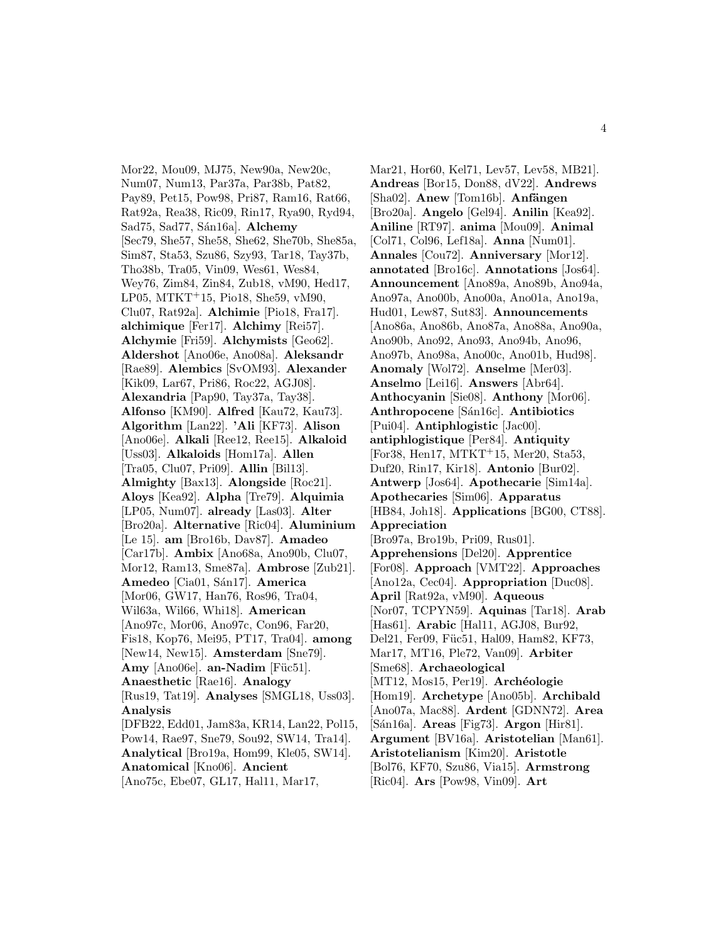Mor22, Mou09, MJ75, New90a, New20c, Num07, Num13, Par37a, Par38b, Pat82, Pay89, Pet15, Pow98, Pri87, Ram16, Rat66, Rat92a, Rea38, Ric09, Rin17, Rya90, Ryd94, Sad75, Sad77, Sán16a]. **Alchemy** [Sec79, She57, She58, She62, She70b, She85a, Sim87, Sta53, Szu86, Szy93, Tar18, Tay37b, Tho38b, Tra05, Vin09, Wes61, Wes84, Wey76, Zim84, Zin84, Zub18, vM90, Hed17, LP05, MTKT<sup>+</sup>15, Pio18, She59, vM90, Clu07, Rat92a]. **Alchimie** [Pio18, Fra17]. **alchimique** [Fer17]. **Alchimy** [Rei57]. **Alchymie** [Fri59]. **Alchymists** [Geo62]. **Aldershot** [Ano06e, Ano08a]. **Aleksandr** [Rae89]. **Alembics** [SvOM93]. **Alexander** [Kik09, Lar67, Pri86, Roc22, AGJ08]. **Alexandria** [Pap90, Tay37a, Tay38]. **Alfonso** [KM90]. **Alfred** [Kau72, Kau73]. **Algorithm** [Lan22]. **'Ali** [KF73]. **Alison** [Ano06e]. **Alkali** [Ree12, Ree15]. **Alkaloid** [Uss03]. **Alkaloids** [Hom17a]. **Allen** [Tra05, Clu07, Pri09]. **Allin** [Bil13]. **Almighty** [Bax13]. **Alongside** [Roc21]. **Aloys** [Kea92]. **Alpha** [Tre79]. **Alquimia** [LP05, Num07]. **already** [Las03]. **Alter** [Bro20a]. **Alternative** [Ric04]. **Aluminium** [Le 15]. **am** [Bro16b, Dav87]. **Amadeo** [Car17b]. **Ambix** [Ano68a, Ano90b, Clu07, Mor12, Ram13, Sme87a]. **Ambrose** [Zub21]. Amedeo<sup>[Cia01</sup>, Sán17]. America [Mor06, GW17, Han76, Ros96, Tra04, Wil63a, Wil66, Whi18]. **American** [Ano97c, Mor06, Ano97c, Con96, Far20, Fis18, Kop76, Mei95, PT17, Tra04]. **among** [New14, New15]. **Amsterdam** [Sne79]. **Amy** [Ano06e]. **an-Nadim** [Füc51]. **Anaesthetic** [Rae16]. **Analogy** [Rus19, Tat19]. **Analyses** [SMGL18, Uss03]. **Analysis** [DFB22, Edd01, Jam83a, KR14, Lan22, Pol15, Pow14, Rae97, Sne79, Sou92, SW14, Tra14]. **Analytical** [Bro19a, Hom99, Kle05, SW14]. **Anatomical** [Kno06]. **Ancient** [Ano75c, Ebe07, GL17, Hal11, Mar17,

Mar21, Hor60, Kel71, Lev57, Lev58, MB21]. **Andreas** [Bor15, Don88, dV22]. **Andrews** [Sha02]. **Anew** [Tom16b]. **Anfängen** [Bro20a]. **Angelo** [Gel94]. **Anilin** [Kea92]. **Aniline** [RT97]. **anima** [Mou09]. **Animal** [Col71, Col96, Lef18a]. **Anna** [Num01]. **Annales** [Cou72]. **Anniversary** [Mor12]. **annotated** [Bro16c]. **Annotations** [Jos64]. **Announcement** [Ano89a, Ano89b, Ano94a, Ano97a, Ano00b, Ano00a, Ano01a, Ano19a, Hud01, Lew87, Sut83]. **Announcements** [Ano86a, Ano86b, Ano87a, Ano88a, Ano90a, Ano90b, Ano92, Ano93, Ano94b, Ano96, Ano97b, Ano98a, Ano00c, Ano01b, Hud98]. **Anomaly** [Wol72]. **Anselme** [Mer03]. **Anselmo** [Lei16]. **Answers** [Abr64]. **Anthocyanin** [Sie08]. **Anthony** [Mor06]. **Anthropocene** [S´an16c]. **Antibiotics** [Pui04]. **Antiphlogistic** [Jac00]. **antiphlogistique** [Per84]. **Antiquity** [For38, Hen17, MTKT<sup>+</sup>15, Mer20, Sta53, Duf20, Rin17, Kir18]. **Antonio** [Bur02]. **Antwerp** [Jos64]. **Apothecarie** [Sim14a]. **Apothecaries** [Sim06]. **Apparatus** [HB84, Joh18]. **Applications** [BG00, CT88]. **Appreciation** [Bro97a, Bro19b, Pri09, Rus01]. **Apprehensions** [Del20]. **Apprentice** [For08]. **Approach** [VMT22]. **Approaches** [Ano12a, Cec04]. **Appropriation** [Duc08]. **April** [Rat92a, vM90]. **Aqueous** [Nor07, TCPYN59]. **Aquinas** [Tar18]. **Arab** [Has61]. **Arabic** [Hal11, AGJ08, Bur92, Del21, Fer09, Füc51, Hal09, Ham82, KF73, Mar17, MT16, Ple72, Van09]. **Arbiter** [Sme68]. **Archaeological** [MT12, Mos15, Per19]. **Archéologie** [Hom19]. **Archetype** [Ano05b]. **Archibald** [Ano07a, Mac88]. **Ardent** [GDNN72]. **Area** [S´an16a]. **Areas** [Fig73]. **Argon** [Hir81]. **Argument** [BV16a]. **Aristotelian** [Man61]. **Aristotelianism** [Kim20]. **Aristotle** [Bol76, KF70, Szu86, Via15]. **Armstrong** [Ric04]. **Ars** [Pow98, Vin09]. **Art**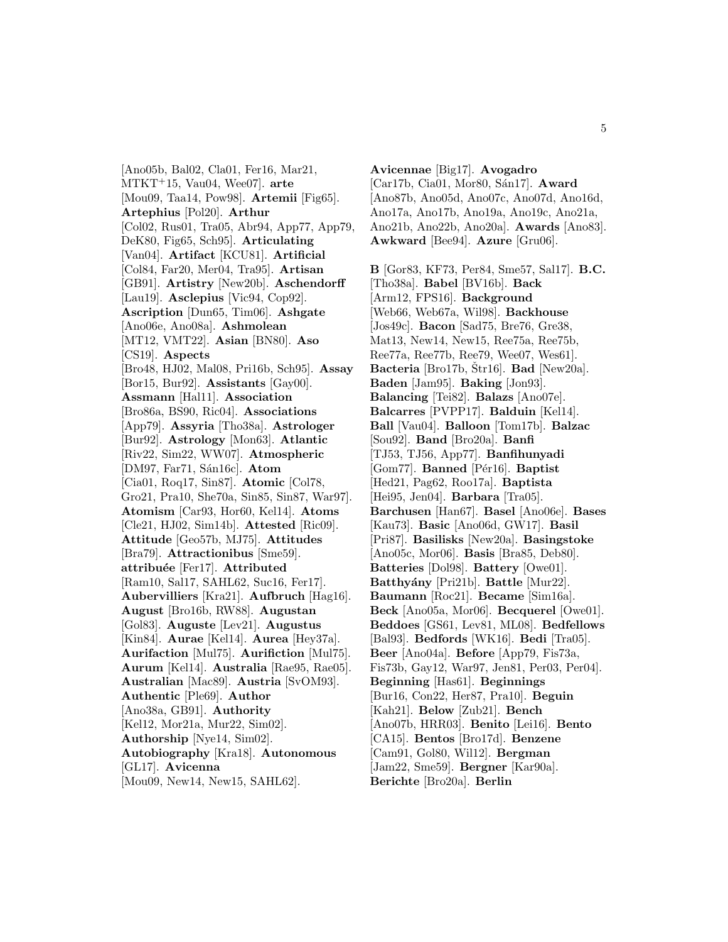[Ano05b, Bal02, Cla01, Fer16, Mar21, MTKT<sup>+</sup>15, Vau04, Wee07]. **arte** [Mou09, Taa14, Pow98]. **Artemii** [Fig65]. **Artephius** [Pol20]. **Arthur** [Col02, Rus01, Tra05, Abr94, App77, App79, DeK80, Fig65, Sch95]. **Articulating** [Van04]. **Artifact** [KCU81]. **Artificial** [Col84, Far20, Mer04, Tra95]. **Artisan** [GB91]. **Artistry** [New20b]. **Aschendorff** [Lau19]. **Asclepius** [Vic94, Cop92]. **Ascription** [Dun65, Tim06]. **Ashgate** [Ano06e, Ano08a]. **Ashmolean** [MT12, VMT22]. **Asian** [BN80]. **Aso** [CS19]. **Aspects** [Bro48, HJ02, Mal08, Pri16b, Sch95]. **Assay** [Bor15, Bur92]. **Assistants** [Gay00]. **Assmann** [Hal11]. **Association** [Bro86a, BS90, Ric04]. **Associations** [App79]. **Assyria** [Tho38a]. **Astrologer** [Bur92]. **Astrology** [Mon63]. **Atlantic** [Riv22, Sim22, WW07]. **Atmospheric** [DM97, Far71, Sán16c]. **Atom** [Cia01, Roq17, Sin87]. **Atomic** [Col78, Gro21, Pra10, She70a, Sin85, Sin87, War97]. **Atomism** [Car93, Hor60, Kel14]. **Atoms** [Cle21, HJ02, Sim14b]. **Attested** [Ric09]. **Attitude** [Geo57b, MJ75]. **Attitudes** [Bra79]. **Attractionibus** [Sme59]. **attribu´ee** [Fer17]. **Attributed** [Ram10, Sal17, SAHL62, Suc16, Fer17]. **Aubervilliers** [Kra21]. **Aufbruch** [Hag16]. **August** [Bro16b, RW88]. **Augustan** [Gol83]. **Auguste** [Lev21]. **Augustus** [Kin84]. **Aurae** [Kel14]. **Aurea** [Hey37a]. **Aurifaction** [Mul75]. **Aurifiction** [Mul75]. **Aurum** [Kel14]. **Australia** [Rae95, Rae05]. **Australian** [Mac89]. **Austria** [SvOM93]. **Authentic** [Ple69]. **Author** [Ano38a, GB91]. **Authority** [Kel12, Mor21a, Mur22, Sim02]. **Authorship** [Nye14, Sim02]. **Autobiography** [Kra18]. **Autonomous** [GL17]. **Avicenna** [Mou09, New14, New15, SAHL62].

**Avicennae** [Big17]. **Avogadro** [Car17b, Cia01, Mor80, Sán17]. **Award** [Ano87b, Ano05d, Ano07c, Ano07d, Ano16d, Ano17a, Ano17b, Ano19a, Ano19c, Ano21a, Ano21b, Ano22b, Ano20a]. **Awards** [Ano83]. **Awkward** [Bee94]. **Azure** [Gru06].

**B** [Gor83, KF73, Per84, Sme57, Sal17]. **B.C.** [Tho38a]. **Babel** [BV16b]. **Back** [Arm12, FPS16]. **Background** [Web66, Web67a, Wil98]. **Backhouse** [Jos49c]. **Bacon** [Sad75, Bre76, Gre38, Mat13, New14, New15, Ree75a, Ree75b, Ree77a, Ree77b, Ree79, Wee07, Wes61]. **Bacteria** [Bro17b,  $\text{\r{S}tr16}$ ]. **Bad** [New20a]. **Baden** [Jam95]. **Baking** [Jon93]. **Balancing** [Tei82]. **Balazs** [Ano07e]. **Balcarres** [PVPP17]. **Balduin** [Kel14]. **Ball** [Vau04]. **Balloon** [Tom17b]. **Balzac** [Sou92]. **Band** [Bro20a]. **Banfi** [TJ53, TJ56, App77]. **Banfihunyadi** [Gom77]. **Banned** [P´er16]. **Baptist** [Hed21, Pag62, Roo17a]. **Baptista** [Hei95, Jen04]. **Barbara** [Tra05]. **Barchusen** [Han67]. **Basel** [Ano06e]. **Bases** [Kau73]. **Basic** [Ano06d, GW17]. **Basil** [Pri87]. **Basilisks** [New20a]. **Basingstoke** [Ano05c, Mor06]. **Basis** [Bra85, Deb80]. **Batteries** [Dol98]. **Battery** [Owe01]. **Batthy´any** [Pri21b]. **Battle** [Mur22]. **Baumann** [Roc21]. **Became** [Sim16a]. **Beck** [Ano05a, Mor06]. **Becquerel** [Owe01]. **Beddoes** [GS61, Lev81, ML08]. **Bedfellows** [Bal93]. **Bedfords** [WK16]. **Bedi** [Tra05]. **Beer** [Ano04a]. **Before** [App79, Fis73a, Fis73b, Gay12, War97, Jen81, Per03, Per04]. **Beginning** [Has61]. **Beginnings** [Bur16, Con22, Her87, Pra10]. **Beguin** [Kah21]. **Below** [Zub21]. **Bench** [Ano07b, HRR03]. **Benito** [Lei16]. **Bento** [CA15]. **Bentos** [Bro17d]. **Benzene** [Cam91, Gol80, Wil12]. **Bergman** [Jam22, Sme59]. **Bergner** [Kar90a]. **Berichte** [Bro20a]. **Berlin**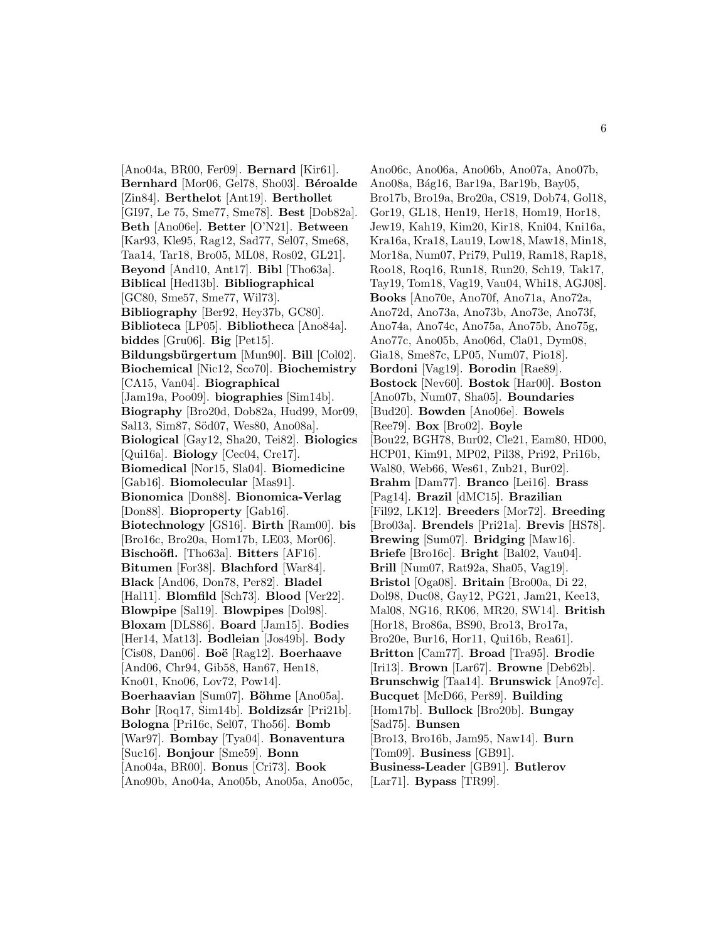[Ano04a, BR00, Fer09]. **Bernard** [Kir61]. Bernhard<sup>[Mor06, Gel78, Sho03]. **Béroalde**</sup> [Zin84]. **Berthelot** [Ant19]. **Berthollet** [GI97, Le 75, Sme77, Sme78]. **Best** [Dob82a]. **Beth** [Ano06e]. **Better** [O'N21]. **Between** [Kar93, Kle95, Rag12, Sad77, Sel07, Sme68, Taa14, Tar18, Bro05, ML08, Ros02, GL21]. **Beyond** [And10, Ant17]. **Bibl** [Tho63a]. **Biblical** [Hed13b]. **Bibliographical** [GC80, Sme57, Sme77, Wil73]. **Bibliography** [Ber92, Hey37b, GC80]. **Biblioteca** [LP05]. **Bibliotheca** [Ano84a]. **biddes** [Gru06]. **Big** [Pet15]. **Bildungsbürgertum** [Mun90]. **Bill** [Col02]. **Biochemical** [Nic12, Sco70]. **Biochemistry** [CA15, Van04]. **Biographical** [Jam19a, Poo09]. **biographies** [Sim14b]. **Biography** [Bro20d, Dob82a, Hud99, Mor09, Sal13, Sim87, Söd07, Wes80, Ano08a]. **Biological** [Gay12, Sha20, Tei82]. **Biologics** [Qui16a]. **Biology** [Cec04, Cre17]. **Biomedical** [Nor15, Sla04]. **Biomedicine** [Gab16]. **Biomolecular** [Mas91]. **Bionomica** [Don88]. **Bionomica-Verlag** [Don88]. **Bioproperty** [Gab16]. **Biotechnology** [GS16]. **Birth** [Ram00]. **bis** [Bro16c, Bro20a, Hom17b, LE03, Mor06]. **Bischoöfl.** [Tho63a]. **Bitters** [AF16]. **Bitumen** [For38]. **Blachford** [War84]. **Black** [And06, Don78, Per82]. **Bladel** [Hal11]. **Blomfild** [Sch73]. **Blood** [Ver22]. **Blowpipe** [Sal19]. **Blowpipes** [Dol98]. **Bloxam** [DLS86]. **Board** [Jam15]. **Bodies** [Her14, Mat13]. **Bodleian** [Jos49b]. **Body** [Cis08, Dan06]. **Boë** [Rag12]. **Boerhaave** [And06, Chr94, Gib58, Han67, Hen18, Kno01, Kno06, Lov72, Pow14]. Boerhaavian [Sum07]. **Böhme** [Ano05a]. **Bohr** [Roq17, Sim14b]. **Boldizsár** [Pri21b]. **Bologna** [Pri16c, Sel07, Tho56]. **Bomb** [War97]. **Bombay** [Tya04]. **Bonaventura** [Suc16]. **Bonjour** [Sme59]. **Bonn** [Ano04a, BR00]. **Bonus** [Cri73]. **Book** [Ano90b, Ano04a, Ano05b, Ano05a, Ano05c,

Ano06c, Ano06a, Ano06b, Ano07a, Ano07b, Ano08a, Bág16, Bar19a, Bar19b, Bay05, Bro17b, Bro19a, Bro20a, CS19, Dob74, Gol18, Gor19, GL18, Hen19, Her18, Hom19, Hor18, Jew19, Kah19, Kim20, Kir18, Kni04, Kni16a, Kra16a, Kra18, Lau19, Low18, Maw18, Min18, Mor18a, Num07, Pri79, Pul19, Ram18, Rap18, Roo18, Roq16, Run18, Run20, Sch19, Tak17, Tay19, Tom18, Vag19, Vau04, Whi18, AGJ08]. **Books** [Ano70e, Ano70f, Ano71a, Ano72a, Ano72d, Ano73a, Ano73b, Ano73e, Ano73f, Ano74a, Ano74c, Ano75a, Ano75b, Ano75g, Ano77c, Ano05b, Ano06d, Cla01, Dym08, Gia18, Sme87c, LP05, Num07, Pio18]. **Bordoni** [Vag19]. **Borodin** [Rae89]. **Bostock** [Nev60]. **Bostok** [Har00]. **Boston** [Ano07b, Num07, Sha05]. **Boundaries** [Bud20]. **Bowden** [Ano06e]. **Bowels** [Ree79]. **Box** [Bro02]. **Boyle** [Bou22, BGH78, Bur02, Cle21, Eam80, HD00, HCP01, Kim91, MP02, Pil38, Pri92, Pri16b, Wal80, Web66, Wes61, Zub21, Bur02]. **Brahm** [Dam77]. **Branco** [Lei16]. **Brass** [Pag14]. **Brazil** [dMC15]. **Brazilian** [Fil92, LK12]. **Breeders** [Mor72]. **Breeding** [Bro03a]. **Brendels** [Pri21a]. **Brevis** [HS78]. **Brewing** [Sum07]. **Bridging** [Maw16]. **Briefe** [Bro16c]. **Bright** [Bal02, Vau04]. **Brill** [Num07, Rat92a, Sha05, Vag19]. **Bristol** [Oga08]. **Britain** [Bro00a, Di 22, Dol98, Duc08, Gay12, PG21, Jam21, Kee13, Mal08, NG16, RK06, MR20, SW14]. **British** [Hor18, Bro86a, BS90, Bro13, Bro17a, Bro20e, Bur16, Hor11, Qui16b, Rea61]. **Britton** [Cam77]. **Broad** [Tra95]. **Brodie** [Iri13]. **Brown** [Lar67]. **Browne** [Deb62b]. **Brunschwig** [Taa14]. **Brunswick** [Ano97c]. **Bucquet** [McD66, Per89]. **Building** [Hom17b]. **Bullock** [Bro20b]. **Bungay** [Sad75]. **Bunsen** [Bro13, Bro16b, Jam95, Naw14]. **Burn** [Tom09]. **Business** [GB91]. **Business-Leader** [GB91]. **Butlerov** [Lar71]. **Bypass** [TR99].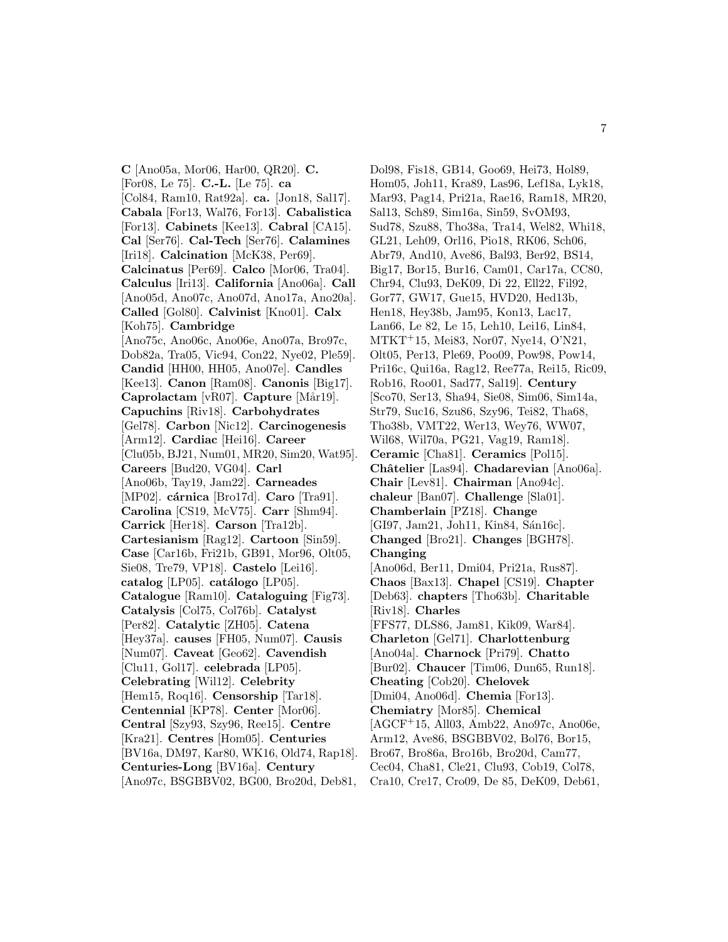**C** [Ano05a, Mor06, Har00, QR20]. **C.** [For08, Le 75]. **C.-L.** [Le 75]. **ca** [Col84, Ram10, Rat92a]. **ca.** [Jon18, Sal17]. **Cabala** [For13, Wal76, For13]. **Cabalistica** [For13]. **Cabinets** [Kee13]. **Cabral** [CA15]. **Cal** [Ser76]. **Cal-Tech** [Ser76]. **Calamines** [Iri18]. **Calcination** [McK38, Per69]. **Calcinatus** [Per69]. **Calco** [Mor06, Tra04]. **Calculus** [Iri13]. **California** [Ano06a]. **Call** [Ano05d, Ano07c, Ano07d, Ano17a, Ano20a]. **Called** [Gol80]. **Calvinist** [Kno01]. **Calx** [Koh75]. **Cambridge** [Ano75c, Ano06c, Ano06e, Ano07a, Bro97c, Dob82a, Tra05, Vic94, Con22, Nye02, Ple59]. **Candid** [HH00, HH05, Ano07e]. **Candles** [Kee13]. **Canon** [Ram08]. **Canonis** [Big17]. **Caprolactam** [vR07]. **Capture** [M˚ar19]. **Capuchins** [Riv18]. **Carbohydrates** [Gel78]. **Carbon** [Nic12]. **Carcinogenesis** [Arm12]. **Cardiac** [Hei16]. **Career** [Clu05b, BJ21, Num01, MR20, Sim20, Wat95]. **Careers** [Bud20, VG04]. **Carl** [Ano06b, Tay19, Jam22]. **Carneades** [MP02]. **c´arnica** [Bro17d]. **Caro** [Tra91]. **Carolina** [CS19, McV75]. **Carr** [Shm94]. **Carrick** [Her18]. **Carson** [Tra12b]. **Cartesianism** [Rag12]. **Cartoon** [Sin59]. **Case** [Car16b, Fri21b, GB91, Mor96, Olt05, Sie08, Tre79, VP18]. **Castelo** [Lei16]. catalog [LP05]. catálogo [LP05]. **Catalogue** [Ram10]. **Cataloguing** [Fig73]. **Catalysis** [Col75, Col76b]. **Catalyst** [Per82]. **Catalytic** [ZH05]. **Catena** [Hey37a]. **causes** [FH05, Num07]. **Causis** [Num07]. **Caveat** [Geo62]. **Cavendish** [Clu11, Gol17]. **celebrada** [LP05]. **Celebrating** [Wil12]. **Celebrity** [Hem15, Roq16]. **Censorship** [Tar18]. **Centennial** [KP78]. **Center** [Mor06]. **Central** [Szy93, Szy96, Ree15]. **Centre** [Kra21]. **Centres** [Hom05]. **Centuries** [BV16a, DM97, Kar80, WK16, Old74, Rap18]. **Centuries-Long** [BV16a]. **Century** [Ano97c, BSGBBV02, BG00, Bro20d, Deb81,

Dol98, Fis18, GB14, Goo69, Hei73, Hol89, Hom05, Joh11, Kra89, Las96, Lef18a, Lyk18, Mar93, Pag14, Pri21a, Rae16, Ram18, MR20, Sal13, Sch89, Sim16a, Sin59, SvOM93, Sud78, Szu88, Tho38a, Tra14, Wel82, Whi18, GL21, Leh09, Orl16, Pio18, RK06, Sch06, Abr79, And10, Ave86, Bal93, Ber92, BS14, Big17, Bor15, Bur16, Cam01, Car17a, CC80, Chr94, Clu93, DeK09, Di 22, Ell22, Fil92, Gor77, GW17, Gue15, HVD20, Hed13b, Hen18, Hey38b, Jam95, Kon13, Lac17, Lan66, Le 82, Le 15, Leh10, Lei16, Lin84, MTKT<sup>+</sup>15, Mei83, Nor07, Nye14, O'N21, Olt05, Per13, Ple69, Poo09, Pow98, Pow14, Pri16c, Qui16a, Rag12, Ree77a, Rei15, Ric09, Rob16, Roo01, Sad77, Sal19]. **Century** [Sco70, Ser13, Sha94, Sie08, Sim06, Sim14a, Str79, Suc16, Szu86, Szy96, Tei82, Tha68, Tho38b, VMT22, Wer13, Wey76, WW07, Wil68, Wil70a, PG21, Vag19, Ram18]. **Ceramic** [Cha81]. **Ceramics** [Pol15]. **Chˆatelier** [Las94]. **Chadarevian** [Ano06a]. **Chair** [Lev81]. **Chairman** [Ano94c]. **chaleur** [Ban07]. **Challenge** [Sla01]. **Chamberlain** [PZ18]. **Change** [GI97, Jam21, Joh11, Kin84, Sán16c]. **Changed** [Bro21]. **Changes** [BGH78]. **Changing** [Ano06d, Ber11, Dmi04, Pri21a, Rus87]. **Chaos** [Bax13]. **Chapel** [CS19]. **Chapter** [Deb63]. **chapters** [Tho63b]. **Charitable** [Riv18]. **Charles** [FFS77, DLS86, Jam81, Kik09, War84]. **Charleton** [Gel71]. **Charlottenburg** [Ano04a]. **Charnock** [Pri79]. **Chatto** [Bur02]. **Chaucer** [Tim06, Dun65, Run18]. **Cheating** [Cob20]. **Chelovek** [Dmi04, Ano06d]. **Chemia** [For13]. **Chemiatry** [Mor85]. **Chemical** [AGCF<sup>+</sup>15, All03, Amb22, Ano97c, Ano06e, Arm12, Ave86, BSGBBV02, Bol76, Bor15, Bro67, Bro86a, Bro16b, Bro20d, Cam77, Cec04, Cha81, Cle21, Clu93, Cob19, Col78, Cra10, Cre17, Cro09, De 85, DeK09, Deb61,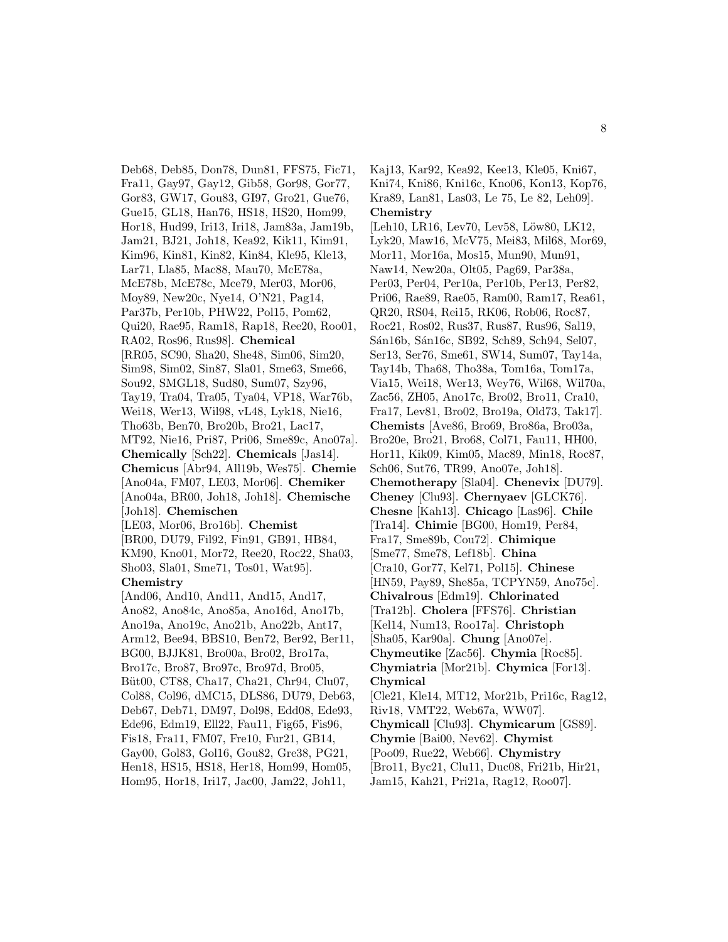Deb68, Deb85, Don78, Dun81, FFS75, Fic71, Fra11, Gay97, Gay12, Gib58, Gor98, Gor77, Gor83, GW17, Gou83, GI97, Gro21, Gue76, Gue15, GL18, Han76, HS18, HS20, Hom99, Hor18, Hud99, Iri13, Iri18, Jam83a, Jam19b, Jam21, BJ21, Joh18, Kea92, Kik11, Kim91, Kim96, Kin81, Kin82, Kin84, Kle95, Kle13, Lar71, Lla85, Mac88, Mau70, McE78a, McE78b, McE78c, Mce79, Mer03, Mor06, Moy89, New20c, Nye14, O'N21, Pag14, Par37b, Per10b, PHW22, Pol15, Pom62, Qui20, Rae95, Ram18, Rap18, Ree20, Roo01, RA02, Ros96, Rus98]. **Chemical** [RR05, SC90, Sha20, She48, Sim06, Sim20, Sim98, Sim02, Sin87, Sla01, Sme63, Sme66, Sou92, SMGL18, Sud80, Sum07, Szy96, Tay19, Tra04, Tra05, Tya04, VP18, War76b, Wei18, Wer13, Wil98, vL48, Lyk18, Nie16, Tho63b, Ben70, Bro20b, Bro21, Lac17, MT92, Nie16, Pri87, Pri06, Sme89c, Ano07a]. **Chemically** [Sch22]. **Chemicals** [Jas14]. **Chemicus** [Abr94, All19b, Wes75]. **Chemie** [Ano04a, FM07, LE03, Mor06]. **Chemiker** [Ano04a, BR00, Joh18, Joh18]. **Chemische** [Joh18]. **Chemischen** [LE03, Mor06, Bro16b]. **Chemist**

[BR00, DU79, Fil92, Fin91, GB91, HB84, KM90, Kno01, Mor72, Ree20, Roc22, Sha03, Sho03, Sla01, Sme71, Tos01, Wat95]. **Chemistry**

[And06, And10, And11, And15, And17, Ano82, Ano84c, Ano85a, Ano16d, Ano17b, Ano19a, Ano19c, Ano21b, Ano22b, Ant17, Arm12, Bee94, BBS10, Ben72, Ber92, Ber11, BG00, BJJK81, Bro00a, Bro02, Bro17a, Bro17c, Bro87, Bro97c, Bro97d, Bro05, B¨ut00, CT88, Cha17, Cha21, Chr94, Clu07, Col88, Col96, dMC15, DLS86, DU79, Deb63, Deb67, Deb71, DM97, Dol98, Edd08, Ede93, Ede96, Edm19, Ell22, Fau11, Fig65, Fis96, Fis18, Fra11, FM07, Fre10, Fur21, GB14, Gay00, Gol83, Gol16, Gou82, Gre38, PG21, Hen18, HS15, HS18, Her18, Hom99, Hom05, Hom95, Hor18, Iri17, Jac00, Jam22, Joh11,

Kaj13, Kar92, Kea92, Kee13, Kle05, Kni67, Kni74, Kni86, Kni16c, Kno06, Kon13, Kop76, Kra89, Lan81, Las03, Le 75, Le 82, Leh09]. **Chemistry** [Leh10, LR16, Lev70, Lev58, Löw80, LK12, Lyk20, Maw16, McV75, Mei83, Mil68, Mor69, Mor11, Mor16a, Mos15, Mun90, Mun91, Naw14, New20a, Olt05, Pag69, Par38a, Per03, Per04, Per10a, Per10b, Per13, Per82, Pri06, Rae89, Rae05, Ram00, Ram17, Rea61, QR20, RS04, Rei15, RK06, Rob06, Roc87, Roc21, Ros02, Rus37, Rus87, Rus96, Sal19, Sán16b, Sán16c, SB92, Sch89, Sch94, Sel07, Ser13, Ser76, Sme61, SW14, Sum07, Tay14a, Tay14b, Tha68, Tho38a, Tom16a, Tom17a, Via15, Wei18, Wer13, Wey76, Wil68, Wil70a, Zac56, ZH05, Ano17c, Bro02, Bro11, Cra10, Fra17, Lev81, Bro02, Bro19a, Old73, Tak17]. **Chemists** [Ave86, Bro69, Bro86a, Bro03a, Bro20e, Bro21, Bro68, Col71, Fau11, HH00, Hor11, Kik09, Kim05, Mac89, Min18, Roc87, Sch06, Sut76, TR99, Ano07e, Joh18]. **Chemotherapy** [Sla04]. **Chenevix** [DU79]. **Cheney** [Clu93]. **Chernyaev** [GLCK76]. **Chesne** [Kah13]. **Chicago** [Las96]. **Chile** [Tra14]. **Chimie** [BG00, Hom19, Per84, Fra17, Sme89b, Cou72]. **Chimique** [Sme77, Sme78, Lef18b]. **China** [Cra10, Gor77, Kel71, Pol15]. **Chinese** [HN59, Pay89, She85a, TCPYN59, Ano75c]. **Chivalrous** [Edm19]. **Chlorinated** [Tra12b]. **Cholera** [FFS76]. **Christian** [Kel14, Num13, Roo17a]. **Christoph** [Sha05, Kar90a]. **Chung** [Ano07e]. **Chymeutike** [Zac56]. **Chymia** [Roc85]. **Chymiatria** [Mor21b]. **Chymica** [For13]. **Chymical** [Cle21, Kle14, MT12, Mor21b, Pri16c, Rag12, Riv18, VMT22, Web67a, WW07]. **Chymicall** [Clu93]. **Chymicarum** [GS89]. **Chymie** [Bai00, Nev62]. **Chymist** [Poo09, Rue22, Web66]. **Chymistry** [Bro11, Byc21, Clu11, Duc08, Fri21b, Hir21, Jam15, Kah21, Pri21a, Rag12, Roo07].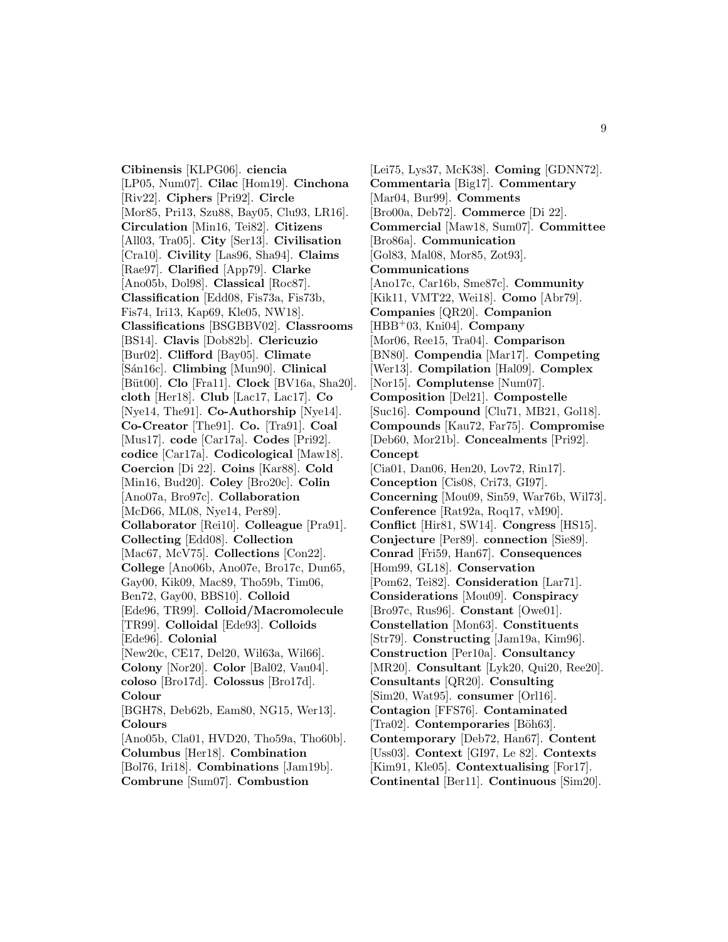**Cibinensis** [KLPG06]. **ciencia** [LP05, Num07]. **Cilac** [Hom19]. **Cinchona** [Riv22]. **Ciphers** [Pri92]. **Circle** [Mor85, Pri13, Szu88, Bay05, Clu93, LR16]. **Circulation** [Min16, Tei82]. **Citizens** [All03, Tra05]. **City** [Ser13]. **Civilisation** [Cra10]. **Civility** [Las96, Sha94]. **Claims** [Rae97]. **Clarified** [App79]. **Clarke** [Ano05b, Dol98]. **Classical** [Roc87]. **Classification** [Edd08, Fis73a, Fis73b, Fis74, Iri13, Kap69, Kle05, NW18]. **Classifications** [BSGBBV02]. **Classrooms** [BS14]. **Clavis** [Dob82b]. **Clericuzio** [Bur02]. **Clifford** [Bay05]. **Climate** [S´an16c]. **Climbing** [Mun90]. **Clinical** [B¨ut00]. **Clo** [Fra11]. **Clock** [BV16a, Sha20]. **cloth** [Her18]. **Club** [Lac17, Lac17]. **Co** [Nye14, The91]. **Co-Authorship** [Nye14]. **Co-Creator** [The91]. **Co.** [Tra91]. **Coal** [Mus17]. **code** [Car17a]. **Codes** [Pri92]. **codice** [Car17a]. **Codicological** [Maw18]. **Coercion** [Di 22]. **Coins** [Kar88]. **Cold** [Min16, Bud20]. **Coley** [Bro20c]. **Colin** [Ano07a, Bro97c]. **Collaboration** [McD66, ML08, Nye14, Per89]. **Collaborator** [Rei10]. **Colleague** [Pra91]. **Collecting** [Edd08]. **Collection** [Mac67, McV75]. **Collections** [Con22]. **College** [Ano06b, Ano07e, Bro17c, Dun65, Gay00, Kik09, Mac89, Tho59b, Tim06, Ben72, Gay00, BBS10]. **Colloid** [Ede96, TR99]. **Colloid/Macromolecule** [TR99]. **Colloidal** [Ede93]. **Colloids** [Ede96]. **Colonial** [New20c, CE17, Del20, Wil63a, Wil66]. **Colony** [Nor20]. **Color** [Bal02, Vau04]. **coloso** [Bro17d]. **Colossus** [Bro17d]. **Colour** [BGH78, Deb62b, Eam80, NG15, Wer13]. **Colours** [Ano05b, Cla01, HVD20, Tho59a, Tho60b]. **Columbus** [Her18]. **Combination** [Bol76, Iri18]. **Combinations** [Jam19b]. **Combrune** [Sum07]. **Combustion**

[Lei75, Lys37, McK38]. **Coming** [GDNN72]. **Commentaria** [Big17]. **Commentary** [Mar04, Bur99]. **Comments** [Bro00a, Deb72]. **Commerce** [Di 22]. **Commercial** [Maw18, Sum07]. **Committee** [Bro86a]. **Communication** [Gol83, Mal08, Mor85, Zot93]. **Communications** [Ano17c, Car16b, Sme87c]. **Community** [Kik11, VMT22, Wei18]. **Como** [Abr79]. **Companies** [QR20]. **Companion** [HBB<sup>+</sup>03, Kni04]. **Company** [Mor06, Ree15, Tra04]. **Comparison** [BN80]. **Compendia** [Mar17]. **Competing** [Wer13]. **Compilation** [Hal09]. **Complex** [Nor15]. **Complutense** [Num07]. **Composition** [Del21]. **Compostelle** [Suc16]. **Compound** [Clu71, MB21, Gol18]. **Compounds** [Kau72, Far75]. **Compromise** [Deb60, Mor21b]. **Concealments** [Pri92]. **Concept** [Cia01, Dan06, Hen20, Lov72, Rin17]. **Conception** [Cis08, Cri73, GI97]. **Concerning** [Mou09, Sin59, War76b, Wil73]. **Conference** [Rat92a, Roq17, vM90]. **Conflict** [Hir81, SW14]. **Congress** [HS15]. **Conjecture** [Per89]. **connection** [Sie89]. **Conrad** [Fri59, Han67]. **Consequences** [Hom99, GL18]. **Conservation** [Pom62, Tei82]. **Consideration** [Lar71]. **Considerations** [Mou09]. **Conspiracy** [Bro97c, Rus96]. **Constant** [Owe01]. **Constellation** [Mon63]. **Constituents** [Str79]. **Constructing** [Jam19a, Kim96]. **Construction** [Per10a]. **Consultancy** [MR20]. **Consultant** [Lyk20, Qui20, Ree20]. **Consultants** [QR20]. **Consulting** [Sim20, Wat95]. **consumer** [Orl16]. **Contagion** [FFS76]. **Contaminated** [Tra02]. **Contemporaries** [Böh63]. **Contemporary** [Deb72, Han67]. **Content** [Uss03]. **Context** [GI97, Le 82]. **Contexts** [Kim91, Kle05]. **Contextualising** [For17]. **Continental** [Ber11]. **Continuous** [Sim20].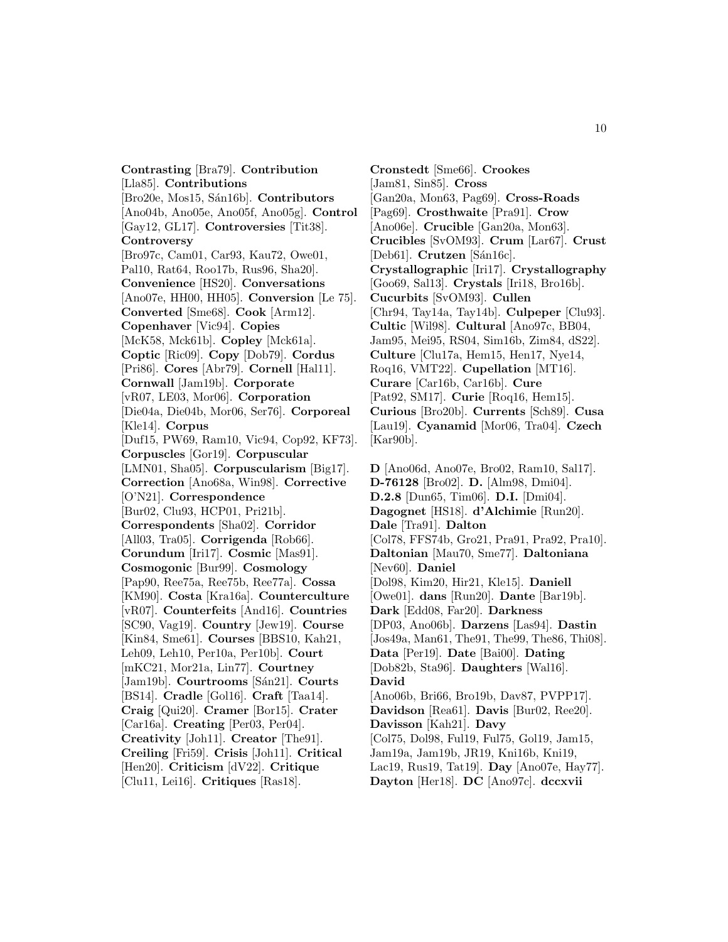**Contrasting** [Bra79]. **Contribution** [Lla85]. **Contributions** [Bro20e, Mos15, S´an16b]. **Contributors** [Ano04b, Ano05e, Ano05f, Ano05g]. **Control** [Gay12, GL17]. **Controversies** [Tit38]. **Controversy** [Bro97c, Cam01, Car93, Kau72, Owe01, Pal10, Rat64, Roo17b, Rus96, Sha20]. **Convenience** [HS20]. **Conversations** [Ano07e, HH00, HH05]. **Conversion** [Le 75]. **Converted** [Sme68]. **Cook** [Arm12]. **Copenhaver** [Vic94]. **Copies** [McK58, Mck61b]. **Copley** [Mck61a]. **Coptic** [Ric09]. **Copy** [Dob79]. **Cordus** [Pri86]. **Cores** [Abr79]. **Cornell** [Hal11]. **Cornwall** [Jam19b]. **Corporate** [vR07, LE03, Mor06]. **Corporation** [Die04a, Die04b, Mor06, Ser76]. **Corporeal** [Kle14]. **Corpus** [Duf15, PW69, Ram10, Vic94, Cop92, KF73]. **Corpuscles** [Gor19]. **Corpuscular** [LMN01, Sha05]. **Corpuscularism** [Big17]. **Correction** [Ano68a, Win98]. **Corrective** [O'N21]. **Correspondence** [Bur02, Clu93, HCP01, Pri21b]. **Correspondents** [Sha02]. **Corridor** [All03, Tra05]. **Corrigenda** [Rob66]. **Corundum** [Iri17]. **Cosmic** [Mas91]. **Cosmogonic** [Bur99]. **Cosmology** [Pap90, Ree75a, Ree75b, Ree77a]. **Cossa** [KM90]. **Costa** [Kra16a]. **Counterculture** [vR07]. **Counterfeits** [And16]. **Countries** [SC90, Vag19]. **Country** [Jew19]. **Course** [Kin84, Sme61]. **Courses** [BBS10, Kah21, Leh09, Leh10, Per10a, Per10b]. **Court** [mKC21, Mor21a, Lin77]. **Courtney** [Jam19b]. **Courtrooms** [Sán21]. **Courts** [BS14]. **Cradle** [Gol16]. **Craft** [Taa14]. **Craig** [Qui20]. **Cramer** [Bor15]. **Crater** [Car16a]. **Creating** [Per03, Per04]. **Creativity** [Joh11]. **Creator** [The91]. **Creiling** [Fri59]. **Crisis** [Joh11]. **Critical** [Hen20]. **Criticism** [dV22]. **Critique** [Clu11, Lei16]. **Critiques** [Ras18].

**Cronstedt** [Sme66]. **Crookes** [Jam81, Sin85]. **Cross** [Gan20a, Mon63, Pag69]. **Cross-Roads** [Pag69]. **Crosthwaite** [Pra91]. **Crow** [Ano06e]. **Crucible** [Gan20a, Mon63]. **Crucibles** [SvOM93]. **Crum** [Lar67]. **Crust** [Deb61]. **Crutzen** [Sán16c]. **Crystallographic** [Iri17]. **Crystallography** [Goo69, Sal13]. **Crystals** [Iri18, Bro16b]. **Cucurbits** [SvOM93]. **Cullen** [Chr94, Tay14a, Tay14b]. **Culpeper** [Clu93]. **Cultic** [Wil98]. **Cultural** [Ano97c, BB04, Jam95, Mei95, RS04, Sim16b, Zim84, dS22]. **Culture** [Clu17a, Hem15, Hen17, Nye14, Roq16, VMT22]. **Cupellation** [MT16]. **Curare** [Car16b, Car16b]. **Cure** [Pat92, SM17]. **Curie** [Roq16, Hem15]. **Curious** [Bro20b]. **Currents** [Sch89]. **Cusa** [Lau19]. **Cyanamid** [Mor06, Tra04]. **Czech** [Kar90b].

**D** [Ano06d, Ano07e, Bro02, Ram10, Sal17]. **D-76128** [Bro02]. **D.** [Alm98, Dmi04]. **D.2.8** [Dun65, Tim06]. **D.I.** [Dmi04]. **Dagognet** [HS18]. **d'Alchimie** [Run20]. **Dale** [Tra91]. **Dalton** [Col78, FFS74b, Gro21, Pra91, Pra92, Pra10]. **Daltonian** [Mau70, Sme77]. **Daltoniana** [Nev60]. **Daniel** [Dol98, Kim20, Hir21, Kle15]. **Daniell** [Owe01]. **dans** [Run20]. **Dante** [Bar19b]. **Dark** [Edd08, Far20]. **Darkness** [DP03, Ano06b]. **Darzens** [Las94]. **Dastin** [Jos49a, Man61, The91, The99, The86, Thi08]. **Data** [Per19]. **Date** [Bai00]. **Dating** [Dob82b, Sta96]. **Daughters** [Wal16]. **David** [Ano06b, Bri66, Bro19b, Dav87, PVPP17]. **Davidson** [Rea61]. **Davis** [Bur02, Ree20]. **Davisson** [Kah21]. **Davy** [Col75, Dol98, Ful19, Ful75, Gol19, Jam15, Jam19a, Jam19b, JR19, Kni16b, Kni19, Lac19, Rus19, Tat19]. **Day** [Ano07e, Hay77]. **Dayton** [Her18]. **DC** [Ano97c]. **dccxvii**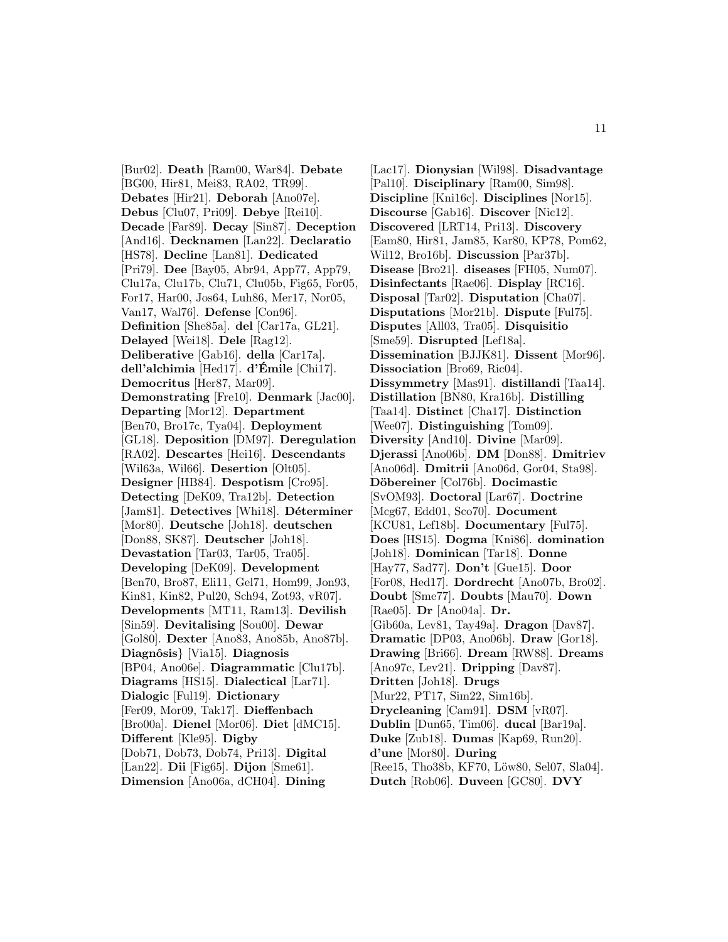[Bur02]. **Death** [Ram00, War84]. **Debate** [BG00, Hir81, Mei83, RA02, TR99]. **Debates** [Hir21]. **Deborah** [Ano07e]. **Debus** [Clu07, Pri09]. **Debye** [Rei10]. **Decade** [Far89]. **Decay** [Sin87]. **Deception** [And16]. **Decknamen** [Lan22]. **Declaratio** [HS78]. **Decline** [Lan81]. **Dedicated** [Pri79]. **Dee** [Bay05, Abr94, App77, App79, Clu17a, Clu17b, Clu71, Clu05b, Fig65, For05, For17, Har00, Jos64, Luh86, Mer17, Nor05, Van17, Wal76]. **Defense** [Con96]. **Definition** [She85a]. **del** [Car17a, GL21]. **Delayed** [Wei18]. **Dele** [Rag12]. **Deliberative** [Gab16]. **della** [Car17a]. **dell'alchimia** [Hed17]. **d'Emile ´** [Chi17]. **Democritus** [Her87, Mar09]. **Demonstrating** [Fre10]. **Denmark** [Jac00]. **Departing** [Mor12]. **Department** [Ben70, Bro17c, Tya04]. **Deployment** [GL18]. **Deposition** [DM97]. **Deregulation** [RA02]. **Descartes** [Hei16]. **Descendants** [Wil63a, Wil66]. **Desertion** [Olt05]. **Designer** [HB84]. **Despotism** [Cro95]. **Detecting** [DeK09, Tra12b]. **Detection** [Jam81]. **Detectives** [Whi18]. **Déterminer** [Mor80]. **Deutsche** [Joh18]. **deutschen** [Don88, SK87]. **Deutscher** [Joh18]. **Devastation** [Tar03, Tar05, Tra05]. **Developing** [DeK09]. **Development** [Ben70, Bro87, Eli11, Gel71, Hom99, Jon93, Kin81, Kin82, Pul20, Sch94, Zot93, vR07]. **Developments** [MT11, Ram13]. **Devilish** [Sin59]. **Devitalising** [Sou00]. **Dewar** [Gol80]. **Dexter** [Ano83, Ano85b, Ano87b]. **Diagnˆosis**} [Via15]. **Diagnosis** [BP04, Ano06e]. **Diagrammatic** [Clu17b]. **Diagrams** [HS15]. **Dialectical** [Lar71]. **Dialogic** [Ful19]. **Dictionary** [Fer09, Mor09, Tak17]. **Dieffenbach** [Bro00a]. **Dienel** [Mor06]. **Diet** [dMC15]. **Different** [Kle95]. **Digby** [Dob71, Dob73, Dob74, Pri13]. **Digital** [Lan22]. **Dii** [Fig65]. **Dijon** [Sme61]. **Dimension** [Ano06a, dCH04]. **Dining**

[Lac17]. **Dionysian** [Wil98]. **Disadvantage** [Pal10]. **Disciplinary** [Ram00, Sim98]. **Discipline** [Kni16c]. **Disciplines** [Nor15]. **Discourse** [Gab16]. **Discover** [Nic12]. **Discovered** [LRT14, Pri13]. **Discovery** [Eam80, Hir81, Jam85, Kar80, KP78, Pom62, Wil12, Bro16b]. **Discussion** [Par37b]. **Disease** [Bro21]. **diseases** [FH05, Num07]. **Disinfectants** [Rae06]. **Display** [RC16]. **Disposal** [Tar02]. **Disputation** [Cha07]. **Disputations** [Mor21b]. **Dispute** [Ful75]. **Disputes** [All03, Tra05]. **Disquisitio** [Sme59]. **Disrupted** [Lef18a]. **Dissemination** [BJJK81]. **Dissent** [Mor96]. **Dissociation** [Bro69, Ric04]. **Dissymmetry** [Mas91]. **distillandi** [Taa14]. **Distillation** [BN80, Kra16b]. **Distilling** [Taa14]. **Distinct** [Cha17]. **Distinction** [Wee07]. **Distinguishing** [Tom09]. **Diversity** [And10]. **Divine** [Mar09]. **Djerassi** [Ano06b]. **DM** [Don88]. **Dmitriev** [Ano06d]. **Dmitrii** [Ano06d, Gor04, Sta98]. **D¨obereiner** [Col76b]. **Docimastic** [SvOM93]. **Doctoral** [Lar67]. **Doctrine** [Mcg67, Edd01, Sco70]. **Document** [KCU81, Lef18b]. **Documentary** [Ful75]. **Does** [HS15]. **Dogma** [Kni86]. **domination** [Joh18]. **Dominican** [Tar18]. **Donne** [Hay77, Sad77]. **Don't** [Gue15]. **Door** [For08, Hed17]. **Dordrecht** [Ano07b, Bro02]. **Doubt** [Sme77]. **Doubts** [Mau70]. **Down** [Rae05]. **Dr** [Ano04a]. **Dr.** [Gib60a, Lev81, Tay49a]. **Dragon** [Dav87]. **Dramatic** [DP03, Ano06b]. **Draw** [Gor18]. **Drawing** [Bri66]. **Dream** [RW88]. **Dreams** [Ano97c, Lev21]. **Dripping** [Dav87]. **Dritten** [Joh18]. **Drugs** [Mur22, PT17, Sim22, Sim16b]. **Drycleaning** [Cam91]. **DSM** [vR07]. **Dublin** [Dun65, Tim06]. **ducal** [Bar19a]. **Duke** [Zub18]. **Dumas** [Kap69, Run20]. **d'une** [Mor80]. **During** [Ree15, Tho38b, KF70, Löw80, Sel07, Sla04]. **Dutch** [Rob06]. **Duveen** [GC80]. **DVY**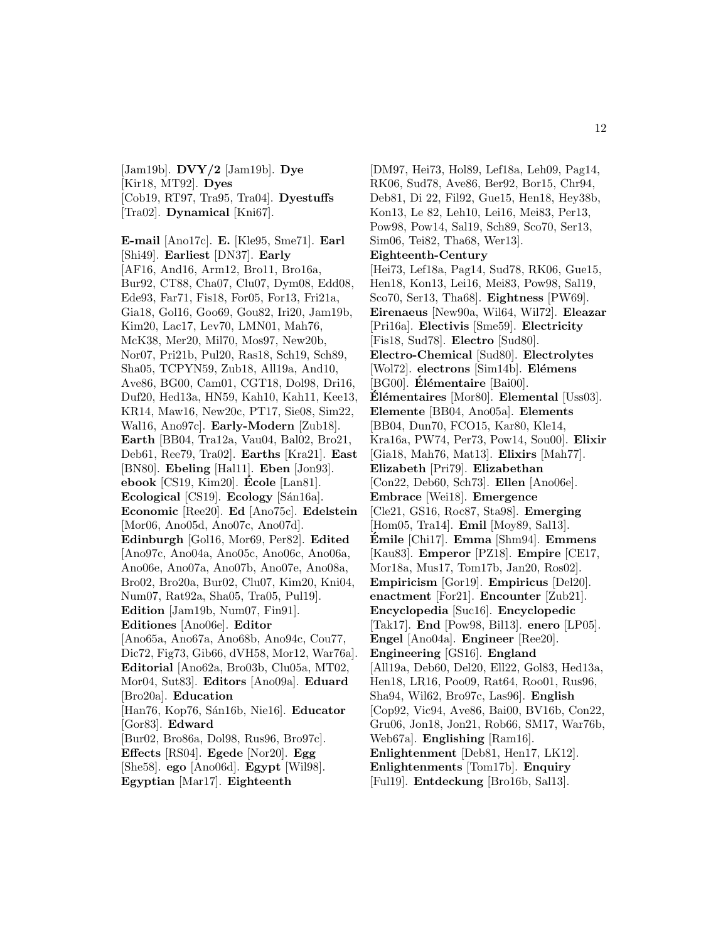[Jam19b]. **DVY/2** [Jam19b]. **Dye** [Kir18, MT92]. **Dyes** [Cob19, RT97, Tra95, Tra04]. **Dyestuffs** [Tra02]. **Dynamical** [Kni67].

**E-mail** [Ano17c]. **E.** [Kle95, Sme71]. **Earl** [Shi49]. **Earliest** [DN37]. **Early** [AF16, And16, Arm12, Bro11, Bro16a, Bur92, CT88, Cha07, Clu07, Dym08, Edd08, Ede93, Far71, Fis18, For05, For13, Fri21a, Gia18, Gol16, Goo69, Gou82, Iri20, Jam19b, Kim20, Lac17, Lev70, LMN01, Mah76, McK38, Mer20, Mil70, Mos97, New20b, Nor07, Pri21b, Pul20, Ras18, Sch19, Sch89, Sha05, TCPYN59, Zub18, All19a, And10, Ave86, BG00, Cam01, CGT18, Dol98, Dri16, Duf20, Hed13a, HN59, Kah10, Kah11, Kee13, KR14, Maw16, New20c, PT17, Sie08, Sim22, Wal16, Ano97c]. **Early-Modern** [Zub18]. **Earth** [BB04, Tra12a, Vau04, Bal02, Bro21, Deb61, Ree79, Tra02]. **Earths** [Kra21]. **East** [BN80]. **Ebeling** [Hal11]. **Eben** [Jon93]. **ebook** [CS19, Kim20]. **Ecole ´** [Lan81]. **Ecological** [CS19]. **Ecology** [Sán16a]. **Economic** [Ree20]. **Ed** [Ano75c]. **Edelstein** [Mor06, Ano05d, Ano07c, Ano07d]. **Edinburgh** [Gol16, Mor69, Per82]. **Edited** [Ano97c, Ano04a, Ano05c, Ano06c, Ano06a, Ano06e, Ano07a, Ano07b, Ano07e, Ano08a, Bro02, Bro20a, Bur02, Clu07, Kim20, Kni04, Num07, Rat92a, Sha05, Tra05, Pul19]. **Edition** [Jam19b, Num07, Fin91]. **Editiones** [Ano06e]. **Editor** [Ano65a, Ano67a, Ano68b, Ano94c, Cou77, Dic72, Fig73, Gib66, dVH58, Mor12, War76a]. **Editorial** [Ano62a, Bro03b, Clu05a, MT02, Mor04, Sut83]. **Editors** [Ano09a]. **Eduard** [Bro20a]. **Education** [Han76, Kop76, Sán16b, Nie16]. **Educator** [Gor83]. **Edward** [Bur02, Bro86a, Dol98, Rus96, Bro97c]. **Effects** [RS04]. **Egede** [Nor20]. **Egg** [She58]. **ego** [Ano06d]. **Egypt** [Wil98].

**Egyptian** [Mar17]. **Eighteenth**

[DM97, Hei73, Hol89, Lef18a, Leh09, Pag14, RK06, Sud78, Ave86, Ber92, Bor15, Chr94, Deb81, Di 22, Fil92, Gue15, Hen18, Hey38b, Kon13, Le 82, Leh10, Lei16, Mei83, Per13, Pow98, Pow14, Sal19, Sch89, Sco70, Ser13, Sim06, Tei82, Tha68, Wer13]. **Eighteenth-Century** [Hei73, Lef18a, Pag14, Sud78, RK06, Gue15, Hen18, Kon13, Lei16, Mei83, Pow98, Sal19, Sco70, Ser13, Tha68]. **Eightness** [PW69]. **Eirenaeus** [New90a, Wil64, Wil72]. **Eleazar** [Pri16a]. **Electivis** [Sme59]. **Electricity** [Fis18, Sud78]. **Electro** [Sud80]. **Electro-Chemical** [Sud80]. **Electrolytes** [Wol72]. **electrons** [Sim14b]. **Elémens** [BG00]. **El´ ´ ementaire** [Bai00]. **Elémentaires** [Mor80]. **Elemental** [Uss03]. **Elemente** [BB04, Ano05a]. **Elements** [BB04, Dun70, FCO15, Kar80, Kle14, Kra16a, PW74, Per73, Pow14, Sou00]. **Elixir** [Gia18, Mah76, Mat13]. **Elixirs** [Mah77]. **Elizabeth** [Pri79]. **Elizabethan** [Con22, Deb60, Sch73]. **Ellen** [Ano06e]. **Embrace** [Wei18]. **Emergence** [Cle21, GS16, Roc87, Sta98]. **Emerging** [Hom05, Tra14]. **Emil** [Moy89, Sal13]. **Emile ´** [Chi17]. **Emma** [Shm94]. **Emmens** [Kau83]. **Emperor** [PZ18]. **Empire** [CE17, Mor18a, Mus17, Tom17b, Jan20, Ros02]. **Empiricism** [Gor19]. **Empiricus** [Del20]. **enactment** [For21]. **Encounter** [Zub21]. **Encyclopedia** [Suc16]. **Encyclopedic** [Tak17]. **End** [Pow98, Bil13]. **enero** [LP05]. **Engel** [Ano04a]. **Engineer** [Ree20]. **Engineering** [GS16]. **England** [All19a, Deb60, Del20, Ell22, Gol83, Hed13a, Hen18, LR16, Poo09, Rat64, Roo01, Rus96, Sha94, Wil62, Bro97c, Las96]. **English** [Cop92, Vic94, Ave86, Bai00, BV16b, Con22, Gru06, Jon18, Jon21, Rob66, SM17, War76b, Web67a]. **Englishing** [Ram16]. **Enlightenment** [Deb81, Hen17, LK12]. **Enlightenments** [Tom17b]. **Enquiry** [Ful19]. **Entdeckung** [Bro16b, Sal13].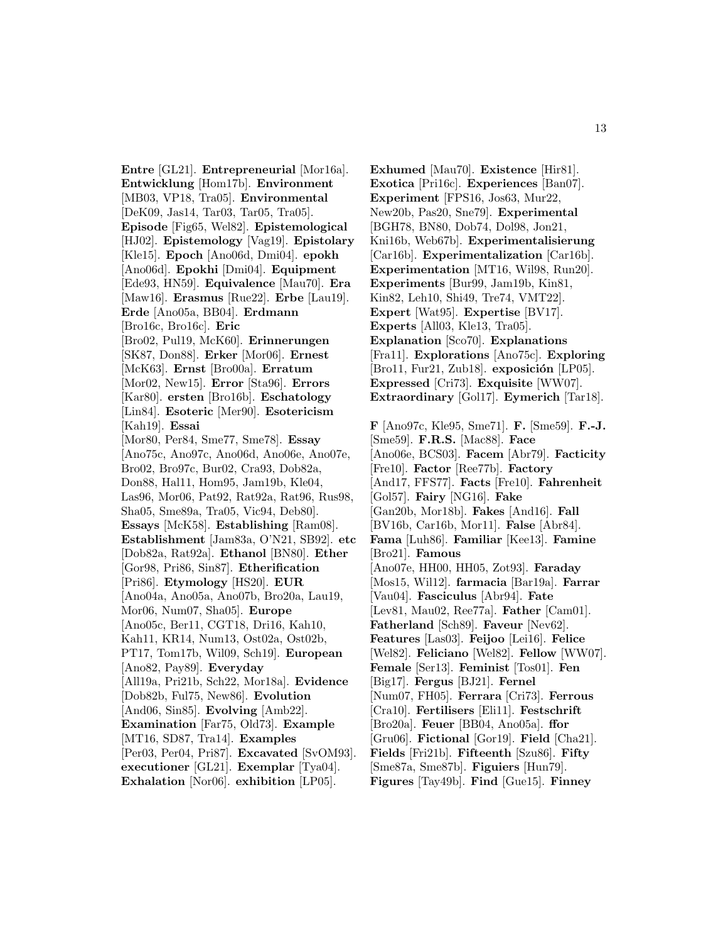**Entre** [GL21]. **Entrepreneurial** [Mor16a]. **Entwicklung** [Hom17b]. **Environment** [MB03, VP18, Tra05]. **Environmental** [DeK09, Jas14, Tar03, Tar05, Tra05]. **Episode** [Fig65, Wel82]. **Epistemological** [HJ02]. **Epistemology** [Vag19]. **Epistolary** [Kle15]. **Epoch** [Ano06d, Dmi04]. **epokh** [Ano06d]. **Epokhi** [Dmi04]. **Equipment** [Ede93, HN59]. **Equivalence** [Mau70]. **Era** [Maw16]. **Erasmus** [Rue22]. **Erbe** [Lau19]. **Erde** [Ano05a, BB04]. **Erdmann** [Bro16c, Bro16c]. **Eric** [Bro02, Pul19, McK60]. **Erinnerungen** [SK87, Don88]. **Erker** [Mor06]. **Ernest** [McK63]. **Ernst** [Bro00a]. **Erratum** [Mor02, New15]. **Error** [Sta96]. **Errors** [Kar80]. **ersten** [Bro16b]. **Eschatology** [Lin84]. **Esoteric** [Mer90]. **Esotericism** [Kah19]. **Essai** [Mor80, Per84, Sme77, Sme78]. **Essay** [Ano75c, Ano97c, Ano06d, Ano06e, Ano07e, Bro02, Bro97c, Bur02, Cra93, Dob82a, Don88, Hal11, Hom95, Jam19b, Kle04, Las96, Mor06, Pat92, Rat92a, Rat96, Rus98, Sha05, Sme89a, Tra05, Vic94, Deb80]. **Essays** [McK58]. **Establishing** [Ram08]. **Establishment** [Jam83a, O'N21, SB92]. **etc** [Dob82a, Rat92a]. **Ethanol** [BN80]. **Ether** [Gor98, Pri86, Sin87]. **Etherification** [Pri86]. **Etymology** [HS20]. **EUR** [Ano04a, Ano05a, Ano07b, Bro20a, Lau19, Mor06, Num07, Sha05]. **Europe** [Ano05c, Ber11, CGT18, Dri16, Kah10, Kah11, KR14, Num13, Ost02a, Ost02b, PT17, Tom17b, Wil09, Sch19]. **European** [Ano82, Pay89]. **Everyday** [All19a, Pri21b, Sch22, Mor18a]. **Evidence** [Dob82b, Ful75, New86]. **Evolution** [And06, Sin85]. **Evolving** [Amb22]. **Examination** [Far75, Old73]. **Example** [MT16, SD87, Tra14]. **Examples** [Per03, Per04, Pri87]. **Excavated** [SvOM93]. **executioner** [GL21]. **Exemplar** [Tya04]. **Exhalation** [Nor06]. **exhibition** [LP05].

**Exhumed** [Mau70]. **Existence** [Hir81]. **Exotica** [Pri16c]. **Experiences** [Ban07]. **Experiment** [FPS16, Jos63, Mur22, New20b, Pas20, Sne79]. **Experimental** [BGH78, BN80, Dob74, Dol98, Jon21, Kni16b, Web67b]. **Experimentalisierung** [Car16b]. **Experimentalization** [Car16b]. **Experimentation** [MT16, Wil98, Run20]. **Experiments** [Bur99, Jam19b, Kin81, Kin82, Leh10, Shi49, Tre74, VMT22]. **Expert** [Wat95]. **Expertise** [BV17]. **Experts** [All03, Kle13, Tra05]. **Explanation** [Sco70]. **Explanations** [Fra11]. **Explorations** [Ano75c]. **Exploring** [Bro11, Fur21, Zub18]. **exposición** [LP05]. **Expressed** [Cri73]. **Exquisite** [WW07]. **Extraordinary** [Gol17]. **Eymerich** [Tar18].

**F** [Ano97c, Kle95, Sme71]. **F.** [Sme59]. **F.-J.** [Sme59]. **F.R.S.** [Mac88]. **Face** [Ano06e, BCS03]. **Facem** [Abr79]. **Facticity** [Fre10]. **Factor** [Ree77b]. **Factory** [And17, FFS77]. **Facts** [Fre10]. **Fahrenheit** [Gol57]. **Fairy** [NG16]. **Fake** [Gan20b, Mor18b]. **Fakes** [And16]. **Fall** [BV16b, Car16b, Mor11]. **False** [Abr84]. **Fama** [Luh86]. **Familiar** [Kee13]. **Famine** [Bro21]. **Famous** [Ano07e, HH00, HH05, Zot93]. **Faraday** [Mos15, Wil12]. **farmacia** [Bar19a]. **Farrar** [Vau04]. **Fasciculus** [Abr94]. **Fate** [Lev81, Mau02, Ree77a]. **Father** [Cam01]. **Fatherland** [Sch89]. **Faveur** [Nev62]. **Features** [Las03]. **Feijoo** [Lei16]. **Felice** [Wel82]. **Feliciano** [Wel82]. **Fellow** [WW07]. **Female** [Ser13]. **Feminist** [Tos01]. **Fen** [Big17]. **Fergus** [BJ21]. **Fernel** [Num07, FH05]. **Ferrara** [Cri73]. **Ferrous** [Cra10]. **Fertilisers** [Eli11]. **Festschrift** [Bro20a]. **Feuer** [BB04, Ano05a]. **ffor** [Gru06]. **Fictional** [Gor19]. **Field** [Cha21]. **Fields** [Fri21b]. **Fifteenth** [Szu86]. **Fifty** [Sme87a, Sme87b]. **Figuiers** [Hun79]. **Figures** [Tay49b]. **Find** [Gue15]. **Finney**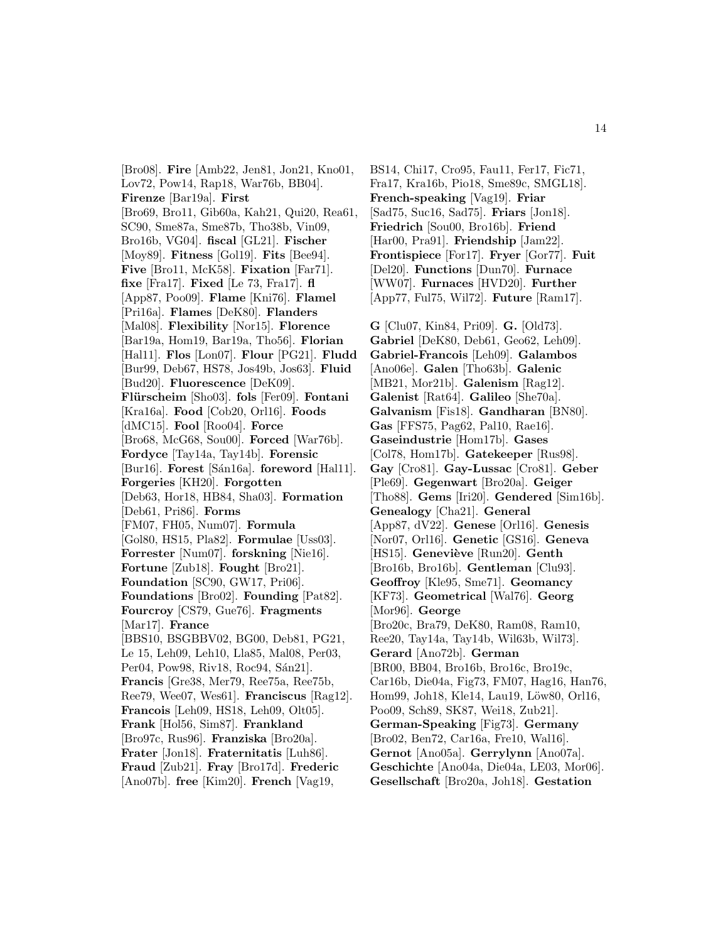[Bro08]. **Fire** [Amb22, Jen81, Jon21, Kno01, Lov72, Pow14, Rap18, War76b, BB04]. **Firenze** [Bar19a]. **First** [Bro69, Bro11, Gib60a, Kah21, Qui20, Rea61, SC90, Sme87a, Sme87b, Tho38b, Vin09, Bro16b, VG04]. **fiscal** [GL21]. **Fischer** [Moy89]. **Fitness** [Gol19]. **Fits** [Bee94]. **Five** [Bro11, McK58]. **Fixation** [Far71]. **fixe** [Fra17]. **Fixed** [Le 73, Fra17]. **fl** [App87, Poo09]. **Flame** [Kni76]. **Flamel** [Pri16a]. **Flames** [DeK80]. **Flanders** [Mal08]. **Flexibility** [Nor15]. **Florence** [Bar19a, Hom19, Bar19a, Tho56]. **Florian** [Hal11]. **Flos** [Lon07]. **Flour** [PG21]. **Fludd** [Bur99, Deb67, HS78, Jos49b, Jos63]. **Fluid** [Bud20]. **Fluorescence** [DeK09]. **Fl¨urscheim** [Sho03]. **fols** [Fer09]. **Fontani** [Kra16a]. **Food** [Cob20, Orl16]. **Foods** [dMC15]. **Fool** [Roo04]. **Force** [Bro68, McG68, Sou00]. **Forced** [War76b]. **Fordyce** [Tay14a, Tay14b]. **Forensic** [Bur16]. **Forest** [Sán16a]. **foreword** [Hal11]. **Forgeries** [KH20]. **Forgotten** [Deb63, Hor18, HB84, Sha03]. **Formation** [Deb61, Pri86]. **Forms** [FM07, FH05, Num07]. **Formula** [Gol80, HS15, Pla82]. **Formulae** [Uss03]. **Forrester** [Num07]. **forskning** [Nie16]. **Fortune** [Zub18]. **Fought** [Bro21]. **Foundation** [SC90, GW17, Pri06]. **Foundations** [Bro02]. **Founding** [Pat82]. **Fourcroy** [CS79, Gue76]. **Fragments** [Mar17]. **France** [BBS10, BSGBBV02, BG00, Deb81, PG21, Le 15, Leh09, Leh10, Lla85, Mal08, Per03, Per04, Pow98, Riv18, Roc94, Sán21]. **Francis** [Gre38, Mer79, Ree75a, Ree75b, Ree79, Wee07, Wes61]. **Franciscus** [Rag12]. **Francois** [Leh09, HS18, Leh09, Olt05]. **Frank** [Hol56, Sim87]. **Frankland** [Bro97c, Rus96]. **Franziska** [Bro20a]. **Frater** [Jon18]. **Fraternitatis** [Luh86]. **Fraud** [Zub21]. **Fray** [Bro17d]. **Frederic** [Ano07b]. **free** [Kim20]. **French** [Vag19,

BS14, Chi17, Cro95, Fau11, Fer17, Fic71, Fra17, Kra16b, Pio18, Sme89c, SMGL18]. **French-speaking** [Vag19]. **Friar** [Sad75, Suc16, Sad75]. **Friars** [Jon18]. **Friedrich** [Sou00, Bro16b]. **Friend** [Har00, Pra91]. **Friendship** [Jam22]. **Frontispiece** [For17]. **Fryer** [Gor77]. **Fuit** [Del20]. **Functions** [Dun70]. **Furnace** [WW07]. **Furnaces** [HVD20]. **Further** [App77, Ful75, Wil72]. **Future** [Ram17].

**G** [Clu07, Kin84, Pri09]. **G.** [Old73]. **Gabriel** [DeK80, Deb61, Geo62, Leh09]. **Gabriel-Francois** [Leh09]. **Galambos** [Ano06e]. **Galen** [Tho63b]. **Galenic** [MB21, Mor21b]. **Galenism** [Rag12]. **Galenist** [Rat64]. **Galileo** [She70a]. **Galvanism** [Fis18]. **Gandharan** [BN80]. **Gas** [FFS75, Pag62, Pal10, Rae16]. **Gaseindustrie** [Hom17b]. **Gases** [Col78, Hom17b]. **Gatekeeper** [Rus98]. **Gay** [Cro81]. **Gay-Lussac** [Cro81]. **Geber** [Ple69]. **Gegenwart** [Bro20a]. **Geiger** [Tho88]. **Gems** [Iri20]. **Gendered** [Sim16b]. **Genealogy** [Cha21]. **General** [App87, dV22]. **Genese** [Orl16]. **Genesis** [Nor07, Orl16]. **Genetic** [GS16]. **Geneva** [HS15]. **Geneviève** [Run20]. **Genth** [Bro16b, Bro16b]. **Gentleman** [Clu93]. **Geoffroy** [Kle95, Sme71]. **Geomancy** [KF73]. **Geometrical** [Wal76]. **Georg** [Mor96]. **George** [Bro20c, Bra79, DeK80, Ram08, Ram10, Ree20, Tay14a, Tay14b, Wil63b, Wil73]. **Gerard** [Ano72b]. **German** [BR00, BB04, Bro16b, Bro16c, Bro19c, Car16b, Die04a, Fig73, FM07, Hag16, Han76, Hom99, Joh18, Kle14, Lau19, Löw80, Orl16, Poo09, Sch89, SK87, Wei18, Zub21]. **German-Speaking** [Fig73]. **Germany** [Bro02, Ben72, Car16a, Fre10, Wal16]. **Gernot** [Ano05a]. **Gerrylynn** [Ano07a]. **Geschichte** [Ano04a, Die04a, LE03, Mor06]. **Gesellschaft** [Bro20a, Joh18]. **Gestation**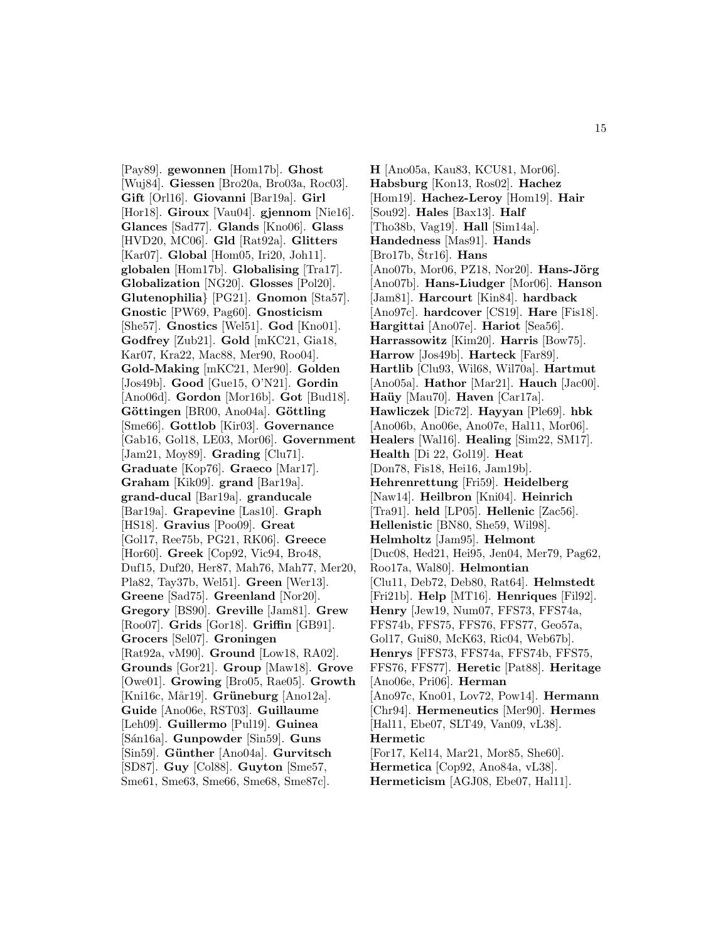[Pay89]. **gewonnen** [Hom17b]. **Ghost** [Wuj84]. **Giessen** [Bro20a, Bro03a, Roc03]. **Gift** [Orl16]. **Giovanni** [Bar19a]. **Girl** [Hor18]. **Giroux** [Vau04]. **gjennom** [Nie16]. **Glances** [Sad77]. **Glands** [Kno06]. **Glass** [HVD20, MC06]. **Gld** [Rat92a]. **Glitters** [Kar07]. **Global** [Hom05, Iri20, Joh11]. **globalen** [Hom17b]. **Globalising** [Tra17]. **Globalization** [NG20]. **Glosses** [Pol20]. **Glutenophilia**} [PG21]. **Gnomon** [Sta57]. **Gnostic** [PW69, Pag60]. **Gnosticism** [She57]. **Gnostics** [Wel51]. **God** [Kno01]. **Godfrey** [Zub21]. **Gold** [mKC21, Gia18, Kar07, Kra22, Mac88, Mer90, Roo04]. **Gold-Making** [mKC21, Mer90]. **Golden** [Jos49b]. **Good** [Gue15, O'N21]. **Gordin** [Ano06d]. **Gordon** [Mor16b]. **Got** [Bud18]. **Göttingen** [BR00, Ano04a]. **Göttling** [Sme66]. **Gottlob** [Kir03]. **Governance** [Gab16, Gol18, LE03, Mor06]. **Government** [Jam21, Moy89]. **Grading** [Clu71]. **Graduate** [Kop76]. **Graeco** [Mar17]. **Graham** [Kik09]. **grand** [Bar19a]. **grand-ducal** [Bar19a]. **granducale** [Bar19a]. **Grapevine** [Las10]. **Graph** [HS18]. **Gravius** [Poo09]. **Great** [Gol17, Ree75b, PG21, RK06]. **Greece** [Hor60]. **Greek** [Cop92, Vic94, Bro48, Duf15, Duf20, Her87, Mah76, Mah77, Mer20, Pla82, Tay37b, Wel51]. **Green** [Wer13]. **Greene** [Sad75]. **Greenland** [Nor20]. **Gregory** [BS90]. **Greville** [Jam81]. **Grew** [Roo07]. **Grids** [Gor18]. **Griffin** [GB91]. **Grocers** [Sel07]. **Groningen** [Rat92a, vM90]. **Ground** [Low18, RA02]. **Grounds** [Gor21]. **Group** [Maw18]. **Grove** [Owe01]. **Growing** [Bro05, Rae05]. **Growth** [Kni16c, Mår19]. **Grüneburg** [Ano12a]. **Guide** [Ano06e, RST03]. **Guillaume** [Leh09]. **Guillermo** [Pul19]. **Guinea** [S´an16a]. **Gunpowder** [Sin59]. **Guns** [Sin59]. **G¨unther** [Ano04a]. **Gurvitsch** [SD87]. **Guy** [Col88]. **Guyton** [Sme57, Sme61, Sme63, Sme66, Sme68, Sme87c].

**H** [Ano05a, Kau83, KCU81, Mor06]. **Habsburg** [Kon13, Ros02]. **Hachez** [Hom19]. **Hachez-Leroy** [Hom19]. **Hair** [Sou92]. **Hales** [Bax13]. **Half** [Tho38b, Vag19]. **Hall** [Sim14a]. **Handedness** [Mas91]. **Hands**  $[Bro17b, Štr16]$ . **Hans** [Ano07b, Mor06, PZ18, Nor20]. **Hans-Jörg** [Ano07b]. **Hans-Liudger** [Mor06]. **Hanson** [Jam81]. **Harcourt** [Kin84]. **hardback** [Ano97c]. **hardcover** [CS19]. **Hare** [Fis18]. **Hargittai** [Ano07e]. **Hariot** [Sea56]. **Harrassowitz** [Kim20]. **Harris** [Bow75]. **Harrow** [Jos49b]. **Harteck** [Far89]. **Hartlib** [Clu93, Wil68, Wil70a]. **Hartmut** [Ano05a]. **Hathor** [Mar21]. **Hauch** [Jac00]. **Haüy** [Mau70]. **Haven** [Car17a]. **Hawliczek** [Dic72]. **Hayyan** [Ple69]. **hbk** [Ano06b, Ano06e, Ano07e, Hal11, Mor06]. **Healers** [Wal16]. **Healing** [Sim22, SM17]. **Health** [Di 22, Gol19]. **Heat** [Don78, Fis18, Hei16, Jam19b]. **Hehrenrettung** [Fri59]. **Heidelberg** [Naw14]. **Heilbron** [Kni04]. **Heinrich** [Tra91]. **held** [LP05]. **Hellenic** [Zac56]. **Hellenistic** [BN80, She59, Wil98]. **Helmholtz** [Jam95]. **Helmont** [Duc08, Hed21, Hei95, Jen04, Mer79, Pag62, Roo17a, Wal80]. **Helmontian** [Clu11, Deb72, Deb80, Rat64]. **Helmstedt** [Fri21b]. **Help** [MT16]. **Henriques** [Fil92]. **Henry** [Jew19, Num07, FFS73, FFS74a, FFS74b, FFS75, FFS76, FFS77, Geo57a, Gol17, Gui80, McK63, Ric04, Web67b]. **Henrys** [FFS73, FFS74a, FFS74b, FFS75, FFS76, FFS77]. **Heretic** [Pat88]. **Heritage** [Ano06e, Pri06]. **Herman** [Ano97c, Kno01, Lov72, Pow14]. **Hermann** [Chr94]. **Hermeneutics** [Mer90]. **Hermes** [Hal11, Ebe07, SLT49, Van09, vL38]. **Hermetic** [For17, Kel14, Mar21, Mor85, She60]. **Hermetica** [Cop92, Ano84a, vL38]. **Hermeticism** [AGJ08, Ebe07, Hal11].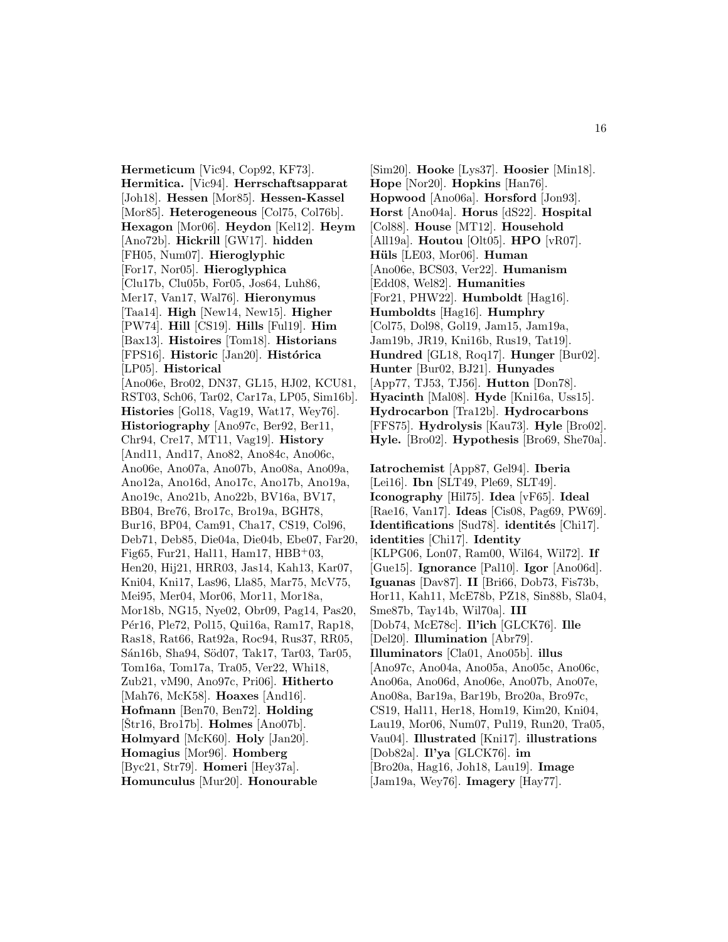**Hermeticum** [Vic94, Cop92, KF73]. **Hermitica.** [Vic94]. **Herrschaftsapparat** [Joh18]. **Hessen** [Mor85]. **Hessen-Kassel** [Mor85]. **Heterogeneous** [Col75, Col76b]. **Hexagon** [Mor06]. **Heydon** [Kel12]. **Heym** [Ano72b]. **Hickrill** [GW17]. **hidden** [FH05, Num07]. **Hieroglyphic** [For17, Nor05]. **Hieroglyphica** [Clu17b, Clu05b, For05, Jos64, Luh86, Mer17, Van17, Wal76]. **Hieronymus** [Taa14]. **High** [New14, New15]. **Higher** [PW74]. **Hill** [CS19]. **Hills** [Ful19]. **Him** [Bax13]. **Histoires** [Tom18]. **Historians** [FPS16]. **Historic** [Jan20]. **Histórica** [LP05]. **Historical** [Ano06e, Bro02, DN37, GL15, HJ02, KCU81, RST03, Sch06, Tar02, Car17a, LP05, Sim16b]. **Histories** [Gol18, Vag19, Wat17, Wey76]. **Historiography** [Ano97c, Ber92, Ber11, Chr94, Cre17, MT11, Vag19]. **History** [And11, And17, Ano82, Ano84c, Ano06c, Ano06e, Ano07a, Ano07b, Ano08a, Ano09a, Ano12a, Ano16d, Ano17c, Ano17b, Ano19a, Ano19c, Ano21b, Ano22b, BV16a, BV17, BB04, Bre76, Bro17c, Bro19a, BGH78, Bur16, BP04, Cam91, Cha17, CS19, Col96, Deb71, Deb85, Die04a, Die04b, Ebe07, Far20, Fig65, Fur21, Hal11, Ham17,  $HBB+03$ , Hen20, Hij21, HRR03, Jas14, Kah13, Kar07, Kni04, Kni17, Las96, Lla85, Mar75, McV75, Mei95, Mer04, Mor06, Mor11, Mor18a, Mor18b, NG15, Nye02, Obr09, Pag14, Pas20, Pér16, Ple72, Pol15, Qui16a, Ram17, Rap18, Ras18, Rat66, Rat92a, Roc94, Rus37, RR05, Sán16b, Sha94, Söd07, Tak17, Tar03, Tar05, Tom16a, Tom17a, Tra05, Ver22, Whi18, Zub21, vM90, Ano97c, Pri06]. **Hitherto** [Mah76, McK58]. **Hoaxes** [And16]. **Hofmann** [Ben70, Ben72]. **Holding**  $[\text{Str16}, \text{Bro17b}]$ . **Holmes**  $[\text{Ano07b}]$ . **Holmyard** [McK60]. **Holy** [Jan20]. **Homagius** [Mor96]. **Homberg** [Byc21, Str79]. **Homeri** [Hey37a]. **Homunculus** [Mur20]. **Honourable**

[Sim20]. **Hooke** [Lys37]. **Hoosier** [Min18]. **Hope** [Nor20]. **Hopkins** [Han76]. **Hopwood** [Ano06a]. **Horsford** [Jon93]. **Horst** [Ano04a]. **Horus** [dS22]. **Hospital** [Col88]. **House** [MT12]. **Household** [All19a]. **Houtou** [Olt05]. **HPO** [vR07]. **H¨uls** [LE03, Mor06]. **Human** [Ano06e, BCS03, Ver22]. **Humanism** [Edd08, Wel82]. **Humanities** [For21, PHW22]. **Humboldt** [Hag16]. **Humboldts** [Hag16]. **Humphry** [Col75, Dol98, Gol19, Jam15, Jam19a, Jam19b, JR19, Kni16b, Rus19, Tat19]. **Hundred** [GL18, Roq17]. **Hunger** [Bur02]. **Hunter** [Bur02, BJ21]. **Hunyades** [App77, TJ53, TJ56]. **Hutton** [Don78]. **Hyacinth** [Mal08]. **Hyde** [Kni16a, Uss15]. **Hydrocarbon** [Tra12b]. **Hydrocarbons** [FFS75]. **Hydrolysis** [Kau73]. **Hyle** [Bro02]. **Hyle.** [Bro02]. **Hypothesis** [Bro69, She70a].

**Iatrochemist** [App87, Gel94]. **Iberia** [Lei16]. **Ibn** [SLT49, Ple69, SLT49]. **Iconography** [Hil75]. **Idea** [vF65]. **Ideal** [Rae16, Van17]. **Ideas** [Cis08, Pag69, PW69]. **Identifications** [Sud78]. **identités** [Chi17]. **identities** [Chi17]. **Identity** [KLPG06, Lon07, Ram00, Wil64, Wil72]. **If** [Gue15]. **Ignorance** [Pal10]. **Igor** [Ano06d]. **Iguanas** [Dav87]. **II** [Bri66, Dob73, Fis73b, Hor11, Kah11, McE78b, PZ18, Sin88b, Sla04, Sme87b, Tay14b, Wil70a]. **III** [Dob74, McE78c]. **Il'ich** [GLCK76]. **Ille** [Del20]. **Illumination** [Abr79]. **Illuminators** [Cla01, Ano05b]. **illus** [Ano97c, Ano04a, Ano05a, Ano05c, Ano06c, Ano06a, Ano06d, Ano06e, Ano07b, Ano07e, Ano08a, Bar19a, Bar19b, Bro20a, Bro97c, CS19, Hal11, Her18, Hom19, Kim20, Kni04, Lau19, Mor06, Num07, Pul19, Run20, Tra05, Vau04]. **Illustrated** [Kni17]. **illustrations** [Dob82a]. **Il'ya** [GLCK76]. **im** [Bro20a, Hag16, Joh18, Lau19]. **Image** [Jam19a, Wey76]. **Imagery** [Hay77].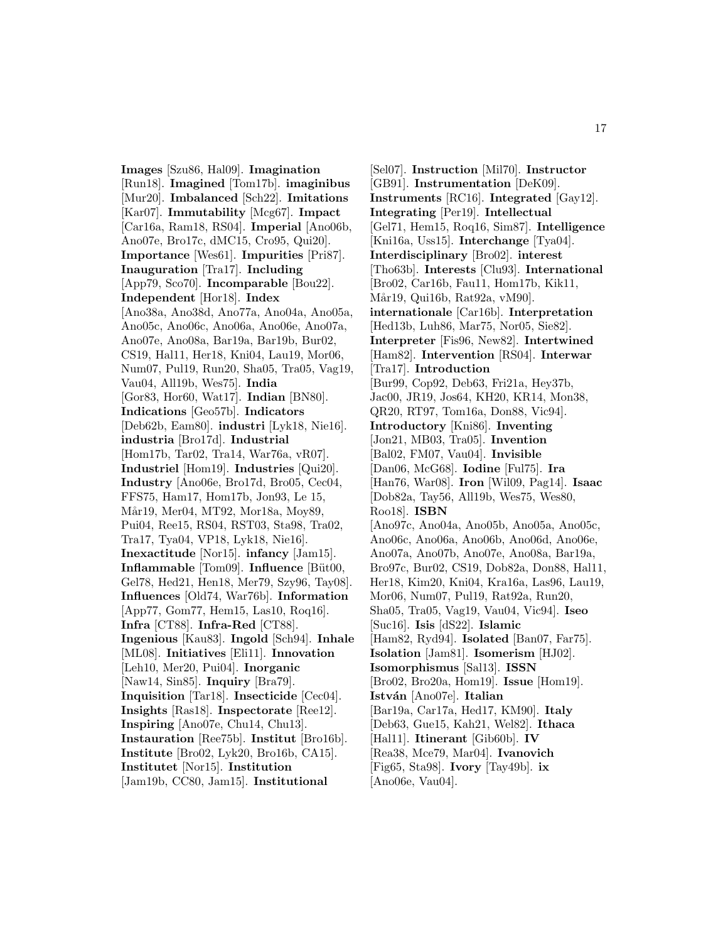**Images** [Szu86, Hal09]. **Imagination** [Run18]. **Imagined** [Tom17b]. **imaginibus** [Mur20]. **Imbalanced** [Sch22]. **Imitations** [Kar07]. **Immutability** [Mcg67]. **Impact** [Car16a, Ram18, RS04]. **Imperial** [Ano06b, Ano07e, Bro17c, dMC15, Cro95, Qui20]. **Importance** [Wes61]. **Impurities** [Pri87]. **Inauguration** [Tra17]. **Including** [App79, Sco70]. **Incomparable** [Bou22]. **Independent** [Hor18]. **Index** [Ano38a, Ano38d, Ano77a, Ano04a, Ano05a, Ano05c, Ano06c, Ano06a, Ano06e, Ano07a, Ano07e, Ano08a, Bar19a, Bar19b, Bur02, CS19, Hal11, Her18, Kni04, Lau19, Mor06, Num07, Pul19, Run20, Sha05, Tra05, Vag19, Vau04, All19b, Wes75]. **India** [Gor83, Hor60, Wat17]. **Indian** [BN80]. **Indications** [Geo57b]. **Indicators** [Deb62b, Eam80]. **industri** [Lyk18, Nie16]. **industria** [Bro17d]. **Industrial** [Hom17b, Tar02, Tra14, War76a, vR07]. **Industriel** [Hom19]. **Industries** [Qui20]. **Industry** [Ano06e, Bro17d, Bro05, Cec04, FFS75, Ham17, Hom17b, Jon93, Le 15, Mår19, Mer04, MT92, Mor18a, Moy89, Pui04, Ree15, RS04, RST03, Sta98, Tra02, Tra17, Tya04, VP18, Lyk18, Nie16]. **Inexactitude** [Nor15]. **infancy** [Jam15]. **Inflammable** [Tom09]. **Influence** [Büt00, Gel78, Hed21, Hen18, Mer79, Szy96, Tay08]. **Influences** [Old74, War76b]. **Information** [App77, Gom77, Hem15, Las10, Roq16]. **Infra** [CT88]. **Infra-Red** [CT88]. **Ingenious** [Kau83]. **Ingold** [Sch94]. **Inhale** [ML08]. **Initiatives** [Eli11]. **Innovation** [Leh10, Mer20, Pui04]. **Inorganic** [Naw14, Sin85]. **Inquiry** [Bra79]. **Inquisition** [Tar18]. **Insecticide** [Cec04]. **Insights** [Ras18]. **Inspectorate** [Ree12]. **Inspiring** [Ano07e, Chu14, Chu13]. **Instauration** [Ree75b]. **Institut** [Bro16b]. **Institute** [Bro02, Lyk20, Bro16b, CA15]. **Institutet** [Nor15]. **Institution** [Jam19b, CC80, Jam15]. **Institutional**

[Sel07]. **Instruction** [Mil70]. **Instructor** [GB91]. **Instrumentation** [DeK09]. **Instruments** [RC16]. **Integrated** [Gay12]. **Integrating** [Per19]. **Intellectual** [Gel71, Hem15, Roq16, Sim87]. **Intelligence** [Kni16a, Uss15]. **Interchange** [Tya04]. **Interdisciplinary** [Bro02]. **interest** [Tho63b]. **Interests** [Clu93]. **International** [Bro02, Car16b, Fau11, Hom17b, Kik11, Mår19, Qui16b, Rat92a, vM90. **internationale** [Car16b]. **Interpretation** [Hed13b, Luh86, Mar75, Nor05, Sie82]. **Interpreter** [Fis96, New82]. **Intertwined** [Ham82]. **Intervention** [RS04]. **Interwar** [Tra17]. **Introduction** [Bur99, Cop92, Deb63, Fri21a, Hey37b, Jac00, JR19, Jos64, KH20, KR14, Mon38, QR20, RT97, Tom16a, Don88, Vic94]. **Introductory** [Kni86]. **Inventing** [Jon21, MB03, Tra05]. **Invention** [Bal02, FM07, Vau04]. **Invisible** [Dan06, McG68]. **Iodine** [Ful75]. **Ira** [Han76, War08]. **Iron** [Wil09, Pag14]. **Isaac** [Dob82a, Tay56, All19b, Wes75, Wes80, Roo18]. **ISBN** [Ano97c, Ano04a, Ano05b, Ano05a, Ano05c, Ano06c, Ano06a, Ano06b, Ano06d, Ano06e, Ano07a, Ano07b, Ano07e, Ano08a, Bar19a, Bro97c, Bur02, CS19, Dob82a, Don88, Hal11, Her18, Kim20, Kni04, Kra16a, Las96, Lau19, Mor06, Num07, Pul19, Rat92a, Run20, Sha05, Tra05, Vag19, Vau04, Vic94]. **Iseo** [Suc16]. **Isis** [dS22]. **Islamic** [Ham82, Ryd94]. **Isolated** [Ban07, Far75]. **Isolation** [Jam81]. **Isomerism** [HJ02]. **Isomorphismus** [Sal13]. **ISSN** [Bro02, Bro20a, Hom19]. **Issue** [Hom19]. **Istv´an** [Ano07e]. **Italian** [Bar19a, Car17a, Hed17, KM90]. **Italy** [Deb63, Gue15, Kah21, Wel82]. **Ithaca** [Hal11]. **Itinerant** [Gib60b]. **IV** [Rea38, Mce79, Mar04]. **Ivanovich** [Fig65, Sta98]. **Ivory** [Tay49b]. **ix** [Ano06e, Vau04].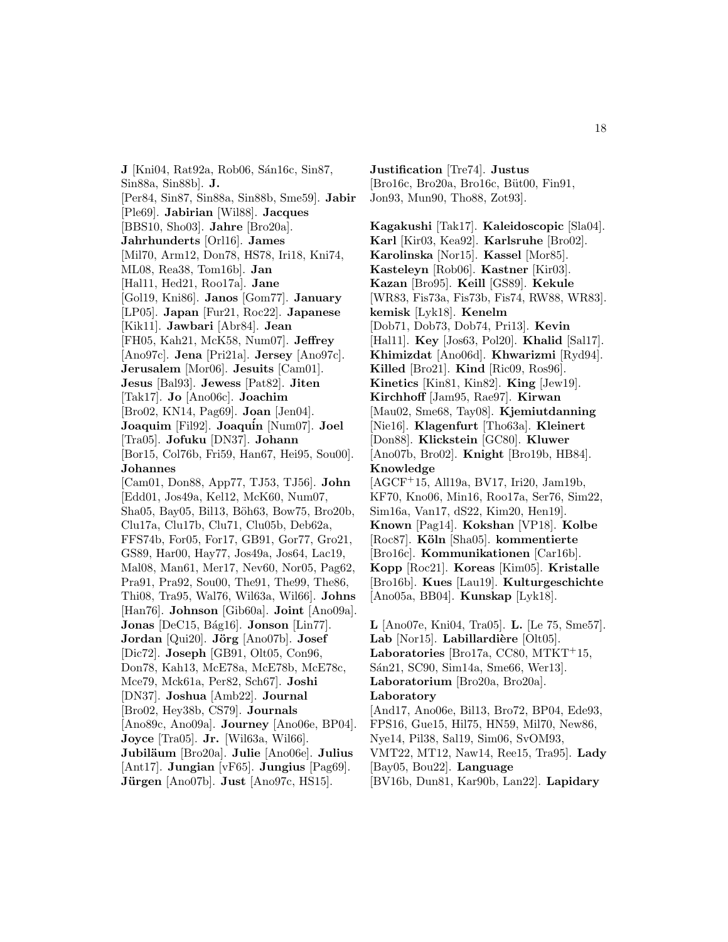**J** [Kni04, Rat92a, Rob06, Sán16c, Sin87, Sin88a, Sin88b]. **J.**

[Per84, Sin87, Sin88a, Sin88b, Sme59]. **Jabir**

[Ple69]. **Jabirian** [Wil88]. **Jacques**

[BBS10, Sho03]. **Jahre** [Bro20a].

**Jahrhunderts** [Orl16]. **James**

[Mil70, Arm12, Don78, HS78, Iri18, Kni74,

ML08, Rea38, Tom16b]. **Jan**

[Hal11, Hed21, Roo17a]. **Jane**

[Gol19, Kni86]. **Janos** [Gom77]. **January**

[LP05]. **Japan** [Fur21, Roc22]. **Japanese**

[Kik11]. **Jawbari** [Abr84]. **Jean**

[FH05, Kah21, McK58, Num07]. **Jeffrey**

[Ano97c]. **Jena** [Pri21a]. **Jersey** [Ano97c]. **Jerusalem** [Mor06]. **Jesuits** [Cam01].

**Jesus** [Bal93]. **Jewess** [Pat82]. **Jiten**

[Tak17]. **Jo** [Ano06c]. **Joachim**

[Bro02, KN14, Pag69]. **Joan** [Jen04].

**Joaquim** [Fil92]. **Joaqu´in** [Num07]. **Joel**

[Tra05]. **Jofuku** [DN37]. **Johann**

[Bor15, Col76b, Fri59, Han67, Hei95, Sou00]. **Johannes**

[Cam01, Don88, App77, TJ53, TJ56]. **John** [Edd01, Jos49a, Kel12, McK60, Num07, Sha05, Bay05, Bil13, Böh63, Bow75, Bro20b, Clu17a, Clu17b, Clu71, Clu05b, Deb62a, FFS74b, For05, For17, GB91, Gor77, Gro21, GS89, Har00, Hay77, Jos49a, Jos64, Lac19, Mal08, Man61, Mer17, Nev60, Nor05, Pag62, Pra91, Pra92, Sou00, The91, The99, The86, Thi08, Tra95, Wal76, Wil63a, Wil66]. **Johns** [Han76]. **Johnson** [Gib60a]. **Joint** [Ano09a]. **Jonas** [DeC15, B´ag16]. **Jonson** [Lin77]. **Jordan** [Qui20]. **Jörg** [Ano07b]. **Josef** [Dic72]. **Joseph** [GB91, Olt05, Con96, Don78, Kah13, McE78a, McE78b, McE78c,

Mce79, Mck61a, Per82, Sch67]. **Joshi**

[DN37]. **Joshua** [Amb22]. **Journal**

[Bro02, Hey38b, CS79]. **Journals**

[Ano89c, Ano09a]. **Journey** [Ano06e, BP04].

**Joyce** [Tra05]. **Jr.** [Wil63a, Wil66].

**Jubil¨aum** [Bro20a]. **Julie** [Ano06e]. **Julius**

[Ant17]. **Jungian** [vF65]. **Jungius** [Pag69].

**Jürgen** [Ano07b]. **Just** [Ano97c, HS15].

**Justification** [Tre74]. **Justus** [Bro16c, Bro20a, Bro16c, Büt00, Fin91, Jon93, Mun90, Tho88, Zot93].

**Kagakushi** [Tak17]. **Kaleidoscopic** [Sla04]. **Karl** [Kir03, Kea92]. **Karlsruhe** [Bro02]. **Karolinska** [Nor15]. **Kassel** [Mor85]. **Kasteleyn** [Rob06]. **Kastner** [Kir03]. **Kazan** [Bro95]. **Keill** [GS89]. **Kekule** [WR83, Fis73a, Fis73b, Fis74, RW88, WR83]. **kemisk** [Lyk18]. **Kenelm** [Dob71, Dob73, Dob74, Pri13]. **Kevin** [Hal11]. **Key** [Jos63, Pol20]. **Khalid** [Sal17]. **Khimizdat** [Ano06d]. **Khwarizmi** [Ryd94]. **Killed** [Bro21]. **Kind** [Ric09, Ros96]. **Kinetics** [Kin81, Kin82]. **King** [Jew19]. **Kirchhoff** [Jam95, Rae97]. **Kirwan** [Mau02, Sme68, Tay08]. **Kjemiutdanning** [Nie16]. **Klagenfurt** [Tho63a]. **Kleinert** [Don88]. **Klickstein** [GC80]. **Kluwer** [Ano07b, Bro02]. **Knight** [Bro19b, HB84]. **Knowledge** [AGCF<sup>+</sup>15, All19a, BV17, Iri20, Jam19b, KF70, Kno06, Min16, Roo17a, Ser76, Sim22, Sim16a, Van17, dS22, Kim20, Hen19]. **Known** [Pag14]. **Kokshan** [VP18]. **Kolbe** [Roc87]. **K¨oln** [Sha05]. **kommentierte** [Bro16c]. **Kommunikationen** [Car16b]. **Kopp** [Roc21]. **Koreas** [Kim05]. **Kristalle** [Bro16b]. **Kues** [Lau19]. **Kulturgeschichte**

[Ano05a, BB04]. **Kunskap** [Lyk18].

**L** [Ano07e, Kni04, Tra05]. **L.** [Le 75, Sme57]. Lab<sup>[Nor15]</sup>. Labillardière<sup>[Olt05]</sup>. Laboratories<sup> [Bro17a, CC80, MTKT<sup>+</sup>15,</sup> Sán21, SC90, Sim14a, Sme66, Wer13. **Laboratorium** [Bro20a, Bro20a]. **Laboratory** [And17, Ano06e, Bil13, Bro72, BP04, Ede93, FPS16, Gue15, Hil75, HN59, Mil70, New86, Nye14, Pil38, Sal19, Sim06, SvOM93, VMT22, MT12, Naw14, Ree15, Tra95]. **Lady** [Bay05, Bou22]. **Language**

[BV16b, Dun81, Kar90b, Lan22]. **Lapidary**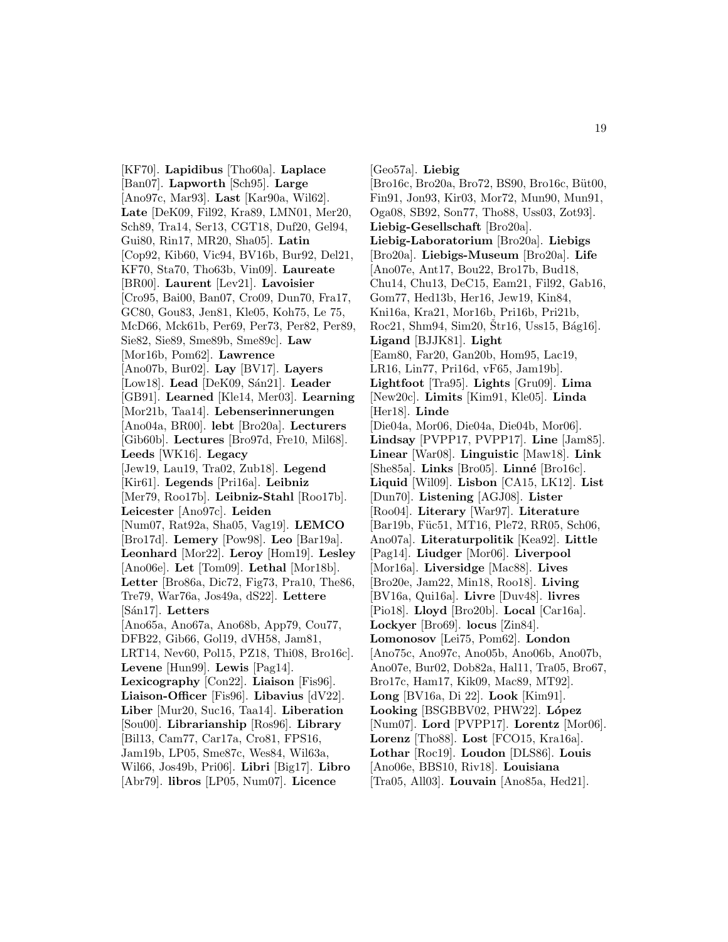[KF70]. **Lapidibus** [Tho60a]. **Laplace** [Ban07]. **Lapworth** [Sch95]. **Large** [Ano97c, Mar93]. **Last** [Kar90a, Wil62]. **Late** [DeK09, Fil92, Kra89, LMN01, Mer20, Sch89, Tra14, Ser13, CGT18, Duf20, Gel94, Gui80, Rin17, MR20, Sha05]. **Latin** [Cop92, Kib60, Vic94, BV16b, Bur92, Del21, KF70, Sta70, Tho63b, Vin09]. **Laureate** [BR00]. **Laurent** [Lev21]. **Lavoisier** [Cro95, Bai00, Ban07, Cro09, Dun70, Fra17, GC80, Gou83, Jen81, Kle05, Koh75, Le 75, McD66, Mck61b, Per69, Per73, Per82, Per89, Sie82, Sie89, Sme89b, Sme89c]. **Law** [Mor16b, Pom62]. **Lawrence** [Ano07b, Bur02]. **Lay** [BV17]. **Layers** [Low18]. Lead [DeK09, Sán21]. Leader [GB91]. **Learned** [Kle14, Mer03]. **Learning** [Mor21b, Taa14]. **Lebenserinnerungen** [Ano04a, BR00]. **lebt** [Bro20a]. **Lecturers** [Gib60b]. **Lectures** [Bro97d, Fre10, Mil68]. **Leeds** [WK16]. **Legacy** [Jew19, Lau19, Tra02, Zub18]. **Legend** [Kir61]. **Legends** [Pri16a]. **Leibniz** [Mer79, Roo17b]. **Leibniz-Stahl** [Roo17b]. **Leicester** [Ano97c]. **Leiden** [Num07, Rat92a, Sha05, Vag19]. **LEMCO** [Bro17d]. **Lemery** [Pow98]. **Leo** [Bar19a]. **Leonhard** [Mor22]. **Leroy** [Hom19]. **Lesley** [Ano06e]. **Let** [Tom09]. **Lethal** [Mor18b]. **Letter** [Bro86a, Dic72, Fig73, Pra10, The86, Tre79, War76a, Jos49a, dS22]. **Lettere** [Sán17]. **Letters** [Ano65a, Ano67a, Ano68b, App79, Cou77, DFB22, Gib66, Gol19, dVH58, Jam81, LRT14, Nev60, Pol15, PZ18, Thi08, Bro16c]. **Levene** [Hun99]. **Lewis** [Pag14]. **Lexicography** [Con22]. **Liaison** [Fis96]. **Liaison-Officer** [Fis96]. **Libavius** [dV22]. **Liber** [Mur20, Suc16, Taa14]. **Liberation** [Sou00]. **Librarianship** [Ros96]. **Library** [Bil13, Cam77, Car17a, Cro81, FPS16, Jam19b, LP05, Sme87c, Wes84, Wil63a, Wil66, Jos49b, Pri06]. **Libri** [Big17]. **Libro**

[Abr79]. **libros** [LP05, Num07]. **Licence**

[Geo57a]. **Liebig** [Bro16c, Bro20a, Bro72, BS90, Bro16c, Büt00, Fin91, Jon93, Kir03, Mor72, Mun90, Mun91, Oga08, SB92, Son77, Tho88, Uss03, Zot93]. **Liebig-Gesellschaft** [Bro20a]. **Liebig-Laboratorium** [Bro20a]. **Liebigs** [Bro20a]. **Liebigs-Museum** [Bro20a]. **Life** [Ano07e, Ant17, Bou22, Bro17b, Bud18, Chu14, Chu13, DeC15, Eam21, Fil92, Gab16, Gom77, Hed13b, Her16, Jew19, Kin84, Kni16a, Kra21, Mor16b, Pri16b, Pri21b,  $Roc21$ , Shm94, Sim20, Str16, Uss15, Bág16. **Ligand** [BJJK81]. **Light** [Eam80, Far20, Gan20b, Hom95, Lac19, LR16, Lin77, Pri16d, vF65, Jam19b]. **Lightfoot** [Tra95]. **Lights** [Gru09]. **Lima** [New20c]. **Limits** [Kim91, Kle05]. **Linda** [Her18]. **Linde** [Die04a, Mor06, Die04a, Die04b, Mor06]. **Lindsay** [PVPP17, PVPP17]. **Line** [Jam85]. **Linear** [War08]. **Linguistic** [Maw18]. **Link** [She85a]. **Links** [Bro05]. **Linn´e** [Bro16c]. **Liquid** [Wil09]. **Lisbon** [CA15, LK12]. **List** [Dun70]. **Listening** [AGJ08]. **Lister** [Roo04]. **Literary** [War97]. **Literature** [Bar19b, Füc51, MT16, Ple72, RR05, Sch06, Ano07a]. **Literaturpolitik** [Kea92]. **Little** [Pag14]. **Liudger** [Mor06]. **Liverpool** [Mor16a]. **Liversidge** [Mac88]. **Lives** [Bro20e, Jam22, Min18, Roo18]. **Living** [BV16a, Qui16a]. **Livre** [Duv48]. **livres** [Pio18]. **Lloyd** [Bro20b]. **Local** [Car16a]. **Lockyer** [Bro69]. **locus** [Zin84]. **Lomonosov** [Lei75, Pom62]. **London** [Ano75c, Ano97c, Ano05b, Ano06b, Ano07b, Ano07e, Bur02, Dob82a, Hal11, Tra05, Bro67, Bro17c, Ham17, Kik09, Mac89, MT92]. **Long** [BV16a, Di 22]. **Look** [Kim91]. **Looking** [BSGBBV02, PHW22]. **L´opez** [Num07]. **Lord** [PVPP17]. **Lorentz** [Mor06]. **Lorenz** [Tho88]. **Lost** [FCO15, Kra16a]. **Lothar** [Roc19]. **Loudon** [DLS86]. **Louis** [Ano06e, BBS10, Riv18]. **Louisiana** [Tra05, All03]. **Louvain** [Ano85a, Hed21].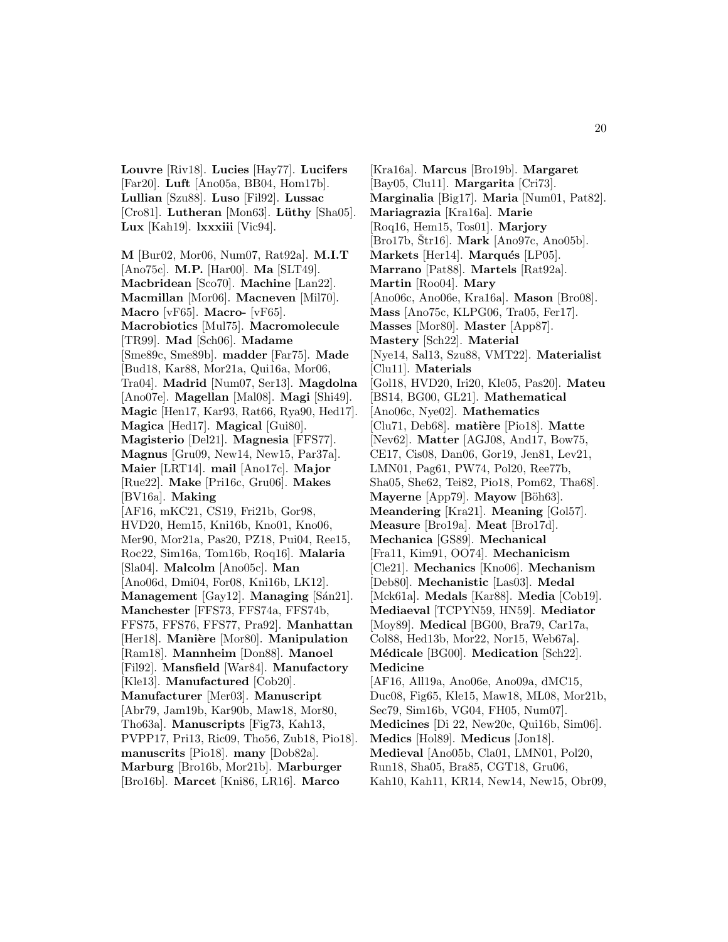**Louvre** [Riv18]. **Lucies** [Hay77]. **Lucifers** [Far20]. **Luft** [Ano05a, BB04, Hom17b]. **Lullian** [Szu88]. **Luso** [Fil92]. **Lussac** [Cro81]. **Lutheran** [Mon63]. **Lüthy** [Sha05]. **Lux** [Kah19]. **lxxxiii** [Vic94].

**M** [Bur02, Mor06, Num07, Rat92a]. **M.I.T** [Ano75c]. **M.P.** [Har00]. **Ma** [SLT49]. **Macbridean** [Sco70]. **Machine** [Lan22]. **Macmillan** [Mor06]. **Macneven** [Mil70]. **Macro** [vF65]. **Macro-** [vF65]. **Macrobiotics** [Mul75]. **Macromolecule** [TR99]. **Mad** [Sch06]. **Madame** [Sme89c, Sme89b]. **madder** [Far75]. **Made** [Bud18, Kar88, Mor21a, Qui16a, Mor06, Tra04]. **Madrid** [Num07, Ser13]. **Magdolna** [Ano07e]. **Magellan** [Mal08]. **Magi** [Shi49]. **Magic** [Hen17, Kar93, Rat66, Rya90, Hed17]. **Magica** [Hed17]. **Magical** [Gui80]. **Magisterio** [Del21]. **Magnesia** [FFS77]. **Magnus** [Gru09, New14, New15, Par37a]. **Maier** [LRT14]. **mail** [Ano17c]. **Major** [Rue22]. **Make** [Pri16c, Gru06]. **Makes** [BV16a]. **Making** [AF16, mKC21, CS19, Fri21b, Gor98, HVD20, Hem15, Kni16b, Kno01, Kno06, Mer90, Mor21a, Pas20, PZ18, Pui04, Ree15, Roc22, Sim16a, Tom16b, Roq16]. **Malaria** [Sla04]. **Malcolm** [Ano05c]. **Man** [Ano06d, Dmi04, For08, Kni16b, LK12]. **Management** [Gay12]. **Managing** [Sán21]. **Manchester** [FFS73, FFS74a, FFS74b, FFS75, FFS76, FFS77, Pra92]. **Manhattan** [Her18]. **Manière** [Mor80]. **Manipulation** [Ram18]. **Mannheim** [Don88]. **Manoel** [Fil92]. **Mansfield** [War84]. **Manufactory** [Kle13]. **Manufactured** [Cob20]. **Manufacturer** [Mer03]. **Manuscript** [Abr79, Jam19b, Kar90b, Maw18, Mor80, Tho63a]. **Manuscripts** [Fig73, Kah13, PVPP17, Pri13, Ric09, Tho56, Zub18, Pio18]. **manuscrits** [Pio18]. **many** [Dob82a]. **Marburg** [Bro16b, Mor21b]. **Marburger** [Bro16b]. **Marcet** [Kni86, LR16]. **Marco**

[Kra16a]. **Marcus** [Bro19b]. **Margaret** [Bay05, Clu11]. **Margarita** [Cri73]. **Marginalia** [Big17]. **Maria** [Num01, Pat82]. **Mariagrazia** [Kra16a]. **Marie** [Roq16, Hem15, Tos01]. **Marjory** [Bro17b, Štr16]. **Mark** [Ano97c, Ano05b]. **Markets** [Her14]. **Marqués** [LP05]. **Marrano** [Pat88]. **Martels** [Rat92a]. **Martin** [Roo04]. **Mary** [Ano06c, Ano06e, Kra16a]. **Mason** [Bro08]. **Mass** [Ano75c, KLPG06, Tra05, Fer17]. **Masses** [Mor80]. **Master** [App87]. **Mastery** [Sch22]. **Material** [Nye14, Sal13, Szu88, VMT22]. **Materialist** [Clu11]. **Materials** [Gol18, HVD20, Iri20, Kle05, Pas20]. **Mateu** [BS14, BG00, GL21]. **Mathematical** [Ano06c, Nye02]. **Mathematics** [Clu71, Deb68]. **matière** [Pio18]. **Matte** [Nev62]. **Matter** [AGJ08, And17, Bow75, CE17, Cis08, Dan06, Gor19, Jen81, Lev21, LMN01, Pag61, PW74, Pol20, Ree77b, Sha05, She62, Tei82, Pio18, Pom62, Tha68]. **Mayerne** [App79]. **Mayow** [Böh63]. **Meandering** [Kra21]. **Meaning** [Gol57]. **Measure** [Bro19a]. **Meat** [Bro17d]. **Mechanica** [GS89]. **Mechanical** [Fra11, Kim91, OO74]. **Mechanicism** [Cle21]. **Mechanics** [Kno06]. **Mechanism** [Deb80]. **Mechanistic** [Las03]. **Medal** [Mck61a]. **Medals** [Kar88]. **Media** [Cob19]. **Mediaeval** [TCPYN59, HN59]. **Mediator** [Moy89]. **Medical** [BG00, Bra79, Car17a, Col88, Hed13b, Mor22, Nor15, Web67a]. **M´edicale** [BG00]. **Medication** [Sch22]. **Medicine** [AF16, All19a, Ano06e, Ano09a, dMC15, Duc08, Fig65, Kle15, Maw18, ML08, Mor21b, Sec79, Sim16b, VG04, FH05, Num07]. **Medicines** [Di 22, New20c, Qui16b, Sim06]. **Medics** [Hol89]. **Medicus** [Jon18]. **Medieval** [Ano05b, Cla01, LMN01, Pol20, Run18, Sha05, Bra85, CGT18, Gru06, Kah10, Kah11, KR14, New14, New15, Obr09,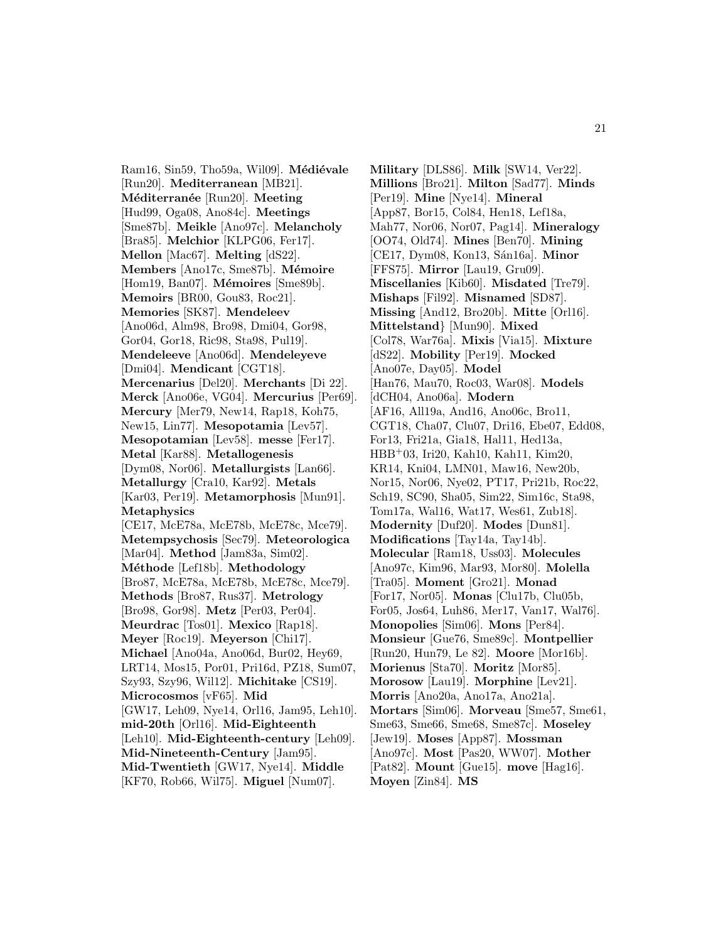Ram16, Sin59, Tho59a, Wil09<sup>]</sup>. Médiévale [Run20]. **Mediterranean** [MB21]. **M´editerran´ee** [Run20]. **Meeting** [Hud99, Oga08, Ano84c]. **Meetings** [Sme87b]. **Meikle** [Ano97c]. **Melancholy** [Bra85]. **Melchior** [KLPG06, Fer17]. **Mellon** [Mac67]. **Melting** [dS22]. **Members** [Ano17c, Sme87b]. **M´emoire** [Hom19, Ban07]. **Mémoires** [Sme89b]. **Memoirs** [BR00, Gou83, Roc21]. **Memories** [SK87]. **Mendeleev** [Ano06d, Alm98, Bro98, Dmi04, Gor98, Gor04, Gor18, Ric98, Sta98, Pul19]. **Mendeleeve** [Ano06d]. **Mendeleyeve** [Dmi04]. **Mendicant** [CGT18]. **Mercenarius** [Del20]. **Merchants** [Di 22]. **Merck** [Ano06e, VG04]. **Mercurius** [Per69]. **Mercury** [Mer79, New14, Rap18, Koh75, New15, Lin77]. **Mesopotamia** [Lev57]. **Mesopotamian** [Lev58]. **messe** [Fer17]. **Metal** [Kar88]. **Metallogenesis** [Dym08, Nor06]. **Metallurgists** [Lan66]. **Metallurgy** [Cra10, Kar92]. **Metals** [Kar03, Per19]. **Metamorphosis** [Mun91]. **Metaphysics** [CE17, McE78a, McE78b, McE78c, Mce79]. **Metempsychosis** [Sec79]. **Meteorologica** [Mar04]. **Method** [Jam83a, Sim02]. **M´ethode** [Lef18b]. **Methodology** [Bro87, McE78a, McE78b, McE78c, Mce79]. **Methods** [Bro87, Rus37]. **Metrology** [Bro98, Gor98]. **Metz** [Per03, Per04]. **Meurdrac** [Tos01]. **Mexico** [Rap18]. **Meyer** [Roc19]. **Meyerson** [Chi17]. **Michael** [Ano04a, Ano06d, Bur02, Hey69, LRT14, Mos15, Por01, Pri16d, PZ18, Sum07, Szy93, Szy96, Wil12]. **Michitake** [CS19]. **Microcosmos** [vF65]. **Mid** [GW17, Leh09, Nye14, Orl16, Jam95, Leh10]. **mid-20th** [Orl16]. **Mid-Eighteenth** [Leh10]. **Mid-Eighteenth-century** [Leh09]. **Mid-Nineteenth-Century** [Jam95]. **Mid-Twentieth** [GW17, Nye14]. **Middle** [KF70, Rob66, Wil75]. **Miguel** [Num07].

**Military** [DLS86]. **Milk** [SW14, Ver22]. **Millions** [Bro21]. **Milton** [Sad77]. **Minds** [Per19]. **Mine** [Nye14]. **Mineral** [App87, Bor15, Col84, Hen18, Lef18a, Mah77, Nor06, Nor07, Pag14]. **Mineralogy** [OO74, Old74]. **Mines** [Ben70]. **Mining** [CE17, Dym08, Kon13, Sán16a]. **Minor** [FFS75]. **Mirror** [Lau19, Gru09]. **Miscellanies** [Kib60]. **Misdated** [Tre79]. **Mishaps** [Fil92]. **Misnamed** [SD87]. **Missing** [And12, Bro20b]. **Mitte** [Orl16]. **Mittelstand**} [Mun90]. **Mixed** [Col78, War76a]. **Mixis** [Via15]. **Mixture** [dS22]. **Mobility** [Per19]. **Mocked** [Ano07e, Day05]. **Model** [Han76, Mau70, Roc03, War08]. **Models** [dCH04, Ano06a]. **Modern** [AF16, All19a, And16, Ano06c, Bro11, CGT18, Cha07, Clu07, Dri16, Ebe07, Edd08, For13, Fri21a, Gia18, Hal11, Hed13a, HBB<sup>+</sup>03, Iri20, Kah10, Kah11, Kim20, KR14, Kni04, LMN01, Maw16, New20b, Nor15, Nor06, Nye02, PT17, Pri21b, Roc22, Sch19, SC90, Sha05, Sim22, Sim16c, Sta98, Tom17a, Wal16, Wat17, Wes61, Zub18]. **Modernity** [Duf20]. **Modes** [Dun81]. **Modifications** [Tay14a, Tay14b]. **Molecular** [Ram18, Uss03]. **Molecules** [Ano97c, Kim96, Mar93, Mor80]. **Molella** [Tra05]. **Moment** [Gro21]. **Monad** [For17, Nor05]. **Monas** [Clu17b, Clu05b, For05, Jos64, Luh86, Mer17, Van17, Wal76]. **Monopolies** [Sim06]. **Mons** [Per84]. **Monsieur** [Gue76, Sme89c]. **Montpellier** [Run20, Hun79, Le 82]. **Moore** [Mor16b]. **Morienus** [Sta70]. **Moritz** [Mor85]. **Morosow** [Lau19]. **Morphine** [Lev21]. **Morris** [Ano20a, Ano17a, Ano21a]. **Mortars** [Sim06]. **Morveau** [Sme57, Sme61, Sme63, Sme66, Sme68, Sme87c]. **Moseley** [Jew19]. **Moses** [App87]. **Mossman** [Ano97c]. **Most** [Pas20, WW07]. **Mother** [Pat82]. **Mount** [Gue15]. **move** [Hag16]. **Moyen** [Zin84]. **MS**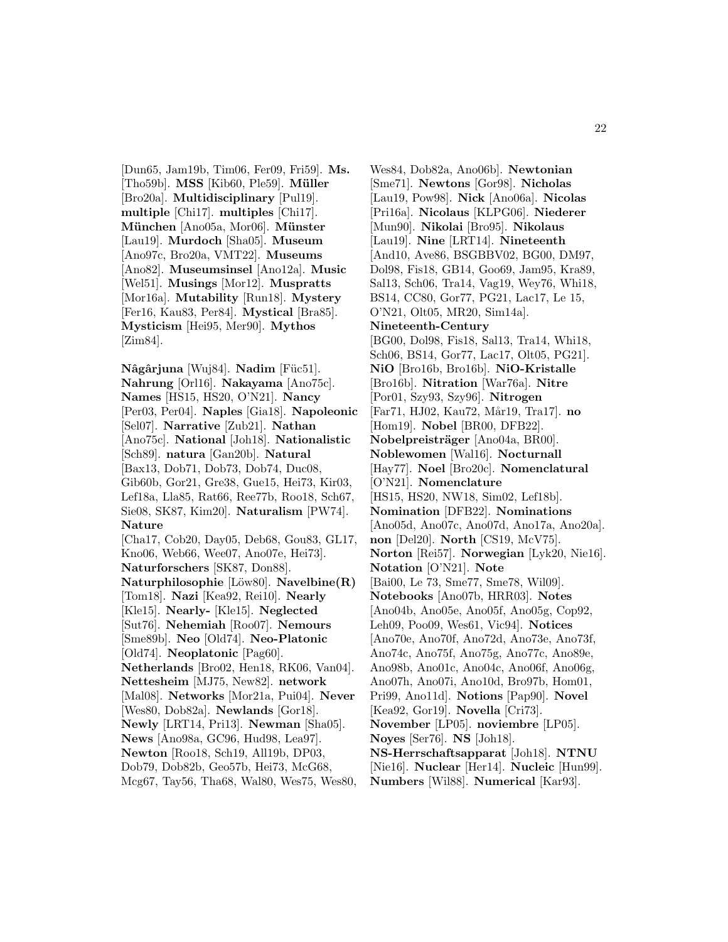[Dun65, Jam19b, Tim06, Fer09, Fri59]. **Ms.** [Tho59b]. **MSS** [Kib60, Ple59]. **M¨uller** [Bro20a]. **Multidisciplinary** [Pul19]. **multiple** [Chi17]. **multiples** [Chi17]. **M¨unchen** [Ano05a, Mor06]. **M¨unster** [Lau19]. **Murdoch** [Sha05]. **Museum** [Ano97c, Bro20a, VMT22]. **Museums** [Ano82]. **Museumsinsel** [Ano12a]. **Music** [Wel51]. **Musings** [Mor12]. **Muspratts** [Mor16a]. **Mutability** [Run18]. **Mystery** [Fer16, Kau83, Per84]. **Mystical** [Bra85]. **Mysticism** [Hei95, Mer90]. **Mythos** [Zim84].

**Nâgârjuna** [Wuj84]. **Nadim** [Füc51]. **Nahrung** [Orl16]. **Nakayama** [Ano75c]. **Names** [HS15, HS20, O'N21]. **Nancy** [Per03, Per04]. **Naples** [Gia18]. **Napoleonic** [Sel07]. **Narrative** [Zub21]. **Nathan** [Ano75c]. **National** [Joh18]. **Nationalistic** [Sch89]. **natura** [Gan20b]. **Natural** [Bax13, Dob71, Dob73, Dob74, Duc08, Gib60b, Gor21, Gre38, Gue15, Hei73, Kir03, Lef18a, Lla85, Rat66, Ree77b, Roo18, Sch67, Sie08, SK87, Kim20]. **Naturalism** [PW74]. **Nature** [Cha17, Cob20, Day05, Deb68, Gou83, GL17, Kno06, Web66, Wee07, Ano07e, Hei73]. **Naturforschers** [SK87, Don88]. **Naturphilosophie** [Löw80]. **Navelbine(R)** [Tom18]. **Nazi** [Kea92, Rei10]. **Nearly** [Kle15]. **Nearly-** [Kle15]. **Neglected** [Sut76]. **Nehemiah** [Roo07]. **Nemours** [Sme89b]. **Neo** [Old74]. **Neo-Platonic** [Old74]. **Neoplatonic** [Pag60]. **Netherlands** [Bro02, Hen18, RK06, Van04]. **Nettesheim** [MJ75, New82]. **network** [Mal08]. **Networks** [Mor21a, Pui04]. **Never** [Wes80, Dob82a]. **Newlands** [Gor18]. **Newly** [LRT14, Pri13]. **Newman** [Sha05]. **News** [Ano98a, GC96, Hud98, Lea97]. **Newton** [Roo18, Sch19, All19b, DP03, Dob79, Dob82b, Geo57b, Hei73, McG68,

Mcg67, Tay56, Tha68, Wal80, Wes75, Wes80,

Wes84, Dob82a, Ano06b]. **Newtonian** [Sme71]. **Newtons** [Gor98]. **Nicholas** [Lau19, Pow98]. **Nick** [Ano06a]. **Nicolas** [Pri16a]. **Nicolaus** [KLPG06]. **Niederer** [Mun90]. **Nikolai** [Bro95]. **Nikolaus** [Lau19]. **Nine** [LRT14]. **Nineteenth** [And10, Ave86, BSGBBV02, BG00, DM97, Dol98, Fis18, GB14, Goo69, Jam95, Kra89, Sal13, Sch06, Tra14, Vag19, Wey76, Whi18, BS14, CC80, Gor77, PG21, Lac17, Le 15, O'N21, Olt05, MR20, Sim14a]. **Nineteenth-Century** [BG00, Dol98, Fis18, Sal13, Tra14, Whi18, Sch06, BS14, Gor77, Lac17, Olt05, PG21]. **NiO** [Bro16b, Bro16b]. **NiO-Kristalle** [Bro16b]. **Nitration** [War76a]. **Nitre** [Por01, Szy93, Szy96]. **Nitrogen** [Far71, HJ02, Kau72, Mår19, Tra17]. **no** [Hom19]. **Nobel** [BR00, DFB22]. **Nobelpreisträger** [Ano04a, BR00]. **Noblewomen** [Wal16]. **Nocturnall** [Hay77]. **Noel** [Bro20c]. **Nomenclatural** [O'N21]. **Nomenclature** [HS15, HS20, NW18, Sim02, Lef18b]. **Nomination** [DFB22]. **Nominations** [Ano05d, Ano07c, Ano07d, Ano17a, Ano20a]. **non** [Del20]. **North** [CS19, McV75]. **Norton** [Rei57]. **Norwegian** [Lyk20, Nie16]. **Notation** [O'N21]. **Note** [Bai00, Le 73, Sme77, Sme78, Wil09]. **Notebooks** [Ano07b, HRR03]. **Notes** [Ano04b, Ano05e, Ano05f, Ano05g, Cop92, Leh09, Poo09, Wes61, Vic94]. **Notices** [Ano70e, Ano70f, Ano72d, Ano73e, Ano73f, Ano74c, Ano75f, Ano75g, Ano77c, Ano89e, Ano98b, Ano01c, Ano04c, Ano06f, Ano06g, Ano07h, Ano07i, Ano10d, Bro97b, Hom01, Pri99, Ano11d]. **Notions** [Pap90]. **Novel** [Kea92, Gor19]. **Novella** [Cri73]. **November** [LP05]. **noviembre** [LP05]. **Noyes** [Ser76]. **NS** [Joh18]. **NS-Herrschaftsapparat** [Joh18]. **NTNU** [Nie16]. **Nuclear** [Her14]. **Nucleic** [Hun99]. **Numbers** [Wil88]. **Numerical** [Kar93].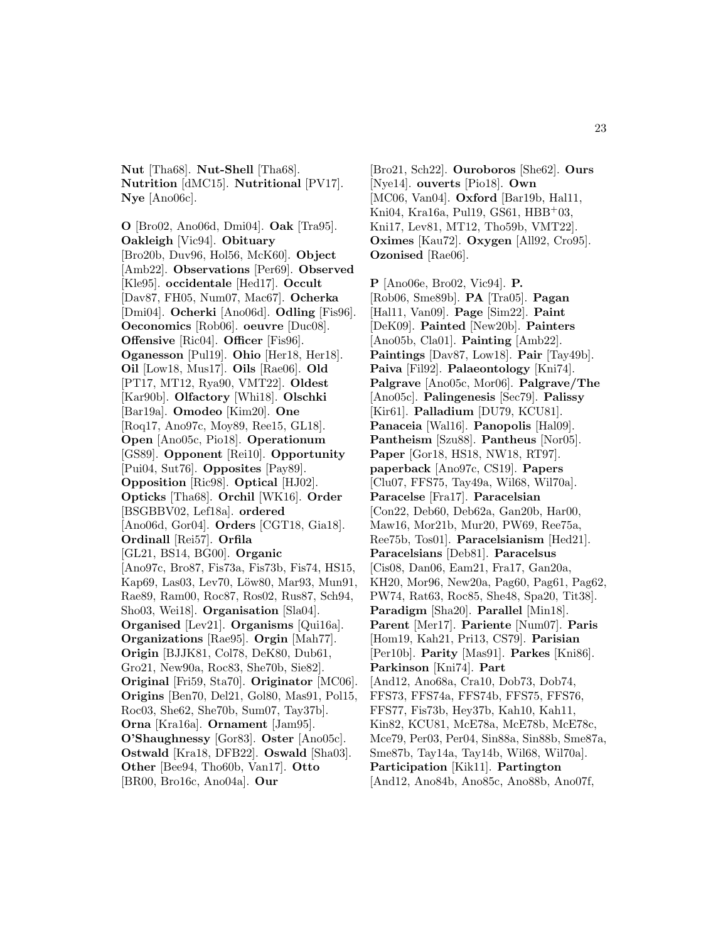**Nut** [Tha68]. **Nut-Shell** [Tha68]. **Nutrition** [dMC15]. **Nutritional** [PV17]. **Nye** [Ano06c].

**O** [Bro02, Ano06d, Dmi04]. **Oak** [Tra95]. **Oakleigh** [Vic94]. **Obituary** [Bro20b, Duv96, Hol56, McK60]. **Object** [Amb22]. **Observations** [Per69]. **Observed** [Kle95]. **occidentale** [Hed17]. **Occult** [Dav87, FH05, Num07, Mac67]. **Ocherka** [Dmi04]. **Ocherki** [Ano06d]. **Odling** [Fis96]. **Oeconomics** [Rob06]. **oeuvre** [Duc08]. **Offensive** [Ric04]. **Officer** [Fis96]. **Oganesson** [Pul19]. **Ohio** [Her18, Her18]. **Oil** [Low18, Mus17]. **Oils** [Rae06]. **Old** [PT17, MT12, Rya90, VMT22]. **Oldest** [Kar90b]. **Olfactory** [Whi18]. **Olschki** [Bar19a]. **Omodeo** [Kim20]. **One** [Roq17, Ano97c, Moy89, Ree15, GL18]. **Open** [Ano05c, Pio18]. **Operationum** [GS89]. **Opponent** [Rei10]. **Opportunity** [Pui04, Sut76]. **Opposites** [Pay89]. **Opposition** [Ric98]. **Optical** [HJ02]. **Opticks** [Tha68]. **Orchil** [WK16]. **Order** [BSGBBV02, Lef18a]. **ordered** [Ano06d, Gor04]. **Orders** [CGT18, Gia18]. **Ordinall** [Rei57]. **Orfila** [GL21, BS14, BG00]. **Organic** [Ano97c, Bro87, Fis73a, Fis73b, Fis74, HS15, Kap69, Las03, Lev70, Löw80, Mar93, Mun91, Rae89, Ram00, Roc87, Ros02, Rus87, Sch94, Sho03, Wei18]. **Organisation** [Sla04]. **Organised** [Lev21]. **Organisms** [Qui16a]. **Organizations** [Rae95]. **Orgin** [Mah77]. **Origin** [BJJK81, Col78, DeK80, Dub61, Gro21, New90a, Roc83, She70b, Sie82]. **Original** [Fri59, Sta70]. **Originator** [MC06]. **Origins** [Ben70, Del21, Gol80, Mas91, Pol15, Roc03, She62, She70b, Sum07, Tay37b]. **Orna** [Kra16a]. **Ornament** [Jam95]. **O'Shaughnessy** [Gor83]. **Oster** [Ano05c]. **Ostwald** [Kra18, DFB22]. **Oswald** [Sha03]. **Other** [Bee94, Tho60b, Van17]. **Otto** [BR00, Bro16c, Ano04a]. **Our**

[Bro21, Sch22]. **Ouroboros** [She62]. **Ours** [Nye14]. **ouverts** [Pio18]. **Own** [MC06, Van04]. **Oxford** [Bar19b, Hal11, Kni04, Kra16a, Pul19, GS61, HBB<sup>+</sup>03, Kni17, Lev81, MT12, Tho59b, VMT22]. **Oximes** [Kau72]. **Oxygen** [All92, Cro95]. **Ozonised** [Rae06].

**P** [Ano06e, Bro02, Vic94]. **P.** [Rob06, Sme89b]. **PA** [Tra05]. **Pagan** [Hal11, Van09]. **Page** [Sim22]. **Paint** [DeK09]. **Painted** [New20b]. **Painters** [Ano05b, Cla01]. **Painting** [Amb22]. **Paintings** [Dav87, Low18]. **Pair** [Tay49b]. **Paiva** [Fil92]. **Palaeontology** [Kni74]. **Palgrave** [Ano05c, Mor06]. **Palgrave/The** [Ano05c]. **Palingenesis** [Sec79]. **Palissy** [Kir61]. **Palladium** [DU79, KCU81]. **Panaceia** [Wal16]. **Panopolis** [Hal09]. **Pantheism** [Szu88]. **Pantheus** [Nor05]. **Paper** [Gor18, HS18, NW18, RT97]. **paperback** [Ano97c, CS19]. **Papers** [Clu07, FFS75, Tay49a, Wil68, Wil70a]. **Paracelse** [Fra17]. **Paracelsian** [Con22, Deb60, Deb62a, Gan20b, Har00, Maw16, Mor21b, Mur20, PW69, Ree75a, Ree75b, Tos01]. **Paracelsianism** [Hed21]. **Paracelsians** [Deb81]. **Paracelsus** [Cis08, Dan06, Eam21, Fra17, Gan20a, KH20, Mor96, New20a, Pag60, Pag61, Pag62, PW74, Rat63, Roc85, She48, Spa20, Tit38]. **Paradigm** [Sha20]. **Parallel** [Min18]. **Parent** [Mer17]. **Pariente** [Num07]. **Paris** [Hom19, Kah21, Pri13, CS79]. **Parisian** [Per10b]. **Parity** [Mas91]. **Parkes** [Kni86]. **Parkinson** [Kni74]. **Part** [And12, Ano68a, Cra10, Dob73, Dob74, FFS73, FFS74a, FFS74b, FFS75, FFS76, FFS77, Fis73b, Hey37b, Kah10, Kah11, Kin82, KCU81, McE78a, McE78b, McE78c, Mce79, Per03, Per04, Sin88a, Sin88b, Sme87a, Sme87b, Tay14a, Tay14b, Wil68, Wil70a]. **Participation** [Kik11]. **Partington**

[And12, Ano84b, Ano85c, Ano88b, Ano07f,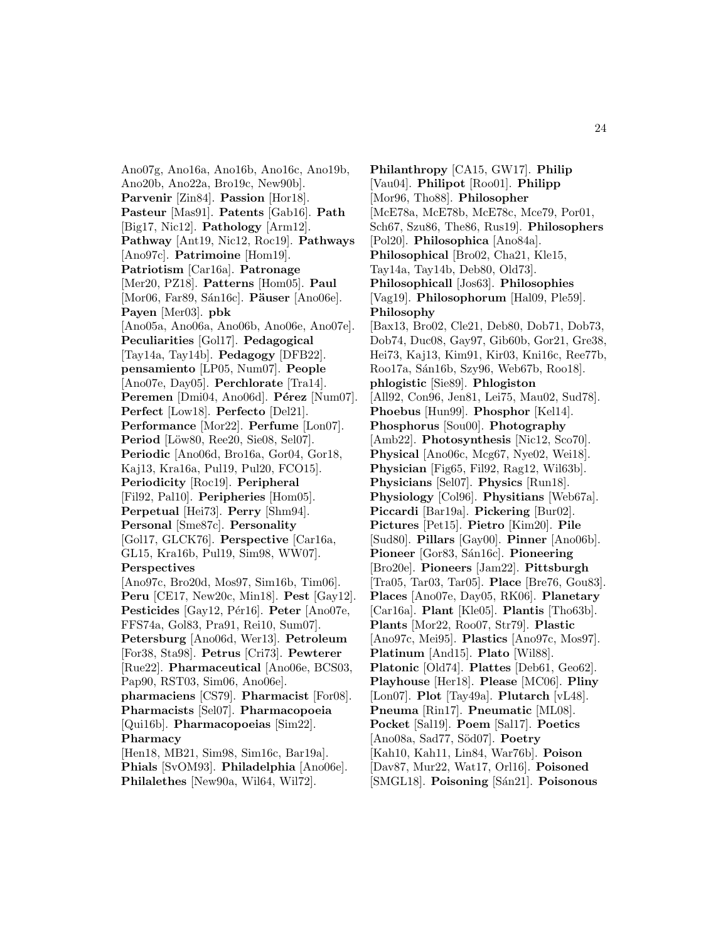Ano07g, Ano16a, Ano16b, Ano16c, Ano19b, Ano20b, Ano22a, Bro19c, New90b]. **Parvenir** [Zin84]. **Passion** [Hor18]. **Pasteur** [Mas91]. **Patents** [Gab16]. **Path** [Big17, Nic12]. **Pathology** [Arm12]. **Pathway** [Ant19, Nic12, Roc19]. **Pathways** [Ano97c]. **Patrimoine** [Hom19]. **Patriotism** [Car16a]. **Patronage** [Mer20, PZ18]. **Patterns** [Hom05]. **Paul** [Mor06, Far89, Sán16c]. **Päuser** [Ano06e]. **Payen** [Mer03]. **pbk** [Ano05a, Ano06a, Ano06b, Ano06e, Ano07e]. **Peculiarities** [Gol17]. **Pedagogical** [Tay14a, Tay14b]. **Pedagogy** [DFB22]. **pensamiento** [LP05, Num07]. **People** [Ano07e, Day05]. **Perchlorate** [Tra14]. **Peremen** [Dmi04, Ano06d]. **Pérez** [Num07]. **Perfect** [Low18]. **Perfecto** [Del21]. **Performance** [Mor22]. **Perfume** [Lon07]. **Period** [Löw80, Ree20, Sie08, Sel07]. **Periodic** [Ano06d, Bro16a, Gor04, Gor18, Kaj13, Kra16a, Pul19, Pul20, FCO15]. **Periodicity** [Roc19]. **Peripheral** [Fil92, Pal10]. **Peripheries** [Hom05]. **Perpetual** [Hei73]. **Perry** [Shm94]. **Personal** [Sme87c]. **Personality** [Gol17, GLCK76]. **Perspective** [Car16a, GL15, Kra16b, Pul19, Sim98, WW07]. **Perspectives** [Ano97c, Bro20d, Mos97, Sim16b, Tim06]. **Peru** [CE17, New20c, Min18]. **Pest** [Gay12]. **Pesticides** [Gay12, Pér16]. **Peter** [Ano07e, FFS74a, Gol83, Pra91, Rei10, Sum07]. **Petersburg** [Ano06d, Wer13]. **Petroleum** [For38, Sta98]. **Petrus** [Cri73]. **Pewterer** [Rue22]. **Pharmaceutical** [Ano06e, BCS03, Pap90, RST03, Sim06, Ano06e]. **pharmaciens** [CS79]. **Pharmacist** [For08]. **Pharmacists** [Sel07]. **Pharmacopoeia** [Qui16b]. **Pharmacopoeias** [Sim22]. **Pharmacy** [Hen18, MB21, Sim98, Sim16c, Bar19a]. **Phials** [SvOM93]. **Philadelphia** [Ano06e].

**Philalethes** [New90a, Wil64, Wil72].

**Philanthropy** [CA15, GW17]. **Philip** [Vau04]. **Philipot** [Roo01]. **Philipp** [Mor96, Tho88]. **Philosopher** [McE78a, McE78b, McE78c, Mce79, Por01, Sch67, Szu86, The86, Rus19]. **Philosophers** [Pol20]. **Philosophica** [Ano84a]. **Philosophical** [Bro02, Cha21, Kle15, Tay14a, Tay14b, Deb80, Old73]. **Philosophicall** [Jos63]. **Philosophies** [Vag19]. **Philosophorum** [Hal09, Ple59]. **Philosophy** [Bax13, Bro02, Cle21, Deb80, Dob71, Dob73, Dob74, Duc08, Gay97, Gib60b, Gor21, Gre38, Hei73, Kaj13, Kim91, Kir03, Kni16c, Ree77b, Roo17a, Sán16b, Szy96, Web67b, Roo18]. **phlogistic** [Sie89]. **Phlogiston** [All92, Con96, Jen81, Lei75, Mau02, Sud78]. **Phoebus** [Hun99]. **Phosphor** [Kel14]. **Phosphorus** [Sou00]. **Photography** [Amb22]. **Photosynthesis** [Nic12, Sco70]. **Physical** [Ano06c, Mcg67, Nye02, Wei18]. **Physician** [Fig65, Fil92, Rag12, Wil63b]. **Physicians** [Sel07]. **Physics** [Run18]. **Physiology** [Col96]. **Physitians** [Web67a]. **Piccardi** [Bar19a]. **Pickering** [Bur02]. **Pictures** [Pet15]. **Pietro** [Kim20]. **Pile** [Sud80]. **Pillars** [Gay00]. **Pinner** [Ano06b]. **Pioneer** [Gor83, Sán16c]. **Pioneering** [Bro20e]. **Pioneers** [Jam22]. **Pittsburgh** [Tra05, Tar03, Tar05]. **Place** [Bre76, Gou83]. **Places** [Ano07e, Day05, RK06]. **Planetary** [Car16a]. **Plant** [Kle05]. **Plantis** [Tho63b]. **Plants** [Mor22, Roo07, Str79]. **Plastic** [Ano97c, Mei95]. **Plastics** [Ano97c, Mos97]. **Platinum** [And15]. **Plato** [Wil88]. **Platonic** [Old74]. **Plattes** [Deb61, Geo62]. **Playhouse** [Her18]. **Please** [MC06]. **Pliny** [Lon07]. **Plot** [Tay49a]. **Plutarch** [vL48]. **Pneuma** [Rin17]. **Pneumatic** [ML08]. **Pocket** [Sal19]. **Poem** [Sal17]. **Poetics** [Ano08a, Sad77, Söd07]. **Poetry** [Kah10, Kah11, Lin84, War76b]. **Poison** [Dav87, Mur22, Wat17, Orl16]. **Poisoned** [SMGL18]. **Poisoning** [S´an21]. **Poisonous**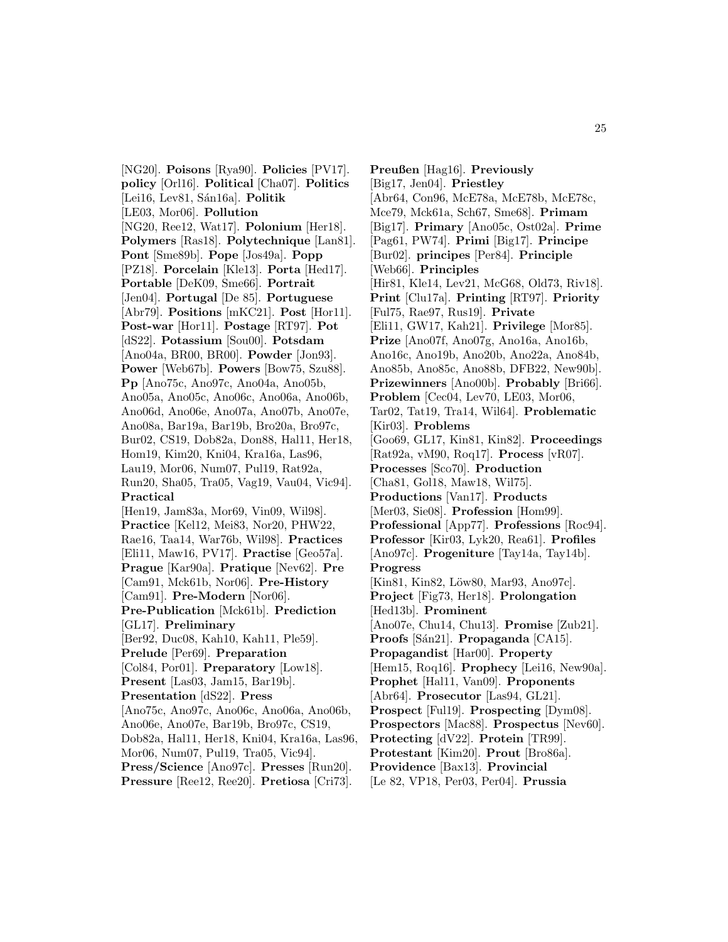[NG20]. **Poisons** [Rya90]. **Policies** [PV17]. **policy** [Orl16]. **Political** [Cha07]. **Politics** [Lei16, Lev81, S´an16a]. **Politik** [LE03, Mor06]. **Pollution** [NG20, Ree12, Wat17]. **Polonium** [Her18]. **Polymers** [Ras18]. **Polytechnique** [Lan81]. **Pont** [Sme89b]. **Pope** [Jos49a]. **Popp** [PZ18]. **Porcelain** [Kle13]. **Porta** [Hed17]. **Portable** [DeK09, Sme66]. **Portrait** [Jen04]. **Portugal** [De 85]. **Portuguese** [Abr79]. **Positions** [mKC21]. **Post** [Hor11]. **Post-war** [Hor11]. **Postage** [RT97]. **Pot** [dS22]. **Potassium** [Sou00]. **Potsdam** [Ano04a, BR00, BR00]. **Powder** [Jon93]. **Power** [Web67b]. **Powers** [Bow75, Szu88]. **Pp** [Ano75c, Ano97c, Ano04a, Ano05b, Ano05a, Ano05c, Ano06c, Ano06a, Ano06b, Ano06d, Ano06e, Ano07a, Ano07b, Ano07e, Ano08a, Bar19a, Bar19b, Bro20a, Bro97c, Bur02, CS19, Dob82a, Don88, Hal11, Her18, Hom19, Kim20, Kni04, Kra16a, Las96, Lau19, Mor06, Num07, Pul19, Rat92a, Run20, Sha05, Tra05, Vag19, Vau04, Vic94]. **Practical** [Hen19, Jam83a, Mor69, Vin09, Wil98]. **Practice** [Kel12, Mei83, Nor20, PHW22, Rae16, Taa14, War76b, Wil98]. **Practices** [Eli11, Maw16, PV17]. **Practise** [Geo57a]. **Prague** [Kar90a]. **Pratique** [Nev62]. **Pre** [Cam91, Mck61b, Nor06]. **Pre-History** [Cam91]. **Pre-Modern** [Nor06]. **Pre-Publication** [Mck61b]. **Prediction** [GL17]. **Preliminary** [Ber92, Duc08, Kah10, Kah11, Ple59]. **Prelude** [Per69]. **Preparation** [Col84, Por01]. **Preparatory** [Low18]. **Present** [Las03, Jam15, Bar19b]. **Presentation** [dS22]. **Press** [Ano75c, Ano97c, Ano06c, Ano06a, Ano06b, Ano06e, Ano07e, Bar19b, Bro97c, CS19, Dob82a, Hal11, Her18, Kni04, Kra16a, Las96, Mor06, Num07, Pul19, Tra05, Vic94]. **Press/Science** [Ano97c]. **Presses** [Run20]. **Pressure** [Ree12, Ree20]. **Pretiosa** [Cri73].

**Preußen** [Hag16]. **Previously** [Big17, Jen04]. **Priestley** [Abr64, Con96, McE78a, McE78b, McE78c, Mce79, Mck61a, Sch67, Sme68]. **Primam** [Big17]. **Primary** [Ano05c, Ost02a]. **Prime** [Pag61, PW74]. **Primi** [Big17]. **Principe** [Bur02]. **principes** [Per84]. **Principle** [Web66]. **Principles** [Hir81, Kle14, Lev21, McG68, Old73, Riv18]. **Print** [Clu17a]. **Printing** [RT97]. **Priority** [Ful75, Rae97, Rus19]. **Private** [Eli11, GW17, Kah21]. **Privilege** [Mor85]. **Prize** [Ano07f, Ano07g, Ano16a, Ano16b, Ano16c, Ano19b, Ano20b, Ano22a, Ano84b, Ano85b, Ano85c, Ano88b, DFB22, New90b]. **Prizewinners** [Ano00b]. **Probably** [Bri66]. **Problem** [Cec04, Lev70, LE03, Mor06, Tar02, Tat19, Tra14, Wil64]. **Problematic** [Kir03]. **Problems** [Goo69, GL17, Kin81, Kin82]. **Proceedings** [Rat92a, vM90, Roq17]. **Process** [vR07]. **Processes** [Sco70]. **Production** [Cha81, Gol18, Maw18, Wil75]. **Productions** [Van17]. **Products** [Mer03, Sie08]. **Profession** [Hom99]. **Professional** [App77]. **Professions** [Roc94]. **Professor** [Kir03, Lyk20, Rea61]. **Profiles** [Ano97c]. **Progeniture** [Tay14a, Tay14b]. **Progress** [Kin81, Kin82, Löw80, Mar93, Ano97c]. **Project** [Fig73, Her18]. **Prolongation** [Hed13b]. **Prominent** [Ano07e, Chu14, Chu13]. **Promise** [Zub21]. **Proofs** [Sán21]. **Propaganda** [CA15]. **Propagandist** [Har00]. **Property** [Hem15, Roq16]. **Prophecy** [Lei16, New90a]. **Prophet** [Hal11, Van09]. **Proponents** [Abr64]. **Prosecutor** [Las94, GL21]. **Prospect** [Ful19]. **Prospecting** [Dym08]. **Prospectors** [Mac88]. **Prospectus** [Nev60]. **Protecting** [dV22]. **Protein** [TR99]. **Protestant** [Kim20]. **Prout** [Bro86a]. **Providence** [Bax13]. **Provincial** [Le 82, VP18, Per03, Per04]. **Prussia**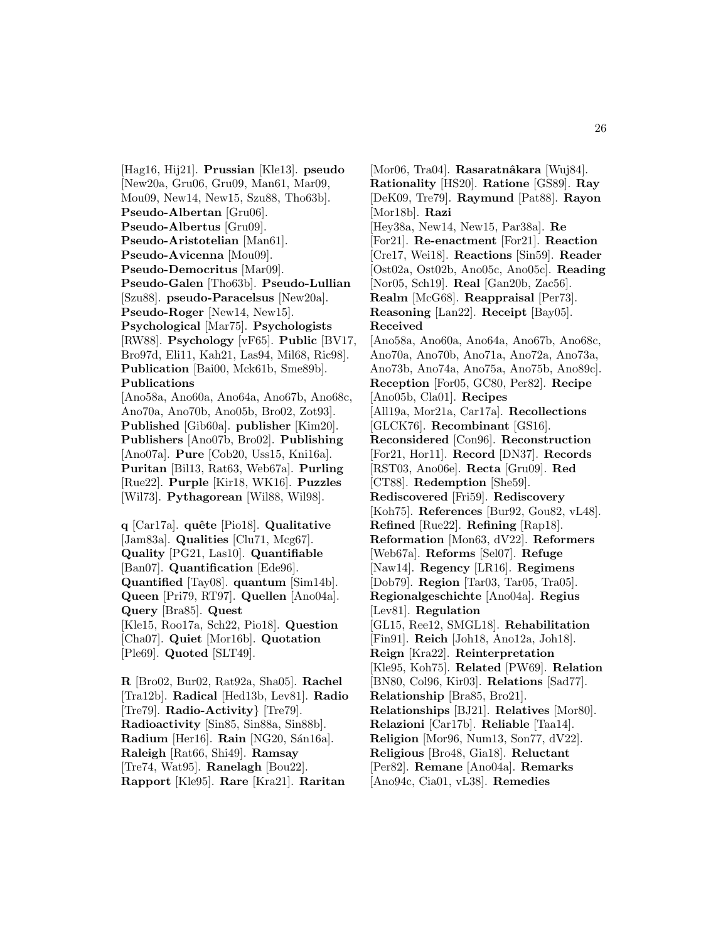[Hag16, Hij21]. **Prussian** [Kle13]. **pseudo** [New20a, Gru06, Gru09, Man61, Mar09, Mou09, New14, New15, Szu88, Tho63b]. **Pseudo-Albertan** [Gru06]. **Pseudo-Albertus** [Gru09]. **Pseudo-Aristotelian** [Man61]. **Pseudo-Avicenna** [Mou09]. **Pseudo-Democritus** [Mar09]. **Pseudo-Galen** [Tho63b]. **Pseudo-Lullian** [Szu88]. **pseudo-Paracelsus** [New20a]. **Pseudo-Roger** [New14, New15]. **Psychological** [Mar75]. **Psychologists** [RW88]. **Psychology** [vF65]. **Public** [BV17, Bro97d, Eli11, Kah21, Las94, Mil68, Ric98]. **Publication** [Bai00, Mck61b, Sme89b]. **Publications** [Ano58a, Ano60a, Ano64a, Ano67b, Ano68c, Ano70a, Ano70b, Ano05b, Bro02, Zot93]. **Published** [Gib60a]. **publisher** [Kim20]. **Publishers** [Ano07b, Bro02]. **Publishing** [Ano07a]. **Pure** [Cob20, Uss15, Kni16a]. **Puritan** [Bil13, Rat63, Web67a]. **Purling** [Rue22]. **Purple** [Kir18, WK16]. **Puzzles** [Wil73]. **Pythagorean** [Wil88, Wil98]. **q** [Car17a]. **quˆete** [Pio18]. **Qualitative**

[Jam83a]. **Qualities** [Clu71, Mcg67]. **Quality** [PG21, Las10]. **Quantifiable** [Ban07]. **Quantification** [Ede96]. **Quantified** [Tay08]. **quantum** [Sim14b]. **Queen** [Pri79, RT97]. **Quellen** [Ano04a]. **Query** [Bra85]. **Quest** [Kle15, Roo17a, Sch22, Pio18]. **Question** [Cha07]. **Quiet** [Mor16b]. **Quotation** [Ple69]. **Quoted** [SLT49].

**R** [Bro02, Bur02, Rat92a, Sha05]. **Rachel** [Tra12b]. **Radical** [Hed13b, Lev81]. **Radio** [Tre79]. **Radio-Activity**} [Tre79]. **Radioactivity** [Sin85, Sin88a, Sin88b]. **Radium** [Her16]. **Rain** [NG20, Sán16a]. **Raleigh** [Rat66, Shi49]. **Ramsay** [Tre74, Wat95]. **Ranelagh** [Bou22]. **Rapport** [Kle95]. **Rare** [Kra21]. **Raritan**

[Mor06, Tra04]. **Rasaratnâkara** [Wuj84]. **Rationality** [HS20]. **Ratione** [GS89]. **Ray** [DeK09, Tre79]. **Raymund** [Pat88]. **Rayon** [Mor18b]. **Razi** [Hey38a, New14, New15, Par38a]. **Re** [For21]. **Re-enactment** [For21]. **Reaction** [Cre17, Wei18]. **Reactions** [Sin59]. **Reader** [Ost02a, Ost02b, Ano05c, Ano05c]. **Reading** [Nor05, Sch19]. **Real** [Gan20b, Zac56]. **Realm** [McG68]. **Reappraisal** [Per73]. **Reasoning** [Lan22]. **Receipt** [Bay05]. **Received** [Ano58a, Ano60a, Ano64a, Ano67b, Ano68c, Ano70a, Ano70b, Ano71a, Ano72a, Ano73a, Ano73b, Ano74a, Ano75a, Ano75b, Ano89c]. **Reception** [For05, GC80, Per82]. **Recipe** [Ano05b, Cla01]. **Recipes** [All19a, Mor21a, Car17a]. **Recollections** [GLCK76]. **Recombinant** [GS16]. **Reconsidered** [Con96]. **Reconstruction** [For21, Hor11]. **Record** [DN37]. **Records** [RST03, Ano06e]. **Recta** [Gru09]. **Red** [CT88]. **Redemption** [She59]. **Rediscovered** [Fri59]. **Rediscovery** [Koh75]. **References** [Bur92, Gou82, vL48]. **Refined** [Rue22]. **Refining** [Rap18]. **Reformation** [Mon63, dV22]. **Reformers** [Web67a]. **Reforms** [Sel07]. **Refuge** [Naw14]. **Regency** [LR16]. **Regimens** [Dob79]. **Region** [Tar03, Tar05, Tra05]. **Regionalgeschichte** [Ano04a]. **Regius** [Lev81]. **Regulation** [GL15, Ree12, SMGL18]. **Rehabilitation** [Fin91]. **Reich** [Joh18, Ano12a, Joh18]. **Reign** [Kra22]. **Reinterpretation** [Kle95, Koh75]. **Related** [PW69]. **Relation** [BN80, Col96, Kir03]. **Relations** [Sad77]. **Relationship** [Bra85, Bro21]. **Relationships** [BJ21]. **Relatives** [Mor80]. **Relazioni** [Car17b]. **Reliable** [Taa14]. **Religion** [Mor96, Num13, Son77, dV22]. **Religious** [Bro48, Gia18]. **Reluctant** [Per82]. **Remane** [Ano04a]. **Remarks** [Ano94c, Cia01, vL38]. **Remedies**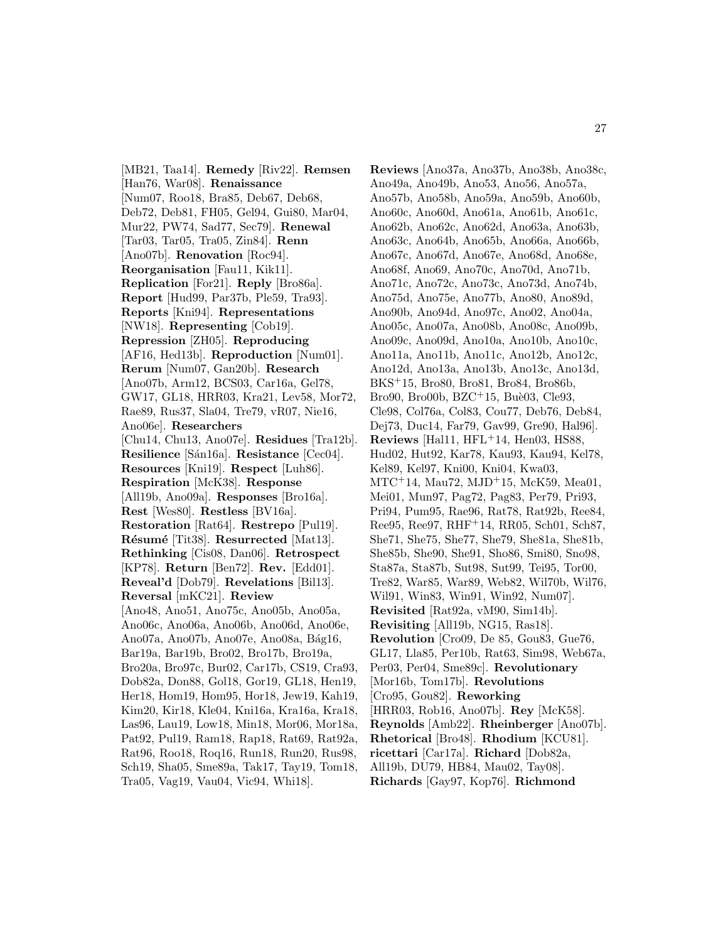[MB21, Taa14]. **Remedy** [Riv22]. **Remsen** [Han76, War08]. **Renaissance** [Num07, Roo18, Bra85, Deb67, Deb68, Deb72, Deb81, FH05, Gel94, Gui80, Mar04, Mur22, PW74, Sad77, Sec79]. **Renewal** [Tar03, Tar05, Tra05, Zin84]. **Renn** [Ano07b]. **Renovation** [Roc94]. **Reorganisation** [Fau11, Kik11]. **Replication** [For21]. **Reply** [Bro86a]. **Report** [Hud99, Par37b, Ple59, Tra93]. **Reports** [Kni94]. **Representations** [NW18]. **Representing** [Cob19]. **Repression** [ZH05]. **Reproducing** [AF16, Hed13b]. **Reproduction** [Num01]. **Rerum** [Num07, Gan20b]. **Research** [Ano07b, Arm12, BCS03, Car16a, Gel78, GW17, GL18, HRR03, Kra21, Lev58, Mor72, Rae89, Rus37, Sla04, Tre79, vR07, Nie16, Ano06e]. **Researchers** [Chu14, Chu13, Ano07e]. **Residues** [Tra12b]. **Resilience** [Sán16a]. **Resistance** [Cec04]. **Resources** [Kni19]. **Respect** [Luh86]. **Respiration** [McK38]. **Response** [All19b, Ano09a]. **Responses** [Bro16a]. **Rest** [Wes80]. **Restless** [BV16a]. **Restoration** [Rat64]. **Restrepo** [Pul19]. **Résumé** [Tit38]. **Resurrected** [Mat13]. **Rethinking** [Cis08, Dan06]. **Retrospect** [KP78]. **Return** [Ben72]. **Rev.** [Edd01]. **Reveal'd** [Dob79]. **Revelations** [Bil13]. **Reversal** [mKC21]. **Review** [Ano48, Ano51, Ano75c, Ano05b, Ano05a, Ano06c, Ano06a, Ano06b, Ano06d, Ano06e, Ano07a, Ano07b, Ano07e, Ano08a, Bág16, Bar19a, Bar19b, Bro02, Bro17b, Bro19a, Bro20a, Bro97c, Bur02, Car17b, CS19, Cra93, Dob82a, Don88, Gol18, Gor19, GL18, Hen19, Her18, Hom19, Hom95, Hor18, Jew19, Kah19, Kim20, Kir18, Kle04, Kni16a, Kra16a, Kra18, Las96, Lau19, Low18, Min18, Mor06, Mor18a, Pat92, Pul19, Ram18, Rap18, Rat69, Rat92a, Rat96, Roo18, Roq16, Run18, Run20, Rus98, Sch19, Sha05, Sme89a, Tak17, Tay19, Tom18, Tra05, Vag19, Vau04, Vic94, Whi18].

**Reviews** [Ano37a, Ano37b, Ano38b, Ano38c, Ano49a, Ano49b, Ano53, Ano56, Ano57a, Ano57b, Ano58b, Ano59a, Ano59b, Ano60b, Ano60c, Ano60d, Ano61a, Ano61b, Ano61c, Ano62b, Ano62c, Ano62d, Ano63a, Ano63b, Ano63c, Ano64b, Ano65b, Ano66a, Ano66b, Ano67c, Ano67d, Ano67e, Ano68d, Ano68e, Ano68f, Ano69, Ano70c, Ano70d, Ano71b, Ano71c, Ano72c, Ano73c, Ano73d, Ano74b, Ano75d, Ano75e, Ano77b, Ano80, Ano89d, Ano90b, Ano94d, Ano97c, Ano02, Ano04a, Ano05c, Ano07a, Ano08b, Ano08c, Ano09b, Ano09c, Ano09d, Ano10a, Ano10b, Ano10c, Ano11a, Ano11b, Ano11c, Ano12b, Ano12c, Ano12d, Ano13a, Ano13b, Ano13c, Ano13d, BKS<sup>+</sup>15, Bro80, Bro81, Bro84, Bro86b, Bro $90$ , Bro $00b$ , BZC<sup>+</sup>15, Buè03, Cle $93$ , Cle98, Col76a, Col83, Cou77, Deb76, Deb84, Dej73, Duc14, Far79, Gav99, Gre90, Hal96]. **Reviews** [Hal11, HFL<sup>+</sup>14, Hen03, HS88, Hud02, Hut92, Kar78, Kau93, Kau94, Kel78, Kel89, Kel97, Kni00, Kni04, Kwa03, MTC<sup>+</sup>14, Mau72, MJD<sup>+</sup>15, McK59, Mea01, Mei01, Mun97, Pag72, Pag83, Per79, Pri93, Pri94, Pum95, Rae96, Rat78, Rat92b, Ree84, Ree95, Ree97, RHF<sup>+</sup>14, RR05, Sch01, Sch87, She71, She75, She77, She79, She81a, She81b, She85b, She90, She91, Sho86, Smi80, Sno98, Sta87a, Sta87b, Sut98, Sut99, Tei95, Tor00, Tre82, War85, War89, Web82, Wil70b, Wil76, Wil91, Win83, Win91, Win92, Num07]. **Revisited** [Rat92a, vM90, Sim14b]. **Revisiting** [All19b, NG15, Ras18]. **Revolution** [Cro09, De 85, Gou83, Gue76, GL17, Lla85, Per10b, Rat63, Sim98, Web67a, Per03, Per04, Sme89c]. **Revolutionary** [Mor16b, Tom17b]. **Revolutions** [Cro95, Gou82]. **Reworking** [HRR03, Rob16, Ano07b]. **Rey** [McK58]. **Reynolds** [Amb22]. **Rheinberger** [Ano07b]. **Rhetorical** [Bro48]. **Rhodium** [KCU81]. **ricettari** [Car17a]. **Richard** [Dob82a, All19b, DU79, HB84, Mau02, Tay08]. **Richards** [Gay97, Kop76]. **Richmond**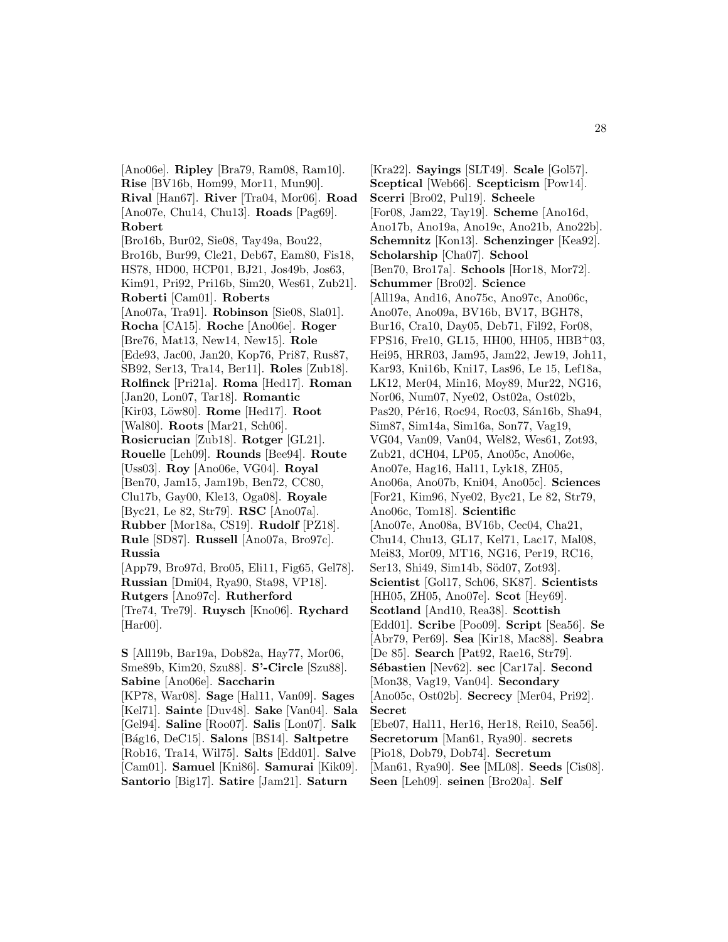[Ano06e]. **Ripley** [Bra79, Ram08, Ram10]. **Rise** [BV16b, Hom99, Mor11, Mun90]. **Rival** [Han67]. **River** [Tra04, Mor06]. **Road** [Ano07e, Chu14, Chu13]. **Roads** [Pag69]. **Robert** [Bro16b, Bur02, Sie08, Tay49a, Bou22, Bro16b, Bur99, Cle21, Deb67, Eam80, Fis18, HS78, HD00, HCP01, BJ21, Jos49b, Jos63, Kim91, Pri92, Pri16b, Sim20, Wes61, Zub21]. **Roberti** [Cam01]. **Roberts** [Ano07a, Tra91]. **Robinson** [Sie08, Sla01]. **Rocha** [CA15]. **Roche** [Ano06e]. **Roger** [Bre76, Mat13, New14, New15]. **Role** [Ede93, Jac00, Jan20, Kop76, Pri87, Rus87, SB92, Ser13, Tra14, Ber11]. **Roles** [Zub18]. **Rolfinck** [Pri21a]. **Roma** [Hed17]. **Roman** [Jan20, Lon07, Tar18]. **Romantic** [Kir03, L¨ow80]. **Rome** [Hed17]. **Root** [Wal80]. **Roots** [Mar21, Sch06]. **Rosicrucian** [Zub18]. **Rotger** [GL21]. **Rouelle** [Leh09]. **Rounds** [Bee94]. **Route** [Uss03]. **Roy** [Ano06e, VG04]. **Royal** [Ben70, Jam15, Jam19b, Ben72, CC80, Clu17b, Gay00, Kle13, Oga08]. **Royale** [Byc21, Le 82, Str79]. **RSC** [Ano07a]. **Rubber** [Mor18a, CS19]. **Rudolf** [PZ18]. **Rule** [SD87]. **Russell** [Ano07a, Bro97c]. **Russia** [App79, Bro97d, Bro05, Eli11, Fig65, Gel78]. **Russian** [Dmi04, Rya90, Sta98, VP18]. **Rutgers** [Ano97c]. **Rutherford** [Tre74, Tre79]. **Ruysch** [Kno06]. **Rychard** [Har00]. **S** [All19b, Bar19a, Dob82a, Hay77, Mor06, Sme89b, Kim20, Szu88]. **S'-Circle** [Szu88]. **Sabine** [Ano06e]. **Saccharin** [KP78, War08]. **Sage** [Hal11, Van09]. **Sages**

[Kel71]. **Sainte** [Duv48]. **Sake** [Van04]. **Sala** [Gel94]. **Saline** [Roo07]. **Salis** [Lon07]. **Salk** [B´ag16, DeC15]. **Salons** [BS14]. **Saltpetre** [Rob16, Tra14, Wil75]. **Salts** [Edd01]. **Salve** [Cam01]. **Samuel** [Kni86]. **Samurai** [Kik09]. **Santorio** [Big17]. **Satire** [Jam21]. **Saturn**

[Kra22]. **Sayings** [SLT49]. **Scale** [Gol57]. **Sceptical** [Web66]. **Scepticism** [Pow14]. **Scerri** [Bro02, Pul19]. **Scheele** [For08, Jam22, Tay19]. **Scheme** [Ano16d, Ano17b, Ano19a, Ano19c, Ano21b, Ano22b]. **Schemnitz** [Kon13]. **Schenzinger** [Kea92]. **Scholarship** [Cha07]. **School** [Ben70, Bro17a]. **Schools** [Hor18, Mor72]. **Schummer** [Bro02]. **Science** [All19a, And16, Ano75c, Ano97c, Ano06c, Ano07e, Ano09a, BV16b, BV17, BGH78, Bur16, Cra10, Day05, Deb71, Fil92, For08, FPS16, Fre10, GL15, HH00, HH05, HBB<sup>+</sup>03, Hei95, HRR03, Jam95, Jam22, Jew19, Joh11, Kar93, Kni16b, Kni17, Las96, Le 15, Lef18a, LK12, Mer04, Min16, Moy89, Mur22, NG16, Nor06, Num07, Nye02, Ost02a, Ost02b, Pas20, Pér16, Roc94, Roc03, Sán16b, Sha94, Sim87, Sim14a, Sim16a, Son77, Vag19, VG04, Van09, Van04, Wel82, Wes61, Zot93, Zub21, dCH04, LP05, Ano05c, Ano06e, Ano07e, Hag16, Hal11, Lyk18, ZH05, Ano06a, Ano07b, Kni04, Ano05c]. **Sciences** [For21, Kim96, Nye02, Byc21, Le 82, Str79, Ano06c, Tom18]. **Scientific** [Ano07e, Ano08a, BV16b, Cec04, Cha21, Chu14, Chu13, GL17, Kel71, Lac17, Mal08, Mei83, Mor09, MT16, NG16, Per19, RC16, Ser13, Shi49, Sim14b, Söd07, Zot93]. **Scientist** [Gol17, Sch06, SK87]. **Scientists** [HH05, ZH05, Ano07e]. **Scot** [Hey69]. **Scotland** [And10, Rea38]. **Scottish** [Edd01]. **Scribe** [Poo09]. **Script** [Sea56]. **Se** [Abr79, Per69]. **Sea** [Kir18, Mac88]. **Seabra** [De 85]. **Search** [Pat92, Rae16, Str79]. **Sébastien** [Nev62]. **sec** [Car17a]. **Second** [Mon38, Vag19, Van04]. **Secondary** [Ano05c, Ost02b]. **Secrecy** [Mer04, Pri92]. **Secret** [Ebe07, Hal11, Her16, Her18, Rei10, Sea56]. **Secretorum** [Man61, Rya90]. **secrets** [Pio18, Dob79, Dob74]. **Secretum** [Man61, Rya90]. **See** [ML08]. **Seeds** [Cis08]. **Seen** [Leh09]. **seinen** [Bro20a]. **Self**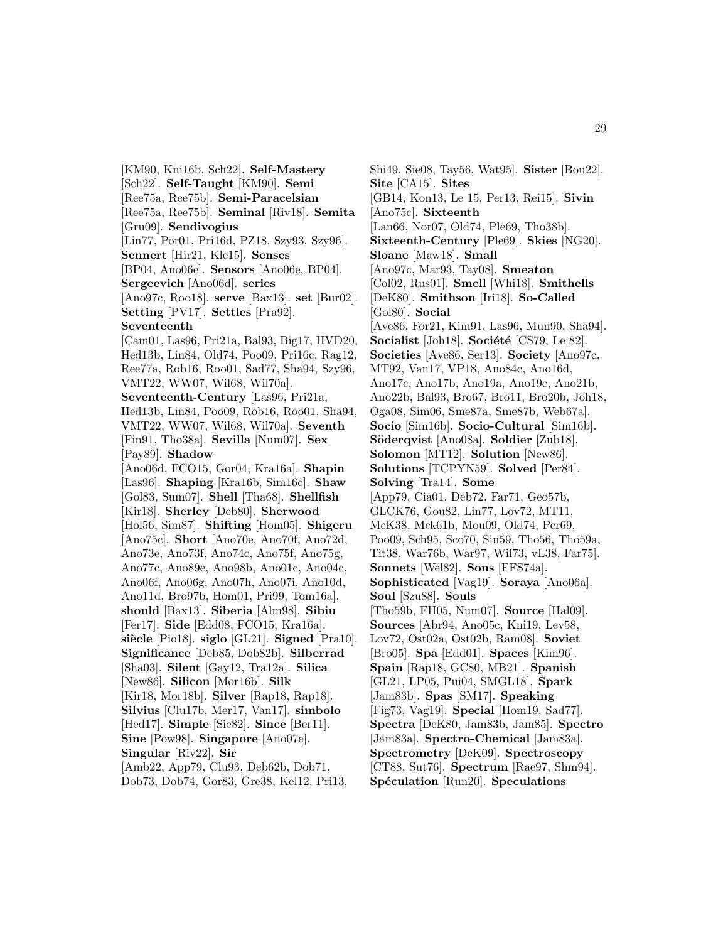Shi49, Sie08, Tay56, Wat95]. **Sister** [Bou22]. **Site** [CA15]. **Sites**

[Cam01, Las96, Pri21a, Bal93, Big17, HVD20, Hed13b, Lin84, Old74, Poo09, Pri16c, Rag12, Ree77a, Rob16, Roo01, Sad77, Sha94, Szy96, VMT22, WW07, Wil68, Wil70a]. **Seventeenth-Century** [Las96, Pri21a, Hed13b, Lin84, Poo09, Rob16, Roo01, Sha94, VMT22, WW07, Wil68, Wil70a]. **Seventh** [Fin91, Tho38a]. **Sevilla** [Num07]. **Sex** [Pay89]. **Shadow** [Ano06d, FCO15, Gor04, Kra16a]. **Shapin** [Las96]. **Shaping** [Kra16b, Sim16c]. **Shaw** [Gol83, Sum07]. **Shell** [Tha68]. **Shellfish** [Kir18]. **Sherley** [Deb80]. **Sherwood** [Hol56, Sim87]. **Shifting** [Hom05]. **Shigeru** [Ano75c]. **Short** [Ano70e, Ano70f, Ano72d, Ano73e, Ano73f, Ano74c, Ano75f, Ano75g, Ano77c, Ano89e, Ano98b, Ano01c, Ano04c, Ano06f, Ano06g, Ano07h, Ano07i, Ano10d, Ano11d, Bro97b, Hom01, Pri99, Tom16a]. **should** [Bax13]. **Siberia** [Alm98]. **Sibiu** [Fer17]. **Side** [Edd08, FCO15, Kra16a]. siècle [Pio18]. **siglo** [GL21]. **Signed** [Pra10]. **Significance** [Deb85, Dob82b]. **Silberrad** [Sha03]. **Silent** [Gay12, Tra12a]. **Silica** [New86]. **Silicon** [Mor16b]. **Silk** [Kir18, Mor18b]. **Silver** [Rap18, Rap18]. **Silvius** [Clu17b, Mer17, Van17]. **simbolo** [Hed17]. **Simple** [Sie82]. **Since** [Ber11]. **Sine** [Pow98]. **Singapore** [Ano07e]. **Singular** [Riv22]. **Sir** [Amb22, App79, Clu93, Deb62b, Dob71, Dob73, Dob74, Gor83, Gre38, Kel12, Pri13,

[KM90, Kni16b, Sch22]. **Self-Mastery** [Sch22]. **Self-Taught** [KM90]. **Semi** [Ree75a, Ree75b]. **Semi-Paracelsian** [Ree75a, Ree75b]. **Seminal** [Riv18]. **Semita**

[Lin77, Por01, Pri16d, PZ18, Szy93, Szy96].

[BP04, Ano06e]. **Sensors** [Ano06e, BP04].

[Ano97c, Roo18]. **serve** [Bax13]. **set** [Bur02].

[Gru09]. **Sendivogius**

**Seventeenth**

**Sennert** [Hir21, Kle15]. **Senses**

**Setting** [PV17]. **Settles** [Pra92].

**Sergeevich** [Ano06d]. **series**

[GB14, Kon13, Le 15, Per13, Rei15]. **Sivin** [Ano75c]. **Sixteenth** [Lan66, Nor07, Old74, Ple69, Tho38b]. **Sixteenth-Century** [Ple69]. **Skies** [NG20]. **Sloane** [Maw18]. **Small** [Ano97c, Mar93, Tay08]. **Smeaton** [Col02, Rus01]. **Smell** [Whi18]. **Smithells** [DeK80]. **Smithson** [Iri18]. **So-Called** [Gol80]. **Social** [Ave86, For21, Kim91, Las96, Mun90, Sha94]. **Socialist** [Joh18]. **Société** [CS79, Le 82]. **Societies** [Ave86, Ser13]. **Society** [Ano97c, MT92, Van17, VP18, Ano84c, Ano16d, Ano17c, Ano17b, Ano19a, Ano19c, Ano21b, Ano22b, Bal93, Bro67, Bro11, Bro20b, Joh18, Oga08, Sim06, Sme87a, Sme87b, Web67a]. **Socio** [Sim16b]. **Socio-Cultural** [Sim16b]. **S¨oderqvist** [Ano08a]. **Soldier** [Zub18]. **Solomon** [MT12]. **Solution** [New86]. **Solutions** [TCPYN59]. **Solved** [Per84]. **Solving** [Tra14]. **Some** [App79, Cia01, Deb72, Far71, Geo57b, GLCK76, Gou82, Lin77, Lov72, MT11, McK38, Mck61b, Mou09, Old74, Per69, Poo09, Sch95, Sco70, Sin59, Tho56, Tho59a, Tit38, War76b, War97, Wil73, vL38, Far75]. **Sonnets** [Wel82]. **Sons** [FFS74a]. **Sophisticated** [Vag19]. **Soraya** [Ano06a]. **Soul** [Szu88]. **Souls** [Tho59b, FH05, Num07]. **Source** [Hal09]. **Sources** [Abr94, Ano05c, Kni19, Lev58, Lov72, Ost02a, Ost02b, Ram08]. **Soviet** [Bro05]. **Spa** [Edd01]. **Spaces** [Kim96]. **Spain** [Rap18, GC80, MB21]. **Spanish** [GL21, LP05, Pui04, SMGL18]. **Spark** [Jam83b]. **Spas** [SM17]. **Speaking** [Fig73, Vag19]. **Special** [Hom19, Sad77]. **Spectra** [DeK80, Jam83b, Jam85]. **Spectro** [Jam83a]. **Spectro-Chemical** [Jam83a]. **Spectrometry** [DeK09]. **Spectroscopy** [CT88, Sut76]. **Spectrum** [Rae97, Shm94]. **Spéculation** [Run20]. **Speculations**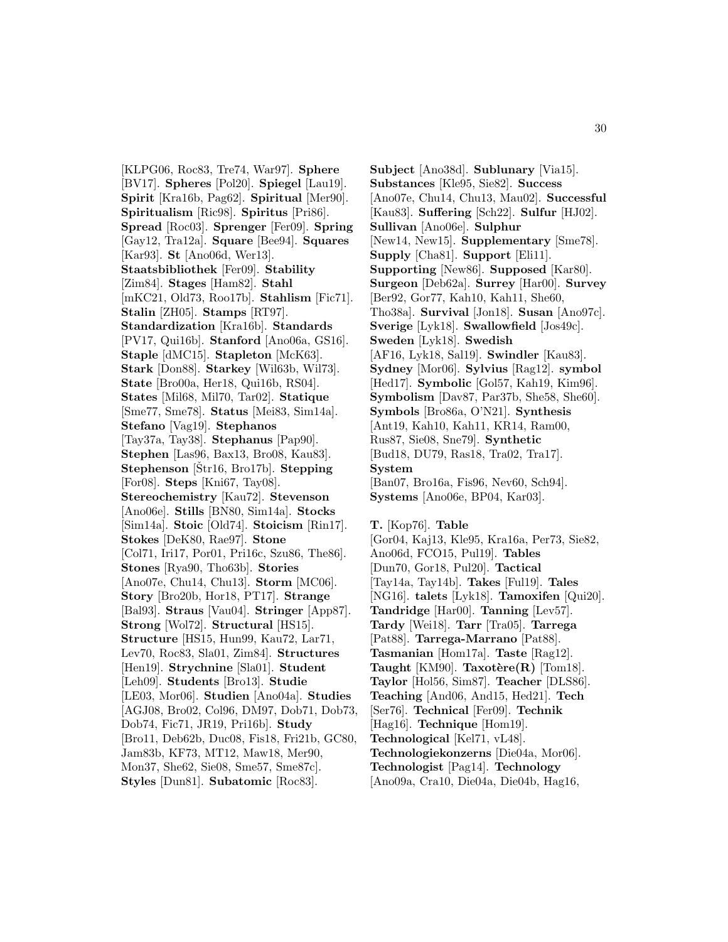[KLPG06, Roc83, Tre74, War97]. **Sphere** [BV17]. **Spheres** [Pol20]. **Spiegel** [Lau19]. **Spirit** [Kra16b, Pag62]. **Spiritual** [Mer90]. **Spiritualism** [Ric98]. **Spiritus** [Pri86]. **Spread** [Roc03]. **Sprenger** [Fer09]. **Spring** [Gay12, Tra12a]. **Square** [Bee94]. **Squares** [Kar93]. **St** [Ano06d, Wer13]. **Staatsbibliothek** [Fer09]. **Stability** [Zim84]. **Stages** [Ham82]. **Stahl** [mKC21, Old73, Roo17b]. **Stahlism** [Fic71]. **Stalin** [ZH05]. **Stamps** [RT97]. **Standardization** [Kra16b]. **Standards** [PV17, Qui16b]. **Stanford** [Ano06a, GS16]. **Staple** [dMC15]. **Stapleton** [McK63]. **Stark** [Don88]. **Starkey** [Wil63b, Wil73]. **State** [Bro00a, Her18, Qui16b, RS04]. **States** [Mil68, Mil70, Tar02]. **Statique** [Sme77, Sme78]. **Status** [Mei83, Sim14a]. **Stefano** [Vag19]. **Stephanos** [Tay37a, Tay38]. **Stephanus** [Pap90]. **Stephen** [Las96, Bax13, Bro08, Kau83]. **Stephenson** [Str16, Bro17b]. **Stepping** [For08]. **Steps** [Kni67, Tay08]. **Stereochemistry** [Kau72]. **Stevenson** [Ano06e]. **Stills** [BN80, Sim14a]. **Stocks** [Sim14a]. **Stoic** [Old74]. **Stoicism** [Rin17]. **Stokes** [DeK80, Rae97]. **Stone** [Col71, Iri17, Por01, Pri16c, Szu86, The86]. **Stones** [Rya90, Tho63b]. **Stories** [Ano07e, Chu14, Chu13]. **Storm** [MC06]. **Story** [Bro20b, Hor18, PT17]. **Strange** [Bal93]. **Straus** [Vau04]. **Stringer** [App87]. **Strong** [Wol72]. **Structural** [HS15]. **Structure** [HS15, Hun99, Kau72, Lar71, Lev70, Roc83, Sla01, Zim84]. **Structures** [Hen19]. **Strychnine** [Sla01]. **Student** [Leh09]. **Students** [Bro13]. **Studie** [LE03, Mor06]. **Studien** [Ano04a]. **Studies** [AGJ08, Bro02, Col96, DM97, Dob71, Dob73, Dob74, Fic71, JR19, Pri16b]. **Study** [Bro11, Deb62b, Duc08, Fis18, Fri21b, GC80, Jam83b, KF73, MT12, Maw18, Mer90, Mon37, She62, Sie08, Sme57, Sme87c]. **Styles** [Dun81]. **Subatomic** [Roc83].

**Subject** [Ano38d]. **Sublunary** [Via15]. **Substances** [Kle95, Sie82]. **Success** [Ano07e, Chu14, Chu13, Mau02]. **Successful** [Kau83]. **Suffering** [Sch22]. **Sulfur** [HJ02]. **Sullivan** [Ano06e]. **Sulphur** [New14, New15]. **Supplementary** [Sme78]. **Supply** [Cha81]. **Support** [Eli11]. **Supporting** [New86]. **Supposed** [Kar80]. **Surgeon** [Deb62a]. **Surrey** [Har00]. **Survey** [Ber92, Gor77, Kah10, Kah11, She60, Tho38a]. **Survival** [Jon18]. **Susan** [Ano97c]. **Sverige** [Lyk18]. **Swallowfield** [Jos49c]. **Sweden** [Lyk18]. **Swedish** [AF16, Lyk18, Sal19]. **Swindler** [Kau83]. **Sydney** [Mor06]. **Sylvius** [Rag12]. **symbol** [Hed17]. **Symbolic** [Gol57, Kah19, Kim96]. **Symbolism** [Dav87, Par37b, She58, She60]. **Symbols** [Bro86a, O'N21]. **Synthesis** [Ant19, Kah10, Kah11, KR14, Ram00, Rus87, Sie08, Sne79]. **Synthetic** [Bud18, DU79, Ras18, Tra02, Tra17]. **System** [Ban07, Bro16a, Fis96, Nev60, Sch94]. **Systems** [Ano06e, BP04, Kar03].

**T.** [Kop76]. **Table** [Gor04, Kaj13, Kle95, Kra16a, Per73, Sie82, Ano06d, FCO15, Pul19]. **Tables** [Dun70, Gor18, Pul20]. **Tactical** [Tay14a, Tay14b]. **Takes** [Ful19]. **Tales** [NG16]. **talets** [Lyk18]. **Tamoxifen** [Qui20]. **Tandridge** [Har00]. **Tanning** [Lev57]. **Tardy** [Wei18]. **Tarr** [Tra05]. **Tarrega** [Pat88]. **Tarrega-Marrano** [Pat88]. **Tasmanian** [Hom17a]. **Taste** [Rag12]. **Taught** [KM90]. **Taxotère(R)** [Tom18]. **Taylor** [Hol56, Sim87]. **Teacher** [DLS86]. **Teaching** [And06, And15, Hed21]. **Tech** [Ser76]. **Technical** [Fer09]. **Technik** [Hag16]. **Technique** [Hom19]. **Technological** [Kel71, vL48]. **Technologiekonzerns** [Die04a, Mor06]. **Technologist** [Pag14]. **Technology** [Ano09a, Cra10, Die04a, Die04b, Hag16,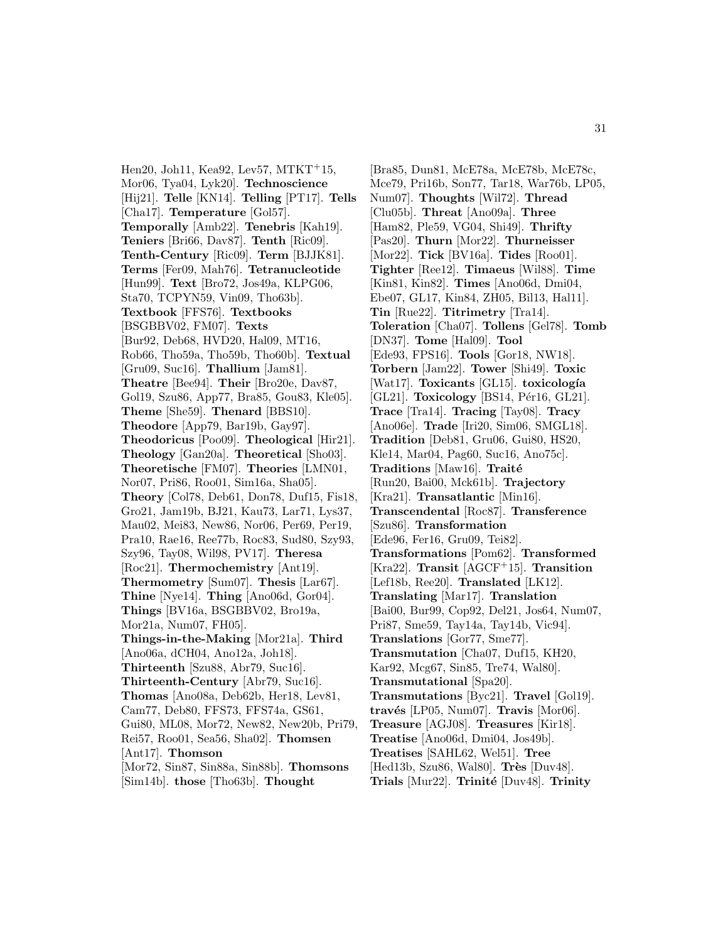Hen20, Joh11, Kea92, Lev57, MTKT<sup>+</sup>15, Mor06, Tya04, Lyk20]. **Technoscience** [Hij21]. **Telle** [KN14]. **Telling** [PT17]. **Tells** [Cha17]. **Temperature** [Gol57]. **Temporally** [Amb22]. **Tenebris** [Kah19]. **Teniers** [Bri66, Dav87]. **Tenth** [Ric09]. **Tenth-Century** [Ric09]. **Term** [BJJK81]. **Terms** [Fer09, Mah76]. **Tetranucleotide** [Hun99]. **Text** [Bro72, Jos49a, KLPG06, Sta70, TCPYN59, Vin09, Tho63b]. **Textbook** [FFS76]. **Textbooks** [BSGBBV02, FM07]. **Texts** [Bur92, Deb68, HVD20, Hal09, MT16, Rob66, Tho59a, Tho59b, Tho60b]. **Textual** [Gru09, Suc16]. **Thallium** [Jam81]. **Theatre** [Bee94]. **Their** [Bro20e, Dav87, Gol19, Szu86, App77, Bra85, Gou83, Kle05]. **Theme** [She59]. **Thenard** [BBS10]. **Theodore** [App79, Bar19b, Gay97]. **Theodoricus** [Poo09]. **Theological** [Hir21]. **Theology** [Gan20a]. **Theoretical** [Sho03]. **Theoretische** [FM07]. **Theories** [LMN01, Nor07, Pri86, Roo01, Sim16a, Sha05]. **Theory** [Col78, Deb61, Don78, Duf15, Fis18, Gro21, Jam19b, BJ21, Kau73, Lar71, Lys37, Mau02, Mei83, New86, Nor06, Per69, Per19, Pra10, Rae16, Ree77b, Roc83, Sud80, Szy93, Szy96, Tay08, Wil98, PV17]. **Theresa** [Roc21]. **Thermochemistry** [Ant19]. **Thermometry** [Sum07]. **Thesis** [Lar67]. **Thine** [Nye14]. **Thing** [Ano06d, Gor04]. **Things** [BV16a, BSGBBV02, Bro19a, Mor21a, Num07, FH05]. **Things-in-the-Making** [Mor21a]. **Third** [Ano06a, dCH04, Ano12a, Joh18]. **Thirteenth** [Szu88, Abr79, Suc16]. **Thirteenth-Century** [Abr79, Suc16]. **Thomas** [Ano08a, Deb62b, Her18, Lev81, Cam77, Deb80, FFS73, FFS74a, GS61, Gui80, ML08, Mor72, New82, New20b, Pri79, Rei57, Roo01, Sea56, Sha02]. **Thomsen** [Ant17]. **Thomson** [Mor72, Sin87, Sin88a, Sin88b]. **Thomsons** [Sim14b]. **those** [Tho63b]. **Thought**

[Bra85, Dun81, McE78a, McE78b, McE78c, Mce79, Pri16b, Son77, Tar18, War76b, LP05, Num07]. **Thoughts** [Wil72]. **Thread** [Clu05b]. **Threat** [Ano09a]. **Three** [Ham82, Ple59, VG04, Shi49]. **Thrifty** [Pas20]. **Thurn** [Mor22]. **Thurneisser** [Mor22]. **Tick** [BV16a]. **Tides** [Roo01]. **Tighter** [Ree12]. **Timaeus** [Wil88]. **Time** [Kin81, Kin82]. **Times** [Ano06d, Dmi04, Ebe07, GL17, Kin84, ZH05, Bil13, Hal11]. **Tin** [Rue22]. **Titrimetry** [Tra14]. **Toleration** [Cha07]. **Tollens** [Gel78]. **Tomb** [DN37]. **Tome** [Hal09]. **Tool** [Ede93, FPS16]. **Tools** [Gor18, NW18]. **Torbern** [Jam22]. **Tower** [Shi49]. **Toxic** [Wat17]. **Toxicants** [GL15]. **toxicología** [GL21]. **Toxicology** [BS14, Pér16, GL21]. **Trace** [Tra14]. **Tracing** [Tay08]. **Tracy** [Ano06e]. **Trade** [Iri20, Sim06, SMGL18]. **Tradition** [Deb81, Gru06, Gui80, HS20, Kle14, Mar04, Pag60, Suc16, Ano75c]. **Traditions** [Maw16]. **Traité** [Run20, Bai00, Mck61b]. **Trajectory** [Kra21]. **Transatlantic** [Min16]. **Transcendental** [Roc87]. **Transference** [Szu86]. **Transformation** [Ede96, Fer16, Gru09, Tei82]. **Transformations** [Pom62]. **Transformed** [Kra22]. **Transit** [AGCF<sup>+</sup>15]. **Transition** [Lef18b, Ree20]. **Translated** [LK12]. **Translating** [Mar17]. **Translation** [Bai00, Bur99, Cop92, Del21, Jos64, Num07, Pri87, Sme59, Tay14a, Tay14b, Vic94]. **Translations** [Gor77, Sme77]. **Transmutation** [Cha07, Duf15, KH20, Kar92, Mcg67, Sin85, Tre74, Wal80]. **Transmutational** [Spa20]. **Transmutations** [Byc21]. **Travel** [Gol19]. **trav´es** [LP05, Num07]. **Travis** [Mor06]. **Treasure** [AGJ08]. **Treasures** [Kir18]. **Treatise** [Ano06d, Dmi04, Jos49b]. **Treatises** [SAHL62, Wel51]. **Tree** [Hed13b, Szu86, Wal80]. **Très** [Duv48]. **Trials** [Mur22]. **Trinit´e** [Duv48]. **Trinity**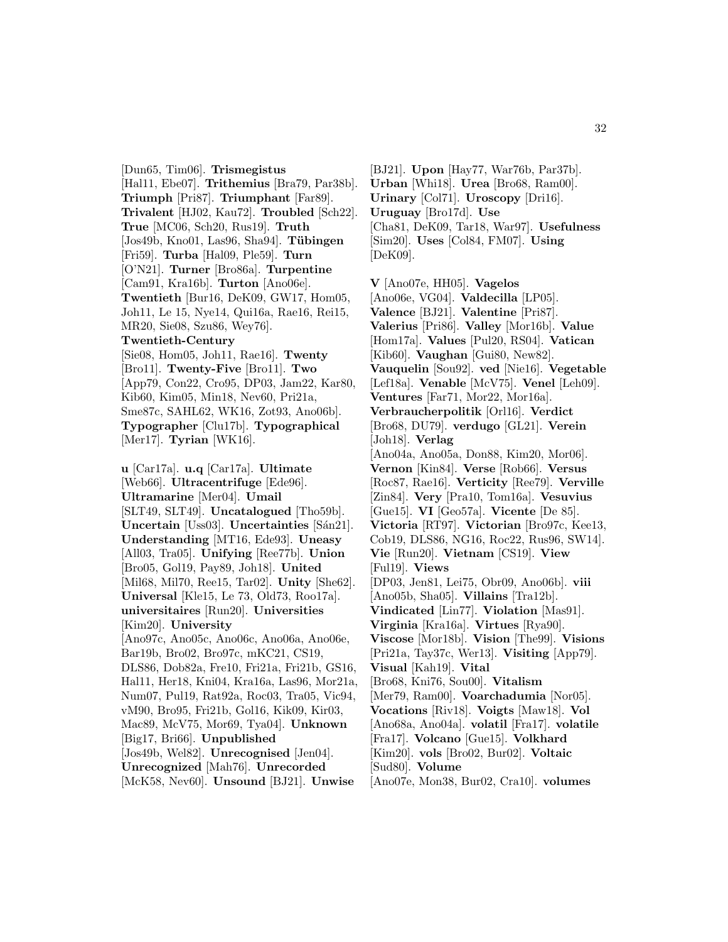[Dun65, Tim06]. **Trismegistus** [Hal11, Ebe07]. **Trithemius** [Bra79, Par38b]. **Triumph** [Pri87]. **Triumphant** [Far89]. **Trivalent** [HJ02, Kau72]. **Troubled** [Sch22]. **True** [MC06, Sch20, Rus19]. **Truth** [Jos49b, Kno01, Las96, Sha94]. **T¨ubingen** [Fri59]. **Turba** [Hal09, Ple59]. **Turn** [O'N21]. **Turner** [Bro86a]. **Turpentine** [Cam91, Kra16b]. **Turton** [Ano06e]. **Twentieth** [Bur16, DeK09, GW17, Hom05, Joh11, Le 15, Nye14, Qui16a, Rae16, Rei15, MR20, Sie08, Szu86, Wey76]. **Twentieth-Century** [Sie08, Hom05, Joh11, Rae16]. **Twenty** [Bro11]. **Twenty-Five** [Bro11]. **Two** [App79, Con22, Cro95, DP03, Jam22, Kar80, Kib60, Kim05, Min18, Nev60, Pri21a, Sme87c, SAHL62, WK16, Zot93, Ano06b]. **Typographer** [Clu17b]. **Typographical** [Mer17]. **Tyrian** [WK16].

**u** [Car17a]. **u.q** [Car17a]. **Ultimate** [Web66]. **Ultracentrifuge** [Ede96]. **Ultramarine** [Mer04]. **Umail** [SLT49, SLT49]. **Uncatalogued** [Tho59b]. **Uncertain** [Uss03]. **Uncertainties** [Sán21]. **Understanding** [MT16, Ede93]. **Uneasy** [All03, Tra05]. **Unifying** [Ree77b]. **Union** [Bro05, Gol19, Pay89, Joh18]. **United** [Mil68, Mil70, Ree15, Tar02]. **Unity** [She62]. **Universal** [Kle15, Le 73, Old73, Roo17a]. **universitaires** [Run20]. **Universities** [Kim20]. **University** [Ano97c, Ano05c, Ano06c, Ano06a, Ano06e, Bar19b, Bro02, Bro97c, mKC21, CS19, DLS86, Dob82a, Fre10, Fri21a, Fri21b, GS16, Hal11, Her18, Kni04, Kra16a, Las96, Mor21a, Num07, Pul19, Rat92a, Roc03, Tra05, Vic94, vM90, Bro95, Fri21b, Gol16, Kik09, Kir03, Mac89, McV75, Mor69, Tya04]. **Unknown** [Big17, Bri66]. **Unpublished** [Jos49b, Wel82]. **Unrecognised** [Jen04]. **Unrecognized** [Mah76]. **Unrecorded** [McK58, Nev60]. **Unsound** [BJ21]. **Unwise**

[BJ21]. **Upon** [Hay77, War76b, Par37b]. **Urban** [Whi18]. **Urea** [Bro68, Ram00]. **Urinary** [Col71]. **Uroscopy** [Dri16]. **Uruguay** [Bro17d]. **Use** [Cha81, DeK09, Tar18, War97]. **Usefulness** [Sim20]. **Uses** [Col84, FM07]. **Using** [DeK09].

**V** [Ano07e, HH05]. **Vagelos** [Ano06e, VG04]. **Valdecilla** [LP05]. **Valence** [BJ21]. **Valentine** [Pri87]. **Valerius** [Pri86]. **Valley** [Mor16b]. **Value** [Hom17a]. **Values** [Pul20, RS04]. **Vatican** [Kib60]. **Vaughan** [Gui80, New82]. **Vauquelin** [Sou92]. **ved** [Nie16]. **Vegetable** [Lef18a]. **Venable** [McV75]. **Venel** [Leh09]. **Ventures** [Far71, Mor22, Mor16a]. **Verbraucherpolitik** [Orl16]. **Verdict** [Bro68, DU79]. **verdugo** [GL21]. **Verein** [Joh18]. **Verlag** [Ano04a, Ano05a, Don88, Kim20, Mor06]. **Vernon** [Kin84]. **Verse** [Rob66]. **Versus** [Roc87, Rae16]. **Verticity** [Ree79]. **Verville** [Zin84]. **Very** [Pra10, Tom16a]. **Vesuvius** [Gue15]. **VI** [Geo57a]. **Vicente** [De 85]. **Victoria** [RT97]. **Victorian** [Bro97c, Kee13, Cob19, DLS86, NG16, Roc22, Rus96, SW14]. **Vie** [Run20]. **Vietnam** [CS19]. **View** [Ful19]. **Views** [DP03, Jen81, Lei75, Obr09, Ano06b]. **viii** [Ano05b, Sha05]. **Villains** [Tra12b]. **Vindicated** [Lin77]. **Violation** [Mas91]. **Virginia** [Kra16a]. **Virtues** [Rya90]. **Viscose** [Mor18b]. **Vision** [The99]. **Visions** [Pri21a, Tay37c, Wer13]. **Visiting** [App79]. **Visual** [Kah19]. **Vital** [Bro68, Kni76, Sou00]. **Vitalism** [Mer79, Ram00]. **Voarchadumia** [Nor05]. **Vocations** [Riv18]. **Voigts** [Maw18]. **Vol** [Ano68a, Ano04a]. **volatil** [Fra17]. **volatile** [Fra17]. **Volcano** [Gue15]. **Volkhard** [Kim20]. **vols** [Bro02, Bur02]. **Voltaic** [Sud80]. **Volume** [Ano07e, Mon38, Bur02, Cra10]. **volumes**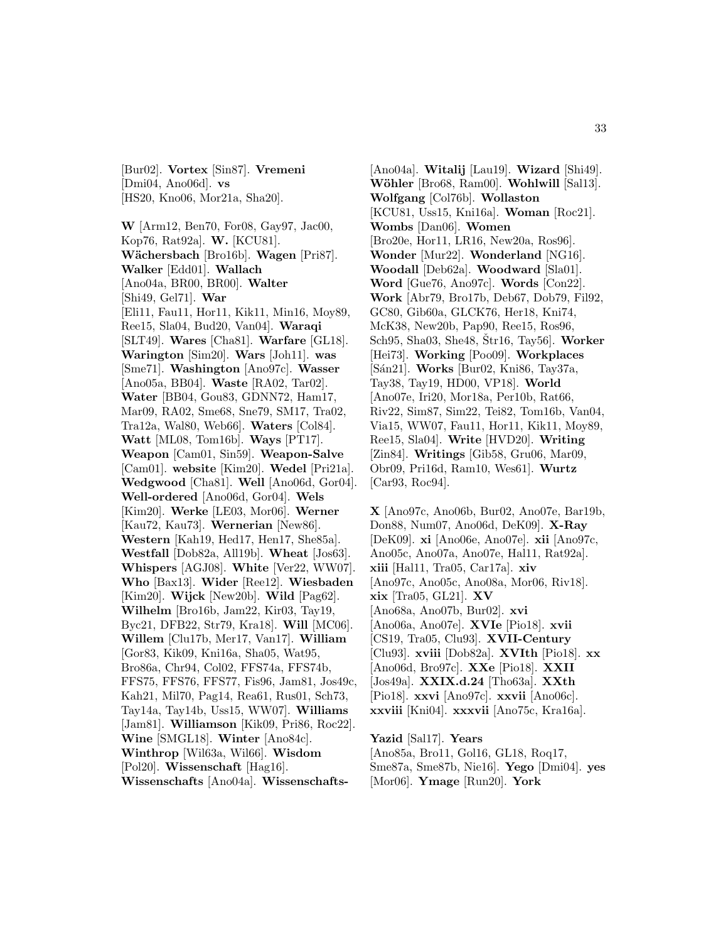[Bur02]. **Vortex** [Sin87]. **Vremeni** [Dmi04, Ano06d]. **vs** [HS20, Kno06, Mor21a, Sha20].

**W** [Arm12, Ben70, For08, Gay97, Jac00, Kop76, Rat92a]. **W.** [KCU81]. **W¨achersbach** [Bro16b]. **Wagen** [Pri87]. **Walker** [Edd01]. **Wallach** [Ano04a, BR00, BR00]. **Walter** [Shi49, Gel71]. **War** [Eli11, Fau11, Hor11, Kik11, Min16, Moy89, Ree15, Sla04, Bud20, Van04]. **Waraqi** [SLT49]. **Wares** [Cha81]. **Warfare** [GL18]. **Warington** [Sim20]. **Wars** [Joh11]. **was** [Sme71]. **Washington** [Ano97c]. **Wasser** [Ano05a, BB04]. **Waste** [RA02, Tar02]. **Water** [BB04, Gou83, GDNN72, Ham17, Mar09, RA02, Sme68, Sne79, SM17, Tra02, Tra12a, Wal80, Web66]. **Waters** [Col84]. **Watt** [ML08, Tom16b]. **Ways** [PT17]. **Weapon** [Cam01, Sin59]. **Weapon-Salve** [Cam01]. **website** [Kim20]. **Wedel** [Pri21a]. **Wedgwood** [Cha81]. **Well** [Ano06d, Gor04]. **Well-ordered** [Ano06d, Gor04]. **Wels** [Kim20]. **Werke** [LE03, Mor06]. **Werner** [Kau72, Kau73]. **Wernerian** [New86]. **Western** [Kah19, Hed17, Hen17, She85a]. **Westfall** [Dob82a, All19b]. **Wheat** [Jos63]. **Whispers** [AGJ08]. **White** [Ver22, WW07]. **Who** [Bax13]. **Wider** [Ree12]. **Wiesbaden** [Kim20]. **Wijck** [New20b]. **Wild** [Pag62]. **Wilhelm** [Bro16b, Jam22, Kir03, Tay19, Byc21, DFB22, Str79, Kra18]. **Will** [MC06]. **Willem** [Clu17b, Mer17, Van17]. **William** [Gor83, Kik09, Kni16a, Sha05, Wat95, Bro86a, Chr94, Col02, FFS74a, FFS74b, FFS75, FFS76, FFS77, Fis96, Jam81, Jos49c, Kah21, Mil70, Pag14, Rea61, Rus01, Sch73, Tay14a, Tay14b, Uss15, WW07]. **Williams** [Jam81]. **Williamson** [Kik09, Pri86, Roc22]. **Wine** [SMGL18]. **Winter** [Ano84c]. **Winthrop** [Wil63a, Wil66]. **Wisdom** [Pol20]. **Wissenschaft** [Hag16]. **Wissenschafts** [Ano04a]. **Wissenschafts-**

[Ano04a]. **Witalij** [Lau19]. **Wizard** [Shi49]. **W¨ohler** [Bro68, Ram00]. **Wohlwill** [Sal13]. **Wolfgang** [Col76b]. **Wollaston** [KCU81, Uss15, Kni16a]. **Woman** [Roc21]. **Wombs** [Dan06]. **Women** [Bro20e, Hor11, LR16, New20a, Ros96]. **Wonder** [Mur22]. **Wonderland** [NG16]. **Woodall** [Deb62a]. **Woodward** [Sla01]. **Word** [Gue76, Ano97c]. **Words** [Con22]. **Work** [Abr79, Bro17b, Deb67, Dob79, Fil92, GC80, Gib60a, GLCK76, Her18, Kni74, McK38, New20b, Pap90, Ree15, Ros96, Sch95, Sha03, She48, Str16, Tay56]. **Worker** [Hei73]. **Working** [Poo09]. **Workplaces** [S´an21]. **Works** [Bur02, Kni86, Tay37a, Tay38, Tay19, HD00, VP18]. **World** [Ano07e, Iri20, Mor18a, Per10b, Rat66, Riv22, Sim87, Sim22, Tei82, Tom16b, Van04, Via15, WW07, Fau11, Hor11, Kik11, Moy89, Ree15, Sla04]. **Write** [HVD20]. **Writing** [Zin84]. **Writings** [Gib58, Gru06, Mar09, Obr09, Pri16d, Ram10, Wes61]. **Wurtz** [Car93, Roc94].

**X** [Ano97c, Ano06b, Bur02, Ano07e, Bar19b, Don88, Num07, Ano06d, DeK09]. **X-Ray** [DeK09]. **xi** [Ano06e, Ano07e]. **xii** [Ano97c, Ano05c, Ano07a, Ano07e, Hal11, Rat92a]. **xiii** [Hal11, Tra05, Car17a]. **xiv** [Ano97c, Ano05c, Ano08a, Mor06, Riv18]. **xix** [Tra05, GL21]. **XV** [Ano68a, Ano07b, Bur02]. **xvi** [Ano06a, Ano07e]. **XVIe** [Pio18]. **xvii** [CS19, Tra05, Clu93]. **XVII-Century** [Clu93]. **xviii** [Dob82a]. **XVIth** [Pio18]. **xx** [Ano06d, Bro97c]. **XXe** [Pio18]. **XXII** [Jos49a]. **XXIX.d.24** [Tho63a]. **XXth** [Pio18]. **xxvi** [Ano97c]. **xxvii** [Ano06c]. **xxviii** [Kni04]. **xxxvii** [Ano75c, Kra16a].

**Yazid** [Sal17]. **Years** [Ano85a, Bro11, Gol16, GL18, Roq17, Sme87a, Sme87b, Nie16]. **Yego** [Dmi04]. **yes** [Mor06]. **Ymage** [Run20]. **York**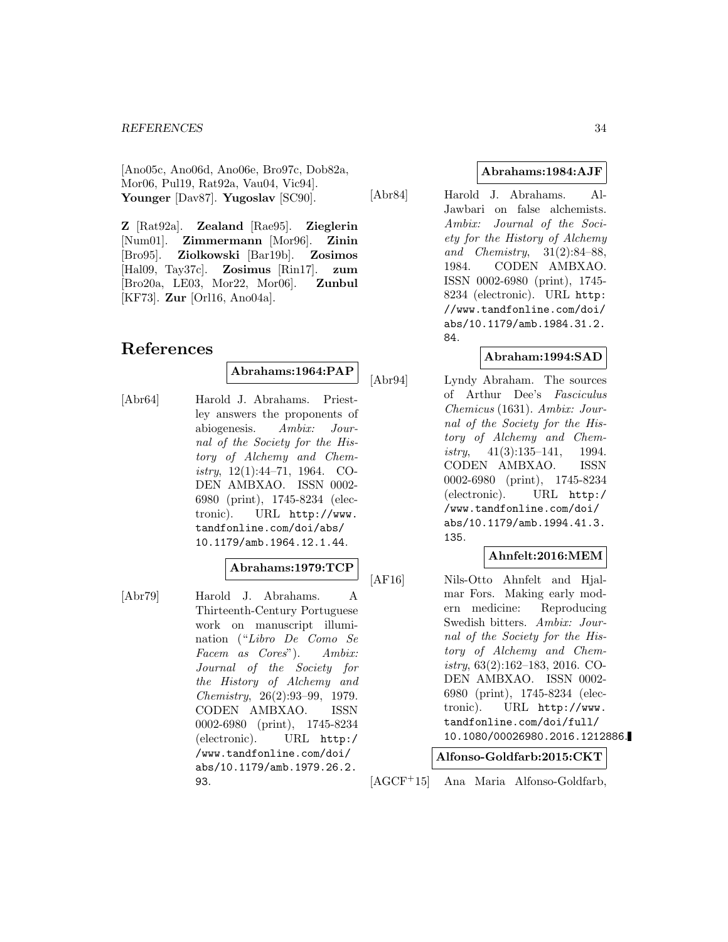[Ano05c, Ano06d, Ano06e, Bro97c, Dob82a, Mor06, Pul19, Rat92a, Vau04, Vic94]. **Younger** [Dav87]. **Yugoslav** [SC90].

**Z** [Rat92a]. **Zealand** [Rae95]. **Zieglerin** [Num01]. **Zimmermann** [Mor96]. **Zinin** [Bro95]. **Ziolkowski** [Bar19b]. **Zosimos** [Hal09, Tay37c]. **Zosimus** [Rin17]. **zum** [Bro20a, LE03, Mor22, Mor06]. **Zunbul** [KF73]. **Zur** [Orl16, Ano04a].

# **References**

**Abrahams:1964:PAP**

[Abr64] Harold J. Abrahams. Priestley answers the proponents of abiogenesis. Ambix: Journal of the Society for the History of Alchemy and Chemistry, 12(1):44–71, 1964. CO-DEN AMBXAO. ISSN 0002- 6980 (print), 1745-8234 (electronic). URL http://www. tandfonline.com/doi/abs/ 10.1179/amb.1964.12.1.44.

## **Abrahams:1979:TCP**

[Abr79] Harold J. Abrahams. A Thirteenth-Century Portuguese work on manuscript illumination ("Libro De Como Se Facem as Cores"). Ambix: Journal of the Society for the History of Alchemy and Chemistry, 26(2):93–99, 1979. CODEN AMBXAO. ISSN 0002-6980 (print), 1745-8234 (electronic). URL http:/ /www.tandfonline.com/doi/ abs/10.1179/amb.1979.26.2. 93.

## **Abrahams:1984:AJF**

[Abr84] Harold J. Abrahams. Al-Jawbari on false alchemists. Ambix: Journal of the Society for the History of Alchemy and Chemistry, 31(2):84–88, 1984. CODEN AMBXAO. ISSN 0002-6980 (print), 1745- 8234 (electronic). URL http: //www.tandfonline.com/doi/ abs/10.1179/amb.1984.31.2. 84.

## **Abraham:1994:SAD**

[Abr94] Lyndy Abraham. The sources of Arthur Dee's Fasciculus Chemicus (1631). Ambix: Journal of the Society for the History of Alchemy and Chemistry,  $41(3):135-141$ , 1994. CODEN AMBXAO. ISSN 0002-6980 (print), 1745-8234 (electronic). URL http:/ /www.tandfonline.com/doi/ abs/10.1179/amb.1994.41.3. 135.

## **Ahnfelt:2016:MEM**

[AF16] Nils-Otto Ahnfelt and Hjalmar Fors. Making early modern medicine: Reproducing Swedish bitters. Ambix: Journal of the Society for the History of Alchemy and Chemistry, 63(2):162–183, 2016. CO-DEN AMBXAO. ISSN 0002- 6980 (print), 1745-8234 (electronic). URL http://www. tandfonline.com/doi/full/ 10.1080/00026980.2016.1212886.

## **Alfonso-Goldfarb:2015:CKT**

[AGCF<sup>+</sup>15] Ana Maria Alfonso-Goldfarb,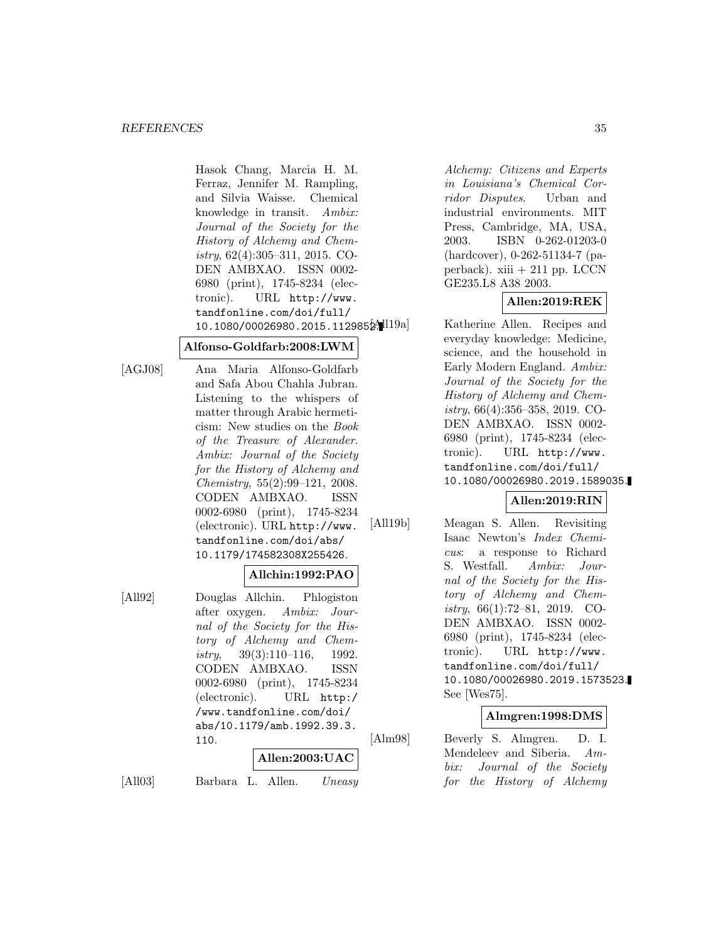Hasok Chang, Marcia H. M. Ferraz, Jennifer M. Rampling, and Silvia Waisse. Chemical knowledge in transit. Ambix: Journal of the Society for the History of Alchemy and Chemistry, 62(4):305–311, 2015. CO-DEN AMBXAO. ISSN 0002- 6980 (print), 1745-8234 (electronic). URL http://www. tandfonline.com/doi/full/ 10.1080/00026980.2015.1129852.

#### **Alfonso-Goldfarb:2008:LWM**

[AGJ08] Ana Maria Alfonso-Goldfarb and Safa Abou Chahla Jubran. Listening to the whispers of matter through Arabic hermeticism: New studies on the Book of the Treasure of Alexander. Ambix: Journal of the Society for the History of Alchemy and Chemistry, 55(2):99–121, 2008. CODEN AMBXAO. ISSN 0002-6980 (print), 1745-8234 (electronic). URL http://www. tandfonline.com/doi/abs/ 10.1179/174582308X255426.

## **Allchin:1992:PAO**

[All92] Douglas Allchin. Phlogiston after oxygen. Ambix: Journal of the Society for the History of Alchemy and Chemistry, 39(3):110–116, 1992. CODEN AMBXAO. ISSN 0002-6980 (print), 1745-8234 (electronic). URL http:/ /www.tandfonline.com/doi/ abs/10.1179/amb.1992.39.3. 110.

#### **Allen:2003:UAC**

[All03] Barbara L. Allen. Uneasy

Alchemy: Citizens and Experts in Louisiana's Chemical Corridor Disputes. Urban and industrial environments. MIT Press, Cambridge, MA, USA, 2003. ISBN 0-262-01203-0 (hardcover), 0-262-51134-7 (paperback).  $xiii + 211$  pp. LCCN GE235.L8 A38 2003.

## **Allen:2019:REK**

Katherine Allen. Recipes and everyday knowledge: Medicine, science, and the household in Early Modern England. Ambix: Journal of the Society for the History of Alchemy and Chemistry, 66(4):356–358, 2019. CO-DEN AMBXAO. ISSN 0002- 6980 (print), 1745-8234 (electronic). URL http://www. tandfonline.com/doi/full/ 10.1080/00026980.2019.1589035.

## **Allen:2019:RIN**

[All19b] Meagan S. Allen. Revisiting Isaac Newton's Index Chemicus: a response to Richard S. Westfall. Ambix: Journal of the Society for the History of Alchemy and Chemistry, 66(1):72–81, 2019. CO-DEN AMBXAO. ISSN 0002- 6980 (print), 1745-8234 (electronic). URL http://www. tandfonline.com/doi/full/ 10.1080/00026980.2019.1573523. See [Wes75].

#### **Almgren:1998:DMS**

[Alm98] Beverly S. Almgren. D. I. Mendeleev and Siberia. Ambix: Journal of the Society for the History of Alchemy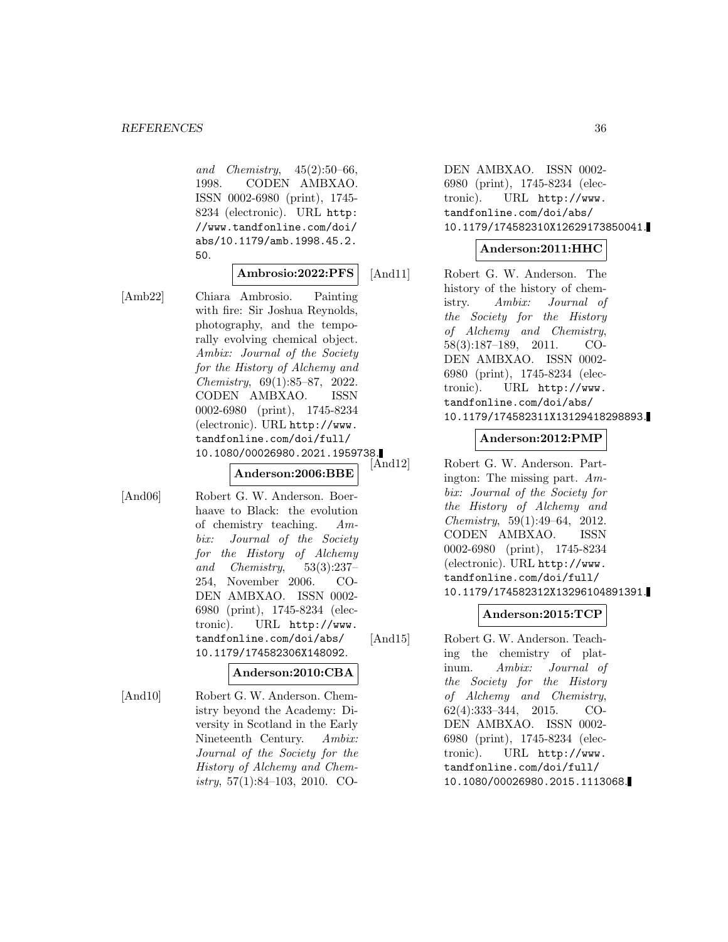and Chemistry, 45(2):50–66, 1998. CODEN AMBXAO. ISSN 0002-6980 (print), 1745- 8234 (electronic). URL http: //www.tandfonline.com/doi/ abs/10.1179/amb.1998.45.2. 50.

### **Ambrosio:2022:PFS**

[Amb22] Chiara Ambrosio. Painting with fire: Sir Joshua Reynolds, photography, and the temporally evolving chemical object. Ambix: Journal of the Society for the History of Alchemy and Chemistry, 69(1):85–87, 2022. CODEN AMBXAO. ISSN 0002-6980 (print), 1745-8234 (electronic). URL http://www. tandfonline.com/doi/full/ 10.1080/00026980.2021.1959738.<br>
And12

#### **Anderson:2006:BBE**

[And06] Robert G. W. Anderson. Boerhaave to Black: the evolution of chemistry teaching. Ambix: Journal of the Society for the History of Alchemy and Chemistry, 53(3):237– 254, November 2006. CO-DEN AMBXAO. ISSN 0002- 6980 (print), 1745-8234 (electronic). URL http://www. tandfonline.com/doi/abs/ 10.1179/174582306X148092.

#### **Anderson:2010:CBA**

[And10] Robert G. W. Anderson. Chemistry beyond the Academy: Diversity in Scotland in the Early Nineteenth Century. Ambix: Journal of the Society for the History of Alchemy and Chemistry,  $57(1):84-103$ ,  $2010$ . CO-

DEN AMBXAO. ISSN 0002- 6980 (print), 1745-8234 (electronic). URL http://www. tandfonline.com/doi/abs/ 10.1179/174582310X12629173850041.

#### **Anderson:2011:HHC**

[And11] Robert G. W. Anderson. The history of the history of chemistry. Ambix: Journal of the Society for the History of Alchemy and Chemistry, 58(3):187–189, 2011. CO-DEN AMBXAO. ISSN 0002- 6980 (print), 1745-8234 (electronic). URL http://www. tandfonline.com/doi/abs/ 10.1179/174582311X13129418298893.

#### **Anderson:2012:PMP**

Robert G. W. Anderson. Partington: The missing part. Ambix: Journal of the Society for the History of Alchemy and Chemistry, 59(1):49–64, 2012. CODEN AMBXAO. ISSN 0002-6980 (print), 1745-8234 (electronic). URL http://www. tandfonline.com/doi/full/ 10.1179/174582312X13296104891391.

#### **Anderson:2015:TCP**

[And15] Robert G. W. Anderson. Teaching the chemistry of platinum. Ambix: Journal of the Society for the History of Alchemy and Chemistry, 62(4):333–344, 2015. CO-DEN AMBXAO. ISSN 0002- 6980 (print), 1745-8234 (electronic). URL http://www. tandfonline.com/doi/full/ 10.1080/00026980.2015.1113068.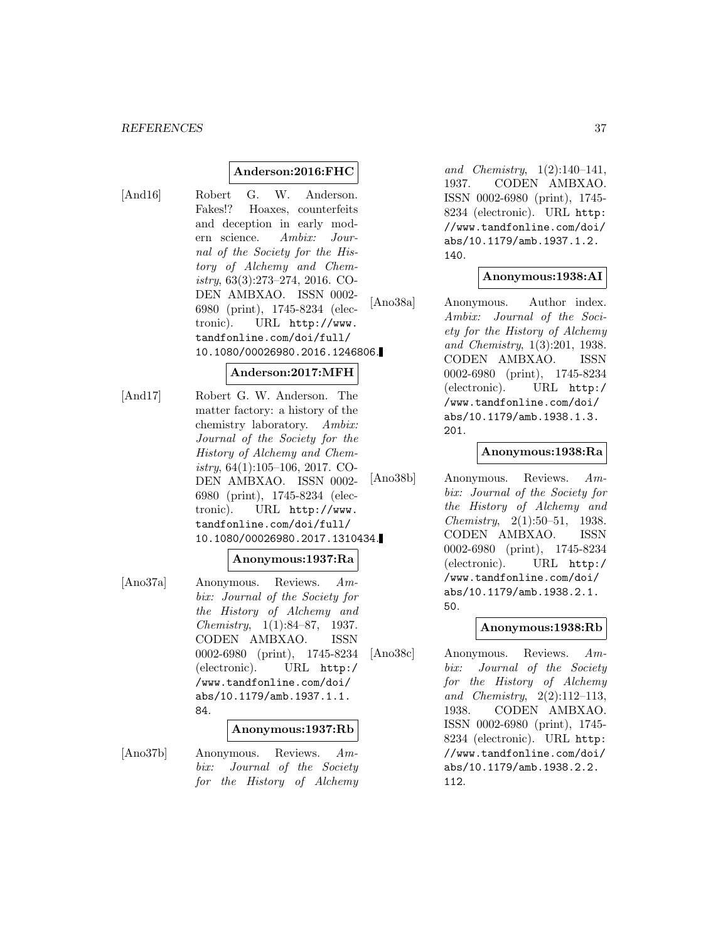#### *REFERENCES* 37

### **Anderson:2016:FHC**

[And16] Robert G. W. Anderson. Fakes!? Hoaxes, counterfeits and deception in early modern science. Ambix: Journal of the Society for the History of Alchemy and Chemistry, 63(3):273–274, 2016. CO-DEN AMBXAO. ISSN 0002- 6980 (print), 1745-8234 (electronic). URL http://www. tandfonline.com/doi/full/ 10.1080/00026980.2016.1246806.

## **Anderson:2017:MFH**

[And17] Robert G. W. Anderson. The matter factory: a history of the chemistry laboratory. Ambix: Journal of the Society for the History of Alchemy and Chemistry, 64(1):105–106, 2017. CO-DEN AMBXAO. ISSN 0002- 6980 (print), 1745-8234 (electronic). URL http://www. tandfonline.com/doi/full/ 10.1080/00026980.2017.1310434.

#### **Anonymous:1937:Ra**

[Ano37a] Anonymous. Reviews. Ambix: Journal of the Society for the History of Alchemy and Chemistry, 1(1):84–87, 1937. CODEN AMBXAO. ISSN 0002-6980 (print), 1745-8234 (electronic). URL http:/ /www.tandfonline.com/doi/ abs/10.1179/amb.1937.1.1. 84.

#### **Anonymous:1937:Rb**

- [Ano37b] Anonymous. Reviews. Am
	- bix: Journal of the Society for the History of Alchemy

and Chemistry, 1(2):140–141, 1937. CODEN AMBXAO. ISSN 0002-6980 (print), 1745- 8234 (electronic). URL http: //www.tandfonline.com/doi/ abs/10.1179/amb.1937.1.2. 140.

# **Anonymous:1938:AI**

[Ano38a] Anonymous. Author index. Ambix: Journal of the Society for the History of Alchemy and Chemistry, 1(3):201, 1938. CODEN AMBXAO. ISSN 0002-6980 (print), 1745-8234 (electronic). URL http:/ /www.tandfonline.com/doi/ abs/10.1179/amb.1938.1.3. 201.

### **Anonymous:1938:Ra**

[Ano38b] Anonymous. Reviews. Ambix: Journal of the Society for the History of Alchemy and Chemistry, 2(1):50–51, 1938. CODEN AMBXAO. ISSN 0002-6980 (print), 1745-8234 (electronic). URL http:/ /www.tandfonline.com/doi/ abs/10.1179/amb.1938.2.1. 50.

### **Anonymous:1938:Rb**

[Ano38c] Anonymous. Reviews. Ambix: Journal of the Society for the History of Alchemy and Chemistry, 2(2):112–113, 1938. CODEN AMBXAO. ISSN 0002-6980 (print), 1745- 8234 (electronic). URL http: //www.tandfonline.com/doi/ abs/10.1179/amb.1938.2.2. 112.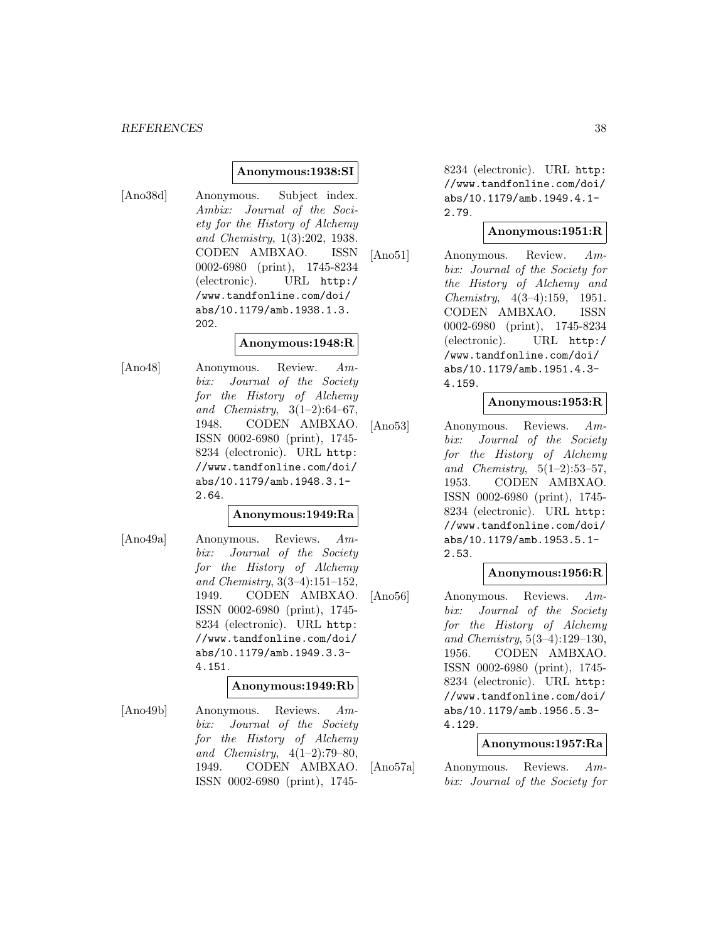#### **Anonymous:1938:SI**

[Ano38d] Anonymous. Subject index. Ambix: Journal of the Society for the History of Alchemy and Chemistry, 1(3):202, 1938. CODEN AMBXAO. ISSN 0002-6980 (print), 1745-8234 (electronic). URL http:/ /www.tandfonline.com/doi/ abs/10.1179/amb.1938.1.3. 202.

#### **Anonymous:1948:R**

[Ano48] Anonymous. Review. Ambix: Journal of the Society for the History of Alchemy and Chemistry, 3(1–2):64–67, 1948. CODEN AMBXAO. ISSN 0002-6980 (print), 1745- 8234 (electronic). URL http: //www.tandfonline.com/doi/ abs/10.1179/amb.1948.3.1- 2.64.

#### **Anonymous:1949:Ra**

[Ano49a] Anonymous. Reviews. Ambix: Journal of the Society for the History of Alchemy and Chemistry, 3(3–4):151–152, 1949. CODEN AMBXAO. ISSN 0002-6980 (print), 1745- 8234 (electronic). URL http: //www.tandfonline.com/doi/ abs/10.1179/amb.1949.3.3- 4.151.

### **Anonymous:1949:Rb**

[Ano49b] Anonymous. Reviews. Ambix: Journal of the Society for the History of Alchemy and Chemistry, 4(1–2):79–80, 1949. CODEN AMBXAO. ISSN 0002-6980 (print), 17458234 (electronic). URL http: //www.tandfonline.com/doi/ abs/10.1179/amb.1949.4.1- 2.79.

#### **Anonymous:1951:R**

[Ano51] Anonymous. Review. Ambix: Journal of the Society for the History of Alchemy and Chemistry, 4(3–4):159, 1951. CODEN AMBXAO. ISSN 0002-6980 (print), 1745-8234 (electronic). URL http:/ /www.tandfonline.com/doi/ abs/10.1179/amb.1951.4.3- 4.159.

**Anonymous:1953:R**

[Ano53] Anonymous. Reviews. Ambix: Journal of the Society for the History of Alchemy and Chemistry,  $5(1-2):53-57$ , 1953. CODEN AMBXAO. ISSN 0002-6980 (print), 1745- 8234 (electronic). URL http: //www.tandfonline.com/doi/ abs/10.1179/amb.1953.5.1- 2.53.

### **Anonymous:1956:R**

[Ano56] Anonymous. Reviews. Ambix: Journal of the Society for the History of Alchemy and Chemistry, 5(3–4):129–130, 1956. CODEN AMBXAO. ISSN 0002-6980 (print), 1745- 8234 (electronic). URL http: //www.tandfonline.com/doi/ abs/10.1179/amb.1956.5.3- 4.129.

# **Anonymous:1957:Ra**

[Ano57a] Anonymous. Reviews. Ambix: Journal of the Society for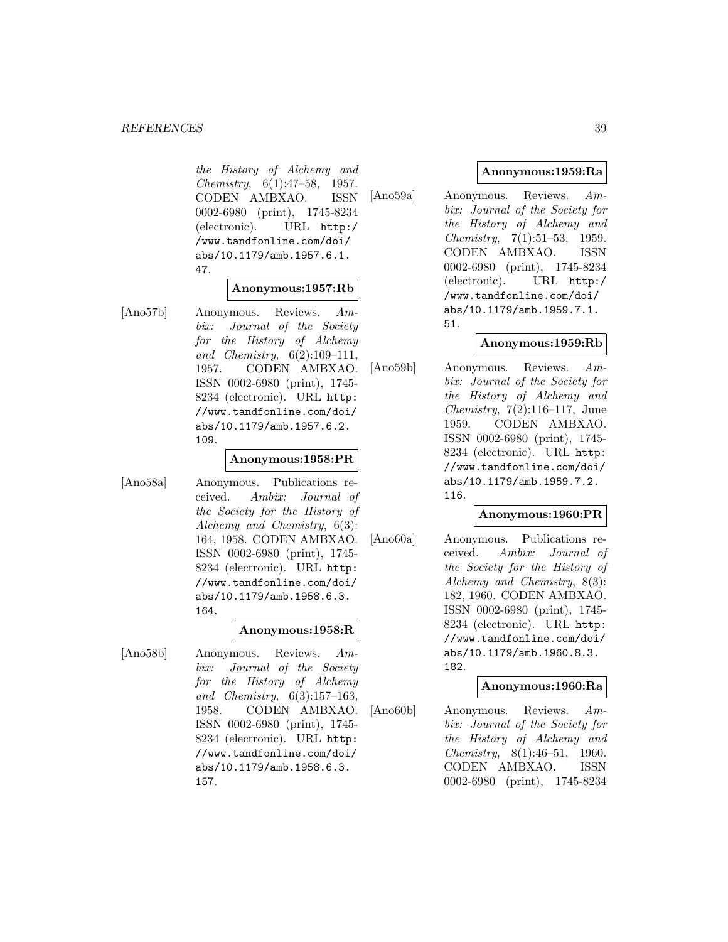the History of Alchemy and Chemistry, 6(1):47–58, 1957. CODEN AMBXAO. ISSN 0002-6980 (print), 1745-8234 (electronic). URL http:/ /www.tandfonline.com/doi/ abs/10.1179/amb.1957.6.1. 47.

### **Anonymous:1957:Rb**

[Ano57b] Anonymous. Reviews. Ambix: Journal of the Society for the History of Alchemy and Chemistry, 6(2):109–111, 1957. CODEN AMBXAO. ISSN 0002-6980 (print), 1745- 8234 (electronic). URL http: //www.tandfonline.com/doi/ abs/10.1179/amb.1957.6.2. 109.

#### **Anonymous:1958:PR**

[Ano58a] Anonymous. Publications received. Ambix: Journal of the Society for the History of Alchemy and Chemistry, 6(3): 164, 1958. CODEN AMBXAO. ISSN 0002-6980 (print), 1745- 8234 (electronic). URL http: //www.tandfonline.com/doi/ abs/10.1179/amb.1958.6.3. 164.

### **Anonymous:1958:R**

[Ano58b] Anonymous. Reviews. Ambix: Journal of the Society for the History of Alchemy and Chemistry, 6(3):157–163, 1958. CODEN AMBXAO. ISSN 0002-6980 (print), 1745- 8234 (electronic). URL http: //www.tandfonline.com/doi/ abs/10.1179/amb.1958.6.3. 157.

## **Anonymous:1959:Ra**

[Ano59a] Anonymous. Reviews. Ambix: Journal of the Society for the History of Alchemy and Chemistry, 7(1):51–53, 1959. CODEN AMBXAO. ISSN 0002-6980 (print), 1745-8234 (electronic). URL http:/ /www.tandfonline.com/doi/ abs/10.1179/amb.1959.7.1. 51.

### **Anonymous:1959:Rb**

[Ano59b] Anonymous. Reviews. Ambix: Journal of the Society for the History of Alchemy and Chemistry, 7(2):116–117, June 1959. CODEN AMBXAO. ISSN 0002-6980 (print), 1745- 8234 (electronic). URL http: //www.tandfonline.com/doi/ abs/10.1179/amb.1959.7.2. 116.

### **Anonymous:1960:PR**

[Ano60a] Anonymous. Publications received. Ambix: Journal of the Society for the History of Alchemy and Chemistry, 8(3): 182, 1960. CODEN AMBXAO. ISSN 0002-6980 (print), 1745- 8234 (electronic). URL http: //www.tandfonline.com/doi/ abs/10.1179/amb.1960.8.3. 182.

### **Anonymous:1960:Ra**

[Ano60b] Anonymous. Reviews. Ambix: Journal of the Society for the History of Alchemy and Chemistry, 8(1):46–51, 1960. CODEN AMBXAO. ISSN 0002-6980 (print), 1745-8234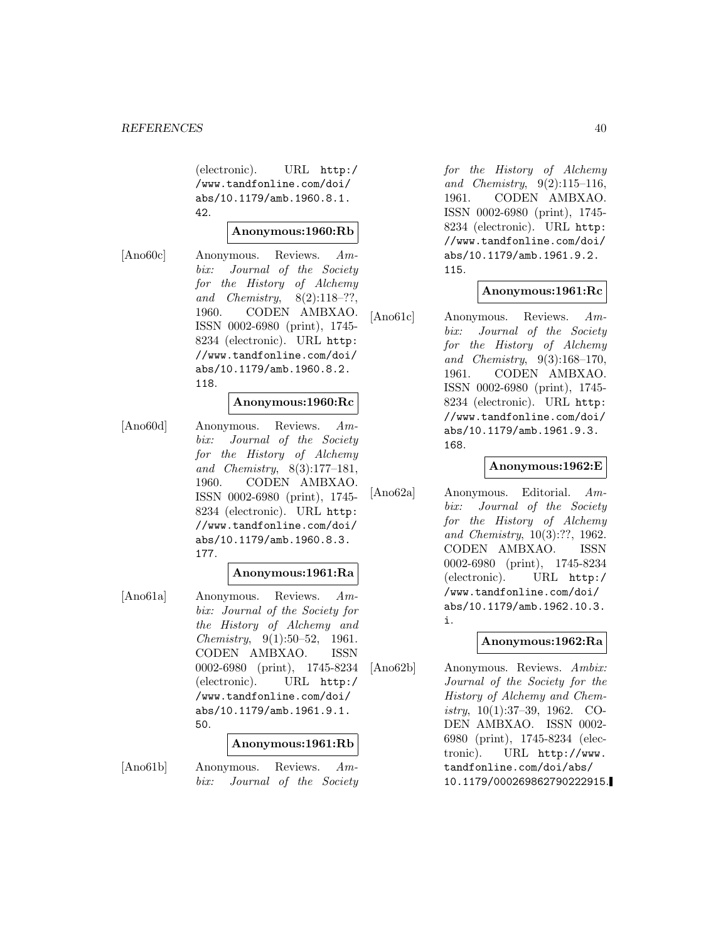(electronic). URL http:/ /www.tandfonline.com/doi/ abs/10.1179/amb.1960.8.1. 42

#### **Anonymous:1960:Rb**

[Ano60c] Anonymous. Reviews. Ambix: Journal of the Society for the History of Alchemy and *Chemistry*,  $8(2):118-??$ , 1960. CODEN AMBXAO. ISSN 0002-6980 (print), 1745- 8234 (electronic). URL http: //www.tandfonline.com/doi/ abs/10.1179/amb.1960.8.2. 118.

#### **Anonymous:1960:Rc**

[Ano60d] Anonymous. Reviews. Ambix: Journal of the Society for the History of Alchemy and Chemistry, 8(3):177–181, 1960. CODEN AMBXAO. ISSN 0002-6980 (print), 1745- 8234 (electronic). URL http: //www.tandfonline.com/doi/ abs/10.1179/amb.1960.8.3. 177.

#### **Anonymous:1961:Ra**

[Ano61a] Anonymous. Reviews. Ambix: Journal of the Society for the History of Alchemy and Chemistry, 9(1):50–52, 1961. CODEN AMBXAO. ISSN 0002-6980 (print), 1745-8234 (electronic). URL http:/ /www.tandfonline.com/doi/ abs/10.1179/amb.1961.9.1. 50.

#### **Anonymous:1961:Rb**

[Ano61b] Anonymous. Reviews. Ambix: Journal of the Society for the History of Alchemy and Chemistry, 9(2):115–116, 1961. CODEN AMBXAO. ISSN 0002-6980 (print), 1745- 8234 (electronic). URL http: //www.tandfonline.com/doi/ abs/10.1179/amb.1961.9.2. 115.

#### **Anonymous:1961:Rc**

[Ano61c] Anonymous. Reviews. Ambix: Journal of the Society for the History of Alchemy and Chemistry, 9(3):168–170, 1961. CODEN AMBXAO. ISSN 0002-6980 (print), 1745- 8234 (electronic). URL http: //www.tandfonline.com/doi/ abs/10.1179/amb.1961.9.3. 168.

#### **Anonymous:1962:E**

[Ano62a] Anonymous. Editorial. Ambix: Journal of the Society for the History of Alchemy and Chemistry, 10(3):??, 1962. CODEN AMBXAO. ISSN 0002-6980 (print), 1745-8234 (electronic). URL http:/ /www.tandfonline.com/doi/ abs/10.1179/amb.1962.10.3. i.

### **Anonymous:1962:Ra**

[Ano62b] Anonymous. Reviews. Ambix: Journal of the Society for the History of Alchemy and Chemistry,  $10(1):37-39$ , 1962. CO-DEN AMBXAO. ISSN 0002- 6980 (print), 1745-8234 (electronic). URL http://www. tandfonline.com/doi/abs/ 10.1179/000269862790222915.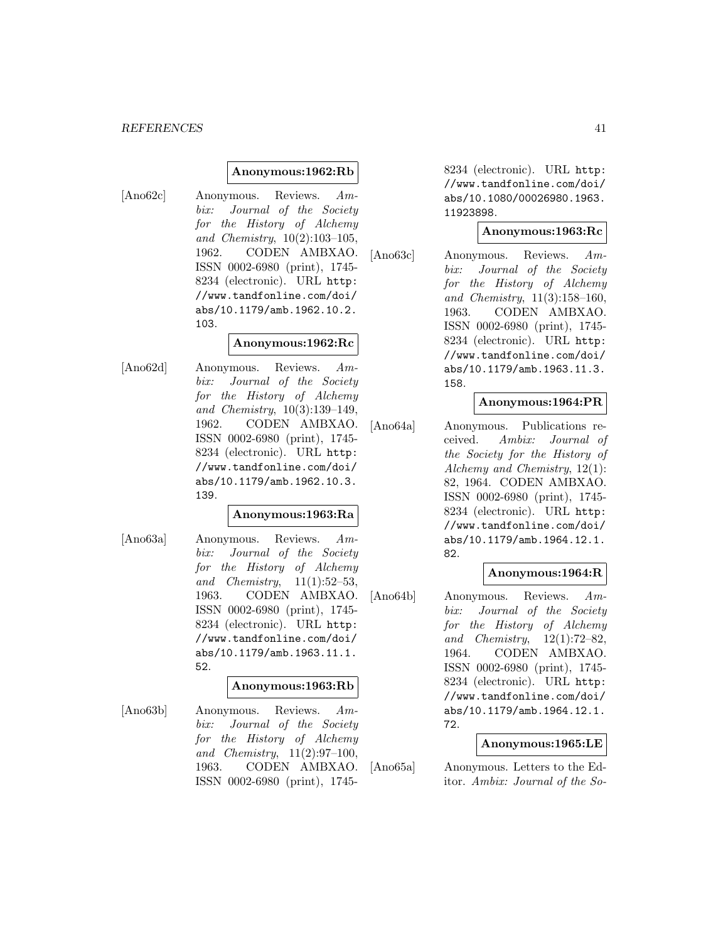#### **Anonymous:1962:Rb**

[Ano62c] Anonymous. Reviews. Ambix: Journal of the Society for the History of Alchemy and Chemistry, 10(2):103–105, 1962. CODEN AMBXAO. ISSN 0002-6980 (print), 1745- 8234 (electronic). URL http: //www.tandfonline.com/doi/ abs/10.1179/amb.1962.10.2. 103.

#### **Anonymous:1962:Rc**

[Ano62d] Anonymous. Reviews. Ambix: Journal of the Society for the History of Alchemy and Chemistry, 10(3):139–149, 1962. CODEN AMBXAO. ISSN 0002-6980 (print), 1745- 8234 (electronic). URL http: //www.tandfonline.com/doi/ abs/10.1179/amb.1962.10.3. 139.

### **Anonymous:1963:Ra**

[Ano63a] Anonymous. Reviews. Ambix: Journal of the Society for the History of Alchemy and Chemistry, 11(1):52–53, 1963. CODEN AMBXAO. ISSN 0002-6980 (print), 1745- 8234 (electronic). URL http: //www.tandfonline.com/doi/ abs/10.1179/amb.1963.11.1. 52.

### **Anonymous:1963:Rb**

[Ano63b] Anonymous. Reviews. Ambix: Journal of the Society for the History of Alchemy and Chemistry, 11(2):97–100, 1963. CODEN AMBXAO. ISSN 0002-6980 (print), 17458234 (electronic). URL http: //www.tandfonline.com/doi/ abs/10.1080/00026980.1963. 11923898.

#### **Anonymous:1963:Rc**

[Ano63c] Anonymous. Reviews. Ambix: Journal of the Society for the History of Alchemy and Chemistry, 11(3):158–160, 1963. CODEN AMBXAO. ISSN 0002-6980 (print), 1745- 8234 (electronic). URL http: //www.tandfonline.com/doi/ abs/10.1179/amb.1963.11.3. 158.

### **Anonymous:1964:PR**

[Ano64a] Anonymous. Publications received. Ambix: Journal of the Society for the History of Alchemy and Chemistry, 12(1): 82, 1964. CODEN AMBXAO. ISSN 0002-6980 (print), 1745- 8234 (electronic). URL http: //www.tandfonline.com/doi/ abs/10.1179/amb.1964.12.1. 82.

### **Anonymous:1964:R**

[Ano64b] Anonymous. Reviews. Ambix: Journal of the Society for the History of Alchemy and Chemistry,  $12(1)$ :72–82, 1964. CODEN AMBXAO. ISSN 0002-6980 (print), 1745- 8234 (electronic). URL http: //www.tandfonline.com/doi/ abs/10.1179/amb.1964.12.1. 72.

### **Anonymous:1965:LE**

[Ano65a] Anonymous. Letters to the Editor. Ambix: Journal of the So-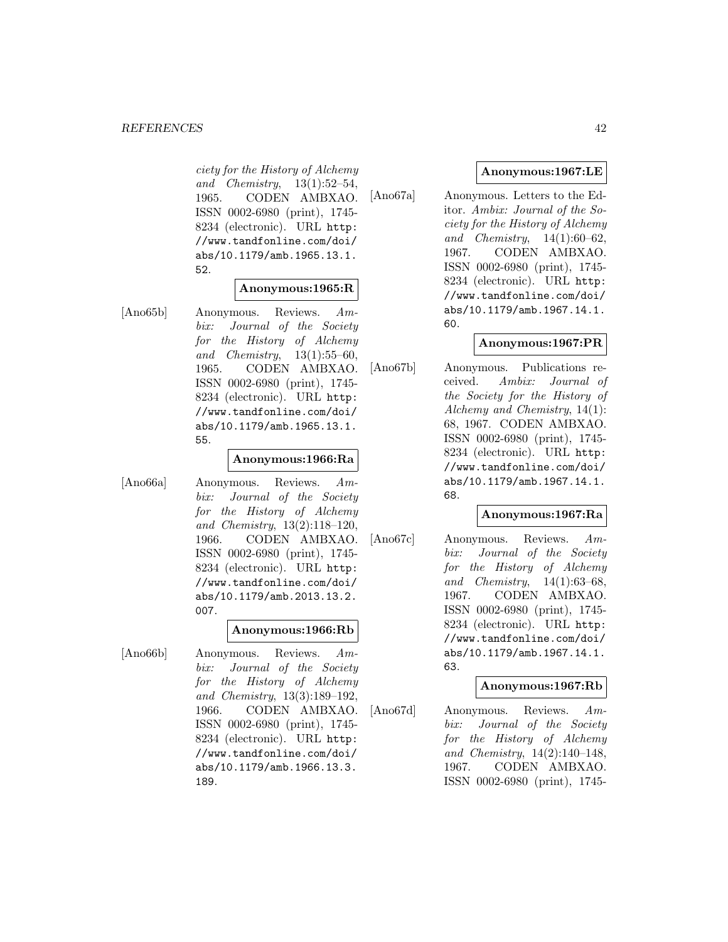ciety for the History of Alchemy and Chemistry, 13(1):52–54, 1965. CODEN AMBXAO. ISSN 0002-6980 (print), 1745- 8234 (electronic). URL http: //www.tandfonline.com/doi/ abs/10.1179/amb.1965.13.1. 52.

# **Anonymous:1965:R**

[Ano65b] Anonymous. Reviews. Ambix: Journal of the Society for the History of Alchemy and Chemistry,  $13(1):55-60$ , 1965. CODEN AMBXAO. ISSN 0002-6980 (print), 1745- 8234 (electronic). URL http: //www.tandfonline.com/doi/ abs/10.1179/amb.1965.13.1. 55.

#### **Anonymous:1966:Ra**

[Ano66a] Anonymous. Reviews. Ambix: Journal of the Society for the History of Alchemy and Chemistry, 13(2):118–120, 1966. CODEN AMBXAO. ISSN 0002-6980 (print), 1745- 8234 (electronic). URL http: //www.tandfonline.com/doi/ abs/10.1179/amb.2013.13.2. 007.

#### **Anonymous:1966:Rb**

[Ano66b] Anonymous. Reviews. Ambix: Journal of the Society for the History of Alchemy and Chemistry, 13(3):189–192, 1966. CODEN AMBXAO. ISSN 0002-6980 (print), 1745- 8234 (electronic). URL http: //www.tandfonline.com/doi/ abs/10.1179/amb.1966.13.3. 189.

# **Anonymous:1967:LE**

[Ano67a] Anonymous. Letters to the Editor. Ambix: Journal of the Society for the History of Alchemy and Chemistry,  $14(1):60-62$ , 1967. CODEN AMBXAO. ISSN 0002-6980 (print), 1745- 8234 (electronic). URL http: //www.tandfonline.com/doi/ abs/10.1179/amb.1967.14.1. 60.

# **Anonymous:1967:PR**

[Ano67b] Anonymous. Publications received. Ambix: Journal of the Society for the History of Alchemy and Chemistry, 14(1): 68, 1967. CODEN AMBXAO. ISSN 0002-6980 (print), 1745- 8234 (electronic). URL http: //www.tandfonline.com/doi/ abs/10.1179/amb.1967.14.1. 68.

### **Anonymous:1967:Ra**

[Ano67c] Anonymous. Reviews. Ambix: Journal of the Society for the History of Alchemy and Chemistry, 14(1):63–68, 1967. CODEN AMBXAO. ISSN 0002-6980 (print), 1745- 8234 (electronic). URL http: //www.tandfonline.com/doi/ abs/10.1179/amb.1967.14.1. 63.

### **Anonymous:1967:Rb**

[Ano67d] Anonymous. Reviews. Ambix: Journal of the Society for the History of Alchemy and Chemistry, 14(2):140–148, 1967. CODEN AMBXAO. ISSN 0002-6980 (print), 1745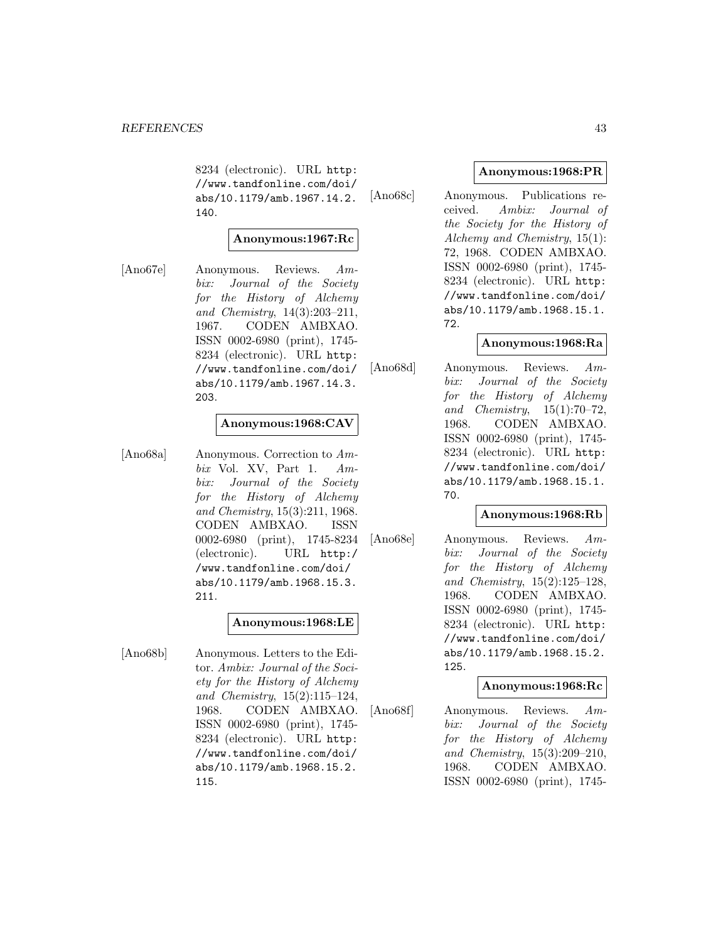8234 (electronic). URL http: //www.tandfonline.com/doi/ abs/10.1179/amb.1967.14.2. 140.

# **Anonymous:1967:Rc**

[Ano67e] Anonymous. Reviews. Ambix: Journal of the Society for the History of Alchemy and Chemistry, 14(3):203–211, 1967. CODEN AMBXAO. ISSN 0002-6980 (print), 1745- 8234 (electronic). URL http: //www.tandfonline.com/doi/ abs/10.1179/amb.1967.14.3. 203.

# **Anonymous:1968:CAV**

[Ano68a] Anonymous. Correction to Ambix Vol. XV, Part 1.  $Am$ bix: Journal of the Society for the History of Alchemy and Chemistry, 15(3):211, 1968. CODEN AMBXAO. ISSN 0002-6980 (print), 1745-8234 (electronic). URL http:/ /www.tandfonline.com/doi/ abs/10.1179/amb.1968.15.3. 211.

# **Anonymous:1968:LE**

[Ano68b] Anonymous. Letters to the Editor. Ambix: Journal of the Society for the History of Alchemy and Chemistry, 15(2):115–124, 1968. CODEN AMBXAO. ISSN 0002-6980 (print), 1745- 8234 (electronic). URL http: //www.tandfonline.com/doi/ abs/10.1179/amb.1968.15.2. 115.

## **Anonymous:1968:PR**

[Ano68c] Anonymous. Publications received. Ambix: Journal of the Society for the History of Alchemy and Chemistry, 15(1): 72, 1968. CODEN AMBXAO. ISSN 0002-6980 (print), 1745- 8234 (electronic). URL http: //www.tandfonline.com/doi/ abs/10.1179/amb.1968.15.1. 72.

# **Anonymous:1968:Ra**

[Ano68d] Anonymous. Reviews. Ambix: Journal of the Society for the History of Alchemy and Chemistry,  $15(1):70-72$ , 1968. CODEN AMBXAO. ISSN 0002-6980 (print), 1745- 8234 (electronic). URL http: //www.tandfonline.com/doi/ abs/10.1179/amb.1968.15.1. 70.

## **Anonymous:1968:Rb**

[Ano68e] Anonymous. Reviews. Ambix: Journal of the Society for the History of Alchemy and Chemistry, 15(2):125–128, 1968. CODEN AMBXAO. ISSN 0002-6980 (print), 1745- 8234 (electronic). URL http: //www.tandfonline.com/doi/ abs/10.1179/amb.1968.15.2. 125.

### **Anonymous:1968:Rc**

[Ano68f] Anonymous. Reviews. Ambix: Journal of the Society for the History of Alchemy and Chemistry, 15(3):209–210, 1968. CODEN AMBXAO. ISSN 0002-6980 (print), 1745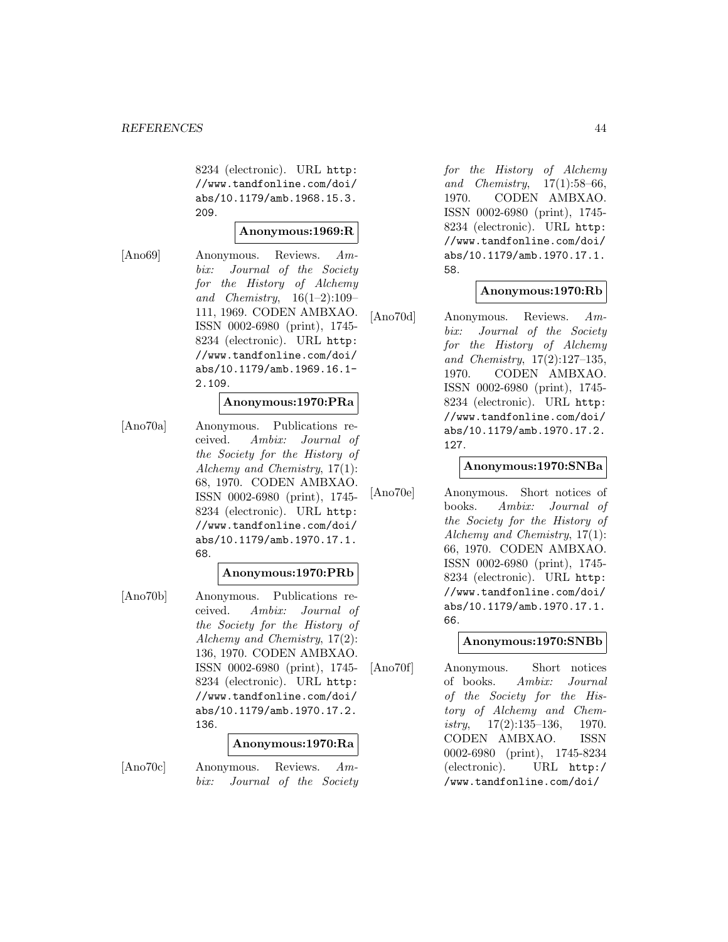8234 (electronic). URL http: //www.tandfonline.com/doi/ abs/10.1179/amb.1968.15.3. 209.

#### **Anonymous:1969:R**

[Ano69] Anonymous. Reviews. Ambix: Journal of the Society for the History of Alchemy and Chemistry,  $16(1-2):109-$ 111, 1969. CODEN AMBXAO. ISSN 0002-6980 (print), 1745- 8234 (electronic). URL http: //www.tandfonline.com/doi/ abs/10.1179/amb.1969.16.1- 2.109.

#### **Anonymous:1970:PRa**

[Ano70a] Anonymous. Publications received. Ambix: Journal of the Society for the History of Alchemy and Chemistry, 17(1): 68, 1970. CODEN AMBXAO. ISSN 0002-6980 (print), 1745- 8234 (electronic). URL http: //www.tandfonline.com/doi/ abs/10.1179/amb.1970.17.1. 68.

### **Anonymous:1970:PRb**

[Ano70b] Anonymous. Publications received. Ambix: Journal of the Society for the History of Alchemy and Chemistry, 17(2): 136, 1970. CODEN AMBXAO. ISSN 0002-6980 (print), 1745- 8234 (electronic). URL http: //www.tandfonline.com/doi/ abs/10.1179/amb.1970.17.2. 136.

#### **Anonymous:1970:Ra**

[Ano70c] Anonymous. Reviews. Ambix: Journal of the Society for the History of Alchemy and Chemistry, 17(1):58–66, 1970. CODEN AMBXAO. ISSN 0002-6980 (print), 1745- 8234 (electronic). URL http: //www.tandfonline.com/doi/ abs/10.1179/amb.1970.17.1. 58.

### **Anonymous:1970:Rb**

[Ano70d] Anonymous. Reviews. Ambix: Journal of the Society for the History of Alchemy and Chemistry, 17(2):127–135, 1970. CODEN AMBXAO. ISSN 0002-6980 (print), 1745- 8234 (electronic). URL http: //www.tandfonline.com/doi/ abs/10.1179/amb.1970.17.2. 127.

#### **Anonymous:1970:SNBa**

[Ano70e] Anonymous. Short notices of books. Ambix: Journal of the Society for the History of Alchemy and Chemistry, 17(1): 66, 1970. CODEN AMBXAO. ISSN 0002-6980 (print), 1745- 8234 (electronic). URL http: //www.tandfonline.com/doi/ abs/10.1179/amb.1970.17.1. 66.

### **Anonymous:1970:SNBb**

[Ano70f] Anonymous. Short notices of books. Ambix: Journal of the Society for the History of Alchemy and Chemistry,  $17(2):135-136$ ,  $1970$ . CODEN AMBXAO. ISSN 0002-6980 (print), 1745-8234 (electronic). URL http:/ /www.tandfonline.com/doi/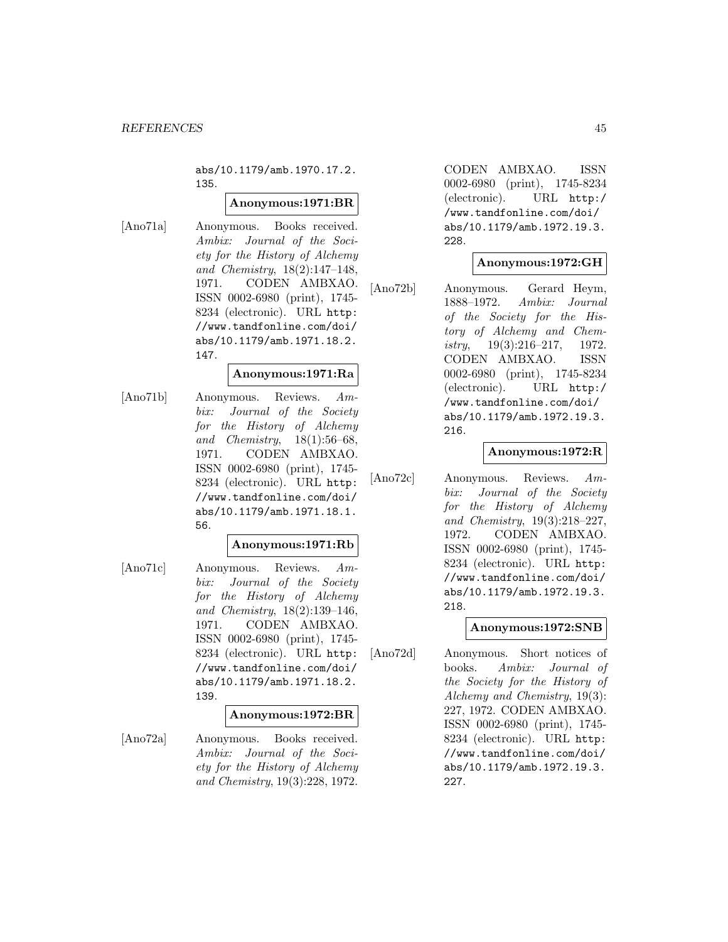abs/10.1179/amb.1970.17.2. 135.

#### **Anonymous:1971:BR**

[Ano71a] Anonymous. Books received. Ambix: Journal of the Society for the History of Alchemy and Chemistry, 18(2):147–148, 1971. CODEN AMBXAO. ISSN 0002-6980 (print), 1745- 8234 (electronic). URL http: //www.tandfonline.com/doi/ abs/10.1179/amb.1971.18.2. 147.

# **Anonymous:1971:Ra**

[Ano71b] Anonymous. Reviews. Ambix: Journal of the Society for the History of Alchemy and Chemistry, 18(1):56–68, 1971. CODEN AMBXAO. ISSN 0002-6980 (print), 1745- 8234 (electronic). URL http: //www.tandfonline.com/doi/ abs/10.1179/amb.1971.18.1. 56.

#### **Anonymous:1971:Rb**

[Ano71c] Anonymous. Reviews. Ambix: Journal of the Society for the History of Alchemy and Chemistry, 18(2):139–146, 1971. CODEN AMBXAO. ISSN 0002-6980 (print), 1745- 8234 (electronic). URL http: //www.tandfonline.com/doi/ abs/10.1179/amb.1971.18.2. 139.

#### **Anonymous:1972:BR**

[Ano72a] Anonymous. Books received. Ambix: Journal of the Society for the History of Alchemy and Chemistry, 19(3):228, 1972.

CODEN AMBXAO. ISSN 0002-6980 (print), 1745-8234 (electronic). URL http:/ /www.tandfonline.com/doi/ abs/10.1179/amb.1972.19.3. 228.

### **Anonymous:1972:GH**

[Ano72b] Anonymous. Gerard Heym, 1888–1972. Ambix: Journal of the Society for the History of Alchemy and Chemistry,  $19(3):216-217$ ,  $1972$ . CODEN AMBXAO. ISSN 0002-6980 (print), 1745-8234 (electronic). URL http:/ /www.tandfonline.com/doi/ abs/10.1179/amb.1972.19.3. 216.

### **Anonymous:1972:R**

[Ano72c] Anonymous. Reviews. Ambix: Journal of the Society for the History of Alchemy and Chemistry, 19(3):218–227, 1972. CODEN AMBXAO. ISSN 0002-6980 (print), 1745- 8234 (electronic). URL http: //www.tandfonline.com/doi/ abs/10.1179/amb.1972.19.3. 218.

# **Anonymous:1972:SNB**

[Ano72d] Anonymous. Short notices of books. Ambix: Journal of the Society for the History of Alchemy and Chemistry, 19(3): 227, 1972. CODEN AMBXAO. ISSN 0002-6980 (print), 1745- 8234 (electronic). URL http: //www.tandfonline.com/doi/ abs/10.1179/amb.1972.19.3. 227.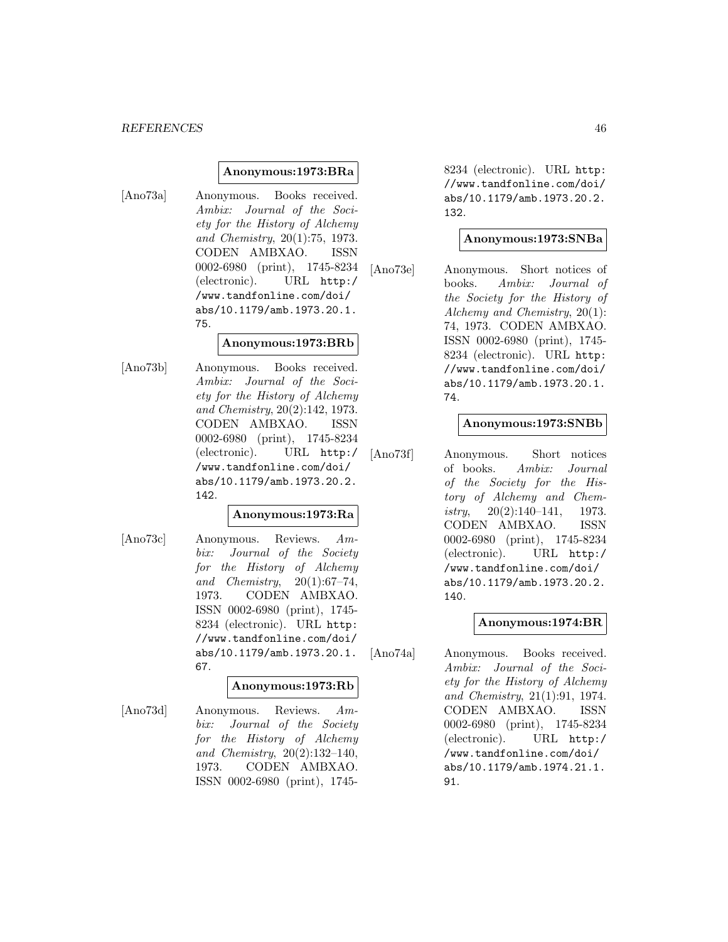#### **Anonymous:1973:BRa**

[Ano73a] Anonymous. Books received. Ambix: Journal of the Society for the History of Alchemy and Chemistry, 20(1):75, 1973. CODEN AMBXAO. ISSN 0002-6980 (print), 1745-8234 (electronic). URL http:/ /www.tandfonline.com/doi/ abs/10.1179/amb.1973.20.1. 75.

#### **Anonymous:1973:BRb**

[Ano73b] Anonymous. Books received. Ambix: Journal of the Society for the History of Alchemy and Chemistry, 20(2):142, 1973. CODEN AMBXAO. ISSN 0002-6980 (print), 1745-8234 (electronic). URL http:/ /www.tandfonline.com/doi/ abs/10.1179/amb.1973.20.2. 142.

#### **Anonymous:1973:Ra**

[Ano73c] Anonymous. Reviews. Ambix: Journal of the Society for the History of Alchemy and Chemistry, 20(1):67–74, 1973. CODEN AMBXAO. ISSN 0002-6980 (print), 1745- 8234 (electronic). URL http: //www.tandfonline.com/doi/ abs/10.1179/amb.1973.20.1. 67.

# **Anonymous:1973:Rb**

[Ano73d] Anonymous. Reviews. Ambix: Journal of the Society for the History of Alchemy and Chemistry, 20(2):132–140, 1973. CODEN AMBXAO. ISSN 0002-6980 (print), 17458234 (electronic). URL http: //www.tandfonline.com/doi/ abs/10.1179/amb.1973.20.2. 132.

### **Anonymous:1973:SNBa**

[Ano73e] Anonymous. Short notices of books. Ambix: Journal of the Society for the History of Alchemy and Chemistry, 20(1): 74, 1973. CODEN AMBXAO. ISSN 0002-6980 (print), 1745- 8234 (electronic). URL http: //www.tandfonline.com/doi/ abs/10.1179/amb.1973.20.1. 74.

### **Anonymous:1973:SNBb**

[Ano73f] Anonymous. Short notices of books. Ambix: Journal of the Society for the History of Alchemy and Chemistry,  $20(2):140-141$ , 1973. CODEN AMBXAO. ISSN 0002-6980 (print), 1745-8234 (electronic). URL http:/ /www.tandfonline.com/doi/ abs/10.1179/amb.1973.20.2. 140.

### **Anonymous:1974:BR**

[Ano74a] Anonymous. Books received. Ambix: Journal of the Society for the History of Alchemy and Chemistry, 21(1):91, 1974. CODEN AMBXAO. ISSN 0002-6980 (print), 1745-8234 (electronic). URL http:/ /www.tandfonline.com/doi/ abs/10.1179/amb.1974.21.1. 91.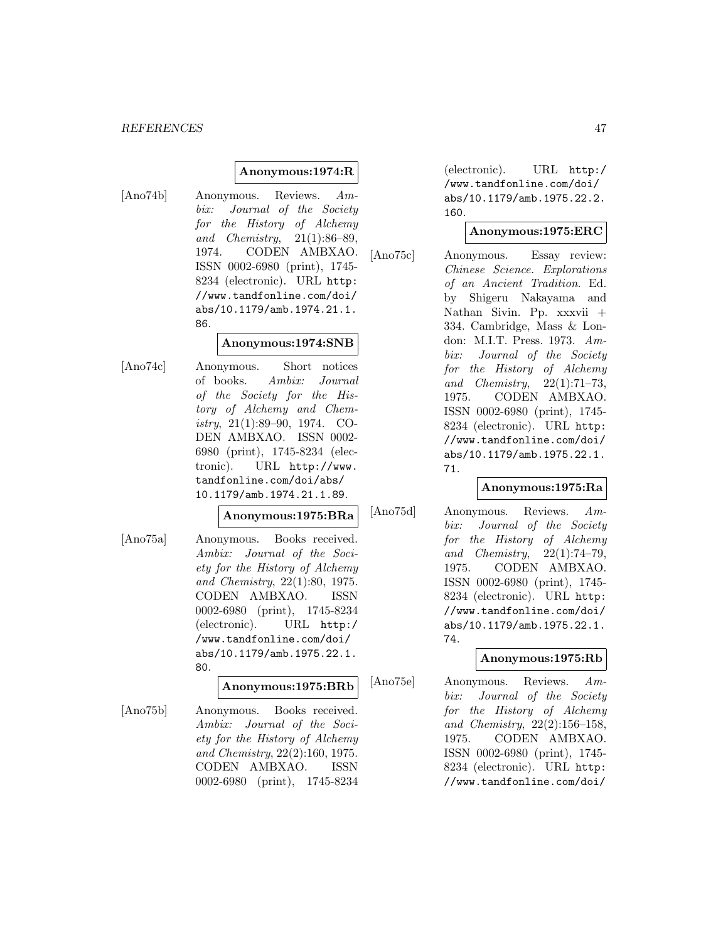### **Anonymous:1974:R**

[Ano74b] Anonymous. Reviews. Ambix: Journal of the Society for the History of Alchemy and Chemistry, 21(1):86–89, 1974. CODEN AMBXAO. ISSN 0002-6980 (print), 1745- 8234 (electronic). URL http: //www.tandfonline.com/doi/ abs/10.1179/amb.1974.21.1. 86.

### **Anonymous:1974:SNB**

[Ano74c] Anonymous. Short notices of books. Ambix: Journal of the Society for the History of Alchemy and Chemistry, 21(1):89–90, 1974. CO-DEN AMBXAO. ISSN 0002- 6980 (print), 1745-8234 (electronic). URL http://www. tandfonline.com/doi/abs/ 10.1179/amb.1974.21.1.89.

# **Anonymous:1975:BRa**

[Ano75a] Anonymous. Books received. Ambix: Journal of the Society for the History of Alchemy and Chemistry, 22(1):80, 1975. CODEN AMBXAO. ISSN 0002-6980 (print), 1745-8234 (electronic). URL http:/ /www.tandfonline.com/doi/ abs/10.1179/amb.1975.22.1. 80.

# **Anonymous:1975:BRb**

[Ano75b] Anonymous. Books received. Ambix: Journal of the Society for the History of Alchemy and Chemistry, 22(2):160, 1975. CODEN AMBXAO. ISSN 0002-6980 (print), 1745-8234

(electronic). URL http:/ /www.tandfonline.com/doi/ abs/10.1179/amb.1975.22.2. 160.

#### **Anonymous:1975:ERC**

[Ano75c] Anonymous. Essay review: Chinese Science. Explorations of an Ancient Tradition. Ed. by Shigeru Nakayama and Nathan Sivin. Pp. xxxvii + 334. Cambridge, Mass & London: M.I.T. Press. 1973. Ambix: Journal of the Society for the History of Alchemy and Chemistry, 22(1):71–73, 1975. CODEN AMBXAO. ISSN 0002-6980 (print), 1745- 8234 (electronic). URL http: //www.tandfonline.com/doi/ abs/10.1179/amb.1975.22.1. 71.

# **Anonymous:1975:Ra**

[Ano75d] Anonymous. Reviews. Ambix: Journal of the Society for the History of Alchemy and Chemistry, 22(1):74–79, 1975. CODEN AMBXAO. ISSN 0002-6980 (print), 1745- 8234 (electronic). URL http: //www.tandfonline.com/doi/ abs/10.1179/amb.1975.22.1. 74.

### **Anonymous:1975:Rb**

[Ano75e] Anonymous. Reviews. Ambix: Journal of the Society for the History of Alchemy and Chemistry, 22(2):156–158, 1975. CODEN AMBXAO. ISSN 0002-6980 (print), 1745- 8234 (electronic). URL http: //www.tandfonline.com/doi/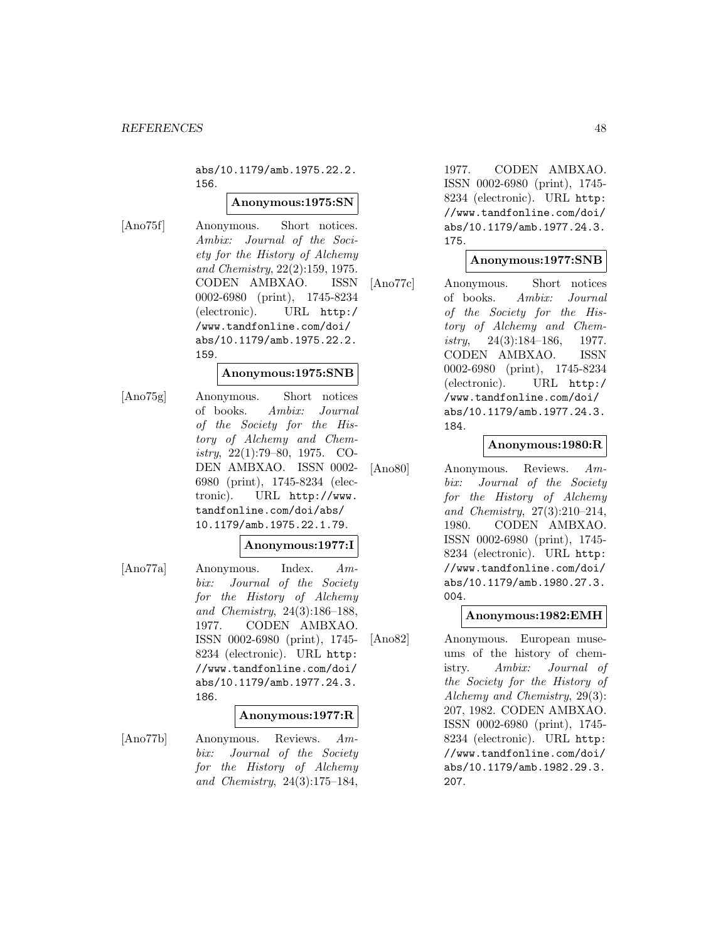abs/10.1179/amb.1975.22.2. 156.

#### **Anonymous:1975:SN**

[Ano75f] Anonymous. Short notices. Ambix: Journal of the Society for the History of Alchemy and Chemistry, 22(2):159, 1975. CODEN AMBXAO. ISSN 0002-6980 (print), 1745-8234 (electronic). URL http:/ /www.tandfonline.com/doi/ abs/10.1179/amb.1975.22.2. 159.

# **Anonymous:1975:SNB**

[Ano75g] Anonymous. Short notices of books. Ambix: Journal of the Society for the History of Alchemy and Chemistry, 22(1):79–80, 1975. CO-DEN AMBXAO. ISSN 0002- 6980 (print), 1745-8234 (electronic). URL http://www. tandfonline.com/doi/abs/ 10.1179/amb.1975.22.1.79.

#### **Anonymous:1977:I**

[Ano77a] Anonymous. Index. Ambix: Journal of the Society for the History of Alchemy and Chemistry, 24(3):186–188, 1977. CODEN AMBXAO. ISSN 0002-6980 (print), 1745- 8234 (electronic). URL http: //www.tandfonline.com/doi/ abs/10.1179/amb.1977.24.3. 186.

#### **Anonymous:1977:R**

[Ano77b] Anonymous. Reviews. Ambix: Journal of the Society for the History of Alchemy and Chemistry, 24(3):175–184,

1977. CODEN AMBXAO. ISSN 0002-6980 (print), 1745- 8234 (electronic). URL http: //www.tandfonline.com/doi/ abs/10.1179/amb.1977.24.3. 175.

# **Anonymous:1977:SNB**

[Ano77c] Anonymous. Short notices of books. Ambix: Journal of the Society for the History of Alchemy and Chemistry,  $24(3):184-186$ , 1977. CODEN AMBXAO. ISSN 0002-6980 (print), 1745-8234 (electronic). URL http:/ /www.tandfonline.com/doi/ abs/10.1179/amb.1977.24.3. 184.

### **Anonymous:1980:R**

[Ano80] Anonymous. Reviews. Ambix: Journal of the Society for the History of Alchemy and Chemistry, 27(3):210–214, 1980. CODEN AMBXAO. ISSN 0002-6980 (print), 1745- 8234 (electronic). URL http: //www.tandfonline.com/doi/ abs/10.1179/amb.1980.27.3. 004.

## **Anonymous:1982:EMH**

[Ano82] Anonymous. European museums of the history of chemistry. Ambix: Journal of the Society for the History of Alchemy and Chemistry, 29(3): 207, 1982. CODEN AMBXAO. ISSN 0002-6980 (print), 1745- 8234 (electronic). URL http: //www.tandfonline.com/doi/ abs/10.1179/amb.1982.29.3. 207.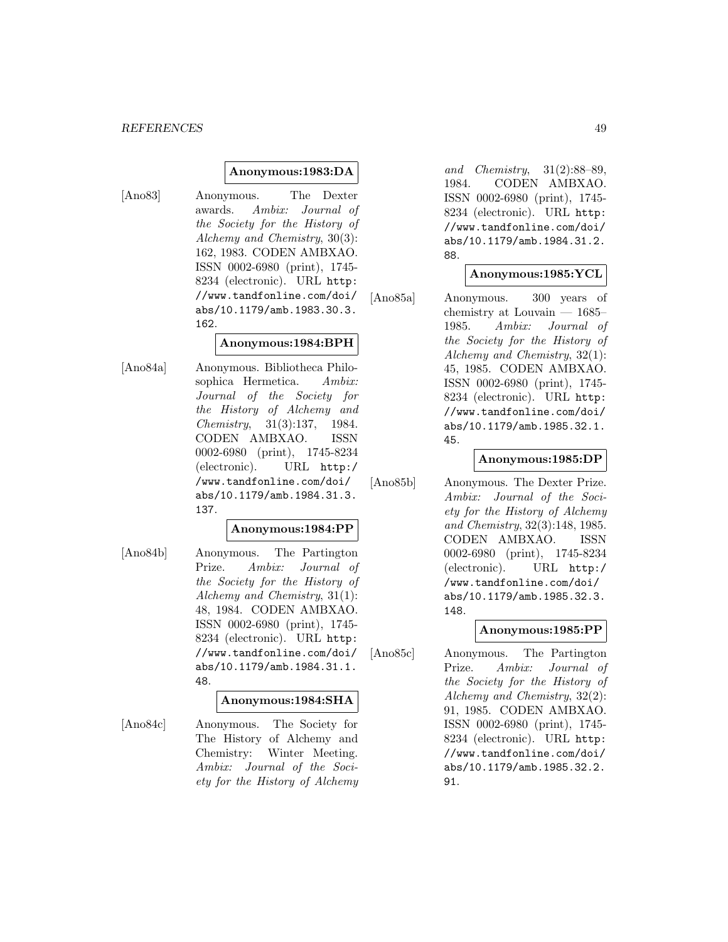#### **Anonymous:1983:DA**

[Ano83] Anonymous. The Dexter awards. Ambix: Journal of the Society for the History of Alchemy and Chemistry, 30(3): 162, 1983. CODEN AMBXAO. ISSN 0002-6980 (print), 1745- 8234 (electronic). URL http: //www.tandfonline.com/doi/ abs/10.1179/amb.1983.30.3. 162.

# **Anonymous:1984:BPH**

[Ano84a] Anonymous. Bibliotheca Philosophica Hermetica. Ambix: Journal of the Society for the History of Alchemy and Chemistry, 31(3):137, 1984. CODEN AMBXAO. ISSN 0002-6980 (print), 1745-8234 (electronic). URL http:/ /www.tandfonline.com/doi/ abs/10.1179/amb.1984.31.3. 137.

#### **Anonymous:1984:PP**

[Ano84b] Anonymous. The Partington Prize. Ambix: Journal of the Society for the History of Alchemy and Chemistry, 31(1): 48, 1984. CODEN AMBXAO. ISSN 0002-6980 (print), 1745- 8234 (electronic). URL http: //www.tandfonline.com/doi/ abs/10.1179/amb.1984.31.1. 48.

**Anonymous:1984:SHA**

[Ano84c] Anonymous. The Society for The History of Alchemy and Chemistry: Winter Meeting. Ambix: Journal of the Society for the History of Alchemy and Chemistry, 31(2):88–89, 1984. CODEN AMBXAO. ISSN 0002-6980 (print), 1745- 8234 (electronic). URL http: //www.tandfonline.com/doi/ abs/10.1179/amb.1984.31.2. 88.

# **Anonymous:1985:YCL**

[Ano85a] Anonymous. 300 years of chemistry at Louvain — 1685– 1985. Ambix: Journal of the Society for the History of Alchemy and Chemistry, 32(1): 45, 1985. CODEN AMBXAO. ISSN 0002-6980 (print), 1745- 8234 (electronic). URL http: //www.tandfonline.com/doi/ abs/10.1179/amb.1985.32.1. 45.

#### **Anonymous:1985:DP**

[Ano85b] Anonymous. The Dexter Prize. Ambix: Journal of the Society for the History of Alchemy and Chemistry, 32(3):148, 1985. CODEN AMBXAO. ISSN 0002-6980 (print), 1745-8234 (electronic). URL http:/ /www.tandfonline.com/doi/ abs/10.1179/amb.1985.32.3. 148.

# **Anonymous:1985:PP**

[Ano85c] Anonymous. The Partington Prize. Ambix: Journal of the Society for the History of Alchemy and Chemistry, 32(2): 91, 1985. CODEN AMBXAO. ISSN 0002-6980 (print), 1745- 8234 (electronic). URL http: //www.tandfonline.com/doi/ abs/10.1179/amb.1985.32.2. 91.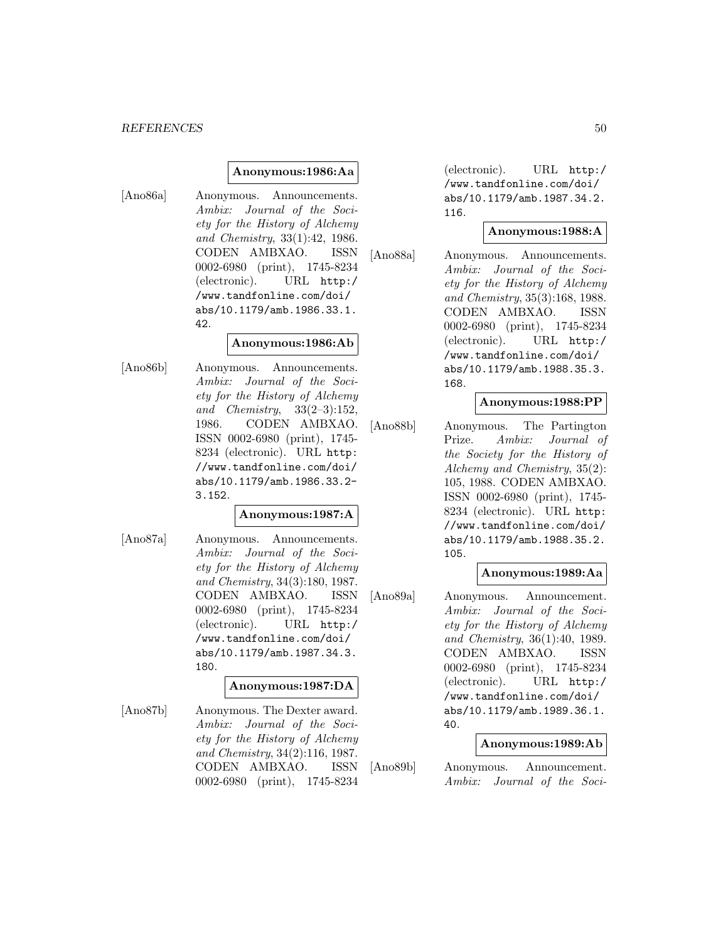#### **Anonymous:1986:Aa**

[Ano86a] Anonymous. Announcements. Ambix: Journal of the Society for the History of Alchemy and Chemistry, 33(1):42, 1986. CODEN AMBXAO. ISSN 0002-6980 (print), 1745-8234 (electronic). URL http:/ /www.tandfonline.com/doi/ abs/10.1179/amb.1986.33.1. 42.

#### **Anonymous:1986:Ab**

[Ano86b] Anonymous. Announcements. Ambix: Journal of the Society for the History of Alchemy and Chemistry, 33(2–3):152, 1986. CODEN AMBXAO. ISSN 0002-6980 (print), 1745- 8234 (electronic). URL http: //www.tandfonline.com/doi/ abs/10.1179/amb.1986.33.2- 3.152.

### **Anonymous:1987:A**

[Ano87a] Anonymous. Announcements. Ambix: Journal of the Society for the History of Alchemy and Chemistry, 34(3):180, 1987. CODEN AMBXAO. ISSN 0002-6980 (print), 1745-8234 (electronic). URL http:/ /www.tandfonline.com/doi/ abs/10.1179/amb.1987.34.3. 180.

### **Anonymous:1987:DA**

[Ano87b] Anonymous. The Dexter award. Ambix: Journal of the Society for the History of Alchemy and Chemistry, 34(2):116, 1987. CODEN AMBXAO. ISSN 0002-6980 (print), 1745-8234

(electronic). URL http:/ /www.tandfonline.com/doi/ abs/10.1179/amb.1987.34.2. 116.

#### **Anonymous:1988:A**

[Ano88a] Anonymous. Announcements. Ambix: Journal of the Society for the History of Alchemy and Chemistry, 35(3):168, 1988. CODEN AMBXAO. ISSN 0002-6980 (print), 1745-8234 (electronic). URL http:/ /www.tandfonline.com/doi/ abs/10.1179/amb.1988.35.3. 168.

### **Anonymous:1988:PP**

[Ano88b] Anonymous. The Partington Prize. Ambix: Journal of the Society for the History of Alchemy and Chemistry, 35(2): 105, 1988. CODEN AMBXAO. ISSN 0002-6980 (print), 1745- 8234 (electronic). URL http: //www.tandfonline.com/doi/ abs/10.1179/amb.1988.35.2. 105.

#### **Anonymous:1989:Aa**

[Ano89a] Anonymous. Announcement. Ambix: Journal of the Society for the History of Alchemy and Chemistry, 36(1):40, 1989. CODEN AMBXAO. ISSN 0002-6980 (print), 1745-8234 (electronic). URL http:/ /www.tandfonline.com/doi/ abs/10.1179/amb.1989.36.1. 40.

### **Anonymous:1989:Ab**

[Ano89b] Anonymous. Announcement. Ambix: Journal of the Soci-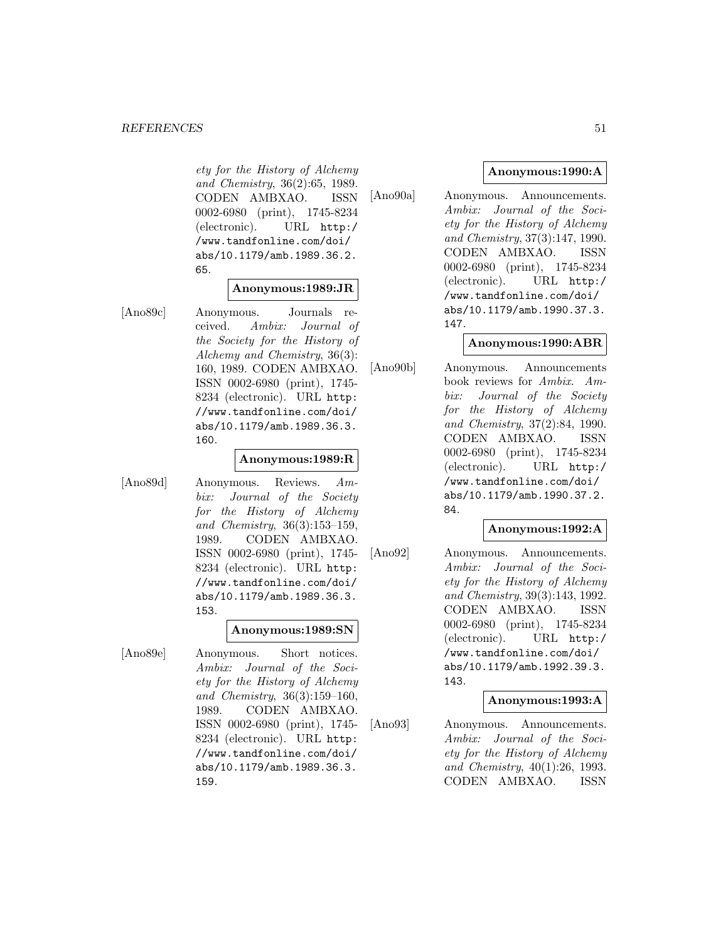ety for the History of Alchemy and Chemistry, 36(2):65, 1989. CODEN AMBXAO. ISSN 0002-6980 (print), 1745-8234 (electronic). URL http:/ /www.tandfonline.com/doi/ abs/10.1179/amb.1989.36.2. 65.

#### **Anonymous:1989:JR**

[Ano89c] Anonymous. Journals received. Ambix: Journal of the Society for the History of Alchemy and Chemistry, 36(3): 160, 1989. CODEN AMBXAO. ISSN 0002-6980 (print), 1745- 8234 (electronic). URL http: //www.tandfonline.com/doi/ abs/10.1179/amb.1989.36.3. 160.

#### **Anonymous:1989:R**

[Ano89d] Anonymous. Reviews. Ambix: Journal of the Society for the History of Alchemy and Chemistry, 36(3):153–159, 1989. CODEN AMBXAO. ISSN 0002-6980 (print), 1745- 8234 (electronic). URL http: //www.tandfonline.com/doi/ abs/10.1179/amb.1989.36.3. 153.

### **Anonymous:1989:SN**

[Ano89e] Anonymous. Short notices. Ambix: Journal of the Society for the History of Alchemy and Chemistry, 36(3):159–160, 1989. CODEN AMBXAO. ISSN 0002-6980 (print), 1745- 8234 (electronic). URL http: //www.tandfonline.com/doi/ abs/10.1179/amb.1989.36.3. 159.

### **Anonymous:1990:A**

[Ano90a] Anonymous. Announcements. Ambix: Journal of the Society for the History of Alchemy and Chemistry, 37(3):147, 1990. CODEN AMBXAO. ISSN 0002-6980 (print), 1745-8234 (electronic). URL http:/ /www.tandfonline.com/doi/ abs/10.1179/amb.1990.37.3. 147.

### **Anonymous:1990:ABR**

[Ano90b] Anonymous. Announcements book reviews for Ambix. Ambix: Journal of the Society for the History of Alchemy and Chemistry, 37(2):84, 1990. CODEN AMBXAO. ISSN 0002-6980 (print), 1745-8234 (electronic). URL http:/ /www.tandfonline.com/doi/ abs/10.1179/amb.1990.37.2. 84.

## **Anonymous:1992:A**

[Ano92] Anonymous. Announcements. Ambix: Journal of the Society for the History of Alchemy and Chemistry, 39(3):143, 1992. CODEN AMBXAO. ISSN 0002-6980 (print), 1745-8234 (electronic). URL http:/ /www.tandfonline.com/doi/ abs/10.1179/amb.1992.39.3. 143.

### **Anonymous:1993:A**

[Ano93] Anonymous. Announcements. Ambix: Journal of the Society for the History of Alchemy and Chemistry, 40(1):26, 1993. CODEN AMBXAO. ISSN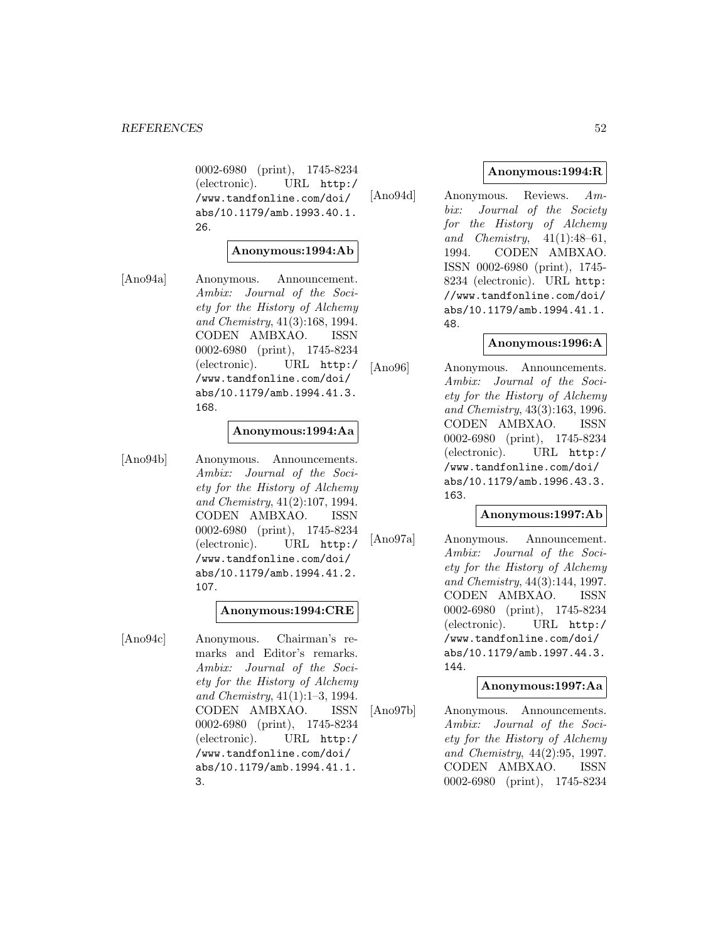0002-6980 (print), 1745-8234 (electronic). URL http:/ /www.tandfonline.com/doi/ abs/10.1179/amb.1993.40.1. 26.

#### **Anonymous:1994:Ab**

[Ano94a] Anonymous. Announcement. Ambix: Journal of the Society for the History of Alchemy and Chemistry, 41(3):168, 1994. CODEN AMBXAO. ISSN 0002-6980 (print), 1745-8234 (electronic). URL http:/ /www.tandfonline.com/doi/ abs/10.1179/amb.1994.41.3. 168.

### **Anonymous:1994:Aa**

[Ano94b] Anonymous. Announcements. Ambix: Journal of the Society for the History of Alchemy and Chemistry, 41(2):107, 1994. CODEN AMBXAO. ISSN 0002-6980 (print), 1745-8234 (electronic). URL http:/ /www.tandfonline.com/doi/ abs/10.1179/amb.1994.41.2. 107.

### **Anonymous:1994:CRE**

[Ano94c] Anonymous. Chairman's remarks and Editor's remarks. Ambix: Journal of the Society for the History of Alchemy and Chemistry, 41(1):1–3, 1994. CODEN AMBXAO. ISSN 0002-6980 (print), 1745-8234 (electronic). URL http:/ /www.tandfonline.com/doi/ abs/10.1179/amb.1994.41.1. 3.

## **Anonymous:1994:R**

[Ano94d] Anonymous. Reviews. Ambix: Journal of the Society for the History of Alchemy and Chemistry, 41(1):48–61, 1994. CODEN AMBXAO. ISSN 0002-6980 (print), 1745- 8234 (electronic). URL http: //www.tandfonline.com/doi/ abs/10.1179/amb.1994.41.1. 48.

# **Anonymous:1996:A**

[Ano96] Anonymous. Announcements. Ambix: Journal of the Society for the History of Alchemy and Chemistry, 43(3):163, 1996. CODEN AMBXAO. ISSN 0002-6980 (print), 1745-8234 (electronic). URL http:/ /www.tandfonline.com/doi/ abs/10.1179/amb.1996.43.3. 163.

### **Anonymous:1997:Ab**

[Ano97a] Anonymous. Announcement. Ambix: Journal of the Society for the History of Alchemy and Chemistry, 44(3):144, 1997. CODEN AMBXAO. ISSN 0002-6980 (print), 1745-8234 (electronic). URL http:/ /www.tandfonline.com/doi/ abs/10.1179/amb.1997.44.3. 144.

### **Anonymous:1997:Aa**

[Ano97b] Anonymous. Announcements. Ambix: Journal of the Society for the History of Alchemy and Chemistry, 44(2):95, 1997. CODEN AMBXAO. ISSN 0002-6980 (print), 1745-8234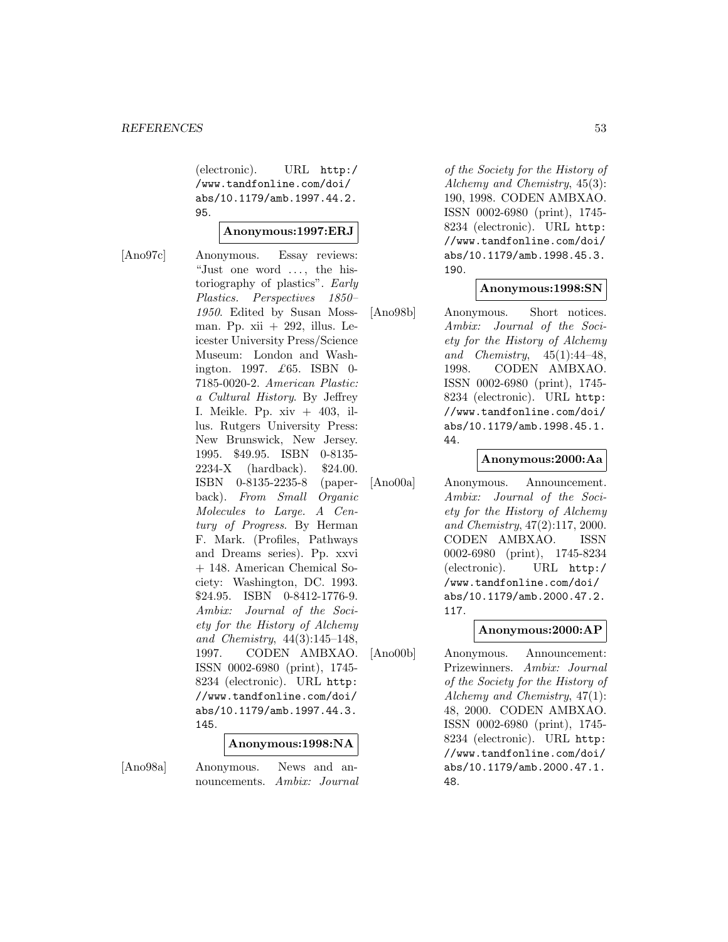(electronic). URL http:/ /www.tandfonline.com/doi/ abs/10.1179/amb.1997.44.2. 95.

#### **Anonymous:1997:ERJ**

[Ano97c] Anonymous. Essay reviews: "Just one word ..., the historiography of plastics". Early Plastics. Perspectives 1850– 1950. Edited by Susan Mossman. Pp.  $xii + 292$ , illus. Leicester University Press/Science Museum: London and Washington. 1997. £65. ISBN 0- 7185-0020-2. American Plastic: a Cultural History. By Jeffrey I. Meikle. Pp. xiv + 403, illus. Rutgers University Press: New Brunswick, New Jersey. 1995. \$49.95. ISBN 0-8135- 2234-X (hardback). \$24.00. ISBN 0-8135-2235-8 (paperback). From Small Organic Molecules to Large. A Century of Progress. By Herman F. Mark. (Profiles, Pathways and Dreams series). Pp. xxvi + 148. American Chemical Society: Washington, DC. 1993. \$24.95. ISBN 0-8412-1776-9. Ambix: Journal of the Society for the History of Alchemy and Chemistry, 44(3):145–148, 1997. CODEN AMBXAO. ISSN 0002-6980 (print), 1745- 8234 (electronic). URL http: //www.tandfonline.com/doi/ abs/10.1179/amb.1997.44.3. 145.

# **Anonymous:1998:NA**

[Ano98a] Anonymous. News and announcements. Ambix: Journal of the Society for the History of Alchemy and Chemistry, 45(3): 190, 1998. CODEN AMBXAO. ISSN 0002-6980 (print), 1745- 8234 (electronic). URL http: //www.tandfonline.com/doi/ abs/10.1179/amb.1998.45.3. 190.

### **Anonymous:1998:SN**

[Ano98b] Anonymous. Short notices. Ambix: Journal of the Society for the History of Alchemy and Chemistry,  $45(1):44-48$ , 1998. CODEN AMBXAO. ISSN 0002-6980 (print), 1745- 8234 (electronic). URL http: //www.tandfonline.com/doi/ abs/10.1179/amb.1998.45.1. 44.

### **Anonymous:2000:Aa**

[Ano00a] Anonymous. Announcement. Ambix: Journal of the Society for the History of Alchemy and Chemistry, 47(2):117, 2000. CODEN AMBXAO. ISSN 0002-6980 (print), 1745-8234 (electronic). URL http:/ /www.tandfonline.com/doi/ abs/10.1179/amb.2000.47.2. 117.

# **Anonymous:2000:AP**

[Ano00b] Anonymous. Announcement: Prizewinners. Ambix: Journal of the Society for the History of Alchemy and Chemistry, 47(1): 48, 2000. CODEN AMBXAO. ISSN 0002-6980 (print), 1745- 8234 (electronic). URL http: //www.tandfonline.com/doi/ abs/10.1179/amb.2000.47.1. 48.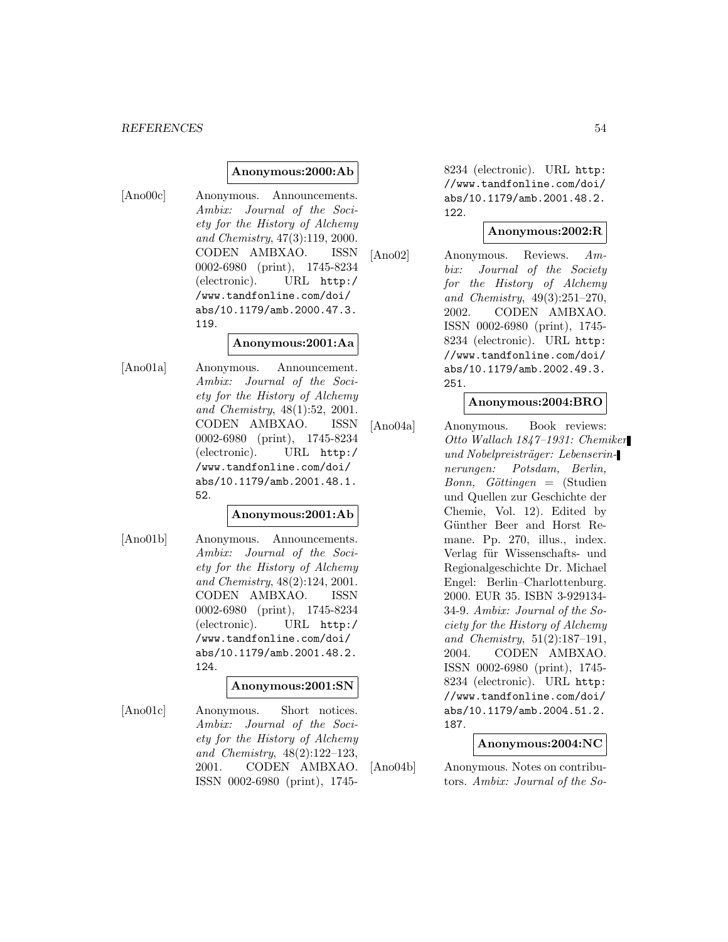#### **Anonymous:2000:Ab**

[Ano00c] Anonymous. Announcements. Ambix: Journal of the Society for the History of Alchemy and Chemistry, 47(3):119, 2000. CODEN AMBXAO. ISSN 0002-6980 (print), 1745-8234 (electronic). URL http:/ /www.tandfonline.com/doi/ abs/10.1179/amb.2000.47.3. 119.

#### **Anonymous:2001:Aa**

[Ano01a] Anonymous. Announcement. Ambix: Journal of the Society for the History of Alchemy and Chemistry, 48(1):52, 2001. CODEN AMBXAO. ISSN 0002-6980 (print), 1745-8234 (electronic). URL http:/ /www.tandfonline.com/doi/ abs/10.1179/amb.2001.48.1. 52.

#### **Anonymous:2001:Ab**

[Ano01b] Anonymous. Announcements. Ambix: Journal of the Society for the History of Alchemy and Chemistry, 48(2):124, 2001. CODEN AMBXAO. ISSN 0002-6980 (print), 1745-8234 (electronic). URL http:/ /www.tandfonline.com/doi/ abs/10.1179/amb.2001.48.2. 124.

### **Anonymous:2001:SN**

[Ano01c] Anonymous. Short notices. Ambix: Journal of the Society for the History of Alchemy and Chemistry, 48(2):122–123, 2001. CODEN AMBXAO. ISSN 0002-6980 (print), 17458234 (electronic). URL http: //www.tandfonline.com/doi/ abs/10.1179/amb.2001.48.2. 122.

#### **Anonymous:2002:R**

[Ano02] Anonymous. Reviews. Ambix: Journal of the Society for the History of Alchemy and Chemistry, 49(3):251–270, 2002. CODEN AMBXAO. ISSN 0002-6980 (print), 1745- 8234 (electronic). URL http: //www.tandfonline.com/doi/ abs/10.1179/amb.2002.49.3. 251.

#### **Anonymous:2004:BRO**

[Ano04a] Anonymous. Book reviews: Otto Wallach 1847–1931: Chemiker  $und\ Nobelpreisträger: Lebenserin$ nerungen: Potsdam, Berlin,  $Bonn, Göttingen = (Student)$ und Quellen zur Geschichte der Chemie, Vol. 12). Edited by Günther Beer and Horst Remane. Pp. 270, illus., index. Verlag für Wissenschafts- und Regionalgeschichte Dr. Michael Engel: Berlin–Charlottenburg. 2000. EUR 35. ISBN 3-929134- 34-9. Ambix: Journal of the Society for the History of Alchemy and Chemistry, 51(2):187–191, 2004. CODEN AMBXAO. ISSN 0002-6980 (print), 1745- 8234 (electronic). URL http: //www.tandfonline.com/doi/ abs/10.1179/amb.2004.51.2. 187.

#### **Anonymous:2004:NC**

[Ano04b] Anonymous. Notes on contributors. Ambix: Journal of the So-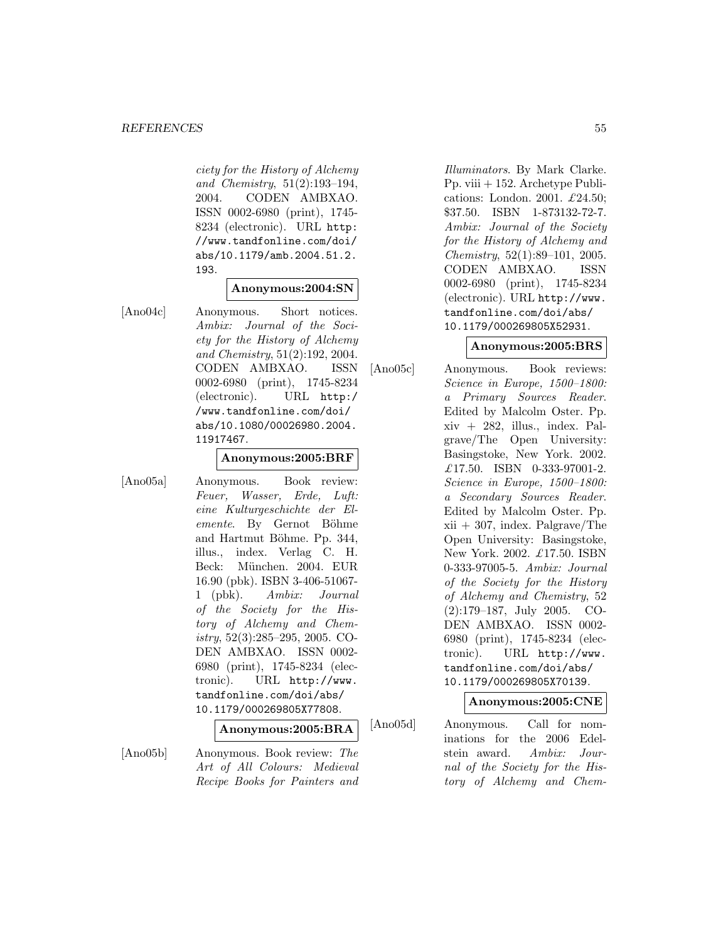ciety for the History of Alchemy and Chemistry, 51(2):193–194, 2004. CODEN AMBXAO. ISSN 0002-6980 (print), 1745- 8234 (electronic). URL http: //www.tandfonline.com/doi/ abs/10.1179/amb.2004.51.2. 193.

# **Anonymous:2004:SN**

[Ano04c] Anonymous. Short notices. Ambix: Journal of the Society for the History of Alchemy and Chemistry, 51(2):192, 2004. CODEN AMBXAO. ISSN 0002-6980 (print), 1745-8234 (electronic). URL http:/ /www.tandfonline.com/doi/ abs/10.1080/00026980.2004. 11917467.

#### **Anonymous:2005:BRF**

[Ano05a] Anonymous. Book review: Feuer, Wasser, Erde, Luft: eine Kulturgeschichte der Elemente. By Gernot Böhme and Hartmut Böhme. Pp. 344, illus., index. Verlag C. H. Beck: München. 2004. EUR 16.90 (pbk). ISBN 3-406-51067- 1 (pbk). Ambix: Journal of the Society for the History of Alchemy and Chemistry, 52(3):285–295, 2005. CO-DEN AMBXAO. ISSN 0002- 6980 (print), 1745-8234 (electronic). URL http://www. tandfonline.com/doi/abs/ 10.1179/000269805X77808.

# **Anonymous:2005:BRA**

[Ano05b] Anonymous. Book review: The Art of All Colours: Medieval Recipe Books for Painters and Illuminators. By Mark Clarke. Pp. viii + 152. Archetype Publications: London. 2001. £24.50; \$37.50. ISBN 1-873132-72-7. Ambix: Journal of the Society for the History of Alchemy and Chemistry, 52(1):89–101, 2005. CODEN AMBXAO. ISSN 0002-6980 (print), 1745-8234 (electronic). URL http://www. tandfonline.com/doi/abs/ 10.1179/000269805X52931.

### **Anonymous:2005:BRS**

[Ano05c] Anonymous. Book reviews: Science in Europe, 1500–1800: a Primary Sources Reader. Edited by Malcolm Oster. Pp.  $xiv + 282$ , illus., index. Palgrave/The Open University: Basingstoke, New York. 2002.  $£17.50. ISBN 0-333-97001-2.$ Science in Europe, 1500–1800: a Secondary Sources Reader. Edited by Malcolm Oster. Pp.  $xii + 307$ , index. Palgrave/The Open University: Basingstoke, New York. 2002. £17.50. ISBN 0-333-97005-5. Ambix: Journal of the Society for the History of Alchemy and Chemistry, 52 (2):179–187, July 2005. CO-DEN AMBXAO. ISSN 0002- 6980 (print), 1745-8234 (electronic). URL http://www. tandfonline.com/doi/abs/ 10.1179/000269805X70139.

### **Anonymous:2005:CNE**

[Ano05d] Anonymous. Call for nominations for the 2006 Edelstein award. Ambix: Journal of the Society for the History of Alchemy and Chem-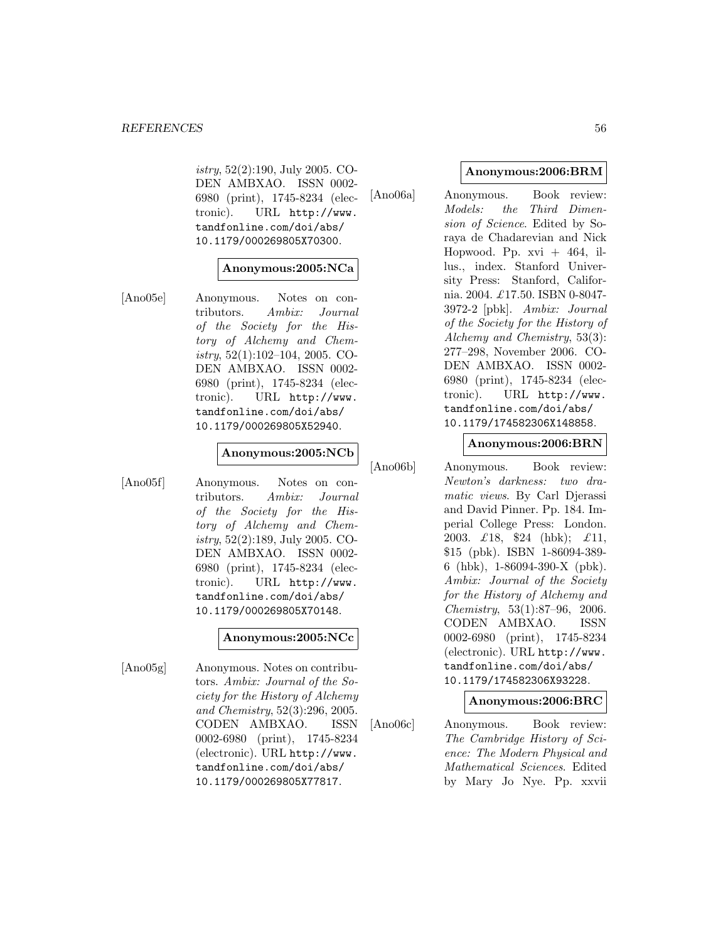istry, 52(2):190, July 2005. CO-DEN AMBXAO. ISSN 0002- 6980 (print), 1745-8234 (electronic). URL http://www. tandfonline.com/doi/abs/ 10.1179/000269805X70300.

### **Anonymous:2005:NCa**

[Ano05e] Anonymous. Notes on contributors. Ambix: Journal of the Society for the History of Alchemy and Chemistry, 52(1):102–104, 2005. CO-DEN AMBXAO. ISSN 0002- 6980 (print), 1745-8234 (electronic). URL http://www. tandfonline.com/doi/abs/ 10.1179/000269805X52940.

# **Anonymous:2005:NCb**

[Ano05f] Anonymous. Notes on contributors. Ambix: Journal of the Society for the History of Alchemy and Chemistry, 52(2):189, July 2005. CO-DEN AMBXAO. ISSN 0002- 6980 (print), 1745-8234 (electronic). URL http://www. tandfonline.com/doi/abs/ 10.1179/000269805X70148.

### **Anonymous:2005:NCc**

[Ano05g] Anonymous. Notes on contributors. Ambix: Journal of the Society for the History of Alchemy and Chemistry, 52(3):296, 2005. CODEN AMBXAO. ISSN 0002-6980 (print), 1745-8234 (electronic). URL http://www. tandfonline.com/doi/abs/ 10.1179/000269805X77817.

#### **Anonymous:2006:BRM**

[Ano06a] Anonymous. Book review: Models: the Third Dimension of Science. Edited by Soraya de Chadarevian and Nick Hopwood. Pp.  $xvi + 464$ , illus., index. Stanford University Press: Stanford, California. 2004. £17.50. ISBN 0-8047- 3972-2 [pbk]. Ambix: Journal of the Society for the History of Alchemy and Chemistry, 53(3): 277–298, November 2006. CO-DEN AMBXAO. ISSN 0002- 6980 (print), 1745-8234 (electronic). URL http://www. tandfonline.com/doi/abs/ 10.1179/174582306X148858.

#### **Anonymous:2006:BRN**

[Ano06b] Anonymous. Book review: Newton's darkness: two dramatic views. By Carl Djerassi and David Pinner. Pp. 184. Imperial College Press: London. 2003.  $\pounds 18$ , \$24 (hbk);  $\pounds 11$ , \$15 (pbk). ISBN 1-86094-389- 6 (hbk), 1-86094-390-X (pbk). Ambix: Journal of the Society for the History of Alchemy and Chemistry, 53(1):87–96, 2006. CODEN AMBXAO. ISSN 0002-6980 (print), 1745-8234 (electronic). URL http://www. tandfonline.com/doi/abs/ 10.1179/174582306X93228.

### **Anonymous:2006:BRC**

[Ano06c] Anonymous. Book review: The Cambridge History of Science: The Modern Physical and Mathematical Sciences. Edited by Mary Jo Nye. Pp. xxvii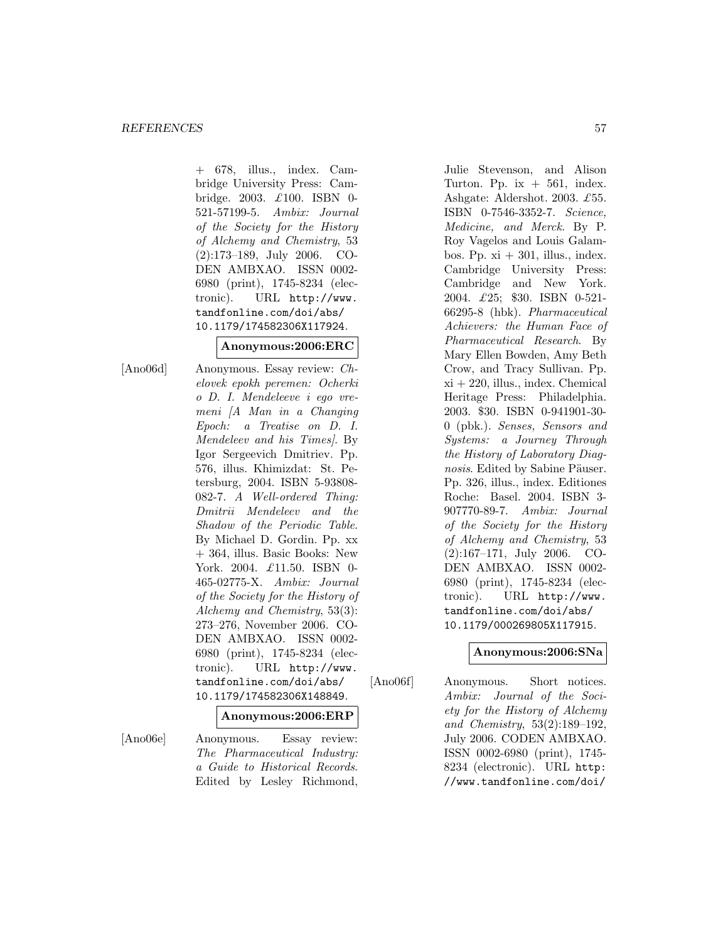+ 678, illus., index. Cambridge University Press: Cambridge. 2003. £100. ISBN 0- 521-57199-5. Ambix: Journal of the Society for the History of Alchemy and Chemistry, 53 (2):173–189, July 2006. CO-DEN AMBXAO. ISSN 0002- 6980 (print), 1745-8234 (electronic). URL http://www. tandfonline.com/doi/abs/ 10.1179/174582306X117924.

### **Anonymous:2006:ERC**

[Ano06d] Anonymous. Essay review: Chelovek epokh peremen: Ocherki o D. I. Mendeleeve i ego vremeni [A Man in a Changing Epoch: a Treatise on D. I. Mendeleev and his Times]. By Igor Sergeevich Dmitriev. Pp. 576, illus. Khimizdat: St. Petersburg, 2004. ISBN 5-93808- 082-7. A Well-ordered Thing: Dmitrii Mendeleev and the Shadow of the Periodic Table. By Michael D. Gordin. Pp. xx + 364, illus. Basic Books: New York. 2004. £11.50. ISBN 0-465-02775-X. Ambix: Journal of the Society for the History of Alchemy and Chemistry, 53(3): 273–276, November 2006. CO-DEN AMBXAO. ISSN 0002- 6980 (print), 1745-8234 (electronic). URL http://www. tandfonline.com/doi/abs/ 10.1179/174582306X148849.

#### **Anonymous:2006:ERP**

[Ano06e] Anonymous. Essay review: The Pharmaceutical Industry: a Guide to Historical Records. Edited by Lesley Richmond,

Julie Stevenson, and Alison Turton. Pp. ix  $+ 561$ , index. Ashgate: Aldershot. 2003. £55. ISBN 0-7546-3352-7. Science, Medicine, and Merck. By P. Roy Vagelos and Louis Galambos. Pp.  $xi + 301$ , illus., index. Cambridge University Press: Cambridge and New York. 2004. £25; \$30. ISBN 0-521- 66295-8 (hbk). Pharmaceutical Achievers: the Human Face of Pharmaceutical Research. By Mary Ellen Bowden, Amy Beth Crow, and Tracy Sullivan. Pp.  $xi + 220$ , illus., index. Chemical Heritage Press: Philadelphia. 2003. \$30. ISBN 0-941901-30- 0 (pbk.). Senses, Sensors and Systems: a Journey Through the History of Laboratory Diagnosis. Edited by Sabine Päuser. Pp. 326, illus., index. Editiones Roche: Basel. 2004. ISBN 3- 907770-89-7. Ambix: Journal of the Society for the History of Alchemy and Chemistry, 53 (2):167–171, July 2006. CO-DEN AMBXAO. ISSN 0002- 6980 (print), 1745-8234 (electronic). URL http://www. tandfonline.com/doi/abs/ 10.1179/000269805X117915.

# **Anonymous:2006:SNa**

[Ano06f] Anonymous. Short notices. Ambix: Journal of the Society for the History of Alchemy and Chemistry, 53(2):189–192, July 2006. CODEN AMBXAO. ISSN 0002-6980 (print), 1745- 8234 (electronic). URL http: //www.tandfonline.com/doi/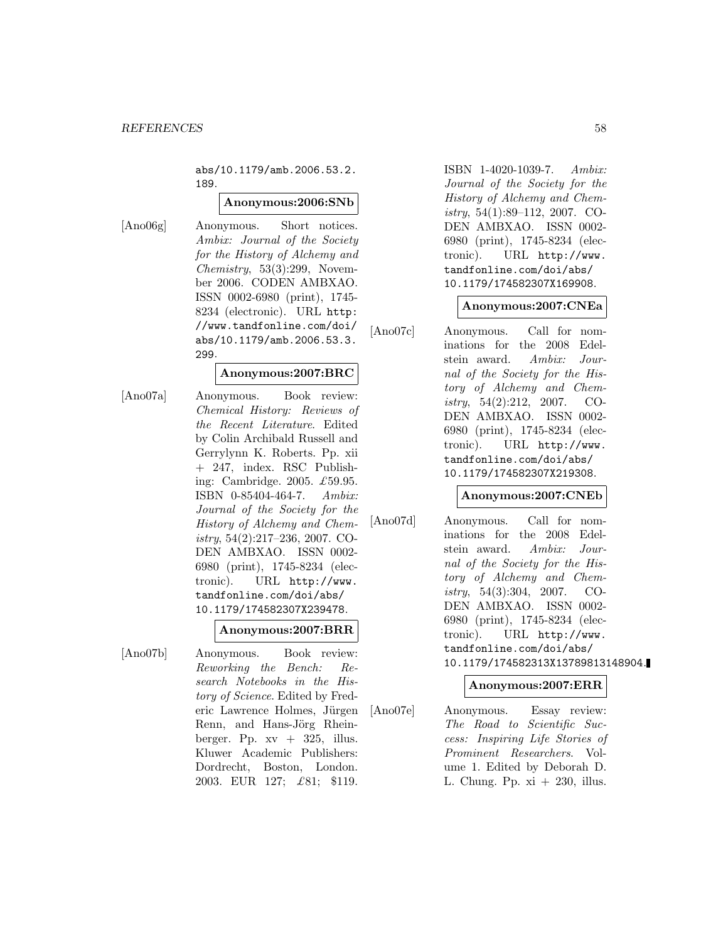abs/10.1179/amb.2006.53.2. 189.

### **Anonymous:2006:SNb**

[Ano06g] Anonymous. Short notices. Ambix: Journal of the Society for the History of Alchemy and *Chemistry*,  $53(3):299$ , November 2006. CODEN AMBXAO. ISSN 0002-6980 (print), 1745- 8234 (electronic). URL http: //www.tandfonline.com/doi/ abs/10.1179/amb.2006.53.3. 299.

## **Anonymous:2007:BRC**

[Ano07a] Anonymous. Book review: Chemical History: Reviews of the Recent Literature. Edited by Colin Archibald Russell and Gerrylynn K. Roberts. Pp. xii + 247, index. RSC Publishing: Cambridge. 2005. £59.95. ISBN 0-85404-464-7. Ambix: Journal of the Society for the History of Alchemy and Chemistry, 54(2):217–236, 2007. CO-DEN AMBXAO. ISSN 0002- 6980 (print), 1745-8234 (electronic). URL http://www. tandfonline.com/doi/abs/ 10.1179/174582307X239478.

### **Anonymous:2007:BRR**

[Ano07b] Anonymous. Book review: Reworking the Bench: Research Notebooks in the History of Science. Edited by Frederic Lawrence Holmes, Jürgen Renn, and Hans-Jörg Rheinberger. Pp.  $xy + 325$ , illus. Kluwer Academic Publishers: Dordrecht, Boston, London. 2003. EUR 127; £81; \$119.

ISBN 1-4020-1039-7. Ambix: Journal of the Society for the History of Alchemy and Chemistry, 54(1):89–112, 2007. CO-DEN AMBXAO. ISSN 0002- 6980 (print), 1745-8234 (electronic). URL http://www. tandfonline.com/doi/abs/ 10.1179/174582307X169908.

#### **Anonymous:2007:CNEa**

[Ano07c] Anonymous. Call for nominations for the 2008 Edelstein award. Ambix: Journal of the Society for the History of Alchemy and Chemistry, 54(2):212, 2007. CO-DEN AMBXAO. ISSN 0002- 6980 (print), 1745-8234 (electronic). URL http://www. tandfonline.com/doi/abs/ 10.1179/174582307X219308.

#### **Anonymous:2007:CNEb**

[Ano07d] Anonymous. Call for nominations for the 2008 Edelstein award. Ambix: Journal of the Society for the History of Alchemy and Chemistry,  $54(3):304$ ,  $2007$ . CO-DEN AMBXAO. ISSN 0002- 6980 (print), 1745-8234 (electronic). URL http://www. tandfonline.com/doi/abs/ 10.1179/174582313X13789813148904.

# **Anonymous:2007:ERR**

[Ano07e] Anonymous. Essay review: The Road to Scientific Success: Inspiring Life Stories of Prominent Researchers. Volume 1. Edited by Deborah D. L. Chung. Pp.  $xi + 230$ , illus.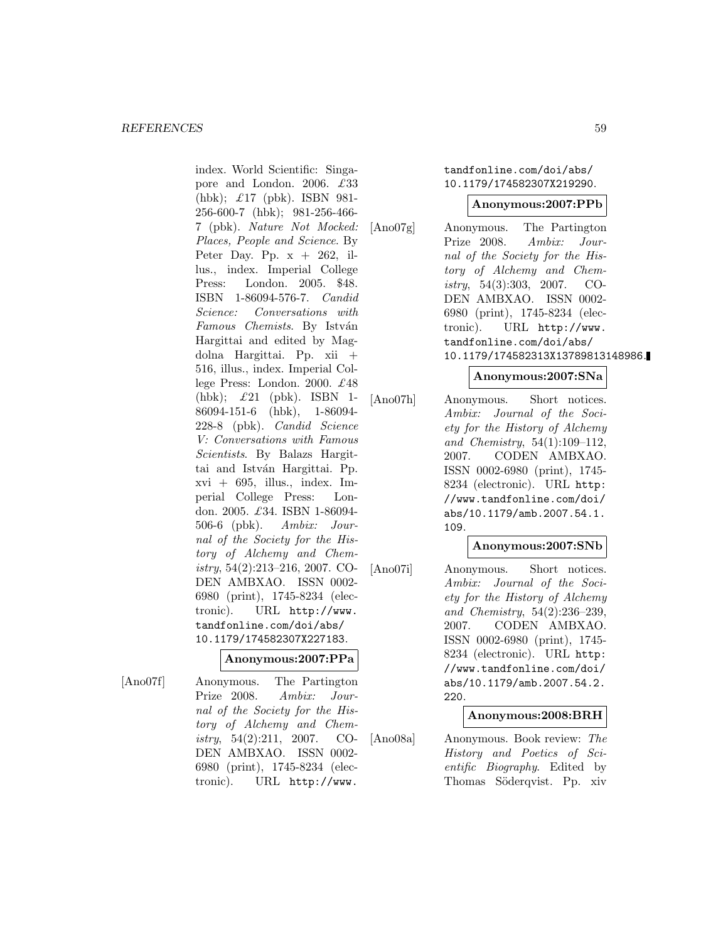index. World Scientific: Singapore and London. 2006. £33 (hbk); £17 (pbk). ISBN 981- 256-600-7 (hbk); 981-256-466- 7 (pbk). Nature Not Mocked: Places, People and Science. By Peter Day. Pp.  $x + 262$ , illus., index. Imperial College Press: London. 2005. \$48. ISBN 1-86094-576-7. Candid Science: Conversations with Famous Chemists. By István Hargittai and edited by Magdolna Hargittai. Pp. xii + 516, illus., index. Imperial College Press: London. 2000. £48 (hbk); £21 (pbk). ISBN 1- 86094-151-6 (hbk), 1-86094- 228-8 (pbk). Candid Science V: Conversations with Famous Scientists. By Balazs Hargittai and István Hargittai. Pp.  $xvi + 695$ , illus., index. Imperial College Press: London. 2005. £34. ISBN 1-86094- 506-6 (pbk). Ambix: Journal of the Society for the History of Alchemy and Chemistry, 54(2):213–216, 2007. CO-DEN AMBXAO. ISSN 0002- 6980 (print), 1745-8234 (electronic). URL http://www. tandfonline.com/doi/abs/ 10.1179/174582307X227183.

### **Anonymous:2007:PPa**

[Ano07f] Anonymous. The Partington Prize 2008. Ambix: Journal of the Society for the History of Alchemy and Chemistry, 54(2):211, 2007. CO-DEN AMBXAO. ISSN 0002- 6980 (print), 1745-8234 (electronic). URL http://www.

tandfonline.com/doi/abs/ 10.1179/174582307X219290.

#### **Anonymous:2007:PPb**

[Ano07g] Anonymous. The Partington Prize 2008. Ambix: Journal of the Society for the History of Alchemy and Chemistry, 54(3):303, 2007. CO-DEN AMBXAO. ISSN 0002- 6980 (print), 1745-8234 (electronic). URL http://www. tandfonline.com/doi/abs/ 10.1179/174582313X13789813148986.

#### **Anonymous:2007:SNa**

[Ano07h] Anonymous. Short notices. Ambix: Journal of the Society for the History of Alchemy and Chemistry, 54(1):109–112, 2007. CODEN AMBXAO. ISSN 0002-6980 (print), 1745- 8234 (electronic). URL http: //www.tandfonline.com/doi/ abs/10.1179/amb.2007.54.1. 109.

#### **Anonymous:2007:SNb**

[Ano07i] Anonymous. Short notices. Ambix: Journal of the Society for the History of Alchemy and Chemistry, 54(2):236–239, 2007. CODEN AMBXAO. ISSN 0002-6980 (print), 1745- 8234 (electronic). URL http: //www.tandfonline.com/doi/ abs/10.1179/amb.2007.54.2. 220.

### **Anonymous:2008:BRH**

[Ano08a] Anonymous. Book review: The History and Poetics of Scientific Biography. Edited by Thomas Söderqvist. Pp. xiv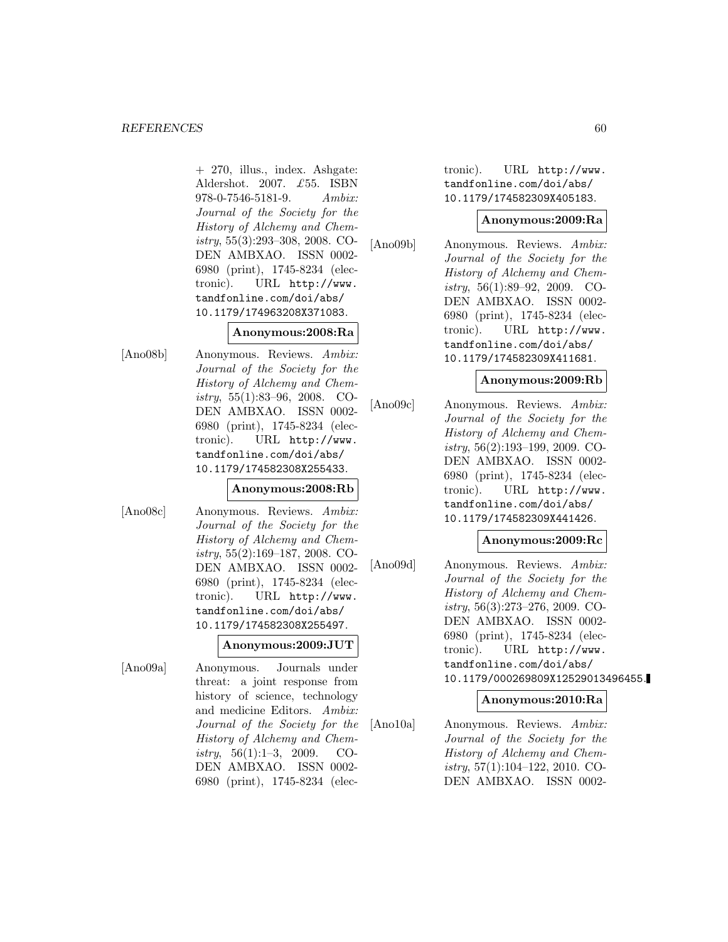+ 270, illus., index. Ashgate: Aldershot. 2007. £55. ISBN 978-0-7546-5181-9. Ambix: Journal of the Society for the History of Alchemy and Chemistry, 55(3):293–308, 2008. CO-DEN AMBXAO. ISSN 0002- 6980 (print), 1745-8234 (electronic). URL http://www. tandfonline.com/doi/abs/ 10.1179/174963208X371083.

## **Anonymous:2008:Ra**

[Ano08b] Anonymous. Reviews. Ambix: Journal of the Society for the History of Alchemy and Chemistry, 55(1):83–96, 2008. CO-DEN AMBXAO. ISSN 0002- 6980 (print), 1745-8234 (electronic). URL http://www. tandfonline.com/doi/abs/ 10.1179/174582308X255433.

# **Anonymous:2008:Rb**

[Ano08c] Anonymous. Reviews. Ambix: Journal of the Society for the History of Alchemy and Chemistry, 55(2):169–187, 2008. CO-DEN AMBXAO. ISSN 0002- 6980 (print), 1745-8234 (electronic). URL http://www. tandfonline.com/doi/abs/ 10.1179/174582308X255497.

# **Anonymous:2009:JUT**

[Ano09a] Anonymous. Journals under threat: a joint response from history of science, technology and medicine Editors. Ambix: Journal of the Society for the History of Alchemy and Chemistry,  $56(1):1-3$ , 2009. CO-DEN AMBXAO. ISSN 0002- 6980 (print), 1745-8234 (electronic). URL http://www. tandfonline.com/doi/abs/ 10.1179/174582309X405183.

#### **Anonymous:2009:Ra**

[Ano09b] Anonymous. Reviews. Ambix: Journal of the Society for the History of Alchemy and Chemistry, 56(1):89–92, 2009. CO-DEN AMBXAO. ISSN 0002- 6980 (print), 1745-8234 (electronic). URL http://www. tandfonline.com/doi/abs/ 10.1179/174582309X411681.

### **Anonymous:2009:Rb**

[Ano09c] Anonymous. Reviews. Ambix: Journal of the Society for the History of Alchemy and Chemistry, 56(2):193–199, 2009. CO-DEN AMBXAO. ISSN 0002- 6980 (print), 1745-8234 (electronic). URL http://www. tandfonline.com/doi/abs/ 10.1179/174582309X441426.

#### **Anonymous:2009:Rc**

[Ano09d] Anonymous. Reviews. Ambix: Journal of the Society for the History of Alchemy and Chemistry, 56(3):273–276, 2009. CO-DEN AMBXAO. ISSN 0002- 6980 (print), 1745-8234 (electronic). URL http://www. tandfonline.com/doi/abs/ 10.1179/000269809X12529013496455.

# **Anonymous:2010:Ra**

[Ano10a] Anonymous. Reviews. Ambix: Journal of the Society for the History of Alchemy and Chemistry, 57(1):104–122, 2010. CO-DEN AMBXAO. ISSN 0002-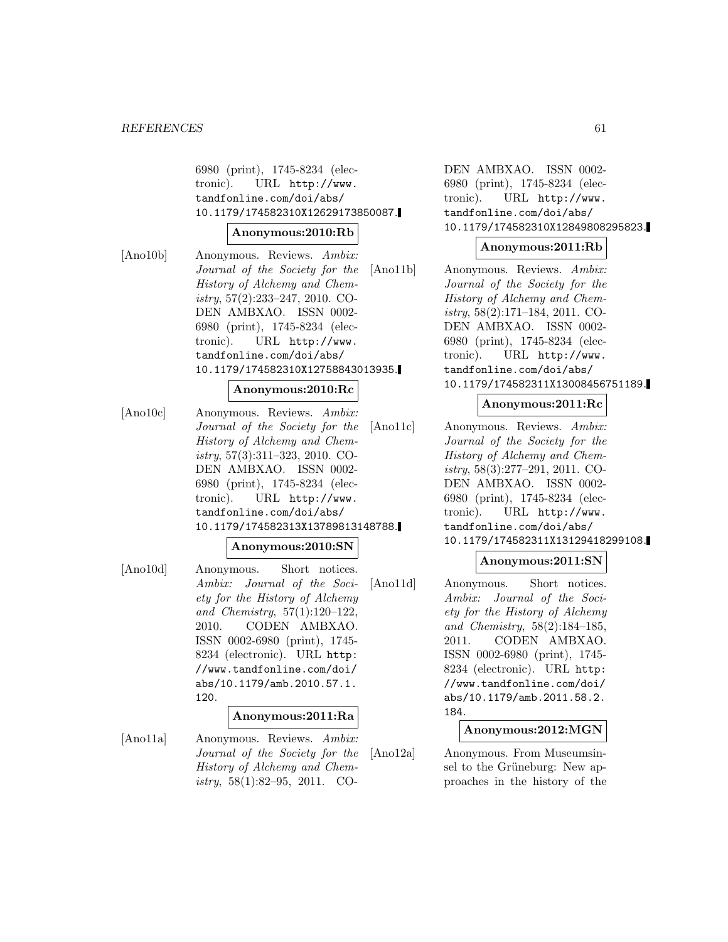#### *REFERENCES* 61

6980 (print), 1745-8234 (electronic). URL http://www. tandfonline.com/doi/abs/ 10.1179/174582310X12629173850087.

#### **Anonymous:2010:Rb**

[Ano10b] Anonymous. Reviews. Ambix: Journal of the Society for the History of Alchemy and Chemistry, 57(2):233–247, 2010. CO-DEN AMBXAO. ISSN 0002- 6980 (print), 1745-8234 (electronic). URL http://www. tandfonline.com/doi/abs/ 10.1179/174582310X12758843013935.

#### **Anonymous:2010:Rc**

[Ano10c] Anonymous. Reviews. Ambix: Journal of the Society for the History of Alchemy and Chemistry, 57(3):311–323, 2010. CO-DEN AMBXAO. ISSN 0002- 6980 (print), 1745-8234 (electronic). URL http://www. tandfonline.com/doi/abs/ 10.1179/174582313X13789813148788.

#### **Anonymous:2010:SN**

[Ano10d] Anonymous. Short notices. Ambix: Journal of the Society for the History of Alchemy and Chemistry, 57(1):120–122, 2010. CODEN AMBXAO. ISSN 0002-6980 (print), 1745- 8234 (electronic). URL http: //www.tandfonline.com/doi/ abs/10.1179/amb.2010.57.1. 120.

#### **Anonymous:2011:Ra**

[Ano11a] Anonymous. Reviews. Ambix: Journal of the Society for the History of Alchemy and Chemistry,  $58(1):82-95$ ,  $2011$ . CO-

DEN AMBXAO. ISSN 0002- 6980 (print), 1745-8234 (electronic). URL http://www. tandfonline.com/doi/abs/ 10.1179/174582310X12849808295823.

#### **Anonymous:2011:Rb**

[Ano11b] Anonymous. Reviews. Ambix: Journal of the Society for the History of Alchemy and Chemistry, 58(2):171–184, 2011. CO-DEN AMBXAO. ISSN 0002- 6980 (print), 1745-8234 (electronic). URL http://www. tandfonline.com/doi/abs/ 10.1179/174582311X13008456751189.

#### **Anonymous:2011:Rc**

[Ano11c] Anonymous. Reviews. Ambix: Journal of the Society for the History of Alchemy and Chemistry, 58(3):277–291, 2011. CO-DEN AMBXAO. ISSN 0002- 6980 (print), 1745-8234 (electronic). URL http://www. tandfonline.com/doi/abs/ 10.1179/174582311X13129418299108.

#### **Anonymous:2011:SN**

[Ano11d] Anonymous. Short notices. Ambix: Journal of the Society for the History of Alchemy and Chemistry, 58(2):184–185, 2011. CODEN AMBXAO. ISSN 0002-6980 (print), 1745- 8234 (electronic). URL http: //www.tandfonline.com/doi/ abs/10.1179/amb.2011.58.2. 184.

#### **Anonymous:2012:MGN**

[Ano12a] Anonymous. From Museumsinsel to the Grüneburg: New approaches in the history of the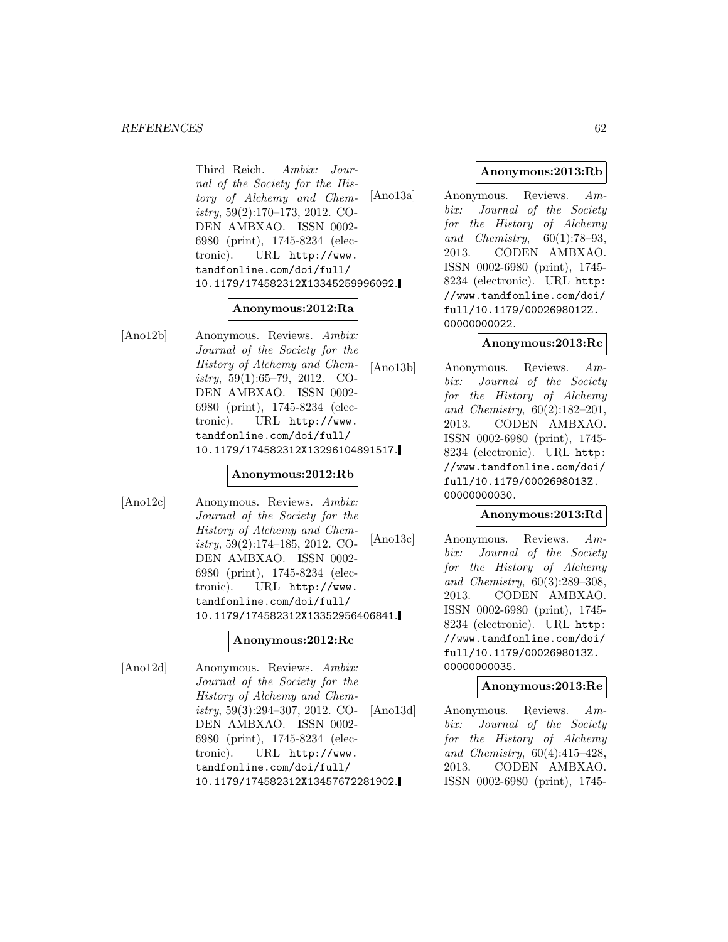#### *REFERENCES* 62

Third Reich. Ambix: Journal of the Society for the History of Alchemy and Chemistry, 59(2):170–173, 2012. CO-DEN AMBXAO. ISSN 0002- 6980 (print), 1745-8234 (electronic). URL http://www. tandfonline.com/doi/full/ 10.1179/174582312X13345259996092.

# **Anonymous:2012:Ra**

[Ano12b] Anonymous. Reviews. Ambix: Journal of the Society for the History of Alchemy and Chemistry, 59(1):65–79, 2012. CO-DEN AMBXAO. ISSN 0002- 6980 (print), 1745-8234 (electronic). URL http://www. tandfonline.com/doi/full/ 10.1179/174582312X13296104891517.

# **Anonymous:2012:Rb**

[Ano12c] Anonymous. Reviews. Ambix: Journal of the Society for the History of Alchemy and Chemistry, 59(2):174–185, 2012. CO-DEN AMBXAO. ISSN 0002- 6980 (print), 1745-8234 (electronic). URL http://www. tandfonline.com/doi/full/ 10.1179/174582312X13352956406841.

### **Anonymous:2012:Rc**

[Ano12d] Anonymous. Reviews. Ambix: Journal of the Society for the History of Alchemy and Chemistry, 59(3):294–307, 2012. CO-DEN AMBXAO. ISSN 0002- 6980 (print), 1745-8234 (electronic). URL http://www. tandfonline.com/doi/full/ 10.1179/174582312X13457672281902.

# **Anonymous:2013:Rb**

[Ano13a] Anonymous. Reviews. Ambix: Journal of the Society for the History of Alchemy and Chemistry, 60(1):78–93, 2013. CODEN AMBXAO. ISSN 0002-6980 (print), 1745- 8234 (electronic). URL http: //www.tandfonline.com/doi/ full/10.1179/0002698012Z. 00000000022.

# **Anonymous:2013:Rc**

[Ano13b] Anonymous. Reviews. Ambix: Journal of the Society for the History of Alchemy and Chemistry, 60(2):182–201, 2013. CODEN AMBXAO. ISSN 0002-6980 (print), 1745- 8234 (electronic). URL http: //www.tandfonline.com/doi/ full/10.1179/0002698013Z. 00000000030.

### **Anonymous:2013:Rd**

[Ano13c] Anonymous. Reviews. Ambix: Journal of the Society for the History of Alchemy and Chemistry, 60(3):289–308, 2013. CODEN AMBXAO. ISSN 0002-6980 (print), 1745- 8234 (electronic). URL http: //www.tandfonline.com/doi/ full/10.1179/0002698013Z. 00000000035.

### **Anonymous:2013:Re**

[Ano13d] Anonymous. Reviews. Ambix: Journal of the Society for the History of Alchemy and Chemistry, 60(4):415–428, 2013. CODEN AMBXAO. ISSN 0002-6980 (print), 1745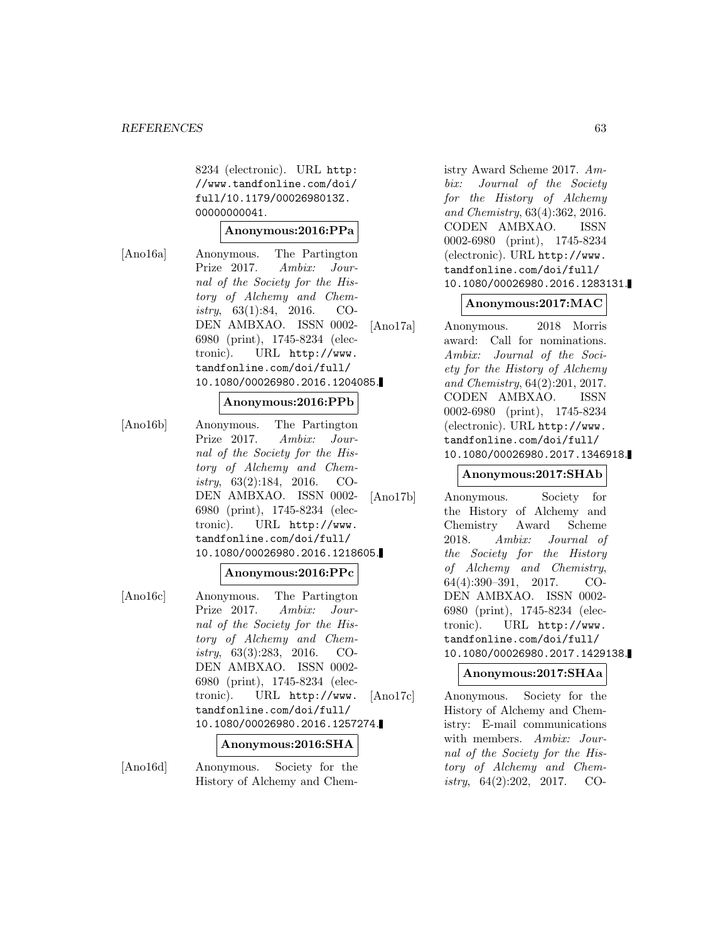8234 (electronic). URL http: //www.tandfonline.com/doi/ full/10.1179/0002698013Z. 00000000041.

#### **Anonymous:2016:PPa**

[Ano16a] Anonymous. The Partington Prize 2017. Ambix: Journal of the Society for the History of Alchemy and Chemistry,  $63(1):84$ ,  $2016$ . CO-DEN AMBXAO. ISSN 0002- 6980 (print), 1745-8234 (electronic). URL http://www. tandfonline.com/doi/full/ 10.1080/00026980.2016.1204085.

#### **Anonymous:2016:PPb**

[Ano16b] Anonymous. The Partington Prize 2017. Ambix: Journal of the Society for the History of Alchemy and Chemistry, 63(2):184, 2016. CO-DEN AMBXAO. ISSN 0002- 6980 (print), 1745-8234 (electronic). URL http://www. tandfonline.com/doi/full/ 10.1080/00026980.2016.1218605.

### **Anonymous:2016:PPc**

[Ano16c] Anonymous. The Partington Prize 2017. Ambix: Journal of the Society for the History of Alchemy and Chemistry, 63(3):283, 2016. CO-DEN AMBXAO. ISSN 0002- 6980 (print), 1745-8234 (electronic). URL http://www. tandfonline.com/doi/full/ 10.1080/00026980.2016.1257274.

#### **Anonymous:2016:SHA**

[Ano16d] Anonymous. Society for the History of Alchemy and Chemistry Award Scheme 2017. Ambix: Journal of the Society for the History of Alchemy and Chemistry, 63(4):362, 2016. CODEN AMBXAO. ISSN 0002-6980 (print), 1745-8234 (electronic). URL http://www. tandfonline.com/doi/full/ 10.1080/00026980.2016.1283131.

### **Anonymous:2017:MAC**

[Ano17a] Anonymous. 2018 Morris award: Call for nominations. Ambix: Journal of the Society for the History of Alchemy and Chemistry, 64(2):201, 2017. CODEN AMBXAO. ISSN 0002-6980 (print), 1745-8234 (electronic). URL http://www. tandfonline.com/doi/full/ 10.1080/00026980.2017.1346918.

# **Anonymous:2017:SHAb**

[Ano17b] Anonymous. Society for the History of Alchemy and Chemistry Award Scheme 2018. Ambix: Journal of the Society for the History of Alchemy and Chemistry, 64(4):390–391, 2017. CO-DEN AMBXAO. ISSN 0002- 6980 (print), 1745-8234 (electronic). URL http://www. tandfonline.com/doi/full/ 10.1080/00026980.2017.1429138.

### **Anonymous:2017:SHAa**

[Ano17c] Anonymous. Society for the History of Alchemy and Chemistry: E-mail communications with members. Ambix: Journal of the Society for the History of Alchemy and Chemistry, 64(2):202, 2017. CO-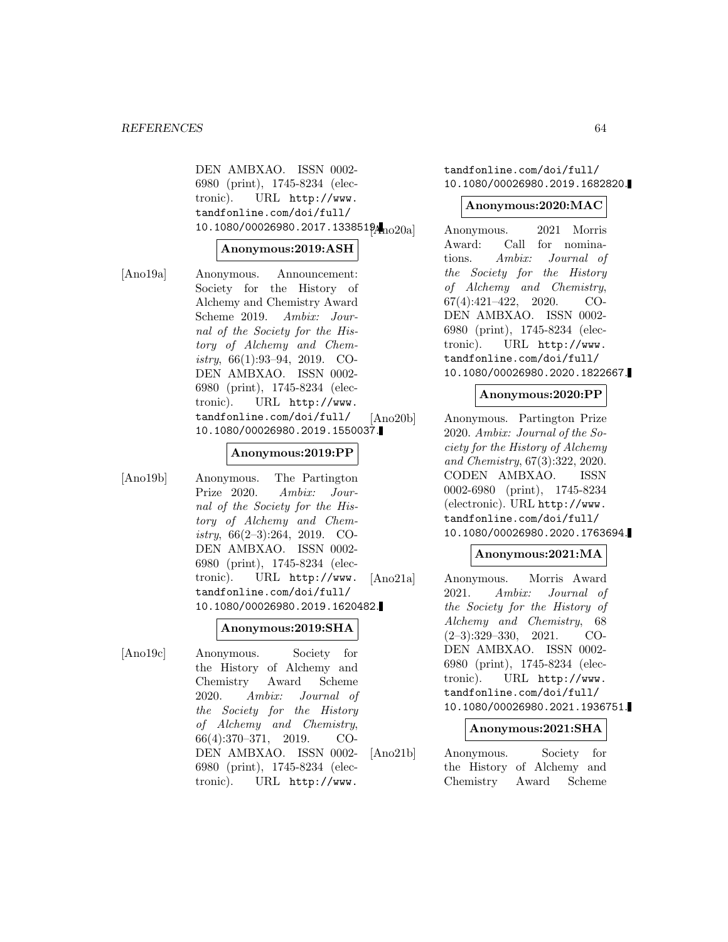DEN AMBXAO. ISSN 0002- 6980 (print), 1745-8234 (electronic). URL http://www. tandfonline.com/doi/full/ 10.1080/00026980.2017.133851 $p_{\text{Ano20a}}$ 

## **Anonymous:2019:ASH**

[Ano19a] Anonymous. Announcement: Society for the History of Alchemy and Chemistry Award Scheme 2019. Ambix: Journal of the Society for the History of Alchemy and Chemistry, 66(1):93–94, 2019. CO-DEN AMBXAO. ISSN 0002- 6980 (print), 1745-8234 (electronic). URL http://www. tandfonline.com/doi/full/ 10.1080/00026980.2019.1550037.

### **Anonymous:2019:PP**

[Ano19b] Anonymous. The Partington Prize 2020. Ambix: Journal of the Society for the History of Alchemy and Chemistry, 66(2–3):264, 2019. CO-DEN AMBXAO. ISSN 0002- 6980 (print), 1745-8234 (electronic). URL http://www. tandfonline.com/doi/full/ 10.1080/00026980.2019.1620482.

# **Anonymous:2019:SHA**

[Ano19c] Anonymous. Society for the History of Alchemy and Chemistry Award Scheme 2020. Ambix: Journal of the Society for the History of Alchemy and Chemistry, 66(4):370–371, 2019. CO-DEN AMBXAO. ISSN 0002- 6980 (print), 1745-8234 (electronic). URL http://www.

tandfonline.com/doi/full/ 10.1080/00026980.2019.1682820.

#### **Anonymous:2020:MAC**

Anonymous. 2021 Morris Award: Call for nominations. Ambix: Journal of the Society for the History of Alchemy and Chemistry, 67(4):421–422, 2020. CO-DEN AMBXAO. ISSN 0002- 6980 (print), 1745-8234 (electronic). URL http://www. tandfonline.com/doi/full/ 10.1080/00026980.2020.1822667.

### **Anonymous:2020:PP**

[Ano20b] Anonymous. Partington Prize 2020. Ambix: Journal of the Society for the History of Alchemy and Chemistry, 67(3):322, 2020. CODEN AMBXAO. ISSN 0002-6980 (print), 1745-8234 (electronic). URL http://www. tandfonline.com/doi/full/ 10.1080/00026980.2020.1763694.

### **Anonymous:2021:MA**

[Ano21a] Anonymous. Morris Award 2021. Ambix: Journal of the Society for the History of Alchemy and Chemistry, 68 (2–3):329–330, 2021. CO-DEN AMBXAO. ISSN 0002- 6980 (print), 1745-8234 (electronic). URL http://www. tandfonline.com/doi/full/ 10.1080/00026980.2021.1936751.

### **Anonymous:2021:SHA**

| [Ano21b] | Anonymous. Society for |  |  |                            |  |
|----------|------------------------|--|--|----------------------------|--|
|          |                        |  |  | the History of Alchemy and |  |
|          | Chemistry Award Scheme |  |  |                            |  |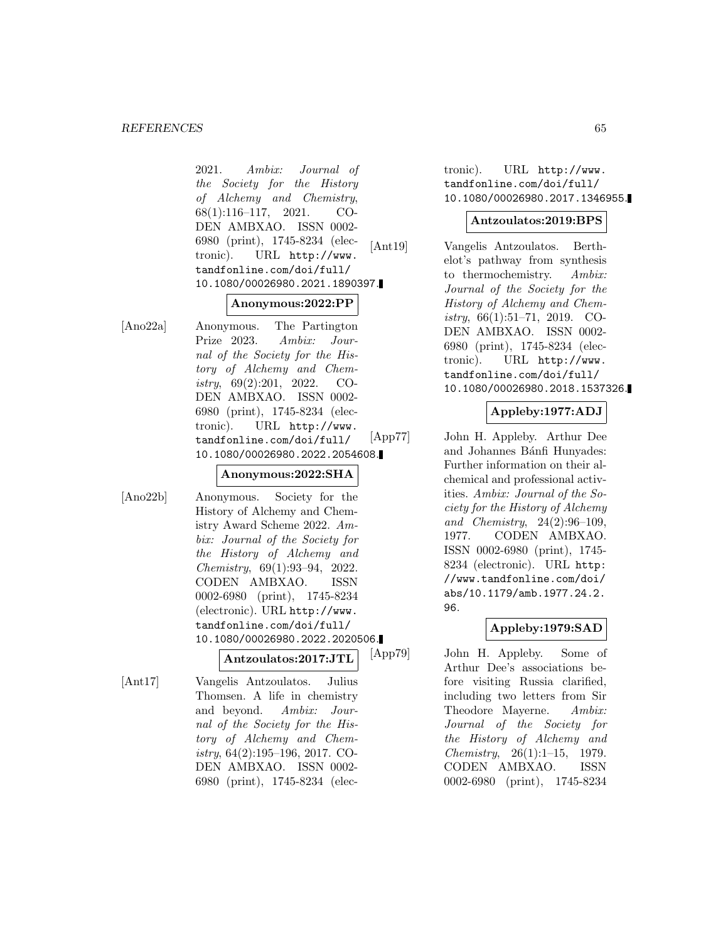#### *REFERENCES* 65

2021. Ambix: Journal of the Society for the History of Alchemy and Chemistry, 68(1):116–117, 2021. CO-DEN AMBXAO. ISSN 0002- 6980 (print), 1745-8234 (electronic). URL http://www. tandfonline.com/doi/full/ 10.1080/00026980.2021.1890397.

#### **Anonymous:2022:PP**

[Ano22a] Anonymous. The Partington Prize 2023. Ambix: Journal of the Society for the History of Alchemy and Chemistry, 69(2):201, 2022. CO-DEN AMBXAO. ISSN 0002- 6980 (print), 1745-8234 (electronic). URL http://www. tandfonline.com/doi/full/ 10.1080/00026980.2022.2054608.

## **Anonymous:2022:SHA**

[Ano22b] Anonymous. Society for the History of Alchemy and Chemistry Award Scheme 2022. Ambix: Journal of the Society for the History of Alchemy and Chemistry, 69(1):93–94, 2022. CODEN AMBXAO. ISSN 0002-6980 (print), 1745-8234 (electronic). URL http://www. tandfonline.com/doi/full/ 10.1080/00026980.2022.2020506.

# **Antzoulatos:2017:JTL**

[Ant17] Vangelis Antzoulatos. Julius Thomsen. A life in chemistry and beyond. Ambix: Journal of the Society for the History of Alchemy and Chemistry, 64(2):195–196, 2017. CO-DEN AMBXAO. ISSN 0002- 6980 (print), 1745-8234 (electronic). URL http://www. tandfonline.com/doi/full/ 10.1080/00026980.2017.1346955.

# **Antzoulatos:2019:BPS**

[Ant19] Vangelis Antzoulatos. Berthelot's pathway from synthesis to thermochemistry. Ambix: Journal of the Society for the History of Alchemy and Chemistry,  $66(1):51-71$ ,  $2019$ . CO-DEN AMBXAO. ISSN 0002- 6980 (print), 1745-8234 (electronic). URL http://www. tandfonline.com/doi/full/ 10.1080/00026980.2018.1537326.

# **Appleby:1977:ADJ**

[App77] John H. Appleby. Arthur Dee and Johannes Bánfi Hunyades: Further information on their alchemical and professional activities. Ambix: Journal of the Society for the History of Alchemy and Chemistry, 24(2):96–109, 1977. CODEN AMBXAO. ISSN 0002-6980 (print), 1745- 8234 (electronic). URL http: //www.tandfonline.com/doi/ abs/10.1179/amb.1977.24.2. 96.

# **Appleby:1979:SAD**

[App79] John H. Appleby. Some of Arthur Dee's associations before visiting Russia clarified, including two letters from Sir Theodore Mayerne. Ambix: Journal of the Society for the History of Alchemy and Chemistry, 26(1):1–15, 1979. CODEN AMBXAO. ISSN 0002-6980 (print), 1745-8234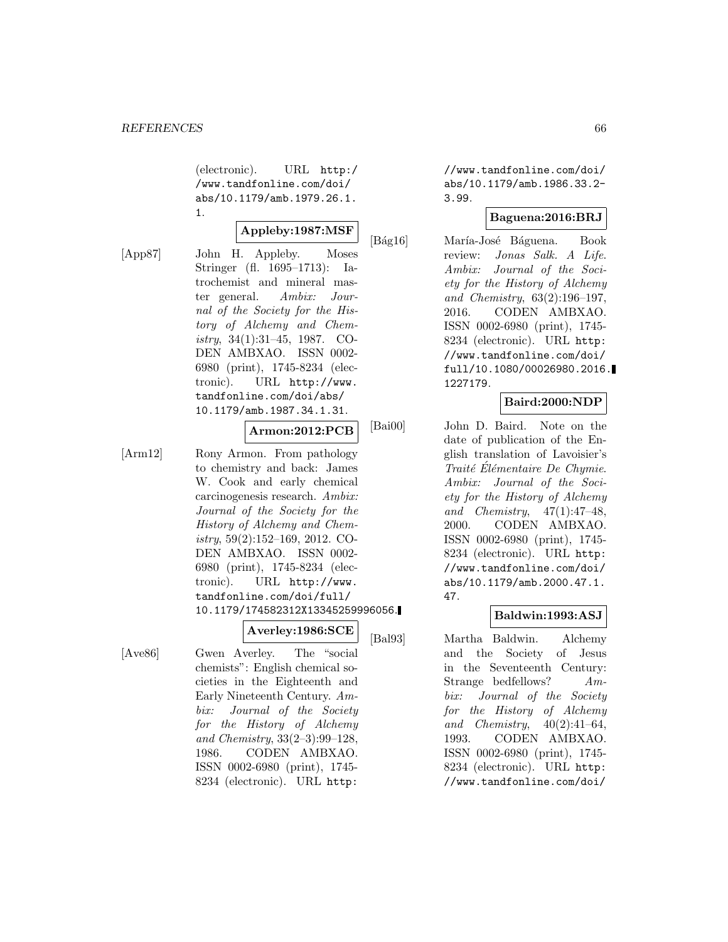(electronic). URL http:/ /www.tandfonline.com/doi/ abs/10.1179/amb.1979.26.1. 1.

#### **Appleby:1987:MSF**

[App87] John H. Appleby. Moses Stringer (fl. 1695–1713): Iatrochemist and mineral master general. Ambix: Journal of the Society for the History of Alchemy and Chemistry, 34(1):31–45, 1987. CO-DEN AMBXAO. ISSN 0002- 6980 (print), 1745-8234 (electronic). URL http://www. tandfonline.com/doi/abs/ 10.1179/amb.1987.34.1.31.

### **Armon:2012:PCB**

[Arm12] Rony Armon. From pathology to chemistry and back: James W. Cook and early chemical carcinogenesis research. Ambix: Journal of the Society for the History of Alchemy and Chemistry, 59(2):152–169, 2012. CO-DEN AMBXAO. ISSN 0002- 6980 (print), 1745-8234 (electronic). URL http://www. tandfonline.com/doi/full/ 10.1179/174582312X13345259996056.

### **Averley:1986:SCE**

[Ave86] Gwen Averley. The "social chemists": English chemical societies in the Eighteenth and Early Nineteenth Century. Ambix: Journal of the Society for the History of Alchemy and Chemistry, 33(2–3):99–128, 1986. CODEN AMBXAO. ISSN 0002-6980 (print), 1745- 8234 (electronic). URL http:

//www.tandfonline.com/doi/ abs/10.1179/amb.1986.33.2- 3.99.

# **Baguena:2016:BRJ**

[Bág16] María-José Báguena. Book review: Jonas Salk. A Life. Ambix: Journal of the Society for the History of Alchemy and Chemistry, 63(2):196–197, 2016. CODEN AMBXAO. ISSN 0002-6980 (print), 1745- 8234 (electronic). URL http: //www.tandfonline.com/doi/ full/10.1080/00026980.2016. 1227179.

### **Baird:2000:NDP**

[Bai00] John D. Baird. Note on the date of publication of the English translation of Lavoisier's Traité Elémentaire De Chymie. Ambix: Journal of the Society for the History of Alchemy and Chemistry,  $47(1):47-48$ , 2000. CODEN AMBXAO. ISSN 0002-6980 (print), 1745- 8234 (electronic). URL http: //www.tandfonline.com/doi/ abs/10.1179/amb.2000.47.1. 47.

### **Baldwin:1993:ASJ**

[Bal93] Martha Baldwin. Alchemy and the Society of Jesus in the Seventeenth Century: Strange bedfellows? Ambix: Journal of the Society for the History of Alchemy and Chemistry,  $40(2):41-64$ , 1993. CODEN AMBXAO. ISSN 0002-6980 (print), 1745- 8234 (electronic). URL http: //www.tandfonline.com/doi/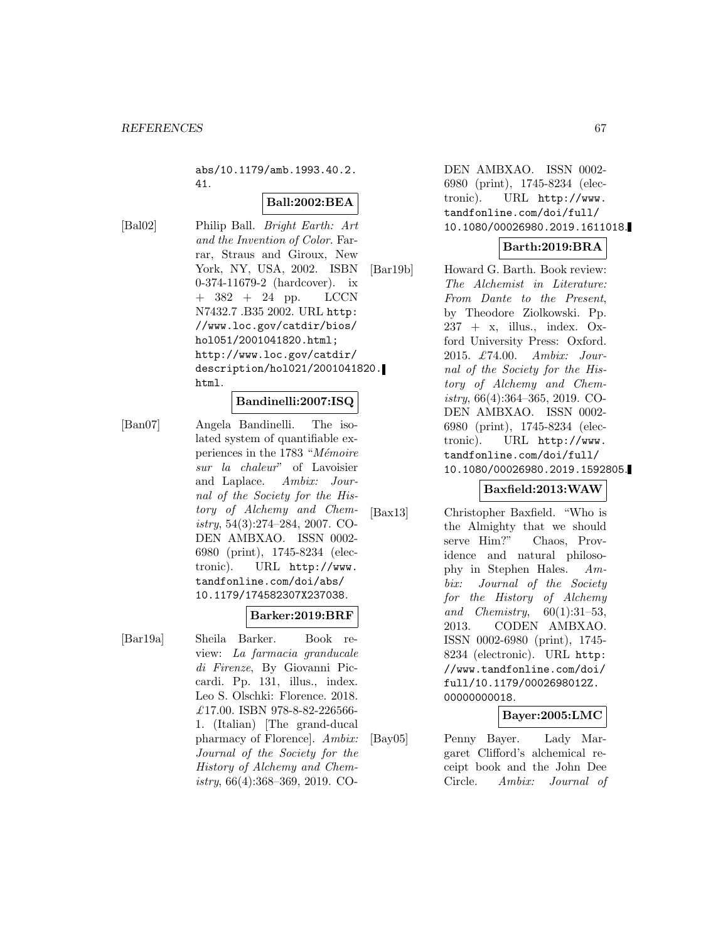abs/10.1179/amb.1993.40.2. 41.

# **Ball:2002:BEA**

[Bal02] Philip Ball. Bright Earth: Art and the Invention of Color. Farrar, Straus and Giroux, New York, NY, USA, 2002. ISBN 0-374-11679-2 (hardcover). ix + 382 + 24 pp. LCCN N7432.7 .B35 2002. URL http: //www.loc.gov/catdir/bios/ hol051/2001041820.html; http://www.loc.gov/catdir/ description/hol021/2001041820. html.

#### **Bandinelli:2007:ISQ**

[Ban07] Angela Bandinelli. The isolated system of quantifiable experiences in the 1783 " $Mémoire$ sur la chaleur" of Lavoisier and Laplace. Ambix: Journal of the Society for the History of Alchemy and Chemistry, 54(3):274–284, 2007. CO-DEN AMBXAO. ISSN 0002- 6980 (print), 1745-8234 (electronic). URL http://www. tandfonline.com/doi/abs/ 10.1179/174582307X237038.

### **Barker:2019:BRF**

[Bar19a] Sheila Barker. Book review: La farmacia granducale di Firenze, By Giovanni Piccardi. Pp. 131, illus., index. Leo S. Olschki: Florence. 2018. £17.00. ISBN 978-8-82-226566- 1. (Italian) [The grand-ducal pharmacy of Florence]. Ambix: Journal of the Society for the History of Alchemy and Chemistry, 66(4):368–369, 2019. CO-

DEN AMBXAO. ISSN 0002- 6980 (print), 1745-8234 (electronic). URL http://www. tandfonline.com/doi/full/ 10.1080/00026980.2019.1611018.

# **Barth:2019:BRA**

[Bar19b] Howard G. Barth. Book review: The Alchemist in Literature: From Dante to the Present, by Theodore Ziolkowski. Pp.  $237 + x$ , illus., index. Oxford University Press: Oxford. 2015. £74.00. Ambix: Journal of the Society for the History of Alchemy and Chemistry, 66(4):364–365, 2019. CO-DEN AMBXAO. ISSN 0002- 6980 (print), 1745-8234 (electronic). URL http://www. tandfonline.com/doi/full/ 10.1080/00026980.2019.1592805.

### **Baxfield:2013:WAW**

[Bax13] Christopher Baxfield. "Who is the Almighty that we should serve Him?" Chaos, Providence and natural philosophy in Stephen Hales. Ambix: Journal of the Society for the History of Alchemy and Chemistry,  $60(1):31-53$ , 2013. CODEN AMBXAO. ISSN 0002-6980 (print), 1745- 8234 (electronic). URL http: //www.tandfonline.com/doi/ full/10.1179/0002698012Z. 00000000018.

### **Bayer:2005:LMC**

[Bay05] Penny Bayer. Lady Margaret Clifford's alchemical receipt book and the John Dee Circle. Ambix: Journal of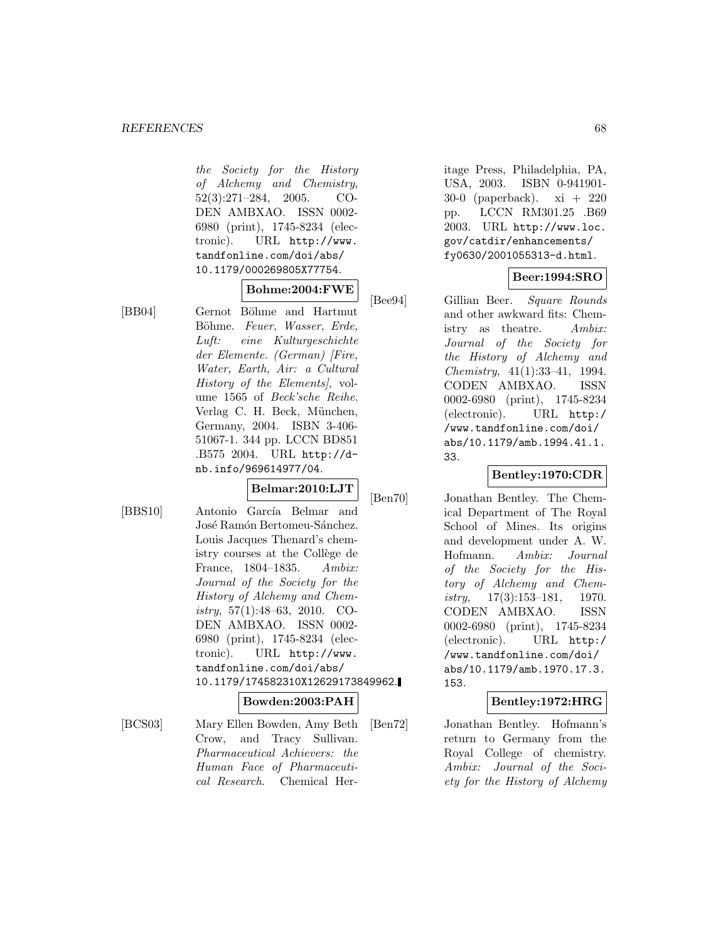#### *REFERENCES* 68

the Society for the History of Alchemy and Chemistry, 52(3):271–284, 2005. CO-DEN AMBXAO. ISSN 0002- 6980 (print), 1745-8234 (electronic). URL http://www. tandfonline.com/doi/abs/ 10.1179/000269805X77754.

#### **Bohme:2004:FWE**

[BB04] Gernot Böhme and Hartmut Böhme. Feuer, Wasser, Erde, Luft: eine Kulturgeschichte der Elemente. (German) [Fire, Water, Earth, Air: a Cultural History of the Elements], volume 1565 of Beck'sche Reihe. Verlag C. H. Beck, München, Germany, 2004. ISBN 3-406- 51067-1. 344 pp. LCCN BD851 .B575 2004. URL http://dnb.info/969614977/04.

# **Belmar:2010:LJT**

[BBS10] Antonio García Belmar and José Ramón Bertomeu-Sánchez. Louis Jacques Thenard's chemistry courses at the Collège de France, 1804–1835. Ambix: Journal of the Society for the History of Alchemy and Chemistry,  $57(1):48-63$ ,  $2010$ . CO-DEN AMBXAO. ISSN 0002- 6980 (print), 1745-8234 (electronic). URL http://www. tandfonline.com/doi/abs/ 10.1179/174582310X12629173849962.

#### **Bowden:2003:PAH**

[BCS03] Mary Ellen Bowden, Amy Beth Crow, and Tracy Sullivan. Pharmaceutical Achievers: the Human Face of Pharmaceutical Research. Chemical Heritage Press, Philadelphia, PA, USA, 2003. ISBN 0-941901- 30-0 (paperback). xi + 220 pp. LCCN RM301.25 .B69 2003. URL http://www.loc. gov/catdir/enhancements/ fy0630/2001055313-d.html.

# **Beer:1994:SRO**

[Bee94] Gillian Beer. Square Rounds and other awkward fits: Chemistry as theatre. Ambix: Journal of the Society for the History of Alchemy and Chemistry, 41(1):33–41, 1994. CODEN AMBXAO. ISSN 0002-6980 (print), 1745-8234 (electronic). URL http:/ /www.tandfonline.com/doi/ abs/10.1179/amb.1994.41.1. 33.

# **Bentley:1970:CDR**

[Ben70] Jonathan Bentley. The Chemical Department of The Royal School of Mines. Its origins and development under A. W. Hofmann. Ambix: Journal of the Society for the History of Alchemy and Chemistry,  $17(3):153-181$ ,  $1970$ . CODEN AMBXAO. ISSN 0002-6980 (print), 1745-8234 (electronic). URL http:/ /www.tandfonline.com/doi/ abs/10.1179/amb.1970.17.3. 153.

### **Bentley:1972:HRG**

[Ben72] Jonathan Bentley. Hofmann's return to Germany from the Royal College of chemistry. Ambix: Journal of the Society for the History of Alchemy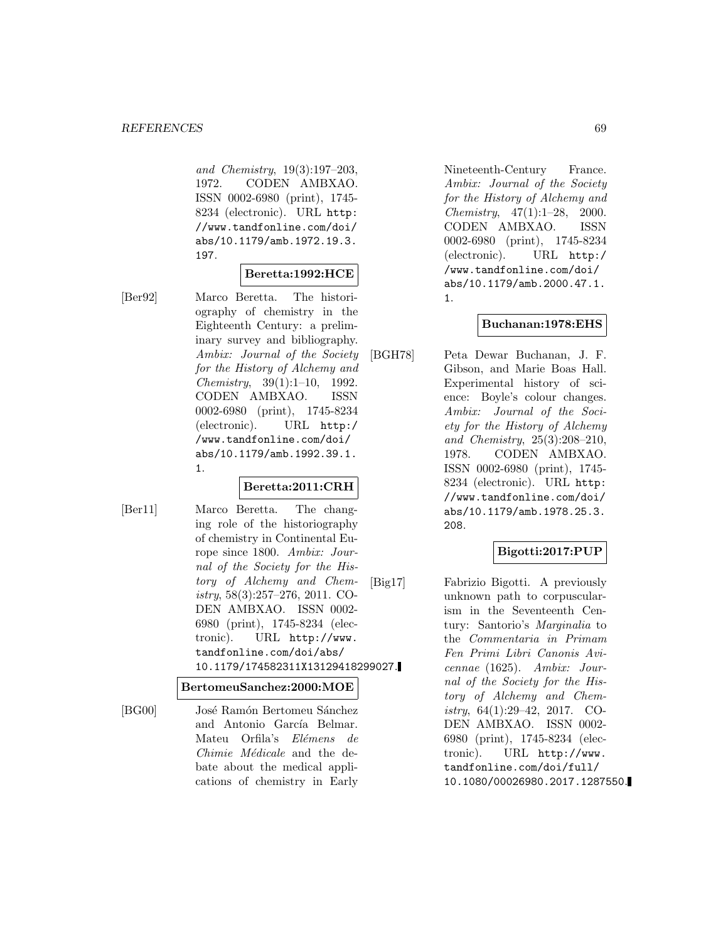and Chemistry, 19(3):197–203, 1972. CODEN AMBXAO. ISSN 0002-6980 (print), 1745- 8234 (electronic). URL http: //www.tandfonline.com/doi/ abs/10.1179/amb.1972.19.3. 197.

# **Beretta:1992:HCE**

[Ber92] Marco Beretta. The historiography of chemistry in the Eighteenth Century: a preliminary survey and bibliography. Ambix: Journal of the Society for the History of Alchemy and Chemistry, 39(1):1–10, 1992. CODEN AMBXAO. ISSN 0002-6980 (print), 1745-8234 (electronic). URL http:/ /www.tandfonline.com/doi/ abs/10.1179/amb.1992.39.1. 1.

### **Beretta:2011:CRH**

[Ber11] Marco Beretta. The changing role of the historiography of chemistry in Continental Europe since 1800. Ambix: Journal of the Society for the History of Alchemy and Chemistry, 58(3):257–276, 2011. CO-DEN AMBXAO. ISSN 0002- 6980 (print), 1745-8234 (electronic). URL http://www. tandfonline.com/doi/abs/ 10.1179/174582311X13129418299027.

**BertomeuSanchez:2000:MOE**

[BG00] José Ramón Bertomeu Sánchez and Antonio García Belmar. Mateu Orfila's Elémens de  $Chimie$  *Médicale* and the debate about the medical applications of chemistry in Early

Nineteenth-Century France. Ambix: Journal of the Society for the History of Alchemy and Chemistry, 47(1):1–28, 2000. CODEN AMBXAO. ISSN 0002-6980 (print), 1745-8234 (electronic). URL http:/ /www.tandfonline.com/doi/ abs/10.1179/amb.2000.47.1. 1.

# **Buchanan:1978:EHS**

[BGH78] Peta Dewar Buchanan, J. F. Gibson, and Marie Boas Hall. Experimental history of science: Boyle's colour changes. Ambix: Journal of the Society for the History of Alchemy and Chemistry, 25(3):208–210, 1978. CODEN AMBXAO. ISSN 0002-6980 (print), 1745- 8234 (electronic). URL http: //www.tandfonline.com/doi/ abs/10.1179/amb.1978.25.3. 208.

# **Bigotti:2017:PUP**

[Big17] Fabrizio Bigotti. A previously unknown path to corpuscularism in the Seventeenth Century: Santorio's Marginalia to the Commentaria in Primam Fen Primi Libri Canonis Avicennae (1625). Ambix: Journal of the Society for the History of Alchemy and Chemistry, 64(1):29–42, 2017. CO-DEN AMBXAO. ISSN 0002- 6980 (print), 1745-8234 (electronic). URL http://www. tandfonline.com/doi/full/ 10.1080/00026980.2017.1287550.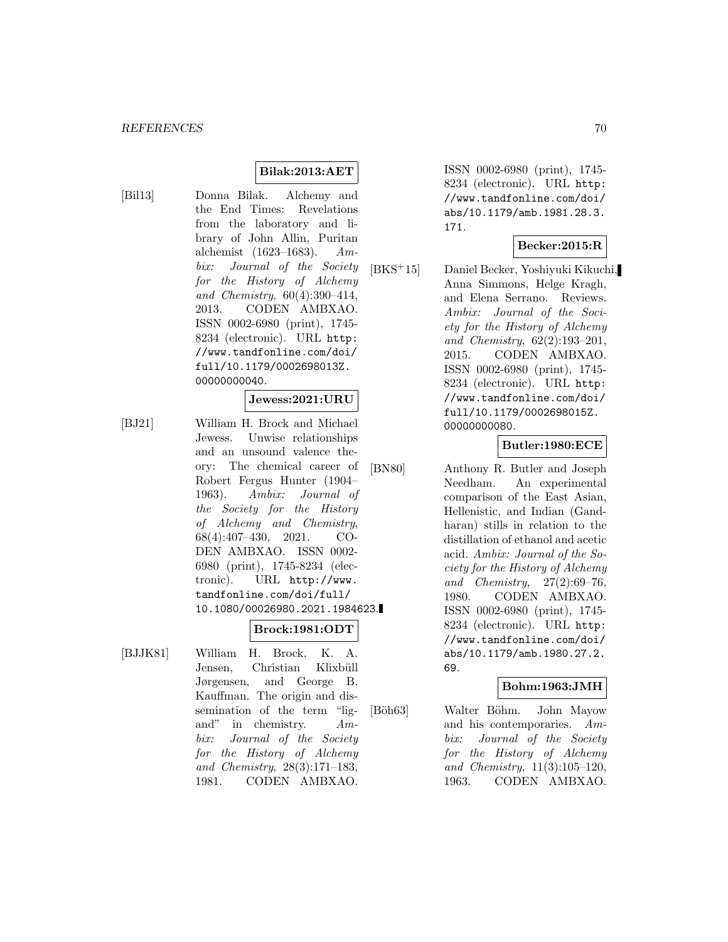### **Bilak:2013:AET**

[Bil13] Donna Bilak. Alchemy and the End Times: Revelations from the laboratory and library of John Allin, Puritan alchemist (1623–1683). Ambix: Journal of the Society for the History of Alchemy and Chemistry, 60(4):390–414, 2013. CODEN AMBXAO. ISSN 0002-6980 (print), 1745- 8234 (electronic). URL http: //www.tandfonline.com/doi/ full/10.1179/0002698013Z. 00000000040.

# **Jewess:2021:URU**

[BJ21] William H. Brock and Michael Jewess. Unwise relationships and an unsound valence theory: The chemical career of Robert Fergus Hunter (1904– 1963). Ambix: Journal of the Society for the History of Alchemy and Chemistry, 68(4):407–430, 2021. CO-DEN AMBXAO. ISSN 0002- 6980 (print), 1745-8234 (electronic). URL http://www. tandfonline.com/doi/full/ 10.1080/00026980.2021.1984623.

# **Brock:1981:ODT**

[BJJK81] William H. Brock, K. A. Jensen, Christian Klixbüll Jørgensen, and George B. Kauffman. The origin and dissemination of the term "ligand" in chemistry. Ambix: Journal of the Society for the History of Alchemy and Chemistry, 28(3):171–183, 1981. CODEN AMBXAO.

ISSN 0002-6980 (print), 1745- 8234 (electronic). URL http: //www.tandfonline.com/doi/ abs/10.1179/amb.1981.28.3. 171.

### **Becker:2015:R**

[BKS<sup>+</sup>15] Daniel Becker, Yoshiyuki Kikuchi, Anna Simmons, Helge Kragh, and Elena Serrano. Reviews. Ambix: Journal of the Society for the History of Alchemy and Chemistry, 62(2):193–201, 2015. CODEN AMBXAO. ISSN 0002-6980 (print), 1745- 8234 (electronic). URL http: //www.tandfonline.com/doi/ full/10.1179/0002698015Z. 0000000000.

# **Butler:1980:ECE**

[BN80] Anthony R. Butler and Joseph Needham. An experimental comparison of the East Asian, Hellenistic, and Indian (Gandharan) stills in relation to the distillation of ethanol and acetic acid. Ambix: Journal of the Society for the History of Alchemy and Chemistry, 27(2):69–76, 1980. CODEN AMBXAO. ISSN 0002-6980 (print), 1745- 8234 (electronic). URL http: //www.tandfonline.com/doi/ abs/10.1179/amb.1980.27.2. 69.

# **Bohm:1963:JMH**

[Böh63] Walter Böhm. John Mayow and his contemporaries. Ambix: Journal of the Society for the History of Alchemy and Chemistry, 11(3):105–120, 1963. CODEN AMBXAO.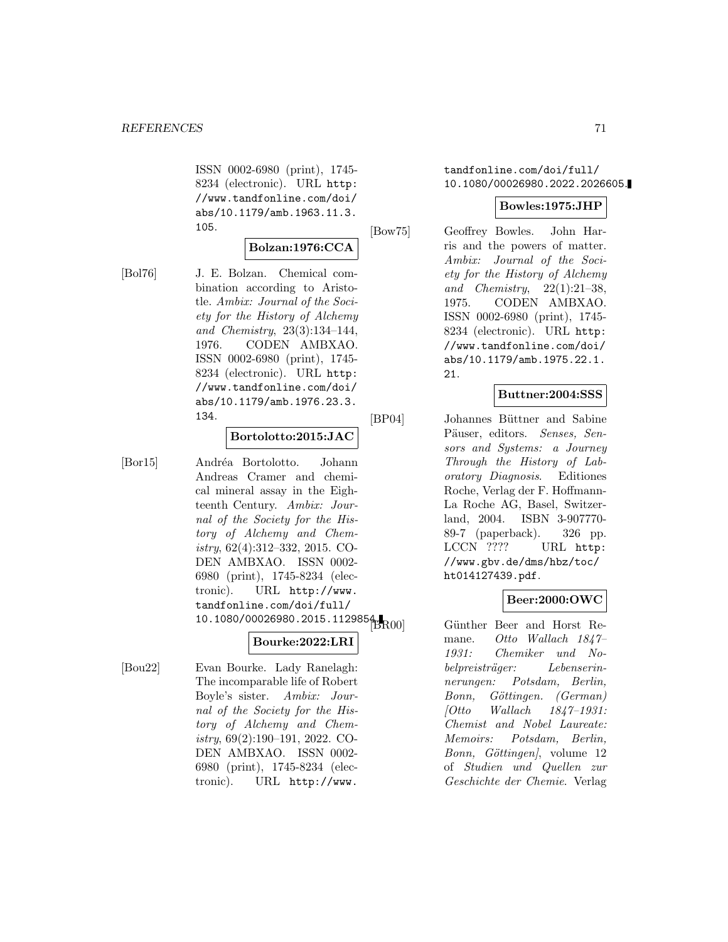ISSN 0002-6980 (print), 1745- 8234 (electronic). URL http: //www.tandfonline.com/doi/ abs/10.1179/amb.1963.11.3. 105.

# **Bolzan:1976:CCA**

[Bol76] J. E. Bolzan. Chemical combination according to Aristotle. Ambix: Journal of the Society for the History of Alchemy and Chemistry, 23(3):134–144, 1976. CODEN AMBXAO. ISSN 0002-6980 (print), 1745- 8234 (electronic). URL http: //www.tandfonline.com/doi/ abs/10.1179/amb.1976.23.3. 134.

### **Bortolotto:2015:JAC**

[Bor15] Andréa Bortolotto. Johann Andreas Cramer and chemical mineral assay in the Eighteenth Century. Ambix: Journal of the Society for the History of Alchemy and Chemistry, 62(4):312–332, 2015. CO-DEN AMBXAO. ISSN 0002- 6980 (print), 1745-8234 (electronic). URL http://www. tandfonline.com/doi/full/  $10.1080/00026980.2015.1129854 R00$ 

# **Bourke:2022:LRI**

[Bou22] Evan Bourke. Lady Ranelagh: The incomparable life of Robert Boyle's sister. Ambix: Journal of the Society for the History of Alchemy and Chemistry, 69(2):190–191, 2022. CO-DEN AMBXAO. ISSN 0002- 6980 (print), 1745-8234 (electronic). URL http://www.

tandfonline.com/doi/full/ 10.1080/00026980.2022.2026605.

#### **Bowles:1975:JHP**

[Bow75] Geoffrey Bowles. John Harris and the powers of matter. Ambix: Journal of the Society for the History of Alchemy and Chemistry, 22(1):21–38, 1975. CODEN AMBXAO. ISSN 0002-6980 (print), 1745- 8234 (electronic). URL http: //www.tandfonline.com/doi/ abs/10.1179/amb.1975.22.1. 21.

# **Buttner:2004:SSS**

[BP04] Johannes Büttner and Sabine Päuser, editors. Senses, Sensors and Systems: a Journey Through the History of Laboratory Diagnosis. Editiones Roche, Verlag der F. Hoffmann-La Roche AG, Basel, Switzerland, 2004. ISBN 3-907770- 89-7 (paperback). 326 pp. LCCN ???? URL http: //www.gbv.de/dms/hbz/toc/ ht014127439.pdf.

### **Beer:2000:OWC**

Günther Beer and Horst Remane. Otto Wallach 1847– 1931: Chemiker und Nobelpreisträger: Lebenserinnerungen: Potsdam, Berlin, Bonn, Göttingen. (German) [Otto Wallach 1847–1931: Chemist and Nobel Laureate: Memoirs: Potsdam, Berlin, Bonn, Göttingen, volume 12 of Studien und Quellen zur Geschichte der Chemie. Verlag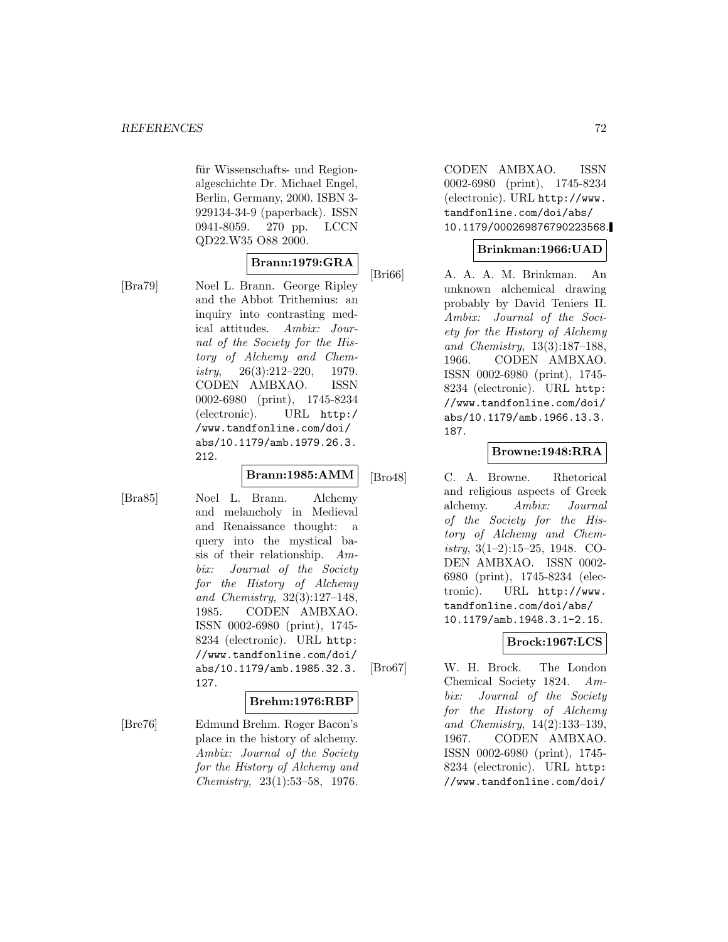für Wissenschafts- und Regionalgeschichte Dr. Michael Engel, Berlin, Germany, 2000. ISBN 3- 929134-34-9 (paperback). ISSN 0941-8059. 270 pp. LCCN QD22.W35 O88 2000.

# **Brann:1979:GRA**

[Bra79] Noel L. Brann. George Ripley and the Abbot Trithemius: an inquiry into contrasting medical attitudes. Ambix: Journal of the Society for the History of Alchemy and Chemistry, 26(3):212–220, 1979. CODEN AMBXAO. ISSN 0002-6980 (print), 1745-8234 (electronic). URL http:/ /www.tandfonline.com/doi/ abs/10.1179/amb.1979.26.3. 212.

# **Brann:1985:AMM**

[Bra85] Noel L. Brann. Alchemy and melancholy in Medieval and Renaissance thought: a query into the mystical basis of their relationship. Ambix: Journal of the Society for the History of Alchemy and Chemistry, 32(3):127–148, 1985. CODEN AMBXAO. ISSN 0002-6980 (print), 1745- 8234 (electronic). URL http: //www.tandfonline.com/doi/ abs/10.1179/amb.1985.32.3. 127.

### **Brehm:1976:RBP**

[Bre76] Edmund Brehm. Roger Bacon's place in the history of alchemy. Ambix: Journal of the Society for the History of Alchemy and Chemistry, 23(1):53–58, 1976.

CODEN AMBXAO. ISSN 0002-6980 (print), 1745-8234 (electronic). URL http://www. tandfonline.com/doi/abs/ 10.1179/000269876790223568.

# **Brinkman:1966:UAD**

[Bri66] A. A. A. M. Brinkman. An unknown alchemical drawing probably by David Teniers II. Ambix: Journal of the Society for the History of Alchemy and Chemistry, 13(3):187–188, 1966. CODEN AMBXAO. ISSN 0002-6980 (print), 1745- 8234 (electronic). URL http: //www.tandfonline.com/doi/ abs/10.1179/amb.1966.13.3. 187.

# **Browne:1948:RRA**

[Bro48] C. A. Browne. Rhetorical and religious aspects of Greek alchemy. Ambix: Journal of the Society for the History of Alchemy and Chemistry, 3(1–2):15–25, 1948. CO-DEN AMBXAO. ISSN 0002- 6980 (print), 1745-8234 (electronic). URL http://www. tandfonline.com/doi/abs/ 10.1179/amb.1948.3.1-2.15.

# **Brock:1967:LCS**

[Bro67] W. H. Brock. The London Chemical Society 1824. Ambix: Journal of the Society for the History of Alchemy and Chemistry, 14(2):133–139, 1967. CODEN AMBXAO. ISSN 0002-6980 (print), 1745- 8234 (electronic). URL http: //www.tandfonline.com/doi/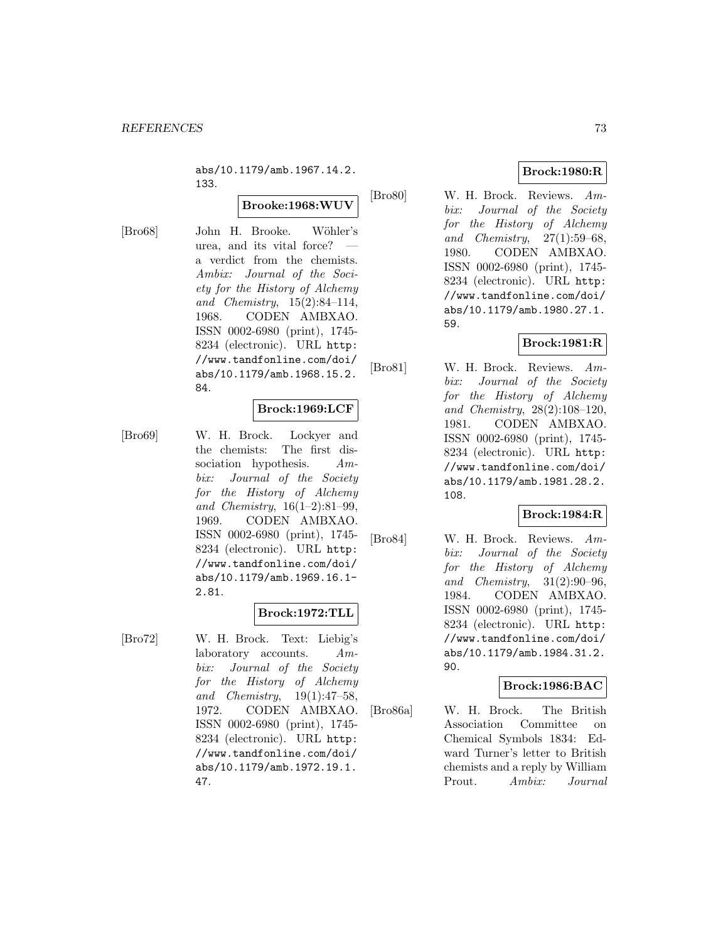abs/10.1179/amb.1967.14.2. 133.

## **Brooke:1968:WUV**

[Bro68] John H. Brooke. Wöhler's urea, and its vital force? a verdict from the chemists. Ambix: Journal of the Society for the History of Alchemy and Chemistry, 15(2):84–114, 1968. CODEN AMBXAO. ISSN 0002-6980 (print), 1745- 8234 (electronic). URL http: //www.tandfonline.com/doi/ abs/10.1179/amb.1968.15.2. 84.

## **Brock:1969:LCF**

[Bro69] W. H. Brock. Lockyer and the chemists: The first dissociation hypothesis. Ambix: Journal of the Society for the History of Alchemy and Chemistry, 16(1–2):81–99, 1969. CODEN AMBXAO. ISSN 0002-6980 (print), 1745- 8234 (electronic). URL http: //www.tandfonline.com/doi/ abs/10.1179/amb.1969.16.1- 2.81.

# **Brock:1972:TLL**

[Bro72] W. H. Brock. Text: Liebig's laboratory accounts. Ambix: Journal of the Society for the History of Alchemy and Chemistry, 19(1):47–58, 1972. CODEN AMBXAO. ISSN 0002-6980 (print), 1745- 8234 (electronic). URL http: //www.tandfonline.com/doi/ abs/10.1179/amb.1972.19.1. 47.

# **Brock:1980:R**

[Bro80] W. H. Brock. Reviews. Ambix: Journal of the Society for the History of Alchemy and Chemistry, 27(1):59–68, 1980. CODEN AMBXAO. ISSN 0002-6980 (print), 1745- 8234 (electronic). URL http: //www.tandfonline.com/doi/ abs/10.1179/amb.1980.27.1. 59.

# **Brock:1981:R**

[Bro81] W. H. Brock. Reviews. Ambix: Journal of the Society for the History of Alchemy and Chemistry, 28(2):108–120, 1981. CODEN AMBXAO. ISSN 0002-6980 (print), 1745- 8234 (electronic). URL http: //www.tandfonline.com/doi/ abs/10.1179/amb.1981.28.2. 108.

# **Brock:1984:R**

[Bro84] W. H. Brock. Reviews. Ambix: Journal of the Society for the History of Alchemy and Chemistry, 31(2):90–96, 1984. CODEN AMBXAO. ISSN 0002-6980 (print), 1745- 8234 (electronic). URL http: //www.tandfonline.com/doi/ abs/10.1179/amb.1984.31.2. 90.

# **Brock:1986:BAC**

[Bro86a] W. H. Brock. The British Association Committee on Chemical Symbols 1834: Edward Turner's letter to British chemists and a reply by William Prout. Ambix: Journal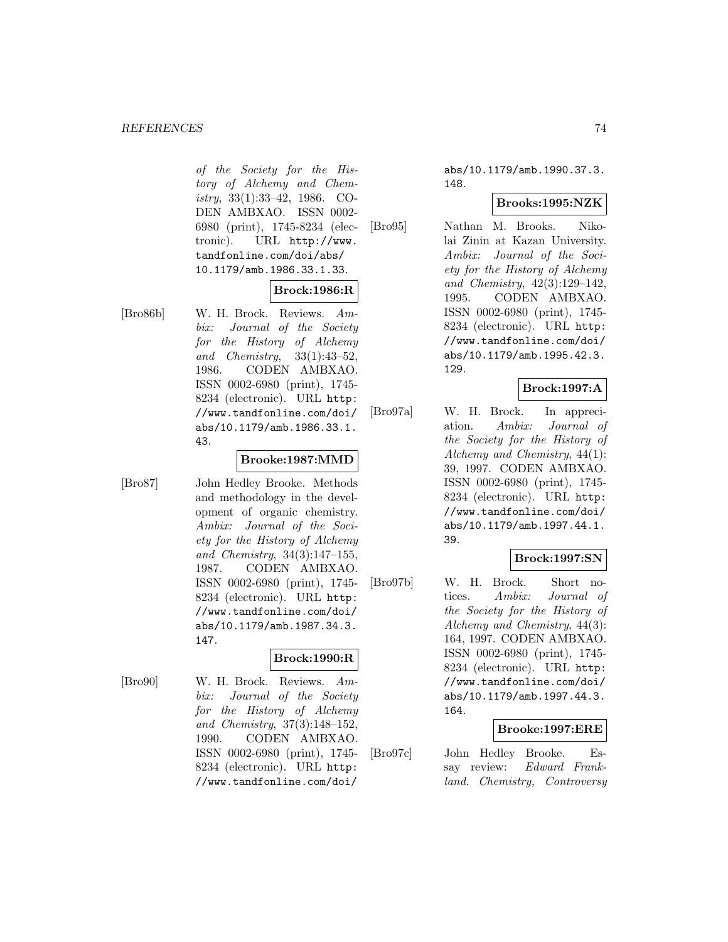#### **REFERENCES** 74

of the Society for the History of Alchemy and Chemistry, 33(1):33–42, 1986. CO-DEN AMBXAO. ISSN 0002- 6980 (print), 1745-8234 (electronic). URL http://www. tandfonline.com/doi/abs/ 10.1179/amb.1986.33.1.33.

# **Brock:1986:R**

[Bro86b] W. H. Brock. Reviews. Ambix: Journal of the Society for the History of Alchemy and Chemistry, 33(1):43–52, 1986. CODEN AMBXAO. ISSN 0002-6980 (print), 1745- 8234 (electronic). URL http: //www.tandfonline.com/doi/ abs/10.1179/amb.1986.33.1. 43.

#### **Brooke:1987:MMD**

[Bro87] John Hedley Brooke. Methods and methodology in the development of organic chemistry. Ambix: Journal of the Society for the History of Alchemy and Chemistry, 34(3):147–155, 1987. CODEN AMBXAO. ISSN 0002-6980 (print), 1745- 8234 (electronic). URL http: //www.tandfonline.com/doi/ abs/10.1179/amb.1987.34.3. 147.

# **Brock:1990:R**

[Bro90] W. H. Brock. Reviews. Ambix: Journal of the Society for the History of Alchemy and Chemistry, 37(3):148–152, 1990. CODEN AMBXAO. ISSN 0002-6980 (print), 1745- 8234 (electronic). URL http: //www.tandfonline.com/doi/

abs/10.1179/amb.1990.37.3. 148.

### **Brooks:1995:NZK**

[Bro95] Nathan M. Brooks. Nikolai Zinin at Kazan University. Ambix: Journal of the Society for the History of Alchemy and Chemistry, 42(3):129–142, 1995. CODEN AMBXAO. ISSN 0002-6980 (print), 1745- 8234 (electronic). URL http: //www.tandfonline.com/doi/ abs/10.1179/amb.1995.42.3. 129.

### **Brock:1997:A**

[Bro97a] W. H. Brock. In appreciation. Ambix: Journal of the Society for the History of Alchemy and Chemistry, 44(1): 39, 1997. CODEN AMBXAO. ISSN 0002-6980 (print), 1745- 8234 (electronic). URL http: //www.tandfonline.com/doi/ abs/10.1179/amb.1997.44.1. 39.

### **Brock:1997:SN**

[Bro97b] W. H. Brock. Short notices. Ambix: Journal of the Society for the History of Alchemy and Chemistry, 44(3): 164, 1997. CODEN AMBXAO. ISSN 0002-6980 (print), 1745- 8234 (electronic). URL http: //www.tandfonline.com/doi/ abs/10.1179/amb.1997.44.3. 164.

### **Brooke:1997:ERE**

[Bro97c] John Hedley Brooke. Essay review: Edward Frankland. Chemistry, Controversy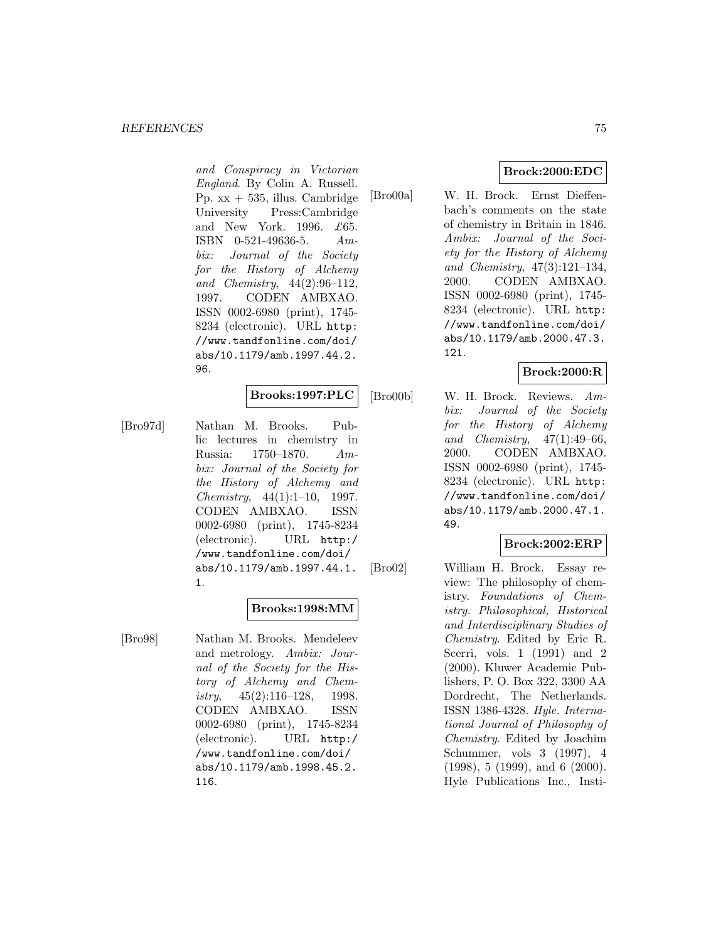and Conspiracy in Victorian England. By Colin A. Russell. Pp.  $xx + 535$ , illus. Cambridge University Press:Cambridge and New York. 1996. £65. ISBN 0-521-49636-5. Ambix: Journal of the Society for the History of Alchemy and Chemistry, 44(2):96–112, 1997. CODEN AMBXAO. ISSN 0002-6980 (print), 1745- 8234 (electronic). URL http: //www.tandfonline.com/doi/ abs/10.1179/amb.1997.44.2. 96.

## **Brooks:1997:PLC**

[Bro97d] Nathan M. Brooks. Public lectures in chemistry in Russia: 1750–1870. Ambix: Journal of the Society for the History of Alchemy and Chemistry, 44(1):1–10, 1997. CODEN AMBXAO. ISSN 0002-6980 (print), 1745-8234 (electronic). URL http:/ /www.tandfonline.com/doi/ abs/10.1179/amb.1997.44.1. 1.

## **Brooks:1998:MM**

[Bro98] Nathan M. Brooks. Mendeleev and metrology. Ambix: Journal of the Society for the History of Alchemy and Chemistry,  $45(2):116-128$ , 1998. CODEN AMBXAO. ISSN 0002-6980 (print), 1745-8234 (electronic). URL http:/ /www.tandfonline.com/doi/ abs/10.1179/amb.1998.45.2. 116.

## **Brock:2000:EDC**

[Bro00a] W. H. Brock. Ernst Dieffenbach's comments on the state of chemistry in Britain in 1846. Ambix: Journal of the Society for the History of Alchemy and Chemistry, 47(3):121–134, 2000. CODEN AMBXAO. ISSN 0002-6980 (print), 1745- 8234 (electronic). URL http: //www.tandfonline.com/doi/ abs/10.1179/amb.2000.47.3. 121.

# **Brock:2000:R**

[Bro00b] W. H. Brock. Reviews. Ambix: Journal of the Society for the History of Alchemy and Chemistry, 47(1):49–66, 2000. CODEN AMBXAO. ISSN 0002-6980 (print), 1745- 8234 (electronic). URL http: //www.tandfonline.com/doi/ abs/10.1179/amb.2000.47.1. 49.

# **Brock:2002:ERP**

[Bro02] William H. Brock. Essay review: The philosophy of chemistry. Foundations of Chemistry. Philosophical, Historical and Interdisciplinary Studies of Chemistry. Edited by Eric R. Scerri, vols. 1 (1991) and 2 (2000). Kluwer Academic Publishers, P. O. Box 322, 3300 AA Dordrecht, The Netherlands. ISSN 1386-4328. Hyle. International Journal of Philosophy of Chemistry. Edited by Joachim Schummer, vols 3 (1997), 4 (1998), 5 (1999), and 6 (2000). Hyle Publications Inc., Insti-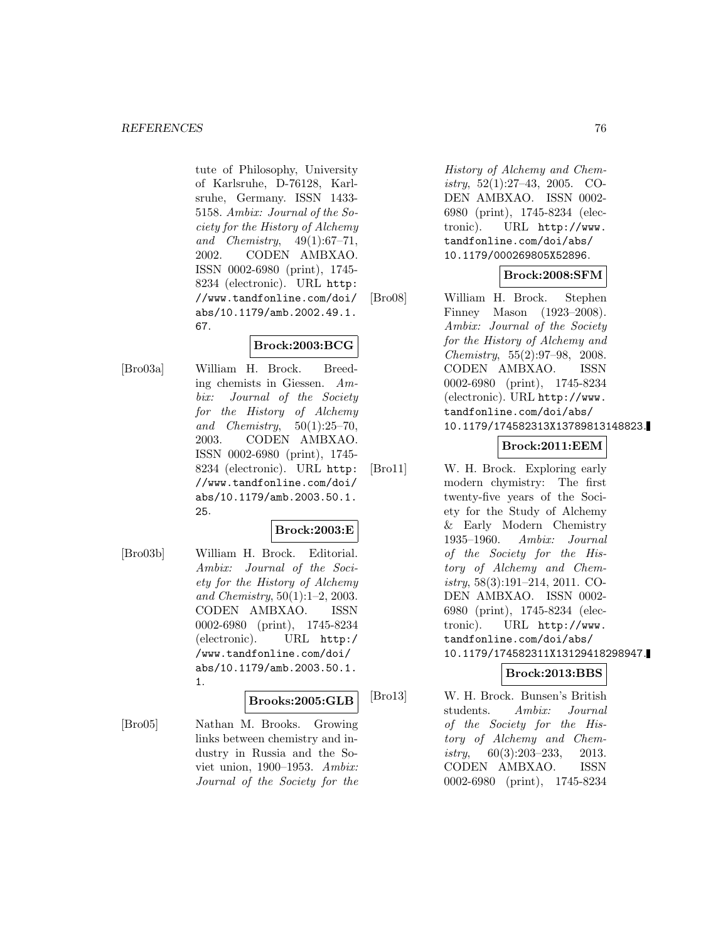tute of Philosophy, University of Karlsruhe, D-76128, Karlsruhe, Germany. ISSN 1433- 5158. Ambix: Journal of the Society for the History of Alchemy and Chemistry, 49(1):67–71, 2002. CODEN AMBXAO. ISSN 0002-6980 (print), 1745- 8234 (electronic). URL http: //www.tandfonline.com/doi/ abs/10.1179/amb.2002.49.1. 67.

# **Brock:2003:BCG**

[Bro03a] William H. Brock. Breeding chemists in Giessen. Ambix: Journal of the Society for the History of Alchemy and Chemistry,  $50(1):25-70$ , 2003. CODEN AMBXAO. ISSN 0002-6980 (print), 1745- 8234 (electronic). URL http: //www.tandfonline.com/doi/ abs/10.1179/amb.2003.50.1. 25.

# **Brock:2003:E**

[Bro03b] William H. Brock. Editorial. Ambix: Journal of the Society for the History of Alchemy and Chemistry, 50(1):1–2, 2003. CODEN AMBXAO. ISSN 0002-6980 (print), 1745-8234 (electronic). URL http:/ /www.tandfonline.com/doi/ abs/10.1179/amb.2003.50.1. 1.

**Brooks:2005:GLB**

[Bro05] Nathan M. Brooks. Growing links between chemistry and industry in Russia and the Soviet union, 1900–1953. Ambix: Journal of the Society for the History of Alchemy and Chemistry, 52(1):27–43, 2005. CO-DEN AMBXAO. ISSN 0002- 6980 (print), 1745-8234 (electronic). URL http://www. tandfonline.com/doi/abs/ 10.1179/000269805X52896.

## **Brock:2008:SFM**

[Bro08] William H. Brock. Stephen Finney Mason (1923–2008). Ambix: Journal of the Society for the History of Alchemy and Chemistry, 55(2):97–98, 2008. CODEN AMBXAO. ISSN 0002-6980 (print), 1745-8234 (electronic). URL http://www. tandfonline.com/doi/abs/ 10.1179/174582313X13789813148823.

# **Brock:2011:EEM**

[Bro11] W. H. Brock. Exploring early modern chymistry: The first twenty-five years of the Society for the Study of Alchemy & Early Modern Chemistry 1935–1960. Ambix: Journal of the Society for the History of Alchemy and Chemistry, 58(3):191–214, 2011. CO-DEN AMBXAO. ISSN 0002- 6980 (print), 1745-8234 (electronic). URL http://www. tandfonline.com/doi/abs/ 10.1179/174582311X13129418298947.

# **Brock:2013:BBS**

[Bro13] W. H. Brock. Bunsen's British students. Ambix: Journal of the Society for the History of Alchemy and Chemistry, 60(3):203–233, 2013. CODEN AMBXAO. ISSN 0002-6980 (print), 1745-8234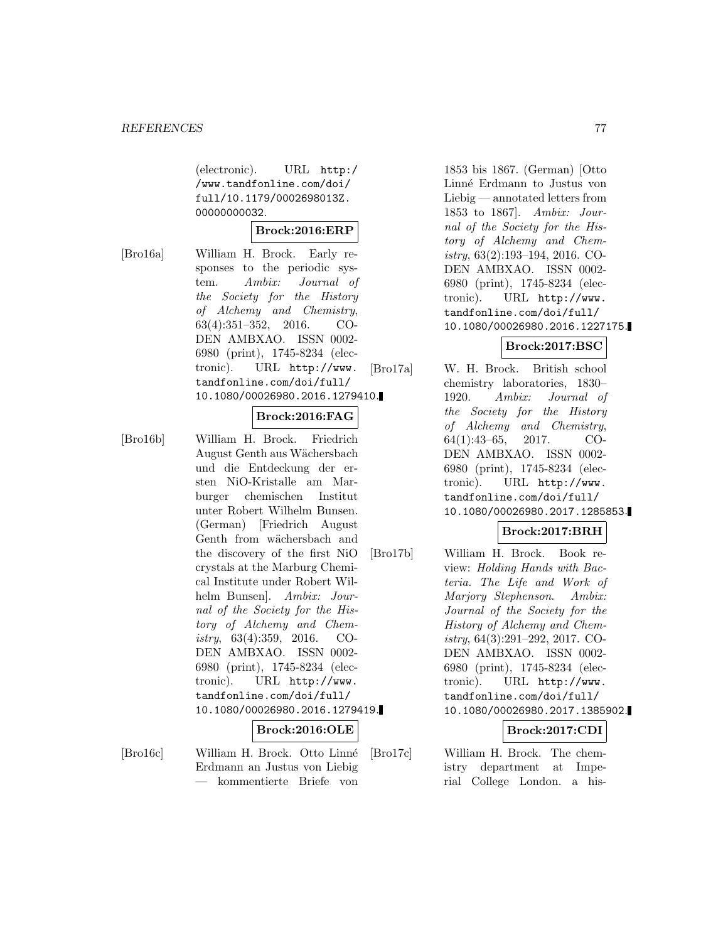(electronic). URL http:/ /www.tandfonline.com/doi/ full/10.1179/0002698013Z. 00000000032.

### **Brock:2016:ERP**

[Bro16a] William H. Brock. Early responses to the periodic system. Ambix: Journal of the Society for the History of Alchemy and Chemistry, 63(4):351–352, 2016. CO-DEN AMBXAO. ISSN 0002- 6980 (print), 1745-8234 (electronic). URL http://www. tandfonline.com/doi/full/ 10.1080/00026980.2016.1279410.

# **Brock:2016:FAG**

[Bro16b] William H. Brock. Friedrich August Genth aus W¨achersbach und die Entdeckung der ersten NiO-Kristalle am Marburger chemischen Institut unter Robert Wilhelm Bunsen. (German) [Friedrich August Genth from wächersbach and the discovery of the first NiO crystals at the Marburg Chemical Institute under Robert Wilhelm Bunsen]. Ambix: Journal of the Society for the History of Alchemy and Chemistry, 63(4):359, 2016. CO-DEN AMBXAO. ISSN 0002- 6980 (print), 1745-8234 (electronic). URL http://www. tandfonline.com/doi/full/ 10.1080/00026980.2016.1279419. **Brock:2016:OLE**

[Bro16c] William H. Brock. Otto Linn´e Erdmann an Justus von Liebig — kommentierte Briefe von

1853 bis 1867. (German) [Otto Linn´e Erdmann to Justus von Liebig — annotated letters from 1853 to 1867]. Ambix: Journal of the Society for the History of Alchemy and Chemistry, 63(2):193–194, 2016. CO-DEN AMBXAO. ISSN 0002- 6980 (print), 1745-8234 (electronic). URL http://www. tandfonline.com/doi/full/ 10.1080/00026980.2016.1227175.

# **Brock:2017:BSC**

[Bro17a] W. H. Brock. British school chemistry laboratories, 1830– 1920. Ambix: Journal of the Society for the History of Alchemy and Chemistry, 64(1):43–65, 2017. CO-DEN AMBXAO. ISSN 0002- 6980 (print), 1745-8234 (electronic). URL http://www. tandfonline.com/doi/full/ 10.1080/00026980.2017.1285853.

# **Brock:2017:BRH**

[Bro17b] William H. Brock. Book review: Holding Hands with Bacteria. The Life and Work of Marjory Stephenson. Ambix: Journal of the Society for the History of Alchemy and Chemistry, 64(3):291–292, 2017. CO-DEN AMBXAO. ISSN 0002- 6980 (print), 1745-8234 (electronic). URL http://www. tandfonline.com/doi/full/ 10.1080/00026980.2017.1385902.

# **Brock:2017:CDI**

[Bro17c] William H. Brock. The chemistry department at Imperial College London. a his-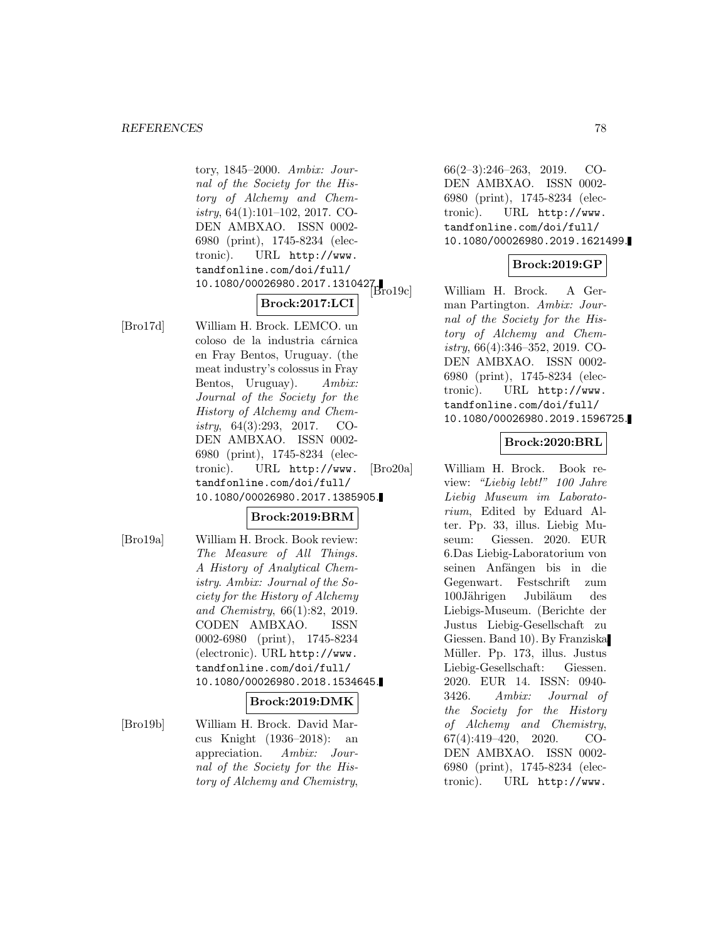tory, 1845–2000. Ambix: Journal of the Society for the History of Alchemy and Chemistry, 64(1):101–102, 2017. CO-DEN AMBXAO. ISSN 0002- 6980 (print), 1745-8234 (electronic). URL http://www. tandfonline.com/doi/full/ 10.1080/00026980.2017.1310427.

# **Brock:2017:LCI**

[Bro17d] William H. Brock. LEMCO. un coloso de la industria cárnica en Fray Bentos, Uruguay. (the meat industry's colossus in Fray Bentos, Uruguay). Ambix: Journal of the Society for the History of Alchemy and Chemistry, 64(3):293, 2017. CO-DEN AMBXAO. ISSN 0002- 6980 (print), 1745-8234 (electronic). URL http://www. tandfonline.com/doi/full/ 10.1080/00026980.2017.1385905.

# **Brock:2019:BRM**

[Bro19a] William H. Brock. Book review: The Measure of All Things. A History of Analytical Chemistry. Ambix: Journal of the Society for the History of Alchemy and Chemistry, 66(1):82, 2019. CODEN AMBXAO. ISSN 0002-6980 (print), 1745-8234 (electronic). URL http://www. tandfonline.com/doi/full/ 10.1080/00026980.2018.1534645.

### **Brock:2019:DMK**

[Bro19b] William H. Brock. David Marcus Knight (1936–2018): an appreciation. Ambix: Journal of the Society for the History of Alchemy and Chemistry,

66(2–3):246–263, 2019. CO-DEN AMBXAO. ISSN 0002- 6980 (print), 1745-8234 (electronic). URL http://www. tandfonline.com/doi/full/ 10.1080/00026980.2019.1621499.

# **Brock:2019:GP**

William H. Brock. A German Partington. Ambix: Journal of the Society for the History of Alchemy and Chemistry, 66(4):346–352, 2019. CO-DEN AMBXAO. ISSN 0002- 6980 (print), 1745-8234 (electronic). URL http://www. tandfonline.com/doi/full/ 10.1080/00026980.2019.1596725.

## **Brock:2020:BRL**

[Bro20a] William H. Brock. Book review: "Liebig lebt!" 100 Jahre Liebig Museum im Laboratorium, Edited by Eduard Alter. Pp. 33, illus. Liebig Museum: Giessen. 2020. EUR 6.Das Liebig-Laboratorium von seinen Anfängen bis in die Gegenwart. Festschrift zum 100Jährigen Jubiläum des Liebigs-Museum. (Berichte der Justus Liebig-Gesellschaft zu Giessen. Band 10). By Franziska Müller. Pp. 173, illus. Justus Liebig-Gesellschaft: Giessen. 2020. EUR 14. ISSN: 0940- 3426. Ambix: Journal of the Society for the History of Alchemy and Chemistry, 67(4):419–420, 2020. CO-DEN AMBXAO. ISSN 0002- 6980 (print), 1745-8234 (electronic). URL http://www.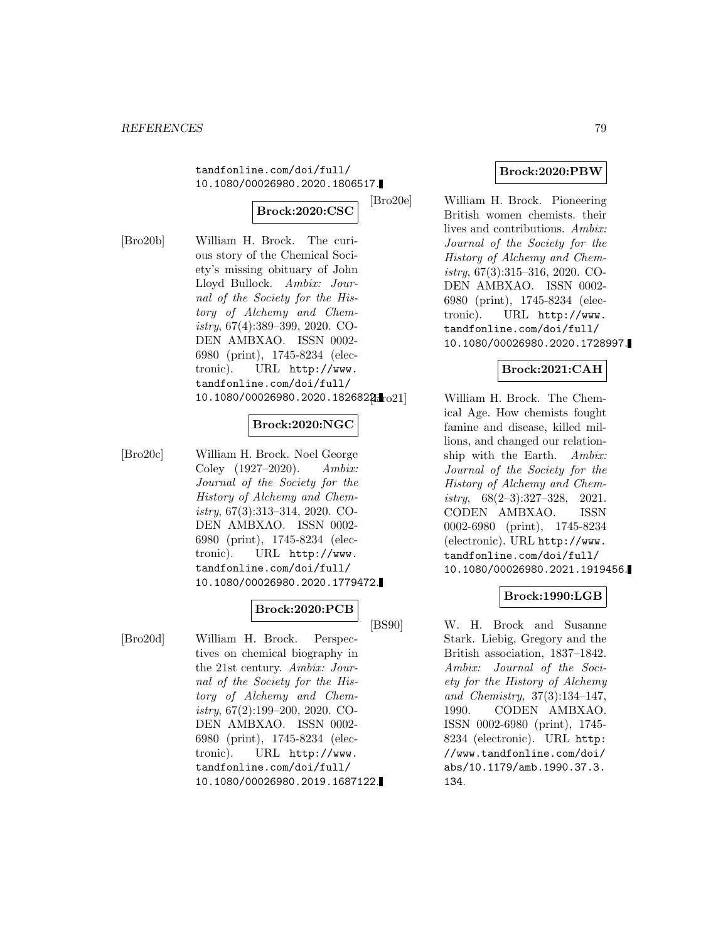tandfonline.com/doi/full/ 10.1080/00026980.2020.1806517.

# **Brock:2020:CSC**

[Bro20b] William H. Brock. The curious story of the Chemical Society's missing obituary of John Lloyd Bullock. Ambix: Journal of the Society for the History of Alchemy and Chemistry, 67(4):389–399, 2020. CO-DEN AMBXAO. ISSN 0002- 6980 (print), 1745-8234 (electronic). URL http://www. tandfonline.com/doi/full/ 10.1080/00026980.2020.1826822.co21

# **Brock:2020:NGC**

[Bro20c] William H. Brock. Noel George Coley (1927–2020). Ambix: Journal of the Society for the History of Alchemy and Chemistry, 67(3):313–314, 2020. CO-DEN AMBXAO. ISSN 0002- 6980 (print), 1745-8234 (electronic). URL http://www. tandfonline.com/doi/full/ 10.1080/00026980.2020.1779472.

### **Brock:2020:PCB**

[Bro20d] William H. Brock. Perspectives on chemical biography in the 21st century. Ambix: Journal of the Society for the History of Alchemy and Chemistry, 67(2):199–200, 2020. CO-DEN AMBXAO. ISSN 0002- 6980 (print), 1745-8234 (electronic). URL http://www. tandfonline.com/doi/full/ 10.1080/00026980.2019.1687122.

## **Brock:2020:PBW**

[Bro20e] William H. Brock. Pioneering British women chemists. their lives and contributions. Ambix: Journal of the Society for the History of Alchemy and Chemistry, 67(3):315–316, 2020. CO-DEN AMBXAO. ISSN 0002- 6980 (print), 1745-8234 (electronic). URL http://www. tandfonline.com/doi/full/ 10.1080/00026980.2020.1728997.

## **Brock:2021:CAH**

William H. Brock. The Chemical Age. How chemists fought famine and disease, killed millions, and changed our relationship with the Earth. Ambix: Journal of the Society for the History of Alchemy and Chemistry,  $68(2-3):327-328$ ,  $2021$ . CODEN AMBXAO. ISSN 0002-6980 (print), 1745-8234 (electronic). URL http://www. tandfonline.com/doi/full/ 10.1080/00026980.2021.1919456.

### **Brock:1990:LGB**

[BS90] W. H. Brock and Susanne Stark. Liebig, Gregory and the British association, 1837–1842. Ambix: Journal of the Society for the History of Alchemy and Chemistry, 37(3):134–147, 1990. CODEN AMBXAO. ISSN 0002-6980 (print), 1745- 8234 (electronic). URL http: //www.tandfonline.com/doi/ abs/10.1179/amb.1990.37.3. 134.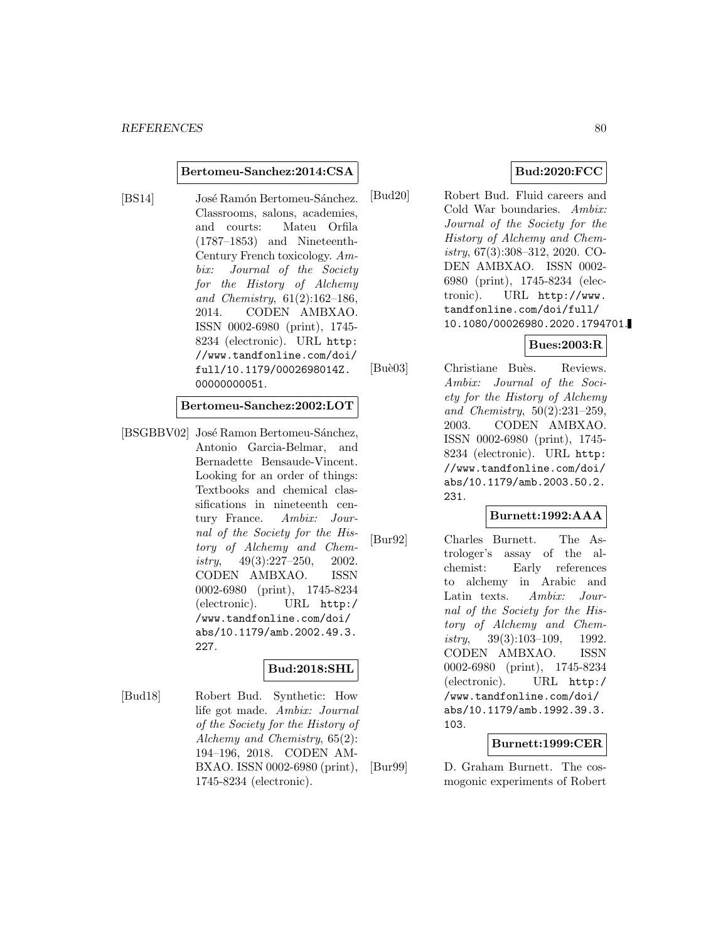#### **Bertomeu-Sanchez:2014:CSA**

[BS14] José Ramón Bertomeu-Sánchez. Classrooms, salons, academies, and courts: Mateu Orfila (1787–1853) and Nineteenth-Century French toxicology. Ambix: Journal of the Society for the History of Alchemy and Chemistry, 61(2):162–186, 2014. CODEN AMBXAO. ISSN 0002-6980 (print), 1745- 8234 (electronic). URL http: //www.tandfonline.com/doi/ full/10.1179/0002698014Z. 00000000051.

# **Bertomeu-Sanchez:2002:LOT**

[BSGBBV02] José Ramon Bertomeu-Sánchez, Antonio Garcia-Belmar, and Bernadette Bensaude-Vincent. Looking for an order of things: Textbooks and chemical classifications in nineteenth century France. Ambix: Journal of the Society for the History of Alchemy and Chemistry,  $49(3):227-250$ ,  $2002$ . CODEN AMBXAO. ISSN 0002-6980 (print), 1745-8234 (electronic). URL http:/ /www.tandfonline.com/doi/ abs/10.1179/amb.2002.49.3. 227.

# **Bud:2018:SHL**

[Bud18] Robert Bud. Synthetic: How life got made. Ambix: Journal of the Society for the History of Alchemy and Chemistry, 65(2): 194–196, 2018. CODEN AM-BXAO. ISSN 0002-6980 (print), 1745-8234 (electronic).

### **Bud:2020:FCC**

[Bud20] Robert Bud. Fluid careers and Cold War boundaries. Ambix: Journal of the Society for the History of Alchemy and Chemistry, 67(3):308–312, 2020. CO-DEN AMBXAO. ISSN 0002- 6980 (print), 1745-8234 (electronic). URL http://www. tandfonline.com/doi/full/ 10.1080/00026980.2020.1794701.

## **Bues:2003:R**

[Buè03] Christiane Buès. Reviews. Ambix: Journal of the Society for the History of Alchemy and Chemistry, 50(2):231–259, 2003. CODEN AMBXAO. ISSN 0002-6980 (print), 1745- 8234 (electronic). URL http: //www.tandfonline.com/doi/ abs/10.1179/amb.2003.50.2. 231.

### **Burnett:1992:AAA**

[Bur92] Charles Burnett. The Astrologer's assay of the alchemist: Early references to alchemy in Arabic and Latin texts. Ambix: Journal of the Society for the History of Alchemy and Chemistry, 39(3):103–109, 1992. CODEN AMBXAO. ISSN 0002-6980 (print), 1745-8234 (electronic). URL http:/ /www.tandfonline.com/doi/ abs/10.1179/amb.1992.39.3. 103.

#### **Burnett:1999:CER**

[Bur99] D. Graham Burnett. The cosmogonic experiments of Robert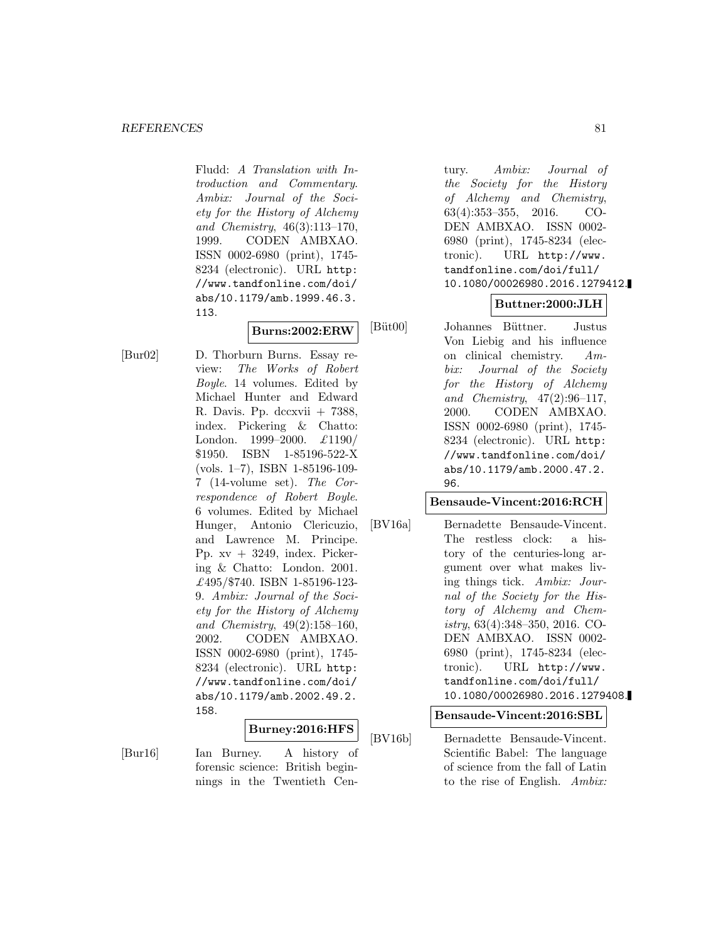Fludd: A Translation with Introduction and Commentary. Ambix: Journal of the Society for the History of Alchemy and Chemistry, 46(3):113–170, 1999. CODEN AMBXAO. ISSN 0002-6980 (print), 1745- 8234 (electronic). URL http: //www.tandfonline.com/doi/ abs/10.1179/amb.1999.46.3. 113.

# **Burns:2002:ERW**

[Bur02] D. Thorburn Burns. Essay review: The Works of Robert Boyle. 14 volumes. Edited by Michael Hunter and Edward R. Davis. Pp. dccxvii + 7388, index. Pickering & Chatto: London. 1999–2000.  $\pounds$ 1190/ \$1950. ISBN 1-85196-522-X (vols. 1–7), ISBN 1-85196-109- 7 (14-volume set). The Correspondence of Robert Boyle. 6 volumes. Edited by Michael Hunger, Antonio Clericuzio, and Lawrence M. Principe. Pp. xv + 3249, index. Pickering & Chatto: London. 2001. £495/\$740. ISBN 1-85196-123- 9. Ambix: Journal of the Society for the History of Alchemy and Chemistry, 49(2):158–160, 2002. CODEN AMBXAO. ISSN 0002-6980 (print), 1745- 8234 (electronic). URL http: //www.tandfonline.com/doi/ abs/10.1179/amb.2002.49.2. 158.

### **Burney:2016:HFS**

[Bur16] Ian Burney. A history of forensic science: British beginnings in the Twentieth Century. Ambix: Journal of the Society for the History of Alchemy and Chemistry, 63(4):353–355, 2016. CO-DEN AMBXAO. ISSN 0002- 6980 (print), 1745-8234 (electronic). URL http://www. tandfonline.com/doi/full/ 10.1080/00026980.2016.1279412.

## **Buttner:2000:JLH**

[Büt00] Johannes Büttner. Justus Von Liebig and his influence on clinical chemistry. Ambix: Journal of the Society for the History of Alchemy and Chemistry, 47(2):96–117, 2000. CODEN AMBXAO. ISSN 0002-6980 (print), 1745- 8234 (electronic). URL http: //www.tandfonline.com/doi/ abs/10.1179/amb.2000.47.2. 96.

### **Bensaude-Vincent:2016:RCH**

[BV16a] Bernadette Bensaude-Vincent. The restless clock: a history of the centuries-long argument over what makes living things tick. Ambix: Journal of the Society for the History of Alchemy and Chem $istry, 63(4):348-350, 2016.$  CO-DEN AMBXAO. ISSN 0002- 6980 (print), 1745-8234 (electronic). URL http://www. tandfonline.com/doi/full/ 10.1080/00026980.2016.1279408.

### **Bensaude-Vincent:2016:SBL**

[BV16b] Bernadette Bensaude-Vincent. Scientific Babel: The language of science from the fall of Latin to the rise of English. Ambix: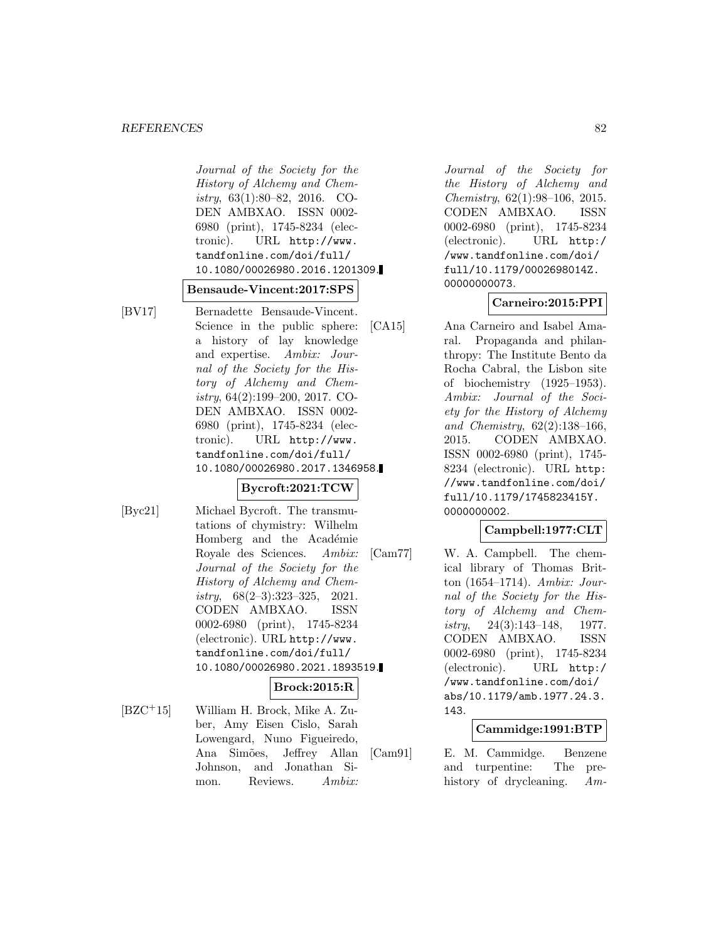#### *REFERENCES* 82

Journal of the Society for the History of Alchemy and Chemistry, 63(1):80–82, 2016. CO-DEN AMBXAO. ISSN 0002- 6980 (print), 1745-8234 (electronic). URL http://www. tandfonline.com/doi/full/ 10.1080/00026980.2016.1201309.

#### **Bensaude-Vincent:2017:SPS**

[BV17] Bernadette Bensaude-Vincent. Science in the public sphere: a history of lay knowledge and expertise. Ambix: Journal of the Society for the History of Alchemy and Chemistry, 64(2):199–200, 2017. CO-DEN AMBXAO. ISSN 0002- 6980 (print), 1745-8234 (electronic). URL http://www. tandfonline.com/doi/full/ 10.1080/00026980.2017.1346958.

### **Bycroft:2021:TCW**

[Byc21] Michael Bycroft. The transmutations of chymistry: Wilhelm Homberg and the Académie Royale des Sciences. Ambix: Journal of the Society for the History of Alchemy and Chemistry,  $68(2-3):323-325$ ,  $2021$ . CODEN AMBXAO. ISSN 0002-6980 (print), 1745-8234 (electronic). URL http://www. tandfonline.com/doi/full/ 10.1080/00026980.2021.1893519.

### **Brock:2015:R**

[BZC<sup>+</sup>15] William H. Brock, Mike A. Zuber, Amy Eisen Cislo, Sarah Lowengard, Nuno Figueiredo, Ana Sim˜oes, Jeffrey Allan Johnson, and Jonathan Simon. Reviews. Ambix: Journal of the Society for the History of Alchemy and Chemistry, 62(1):98–106, 2015. CODEN AMBXAO. ISSN 0002-6980 (print), 1745-8234 (electronic). URL http:/ /www.tandfonline.com/doi/ full/10.1179/0002698014Z. 00000000073.

## **Carneiro:2015:PPI**

[CA15] Ana Carneiro and Isabel Amaral. Propaganda and philanthropy: The Institute Bento da Rocha Cabral, the Lisbon site of biochemistry (1925–1953). Ambix: Journal of the Society for the History of Alchemy and Chemistry, 62(2):138–166, 2015. CODEN AMBXAO. ISSN 0002-6980 (print), 1745- 8234 (electronic). URL http: //www.tandfonline.com/doi/ full/10.1179/1745823415Y. 000000002.

## **Campbell:1977:CLT**

[Cam77] W. A. Campbell. The chemical library of Thomas Britton (1654–1714). Ambix: Journal of the Society for the History of Alchemy and Chemistry,  $24(3):143-148$ , 1977. CODEN AMBXAO. ISSN 0002-6980 (print), 1745-8234 (electronic). URL http:/ /www.tandfonline.com/doi/ abs/10.1179/amb.1977.24.3. 143.

### **Cammidge:1991:BTP**

[Cam91] E. M. Cammidge. Benzene and turpentine: The prehistory of drycleaning. Am-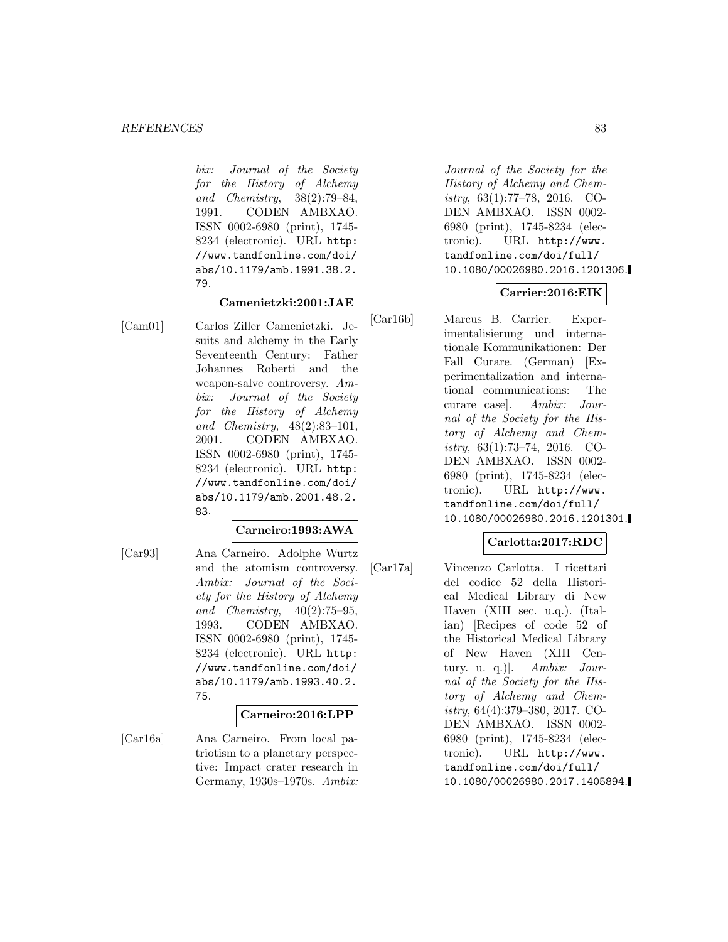bix: Journal of the Society for the History of Alchemy and Chemistry, 38(2):79–84, 1991. CODEN AMBXAO. ISSN 0002-6980 (print), 1745- 8234 (electronic). URL http: //www.tandfonline.com/doi/ abs/10.1179/amb.1991.38.2. 79.

**Camenietzki:2001:JAE**

[Cam01] Carlos Ziller Camenietzki. Jesuits and alchemy in the Early Seventeenth Century: Father Johannes Roberti and the weapon-salve controversy. Ambix: Journal of the Society for the History of Alchemy and Chemistry, 48(2):83–101, 2001. CODEN AMBXAO. ISSN 0002-6980 (print), 1745- 8234 (electronic). URL http: //www.tandfonline.com/doi/ abs/10.1179/amb.2001.48.2. 83.

## **Carneiro:1993:AWA**

[Car93] Ana Carneiro. Adolphe Wurtz and the atomism controversy. Ambix: Journal of the Society for the History of Alchemy and Chemistry,  $40(2):75-95$ , 1993. CODEN AMBXAO. ISSN 0002-6980 (print), 1745- 8234 (electronic). URL http: //www.tandfonline.com/doi/ abs/10.1179/amb.1993.40.2. 75.

### **Carneiro:2016:LPP**

[Car16a] Ana Carneiro. From local patriotism to a planetary perspective: Impact crater research in Germany, 1930s–1970s. Ambix:

Journal of the Society for the History of Alchemy and Chemistry, 63(1):77–78, 2016. CO-DEN AMBXAO. ISSN 0002- 6980 (print), 1745-8234 (electronic). URL http://www. tandfonline.com/doi/full/ 10.1080/00026980.2016.1201306.

## **Carrier:2016:EIK**

[Car16b] Marcus B. Carrier. Experimentalisierung und internationale Kommunikationen: Der Fall Curare. (German) [Experimentalization and international communications: The curare case]. Ambix: Journal of the Society for the History of Alchemy and Chemistry,  $63(1):73-74$ ,  $2016$ . CO-DEN AMBXAO. ISSN 0002- 6980 (print), 1745-8234 (electronic). URL http://www. tandfonline.com/doi/full/ 10.1080/00026980.2016.1201301.

# **Carlotta:2017:RDC**

[Car17a] Vincenzo Carlotta. I ricettari del codice 52 della Historical Medical Library di New Haven (XIII sec. u.q.). (Italian) [Recipes of code 52 of the Historical Medical Library of New Haven (XIII Century. u. q.)]. Ambix: Journal of the Society for the History of Alchemy and Chemistry, 64(4):379–380, 2017. CO-DEN AMBXAO. ISSN 0002- 6980 (print), 1745-8234 (electronic). URL http://www. tandfonline.com/doi/full/ 10.1080/00026980.2017.1405894.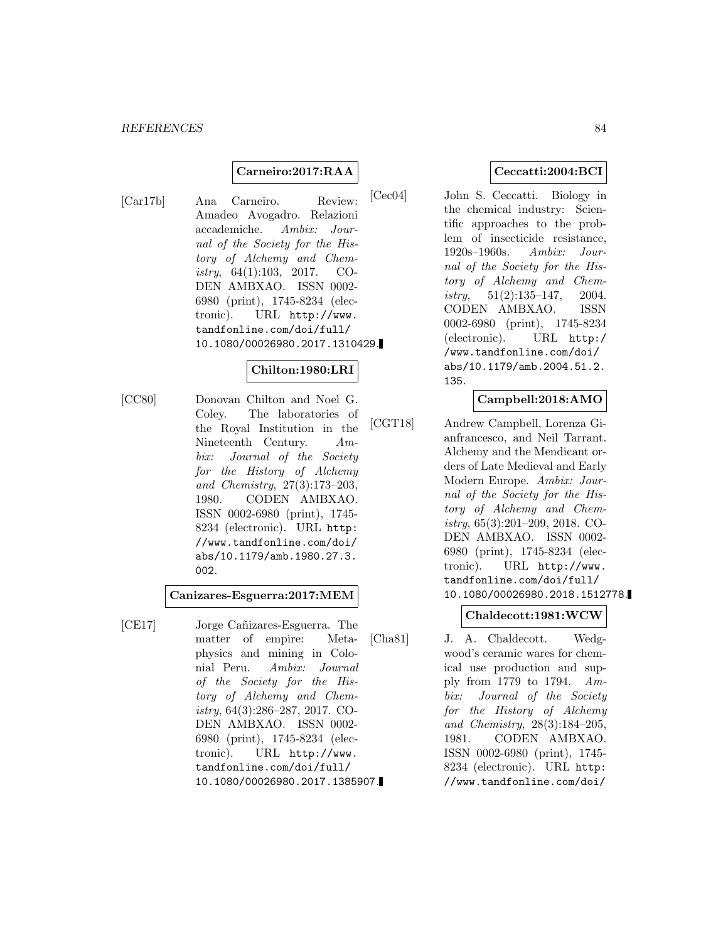## **Carneiro:2017:RAA**

[Car17b] Ana Carneiro. Review: Amadeo Avogadro. Relazioni accademiche. Ambix: Journal of the Society for the History of Alchemy and Chemistry,  $64(1):103$ ,  $2017$ . CO-DEN AMBXAO. ISSN 0002- 6980 (print), 1745-8234 (electronic). URL http://www. tandfonline.com/doi/full/ 10.1080/00026980.2017.1310429.

## **Chilton:1980:LRI**

[CC80] Donovan Chilton and Noel G. Coley. The laboratories of the Royal Institution in the Nineteenth Century. Ambix: Journal of the Society for the History of Alchemy and Chemistry, 27(3):173–203, 1980. CODEN AMBXAO. ISSN 0002-6980 (print), 1745- 8234 (electronic). URL http: //www.tandfonline.com/doi/ abs/10.1179/amb.1980.27.3. 002.

#### **Canizares-Esguerra:2017:MEM**

[CE17] Jorge Cañizares-Esguerra. The matter of empire: Metaphysics and mining in Colonial Peru. Ambix: Journal of the Society for the History of Alchemy and Chemistry, 64(3):286–287, 2017. CO-DEN AMBXAO. ISSN 0002- 6980 (print), 1745-8234 (electronic). URL http://www. tandfonline.com/doi/full/ 10.1080/00026980.2017.1385907.

# **Ceccatti:2004:BCI**

[Cec04] John S. Ceccatti. Biology in the chemical industry: Scientific approaches to the problem of insecticide resistance, 1920s–1960s. Ambix: Journal of the Society for the History of Alchemy and Chemistry,  $51(2):135-147$ ,  $2004$ . CODEN AMBXAO. ISSN 0002-6980 (print), 1745-8234 (electronic). URL http:/ /www.tandfonline.com/doi/ abs/10.1179/amb.2004.51.2. 135.

# **Campbell:2018:AMO**

[CGT18] Andrew Campbell, Lorenza Gianfrancesco, and Neil Tarrant. Alchemy and the Mendicant orders of Late Medieval and Early Modern Europe. Ambix: Journal of the Society for the History of Alchemy and Chemistry, 65(3):201–209, 2018. CO-DEN AMBXAO. ISSN 0002- 6980 (print), 1745-8234 (electronic). URL http://www. tandfonline.com/doi/full/ 10.1080/00026980.2018.1512778.

### **Chaldecott:1981:WCW**

[Cha81] J. A. Chaldecott. Wedgwood's ceramic wares for chemical use production and supply from 1779 to 1794.  $Am$ bix: Journal of the Society for the History of Alchemy and Chemistry, 28(3):184–205, 1981. CODEN AMBXAO. ISSN 0002-6980 (print), 1745- 8234 (electronic). URL http: //www.tandfonline.com/doi/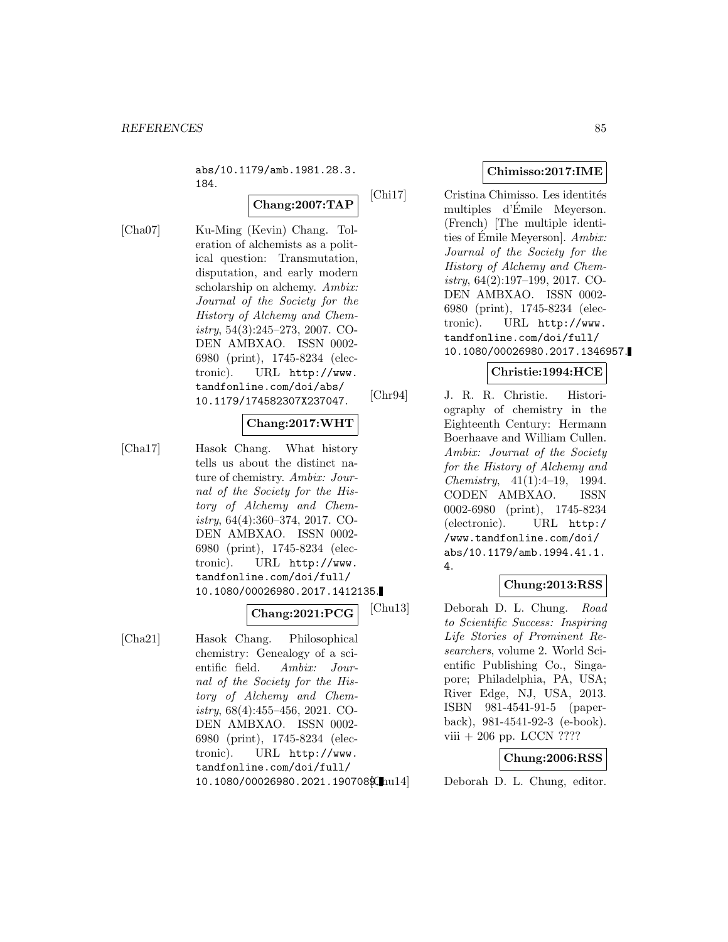abs/10.1179/amb.1981.28.3. 184.

# **Chang:2007:TAP**

[Cha07] Ku-Ming (Kevin) Chang. Toleration of alchemists as a political question: Transmutation, disputation, and early modern scholarship on alchemy. Ambix: Journal of the Society for the History of Alchemy and Chemistry, 54(3):245–273, 2007. CO-DEN AMBXAO. ISSN 0002- 6980 (print), 1745-8234 (electronic). URL http://www. tandfonline.com/doi/abs/ 10.1179/174582307X237047.

### **Chang:2017:WHT**

[Cha17] Hasok Chang. What history tells us about the distinct nature of chemistry. Ambix: Journal of the Society for the History of Alchemy and Chemistry, 64(4):360–374, 2017. CO-DEN AMBXAO. ISSN 0002- 6980 (print), 1745-8234 (electronic). URL http://www. tandfonline.com/doi/full/ 10.1080/00026980.2017.1412135.

# **Chang:2021:PCG**

[Cha21] Hasok Chang. Philosophical chemistry: Genealogy of a scientific field. Ambix: Journal of the Society for the History of Alchemy and Chemistry, 68(4):455–456, 2021. CO-DEN AMBXAO. ISSN 0002- 6980 (print), 1745-8234 (electronic). URL http://www. tandfonline.com/doi/full/ 10.1080/00026980.2021.1907080.hul4

## **Chimisso:2017:IME**

[Chi17] Cristina Chimisso. Les identités multiples d'Émile Meyerson. (French) [The multiple identities of Emile Meyerson].  $Ambix:$ Journal of the Society for the History of Alchemy and Chemistry, 64(2):197–199, 2017. CO-DEN AMBXAO. ISSN 0002- 6980 (print), 1745-8234 (electronic). URL http://www. tandfonline.com/doi/full/ 10.1080/00026980.2017.1346957.

# **Christie:1994:HCE**

[Chr94] J. R. R. Christie. Historiography of chemistry in the Eighteenth Century: Hermann Boerhaave and William Cullen. Ambix: Journal of the Society for the History of Alchemy and Chemistry, 41(1):4–19, 1994. CODEN AMBXAO. ISSN 0002-6980 (print), 1745-8234 (electronic). URL http:/ /www.tandfonline.com/doi/ abs/10.1179/amb.1994.41.1. 4.

### **Chung:2013:RSS**

[Chu13] Deborah D. L. Chung. Road to Scientific Success: Inspiring Life Stories of Prominent Researchers, volume 2. World Scientific Publishing Co., Singapore; Philadelphia, PA, USA; River Edge, NJ, USA, 2013. ISBN 981-4541-91-5 (paperback), 981-4541-92-3 (e-book). viii  $+206$  pp. LCCN ????

## **Chung:2006:RSS**

Deborah D. L. Chung, editor.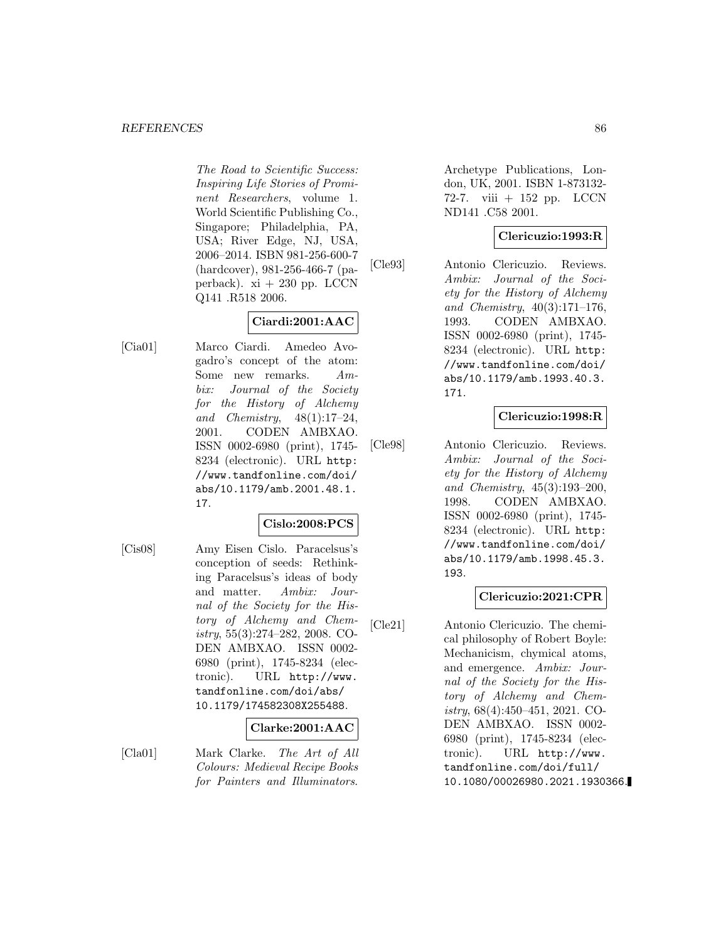The Road to Scientific Success: Inspiring Life Stories of Prominent Researchers, volume 1. World Scientific Publishing Co., Singapore; Philadelphia, PA, USA; River Edge, NJ, USA, 2006–2014. ISBN 981-256-600-7 (hardcover), 981-256-466-7 (paperback).  $xi + 230$  pp. LCCN Q141 .R518 2006.

# **Ciardi:2001:AAC**

[Cia01] Marco Ciardi. Amedeo Avogadro's concept of the atom: Some new remarks. Ambix: Journal of the Society for the History of Alchemy and Chemistry, 48(1):17–24, 2001. CODEN AMBXAO. ISSN 0002-6980 (print), 1745- 8234 (electronic). URL http: //www.tandfonline.com/doi/ abs/10.1179/amb.2001.48.1. 17.

# **Cislo:2008:PCS**

[Cis08] Amy Eisen Cislo. Paracelsus's conception of seeds: Rethinking Paracelsus's ideas of body and matter. Ambix: Journal of the Society for the History of Alchemy and Chemistry, 55(3):274–282, 2008. CO-DEN AMBXAO. ISSN 0002- 6980 (print), 1745-8234 (electronic). URL http://www. tandfonline.com/doi/abs/ 10.1179/174582308X255488.

# **Clarke:2001:AAC**

[Cla01] Mark Clarke. The Art of All Colours: Medieval Recipe Books for Painters and Illuminators.

Archetype Publications, London, UK, 2001. ISBN 1-873132- 72-7. viii  $+$  152 pp. LCCN ND141 .C58 2001.

# **Clericuzio:1993:R**

[Cle93] Antonio Clericuzio. Reviews. Ambix: Journal of the Society for the History of Alchemy and Chemistry, 40(3):171–176, 1993. CODEN AMBXAO. ISSN 0002-6980 (print), 1745- 8234 (electronic). URL http: //www.tandfonline.com/doi/ abs/10.1179/amb.1993.40.3. 171.

# **Clericuzio:1998:R**

[Cle98] Antonio Clericuzio. Reviews. Ambix: Journal of the Society for the History of Alchemy and Chemistry, 45(3):193–200, 1998. CODEN AMBXAO. ISSN 0002-6980 (print), 1745- 8234 (electronic). URL http: //www.tandfonline.com/doi/ abs/10.1179/amb.1998.45.3. 193.

# **Clericuzio:2021:CPR**

[Cle21] Antonio Clericuzio. The chemical philosophy of Robert Boyle: Mechanicism, chymical atoms, and emergence. Ambix: Journal of the Society for the History of Alchemy and Chemistry, 68(4):450–451, 2021. CO-DEN AMBXAO. ISSN 0002- 6980 (print), 1745-8234 (electronic). URL http://www. tandfonline.com/doi/full/ 10.1080/00026980.2021.1930366.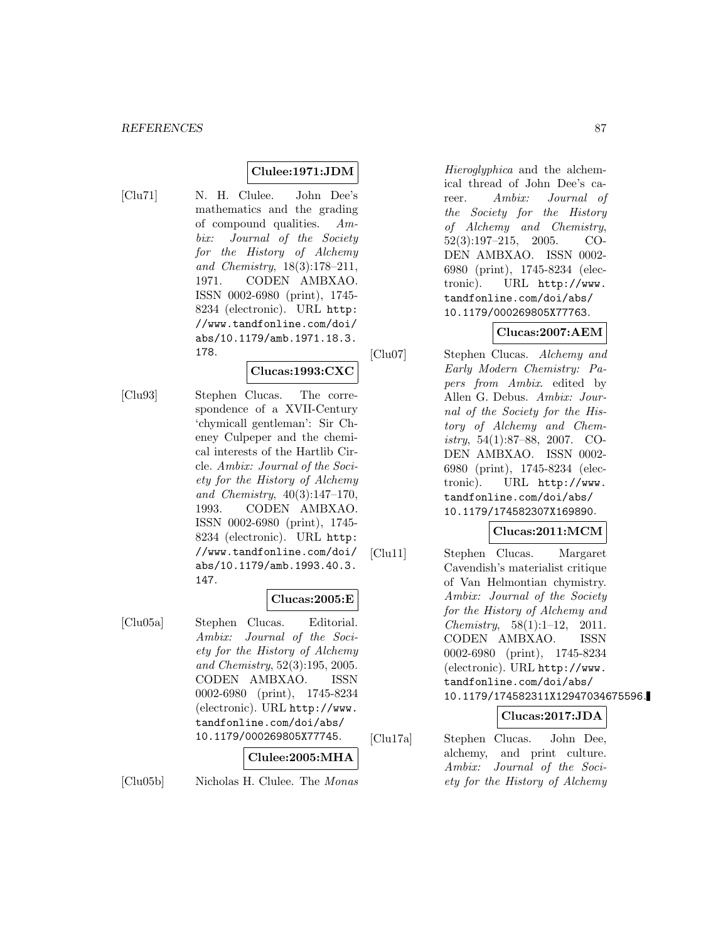# **Clulee:1971:JDM**

[Clu71] N. H. Clulee. John Dee's mathematics and the grading of compound qualities. Ambix: Journal of the Society for the History of Alchemy and Chemistry, 18(3):178–211, 1971. CODEN AMBXAO. ISSN 0002-6980 (print), 1745- 8234 (electronic). URL http: //www.tandfonline.com/doi/ abs/10.1179/amb.1971.18.3. 178.

# **Clucas:1993:CXC**

[Clu93] Stephen Clucas. The correspondence of a XVII-Century 'chymicall gentleman': Sir Cheney Culpeper and the chemical interests of the Hartlib Circle. Ambix: Journal of the Society for the History of Alchemy and Chemistry, 40(3):147–170, 1993. CODEN AMBXAO. ISSN 0002-6980 (print), 1745- 8234 (electronic). URL http: //www.tandfonline.com/doi/ abs/10.1179/amb.1993.40.3. 147.

# **Clucas:2005:E**

[Clu05a] Stephen Clucas. Editorial. Ambix: Journal of the Society for the History of Alchemy and Chemistry, 52(3):195, 2005. CODEN AMBXAO. ISSN 0002-6980 (print), 1745-8234 (electronic). URL http://www. tandfonline.com/doi/abs/ 10.1179/000269805X77745.

# **Clulee:2005:MHA**

[Clu05b] Nicholas H. Clulee. The Monas

Hieroglyphica and the alchemical thread of John Dee's career. Ambix: Journal of the Society for the History of Alchemy and Chemistry, 52(3):197–215, 2005. CO-DEN AMBXAO. ISSN 0002- 6980 (print), 1745-8234 (electronic). URL http://www. tandfonline.com/doi/abs/ 10.1179/000269805X77763.

# **Clucas:2007:AEM**

[Clu07] Stephen Clucas. Alchemy and Early Modern Chemistry: Papers from Ambix. edited by Allen G. Debus. Ambix: Journal of the Society for the History of Alchemy and Chemistry, 54(1):87–88, 2007. CO-DEN AMBXAO. ISSN 0002- 6980 (print), 1745-8234 (electronic). URL http://www. tandfonline.com/doi/abs/ 10.1179/174582307X169890.

## **Clucas:2011:MCM**

[Clu11] Stephen Clucas. Margaret Cavendish's materialist critique of Van Helmontian chymistry. Ambix: Journal of the Society for the History of Alchemy and  $Chemistry, 58(1):1-12, 2011.$ CODEN AMBXAO. ISSN 0002-6980 (print), 1745-8234 (electronic). URL http://www. tandfonline.com/doi/abs/ 10.1179/174582311X12947034675596.

### **Clucas:2017:JDA**

[Clu17a] Stephen Clucas. John Dee, alchemy, and print culture. Ambix: Journal of the Society for the History of Alchemy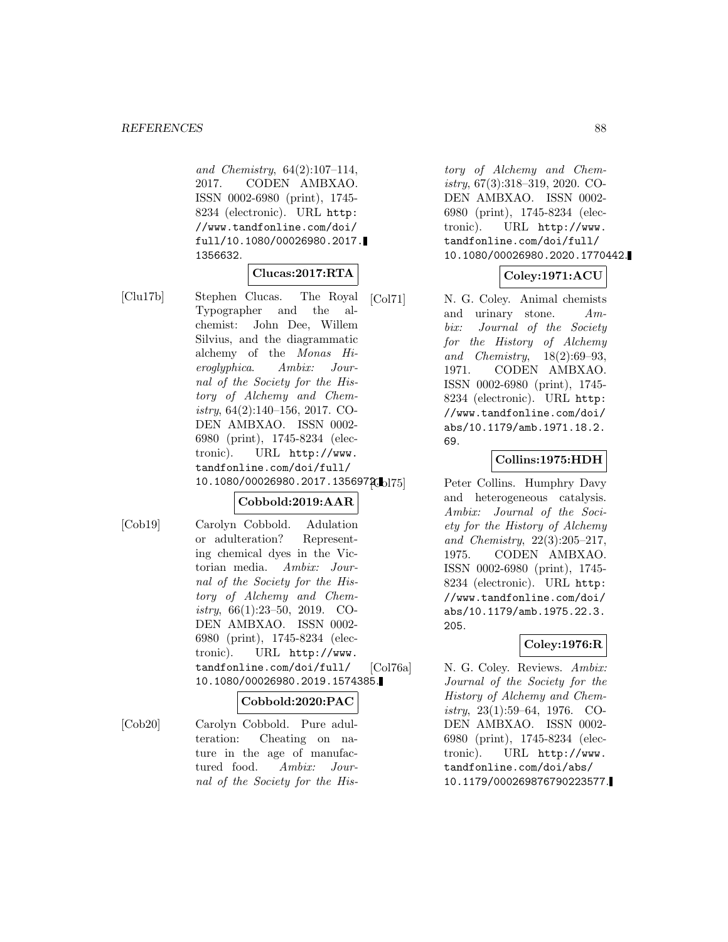and Chemistry, 64(2):107–114, 2017. CODEN AMBXAO. ISSN 0002-6980 (print), 1745- 8234 (electronic). URL http: //www.tandfonline.com/doi/ full/10.1080/00026980.2017. 1356632.

### **Clucas:2017:RTA**

[Clu17b] Stephen Clucas. The Royal Typographer and the alchemist: John Dee, Willem Silvius, and the diagrammatic alchemy of the Monas Hieroglyphica. Ambix: Journal of the Society for the History of Alchemy and Chemistry, 64(2):140–156, 2017. CO-DEN AMBXAO. ISSN 0002- 6980 (print), 1745-8234 (electronic). URL http://www. tandfonline.com/doi/full/ 10.1080/00026980.2017.1356972.bl75

### **Cobbold:2019:AAR**

[Cob19] Carolyn Cobbold. Adulation or adulteration? Representing chemical dyes in the Victorian media. Ambix: Journal of the Society for the History of Alchemy and Chemistry, 66(1):23–50, 2019. CO-DEN AMBXAO. ISSN 0002- 6980 (print), 1745-8234 (electronic). URL http://www. tandfonline.com/doi/full/ 10.1080/00026980.2019.1574385.

### **Cobbold:2020:PAC**

[Cob20] Carolyn Cobbold. Pure adulteration: Cheating on nature in the age of manufactured food. Ambix: Journal of the Society for the History of Alchemy and Chemistry, 67(3):318–319, 2020. CO-DEN AMBXAO. ISSN 0002- 6980 (print), 1745-8234 (electronic). URL http://www. tandfonline.com/doi/full/ 10.1080/00026980.2020.1770442.

## **Coley:1971:ACU**

[Col71] N. G. Coley. Animal chemists and urinary stone. Ambix: Journal of the Society for the History of Alchemy and Chemistry, 18(2):69–93, 1971. CODEN AMBXAO. ISSN 0002-6980 (print), 1745- 8234 (electronic). URL http: //www.tandfonline.com/doi/ abs/10.1179/amb.1971.18.2. 69.

## **Collins:1975:HDH**

Peter Collins. Humphry Davy and heterogeneous catalysis. Ambix: Journal of the Society for the History of Alchemy and Chemistry, 22(3):205–217, 1975. CODEN AMBXAO. ISSN 0002-6980 (print), 1745- 8234 (electronic). URL http: //www.tandfonline.com/doi/ abs/10.1179/amb.1975.22.3. 205.

### **Coley:1976:R**

[Col76a] N. G. Coley. Reviews. Ambix: Journal of the Society for the History of Alchemy and Chemistry, 23(1):59–64, 1976. CO-DEN AMBXAO. ISSN 0002- 6980 (print), 1745-8234 (electronic). URL http://www. tandfonline.com/doi/abs/ 10.1179/000269876790223577.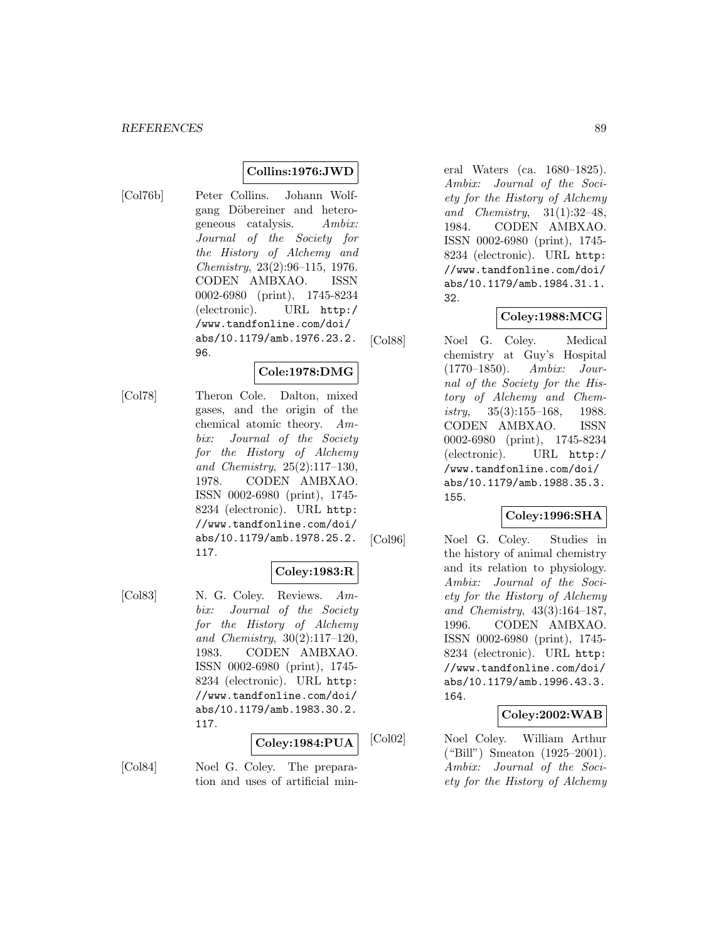# **Collins:1976:JWD**

- 
- [Col76b] Peter Collins. Johann Wolfgang Döbereiner and heterogeneous catalysis. Ambix: Journal of the Society for the History of Alchemy and Chemistry, 23(2):96–115, 1976. CODEN AMBXAO. ISSN 0002-6980 (print), 1745-8234 (electronic). URL http:/ /www.tandfonline.com/doi/ abs/10.1179/amb.1976.23.2. 96.

# **Cole:1978:DMG**

[Col78] Theron Cole. Dalton, mixed gases, and the origin of the chemical atomic theory. Ambix: Journal of the Society for the History of Alchemy and Chemistry, 25(2):117–130, 1978. CODEN AMBXAO. ISSN 0002-6980 (print), 1745- 8234 (electronic). URL http: //www.tandfonline.com/doi/ abs/10.1179/amb.1978.25.2. 117.

# **Coley:1983:R**

[Col83] N. G. Coley. Reviews. Ambix: Journal of the Society for the History of Alchemy and Chemistry, 30(2):117–120, 1983. CODEN AMBXAO. ISSN 0002-6980 (print), 1745- 8234 (electronic). URL http: //www.tandfonline.com/doi/ abs/10.1179/amb.1983.30.2. 117.

# **Coley:1984:PUA**

[Col84] Noel G. Coley. The preparation and uses of artificial mineral Waters (ca. 1680–1825). Ambix: Journal of the Society for the History of Alchemy and Chemistry, 31(1):32–48, 1984. CODEN AMBXAO. ISSN 0002-6980 (print), 1745- 8234 (electronic). URL http: //www.tandfonline.com/doi/ abs/10.1179/amb.1984.31.1. 32.

# **Coley:1988:MCG**

[Col88] Noel G. Coley. Medical chemistry at Guy's Hospital (1770–1850). Ambix: Journal of the Society for the History of Alchemy and Chemistry, 35(3):155–168, 1988. CODEN AMBXAO. ISSN 0002-6980 (print), 1745-8234 (electronic). URL http:/ /www.tandfonline.com/doi/ abs/10.1179/amb.1988.35.3. 155.

## **Coley:1996:SHA**

[Col96] Noel G. Coley. Studies in the history of animal chemistry and its relation to physiology. Ambix: Journal of the Society for the History of Alchemy and Chemistry, 43(3):164–187, 1996. CODEN AMBXAO. ISSN 0002-6980 (print), 1745- 8234 (electronic). URL http: //www.tandfonline.com/doi/ abs/10.1179/amb.1996.43.3. 164.

### **Coley:2002:WAB**

[Col02] Noel Coley. William Arthur ("Bill") Smeaton (1925–2001). Ambix: Journal of the Society for the History of Alchemy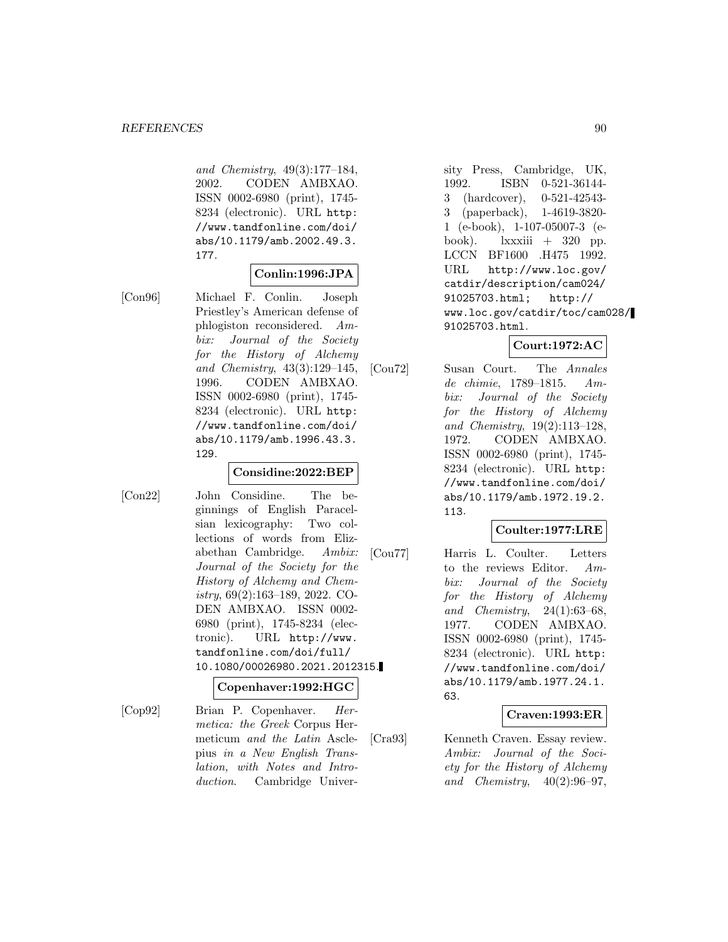and Chemistry, 49(3):177–184, 2002. CODEN AMBXAO. ISSN 0002-6980 (print), 1745- 8234 (electronic). URL http: //www.tandfonline.com/doi/ abs/10.1179/amb.2002.49.3. 177.

# **Conlin:1996:JPA**

[Con96] Michael F. Conlin. Joseph Priestley's American defense of phlogiston reconsidered. Ambix: Journal of the Society for the History of Alchemy and Chemistry, 43(3):129–145, 1996. CODEN AMBXAO. ISSN 0002-6980 (print), 1745- 8234 (electronic). URL http: //www.tandfonline.com/doi/ abs/10.1179/amb.1996.43.3. 129.

## **Considine:2022:BEP**

[Con22] John Considine. The beginnings of English Paracelsian lexicography: Two collections of words from Elizabethan Cambridge. Ambix: Journal of the Society for the History of Alchemy and Chemistry, 69(2):163–189, 2022. CO-DEN AMBXAO. ISSN 0002- 6980 (print), 1745-8234 (electronic). URL http://www. tandfonline.com/doi/full/ 10.1080/00026980.2021.2012315.

### **Copenhaver:1992:HGC**

[Cop92] Brian P. Copenhaver. Hermetica: the Greek Corpus Hermeticum and the Latin Asclepius in a New English Translation, with Notes and Introduction. Cambridge University Press, Cambridge, UK, 1992. ISBN 0-521-36144- 3 (hardcover), 0-521-42543- 3 (paperback), 1-4619-3820- 1 (e-book), 1-107-05007-3 (ebook).  $lxxxiii + 320$  pp. LCCN BF1600 .H475 1992. URL http://www.loc.gov/ catdir/description/cam024/ 91025703.html; http:// www.loc.gov/catdir/toc/cam028/ 91025703.html.

# **Court:1972:AC**

[Cou72] Susan Court. The Annales de chimie, 1789–1815. Ambix: Journal of the Society for the History of Alchemy and Chemistry, 19(2):113–128, 1972. CODEN AMBXAO. ISSN 0002-6980 (print), 1745- 8234 (electronic). URL http: //www.tandfonline.com/doi/ abs/10.1179/amb.1972.19.2. 113.

# **Coulter:1977:LRE**

[Cou77] Harris L. Coulter. Letters to the reviews Editor. Ambix: Journal of the Society for the History of Alchemy and Chemistry, 24(1):63–68, 1977. CODEN AMBXAO. ISSN 0002-6980 (print), 1745- 8234 (electronic). URL http: //www.tandfonline.com/doi/ abs/10.1179/amb.1977.24.1. 63.

### **Craven:1993:ER**

[Cra93] Kenneth Craven. Essay review. Ambix: Journal of the Society for the History of Alchemy and Chemistry,  $40(2):96-97$ ,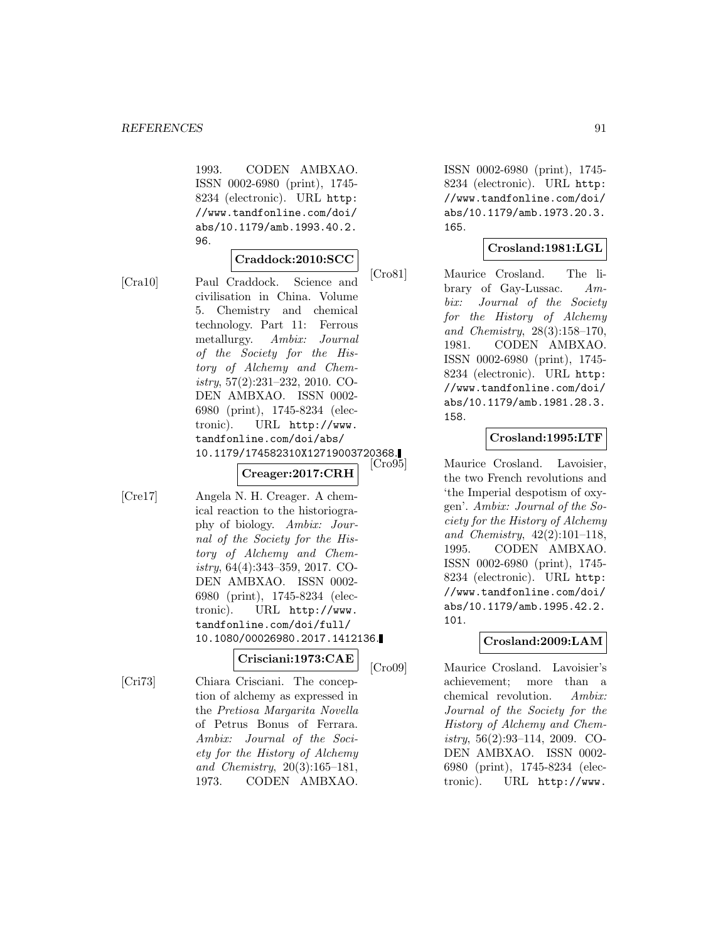1993. CODEN AMBXAO. ISSN 0002-6980 (print), 1745- 8234 (electronic). URL http: //www.tandfonline.com/doi/ abs/10.1179/amb.1993.40.2. 96.

# **Craddock:2010:SCC**

[Cra10] Paul Craddock. Science and civilisation in China. Volume 5. Chemistry and chemical technology. Part 11: Ferrous metallurgy. Ambix: Journal of the Society for the History of Alchemy and Chemistry, 57(2):231–232, 2010. CO-DEN AMBXAO. ISSN 0002- 6980 (print), 1745-8234 (electronic). URL http://www. tandfonline.com/doi/abs/ 10.1179/174582310X12719003720368.

### **Creager:2017:CRH**

[Cre17] Angela N. H. Creager. A chemical reaction to the historiography of biology. Ambix: Journal of the Society for the History of Alchemy and Chemistry, 64(4):343–359, 2017. CO-DEN AMBXAO. ISSN 0002- 6980 (print), 1745-8234 (electronic). URL http://www. tandfonline.com/doi/full/ 10.1080/00026980.2017.1412136.

### **Crisciani:1973:CAE**

[Cri73] Chiara Crisciani. The conception of alchemy as expressed in the Pretiosa Margarita Novella of Petrus Bonus of Ferrara. Ambix: Journal of the Society for the History of Alchemy and Chemistry, 20(3):165–181, 1973. CODEN AMBXAO.

ISSN 0002-6980 (print), 1745- 8234 (electronic). URL http: //www.tandfonline.com/doi/ abs/10.1179/amb.1973.20.3. 165.

## **Crosland:1981:LGL**

[Cro81] Maurice Crosland. The library of Gay-Lussac. Ambix: Journal of the Society for the History of Alchemy and Chemistry, 28(3):158–170, 1981. CODEN AMBXAO. ISSN 0002-6980 (print), 1745- 8234 (electronic). URL http: //www.tandfonline.com/doi/ abs/10.1179/amb.1981.28.3. 158.

# **Crosland:1995:LTF**

Maurice Crosland. Lavoisier, the two French revolutions and 'the Imperial despotism of oxygen'. Ambix: Journal of the Society for the History of Alchemy and Chemistry, 42(2):101–118, 1995. CODEN AMBXAO. ISSN 0002-6980 (print), 1745- 8234 (electronic). URL http: //www.tandfonline.com/doi/ abs/10.1179/amb.1995.42.2. 101.

# **Crosland:2009:LAM**

[Cro09] Maurice Crosland. Lavoisier's achievement; more than a chemical revolution. Ambix: Journal of the Society for the History of Alchemy and Chemistry, 56(2):93–114, 2009. CO-DEN AMBXAO. ISSN 0002- 6980 (print), 1745-8234 (electronic). URL http://www.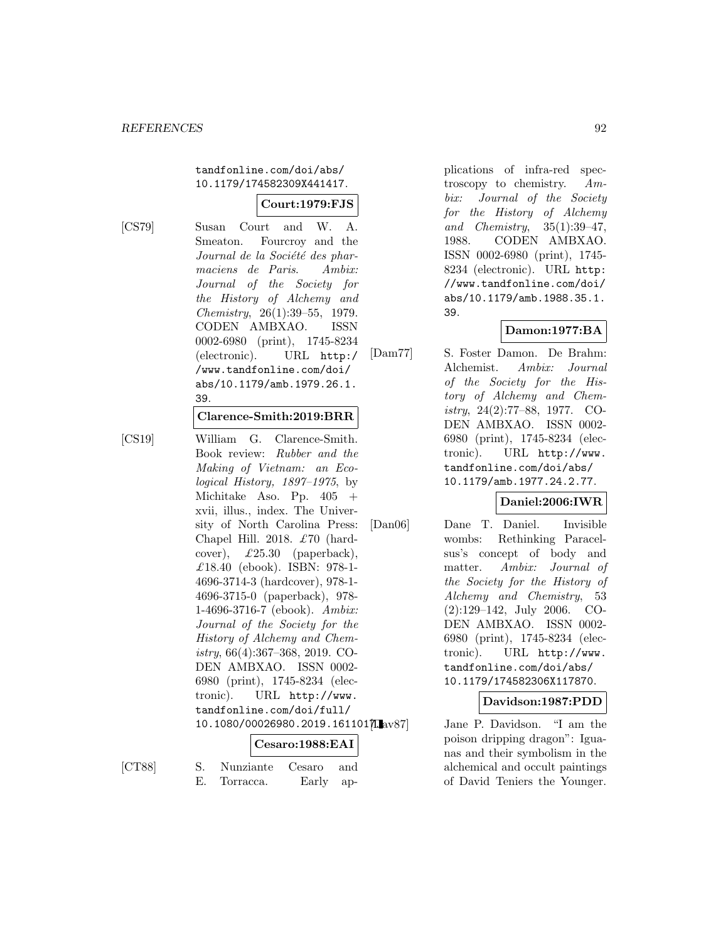tandfonline.com/doi/abs/ 10.1179/174582309X441417.

#### **Court:1979:FJS**

 $[CT88]$ 

[CS79] Susan Court and W. A. Smeaton. Fourcroy and the Journal de la Société des pharmaciens de Paris. Ambix: Journal of the Society for the History of Alchemy and Chemistry, 26(1):39–55, 1979. CODEN AMBXAO. ISSN 0002-6980 (print), 1745-8234 (electronic). URL http:/ /www.tandfonline.com/doi/ abs/10.1179/amb.1979.26.1. 39.

## **Clarence-Smith:2019:BRR**

[CS19] William G. Clarence-Smith. Book review: Rubber and the Making of Vietnam: an Ecological History, 1897–1975, by Michitake Aso. Pp. 405 + xvii, illus., index. The University of North Carolina Press: Chapel Hill. 2018. £70 (hardcover),  $\pounds 25.30$  (paperback), £18.40 (ebook). ISBN: 978-1- 4696-3714-3 (hardcover), 978-1- 4696-3715-0 (paperback), 978- 1-4696-3716-7 (ebook). Ambix: Journal of the Society for the History of Alchemy and Chemistry, 66(4):367–368, 2019. CO-DEN AMBXAO. ISSN 0002- 6980 (print), 1745-8234 (electronic). URL http://www. tandfonline.com/doi/full/ 10.1080/00026980.2019.161101 $\text{Zav87}$ 

| 10.1090\\000\\00000.2019.101101\ |              |  |                                   |  |  |
|----------------------------------|--------------|--|-----------------------------------|--|--|
|                                  |              |  | $ $ Cesaro:1988:EAI               |  |  |
|                                  | E. Torracca. |  | Nunziante Cesaro and<br>Early ap- |  |  |

plications of infra-red spectroscopy to chemistry.  $Am$ bix: Journal of the Society for the History of Alchemy and Chemistry, 35(1):39–47, 1988. CODEN AMBXAO. ISSN 0002-6980 (print), 1745- 8234 (electronic). URL http: //www.tandfonline.com/doi/ abs/10.1179/amb.1988.35.1. 39.

# **Damon:1977:BA**

[Dam77] S. Foster Damon. De Brahm: Alchemist. Ambix: Journal of the Society for the History of Alchemy and Chemistry, 24(2):77–88, 1977. CO-DEN AMBXAO. ISSN 0002- 6980 (print), 1745-8234 (electronic). URL http://www. tandfonline.com/doi/abs/ 10.1179/amb.1977.24.2.77.

# **Daniel:2006:IWR**

[Dan06] Dane T. Daniel. Invisible wombs: Rethinking Paracelsus's concept of body and matter. Ambix: Journal of the Society for the History of Alchemy and Chemistry, 53 (2):129–142, July 2006. CO-DEN AMBXAO. ISSN 0002- 6980 (print), 1745-8234 (electronic). URL http://www. tandfonline.com/doi/abs/ 10.1179/174582306X117870.

### **Davidson:1987:PDD**

Jane P. Davidson. "I am the poison dripping dragon": Iguanas and their symbolism in the alchemical and occult paintings of David Teniers the Younger.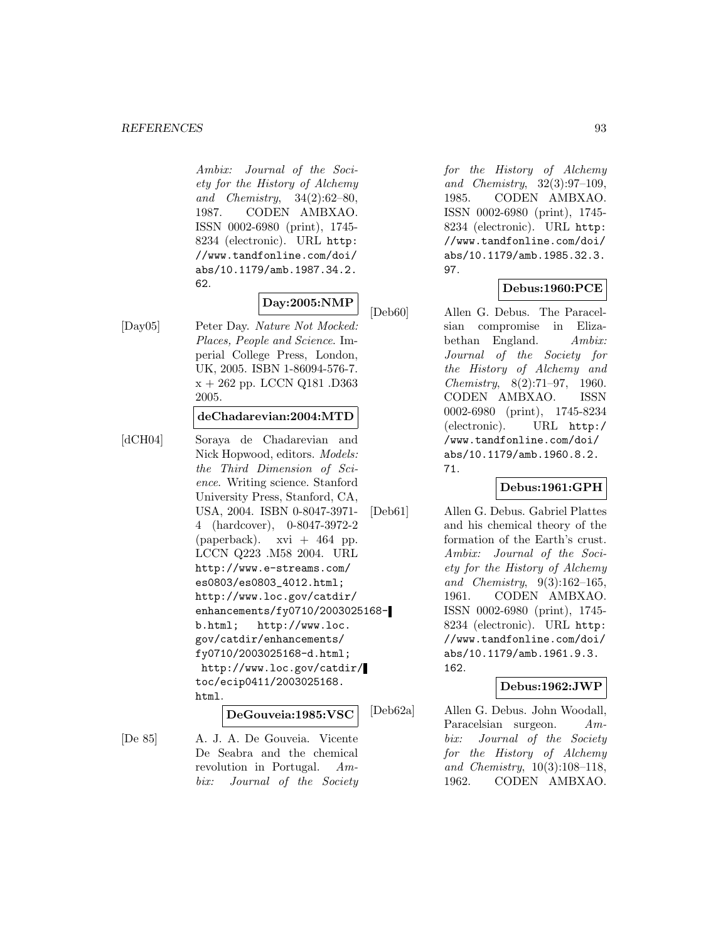#### *REFERENCES* 93

Ambix: Journal of the Society for the History of Alchemy and Chemistry, 34(2):62–80, 1987. CODEN AMBXAO. ISSN 0002-6980 (print), 1745- 8234 (electronic). URL http: //www.tandfonline.com/doi/ abs/10.1179/amb.1987.34.2. 62.

# **Day:2005:NMP**

[Day05] Peter Day. Nature Not Mocked: Places, People and Science. Imperial College Press, London, UK, 2005. ISBN 1-86094-576-7. x + 262 pp. LCCN Q181 .D363 2005.

### **deChadarevian:2004:MTD**

[dCH04] Soraya de Chadarevian and Nick Hopwood, editors. Models: the Third Dimension of Science. Writing science. Stanford University Press, Stanford, CA, USA, 2004. ISBN 0-8047-3971- 4 (hardcover), 0-8047-3972-2  $(paperback).$  xvi + 464 pp. LCCN Q223 .M58 2004. URL http://www.e-streams.com/ es0803/es0803\_4012.html; http://www.loc.gov/catdir/ enhancements/fy0710/2003025168 b.html; http://www.loc. gov/catdir/enhancements/ fy0710/2003025168-d.html; http://www.loc.gov/catdir/ toc/ecip0411/2003025168. html.

#### **DeGouveia:1985:VSC**

[De 85] A. J. A. De Gouveia. Vicente De Seabra and the chemical revolution in Portugal. Ambix: Journal of the Society for the History of Alchemy and Chemistry, 32(3):97–109, 1985. CODEN AMBXAO. ISSN 0002-6980 (print), 1745- 8234 (electronic). URL http: //www.tandfonline.com/doi/ abs/10.1179/amb.1985.32.3. 97.

## **Debus:1960:PCE**

[Deb60] Allen G. Debus. The Paracelsian compromise in Elizabethan England. Ambix: Journal of the Society for the History of Alchemy and Chemistry, 8(2):71–97, 1960. CODEN AMBXAO. ISSN 0002-6980 (print), 1745-8234 (electronic). URL http:/ /www.tandfonline.com/doi/ abs/10.1179/amb.1960.8.2. 71.

# **Debus:1961:GPH**

[Deb61] Allen G. Debus. Gabriel Plattes and his chemical theory of the formation of the Earth's crust. Ambix: Journal of the Society for the History of Alchemy and Chemistry, 9(3):162–165, 1961. CODEN AMBXAO. ISSN 0002-6980 (print), 1745- 8234 (electronic). URL http: //www.tandfonline.com/doi/ abs/10.1179/amb.1961.9.3. 162.

### **Debus:1962:JWP**

[Deb62a] Allen G. Debus. John Woodall, Paracelsian surgeon. Ambix: Journal of the Society for the History of Alchemy and Chemistry, 10(3):108–118, 1962. CODEN AMBXAO.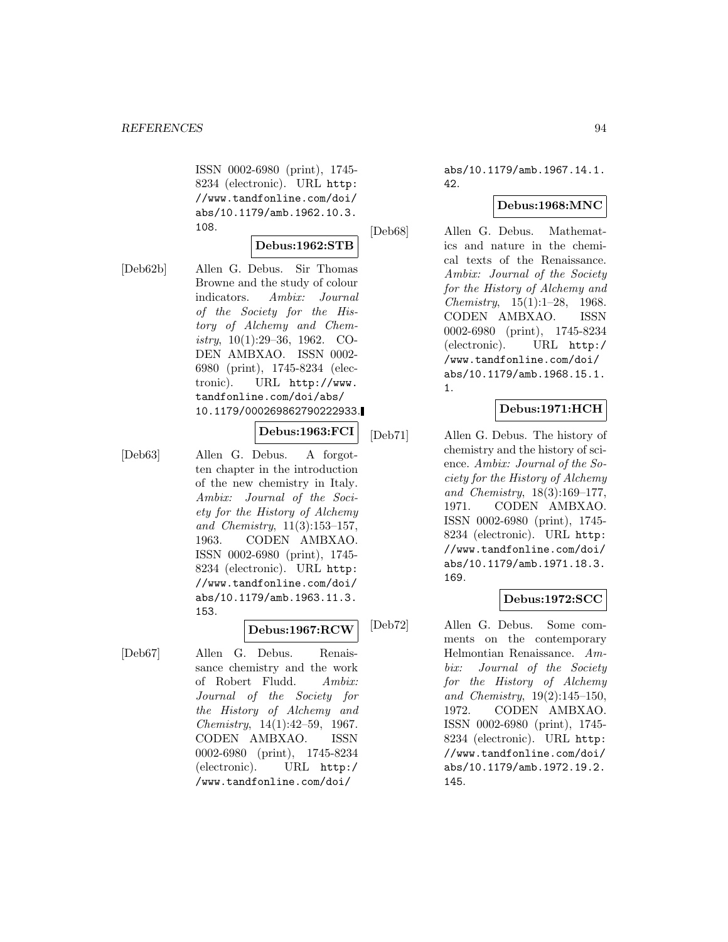ISSN 0002-6980 (print), 1745- 8234 (electronic). URL http: //www.tandfonline.com/doi/ abs/10.1179/amb.1962.10.3. 108.

# **Debus:1962:STB**

[Deb62b] Allen G. Debus. Sir Thomas Browne and the study of colour indicators. Ambix: Journal of the Society for the History of Alchemy and Chemistry, 10(1):29–36, 1962. CO-DEN AMBXAO. ISSN 0002- 6980 (print), 1745-8234 (electronic). URL http://www. tandfonline.com/doi/abs/ 10.1179/000269862790222933.

# **Debus:1963:FCI**

[Deb63] Allen G. Debus. A forgotten chapter in the introduction of the new chemistry in Italy. Ambix: Journal of the Society for the History of Alchemy and Chemistry, 11(3):153–157, 1963. CODEN AMBXAO. ISSN 0002-6980 (print), 1745- 8234 (electronic). URL http: //www.tandfonline.com/doi/ abs/10.1179/amb.1963.11.3. 153.

# **Debus:1967:RCW**

[Deb67] Allen G. Debus. Renaissance chemistry and the work of Robert Fludd. Ambix: Journal of the Society for the History of Alchemy and Chemistry, 14(1):42–59, 1967. CODEN AMBXAO. ISSN 0002-6980 (print), 1745-8234 (electronic). URL http:/ /www.tandfonline.com/doi/

abs/10.1179/amb.1967.14.1. 42

## **Debus:1968:MNC**

[Deb68] Allen G. Debus. Mathematics and nature in the chemical texts of the Renaissance. Ambix: Journal of the Society for the History of Alchemy and Chemistry, 15(1):1–28, 1968. CODEN AMBXAO. ISSN 0002-6980 (print), 1745-8234 (electronic). URL http:/ /www.tandfonline.com/doi/ abs/10.1179/amb.1968.15.1. 1.

# **Debus:1971:HCH**

[Deb71] Allen G. Debus. The history of chemistry and the history of science. Ambix: Journal of the Society for the History of Alchemy and Chemistry, 18(3):169–177, 1971. CODEN AMBXAO. ISSN 0002-6980 (print), 1745- 8234 (electronic). URL http: //www.tandfonline.com/doi/ abs/10.1179/amb.1971.18.3. 169.

### **Debus:1972:SCC**

[Deb72] Allen G. Debus. Some comments on the contemporary Helmontian Renaissance. Ambix: Journal of the Society for the History of Alchemy and Chemistry, 19(2):145–150, 1972. CODEN AMBXAO. ISSN 0002-6980 (print), 1745- 8234 (electronic). URL http: //www.tandfonline.com/doi/ abs/10.1179/amb.1972.19.2. 145.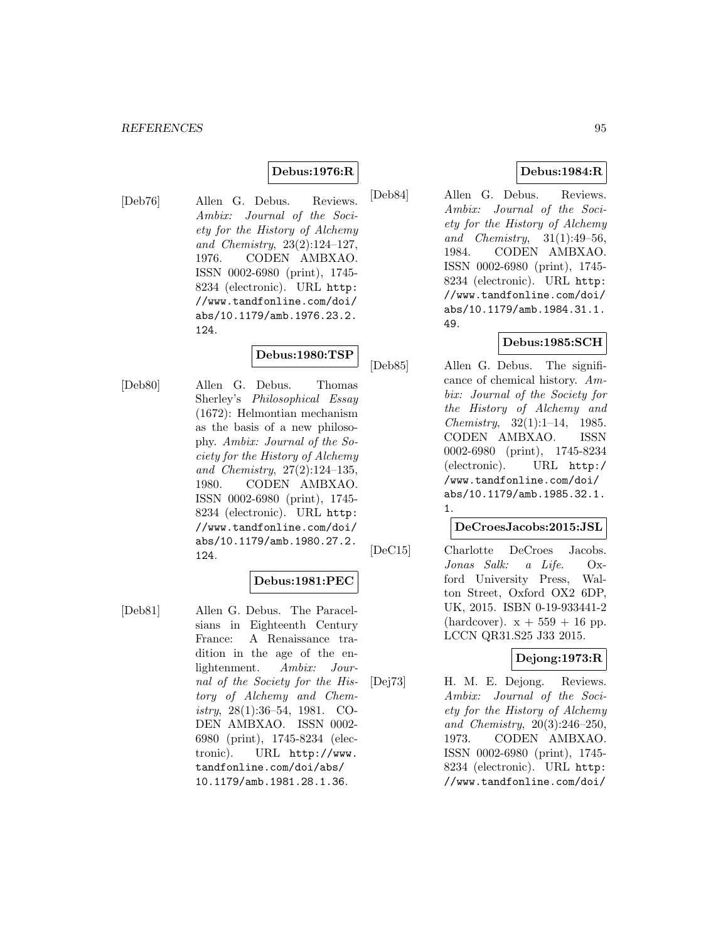## **Debus:1976:R**

[Deb76] Allen G. Debus. Reviews. Ambix: Journal of the Society for the History of Alchemy and Chemistry, 23(2):124–127, 1976. CODEN AMBXAO. ISSN 0002-6980 (print), 1745- 8234 (electronic). URL http: //www.tandfonline.com/doi/ abs/10.1179/amb.1976.23.2. 124.

# **Debus:1980:TSP**

[Deb80] Allen G. Debus. Thomas Sherley's Philosophical Essay (1672): Helmontian mechanism as the basis of a new philosophy. Ambix: Journal of the Society for the History of Alchemy and Chemistry, 27(2):124–135, 1980. CODEN AMBXAO. ISSN 0002-6980 (print), 1745- 8234 (electronic). URL http: //www.tandfonline.com/doi/ abs/10.1179/amb.1980.27.2. 124.

# **Debus:1981:PEC**

[Deb81] Allen G. Debus. The Paracelsians in Eighteenth Century France: A Renaissance tradition in the age of the enlightenment. Ambix: Journal of the Society for the History of Alchemy and Chemistry, 28(1):36–54, 1981. CO-DEN AMBXAO. ISSN 0002- 6980 (print), 1745-8234 (electronic). URL http://www. tandfonline.com/doi/abs/ 10.1179/amb.1981.28.1.36.

## **Debus:1984:R**

[Deb84] Allen G. Debus. Reviews. Ambix: Journal of the Society for the History of Alchemy and Chemistry,  $31(1):49-56$ , 1984. CODEN AMBXAO. ISSN 0002-6980 (print), 1745- 8234 (electronic). URL http: //www.tandfonline.com/doi/ abs/10.1179/amb.1984.31.1. 49.

## **Debus:1985:SCH**

[Deb85] Allen G. Debus. The significance of chemical history. Ambix: Journal of the Society for the History of Alchemy and Chemistry, 32(1):1–14, 1985. CODEN AMBXAO. ISSN 0002-6980 (print), 1745-8234 (electronic). URL http:/ /www.tandfonline.com/doi/ abs/10.1179/amb.1985.32.1. 1.

### **DeCroesJacobs:2015:JSL**

[DeC15] Charlotte DeCroes Jacobs. Jonas Salk: a Life. Oxford University Press, Walton Street, Oxford OX2 6DP, UK, 2015. ISBN 0-19-933441-2 (hardcover).  $x + 559 + 16$  pp. LCCN QR31.S25 J33 2015.

# **Dejong:1973:R**

[Dej73] H. M. E. Dejong. Reviews. Ambix: Journal of the Society for the History of Alchemy and Chemistry, 20(3):246–250, 1973. CODEN AMBXAO. ISSN 0002-6980 (print), 1745- 8234 (electronic). URL http: //www.tandfonline.com/doi/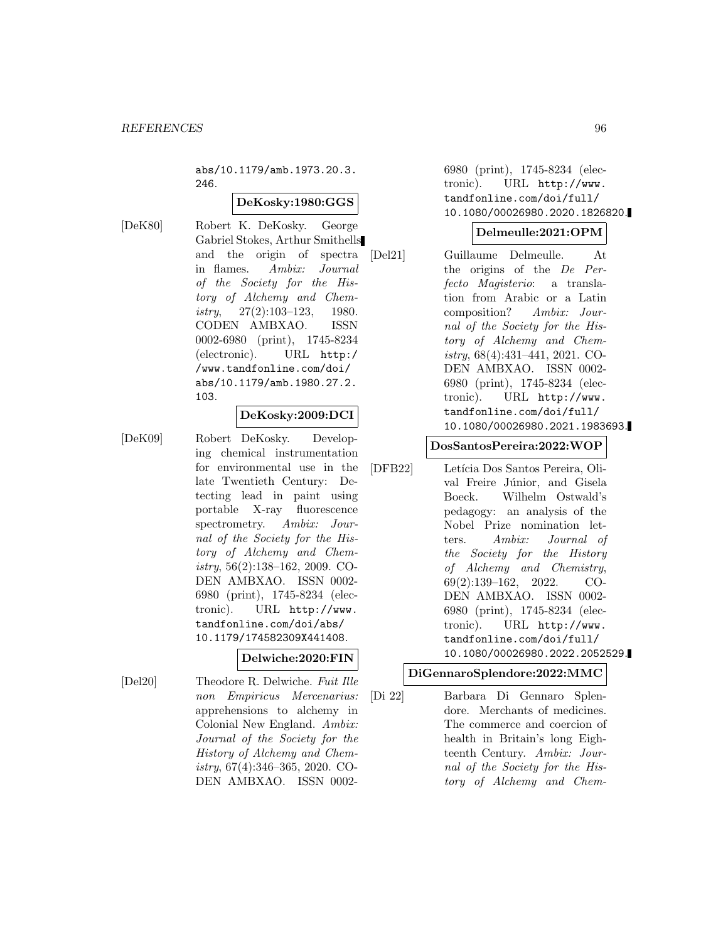abs/10.1179/amb.1973.20.3. 246.

### **DeKosky:1980:GGS**

[DeK80] Robert K. DeKosky. George Gabriel Stokes, Arthur Smithells and the origin of spectra in flames. Ambix: Journal of the Society for the History of Alchemy and Chemistry,  $27(2):103-123$ , 1980. CODEN AMBXAO. ISSN 0002-6980 (print), 1745-8234 (electronic). URL http:/ /www.tandfonline.com/doi/ abs/10.1179/amb.1980.27.2. 103.

## **DeKosky:2009:DCI**

[DeK09] Robert DeKosky. Developing chemical instrumentation for environmental use in the late Twentieth Century: Detecting lead in paint using portable X-ray fluorescence spectrometry. Ambix: Journal of the Society for the History of Alchemy and Chemistry, 56(2):138–162, 2009. CO-DEN AMBXAO. ISSN 0002- 6980 (print), 1745-8234 (electronic). URL http://www. tandfonline.com/doi/abs/ 10.1179/174582309X441408.

### **Delwiche:2020:FIN**

[Del20] Theodore R. Delwiche. Fuit Ille non Empiricus Mercenarius: apprehensions to alchemy in Colonial New England. Ambix: Journal of the Society for the History of Alchemy and Chemistry, 67(4):346–365, 2020. CO-DEN AMBXAO. ISSN 00026980 (print), 1745-8234 (electronic). URL http://www. tandfonline.com/doi/full/ 10.1080/00026980.2020.1826820.

### **Delmeulle:2021:OPM**

[Del21] Guillaume Delmeulle. At the origins of the De Perfecto Magisterio: a translation from Arabic or a Latin composition? Ambix: Journal of the Society for the History of Alchemy and Chemistry, 68(4):431–441, 2021. CO-DEN AMBXAO. ISSN 0002- 6980 (print), 1745-8234 (electronic). URL http://www. tandfonline.com/doi/full/ 10.1080/00026980.2021.1983693.

### **DosSantosPereira:2022:WOP**

[DFB22] Letícia Dos Santos Pereira, Olival Freire Júnior, and Gisela Boeck. Wilhelm Ostwald's pedagogy: an analysis of the Nobel Prize nomination letters. Ambix: Journal of the Society for the History of Alchemy and Chemistry, 69(2):139–162, 2022. CO-DEN AMBXAO. ISSN 0002- 6980 (print), 1745-8234 (electronic). URL http://www. tandfonline.com/doi/full/ 10.1080/00026980.2022.2052529.

### **DiGennaroSplendore:2022:MMC**

[Di 22] Barbara Di Gennaro Splendore. Merchants of medicines. The commerce and coercion of health in Britain's long Eighteenth Century. Ambix: Journal of the Society for the History of Alchemy and Chem-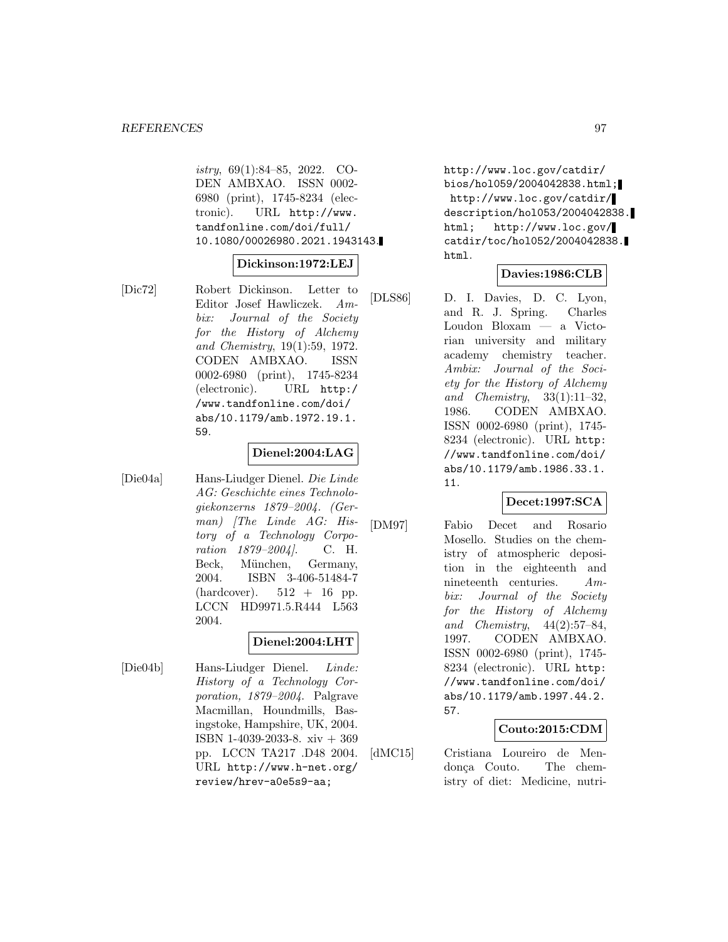istry, 69(1):84–85, 2022. CO-DEN AMBXAO. ISSN 0002- 6980 (print), 1745-8234 (electronic). URL http://www. tandfonline.com/doi/full/ 10.1080/00026980.2021.1943143.

#### **Dickinson:1972:LEJ**

[Dic72] Robert Dickinson. Letter to Editor Josef Hawliczek. Ambix: Journal of the Society for the History of Alchemy and Chemistry, 19(1):59, 1972. CODEN AMBXAO. ISSN 0002-6980 (print), 1745-8234 (electronic). URL http:/ /www.tandfonline.com/doi/ abs/10.1179/amb.1972.19.1. 59.

## **Dienel:2004:LAG**

[Die04a] Hans-Liudger Dienel. Die Linde AG: Geschichte eines Technologiekonzerns 1879–2004. (German) [The Linde AG: History of a Technology Corporation 1879–2004]. C. H. Beck, München, Germany, 2004. ISBN 3-406-51484-7 (hardcover).  $512 + 16$  pp. LCCN HD9971.5.R444 L563 2004.

# **Dienel:2004:LHT**

[Die04b] Hans-Liudger Dienel. Linde: History of a Technology Corporation, 1879–2004. Palgrave Macmillan, Houndmills, Basingstoke, Hampshire, UK, 2004. ISBN 1-4039-2033-8. xiv + 369 pp. LCCN TA217 .D48 2004. URL http://www.h-net.org/ review/hrev-a0e5s9-aa;

http://www.loc.gov/catdir/ bios/hol059/2004042838.html; http://www.loc.gov/catdir/ description/hol053/2004042838. html; http://www.loc.gov/ catdir/toc/hol052/2004042838. html.

### **Davies:1986:CLB**

[DLS86] D. I. Davies, D. C. Lyon, and R. J. Spring. Charles Loudon Bloxam — a Victorian university and military academy chemistry teacher. Ambix: Journal of the Society for the History of Alchemy and Chemistry, 33(1):11–32, 1986. CODEN AMBXAO. ISSN 0002-6980 (print), 1745- 8234 (electronic). URL http: //www.tandfonline.com/doi/ abs/10.1179/amb.1986.33.1. 11.

# **Decet:1997:SCA**

[DM97] Fabio Decet and Rosario Mosello. Studies on the chemistry of atmospheric deposition in the eighteenth and nineteenth centuries. Ambix: Journal of the Society for the History of Alchemy and Chemistry, 44(2):57–84, 1997. CODEN AMBXAO. ISSN 0002-6980 (print), 1745- 8234 (electronic). URL http: //www.tandfonline.com/doi/ abs/10.1179/amb.1997.44.2. 57.

# **Couto:2015:CDM**

[dMC15] Cristiana Loureiro de Mendonca Couto. The chemistry of diet: Medicine, nutri-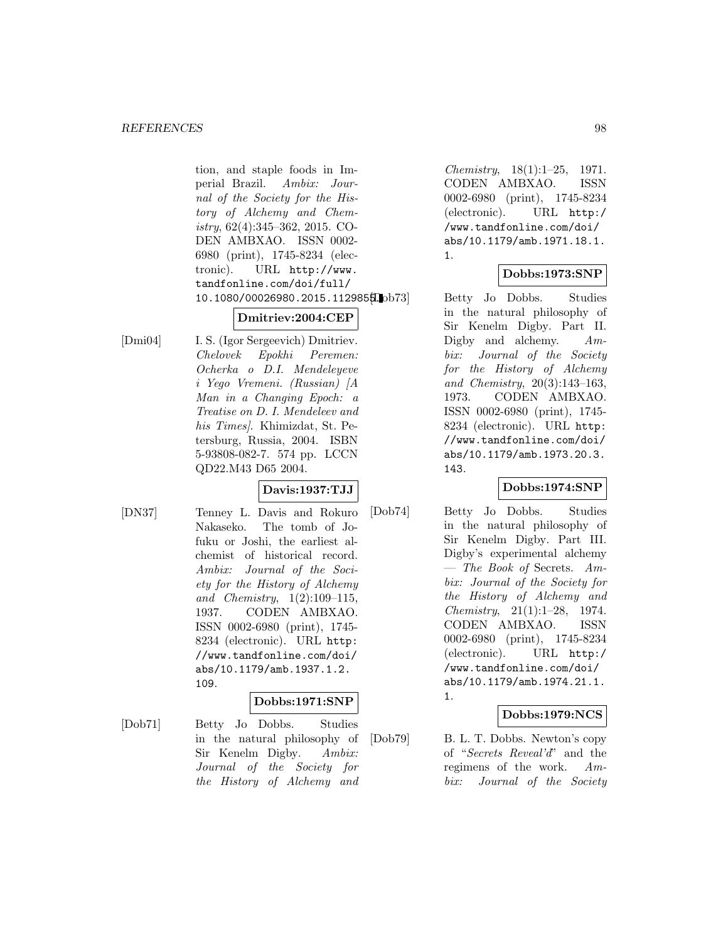tion, and staple foods in Imperial Brazil. Ambix: Journal of the Society for the History of Alchemy and Chemistry, 62(4):345–362, 2015. CO-DEN AMBXAO. ISSN 0002- 6980 (print), 1745-8234 (electronic). URL http://www. tandfonline.com/doi/full/ 10.1080/00026980.2015.112985Lob73

# **Dmitriev:2004:CEP**

[Dmi04] I. S. (Igor Sergeevich) Dmitriev. Chelovek Epokhi Peremen: Ocherka o D.I. Mendeleyeve i Yego Vremeni. (Russian) [A Man in a Changing Epoch: a Treatise on D. I. Mendeleev and his Times]. Khimizdat, St. Petersburg, Russia, 2004. ISBN 5-93808-082-7. 574 pp. LCCN QD22.M43 D65 2004.

# **Davis:1937:TJJ**

[DN37] Tenney L. Davis and Rokuro Nakaseko. The tomb of Jofuku or Joshi, the earliest alchemist of historical record. Ambix: Journal of the Society for the History of Alchemy and Chemistry,  $1(2):109-115$ , 1937. CODEN AMBXAO. ISSN 0002-6980 (print), 1745- 8234 (electronic). URL http: //www.tandfonline.com/doi/ abs/10.1179/amb.1937.1.2. 109.

# **Dobbs:1971:SNP**

[Dob71] Betty Jo Dobbs. Studies in the natural philosophy of Sir Kenelm Digby. Ambix: Journal of the Society for the History of Alchemy and

Chemistry, 18(1):1–25, 1971. CODEN AMBXAO. ISSN 0002-6980 (print), 1745-8234 (electronic). URL http:/ /www.tandfonline.com/doi/ abs/10.1179/amb.1971.18.1. 1.

# **Dobbs:1973:SNP**

Betty Jo Dobbs. Studies in the natural philosophy of Sir Kenelm Digby. Part II. Digby and alchemy.  $Am$ bix: Journal of the Society for the History of Alchemy and Chemistry, 20(3):143–163, 1973. CODEN AMBXAO. ISSN 0002-6980 (print), 1745- 8234 (electronic). URL http: //www.tandfonline.com/doi/ abs/10.1179/amb.1973.20.3. 143.

# **Dobbs:1974:SNP**

[Dob74] Betty Jo Dobbs. Studies in the natural philosophy of Sir Kenelm Digby. Part III. Digby's experimental alchemy  $-$  The Book of Secrets. Ambix: Journal of the Society for the History of Alchemy and Chemistry, 21(1):1–28, 1974. CODEN AMBXAO. ISSN 0002-6980 (print), 1745-8234 (electronic). URL http:/ /www.tandfonline.com/doi/ abs/10.1179/amb.1974.21.1. 1.

# **Dobbs:1979:NCS**

[Dob79] B. L. T. Dobbs. Newton's copy of "Secrets Reveal'd" and the regimens of the work. Ambix: Journal of the Society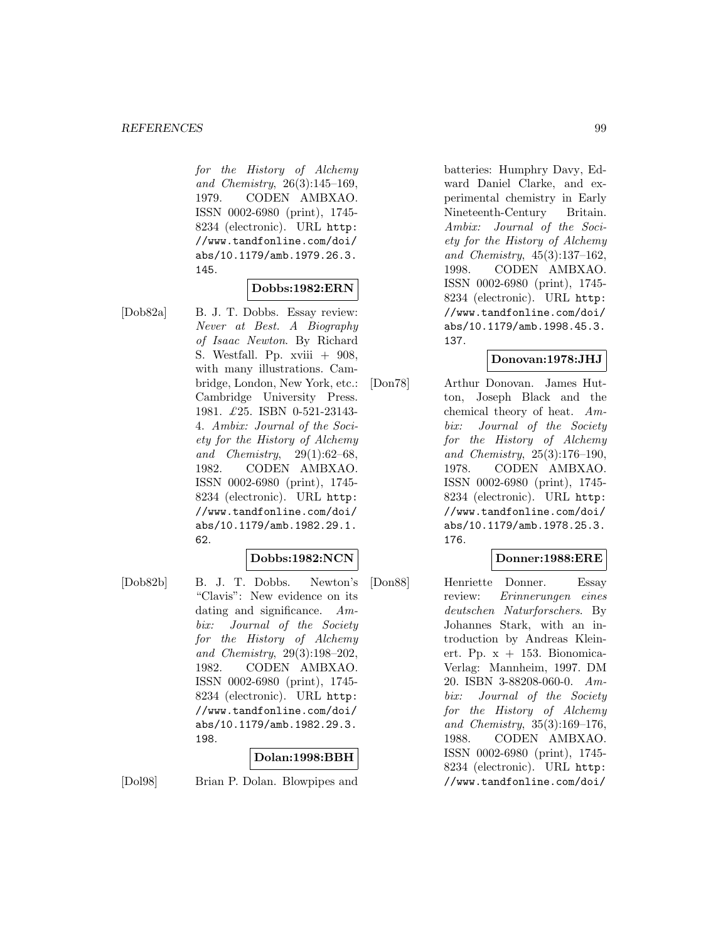for the History of Alchemy and Chemistry, 26(3):145–169, 1979. CODEN AMBXAO. ISSN 0002-6980 (print), 1745- 8234 (electronic). URL http: //www.tandfonline.com/doi/ abs/10.1179/amb.1979.26.3. 145.

# **Dobbs:1982:ERN**

[Dob82a] B. J. T. Dobbs. Essay review: Never at Best. A Biography of Isaac Newton. By Richard S. Westfall. Pp.  $xviii + 908$ , with many illustrations. Cambridge, London, New York, etc.: Cambridge University Press. 1981. £25. ISBN 0-521-23143- 4. Ambix: Journal of the Society for the History of Alchemy and Chemistry, 29(1):62–68, 1982. CODEN AMBXAO. ISSN 0002-6980 (print), 1745- 8234 (electronic). URL http: //www.tandfonline.com/doi/ abs/10.1179/amb.1982.29.1. 62.

### **Dobbs:1982:NCN**

[Dob82b] B. J. T. Dobbs. Newton's "Clavis": New evidence on its dating and significance. Ambix: Journal of the Society for the History of Alchemy and Chemistry, 29(3):198–202, 1982. CODEN AMBXAO. ISSN 0002-6980 (print), 1745- 8234 (electronic). URL http: //www.tandfonline.com/doi/ abs/10.1179/amb.1982.29.3. 198.

## **Dolan:1998:BBH**

[Dol98] Brian P. Dolan. Blowpipes and

batteries: Humphry Davy, Edward Daniel Clarke, and experimental chemistry in Early Nineteenth-Century Britain. Ambix: Journal of the Society for the History of Alchemy and Chemistry, 45(3):137–162, 1998. CODEN AMBXAO. ISSN 0002-6980 (print), 1745- 8234 (electronic). URL http: //www.tandfonline.com/doi/ abs/10.1179/amb.1998.45.3. 137.

# **Donovan:1978:JHJ**

[Don78] Arthur Donovan. James Hutton, Joseph Black and the chemical theory of heat. Ambix: Journal of the Society for the History of Alchemy and Chemistry, 25(3):176–190, 1978. CODEN AMBXAO. ISSN 0002-6980 (print), 1745- 8234 (electronic). URL http: //www.tandfonline.com/doi/ abs/10.1179/amb.1978.25.3. 176.

### **Donner:1988:ERE**

[Don88] Henriette Donner. Essay review: Erinnerungen eines deutschen Naturforschers. By Johannes Stark, with an introduction by Andreas Kleinert. Pp.  $x + 153$ . Bionomica-Verlag: Mannheim, 1997. DM 20. ISBN 3-88208-060-0. Ambix: Journal of the Society for the History of Alchemy and Chemistry, 35(3):169–176, 1988. CODEN AMBXAO. ISSN 0002-6980 (print), 1745- 8234 (electronic). URL http: //www.tandfonline.com/doi/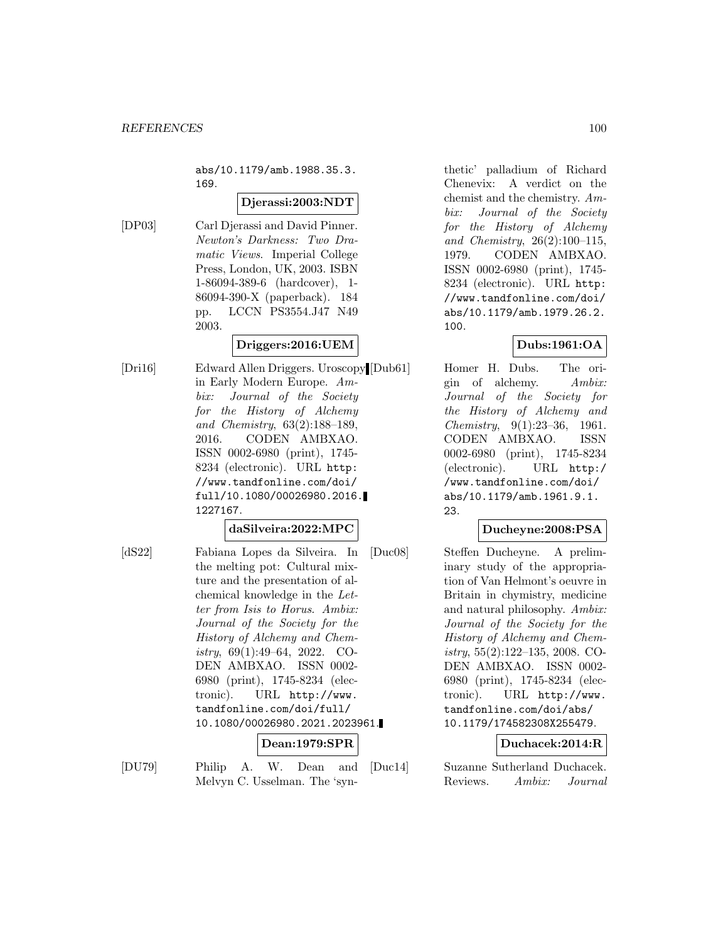abs/10.1179/amb.1988.35.3. 169.

### **Djerassi:2003:NDT**

[DP03] Carl Djerassi and David Pinner. Newton's Darkness: Two Dramatic Views. Imperial College Press, London, UK, 2003. ISBN 1-86094-389-6 (hardcover), 1- 86094-390-X (paperback). 184 pp. LCCN PS3554.J47 N49 2003.

## **Driggers:2016:UEM**

[Dri16] Edward Allen Driggers. Uroscopy [Dub61] in Early Modern Europe. Ambix: Journal of the Society for the History of Alchemy and Chemistry, 63(2):188–189, 2016. CODEN AMBXAO. ISSN 0002-6980 (print), 1745- 8234 (electronic). URL http: //www.tandfonline.com/doi/ full/10.1080/00026980.2016. 1227167.

## **daSilveira:2022:MPC**

[dS22] Fabiana Lopes da Silveira. In the melting pot: Cultural mixture and the presentation of alchemical knowledge in the Letter from Isis to Horus. Ambix: Journal of the Society for the History of Alchemy and Chemistry,  $69(1):49-64$ ,  $2022$ . CO-DEN AMBXAO. ISSN 0002- 6980 (print), 1745-8234 (electronic). URL http://www. tandfonline.com/doi/full/ 10.1080/00026980.2021.2023961.

### **Dean:1979:SPR**

[DU79] Philip A. W. Dean and Melvyn C. Usselman. The 'synthetic' palladium of Richard Chenevix: A verdict on the chemist and the chemistry. Ambix: Journal of the Society for the History of Alchemy and Chemistry, 26(2):100–115, 1979. CODEN AMBXAO. ISSN 0002-6980 (print), 1745- 8234 (electronic). URL http: //www.tandfonline.com/doi/ abs/10.1179/amb.1979.26.2. 100.

# **Dubs:1961:OA**

Homer H. Dubs. The origin of alchemy. Ambix: Journal of the Society for the History of Alchemy and Chemistry, 9(1):23–36, 1961. CODEN AMBXAO. ISSN 0002-6980 (print), 1745-8234 (electronic). URL http:/ /www.tandfonline.com/doi/ abs/10.1179/amb.1961.9.1. 23.

# **Ducheyne:2008:PSA**

[Duc08] Steffen Ducheyne. A preliminary study of the appropriation of Van Helmont's oeuvre in Britain in chymistry, medicine and natural philosophy. Ambix: Journal of the Society for the History of Alchemy and Chemistry, 55(2):122–135, 2008. CO-DEN AMBXAO. ISSN 0002- 6980 (print), 1745-8234 (electronic). URL http://www. tandfonline.com/doi/abs/ 10.1179/174582308X255479.

### **Duchacek:2014:R**

[Duc14] Suzanne Sutherland Duchacek. Reviews. Ambix: Journal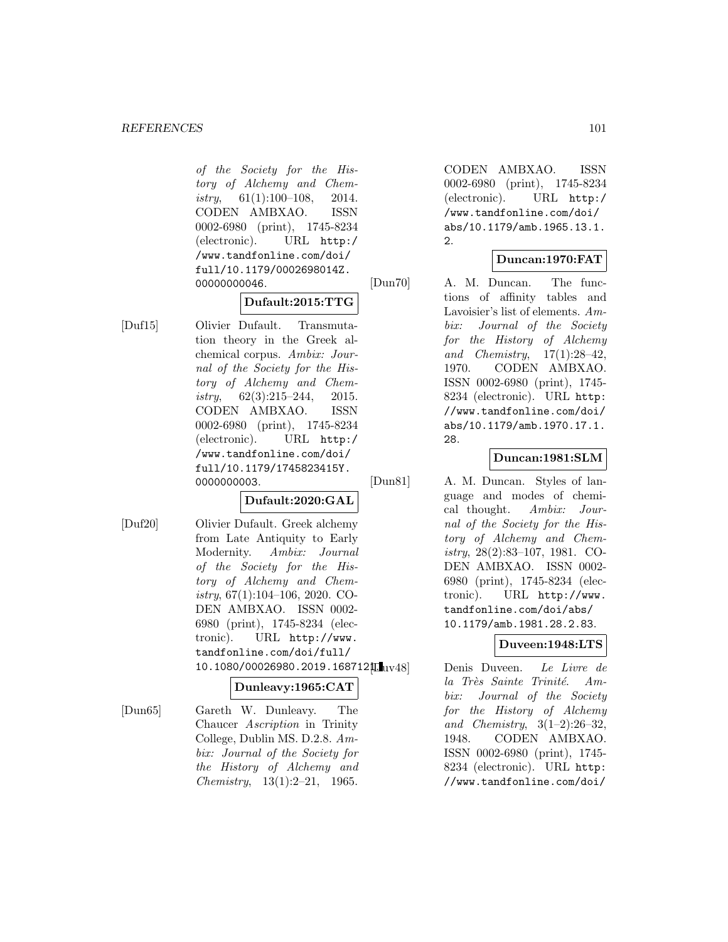#### *REFERENCES* 101

of the Society for the History of Alchemy and Chemistry,  $61(1):100-108$ ,  $2014$ . CODEN AMBXAO. ISSN 0002-6980 (print), 1745-8234 (electronic). URL http:/ /www.tandfonline.com/doi/ full/10.1179/0002698014Z. 00000000046.

## **Dufault:2015:TTG**

[Duf15] Olivier Dufault. Transmutation theory in the Greek alchemical corpus. Ambix: Journal of the Society for the History of Alchemy and Chemistry,  $62(3):215-244$ ,  $2015$ . CODEN AMBXAO. ISSN 0002-6980 (print), 1745-8234 (electronic). URL http:/ /www.tandfonline.com/doi/ full/10.1179/1745823415Y. 0000000003.

# **Dufault:2020:GAL**

[Duf20] Olivier Dufault. Greek alchemy from Late Antiquity to Early Modernity. Ambix: Journal of the Society for the History of Alchemy and Chemistry,  $67(1):104-106$ , 2020. CO-DEN AMBXAO. ISSN 0002- 6980 (print), 1745-8234 (electronic). URL http://www. tandfonline.com/doi/full/ 10.1080/00026980.2019.168712Luv48

### **Dunleavy:1965:CAT**

[Dun65] Gareth W. Dunleavy. The Chaucer Ascription in Trinity College, Dublin MS. D.2.8. Ambix: Journal of the Society for the History of Alchemy and Chemistry, 13(1):2–21, 1965.

CODEN AMBXAO. ISSN 0002-6980 (print), 1745-8234 (electronic). URL http:/ /www.tandfonline.com/doi/ abs/10.1179/amb.1965.13.1.  $\mathcal{P}$ 

# **Duncan:1970:FAT**

[Dun70] A. M. Duncan. The functions of affinity tables and Lavoisier's list of elements. Ambix: Journal of the Society for the History of Alchemy and Chemistry,  $17(1):28-42$ , 1970. CODEN AMBXAO. ISSN 0002-6980 (print), 1745- 8234 (electronic). URL http: //www.tandfonline.com/doi/ abs/10.1179/amb.1970.17.1. 28.

# **Duncan:1981:SLM**

[Dun81] A. M. Duncan. Styles of language and modes of chemical thought. Ambix: Journal of the Society for the History of Alchemy and Chemistry, 28(2):83–107, 1981. CO-DEN AMBXAO. ISSN 0002- 6980 (print), 1745-8234 (electronic). URL http://www. tandfonline.com/doi/abs/ 10.1179/amb.1981.28.2.83.

# **Duveen:1948:LTS**

Denis Duveen. Le Livre de la Très Sainte Trinité. Ambix: Journal of the Society for the History of Alchemy and Chemistry,  $3(1-2):26-32$ , 1948. CODEN AMBXAO. ISSN 0002-6980 (print), 1745- 8234 (electronic). URL http: //www.tandfonline.com/doi/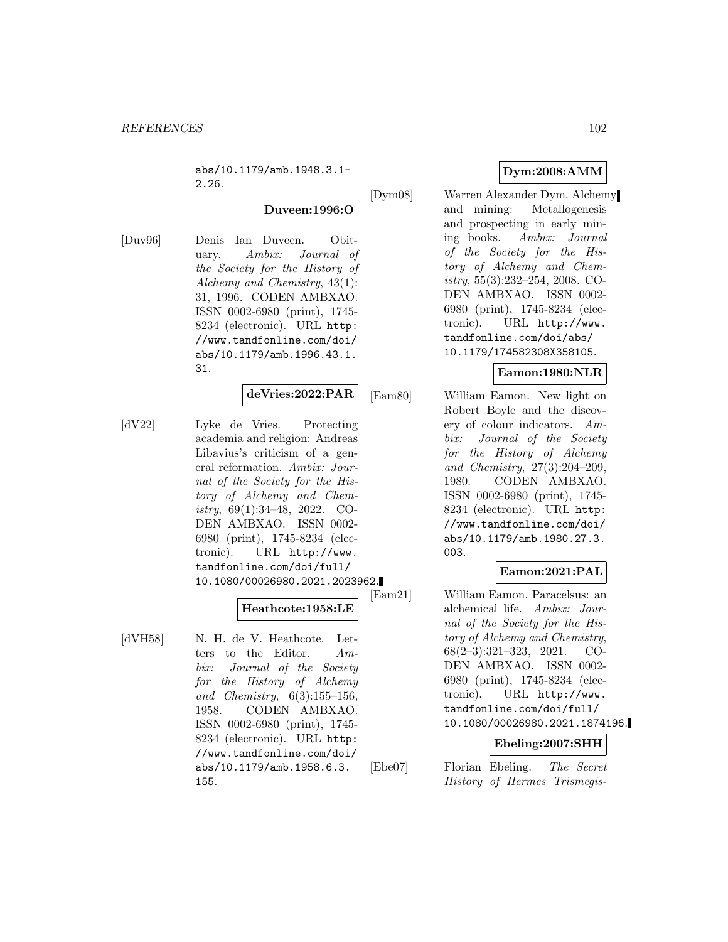abs/10.1179/amb.1948.3.1- 2.26.

# **Duveen:1996:O**

[Duv96] Denis Ian Duveen. Obituary. Ambix: Journal of the Society for the History of Alchemy and Chemistry, 43(1): 31, 1996. CODEN AMBXAO. ISSN 0002-6980 (print), 1745- 8234 (electronic). URL http: //www.tandfonline.com/doi/ abs/10.1179/amb.1996.43.1. 31.

# **deVries:2022:PAR**

[dV22] Lyke de Vries. Protecting academia and religion: Andreas Libavius's criticism of a general reformation. Ambix: Journal of the Society for the History of Alchemy and Chemistry, 69(1):34–48, 2022. CO-DEN AMBXAO. ISSN 0002- 6980 (print), 1745-8234 (electronic). URL http://www. tandfonline.com/doi/full/ 10.1080/00026980.2021.2023962.

# **Heathcote:1958:LE**

[dVH58] N. H. de V. Heathcote. Letters to the Editor. Ambix: Journal of the Society for the History of Alchemy and Chemistry, 6(3):155–156, 1958. CODEN AMBXAO. ISSN 0002-6980 (print), 1745- 8234 (electronic). URL http: //www.tandfonline.com/doi/ abs/10.1179/amb.1958.6.3. 155.

# **Dym:2008:AMM**

[Dym08] Warren Alexander Dym. Alchemy and mining: Metallogenesis and prospecting in early mining books. Ambix: Journal of the Society for the History of Alchemy and Chemistry, 55(3):232–254, 2008. CO-DEN AMBXAO. ISSN 0002- 6980 (print), 1745-8234 (electronic). URL http://www. tandfonline.com/doi/abs/ 10.1179/174582308X358105.

# **Eamon:1980:NLR**

[Eam80] William Eamon. New light on Robert Boyle and the discovery of colour indicators. Ambix: Journal of the Society for the History of Alchemy and Chemistry, 27(3):204–209, 1980. CODEN AMBXAO. ISSN 0002-6980 (print), 1745- 8234 (electronic). URL http: //www.tandfonline.com/doi/ abs/10.1179/amb.1980.27.3. 003.

### **Eamon:2021:PAL**

[Eam21] William Eamon. Paracelsus: an alchemical life. Ambix: Journal of the Society for the History of Alchemy and Chemistry, 68(2–3):321–323, 2021. CO-DEN AMBXAO. ISSN 0002- 6980 (print), 1745-8234 (electronic). URL http://www. tandfonline.com/doi/full/ 10.1080/00026980.2021.1874196.

### **Ebeling:2007:SHH**

[Ebe07] Florian Ebeling. The Secret History of Hermes Trismegis-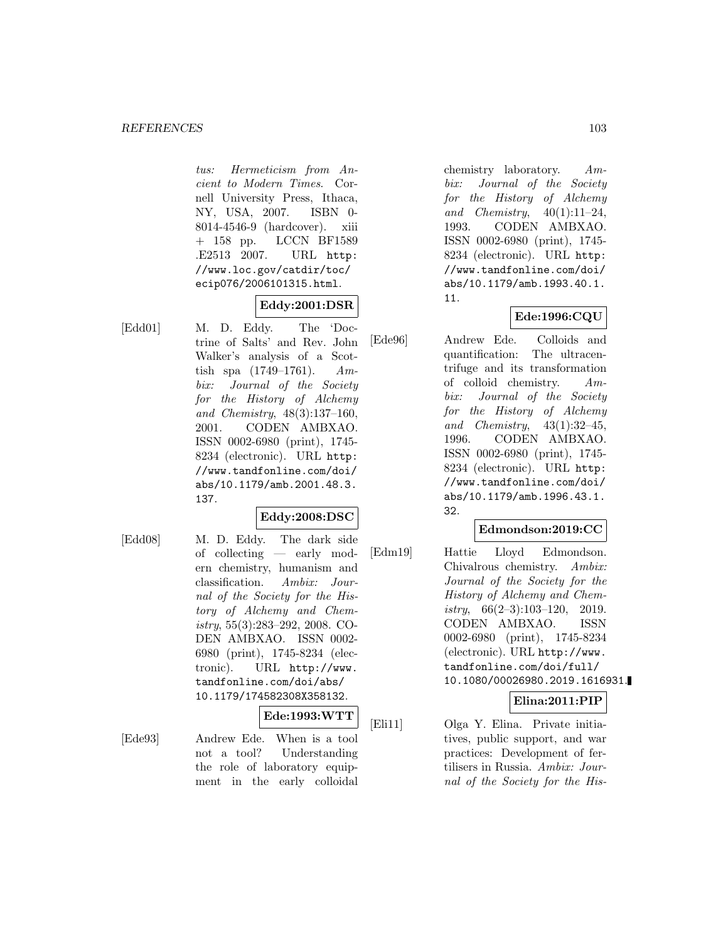tus: Hermeticism from Ancient to Modern Times. Cornell University Press, Ithaca, NY, USA, 2007. ISBN 0- 8014-4546-9 (hardcover). xiii + 158 pp. LCCN BF1589 .E2513 2007. URL http: //www.loc.gov/catdir/toc/ ecip076/2006101315.html.

# **Eddy:2001:DSR**

[Edd01] M. D. Eddy. The 'Doctrine of Salts' and Rev. John Walker's analysis of a Scottish spa  $(1749-1761)$ . Ambix: Journal of the Society for the History of Alchemy and Chemistry, 48(3):137–160, 2001. CODEN AMBXAO. ISSN 0002-6980 (print), 1745- 8234 (electronic). URL http: //www.tandfonline.com/doi/ abs/10.1179/amb.2001.48.3. 137.

# **Eddy:2008:DSC**

[Edd08] M. D. Eddy. The dark side of collecting — early modern chemistry, humanism and classification. Ambix: Journal of the Society for the History of Alchemy and Chemistry, 55(3):283–292, 2008. CO-DEN AMBXAO. ISSN 0002- 6980 (print), 1745-8234 (electronic). URL http://www. tandfonline.com/doi/abs/ 10.1179/174582308X358132.

### **Ede:1993:WTT**

[Ede93] Andrew Ede. When is a tool not a tool? Understanding the role of laboratory equipment in the early colloidal chemistry laboratory. Ambix: Journal of the Society for the History of Alchemy and Chemistry,  $40(1):11-24$ , 1993. CODEN AMBXAO. ISSN 0002-6980 (print), 1745- 8234 (electronic). URL http: //www.tandfonline.com/doi/ abs/10.1179/amb.1993.40.1. 11.

# **Ede:1996:CQU**

[Ede96] Andrew Ede. Colloids and quantification: The ultracentrifuge and its transformation of colloid chemistry. Ambix: Journal of the Society for the History of Alchemy and Chemistry, 43(1):32–45, 1996. CODEN AMBXAO. ISSN 0002-6980 (print), 1745- 8234 (electronic). URL http: //www.tandfonline.com/doi/ abs/10.1179/amb.1996.43.1. 32.

# **Edmondson:2019:CC**

[Edm19] Hattie Lloyd Edmondson. Chivalrous chemistry. Ambix: Journal of the Society for the History of Alchemy and Chemistry,  $66(2-3):103-120$ ,  $2019$ . CODEN AMBXAO. ISSN 0002-6980 (print), 1745-8234 (electronic). URL http://www. tandfonline.com/doi/full/ 10.1080/00026980.2019.1616931.

**Elina:2011:PIP**

[Eli11] Olga Y. Elina. Private initiatives, public support, and war practices: Development of fertilisers in Russia. Ambix: Journal of the Society for the His-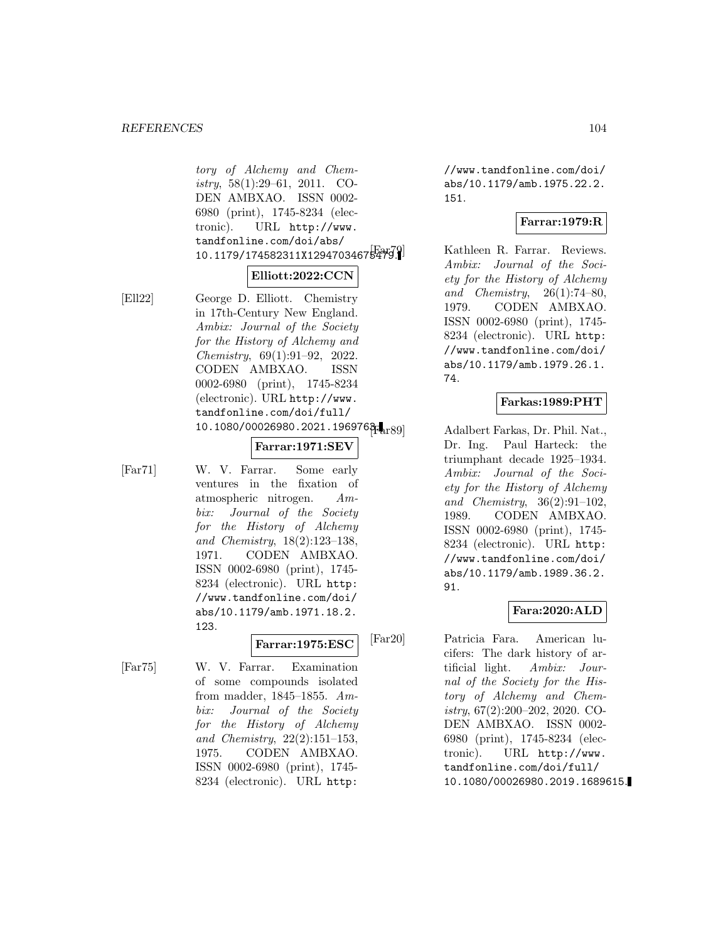#### *REFERENCES* 104

tory of Alchemy and Chemistry, 58(1):29–61, 2011. CO-DEN AMBXAO. ISSN 0002- 6980 (print), 1745-8234 (electronic). URL http://www. tandfonline.com/doi/abs/ 10.1179/174582311X12947034675479.

### **Elliott:2022:CCN**

[Ell22] George D. Elliott. Chemistry in 17th-Century New England. Ambix: Journal of the Society for the History of Alchemy and Chemistry, 69(1):91–92, 2022. CODEN AMBXAO. ISSN 0002-6980 (print), 1745-8234 (electronic). URL http://www. tandfonline.com/doi/full/ 10.1080/00026980.2021.1969768.

## **Farrar:1971:SEV**

- 
- [Far71] W. V. Farrar. Some early ventures in the fixation of atmospheric nitrogen. Ambix: Journal of the Society for the History of Alchemy and Chemistry, 18(2):123–138, 1971. CODEN AMBXAO. ISSN 0002-6980 (print), 1745- 8234 (electronic). URL http: //www.tandfonline.com/doi/ abs/10.1179/amb.1971.18.2. 123.

# **Farrar:1975:ESC**

[Far75] W. V. Farrar. Examination of some compounds isolated from madder, 1845–1855. Ambix: Journal of the Society for the History of Alchemy and Chemistry, 22(2):151–153, 1975. CODEN AMBXAO. ISSN 0002-6980 (print), 1745- 8234 (electronic). URL http:

//www.tandfonline.com/doi/ abs/10.1179/amb.1975.22.2. 151.

## **Farrar:1979:R**

Kathleen R. Farrar. Reviews. Ambix: Journal of the Society for the History of Alchemy and Chemistry, 26(1):74–80, 1979. CODEN AMBXAO. ISSN 0002-6980 (print), 1745- 8234 (electronic). URL http: //www.tandfonline.com/doi/ abs/10.1179/amb.1979.26.1. 74.

## **Farkas:1989:PHT**

Adalbert Farkas, Dr. Phil. Nat., Dr. Ing. Paul Harteck: the triumphant decade 1925–1934. Ambix: Journal of the Society for the History of Alchemy and Chemistry, 36(2):91–102, 1989. CODEN AMBXAO. ISSN 0002-6980 (print), 1745- 8234 (electronic). URL http: //www.tandfonline.com/doi/ abs/10.1179/amb.1989.36.2. 91.

## **Fara:2020:ALD**

[Far20] Patricia Fara. American lucifers: The dark history of artificial light. Ambix: Journal of the Society for the History of Alchemy and Chemistry, 67(2):200–202, 2020. CO-DEN AMBXAO. ISSN 0002- 6980 (print), 1745-8234 (electronic). URL http://www. tandfonline.com/doi/full/ 10.1080/00026980.2019.1689615.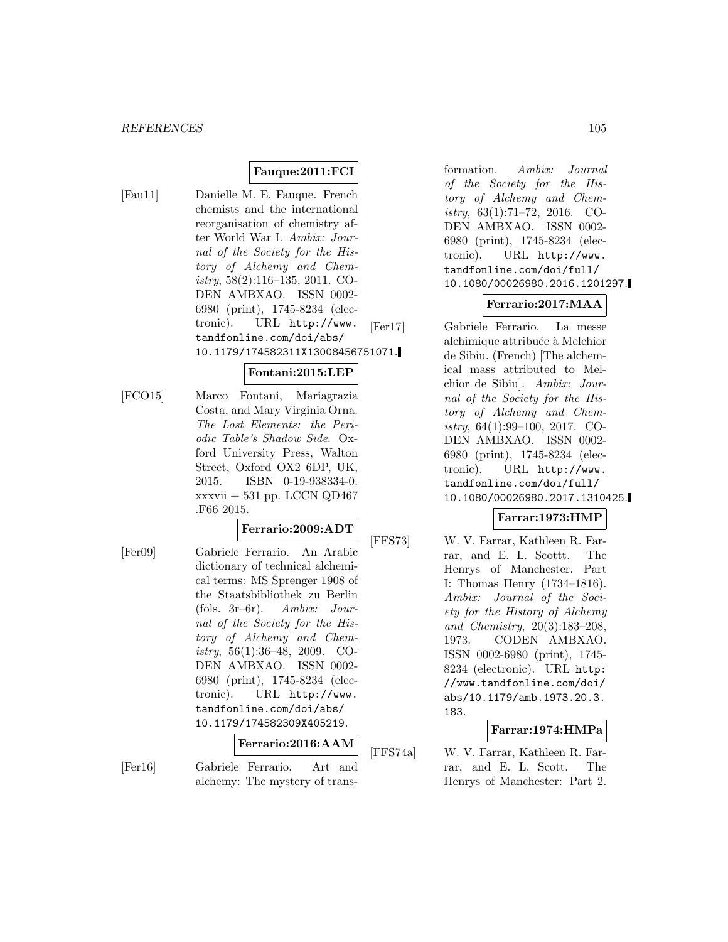# **Fauque:2011:FCI**

[Fau11] Danielle M. E. Fauque. French chemists and the international reorganisation of chemistry after World War I. Ambix: Journal of the Society for the History of Alchemy and Chemistry, 58(2):116–135, 2011. CO-DEN AMBXAO. ISSN 0002- 6980 (print), 1745-8234 (electronic). URL http://www. tandfonline.com/doi/abs/ 10.1179/174582311X13008456751071.

## **Fontani:2015:LEP**

[FCO15] Marco Fontani, Mariagrazia Costa, and Mary Virginia Orna. The Lost Elements: the Periodic Table's Shadow Side. Oxford University Press, Walton Street, Oxford OX2 6DP, UK, 2015. ISBN 0-19-938334-0.  $xxxxvi + 531$  pp. LCCN QD467 .F66 2015.

# **Ferrario:2009:ADT**

[Fer09] Gabriele Ferrario. An Arabic dictionary of technical alchemical terms: MS Sprenger 1908 of the Staatsbibliothek zu Berlin (fols.  $3r-6r$ ). Ambix: Journal of the Society for the History of Alchemy and Chemistry,  $56(1):36-48$ ,  $2009$ . CO-DEN AMBXAO. ISSN 0002- 6980 (print), 1745-8234 (electronic). URL http://www. tandfonline.com/doi/abs/ 10.1179/174582309X405219.

### **Ferrario:2016:AAM**

- 
- [Fer16] Gabriele Ferrario. Art and alchemy: The mystery of trans-

formation. Ambix: Journal of the Society for the History of Alchemy and Chemistry, 63(1):71–72, 2016. CO-DEN AMBXAO. ISSN 0002- 6980 (print), 1745-8234 (electronic). URL http://www. tandfonline.com/doi/full/ 10.1080/00026980.2016.1201297.

#### **Ferrario:2017:MAA**

[Fer17] Gabriele Ferrario. La messe alchimique attribuée à Melchior de Sibiu. (French) [The alchemical mass attributed to Melchior de Sibiu]. Ambix: Journal of the Society for the History of Alchemy and Chemistry, 64(1):99–100, 2017. CO-DEN AMBXAO. ISSN 0002- 6980 (print), 1745-8234 (electronic). URL http://www. tandfonline.com/doi/full/ 10.1080/00026980.2017.1310425.

### **Farrar:1973:HMP**

[FFS73] W. V. Farrar, Kathleen R. Farrar, and E. L. Scottt. The Henrys of Manchester. Part I: Thomas Henry (1734–1816). Ambix: Journal of the Society for the History of Alchemy and Chemistry, 20(3):183–208, 1973. CODEN AMBXAO. ISSN 0002-6980 (print), 1745- 8234 (electronic). URL http: //www.tandfonline.com/doi/ abs/10.1179/amb.1973.20.3. 183.

### **Farrar:1974:HMPa**

[FFS74a] W. V. Farrar, Kathleen R. Farrar, and E. L. Scott. The Henrys of Manchester: Part 2.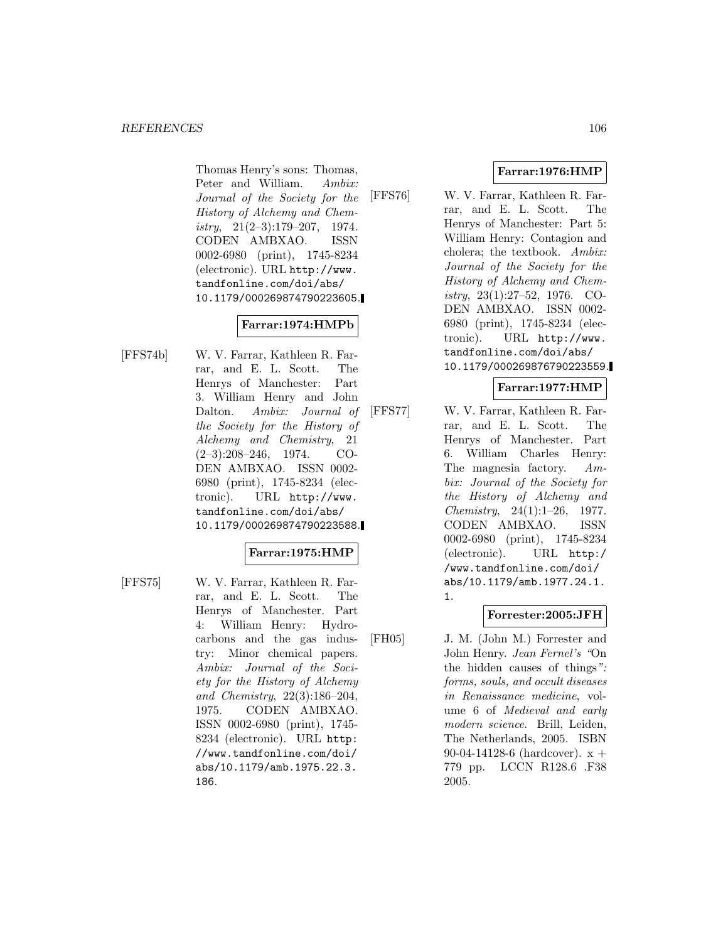Thomas Henry's sons: Thomas, Peter and William. Ambix: Journal of the Society for the History of Alchemy and Chemistry,  $21(2-3):179-207$ , 1974. CODEN AMBXAO. ISSN 0002-6980 (print), 1745-8234 (electronic). URL http://www. tandfonline.com/doi/abs/ 10.1179/000269874790223605.

## **Farrar:1974:HMPb**

[FFS74b] W. V. Farrar, Kathleen R. Farrar, and E. L. Scott. The Henrys of Manchester: Part 3. William Henry and John Dalton. Ambix: Journal of the Society for the History of Alchemy and Chemistry, 21  $(2-3):208-246$ , 1974. CO-DEN AMBXAO. ISSN 0002- 6980 (print), 1745-8234 (electronic). URL http://www. tandfonline.com/doi/abs/ 10.1179/000269874790223588.

# **Farrar:1975:HMP**

[FFS75] W. V. Farrar, Kathleen R. Farrar, and E. L. Scott. The Henrys of Manchester. Part 4: William Henry: Hydrocarbons and the gas industry: Minor chemical papers. Ambix: Journal of the Society for the History of Alchemy and Chemistry, 22(3):186–204, 1975. CODEN AMBXAO. ISSN 0002-6980 (print), 1745- 8234 (electronic). URL http: //www.tandfonline.com/doi/ abs/10.1179/amb.1975.22.3. 186.

# **Farrar:1976:HMP**

[FFS76] W. V. Farrar, Kathleen R. Farrar, and E. L. Scott. The Henrys of Manchester: Part 5: William Henry: Contagion and cholera; the textbook. Ambix: Journal of the Society for the History of Alchemy and Chemistry, 23(1):27–52, 1976. CO-DEN AMBXAO. ISSN 0002- 6980 (print), 1745-8234 (electronic). URL http://www. tandfonline.com/doi/abs/ 10.1179/000269876790223559.

# **Farrar:1977:HMP**

[FFS77] W. V. Farrar, Kathleen R. Farrar, and E. L. Scott. The Henrys of Manchester. Part 6. William Charles Henry: The magnesia factory. Ambix: Journal of the Society for the History of Alchemy and Chemistry, 24(1):1–26, 1977. CODEN AMBXAO. ISSN 0002-6980 (print), 1745-8234 (electronic). URL http:/ /www.tandfonline.com/doi/ abs/10.1179/amb.1977.24.1. 1.

# **Forrester:2005:JFH**

[FH05] J. M. (John M.) Forrester and John Henry. Jean Fernel's "On the hidden causes of things": forms, souls, and occult diseases in Renaissance medicine, volume 6 of Medieval and early modern science. Brill, Leiden, The Netherlands, 2005. ISBN 90-04-14128-6 (hardcover).  $x +$ 779 pp. LCCN R128.6 .F38 2005.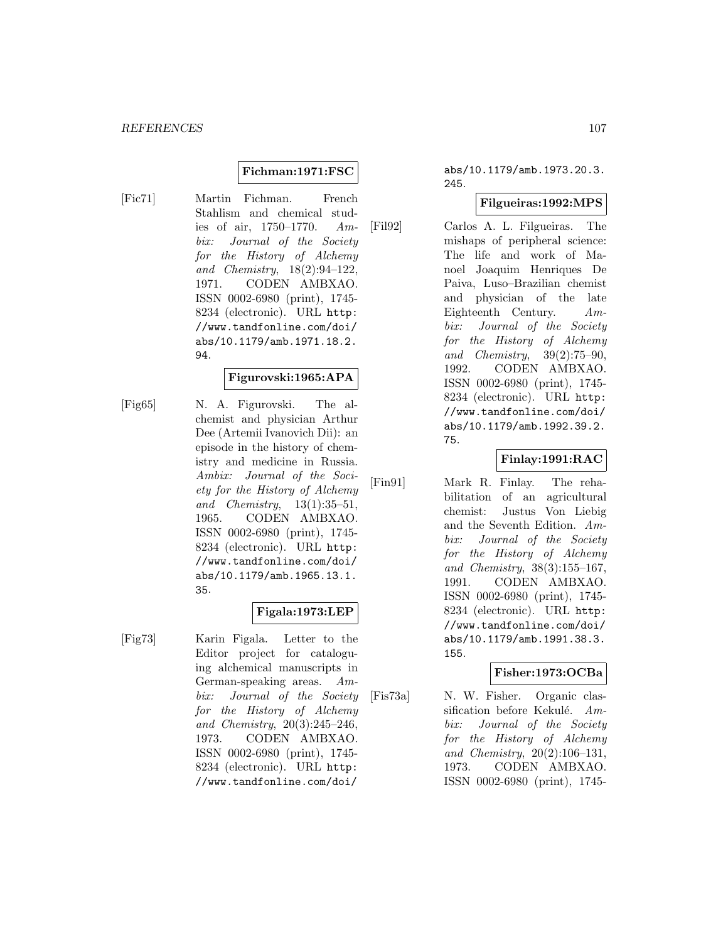## **Fichman:1971:FSC**

[Fic71] Martin Fichman. French Stahlism and chemical studies of air, 1750–1770. Ambix: Journal of the Society for the History of Alchemy and Chemistry, 18(2):94–122, 1971. CODEN AMBXAO. ISSN 0002-6980 (print), 1745- 8234 (electronic). URL http: //www.tandfonline.com/doi/ abs/10.1179/amb.1971.18.2. 94.

# **Figurovski:1965:APA**

[Fig65] N. A. Figurovski. The alchemist and physician Arthur Dee (Artemii Ivanovich Dii): an episode in the history of chemistry and medicine in Russia. Ambix: Journal of the Society for the History of Alchemy and Chemistry, 13(1):35–51, 1965. CODEN AMBXAO. ISSN 0002-6980 (print), 1745- 8234 (electronic). URL http: //www.tandfonline.com/doi/ abs/10.1179/amb.1965.13.1. 35.

# **Figala:1973:LEP**

[Fig73] Karin Figala. Letter to the Editor project for cataloguing alchemical manuscripts in German-speaking areas. Ambix: Journal of the Society for the History of Alchemy and Chemistry, 20(3):245–246, 1973. CODEN AMBXAO. ISSN 0002-6980 (print), 1745- 8234 (electronic). URL http: //www.tandfonline.com/doi/

## abs/10.1179/amb.1973.20.3. 245.

## **Filgueiras:1992:MPS**

[Fil92] Carlos A. L. Filgueiras. The mishaps of peripheral science: The life and work of Manoel Joaquim Henriques De Paiva, Luso–Brazilian chemist and physician of the late Eighteenth Century. Ambix: Journal of the Society for the History of Alchemy and Chemistry, 39(2):75–90, 1992. CODEN AMBXAO. ISSN 0002-6980 (print), 1745- 8234 (electronic). URL http: //www.tandfonline.com/doi/ abs/10.1179/amb.1992.39.2. 75.

### **Finlay:1991:RAC**

[Fin91] Mark R. Finlay. The rehabilitation of an agricultural chemist: Justus Von Liebig and the Seventh Edition. Ambix: Journal of the Society for the History of Alchemy and Chemistry, 38(3):155–167, 1991. CODEN AMBXAO. ISSN 0002-6980 (print), 1745- 8234 (electronic). URL http: //www.tandfonline.com/doi/ abs/10.1179/amb.1991.38.3. 155.

### **Fisher:1973:OCBa**

[Fis73a] N. W. Fisher. Organic classification before Kekulé.  $Am$ bix: Journal of the Society for the History of Alchemy and Chemistry, 20(2):106–131, 1973. CODEN AMBXAO. ISSN 0002-6980 (print), 1745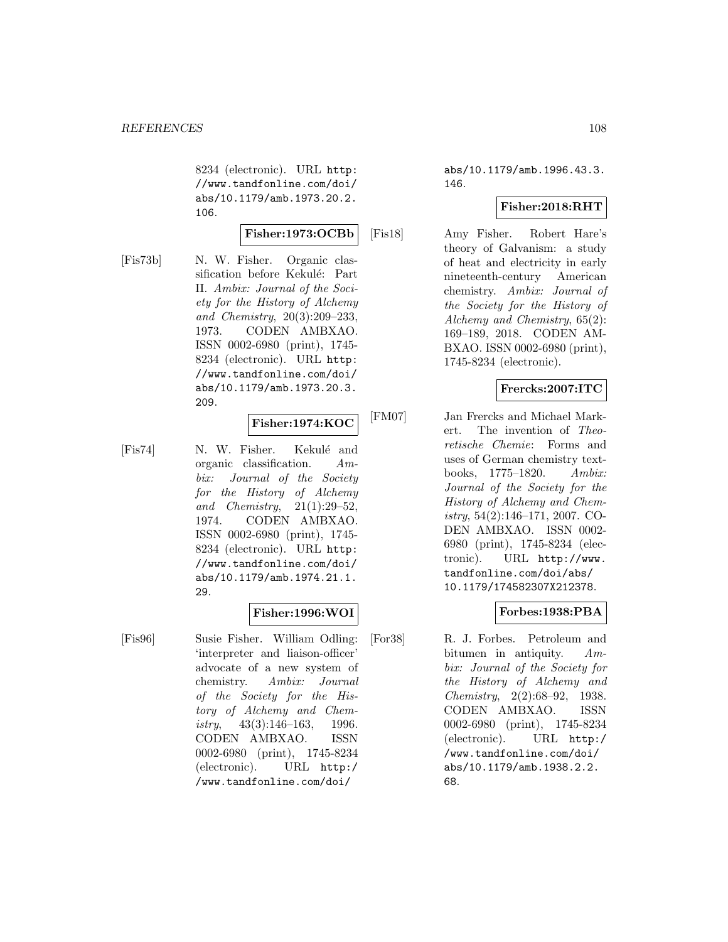8234 (electronic). URL http: //www.tandfonline.com/doi/ abs/10.1179/amb.1973.20.2. 106.

### **Fisher:1973:OCBb**

[Fis73b] N. W. Fisher. Organic classification before Kekulé: Part II. Ambix: Journal of the Society for the History of Alchemy and Chemistry, 20(3):209–233, 1973. CODEN AMBXAO. ISSN 0002-6980 (print), 1745- 8234 (electronic). URL http: //www.tandfonline.com/doi/ abs/10.1179/amb.1973.20.3. 209.

## **Fisher:1974:KOC**

[Fis74] N. W. Fisher. Kekulé and organic classification. Ambix: Journal of the Society for the History of Alchemy and Chemistry,  $21(1):29-52$ , 1974. CODEN AMBXAO. ISSN 0002-6980 (print), 1745- 8234 (electronic). URL http: //www.tandfonline.com/doi/ abs/10.1179/amb.1974.21.1. 29.

### **Fisher:1996:WOI**

[Fis96] Susie Fisher. William Odling: 'interpreter and liaison-officer' advocate of a new system of chemistry. Ambix: Journal of the Society for the History of Alchemy and Chemistry, 43(3):146–163, 1996. CODEN AMBXAO. ISSN 0002-6980 (print), 1745-8234 (electronic). URL http:/ /www.tandfonline.com/doi/

abs/10.1179/amb.1996.43.3. 146.

## **Fisher:2018:RHT**

[Fis18] Amy Fisher. Robert Hare's theory of Galvanism: a study of heat and electricity in early nineteenth-century American chemistry. Ambix: Journal of the Society for the History of Alchemy and Chemistry, 65(2): 169–189, 2018. CODEN AM-BXAO. ISSN 0002-6980 (print), 1745-8234 (electronic).

## **Frercks:2007:ITC**

[FM07] Jan Frercks and Michael Markert. The invention of Theoretische Chemie: Forms and uses of German chemistry textbooks, 1775–1820. Ambix: Journal of the Society for the History of Alchemy and Chemistry, 54(2):146–171, 2007. CO-DEN AMBXAO. ISSN 0002- 6980 (print), 1745-8234 (electronic). URL http://www. tandfonline.com/doi/abs/ 10.1179/174582307X212378.

# **Forbes:1938:PBA**

[For38] R. J. Forbes. Petroleum and bitumen in antiquity.  $Am$ bix: Journal of the Society for the History of Alchemy and Chemistry, 2(2):68–92, 1938. CODEN AMBXAO. ISSN 0002-6980 (print), 1745-8234 (electronic). URL http:/ /www.tandfonline.com/doi/ abs/10.1179/amb.1938.2.2. 68.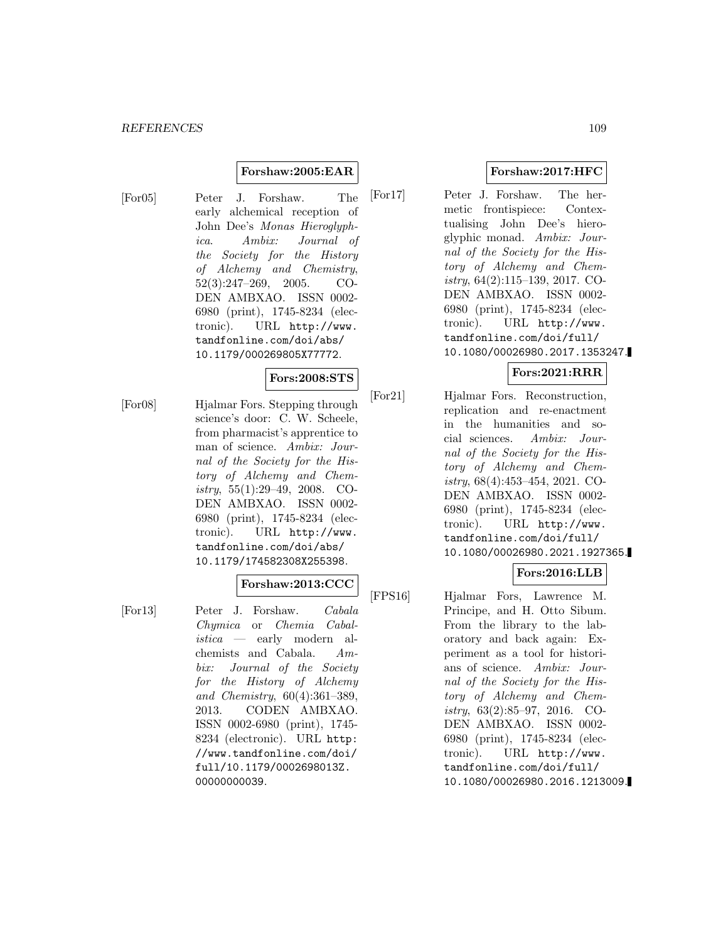#### **Forshaw:2005:EAR**

[For05] Peter J. Forshaw. The early alchemical reception of John Dee's Monas Hieroglyphica. Ambix: Journal of the Society for the History of Alchemy and Chemistry, 52(3):247–269, 2005. CO-DEN AMBXAO. ISSN 0002- 6980 (print), 1745-8234 (electronic). URL http://www. tandfonline.com/doi/abs/ 10.1179/000269805X77772.

# **Fors:2008:STS**

[For08] Hjalmar Fors. Stepping through science's door: C. W. Scheele, from pharmacist's apprentice to man of science. Ambix: Journal of the Society for the History of Alchemy and Chemistry, 55(1):29–49, 2008. CO-DEN AMBXAO. ISSN 0002- 6980 (print), 1745-8234 (electronic). URL http://www. tandfonline.com/doi/abs/ 10.1179/174582308X255398.

#### **Forshaw:2013:CCC**

[For13] Peter J. Forshaw. Cabala Chymica or Chemia Cabalistica — early modern alchemists and Cabala. Ambix: Journal of the Society for the History of Alchemy and Chemistry, 60(4):361–389, 2013. CODEN AMBXAO. ISSN 0002-6980 (print), 1745- 8234 (electronic). URL http: //www.tandfonline.com/doi/ full/10.1179/0002698013Z. 00000000039.

## **Forshaw:2017:HFC**

[For17] Peter J. Forshaw. The hermetic frontispiece: Contextualising John Dee's hieroglyphic monad. Ambix: Journal of the Society for the History of Alchemy and Chemistry, 64(2):115–139, 2017. CO-DEN AMBXAO. ISSN 0002- 6980 (print), 1745-8234 (electronic). URL http://www. tandfonline.com/doi/full/ 10.1080/00026980.2017.1353247.

## **Fors:2021:RRR**

[For21] Hjalmar Fors. Reconstruction, replication and re-enactment in the humanities and social sciences. Ambix: Journal of the Society for the History of Alchemy and Chemistry, 68(4):453–454, 2021. CO-DEN AMBXAO. ISSN 0002- 6980 (print), 1745-8234 (electronic). URL http://www. tandfonline.com/doi/full/ 10.1080/00026980.2021.1927365.

## **Fors:2016:LLB**

[FPS16] Hjalmar Fors, Lawrence M. Principe, and H. Otto Sibum. From the library to the laboratory and back again: Experiment as a tool for historians of science. Ambix: Journal of the Society for the History of Alchemy and Chemistry, 63(2):85–97, 2016. CO-DEN AMBXAO. ISSN 0002- 6980 (print), 1745-8234 (electronic). URL http://www. tandfonline.com/doi/full/ 10.1080/00026980.2016.1213009.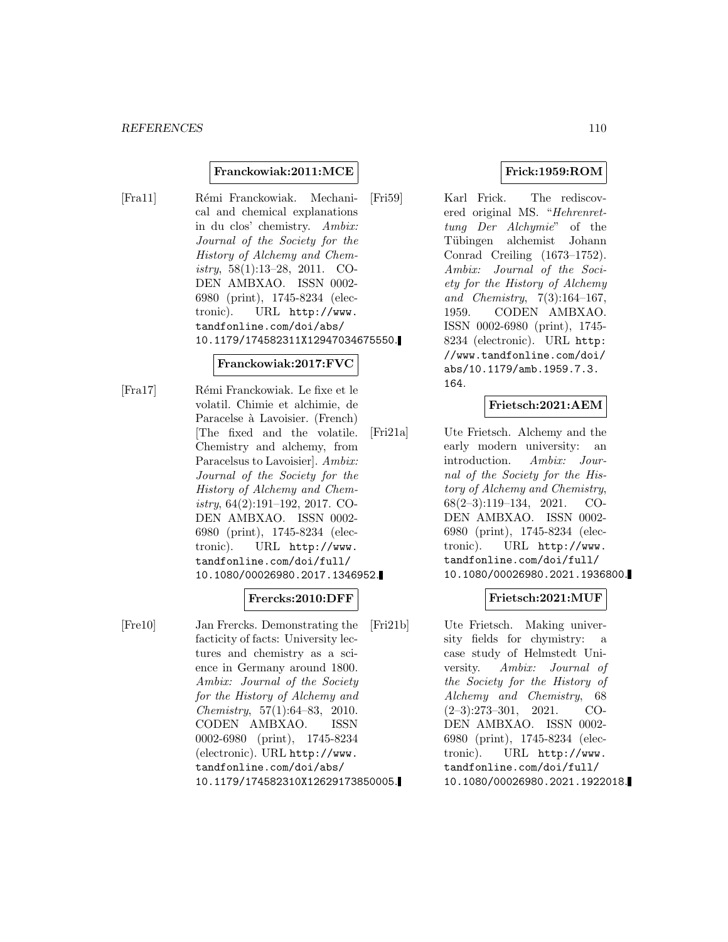#### **Franckowiak:2011:MCE**

[Fra11] Rémi Franckowiak. Mechanical and chemical explanations in du clos' chemistry. Ambix: Journal of the Society for the History of Alchemy and Chemistry, 58(1):13–28, 2011. CO-DEN AMBXAO. ISSN 0002- 6980 (print), 1745-8234 (electronic). URL http://www. tandfonline.com/doi/abs/ 10.1179/174582311X12947034675550.

#### **Franckowiak:2017:FVC**

[Fra17] Rémi Franckowiak. Le fixe et le volatil. Chimie et alchimie, de Paracelse à Lavoisier. (French) [The fixed and the volatile. Chemistry and alchemy, from Paracelsus to Lavoisier]. Ambix: Journal of the Society for the History of Alchemy and Chemistry, 64(2):191–192, 2017. CO-DEN AMBXAO. ISSN 0002- 6980 (print), 1745-8234 (electronic). URL http://www. tandfonline.com/doi/full/ 10.1080/00026980.2017.1346952.

#### **Frercks:2010:DFF**

[Fre10] Jan Frercks. Demonstrating the facticity of facts: University lectures and chemistry as a science in Germany around 1800. Ambix: Journal of the Society for the History of Alchemy and Chemistry, 57(1):64–83, 2010. CODEN AMBXAO. ISSN 0002-6980 (print), 1745-8234 (electronic). URL http://www. tandfonline.com/doi/abs/ 10.1179/174582310X12629173850005.

## **Frick:1959:ROM**

[Fri59] Karl Frick. The rediscovered original MS. "Hehrenrettung Der Alchymie" of the Tübingen alchemist Johann Conrad Creiling (1673–1752). Ambix: Journal of the Society for the History of Alchemy and Chemistry, 7(3):164–167, 1959. CODEN AMBXAO. ISSN 0002-6980 (print), 1745- 8234 (electronic). URL http: //www.tandfonline.com/doi/ abs/10.1179/amb.1959.7.3. 164.

## **Frietsch:2021:AEM**

[Fri21a] Ute Frietsch. Alchemy and the early modern university: an introduction. Ambix: Journal of the Society for the History of Alchemy and Chemistry, 68(2–3):119–134, 2021. CO-DEN AMBXAO. ISSN 0002- 6980 (print), 1745-8234 (electronic). URL http://www. tandfonline.com/doi/full/ 10.1080/00026980.2021.1936800.

## **Frietsch:2021:MUF**

[Fri21b] Ute Frietsch. Making university fields for chymistry: a case study of Helmstedt University. Ambix: Journal of the Society for the History of Alchemy and Chemistry, 68 (2–3):273–301, 2021. CO-DEN AMBXAO. ISSN 0002- 6980 (print), 1745-8234 (electronic). URL http://www. tandfonline.com/doi/full/ 10.1080/00026980.2021.1922018.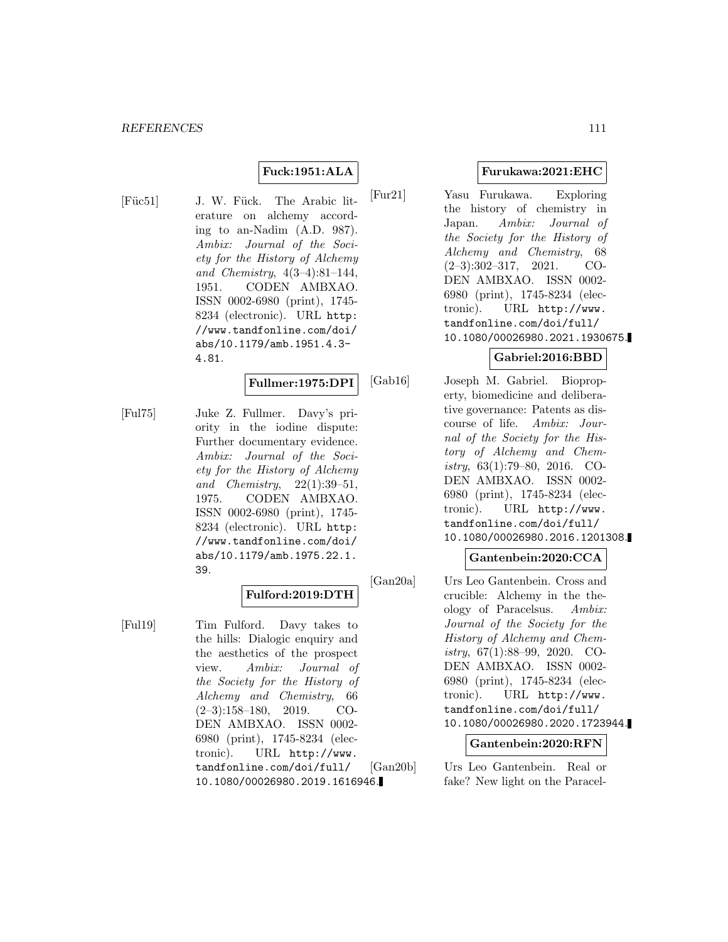## **Fuck:1951:ALA**

[Füc51] J. W. Fück. The Arabic literature on alchemy according to an-Nadim (A.D. 987). Ambix: Journal of the Society for the History of Alchemy and Chemistry, 4(3–4):81–144, 1951. CODEN AMBXAO. ISSN 0002-6980 (print), 1745- 8234 (electronic). URL http: //www.tandfonline.com/doi/ abs/10.1179/amb.1951.4.3- 4.81.

#### **Fullmer:1975:DPI**

[Ful75] Juke Z. Fullmer. Davy's priority in the iodine dispute: Further documentary evidence. Ambix: Journal of the Society for the History of Alchemy and Chemistry, 22(1):39–51, 1975. CODEN AMBXAO. ISSN 0002-6980 (print), 1745- 8234 (electronic). URL http: //www.tandfonline.com/doi/ abs/10.1179/amb.1975.22.1. 39.

# **Fulford:2019:DTH**

[Ful19] Tim Fulford. Davy takes to the hills: Dialogic enquiry and the aesthetics of the prospect view. Ambix: Journal of the Society for the History of Alchemy and Chemistry, 66 (2–3):158–180, 2019. CO-DEN AMBXAO. ISSN 0002- 6980 (print), 1745-8234 (electronic). URL http://www. tandfonline.com/doi/full/ 10.1080/00026980.2019.1616946.

## **Furukawa:2021:EHC**

[Fur21] Yasu Furukawa. Exploring the history of chemistry in Japan. Ambix: Journal of the Society for the History of Alchemy and Chemistry, 68  $(2-3):302-317$ ,  $2021$ . CO-DEN AMBXAO. ISSN 0002- 6980 (print), 1745-8234 (electronic). URL http://www. tandfonline.com/doi/full/ 10.1080/00026980.2021.1930675.

## **Gabriel:2016:BBD**

[Gab16] Joseph M. Gabriel. Bioproperty, biomedicine and deliberative governance: Patents as discourse of life. Ambix: Journal of the Society for the History of Alchemy and Chemistry, 63(1):79–80, 2016. CO-DEN AMBXAO. ISSN 0002- 6980 (print), 1745-8234 (electronic). URL http://www. tandfonline.com/doi/full/ 10.1080/00026980.2016.1201308.

#### **Gantenbein:2020:CCA**

[Gan20a] Urs Leo Gantenbein. Cross and crucible: Alchemy in the theology of Paracelsus. Ambix: Journal of the Society for the History of Alchemy and Chemistry,  $67(1):88-99$ ,  $2020$ . CO-DEN AMBXAO. ISSN 0002- 6980 (print), 1745-8234 (electronic). URL http://www. tandfonline.com/doi/full/ 10.1080/00026980.2020.1723944.

**Gantenbein:2020:RFN**

[Gan20b] Urs Leo Gantenbein. Real or fake? New light on the Paracel-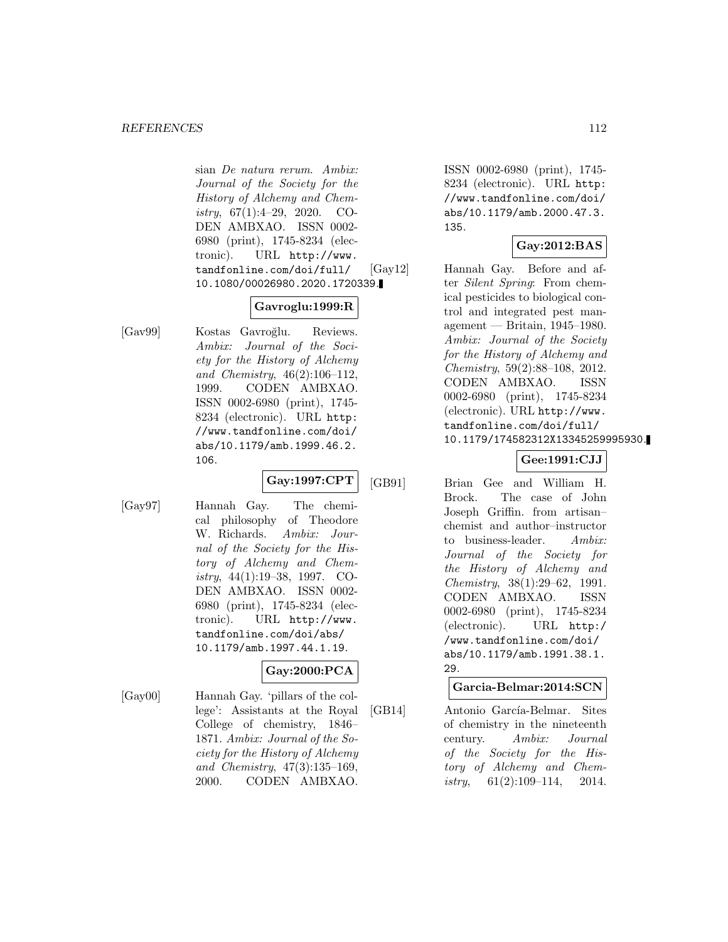#### *REFERENCES* 112

sian De natura rerum. Ambix: Journal of the Society for the History of Alchemy and Chemistry,  $67(1):4-29$ ,  $2020$ . CO-DEN AMBXAO. ISSN 0002- 6980 (print), 1745-8234 (electronic). URL http://www. tandfonline.com/doi/full/ 10.1080/00026980.2020.1720339.

#### **Gavroglu:1999:R**

[Gav99] Kostas Gavroğlu. Reviews. Ambix: Journal of the Society for the History of Alchemy and Chemistry, 46(2):106–112, 1999. CODEN AMBXAO. ISSN 0002-6980 (print), 1745- 8234 (electronic). URL http: //www.tandfonline.com/doi/ abs/10.1179/amb.1999.46.2. 106.

## **Gay:1997:CPT**

[Gay97] Hannah Gay. The chemical philosophy of Theodore W. Richards. Ambix: Journal of the Society for the History of Alchemy and Chemistry, 44(1):19–38, 1997. CO-DEN AMBXAO. ISSN 0002- 6980 (print), 1745-8234 (electronic). URL http://www. tandfonline.com/doi/abs/ 10.1179/amb.1997.44.1.19.

## **Gay:2000:PCA**

[Gay00] Hannah Gay. 'pillars of the college': Assistants at the Royal College of chemistry, 1846– 1871. Ambix: Journal of the Society for the History of Alchemy and Chemistry, 47(3):135–169, 2000. CODEN AMBXAO.

ISSN 0002-6980 (print), 1745- 8234 (electronic). URL http: //www.tandfonline.com/doi/ abs/10.1179/amb.2000.47.3. 135.

## **Gay:2012:BAS**

[Gay12] Hannah Gay. Before and after Silent Spring: From chemical pesticides to biological control and integrated pest management — Britain, 1945–1980. Ambix: Journal of the Society for the History of Alchemy and Chemistry, 59(2):88–108, 2012. CODEN AMBXAO. ISSN 0002-6980 (print), 1745-8234 (electronic). URL http://www. tandfonline.com/doi/full/ 10.1179/174582312X13345259995930.

# **Gee:1991:CJJ**

[GB91] Brian Gee and William H. Brock. The case of John Joseph Griffin. from artisan– chemist and author–instructor to business-leader. Ambix: Journal of the Society for the History of Alchemy and Chemistry, 38(1):29–62, 1991. CODEN AMBXAO. ISSN 0002-6980 (print), 1745-8234 (electronic). URL http:/ /www.tandfonline.com/doi/ abs/10.1179/amb.1991.38.1. 29.

#### **Garcia-Belmar:2014:SCN**

[GB14] Antonio García-Belmar. Sites of chemistry in the nineteenth century. Ambix: Journal of the Society for the History of Alchemy and Chemistry,  $61(2):109-114$ ,  $2014$ .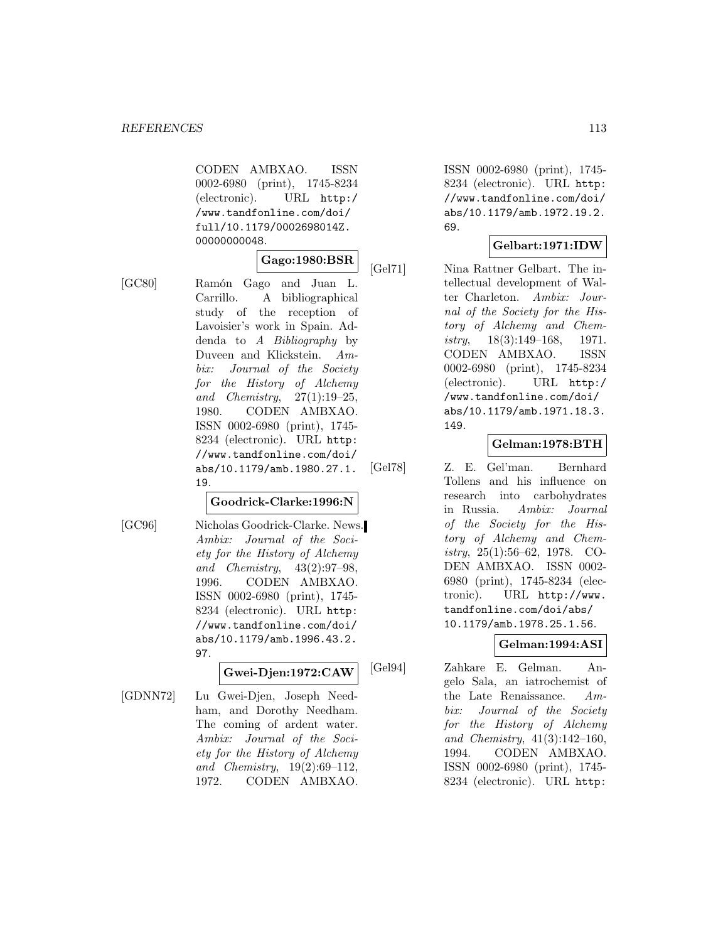CODEN AMBXAO. ISSN 0002-6980 (print), 1745-8234 (electronic). URL http:/ /www.tandfonline.com/doi/ full/10.1179/0002698014Z. 00000000048.

# **Gago:1980:BSR**

[GC80] Ram´on Gago and Juan L. Carrillo. A bibliographical study of the reception of Lavoisier's work in Spain. Addenda to A Bibliography by Duveen and Klickstein. Ambix: Journal of the Society for the History of Alchemy and Chemistry, 27(1):19–25, 1980. CODEN AMBXAO. ISSN 0002-6980 (print), 1745- 8234 (electronic). URL http: //www.tandfonline.com/doi/ abs/10.1179/amb.1980.27.1. 19.

#### **Goodrick-Clarke:1996:N**

[GC96] Nicholas Goodrick-Clarke. News. Ambix: Journal of the Society for the History of Alchemy and Chemistry, 43(2):97–98, 1996. CODEN AMBXAO. ISSN 0002-6980 (print), 1745- 8234 (electronic). URL http: //www.tandfonline.com/doi/ abs/10.1179/amb.1996.43.2. 97.

#### **Gwei-Djen:1972:CAW**

[GDNN72] Lu Gwei-Djen, Joseph Needham, and Dorothy Needham. The coming of ardent water. Ambix: Journal of the Society for the History of Alchemy and Chemistry, 19(2):69–112, 1972. CODEN AMBXAO.

ISSN 0002-6980 (print), 1745- 8234 (electronic). URL http: //www.tandfonline.com/doi/ abs/10.1179/amb.1972.19.2. 69.

## **Gelbart:1971:IDW**

[Gel71] Nina Rattner Gelbart. The intellectual development of Walter Charleton. Ambix: Journal of the Society for the History of Alchemy and Chemistry,  $18(3):149-168$ ,  $1971$ . CODEN AMBXAO. ISSN 0002-6980 (print), 1745-8234 (electronic). URL http:/ /www.tandfonline.com/doi/ abs/10.1179/amb.1971.18.3. 149.

# **Gelman:1978:BTH**

[Gel78] Z. E. Gel'man. Bernhard Tollens and his influence on research into carbohydrates in Russia. Ambix: Journal of the Society for the History of Alchemy and Chemistry, 25(1):56–62, 1978. CO-DEN AMBXAO. ISSN 0002- 6980 (print), 1745-8234 (electronic). URL http://www. tandfonline.com/doi/abs/ 10.1179/amb.1978.25.1.56.

# **Gelman:1994:ASI**

[Gel94] Zahkare E. Gelman. Angelo Sala, an iatrochemist of the Late Renaissance. Ambix: Journal of the Society for the History of Alchemy and Chemistry, 41(3):142–160, 1994. CODEN AMBXAO. ISSN 0002-6980 (print), 1745- 8234 (electronic). URL http: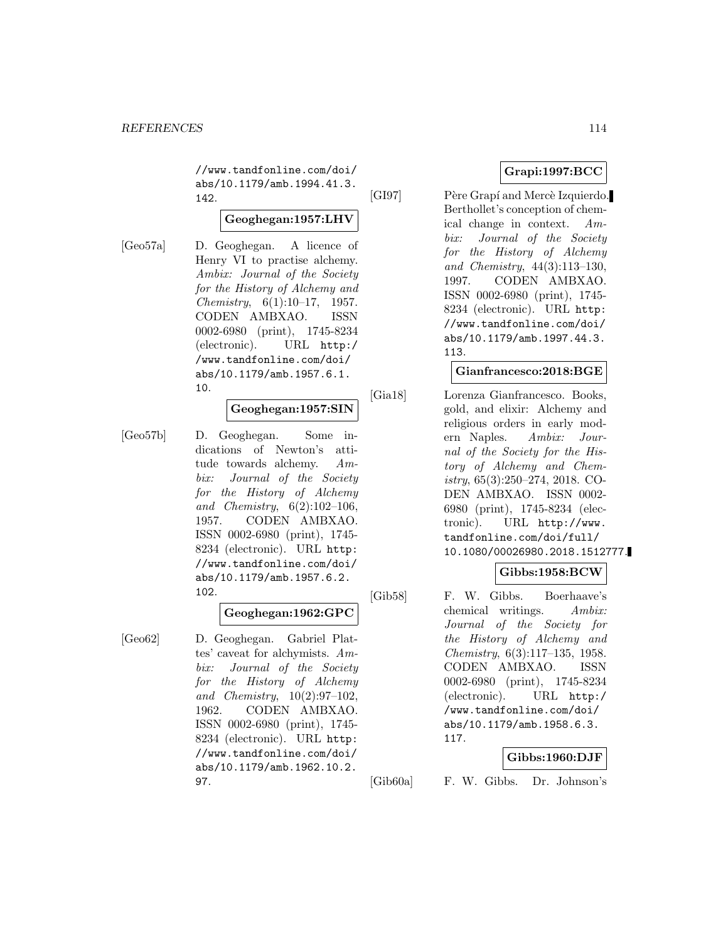//www.tandfonline.com/doi/ abs/10.1179/amb.1994.41.3. 142.

# **Geoghegan:1957:LHV**

[Geo57a] D. Geoghegan. A licence of Henry VI to practise alchemy. Ambix: Journal of the Society for the History of Alchemy and Chemistry, 6(1):10–17, 1957. CODEN AMBXAO. ISSN 0002-6980 (print), 1745-8234 (electronic). URL http:/ /www.tandfonline.com/doi/ abs/10.1179/amb.1957.6.1. 10.

#### **Geoghegan:1957:SIN**

[Geo57b] D. Geoghegan. Some indications of Newton's attitude towards alchemy. Ambix: Journal of the Society for the History of Alchemy and Chemistry,  $6(2):102-106$ , 1957. CODEN AMBXAO. ISSN 0002-6980 (print), 1745- 8234 (electronic). URL http: //www.tandfonline.com/doi/ abs/10.1179/amb.1957.6.2. 102.

# **Geoghegan:1962:GPC**

- 
- [Geo62] D. Geoghegan. Gabriel Plattes' caveat for alchymists. Ambix: Journal of the Society for the History of Alchemy and *Chemistry*,  $10(2):97-102$ , 1962. CODEN AMBXAO. ISSN 0002-6980 (print), 1745- 8234 (electronic). URL http: //www.tandfonline.com/doi/ abs/10.1179/amb.1962.10.2. 97.

# **Grapi:1997:BCC**

[GI97] Père Grapí and Mercè Izquierdo. Berthollet's conception of chemical change in context. Ambix: Journal of the Society for the History of Alchemy and Chemistry, 44(3):113–130, 1997. CODEN AMBXAO. ISSN 0002-6980 (print), 1745- 8234 (electronic). URL http: //www.tandfonline.com/doi/ abs/10.1179/amb.1997.44.3. 113.

#### **Gianfrancesco:2018:BGE**

[Gia18] Lorenza Gianfrancesco. Books, gold, and elixir: Alchemy and religious orders in early modern Naples. Ambix: Journal of the Society for the History of Alchemy and Chemistry, 65(3):250–274, 2018. CO-DEN AMBXAO. ISSN 0002- 6980 (print), 1745-8234 (electronic). URL http://www. tandfonline.com/doi/full/ 10.1080/00026980.2018.1512777.

## **Gibbs:1958:BCW**

[Gib58] F. W. Gibbs. Boerhaave's chemical writings. Ambix: Journal of the Society for the History of Alchemy and Chemistry, 6(3):117–135, 1958. CODEN AMBXAO. ISSN 0002-6980 (print), 1745-8234 (electronic). URL http:/ /www.tandfonline.com/doi/ abs/10.1179/amb.1958.6.3. 117.

#### **Gibbs:1960:DJF**

[Gib60a] F. W. Gibbs. Dr. Johnson's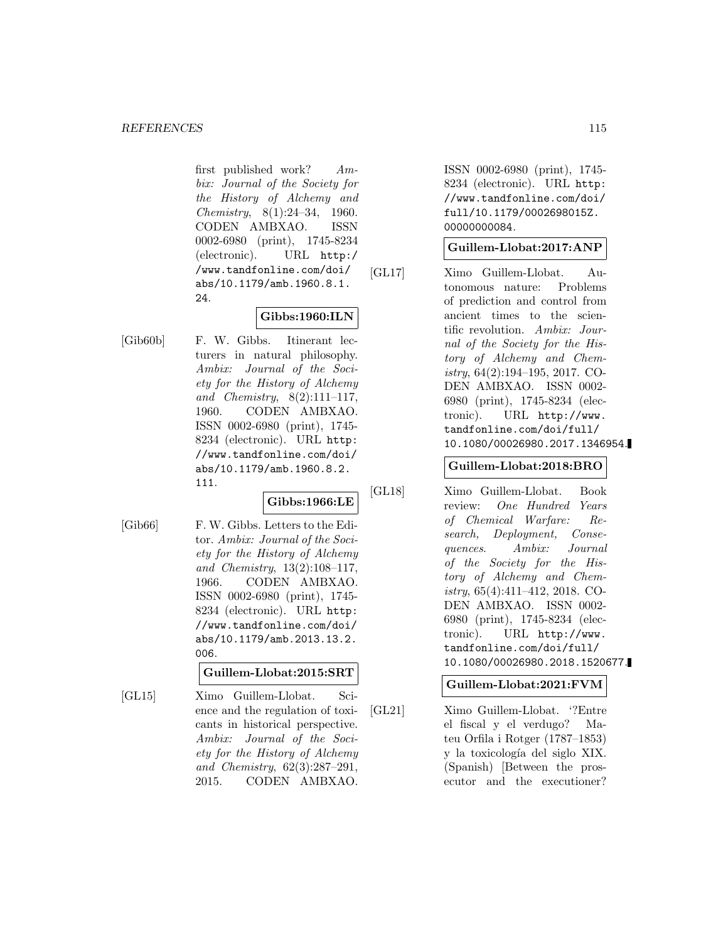first published work? Ambix: Journal of the Society for the History of Alchemy and Chemistry, 8(1):24–34, 1960. CODEN AMBXAO. ISSN 0002-6980 (print), 1745-8234 (electronic). URL http:/ /www.tandfonline.com/doi/ abs/10.1179/amb.1960.8.1. 24.

# **Gibbs:1960:ILN**

[Gib60b] F. W. Gibbs. Itinerant lecturers in natural philosophy. Ambix: Journal of the Society for the History of Alchemy and Chemistry, 8(2):111–117, 1960. CODEN AMBXAO. ISSN 0002-6980 (print), 1745- 8234 (electronic). URL http: //www.tandfonline.com/doi/ abs/10.1179/amb.1960.8.2. 111.

# **Gibbs:1966:LE**

[Gib66] F. W. Gibbs. Letters to the Editor. Ambix: Journal of the Society for the History of Alchemy and Chemistry, 13(2):108–117, 1966. CODEN AMBXAO. ISSN 0002-6980 (print), 1745- 8234 (electronic). URL http: //www.tandfonline.com/doi/ abs/10.1179/amb.2013.13.2. 006.

#### **Guillem-Llobat:2015:SRT**

[GL15] Ximo Guillem-Llobat. Science and the regulation of toxicants in historical perspective. Ambix: Journal of the Society for the History of Alchemy and Chemistry, 62(3):287–291, 2015. CODEN AMBXAO.

ISSN 0002-6980 (print), 1745- 8234 (electronic). URL http: //www.tandfonline.com/doi/ full/10.1179/0002698015Z. 00000000084.

#### **Guillem-Llobat:2017:ANP**

[GL17] Ximo Guillem-Llobat. Autonomous nature: Problems of prediction and control from ancient times to the scientific revolution. Ambix: Journal of the Society for the History of Alchemy and Chemistry, 64(2):194–195, 2017. CO-DEN AMBXAO. ISSN 0002- 6980 (print), 1745-8234 (electronic). URL http://www. tandfonline.com/doi/full/ 10.1080/00026980.2017.1346954.

## **Guillem-Llobat:2018:BRO**

[GL18] Ximo Guillem-Llobat. Book review: One Hundred Years of Chemical Warfare: Research, Deployment, Consequences. Ambix: Journal of the Society for the History of Alchemy and Chemistry, 65(4):411–412, 2018. CO-DEN AMBXAO. ISSN 0002- 6980 (print), 1745-8234 (electronic). URL http://www. tandfonline.com/doi/full/ 10.1080/00026980.2018.1520677.

# **Guillem-Llobat:2021:FVM**

[GL21] Ximo Guillem-Llobat. '?Entre el fiscal y el verdugo? Mateu Orfila i Rotger (1787–1853) y la toxicología del siglo XIX. (Spanish) [Between the prosecutor and the executioner?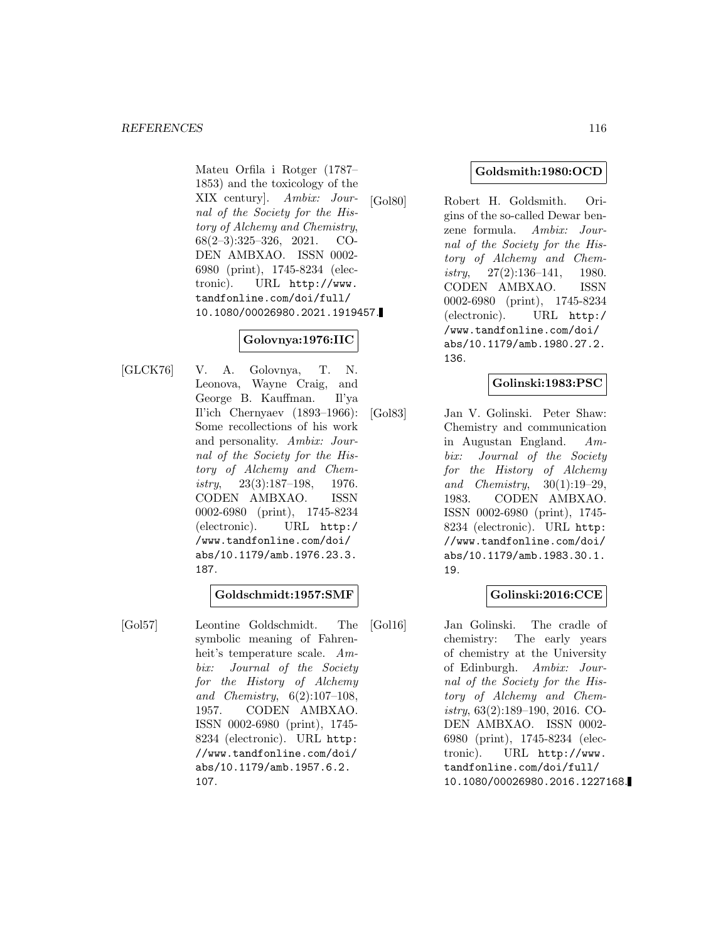Mateu Orfila i Rotger (1787– 1853) and the toxicology of the XIX century]. Ambix: Journal of the Society for the History of Alchemy and Chemistry, 68(2–3):325–326, 2021. CO-DEN AMBXAO. ISSN 0002- 6980 (print), 1745-8234 (electronic). URL http://www. tandfonline.com/doi/full/ 10.1080/00026980.2021.1919457.

# **Golovnya:1976:IIC**

[GLCK76] V. A. Golovnya, T. N. Leonova, Wayne Craig, and George B. Kauffman. Il'ya Il'ich Chernyaev (1893–1966): Some recollections of his work and personality. Ambix: Journal of the Society for the History of Alchemy and Chemistry,  $23(3):187-198$ , 1976. CODEN AMBXAO. ISSN 0002-6980 (print), 1745-8234 (electronic). URL http:/ /www.tandfonline.com/doi/ abs/10.1179/amb.1976.23.3. 187.

## **Goldschmidt:1957:SMF**

[Gol57] Leontine Goldschmidt. The symbolic meaning of Fahrenheit's temperature scale. Ambix: Journal of the Society for the History of Alchemy and Chemistry, 6(2):107–108, 1957. CODEN AMBXAO. ISSN 0002-6980 (print), 1745- 8234 (electronic). URL http: //www.tandfonline.com/doi/ abs/10.1179/amb.1957.6.2. 107.

## **Goldsmith:1980:OCD**

[Gol80] Robert H. Goldsmith. Origins of the so-called Dewar benzene formula. Ambix: Journal of the Society for the History of Alchemy and Chemistry,  $27(2):136-141$ , 1980. CODEN AMBXAO. ISSN 0002-6980 (print), 1745-8234 (electronic). URL http:/ /www.tandfonline.com/doi/ abs/10.1179/amb.1980.27.2. 136.

## **Golinski:1983:PSC**

[Gol83] Jan V. Golinski. Peter Shaw: Chemistry and communication in Augustan England. Ambix: Journal of the Society for the History of Alchemy and Chemistry, 30(1):19–29, 1983. CODEN AMBXAO. ISSN 0002-6980 (print), 1745- 8234 (electronic). URL http: //www.tandfonline.com/doi/ abs/10.1179/amb.1983.30.1. 19.

## **Golinski:2016:CCE**

[Gol16] Jan Golinski. The cradle of chemistry: The early years of chemistry at the University of Edinburgh. Ambix: Journal of the Society for the History of Alchemy and Chemistry, 63(2):189–190, 2016. CO-DEN AMBXAO. ISSN 0002- 6980 (print), 1745-8234 (electronic). URL http://www. tandfonline.com/doi/full/ 10.1080/00026980.2016.1227168.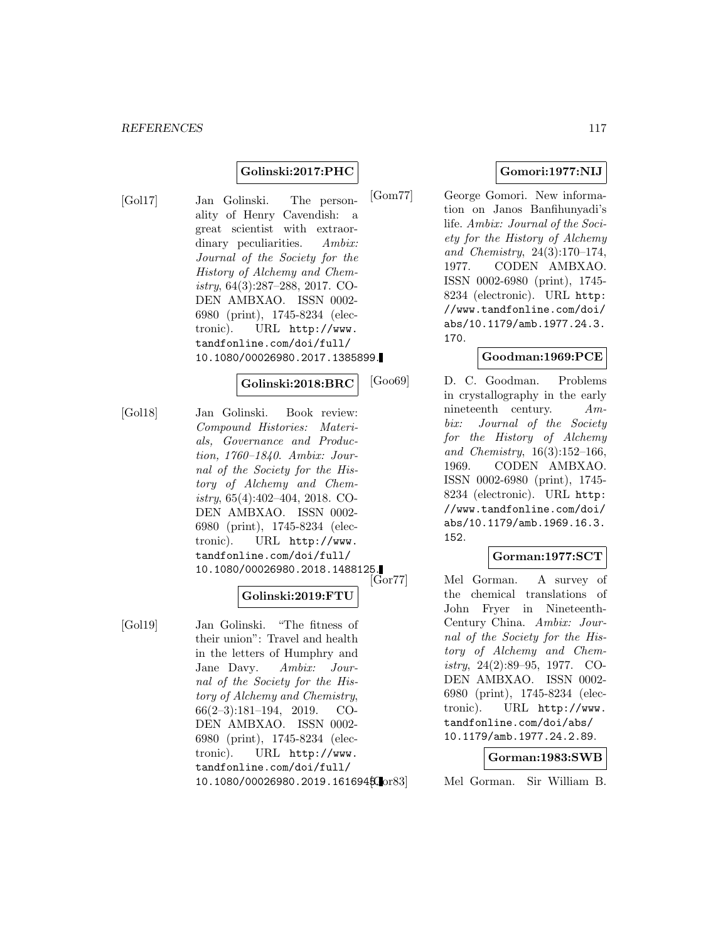#### **Golinski:2017:PHC**

[Gol17] Jan Golinski. The personality of Henry Cavendish: a great scientist with extraordinary peculiarities. Ambix: Journal of the Society for the History of Alchemy and Chemistry, 64(3):287–288, 2017. CO-DEN AMBXAO. ISSN 0002- 6980 (print), 1745-8234 (electronic). URL http://www. tandfonline.com/doi/full/ 10.1080/00026980.2017.1385899.

#### **Golinski:2018:BRC**

[Gol18] Jan Golinski. Book review: Compound Histories: Materials, Governance and Production, 1760–1840. Ambix: Journal of the Society for the History of Alchemy and Chemistry, 65(4):402–404, 2018. CO-DEN AMBXAO. ISSN 0002- 6980 (print), 1745-8234 (electronic). URL http://www. tandfonline.com/doi/full/ 10.1080/00026980.2018.1488125.

## **Golinski:2019:FTU**

[Gol19] Jan Golinski. "The fitness of their union": Travel and health in the letters of Humphry and Jane Davy. Ambix: Journal of the Society for the History of Alchemy and Chemistry, 66(2–3):181–194, 2019. CO-DEN AMBXAO. ISSN 0002- 6980 (print), 1745-8234 (electronic). URL http://www. tandfonline.com/doi/full/ 10.1080/00026980.2019.1616945.

## **Gomori:1977:NIJ**

[Gom77] George Gomori. New information on Janos Banfihunyadi's life. Ambix: Journal of the Society for the History of Alchemy and Chemistry, 24(3):170–174, 1977. CODEN AMBXAO. ISSN 0002-6980 (print), 1745- 8234 (electronic). URL http: //www.tandfonline.com/doi/ abs/10.1179/amb.1977.24.3. 170.

## **Goodman:1969:PCE**

[Goo69] D. C. Goodman. Problems in crystallography in the early nineteenth century. Ambix: Journal of the Society for the History of Alchemy and Chemistry, 16(3):152–166, 1969. CODEN AMBXAO. ISSN 0002-6980 (print), 1745- 8234 (electronic). URL http: //www.tandfonline.com/doi/ abs/10.1179/amb.1969.16.3. 152.

## **Gorman:1977:SCT**

Mel Gorman. A survey of the chemical translations of John Fryer in Nineteenth-Century China. Ambix: Journal of the Society for the History of Alchemy and Chemistry, 24(2):89–95, 1977. CO-DEN AMBXAO. ISSN 0002- 6980 (print), 1745-8234 (electronic). URL http://www. tandfonline.com/doi/abs/ 10.1179/amb.1977.24.2.89.

#### **Gorman:1983:SWB**

Mel Gorman. Sir William B.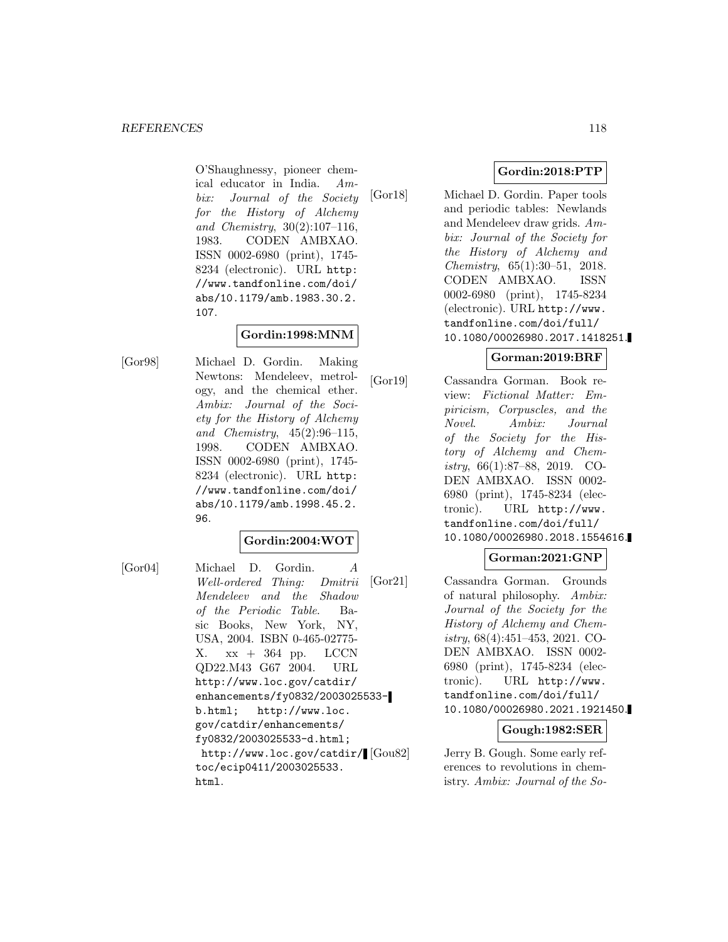O'Shaughnessy, pioneer chemical educator in India. Ambix: Journal of the Society for the History of Alchemy and Chemistry, 30(2):107–116, 1983. CODEN AMBXAO. ISSN 0002-6980 (print), 1745- 8234 (electronic). URL http: //www.tandfonline.com/doi/ abs/10.1179/amb.1983.30.2. 107.

## **Gordin:1998:MNM**

[Gor98] Michael D. Gordin. Making Newtons: Mendeleev, metrology, and the chemical ether. Ambix: Journal of the Society for the History of Alchemy and Chemistry, 45(2):96–115, 1998. CODEN AMBXAO. ISSN 0002-6980 (print), 1745- 8234 (electronic). URL http: //www.tandfonline.com/doi/ abs/10.1179/amb.1998.45.2. 96.

#### **Gordin:2004:WOT**

[Gor04] Michael D. Gordin. A Well-ordered Thing: Dmitrii Mendeleev and the Shadow of the Periodic Table. Basic Books, New York, NY, USA, 2004. ISBN 0-465-02775-  $X.$   $xx + 364$  pp. LCCN QD22.M43 G67 2004. URL http://www.loc.gov/catdir/ enhancements/fy0832/2003025533 b.html; http://www.loc. gov/catdir/enhancements/ fy0832/2003025533-d.html; http://www.loc.gov/catdir/ [Gou82] toc/ecip0411/2003025533. html.

## **Gordin:2018:PTP**

[Gor18] Michael D. Gordin. Paper tools and periodic tables: Newlands and Mendeleev draw grids. Ambix: Journal of the Society for the History of Alchemy and Chemistry, 65(1):30–51, 2018. CODEN AMBXAO. ISSN 0002-6980 (print), 1745-8234 (electronic). URL http://www. tandfonline.com/doi/full/ 10.1080/00026980.2017.1418251.

## **Gorman:2019:BRF**

[Gor19] Cassandra Gorman. Book review: Fictional Matter: Empiricism, Corpuscles, and the Novel. Ambix: Journal of the Society for the History of Alchemy and Chemistry, 66(1):87–88, 2019. CO-DEN AMBXAO. ISSN 0002- 6980 (print), 1745-8234 (electronic). URL http://www. tandfonline.com/doi/full/ 10.1080/00026980.2018.1554616.

#### **Gorman:2021:GNP**

[Gor21] Cassandra Gorman. Grounds of natural philosophy. Ambix: Journal of the Society for the History of Alchemy and Chemistry, 68(4):451–453, 2021. CO-DEN AMBXAO. ISSN 0002- 6980 (print), 1745-8234 (electronic). URL http://www. tandfonline.com/doi/full/ 10.1080/00026980.2021.1921450.

#### **Gough:1982:SER**

Jerry B. Gough. Some early references to revolutions in chemistry. Ambix: Journal of the So-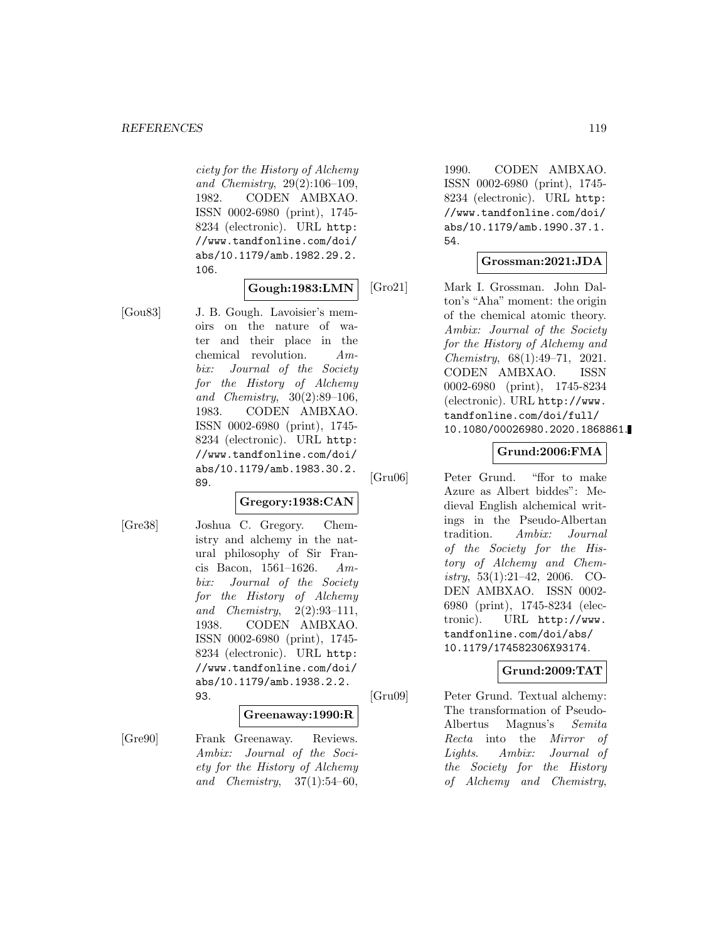ciety for the History of Alchemy and Chemistry, 29(2):106–109, 1982. CODEN AMBXAO. ISSN 0002-6980 (print), 1745- 8234 (electronic). URL http: //www.tandfonline.com/doi/ abs/10.1179/amb.1982.29.2. 106.

## **Gough:1983:LMN**

[Gou83] J. B. Gough. Lavoisier's memoirs on the nature of water and their place in the chemical revolution. Ambix: Journal of the Society for the History of Alchemy and Chemistry, 30(2):89–106, 1983. CODEN AMBXAO. ISSN 0002-6980 (print), 1745- 8234 (electronic). URL http: //www.tandfonline.com/doi/ abs/10.1179/amb.1983.30.2. 89.

#### **Gregory:1938:CAN**

[Gre38] Joshua C. Gregory. Chemistry and alchemy in the natural philosophy of Sir Francis Bacon, 1561–1626. Ambix: Journal of the Society for the History of Alchemy and Chemistry,  $2(2):93-111$ , 1938. CODEN AMBXAO. ISSN 0002-6980 (print), 1745- 8234 (electronic). URL http: //www.tandfonline.com/doi/ abs/10.1179/amb.1938.2.2. 93.

#### **Greenaway:1990:R**

[Gre90] Frank Greenaway. Reviews. Ambix: Journal of the Society for the History of Alchemy and Chemistry, 37(1):54–60,

1990. CODEN AMBXAO. ISSN 0002-6980 (print), 1745- 8234 (electronic). URL http: //www.tandfonline.com/doi/ abs/10.1179/amb.1990.37.1. 54.

## **Grossman:2021:JDA**

[Gro21] Mark I. Grossman. John Dalton's "Aha" moment: the origin of the chemical atomic theory. Ambix: Journal of the Society for the History of Alchemy and Chemistry, 68(1):49–71, 2021. CODEN AMBXAO. ISSN 0002-6980 (print), 1745-8234 (electronic). URL http://www. tandfonline.com/doi/full/ 10.1080/00026980.2020.1868861.

## **Grund:2006:FMA**

[Gru06] Peter Grund. "ffor to make Azure as Albert biddes": Medieval English alchemical writings in the Pseudo-Albertan tradition. Ambix: Journal of the Society for the History of Alchemy and Chemistry, 53(1):21–42, 2006. CO-DEN AMBXAO. ISSN 0002- 6980 (print), 1745-8234 (electronic). URL http://www. tandfonline.com/doi/abs/ 10.1179/174582306X93174.

## **Grund:2009:TAT**

[Gru09] Peter Grund. Textual alchemy: The transformation of Pseudo-Albertus Magnus's Semita Recta into the Mirror of Lights. Ambix: Journal of the Society for the History of Alchemy and Chemistry,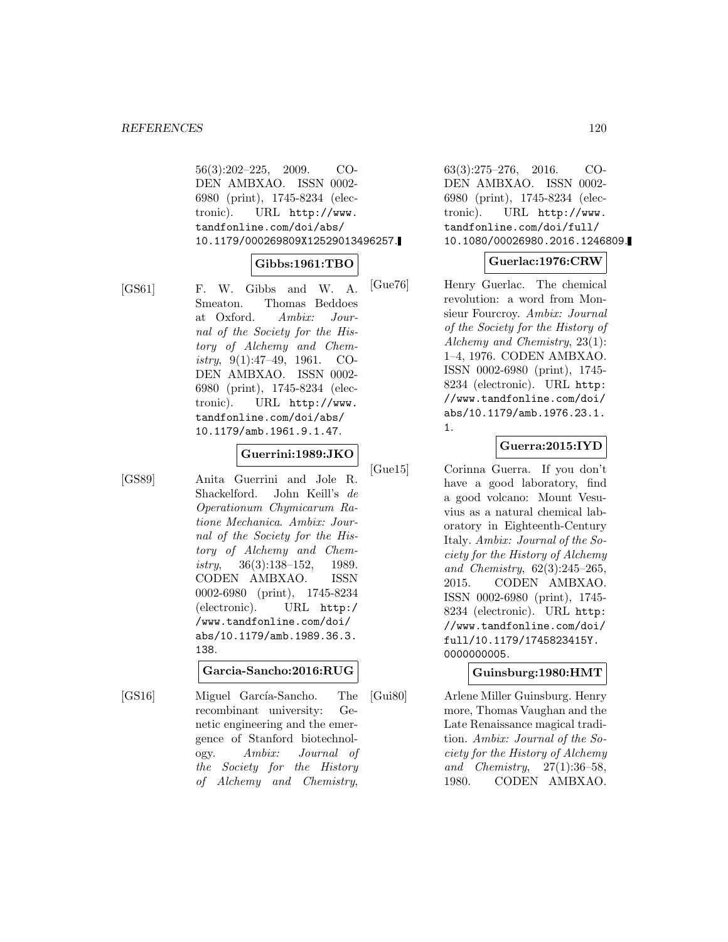56(3):202–225, 2009. CO-DEN AMBXAO. ISSN 0002- 6980 (print), 1745-8234 (electronic). URL http://www. tandfonline.com/doi/abs/ 10.1179/000269809X12529013496257.

## **Gibbs:1961:TBO**

[GS61] F. W. Gibbs and W. A. Smeaton. Thomas Beddoes at Oxford. Ambix: Journal of the Society for the History of Alchemy and Chemistry, 9(1):47–49, 1961. CO-DEN AMBXAO. ISSN 0002- 6980 (print), 1745-8234 (electronic). URL http://www. tandfonline.com/doi/abs/ 10.1179/amb.1961.9.1.47.

# **Guerrini:1989:JKO**

[GS89] Anita Guerrini and Jole R. Shackelford. John Keill's de Operationum Chymicarum Ratione Mechanica. Ambix: Journal of the Society for the History of Alchemy and Chemistry, 36(3):138–152, 1989. CODEN AMBXAO. ISSN 0002-6980 (print), 1745-8234 (electronic). URL http:/ /www.tandfonline.com/doi/ abs/10.1179/amb.1989.36.3.

138.

**Garcia-Sancho:2016:RUG**

[GS16] Miguel García-Sancho. The recombinant university: Genetic engineering and the emergence of Stanford biotechnology. Ambix: Journal of the Society for the History of Alchemy and Chemistry,

63(3):275–276, 2016. CO-DEN AMBXAO. ISSN 0002- 6980 (print), 1745-8234 (electronic). URL http://www. tandfonline.com/doi/full/ 10.1080/00026980.2016.1246809.

#### **Guerlac:1976:CRW**

[Gue76] Henry Guerlac. The chemical revolution: a word from Monsieur Fourcroy. Ambix: Journal of the Society for the History of Alchemy and Chemistry, 23(1): 1–4, 1976. CODEN AMBXAO. ISSN 0002-6980 (print), 1745- 8234 (electronic). URL http: //www.tandfonline.com/doi/ abs/10.1179/amb.1976.23.1. 1.

## **Guerra:2015:IYD**

[Gue15] Corinna Guerra. If you don't have a good laboratory, find a good volcano: Mount Vesuvius as a natural chemical laboratory in Eighteenth-Century Italy. Ambix: Journal of the Society for the History of Alchemy and Chemistry, 62(3):245–265, 2015. CODEN AMBXAO. ISSN 0002-6980 (print), 1745- 8234 (electronic). URL http: //www.tandfonline.com/doi/ full/10.1179/1745823415Y. 0000000005.

## **Guinsburg:1980:HMT**

[Gui80] Arlene Miller Guinsburg. Henry more, Thomas Vaughan and the Late Renaissance magical tradition. Ambix: Journal of the Society for the History of Alchemy and Chemistry, 27(1):36–58, 1980. CODEN AMBXAO.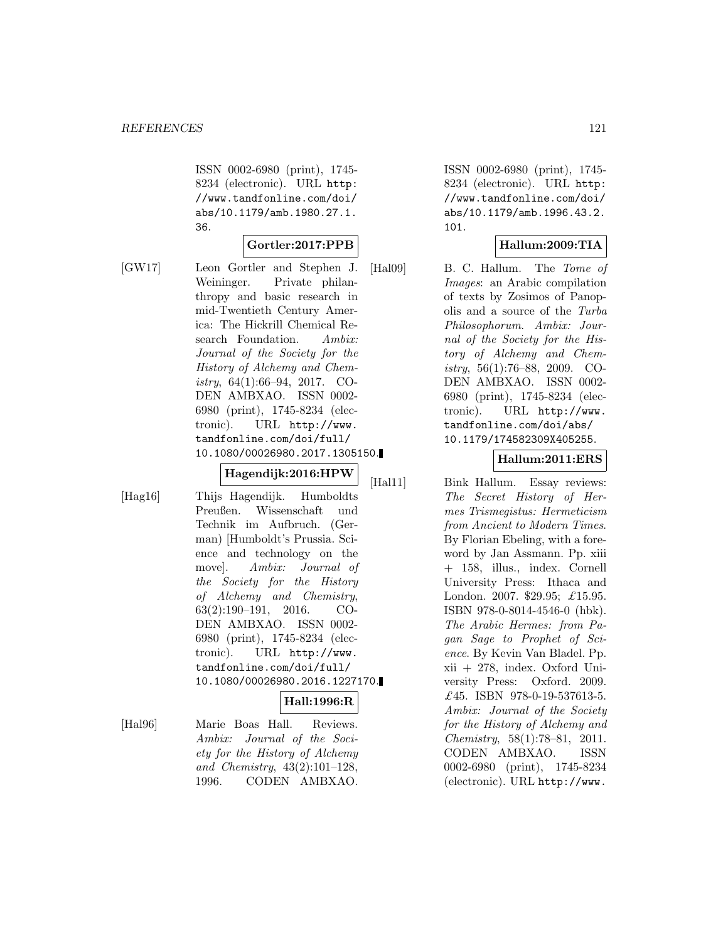ISSN 0002-6980 (print), 1745- 8234 (electronic). URL http: //www.tandfonline.com/doi/ abs/10.1179/amb.1980.27.1. 36.

#### **Gortler:2017:PPB**

[GW17] Leon Gortler and Stephen J. Weininger. Private philanthropy and basic research in mid-Twentieth Century America: The Hickrill Chemical Research Foundation. Ambix: Journal of the Society for the History of Alchemy and Chemistry, 64(1):66–94, 2017. CO-DEN AMBXAO. ISSN 0002- 6980 (print), 1745-8234 (electronic). URL http://www. tandfonline.com/doi/full/ 10.1080/00026980.2017.1305150.

# **Hagendijk:2016:HPW**

[Hag16] Thijs Hagendijk. Humboldts Preußen. Wissenschaft und Technik im Aufbruch. (German) [Humboldt's Prussia. Science and technology on the move]. Ambix: Journal of the Society for the History of Alchemy and Chemistry, 63(2):190–191, 2016. CO-DEN AMBXAO. ISSN 0002- 6980 (print), 1745-8234 (electronic). URL http://www. tandfonline.com/doi/full/ 10.1080/00026980.2016.1227170.

## **Hall:1996:R**

[Hal96] Marie Boas Hall. Reviews. Ambix: Journal of the Society for the History of Alchemy and Chemistry, 43(2):101–128, 1996. CODEN AMBXAO.

ISSN 0002-6980 (print), 1745- 8234 (electronic). URL http: //www.tandfonline.com/doi/ abs/10.1179/amb.1996.43.2. 101.

## **Hallum:2009:TIA**

[Hal09] B. C. Hallum. The Tome of Images: an Arabic compilation of texts by Zosimos of Panopolis and a source of the Turba Philosophorum. Ambix: Journal of the Society for the History of Alchemy and Chemistry,  $56(1)$ :76–88, 2009. CO-DEN AMBXAO. ISSN 0002- 6980 (print), 1745-8234 (electronic). URL http://www. tandfonline.com/doi/abs/ 10.1179/174582309X405255.

## **Hallum:2011:ERS**

[Hal11] Bink Hallum. Essay reviews: The Secret History of Hermes Trismegistus: Hermeticism from Ancient to Modern Times. By Florian Ebeling, with a foreword by Jan Assmann. Pp. xiii + 158, illus., index. Cornell University Press: Ithaca and London. 2007. \$29.95; £15.95. ISBN 978-0-8014-4546-0 (hbk). The Arabic Hermes: from Pagan Sage to Prophet of Science. By Kevin Van Bladel. Pp. xii + 278, index. Oxford University Press: Oxford. 2009. £45. ISBN 978-0-19-537613-5. Ambix: Journal of the Society for the History of Alchemy and Chemistry, 58(1):78–81, 2011. CODEN AMBXAO. ISSN 0002-6980 (print), 1745-8234 (electronic). URL http://www.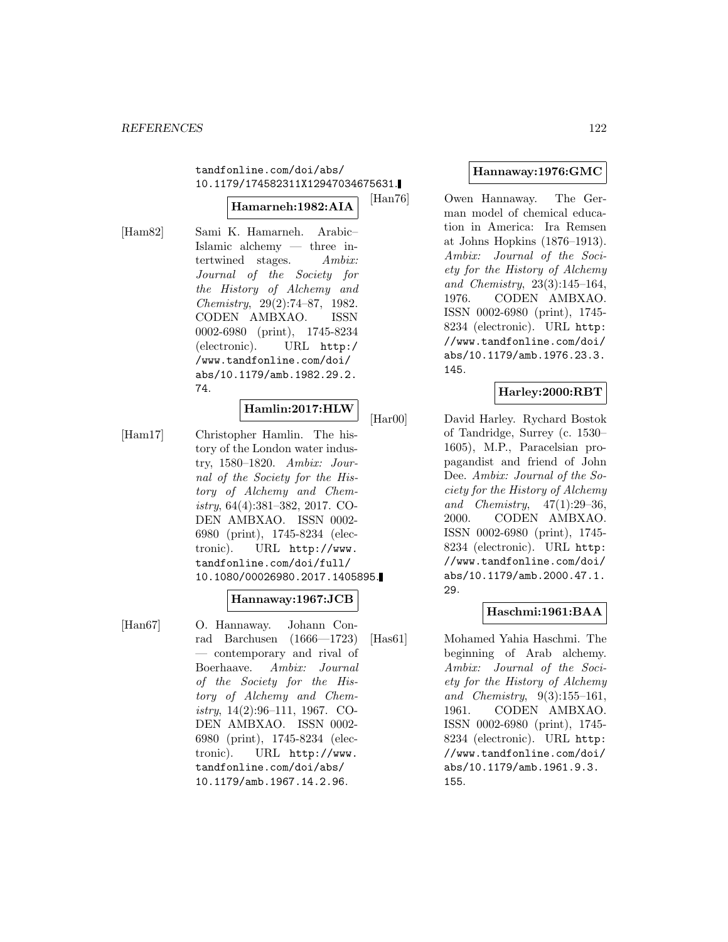tandfonline.com/doi/abs/ 10.1179/174582311X12947034675631.

## **Hamarneh:1982:AIA**

[Ham82] Sami K. Hamarneh. Arabic– Islamic alchemy — three intertwined stages. Ambix: Journal of the Society for the History of Alchemy and Chemistry, 29(2):74–87, 1982. CODEN AMBXAO. ISSN 0002-6980 (print), 1745-8234 (electronic). URL http:/ /www.tandfonline.com/doi/ abs/10.1179/amb.1982.29.2. 74.

#### **Hamlin:2017:HLW**

[Ham17] Christopher Hamlin. The history of the London water industry, 1580–1820. Ambix: Journal of the Society for the History of Alchemy and Chemistry, 64(4):381–382, 2017. CO-DEN AMBXAO. ISSN 0002- 6980 (print), 1745-8234 (electronic). URL http://www. tandfonline.com/doi/full/ 10.1080/00026980.2017.1405895.

#### **Hannaway:1967:JCB**

[Han67] O. Hannaway. Johann Conrad Barchusen (1666—1723) — contemporary and rival of Boerhaave. Ambix: Journal of the Society for the History of Alchemy and Chemistry, 14(2):96–111, 1967. CO-DEN AMBXAO. ISSN 0002- 6980 (print), 1745-8234 (electronic). URL http://www. tandfonline.com/doi/abs/ 10.1179/amb.1967.14.2.96.

## **Hannaway:1976:GMC**

[Han76] Owen Hannaway. The German model of chemical education in America: Ira Remsen at Johns Hopkins (1876–1913). Ambix: Journal of the Society for the History of Alchemy and Chemistry, 23(3):145–164, 1976. CODEN AMBXAO. ISSN 0002-6980 (print), 1745- 8234 (electronic). URL http: //www.tandfonline.com/doi/ abs/10.1179/amb.1976.23.3. 145.

## **Harley:2000:RBT**

[Har00] David Harley. Rychard Bostok of Tandridge, Surrey (c. 1530– 1605), M.P., Paracelsian propagandist and friend of John Dee. Ambix: Journal of the Society for the History of Alchemy and Chemistry, 47(1):29–36, 2000. CODEN AMBXAO. ISSN 0002-6980 (print), 1745- 8234 (electronic). URL http: //www.tandfonline.com/doi/ abs/10.1179/amb.2000.47.1. 29.

## **Haschmi:1961:BAA**

[Has61] Mohamed Yahia Haschmi. The beginning of Arab alchemy. Ambix: Journal of the Society for the History of Alchemy and Chemistry, 9(3):155–161, 1961. CODEN AMBXAO. ISSN 0002-6980 (print), 1745- 8234 (electronic). URL http: //www.tandfonline.com/doi/ abs/10.1179/amb.1961.9.3. 155.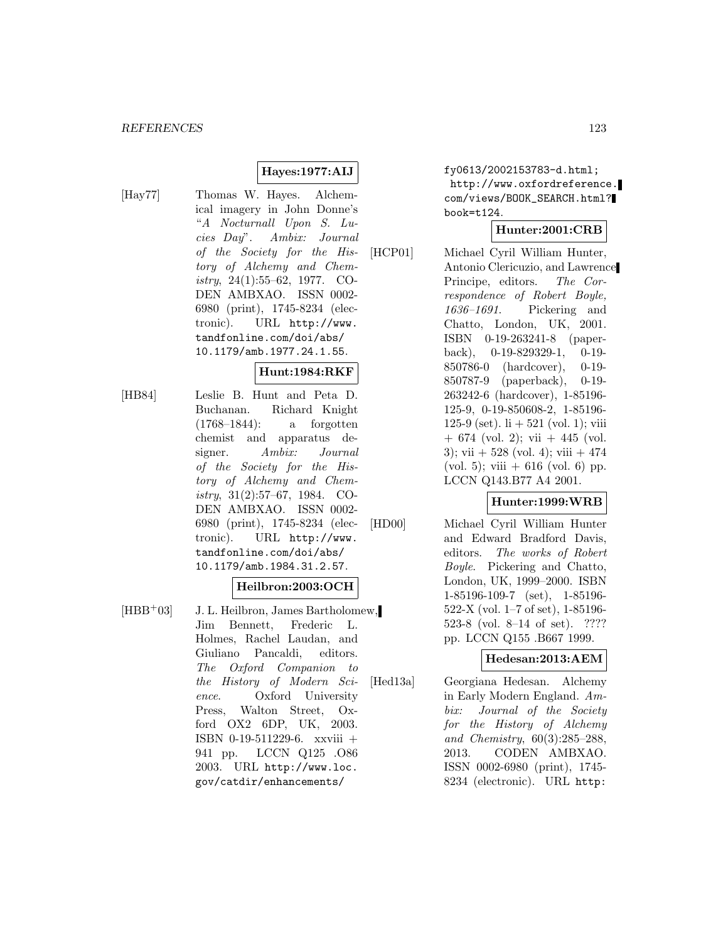## **Hayes:1977:AIJ**

[Hay77] Thomas W. Hayes. Alchemical imagery in John Donne's "A Nocturnall Upon S. Lucies Day". Ambix: Journal of the Society for the History of Alchemy and Chemistry, 24(1):55–62, 1977. CO-DEN AMBXAO. ISSN 0002- 6980 (print), 1745-8234 (electronic). URL http://www. tandfonline.com/doi/abs/ 10.1179/amb.1977.24.1.55.

## **Hunt:1984:RKF**

[HB84] Leslie B. Hunt and Peta D. Buchanan. Richard Knight (1768–1844): a forgotten chemist and apparatus designer. Ambix: Journal of the Society for the History of Alchemy and Chemistry, 31(2):57–67, 1984. CO-DEN AMBXAO. ISSN 0002- 6980 (print), 1745-8234 (electronic). URL http://www. tandfonline.com/doi/abs/ 10.1179/amb.1984.31.2.57.

#### **Heilbron:2003:OCH**

[HBB<sup>+</sup>03] J. L. Heilbron, James Bartholomew, Jim Bennett, Frederic L. Holmes, Rachel Laudan, and Giuliano Pancaldi, editors. The Oxford Companion to the History of Modern Science. Oxford University Press, Walton Street, Oxford OX2 6DP, UK, 2003. ISBN 0-19-511229-6. xxviii + 941 pp. LCCN Q125 .O86 2003. URL http://www.loc. gov/catdir/enhancements/

fy0613/2002153783-d.html; http://www.oxfordreference. com/views/BOOK\_SEARCH.html? book=t124.

## **Hunter:2001:CRB**

[HCP01] Michael Cyril William Hunter, Antonio Clericuzio, and Lawrence Principe, editors. The Correspondence of Robert Boyle, 1636–1691. Pickering and Chatto, London, UK, 2001. ISBN 0-19-263241-8 (paperback), 0-19-829329-1, 0-19- 850786-0 (hardcover), 0-19- 850787-9 (paperback), 0-19- 263242-6 (hardcover), 1-85196- 125-9, 0-19-850608-2, 1-85196- 125-9 (set). li  $+$  521 (vol. 1); viii  $+ 674$  (vol. 2); vii  $+ 445$  (vol. 3); vii +  $528$  (vol. 4); viii +  $474$ (vol. 5); viii  $+ 616$  (vol. 6) pp. LCCN Q143.B77 A4 2001.

## **Hunter:1999:WRB**

[HD00] Michael Cyril William Hunter and Edward Bradford Davis, editors. The works of Robert Boyle. Pickering and Chatto, London, UK, 1999–2000. ISBN 1-85196-109-7 (set), 1-85196- 522-X (vol. 1–7 of set), 1-85196- 523-8 (vol. 8–14 of set). ???? pp. LCCN Q155 .B667 1999.

#### **Hedesan:2013:AEM**

[Hed13a] Georgiana Hedesan. Alchemy in Early Modern England. Ambix: Journal of the Society for the History of Alchemy and Chemistry, 60(3):285–288, 2013. CODEN AMBXAO. ISSN 0002-6980 (print), 1745- 8234 (electronic). URL http: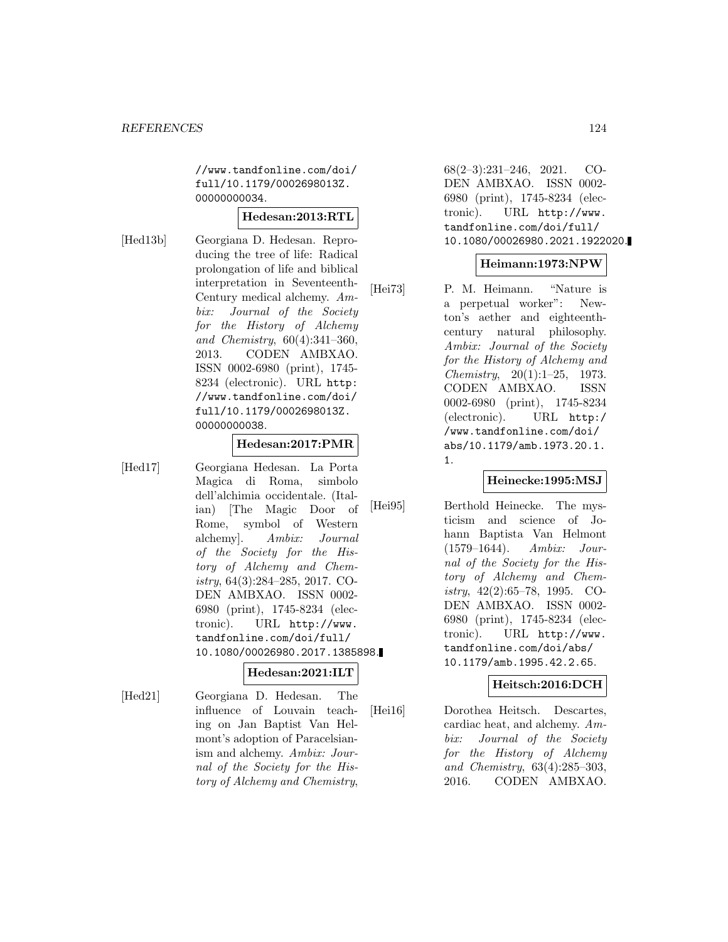//www.tandfonline.com/doi/ full/10.1179/0002698013Z. 00000000034.

## **Hedesan:2013:RTL**

[Hed13b] Georgiana D. Hedesan. Reproducing the tree of life: Radical prolongation of life and biblical interpretation in Seventeenth-Century medical alchemy. Ambix: Journal of the Society for the History of Alchemy and Chemistry, 60(4):341–360, 2013. CODEN AMBXAO. ISSN 0002-6980 (print), 1745- 8234 (electronic). URL http: //www.tandfonline.com/doi/ full/10.1179/0002698013Z. 00000000038.

## **Hedesan:2017:PMR**

[Hed17] Georgiana Hedesan. La Porta Magica di Roma, simbolo dell'alchimia occidentale. (Italian) [The Magic Door of Rome, symbol of Western alchemy]. Ambix: Journal of the Society for the History of Alchemy and Chemistry, 64(3):284–285, 2017. CO-DEN AMBXAO. ISSN 0002- 6980 (print), 1745-8234 (electronic). URL http://www. tandfonline.com/doi/full/ 10.1080/00026980.2017.1385898.

#### **Hedesan:2021:ILT**

[Hed21] Georgiana D. Hedesan. The influence of Louvain teaching on Jan Baptist Van Helmont's adoption of Paracelsianism and alchemy. Ambix: Journal of the Society for the History of Alchemy and Chemistry,

68(2–3):231–246, 2021. CO-DEN AMBXAO. ISSN 0002- 6980 (print), 1745-8234 (electronic). URL http://www. tandfonline.com/doi/full/ 10.1080/00026980.2021.1922020.

#### **Heimann:1973:NPW**

[Hei73] P. M. Heimann. "Nature is a perpetual worker": Newton's aether and eighteenthcentury natural philosophy. Ambix: Journal of the Society for the History of Alchemy and Chemistry, 20(1):1–25, 1973. CODEN AMBXAO. ISSN 0002-6980 (print), 1745-8234 (electronic). URL http:/ /www.tandfonline.com/doi/ abs/10.1179/amb.1973.20.1. 1.

#### **Heinecke:1995:MSJ**

[Hei95] Berthold Heinecke. The mysticism and science of Johann Baptista Van Helmont (1579–1644). Ambix: Journal of the Society for the History of Alchemy and Chemistry,  $42(2):65-78$ , 1995. CO-DEN AMBXAO. ISSN 0002- 6980 (print), 1745-8234 (electronic). URL http://www. tandfonline.com/doi/abs/ 10.1179/amb.1995.42.2.65.

#### **Heitsch:2016:DCH**

[Hei16] Dorothea Heitsch. Descartes, cardiac heat, and alchemy. Ambix: Journal of the Society for the History of Alchemy and Chemistry, 63(4):285–303, 2016. CODEN AMBXAO.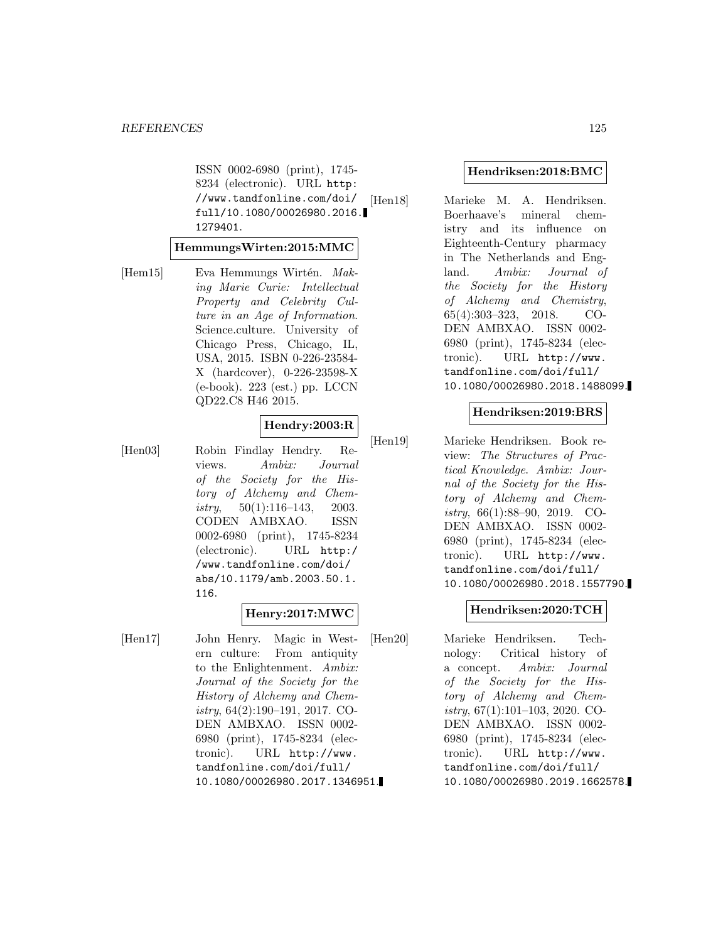ISSN 0002-6980 (print), 1745- 8234 (electronic). URL http: //www.tandfonline.com/doi/ full/10.1080/00026980.2016. 1279401.

#### **HemmungsWirten:2015:MMC**

[Hem15] Eva Hemmungs Wirtén.  $Mak$ ing Marie Curie: Intellectual Property and Celebrity Culture in an Age of Information. Science.culture. University of Chicago Press, Chicago, IL, USA, 2015. ISBN 0-226-23584- X (hardcover), 0-226-23598-X (e-book). 223 (est.) pp. LCCN QD22.C8 H46 2015.

## **Hendry:2003:R**

[Hen03] Robin Findlay Hendry. Reviews. Ambix: Journal of the Society for the History of Alchemy and Chemistry,  $50(1):116-143$ ,  $2003$ . CODEN AMBXAO. ISSN 0002-6980 (print), 1745-8234 (electronic). URL http:/ /www.tandfonline.com/doi/ abs/10.1179/amb.2003.50.1. 116.

#### **Henry:2017:MWC**

[Hen17] John Henry. Magic in Western culture: From antiquity to the Enlightenment. Ambix: Journal of the Society for the History of Alchemy and Chemistry, 64(2):190–191, 2017. CO-DEN AMBXAO. ISSN 0002- 6980 (print), 1745-8234 (electronic). URL http://www. tandfonline.com/doi/full/ 10.1080/00026980.2017.1346951.

#### **Hendriksen:2018:BMC**

[Hen18] Marieke M. A. Hendriksen. Boerhaave's mineral chemistry and its influence on Eighteenth-Century pharmacy in The Netherlands and England. Ambix: Journal of the Society for the History of Alchemy and Chemistry, 65(4):303–323, 2018. CO-DEN AMBXAO. ISSN 0002- 6980 (print), 1745-8234 (electronic). URL http://www. tandfonline.com/doi/full/ 10.1080/00026980.2018.1488099.

## **Hendriksen:2019:BRS**

[Hen19] Marieke Hendriksen. Book review: The Structures of Practical Knowledge. Ambix: Journal of the Society for the History of Alchemy and Chemistry,  $66(1):88-90$ ,  $2019$ . CO-DEN AMBXAO. ISSN 0002- 6980 (print), 1745-8234 (electronic). URL http://www. tandfonline.com/doi/full/ 10.1080/00026980.2018.1557790.

#### **Hendriksen:2020:TCH**

[Hen20] Marieke Hendriksen. Technology: Critical history of a concept. Ambix: Journal of the Society for the History of Alchemy and Chem $istry, 67(1):101-103, 2020. CO-$ DEN AMBXAO. ISSN 0002- 6980 (print), 1745-8234 (electronic). URL http://www. tandfonline.com/doi/full/ 10.1080/00026980.2019.1662578.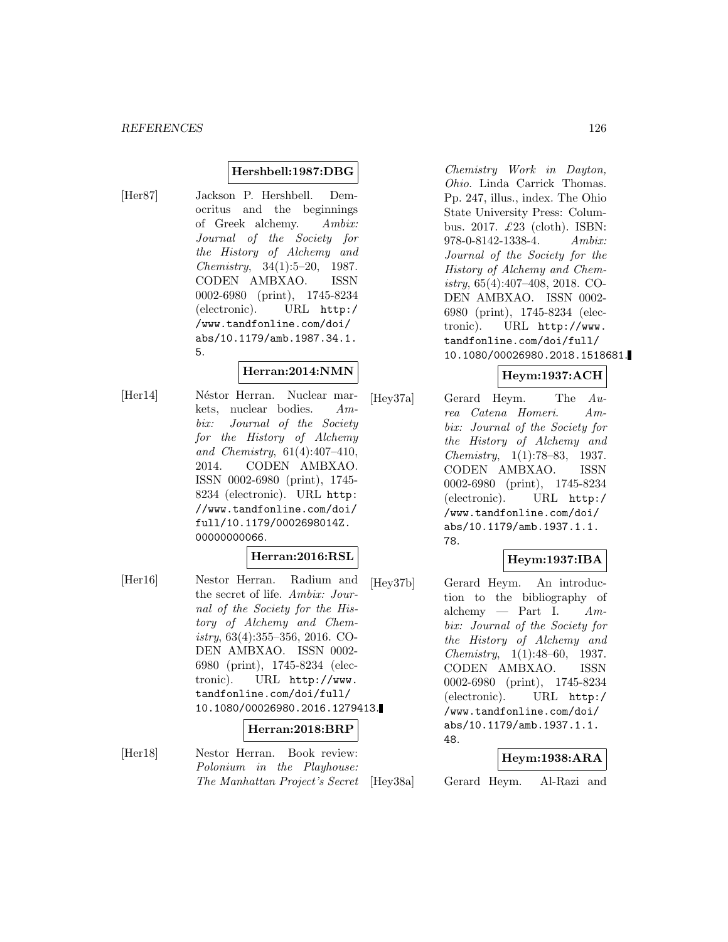## **Hershbell:1987:DBG**

[Her87] Jackson P. Hershbell. Democritus and the beginnings of Greek alchemy. Ambix: Journal of the Society for the History of Alchemy and Chemistry, 34(1):5–20, 1987. CODEN AMBXAO. ISSN 0002-6980 (print), 1745-8234 (electronic). URL http:/ /www.tandfonline.com/doi/ abs/10.1179/amb.1987.34.1. 5.

## **Herran:2014:NMN**

[Her14] Néstor Herran. Nuclear markets, nuclear bodies. Ambix: Journal of the Society for the History of Alchemy and Chemistry, 61(4):407–410, 2014. CODEN AMBXAO. ISSN 0002-6980 (print), 1745- 8234 (electronic). URL http: //www.tandfonline.com/doi/ full/10.1179/0002698014Z. 00000000066.

#### **Herran:2016:RSL**

[Her16] Nestor Herran. Radium and the secret of life. Ambix: Journal of the Society for the History of Alchemy and Chem $istru$ , 63(4):355–356, 2016. CO-DEN AMBXAO. ISSN 0002- 6980 (print), 1745-8234 (electronic). URL http://www. tandfonline.com/doi/full/ 10.1080/00026980.2016.1279413.

#### **Herran:2018:BRP**

[Her18] Nestor Herran. Book review: Polonium in the Playhouse: The Manhattan Project's Secret

Chemistry Work in Dayton, Ohio. Linda Carrick Thomas. Pp. 247, illus., index. The Ohio State University Press: Columbus. 2017. £23 (cloth). ISBN: 978-0-8142-1338-4. Ambix: Journal of the Society for the History of Alchemy and Chemistry, 65(4):407–408, 2018. CO-DEN AMBXAO. ISSN 0002- 6980 (print), 1745-8234 (electronic). URL http://www. tandfonline.com/doi/full/ 10.1080/00026980.2018.1518681.

## **Heym:1937:ACH**

[Hey37a] Gerard Heym. The Aurea Catena Homeri. Ambix: Journal of the Society for the History of Alchemy and Chemistry, 1(1):78–83, 1937. CODEN AMBXAO. ISSN 0002-6980 (print), 1745-8234 (electronic). URL http:/ /www.tandfonline.com/doi/ abs/10.1179/amb.1937.1.1. 78.

#### **Heym:1937:IBA**

[Hey37b] Gerard Heym. An introduction to the bibliography of alchemy — Part I.  $Am$ bix: Journal of the Society for the History of Alchemy and Chemistry, 1(1):48–60, 1937. CODEN AMBXAO. ISSN 0002-6980 (print), 1745-8234 (electronic). URL http:/ /www.tandfonline.com/doi/ abs/10.1179/amb.1937.1.1. 48.

#### **Heym:1938:ARA**

[Hey38a] Gerard Heym. Al-Razi and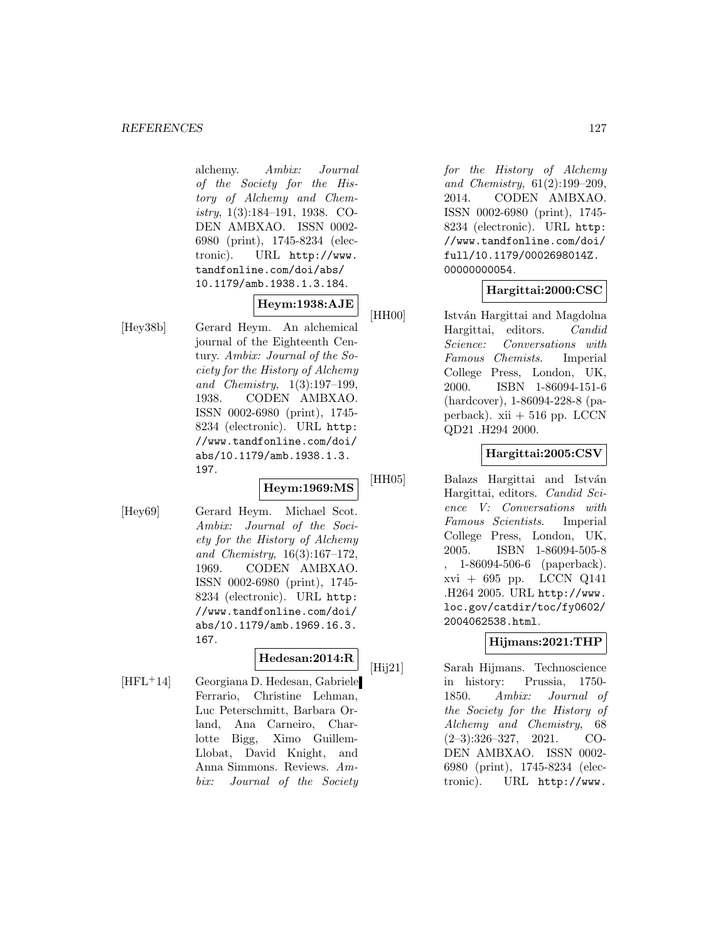#### *REFERENCES* 127

alchemy. Ambix: Journal of the Society for the History of Alchemy and Chemistry, 1(3):184–191, 1938. CO-DEN AMBXAO. ISSN 0002- 6980 (print), 1745-8234 (electronic). URL http://www. tandfonline.com/doi/abs/ 10.1179/amb.1938.1.3.184.

**Heym:1938:AJE**

[Hey38b] Gerard Heym. An alchemical journal of the Eighteenth Century. Ambix: Journal of the Society for the History of Alchemy and Chemistry, 1(3):197–199, 1938. CODEN AMBXAO. ISSN 0002-6980 (print), 1745- 8234 (electronic). URL http: //www.tandfonline.com/doi/ abs/10.1179/amb.1938.1.3. 197.

#### **Heym:1969:MS**

[Hey69] Gerard Heym. Michael Scot. Ambix: Journal of the Society for the History of Alchemy and Chemistry, 16(3):167–172, 1969. CODEN AMBXAO. ISSN 0002-6980 (print), 1745- 8234 (electronic). URL http: //www.tandfonline.com/doi/ abs/10.1179/amb.1969.16.3. 167.

## **Hedesan:2014:R**

[HFL<sup>+</sup>14] Georgiana D. Hedesan, Gabriele Ferrario, Christine Lehman, Luc Peterschmitt, Barbara Orland, Ana Carneiro, Charlotte Bigg, Ximo Guillem-Llobat, David Knight, and Anna Simmons. Reviews. Ambix: Journal of the Society

for the History of Alchemy and Chemistry, 61(2):199–209, 2014. CODEN AMBXAO. ISSN 0002-6980 (print), 1745- 8234 (electronic). URL http: //www.tandfonline.com/doi/ full/10.1179/0002698014Z. 00000000054.

## **Hargittai:2000:CSC**

[HH00] István Hargittai and Magdolna Hargittai, editors. Candid Science: Conversations with Famous Chemists. Imperial College Press, London, UK, 2000. ISBN 1-86094-151-6 (hardcover), 1-86094-228-8 (paperback).  $xii + 516$  pp. LCCN QD21 .H294 2000.

## **Hargittai:2005:CSV**

[HH05] Balazs Hargittai and István Hargittai, editors. Candid Science V: Conversations with Famous Scientists. Imperial College Press, London, UK, 2005. ISBN 1-86094-505-8 , 1-86094-506-6 (paperback). xvi + 695 pp. LCCN Q141 .H264 2005. URL http://www. loc.gov/catdir/toc/fy0602/ 2004062538.html.

## **Hijmans:2021:THP**

[Hij21] Sarah Hijmans. Technoscience in history: Prussia, 1750- 1850. Ambix: Journal of the Society for the History of Alchemy and Chemistry, 68 (2–3):326–327, 2021. CO-DEN AMBXAO. ISSN 0002- 6980 (print), 1745-8234 (electronic). URL http://www.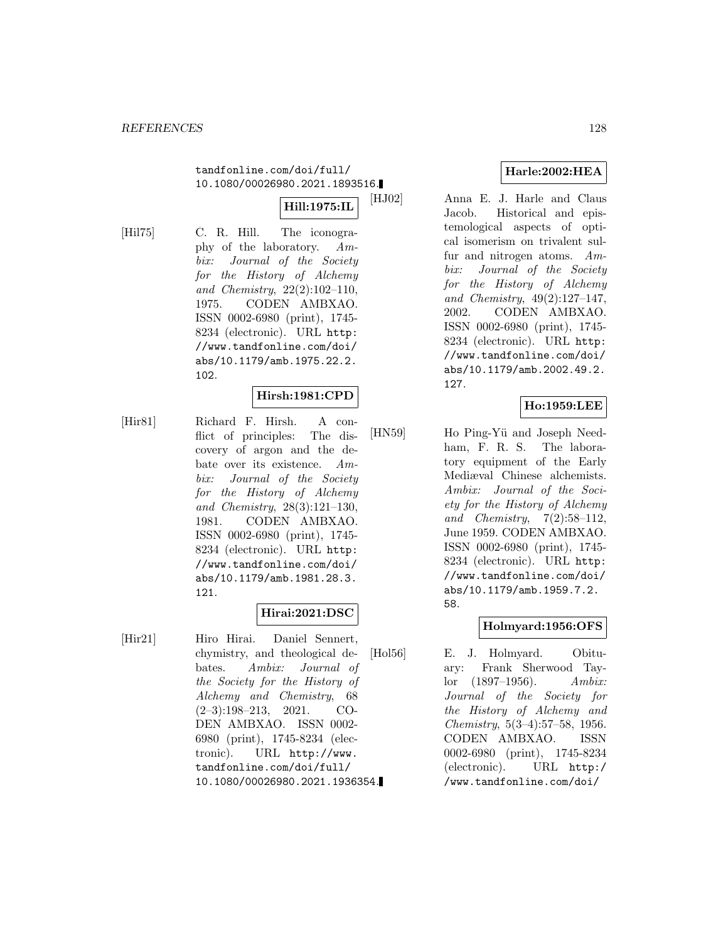tandfonline.com/doi/full/ 10.1080/00026980.2021.1893516.

**Hill:1975:IL**

[Hil75] C. R. Hill. The iconography of the laboratory. Ambix: Journal of the Society for the History of Alchemy and Chemistry, 22(2):102–110, 1975. CODEN AMBXAO. ISSN 0002-6980 (print), 1745- 8234 (electronic). URL http: //www.tandfonline.com/doi/ abs/10.1179/amb.1975.22.2. 102.

## **Hirsh:1981:CPD**

[Hir81] Richard F. Hirsh. A conflict of principles: The discovery of argon and the debate over its existence. Ambix: Journal of the Society for the History of Alchemy and Chemistry, 28(3):121–130, 1981. CODEN AMBXAO. ISSN 0002-6980 (print), 1745- 8234 (electronic). URL http: //www.tandfonline.com/doi/ abs/10.1179/amb.1981.28.3. 121.

## **Hirai:2021:DSC**

[Hir21] Hiro Hirai. Daniel Sennert, chymistry, and theological debates. Ambix: Journal of the Society for the History of Alchemy and Chemistry, 68 (2–3):198–213, 2021. CO-DEN AMBXAO. ISSN 0002- 6980 (print), 1745-8234 (electronic). URL http://www. tandfonline.com/doi/full/ 10.1080/00026980.2021.1936354.

# **Harle:2002:HEA**

[HJ02] Anna E. J. Harle and Claus Jacob. Historical and epistemological aspects of optical isomerism on trivalent sulfur and nitrogen atoms. Ambix: Journal of the Society for the History of Alchemy and Chemistry, 49(2):127–147, 2002. CODEN AMBXAO. ISSN 0002-6980 (print), 1745- 8234 (electronic). URL http: //www.tandfonline.com/doi/ abs/10.1179/amb.2002.49.2. 127.

## **Ho:1959:LEE**

[HN59] Ho Ping-Yü and Joseph Needham, F. R. S. The laboratory equipment of the Early Mediæval Chinese alchemists. Ambix: Journal of the Society for the History of Alchemy and Chemistry,  $7(2):58-112$ , June 1959. CODEN AMBXAO. ISSN 0002-6980 (print), 1745- 8234 (electronic). URL http: //www.tandfonline.com/doi/ abs/10.1179/amb.1959.7.2. 58.

## **Holmyard:1956:OFS**

[Hol56] E. J. Holmyard. Obituary: Frank Sherwood Taylor (1897–1956). Ambix: Journal of the Society for the History of Alchemy and Chemistry, 5(3–4):57–58, 1956. CODEN AMBXAO. ISSN 0002-6980 (print), 1745-8234 (electronic). URL http:/ /www.tandfonline.com/doi/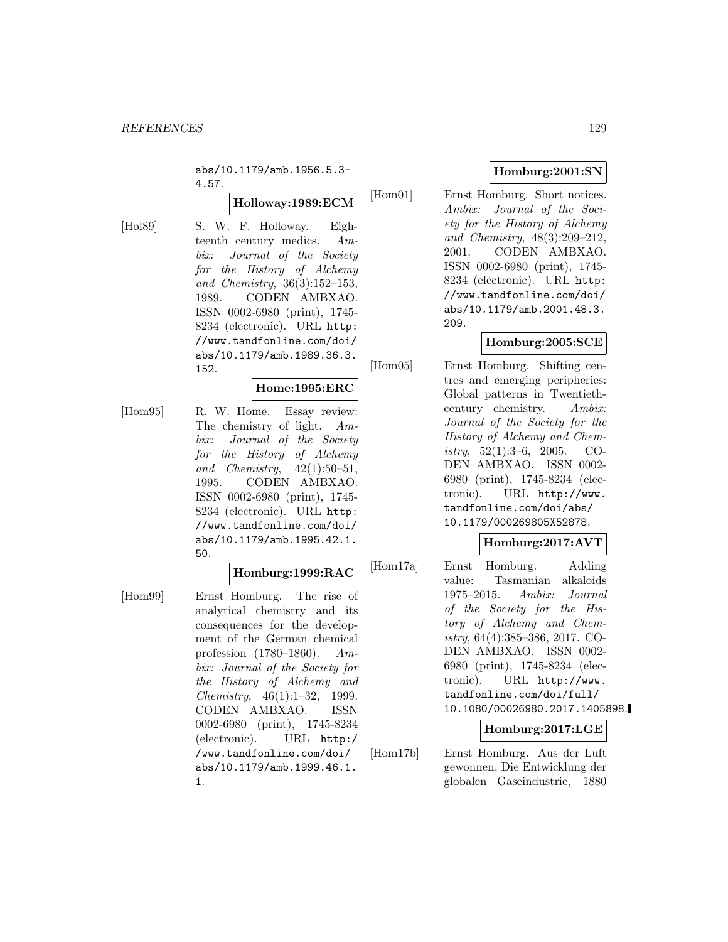abs/10.1179/amb.1956.5.3- 4.57.

## **Holloway:1989:ECM**

[Hol89] S. W. F. Holloway. Eighteenth century medics. Ambix: Journal of the Society for the History of Alchemy and Chemistry, 36(3):152–153, 1989. CODEN AMBXAO. ISSN 0002-6980 (print), 1745- 8234 (electronic). URL http: //www.tandfonline.com/doi/ abs/10.1179/amb.1989.36.3. 152.

#### **Home:1995:ERC**

[Hom95] R. W. Home. Essay review: The chemistry of light. Ambix: Journal of the Society for the History of Alchemy and Chemistry,  $42(1):50-51$ , 1995. CODEN AMBXAO. ISSN 0002-6980 (print), 1745- 8234 (electronic). URL http: //www.tandfonline.com/doi/ abs/10.1179/amb.1995.42.1. 50.

#### **Homburg:1999:RAC**

[Hom99] Ernst Homburg. The rise of analytical chemistry and its consequences for the development of the German chemical profession (1780–1860). Ambix: Journal of the Society for the History of Alchemy and Chemistry, 46(1):1–32, 1999. CODEN AMBXAO. ISSN 0002-6980 (print), 1745-8234 (electronic). URL http:/ /www.tandfonline.com/doi/ abs/10.1179/amb.1999.46.1. 1.

## **Homburg:2001:SN**

[Hom01] Ernst Homburg. Short notices. Ambix: Journal of the Society for the History of Alchemy and Chemistry, 48(3):209–212, 2001. CODEN AMBXAO. ISSN 0002-6980 (print), 1745- 8234 (electronic). URL http: //www.tandfonline.com/doi/ abs/10.1179/amb.2001.48.3. 209.

## **Homburg:2005:SCE**

[Hom05] Ernst Homburg. Shifting centres and emerging peripheries: Global patterns in Twentiethcentury chemistry. Ambix: Journal of the Society for the History of Alchemy and Chemistry,  $52(1):3-6$ ,  $2005$ . CO-DEN AMBXAO. ISSN 0002- 6980 (print), 1745-8234 (electronic). URL http://www. tandfonline.com/doi/abs/ 10.1179/000269805X52878.

#### **Homburg:2017:AVT**

[Hom17a] Ernst Homburg. Adding value: Tasmanian alkaloids 1975–2015. Ambix: Journal of the Society for the History of Alchemy and Chemistry, 64(4):385–386, 2017. CO-DEN AMBXAO. ISSN 0002- 6980 (print), 1745-8234 (electronic). URL http://www. tandfonline.com/doi/full/ 10.1080/00026980.2017.1405898.

## **Homburg:2017:LGE**

[Hom17b] Ernst Homburg. Aus der Luft gewonnen. Die Entwicklung der globalen Gaseindustrie, 1880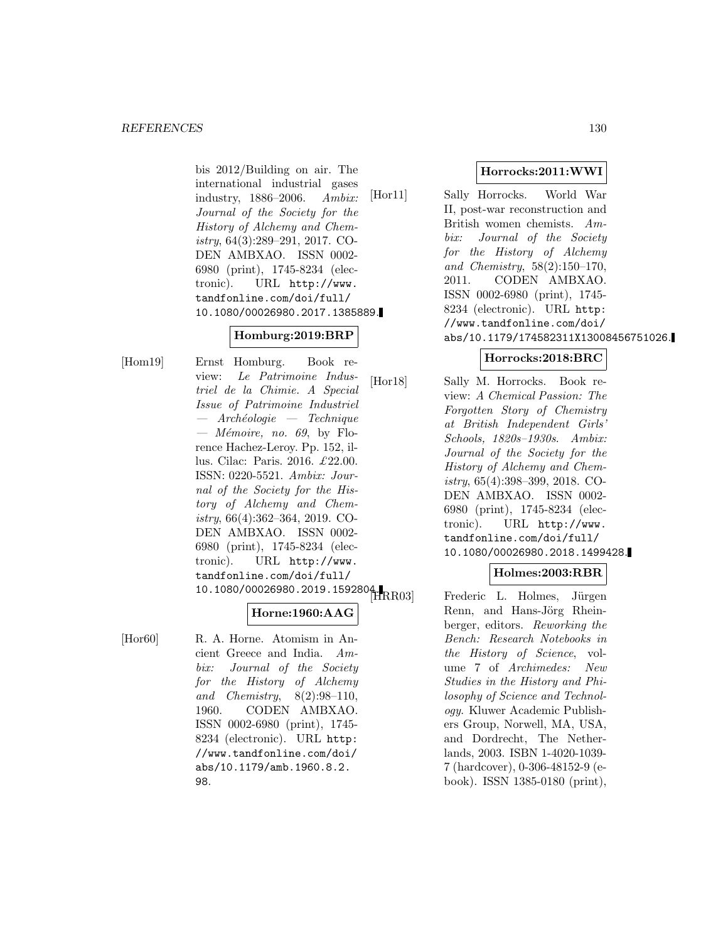bis 2012/Building on air. The international industrial gases industry, 1886–2006. Ambix: Journal of the Society for the History of Alchemy and Chemistry, 64(3):289–291, 2017. CO-DEN AMBXAO. ISSN 0002- 6980 (print), 1745-8234 (electronic). URL http://www. tandfonline.com/doi/full/ 10.1080/00026980.2017.1385889.

# **Homburg:2019:BRP**

[Hom19] Ernst Homburg. Book review: Le Patrimoine Industriel de la Chimie. A Special Issue of Patrimoine Industriel  $-$  Archéologie  $-$  Technique — *Mémoire*, no. 69, by Florence Hachez-Leroy. Pp. 152, illus. Cilac: Paris. 2016. £22.00. ISSN: 0220-5521. Ambix: Journal of the Society for the History of Alchemy and Chemistry, 66(4):362–364, 2019. CO-DEN AMBXAO. ISSN 0002- 6980 (print), 1745-8234 (electronic). URL http://www. tandfonline.com/doi/full/ 10.1080/00026980.2019.1592804.<br>[HRR03]

## **Horne:1960:AAG**

[Hor60] R. A. Horne. Atomism in Ancient Greece and India. Ambix: Journal of the Society for the History of Alchemy and Chemistry, 8(2):98–110, 1960. CODEN AMBXAO. ISSN 0002-6980 (print), 1745- 8234 (electronic). URL http: //www.tandfonline.com/doi/ abs/10.1179/amb.1960.8.2. 98.

## **Horrocks:2011:WWI**

[Hor11] Sally Horrocks. World War II, post-war reconstruction and British women chemists. Ambix: Journal of the Society for the History of Alchemy and Chemistry, 58(2):150–170, 2011. CODEN AMBXAO. ISSN 0002-6980 (print), 1745- 8234 (electronic). URL http: //www.tandfonline.com/doi/ abs/10.1179/174582311X13008456751026.

# **Horrocks:2018:BRC**

[Hor18] Sally M. Horrocks. Book review: A Chemical Passion: The Forgotten Story of Chemistry at British Independent Girls' Schools, 1820s–1930s. Ambix: Journal of the Society for the History of Alchemy and Chemistry, 65(4):398–399, 2018. CO-DEN AMBXAO. ISSN 0002- 6980 (print), 1745-8234 (electronic). URL http://www. tandfonline.com/doi/full/ 10.1080/00026980.2018.1499428.

## **Holmes:2003:RBR**

Frederic L. Holmes, Jürgen Renn, and Hans-Jörg Rheinberger, editors. Reworking the Bench: Research Notebooks in the History of Science, volume 7 of Archimedes: New Studies in the History and Philosophy of Science and Technology. Kluwer Academic Publishers Group, Norwell, MA, USA, and Dordrecht, The Netherlands, 2003. ISBN 1-4020-1039- 7 (hardcover), 0-306-48152-9 (ebook). ISSN 1385-0180 (print),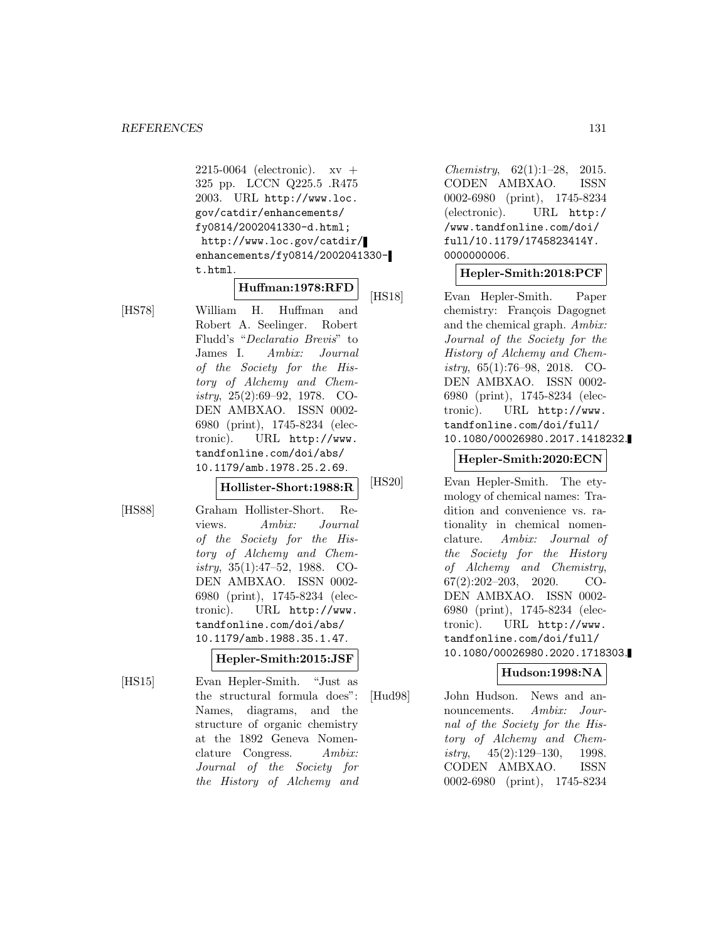$2215-0064$  (electronic).  $xy +$ 325 pp. LCCN Q225.5 .R475 2003. URL http://www.loc. gov/catdir/enhancements/ fy0814/2002041330-d.html; http://www.loc.gov/catdir/ enhancements/fy0814/2002041330 t.html.

#### **Huffman:1978:RFD**

[HS78] William H. Huffman and Robert A. Seelinger. Robert Fludd's "Declaratio Brevis" to James I. Ambix: Journal of the Society for the History of Alchemy and Chemistry, 25(2):69–92, 1978. CO-DEN AMBXAO. ISSN 0002- 6980 (print), 1745-8234 (electronic). URL http://www. tandfonline.com/doi/abs/ 10.1179/amb.1978.25.2.69.

#### **Hollister-Short:1988:R**

[HS88] Graham Hollister-Short. Reviews. Ambix: Journal of the Society for the History of Alchemy and Chemistry, 35(1):47–52, 1988. CO-DEN AMBXAO. ISSN 0002- 6980 (print), 1745-8234 (electronic). URL http://www. tandfonline.com/doi/abs/ 10.1179/amb.1988.35.1.47.

## **Hepler-Smith:2015:JSF**

[HS15] Evan Hepler-Smith. "Just as the structural formula does": Names, diagrams, and the structure of organic chemistry at the 1892 Geneva Nomenclature Congress. Ambix: Journal of the Society for the History of Alchemy and

Chemistry, 62(1):1–28, 2015. CODEN AMBXAO. ISSN 0002-6980 (print), 1745-8234 (electronic). URL http:/ /www.tandfonline.com/doi/ full/10.1179/1745823414Y. 0000000006.

#### **Hepler-Smith:2018:PCF**

[HS18] Evan Hepler-Smith. Paper chemistry: François Dagognet and the chemical graph. Ambix: Journal of the Society for the History of Alchemy and Chemistry, 65(1):76–98, 2018. CO-DEN AMBXAO. ISSN 0002- 6980 (print), 1745-8234 (electronic). URL http://www. tandfonline.com/doi/full/ 10.1080/00026980.2017.1418232.

## **Hepler-Smith:2020:ECN**

[HS20] Evan Hepler-Smith. The etymology of chemical names: Tradition and convenience vs. rationality in chemical nomenclature. Ambix: Journal of the Society for the History of Alchemy and Chemistry, 67(2):202–203, 2020. CO-DEN AMBXAO. ISSN 0002- 6980 (print), 1745-8234 (electronic). URL http://www. tandfonline.com/doi/full/ 10.1080/00026980.2020.1718303.

## **Hudson:1998:NA**

[Hud98] John Hudson. News and announcements. Ambix: Journal of the Society for the History of Alchemy and Chemistry,  $45(2):129-130$ , 1998. CODEN AMBXAO. ISSN 0002-6980 (print), 1745-8234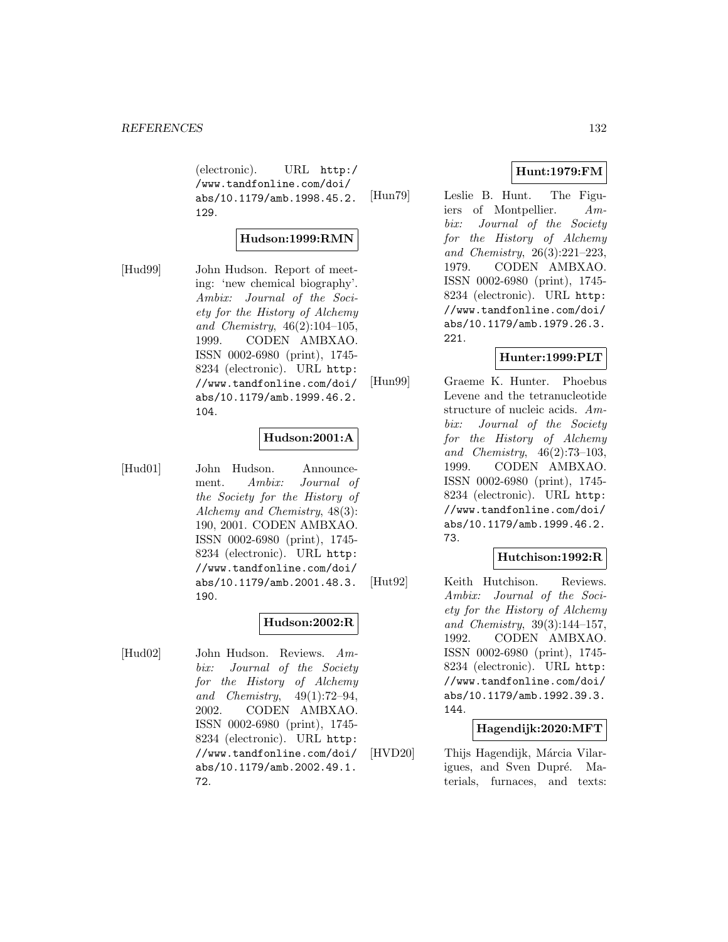(electronic). URL http:/ /www.tandfonline.com/doi/ abs/10.1179/amb.1998.45.2. 129.

## **Hudson:1999:RMN**

[Hud99] John Hudson. Report of meeting: 'new chemical biography'. Ambix: Journal of the Society for the History of Alchemy and Chemistry, 46(2):104–105, 1999. CODEN AMBXAO. ISSN 0002-6980 (print), 1745- 8234 (electronic). URL http: //www.tandfonline.com/doi/ abs/10.1179/amb.1999.46.2. 104.

#### **Hudson:2001:A**

[Hud01] John Hudson. Announcement. Ambix: Journal of the Society for the History of Alchemy and Chemistry, 48(3): 190, 2001. CODEN AMBXAO. ISSN 0002-6980 (print), 1745- 8234 (electronic). URL http: //www.tandfonline.com/doi/ abs/10.1179/amb.2001.48.3. 190.

#### **Hudson:2002:R**

[Hud02] John Hudson. Reviews. Ambix: Journal of the Society for the History of Alchemy and Chemistry, 49(1):72–94, 2002. CODEN AMBXAO. ISSN 0002-6980 (print), 1745- 8234 (electronic). URL http: //www.tandfonline.com/doi/ abs/10.1179/amb.2002.49.1. 72.

## **Hunt:1979:FM**

[Hun79] Leslie B. Hunt. The Figuiers of Montpellier. Ambix: Journal of the Society for the History of Alchemy and Chemistry, 26(3):221–223, 1979. CODEN AMBXAO. ISSN 0002-6980 (print), 1745- 8234 (electronic). URL http: //www.tandfonline.com/doi/ abs/10.1179/amb.1979.26.3. 221.

## **Hunter:1999:PLT**

[Hun99] Graeme K. Hunter. Phoebus Levene and the tetranucleotide structure of nucleic acids. Ambix: Journal of the Society for the History of Alchemy and Chemistry, 46(2):73–103, 1999. CODEN AMBXAO. ISSN 0002-6980 (print), 1745- 8234 (electronic). URL http: //www.tandfonline.com/doi/ abs/10.1179/amb.1999.46.2. 73.

#### **Hutchison:1992:R**

[Hut92] Keith Hutchison. Reviews. Ambix: Journal of the Society for the History of Alchemy and Chemistry, 39(3):144–157, 1992. CODEN AMBXAO. ISSN 0002-6980 (print), 1745- 8234 (electronic). URL http: //www.tandfonline.com/doi/ abs/10.1179/amb.1992.39.3. 144.

## **Hagendijk:2020:MFT**

[HVD20] Thijs Hagendijk, Márcia Vilarigues, and Sven Dupré. Materials, furnaces, and texts: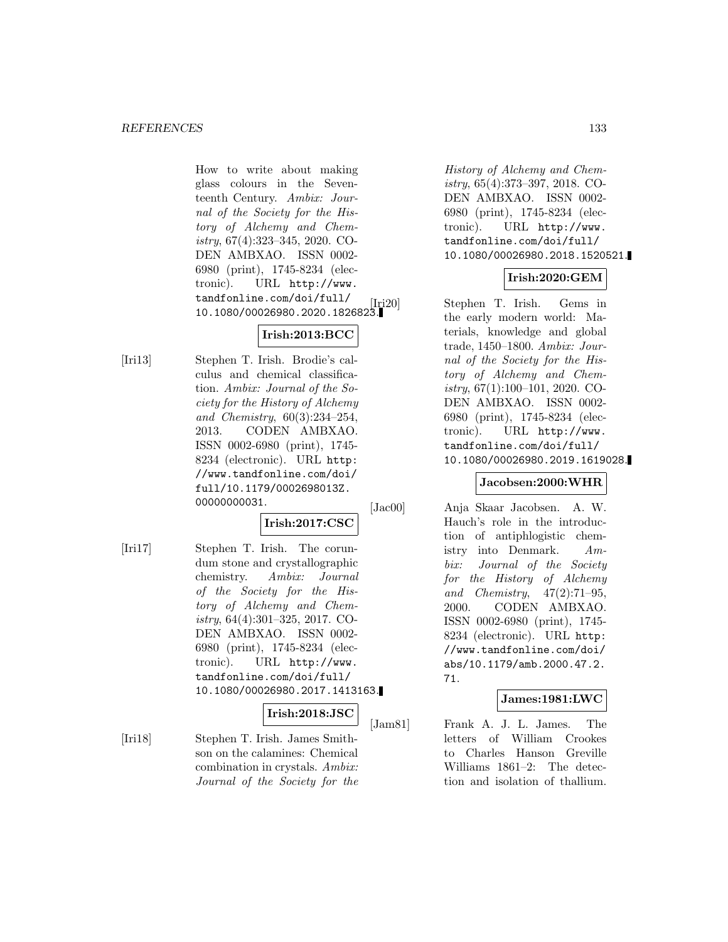How to write about making glass colours in the Seventeenth Century. Ambix: Journal of the Society for the History of Alchemy and Chemistry, 67(4):323–345, 2020. CO-DEN AMBXAO. ISSN 0002- 6980 (print), 1745-8234 (electronic). URL http://www. tandfonline.com/doi/full/ tand1on11ne.com/do1/1u11/<br>10.1080/00026980.2020.1826823.

# **Irish:2013:BCC**

[Iri13] Stephen T. Irish. Brodie's calculus and chemical classification. Ambix: Journal of the Society for the History of Alchemy and Chemistry, 60(3):234–254, 2013. CODEN AMBXAO. ISSN 0002-6980 (print), 1745- 8234 (electronic). URL http: //www.tandfonline.com/doi/ full/10.1179/0002698013Z. 00000000031.

# **Irish:2017:CSC**

[Iri17] Stephen T. Irish. The corundum stone and crystallographic chemistry. Ambix: Journal of the Society for the History of Alchemy and Chemistry, 64(4):301–325, 2017. CO-DEN AMBXAO. ISSN 0002- 6980 (print), 1745-8234 (electronic). URL http://www. tandfonline.com/doi/full/ 10.1080/00026980.2017.1413163.

#### **Irish:2018:JSC**

[Iri18] Stephen T. Irish. James Smithson on the calamines: Chemical combination in crystals. Ambix: Journal of the Society for the History of Alchemy and Chemistry, 65(4):373–397, 2018. CO-DEN AMBXAO. ISSN 0002- 6980 (print), 1745-8234 (electronic). URL http://www. tandfonline.com/doi/full/ 10.1080/00026980.2018.1520521.

# **Irish:2020:GEM**

Stephen T. Irish. Gems in the early modern world: Materials, knowledge and global trade, 1450–1800. Ambix: Journal of the Society for the History of Alchemy and Chemistry, 67(1):100–101, 2020. CO-DEN AMBXAO. ISSN 0002- 6980 (print), 1745-8234 (electronic). URL http://www. tandfonline.com/doi/full/ 10.1080/00026980.2019.1619028.

#### **Jacobsen:2000:WHR**

[Jac00] Anja Skaar Jacobsen. A. W. Hauch's role in the introduction of antiphlogistic chemistry into Denmark. Ambix: Journal of the Society for the History of Alchemy and Chemistry, 47(2):71–95, 2000. CODEN AMBXAO. ISSN 0002-6980 (print), 1745- 8234 (electronic). URL http: //www.tandfonline.com/doi/ abs/10.1179/amb.2000.47.2. 71.

## **James:1981:LWC**

[Jam81] Frank A. J. L. James. The letters of William Crookes to Charles Hanson Greville Williams 1861–2: The detection and isolation of thallium.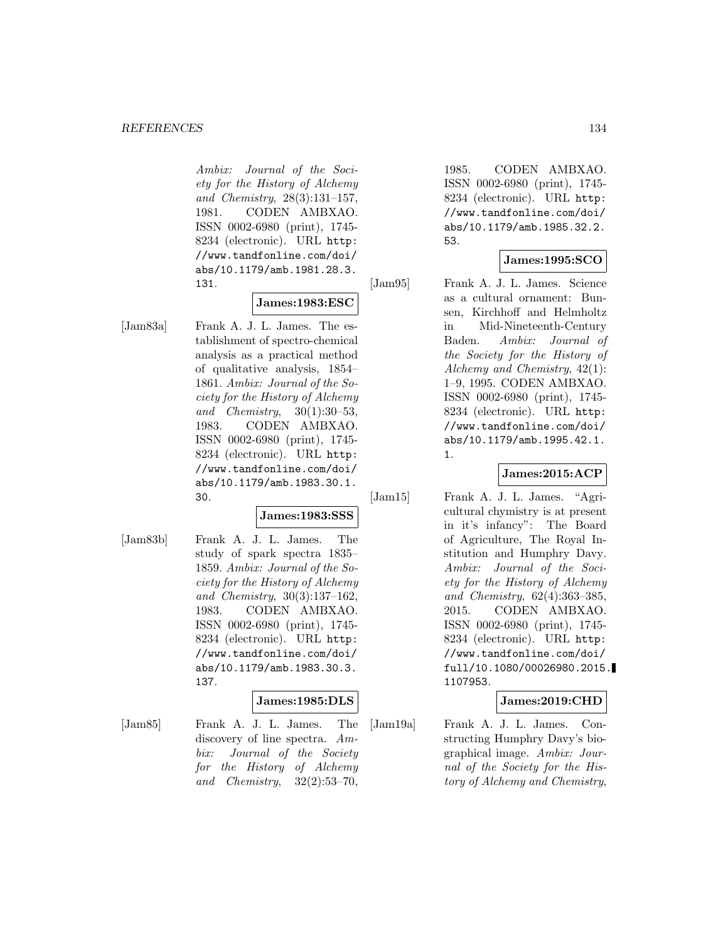Ambix: Journal of the Society for the History of Alchemy and Chemistry, 28(3):131–157, 1981. CODEN AMBXAO. ISSN 0002-6980 (print), 1745- 8234 (electronic). URL http: //www.tandfonline.com/doi/ abs/10.1179/amb.1981.28.3. 131.

#### **James:1983:ESC**

[Jam83a] Frank A. J. L. James. The establishment of spectro-chemical analysis as a practical method of qualitative analysis, 1854– 1861. Ambix: Journal of the Society for the History of Alchemy and Chemistry, 30(1):30–53, 1983. CODEN AMBXAO. ISSN 0002-6980 (print), 1745- 8234 (electronic). URL http: //www.tandfonline.com/doi/ abs/10.1179/amb.1983.30.1. 30.

# **James:1983:SSS**

[Jam83b] Frank A. J. L. James. The study of spark spectra 1835– 1859. Ambix: Journal of the Society for the History of Alchemy and Chemistry, 30(3):137–162, 1983. CODEN AMBXAO. ISSN 0002-6980 (print), 1745- 8234 (electronic). URL http: //www.tandfonline.com/doi/ abs/10.1179/amb.1983.30.3. 137.

#### **James:1985:DLS**

[Jam85] Frank A. J. L. James. The discovery of line spectra. Ambix: Journal of the Society for the History of Alchemy and Chemistry, 32(2):53–70,

1985. CODEN AMBXAO. ISSN 0002-6980 (print), 1745- 8234 (electronic). URL http: //www.tandfonline.com/doi/ abs/10.1179/amb.1985.32.2. 53.

#### **James:1995:SCO**

[Jam95] Frank A. J. L. James. Science as a cultural ornament: Bunsen, Kirchhoff and Helmholtz in Mid-Nineteenth-Century Baden. Ambix: Journal of the Society for the History of Alchemy and Chemistry, 42(1): 1–9, 1995. CODEN AMBXAO. ISSN 0002-6980 (print), 1745- 8234 (electronic). URL http: //www.tandfonline.com/doi/ abs/10.1179/amb.1995.42.1. 1.

#### **James:2015:ACP**

[Jam15] Frank A. J. L. James. "Agricultural chymistry is at present in it's infancy": The Board of Agriculture, The Royal Institution and Humphry Davy. Ambix: Journal of the Society for the History of Alchemy and Chemistry, 62(4):363–385, 2015. CODEN AMBXAO. ISSN 0002-6980 (print), 1745- 8234 (electronic). URL http: //www.tandfonline.com/doi/ full/10.1080/00026980.2015. 1107953.

#### **James:2019:CHD**

[Jam19a] Frank A. J. L. James. Constructing Humphry Davy's biographical image. Ambix: Journal of the Society for the History of Alchemy and Chemistry,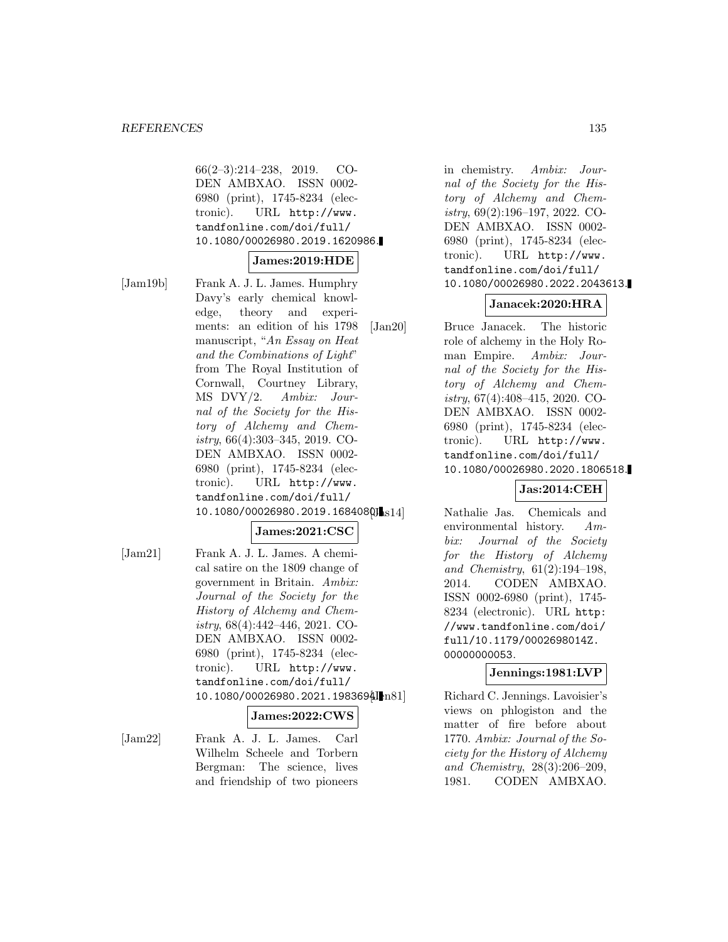#### *REFERENCES* 135

66(2–3):214–238, 2019. CO-DEN AMBXAO. ISSN 0002- 6980 (print), 1745-8234 (electronic). URL http://www. tandfonline.com/doi/full/ 10.1080/00026980.2019.1620986.

#### **James:2019:HDE**

[Jam19b] Frank A. J. L. James. Humphry Davy's early chemical knowledge, theory and experiments: an edition of his 1798 manuscript, "An Essay on Heat and the Combinations of Light" from The Royal Institution of Cornwall, Courtney Library, MS DVY/2. Ambix: Journal of the Society for the History of Alchemy and Chemistry, 66(4):303–345, 2019. CO-DEN AMBXAO. ISSN 0002- 6980 (print), 1745-8234 (electronic). URL http://www. tandfonline.com/doi/full/ 10.1080/00026980.2019.1684080J.s14

#### **James:2021:CSC**

[Jam21] Frank A. J. L. James. A chemical satire on the 1809 change of government in Britain. Ambix: Journal of the Society for the History of Alchemy and Chemistry, 68(4):442–446, 2021. CO-DEN AMBXAO. ISSN 0002- 6980 (print), 1745-8234 (electronic). URL http://www. tandfonline.com/doi/full/ 10.1080/00026980.2021.1983694Lm81

#### **James:2022:CWS**

[Jam22] Frank A. J. L. James. Carl Wilhelm Scheele and Torbern Bergman: The science, lives and friendship of two pioneers in chemistry. Ambix: Journal of the Society for the History of Alchemy and Chemistry, 69(2):196–197, 2022. CO-DEN AMBXAO. ISSN 0002- 6980 (print), 1745-8234 (electronic). URL http://www. tandfonline.com/doi/full/ 10.1080/00026980.2022.2043613.

#### **Janacek:2020:HRA**

[Jan20] Bruce Janacek. The historic role of alchemy in the Holy Roman Empire. Ambix: Journal of the Society for the History of Alchemy and Chemistry, 67(4):408–415, 2020. CO-DEN AMBXAO. ISSN 0002- 6980 (print), 1745-8234 (electronic). URL http://www. tandfonline.com/doi/full/ 10.1080/00026980.2020.1806518.

## **Jas:2014:CEH**

Nathalie Jas. Chemicals and environmental history. Ambix: Journal of the Society for the History of Alchemy and Chemistry, 61(2):194–198, 2014. CODEN AMBXAO. ISSN 0002-6980 (print), 1745- 8234 (electronic). URL http: //www.tandfonline.com/doi/ full/10.1179/0002698014Z. 00000000053.

#### **Jennings:1981:LVP**

Richard C. Jennings. Lavoisier's views on phlogiston and the matter of fire before about 1770. Ambix: Journal of the Society for the History of Alchemy and Chemistry, 28(3):206–209, 1981. CODEN AMBXAO.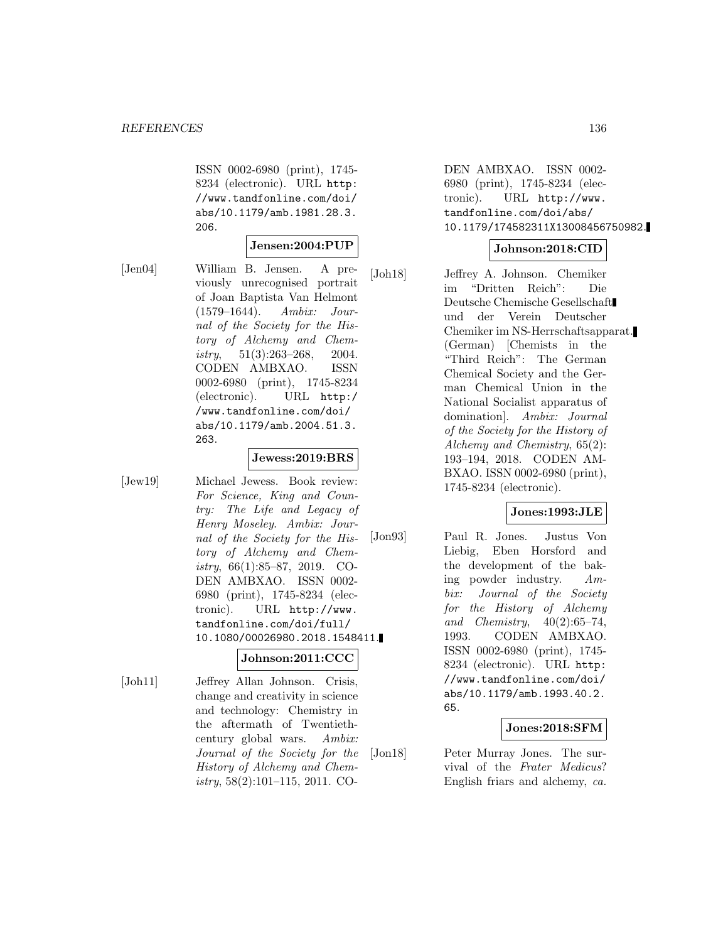ISSN 0002-6980 (print), 1745- 8234 (electronic). URL http: //www.tandfonline.com/doi/ abs/10.1179/amb.1981.28.3. 206.

#### **Jensen:2004:PUP**

[Jen04] William B. Jensen. A previously unrecognised portrait of Joan Baptista Van Helmont (1579–1644). Ambix: Journal of the Society for the History of Alchemy and Chemistry, 51(3):263–268, 2004. CODEN AMBXAO. ISSN 0002-6980 (print), 1745-8234 (electronic). URL http:/ /www.tandfonline.com/doi/ abs/10.1179/amb.2004.51.3. 263.

#### **Jewess:2019:BRS**

[Jew19] Michael Jewess. Book review: For Science, King and Country: The Life and Legacy of Henry Moseley. Ambix: Journal of the Society for the History of Alchemy and Chemistry, 66(1):85–87, 2019. CO-DEN AMBXAO. ISSN 0002- 6980 (print), 1745-8234 (electronic). URL http://www. tandfonline.com/doi/full/ 10.1080/00026980.2018.1548411.

#### **Johnson:2011:CCC**

[Joh11] Jeffrey Allan Johnson. Crisis, change and creativity in science and technology: Chemistry in the aftermath of Twentiethcentury global wars. Ambix: Journal of the Society for the History of Alchemy and Chem $istry, 58(2):101-115, 2011.$  CO-

DEN AMBXAO. ISSN 0002- 6980 (print), 1745-8234 (electronic). URL http://www. tandfonline.com/doi/abs/ 10.1179/174582311X13008456750982.

## **Johnson:2018:CID**

[Joh18] Jeffrey A. Johnson. Chemiker im "Dritten Reich": Die Deutsche Chemische Gesellschaft und der Verein Deutscher Chemiker im NS-Herrschaftsapparat. (German) [Chemists in the "Third Reich": The German Chemical Society and the German Chemical Union in the National Socialist apparatus of domination]. Ambix: Journal of the Society for the History of Alchemy and Chemistry, 65(2): 193–194, 2018. CODEN AM-BXAO. ISSN 0002-6980 (print), 1745-8234 (electronic).

## **Jones:1993:JLE**

[Jon93] Paul R. Jones. Justus Von Liebig, Eben Horsford and the development of the baking powder industry. Ambix: Journal of the Society for the History of Alchemy and Chemistry,  $40(2):65-74$ , 1993. CODEN AMBXAO. ISSN 0002-6980 (print), 1745- 8234 (electronic). URL http: //www.tandfonline.com/doi/ abs/10.1179/amb.1993.40.2. 65.

#### **Jones:2018:SFM**

[Jon18] Peter Murray Jones. The survival of the Frater Medicus? English friars and alchemy, ca.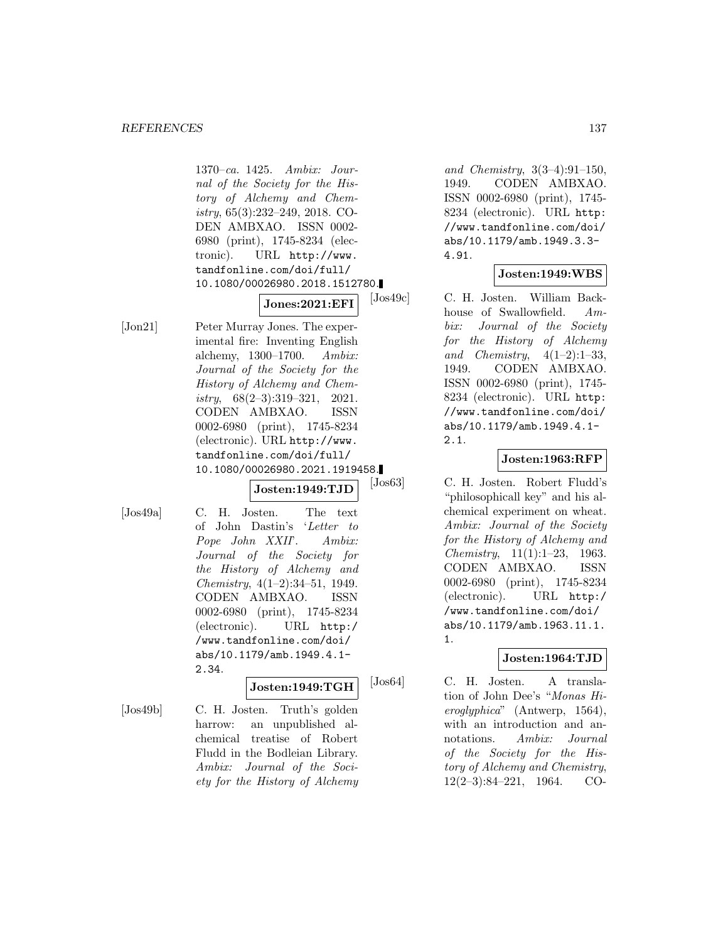#### *REFERENCES* 137

1370–ca. 1425. Ambix: Journal of the Society for the History of Alchemy and Chemistry, 65(3):232–249, 2018. CO-DEN AMBXAO. ISSN 0002- 6980 (print), 1745-8234 (electronic). URL http://www. tandfonline.com/doi/full/ 10.1080/00026980.2018.1512780.

**Jones:2021:EFI**

[Jon21] Peter Murray Jones. The experimental fire: Inventing English alchemy, 1300–1700. Ambix: Journal of the Society for the History of Alchemy and Chemistry, 68(2–3):319–321, 2021. CODEN AMBXAO. ISSN 0002-6980 (print), 1745-8234 (electronic). URL http://www. tandfonline.com/doi/full/ 10.1080/00026980.2021.1919458.

**Josten:1949:TJD**

[Jos49a] C. H. Josten. The text of John Dastin's 'Letter to Pope John XXII'. Ambix: Journal of the Society for the History of Alchemy and  $Chemistry, 4(1–2):34–51, 1949.$ CODEN AMBXAO. ISSN 0002-6980 (print), 1745-8234 (electronic). URL http:/ /www.tandfonline.com/doi/ abs/10.1179/amb.1949.4.1- 2.34.

**Josten:1949:TGH**

[Jos49b] C. H. Josten. Truth's golden harrow: an unpublished alchemical treatise of Robert Fludd in the Bodleian Library. Ambix: Journal of the Society for the History of Alchemy and Chemistry, 3(3–4):91–150, 1949. CODEN AMBXAO. ISSN 0002-6980 (print), 1745- 8234 (electronic). URL http: //www.tandfonline.com/doi/ abs/10.1179/amb.1949.3.3- 4.91.

## **Josten:1949:WBS**

[Jos49c] C. H. Josten. William Backhouse of Swallowfield. Ambix: Journal of the Society for the History of Alchemy and Chemistry,  $4(1-2):1-33$ , 1949. CODEN AMBXAO. ISSN 0002-6980 (print), 1745- 8234 (electronic). URL http: //www.tandfonline.com/doi/ abs/10.1179/amb.1949.4.1- 2.1.

## **Josten:1963:RFP**

[Jos63] C. H. Josten. Robert Fludd's "philosophicall key" and his alchemical experiment on wheat. Ambix: Journal of the Society for the History of Alchemy and Chemistry, 11(1):1–23, 1963. CODEN AMBXAO. ISSN 0002-6980 (print), 1745-8234 (electronic). URL http:/ /www.tandfonline.com/doi/ abs/10.1179/amb.1963.11.1. 1.

#### **Josten:1964:TJD**

[Jos64] C. H. Josten. A translation of John Dee's "Monas Hieroglyphica" (Antwerp, 1564), with an introduction and annotations. Ambix: Journal of the Society for the History of Alchemy and Chemistry, 12(2–3):84–221, 1964. CO-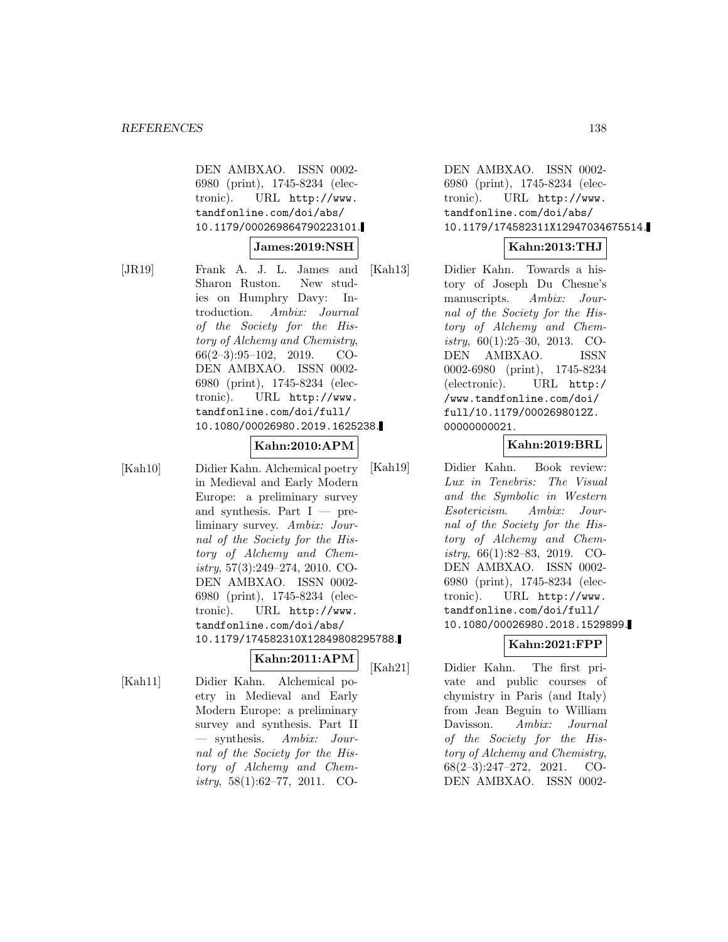DEN AMBXAO. ISSN 0002- 6980 (print), 1745-8234 (electronic). URL http://www. tandfonline.com/doi/abs/ 10.1179/000269864790223101.

## **James:2019:NSH**

[JR19] Frank A. J. L. James and Sharon Ruston. New studies on Humphry Davy: Introduction. Ambix: Journal of the Society for the History of Alchemy and Chemistry, 66(2–3):95–102, 2019. CO-DEN AMBXAO. ISSN 0002- 6980 (print), 1745-8234 (electronic). URL http://www. tandfonline.com/doi/full/ 10.1080/00026980.2019.1625238.

#### **Kahn:2010:APM**

[Kah10] Didier Kahn. Alchemical poetry in Medieval and Early Modern Europe: a preliminary survey and synthesis. Part  $I -$  preliminary survey. Ambix: Journal of the Society for the History of Alchemy and Chemistry, 57(3):249–274, 2010. CO-DEN AMBXAO. ISSN 0002- 6980 (print), 1745-8234 (electronic). URL http://www. tandfonline.com/doi/abs/ 10.1179/174582310X12849808295788.

# **Kahn:2011:APM**

[Kah11] Didier Kahn. Alchemical poetry in Medieval and Early Modern Europe: a preliminary survey and synthesis. Part II  $-$  synthesis. Ambix: Journal of the Society for the History of Alchemy and Chemistry,  $58(1):62-77$ ,  $2011$ . CO-

DEN AMBXAO. ISSN 0002- 6980 (print), 1745-8234 (electronic). URL http://www. tandfonline.com/doi/abs/ 10.1179/174582311X12947034675514.

## **Kahn:2013:THJ**

[Kah13] Didier Kahn. Towards a history of Joseph Du Chesne's manuscripts. Ambix: Journal of the Society for the History of Alchemy and Chemistry,  $60(1):25-30$ ,  $2013$ . CO-DEN AMBXAO. ISSN 0002-6980 (print), 1745-8234 (electronic). URL http:/ /www.tandfonline.com/doi/ full/10.1179/0002698012Z. 00000000021.

## **Kahn:2019:BRL**

[Kah19] Didier Kahn. Book review: Lux in Tenebris: The Visual and the Symbolic in Western Esotericism. Ambix: Journal of the Society for the History of Alchemy and Chemistry, 66(1):82–83, 2019. CO-DEN AMBXAO. ISSN 0002- 6980 (print), 1745-8234 (electronic). URL http://www. tandfonline.com/doi/full/ 10.1080/00026980.2018.1529899.

## **Kahn:2021:FPP**

[Kah21] Didier Kahn. The first private and public courses of chymistry in Paris (and Italy) from Jean Beguin to William Davisson. Ambix: Journal of the Society for the History of Alchemy and Chemistry, 68(2–3):247–272, 2021. CO-DEN AMBXAO. ISSN 0002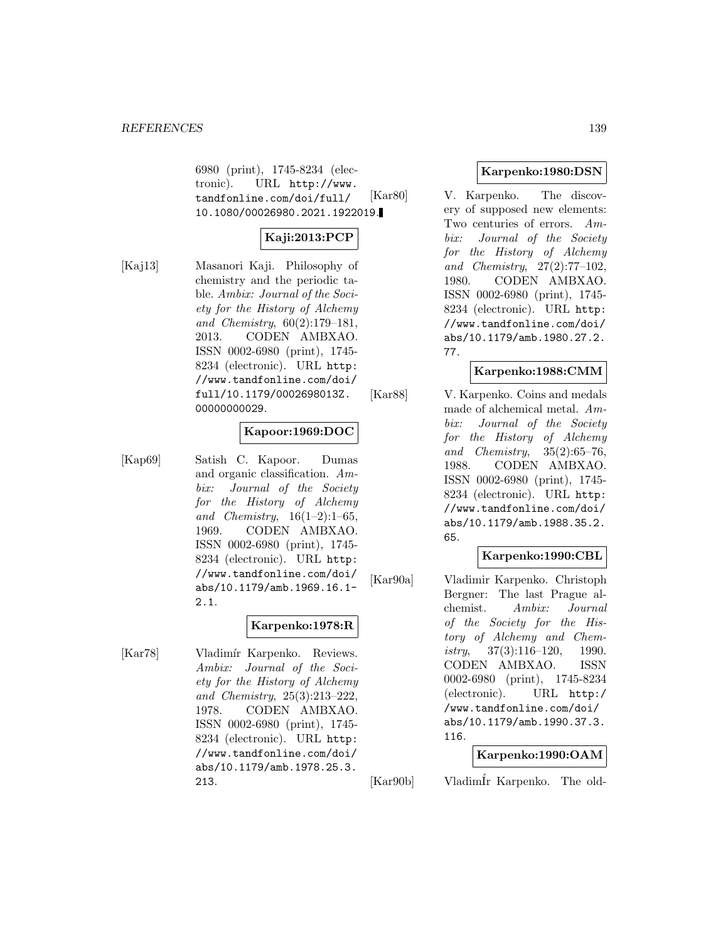6980 (print), 1745-8234 (electronic). URL http://www. tandfonline.com/doi/full/ 10.1080/00026980.2021.1922019.

# **Kaji:2013:PCP**

[Kaj13] Masanori Kaji. Philosophy of chemistry and the periodic table. Ambix: Journal of the Society for the History of Alchemy and Chemistry, 60(2):179–181, 2013. CODEN AMBXAO. ISSN 0002-6980 (print), 1745- 8234 (electronic). URL http: //www.tandfonline.com/doi/ full/10.1179/0002698013Z. 00000000029.

## **Kapoor:1969:DOC**

[Kap69] Satish C. Kapoor. Dumas and organic classification. Ambix: Journal of the Society for the History of Alchemy and Chemistry,  $16(1-2):1-65$ , 1969. CODEN AMBXAO. ISSN 0002-6980 (print), 1745- 8234 (electronic). URL http: //www.tandfonline.com/doi/ abs/10.1179/amb.1969.16.1- 2.1.

## **Karpenko:1978:R**

[Kar78] Vladimír Karpenko. Reviews. Ambix: Journal of the Society for the History of Alchemy and Chemistry, 25(3):213–222, 1978. CODEN AMBXAO. ISSN 0002-6980 (print), 1745- 8234 (electronic). URL http: //www.tandfonline.com/doi/ abs/10.1179/amb.1978.25.3. 213.

## **Karpenko:1980:DSN**

[Kar80] V. Karpenko. The discovery of supposed new elements: Two centuries of errors. Ambix: Journal of the Society for the History of Alchemy and Chemistry, 27(2):77–102, 1980. CODEN AMBXAO. ISSN 0002-6980 (print), 1745- 8234 (electronic). URL http: //www.tandfonline.com/doi/ abs/10.1179/amb.1980.27.2. 77.

## **Karpenko:1988:CMM**

[Kar88] V. Karpenko. Coins and medals made of alchemical metal. Ambix: Journal of the Society for the History of Alchemy and Chemistry,  $35(2):65-76$ , 1988. CODEN AMBXAO. ISSN 0002-6980 (print), 1745- 8234 (electronic). URL http: //www.tandfonline.com/doi/ abs/10.1179/amb.1988.35.2. 65.

# **Karpenko:1990:CBL**

[Kar90a] Vladimir Karpenko. Christoph Bergner: The last Prague alchemist. Ambix: Journal of the Society for the History of Alchemy and Chemistry,  $37(3):116-120$ , 1990. CODEN AMBXAO. ISSN 0002-6980 (print), 1745-8234 (electronic). URL http:/ /www.tandfonline.com/doi/ abs/10.1179/amb.1990.37.3. 116.

## **Karpenko:1990:OAM**

[Kar<sub>90b]</sub> VladimIr Karpenko. The old-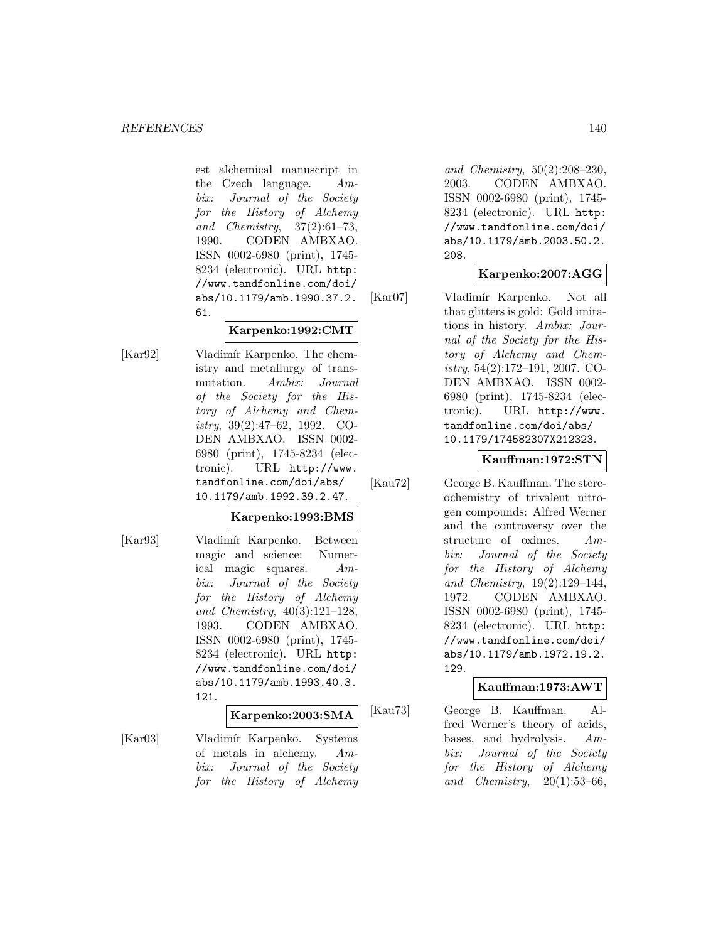est alchemical manuscript in the Czech language. Ambix: Journal of the Society for the History of Alchemy and Chemistry, 37(2):61–73, 1990. CODEN AMBXAO. ISSN 0002-6980 (print), 1745- 8234 (electronic). URL http: //www.tandfonline.com/doi/ abs/10.1179/amb.1990.37.2. 61.

## **Karpenko:1992:CMT**

[Kar92] Vladimír Karpenko. The chemistry and metallurgy of transmutation. Ambix: Journal of the Society for the History of Alchemy and Chemistry, 39(2):47–62, 1992. CO-DEN AMBXAO. ISSN 0002- 6980 (print), 1745-8234 (electronic). URL http://www. tandfonline.com/doi/abs/ 10.1179/amb.1992.39.2.47.

## **Karpenko:1993:BMS**

[Kar93] Vladimír Karpenko. Between magic and science: Numerical magic squares. Ambix: Journal of the Society for the History of Alchemy and Chemistry, 40(3):121–128, 1993. CODEN AMBXAO. ISSN 0002-6980 (print), 1745- 8234 (electronic). URL http: //www.tandfonline.com/doi/ abs/10.1179/amb.1993.40.3. 121.

#### **Karpenko:2003:SMA**

[Kar03] Vladimír Karpenko. Systems of metals in alchemy. Ambix: Journal of the Society for the History of Alchemy and Chemistry, 50(2):208–230, 2003. CODEN AMBXAO. ISSN 0002-6980 (print), 1745- 8234 (electronic). URL http: //www.tandfonline.com/doi/ abs/10.1179/amb.2003.50.2. 208.

# **Karpenko:2007:AGG**

[Kar07] Vladimír Karpenko. Not all that glitters is gold: Gold imitations in history. Ambix: Journal of the Society for the History of Alchemy and Chemistry, 54(2):172–191, 2007. CO-DEN AMBXAO. ISSN 0002- 6980 (print), 1745-8234 (electronic). URL http://www. tandfonline.com/doi/abs/ 10.1179/174582307X212323.

## **Kauffman:1972:STN**

[Kau72] George B. Kauffman. The stereochemistry of trivalent nitrogen compounds: Alfred Werner and the controversy over the structure of oximes. Ambix: Journal of the Society for the History of Alchemy and Chemistry, 19(2):129–144, 1972. CODEN AMBXAO. ISSN 0002-6980 (print), 1745- 8234 (electronic). URL http: //www.tandfonline.com/doi/ abs/10.1179/amb.1972.19.2. 129.

## **Kauffman:1973:AWT**

[Kau73] George B. Kauffman. Alfred Werner's theory of acids, bases, and hydrolysis. Ambix: Journal of the Society for the History of Alchemy and Chemistry,  $20(1):53-66$ ,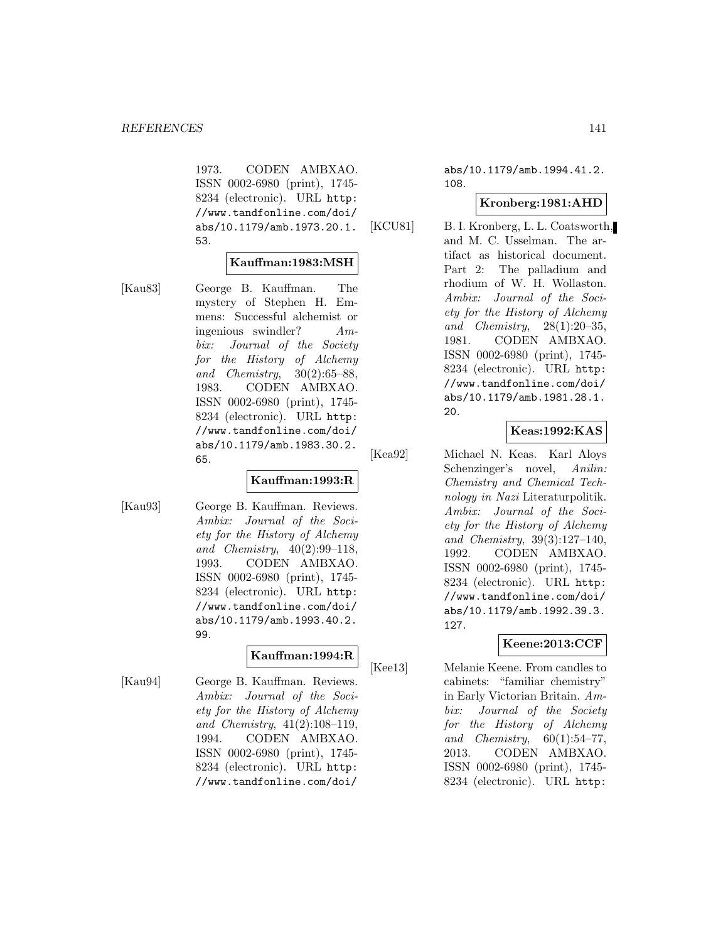1973. CODEN AMBXAO. ISSN 0002-6980 (print), 1745- 8234 (electronic). URL http: //www.tandfonline.com/doi/ abs/10.1179/amb.1973.20.1. 53.

#### **Kauffman:1983:MSH**

[Kau83] George B. Kauffman. The mystery of Stephen H. Emmens: Successful alchemist or ingenious swindler? Ambix: Journal of the Society for the History of Alchemy and Chemistry, 30(2):65–88, 1983. CODEN AMBXAO. ISSN 0002-6980 (print), 1745- 8234 (electronic). URL http: //www.tandfonline.com/doi/ abs/10.1179/amb.1983.30.2. 65.

#### **Kauffman:1993:R**

[Kau93] George B. Kauffman. Reviews. Ambix: Journal of the Society for the History of Alchemy and Chemistry, 40(2):99–118, 1993. CODEN AMBXAO. ISSN 0002-6980 (print), 1745- 8234 (electronic). URL http: //www.tandfonline.com/doi/ abs/10.1179/amb.1993.40.2. 99.

# **Kauffman:1994:R**

[Kau94] George B. Kauffman. Reviews. Ambix: Journal of the Society for the History of Alchemy and Chemistry, 41(2):108–119, 1994. CODEN AMBXAO. ISSN 0002-6980 (print), 1745- 8234 (electronic). URL http: //www.tandfonline.com/doi/

abs/10.1179/amb.1994.41.2. 108.

## **Kronberg:1981:AHD**

[KCU81] B. I. Kronberg, L. L. Coatsworth, and M. C. Usselman. The artifact as historical document. Part 2: The palladium and rhodium of W. H. Wollaston. Ambix: Journal of the Society for the History of Alchemy and Chemistry, 28(1):20–35, 1981. CODEN AMBXAO. ISSN 0002-6980 (print), 1745- 8234 (electronic). URL http: //www.tandfonline.com/doi/ abs/10.1179/amb.1981.28.1. 20.

## **Keas:1992:KAS**

[Kea92] Michael N. Keas. Karl Aloys Schenzinger's novel, Anilin: Chemistry and Chemical Technology in Nazi Literaturpolitik. Ambix: Journal of the Society for the History of Alchemy and Chemistry, 39(3):127–140, 1992. CODEN AMBXAO. ISSN 0002-6980 (print), 1745- 8234 (electronic). URL http: //www.tandfonline.com/doi/ abs/10.1179/amb.1992.39.3. 127.

## **Keene:2013:CCF**

[Kee13] Melanie Keene. From candles to cabinets: "familiar chemistry" in Early Victorian Britain. Ambix: Journal of the Society for the History of Alchemy and Chemistry,  $60(1):54-77$ , 2013. CODEN AMBXAO. ISSN 0002-6980 (print), 1745- 8234 (electronic). URL http: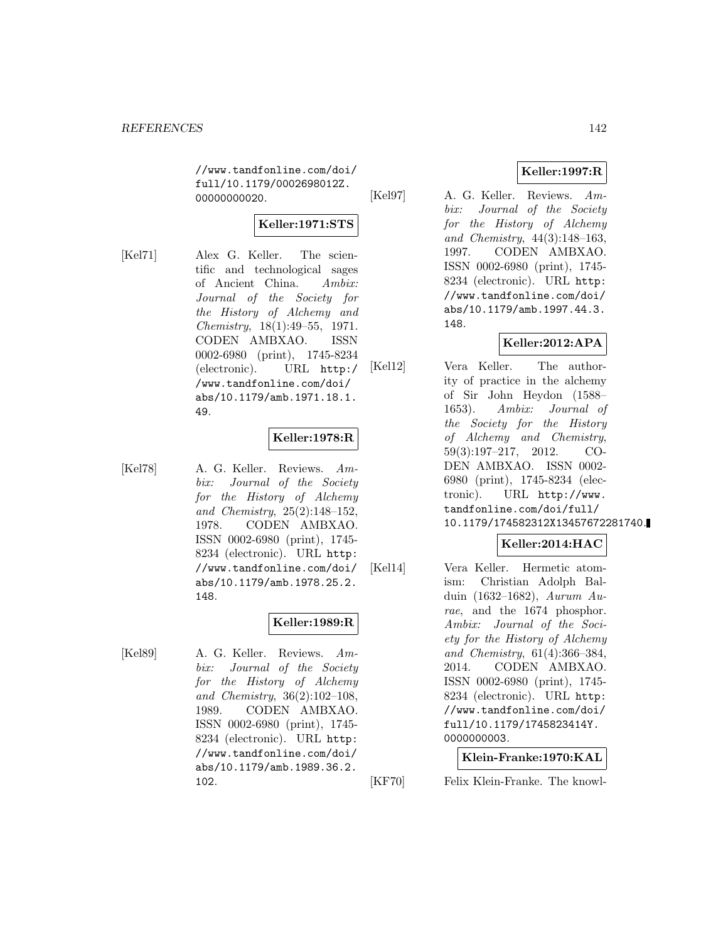//www.tandfonline.com/doi/ full/10.1179/0002698012Z. 00000000020.

# **Keller:1971:STS**

[Kel71] Alex G. Keller. The scientific and technological sages of Ancient China. Ambix: Journal of the Society for the History of Alchemy and Chemistry, 18(1):49–55, 1971. CODEN AMBXAO. ISSN 0002-6980 (print), 1745-8234 (electronic). URL http:/ /www.tandfonline.com/doi/ abs/10.1179/amb.1971.18.1. 49.

# **Keller:1978:R**

[Kel78] A. G. Keller. Reviews. Ambix: Journal of the Society for the History of Alchemy and Chemistry, 25(2):148–152, 1978. CODEN AMBXAO. ISSN 0002-6980 (print), 1745- 8234 (electronic). URL http: //www.tandfonline.com/doi/ abs/10.1179/amb.1978.25.2. 148.

## **Keller:1989:R**

[Kel89] A. G. Keller. Reviews. Ambix: Journal of the Society for the History of Alchemy and Chemistry, 36(2):102–108, 1989. CODEN AMBXAO. ISSN 0002-6980 (print), 1745- 8234 (electronic). URL http: //www.tandfonline.com/doi/ abs/10.1179/amb.1989.36.2. 102.

# **Keller:1997:R**

[Kel97] A. G. Keller. Reviews. Ambix: Journal of the Society for the History of Alchemy and Chemistry, 44(3):148–163, 1997. CODEN AMBXAO. ISSN 0002-6980 (print), 1745- 8234 (electronic). URL http: //www.tandfonline.com/doi/ abs/10.1179/amb.1997.44.3. 148.

# **Keller:2012:APA**

[Kel12] Vera Keller. The authority of practice in the alchemy of Sir John Heydon (1588– 1653). Ambix: Journal of the Society for the History of Alchemy and Chemistry, 59(3):197–217, 2012. CO-DEN AMBXAO. ISSN 0002- 6980 (print), 1745-8234 (electronic). URL http://www. tandfonline.com/doi/full/ 10.1179/174582312X13457672281740.

# **Keller:2014:HAC**

[Kel14] Vera Keller. Hermetic atomism: Christian Adolph Balduin (1632–1682), Aurum Aurae, and the 1674 phosphor. Ambix: Journal of the Society for the History of Alchemy and Chemistry, 61(4):366–384, 2014. CODEN AMBXAO. ISSN 0002-6980 (print), 1745- 8234 (electronic). URL http: //www.tandfonline.com/doi/ full/10.1179/1745823414Y. 0000000003.

## **Klein-Franke:1970:KAL**

[KF70] Felix Klein-Franke. The knowl-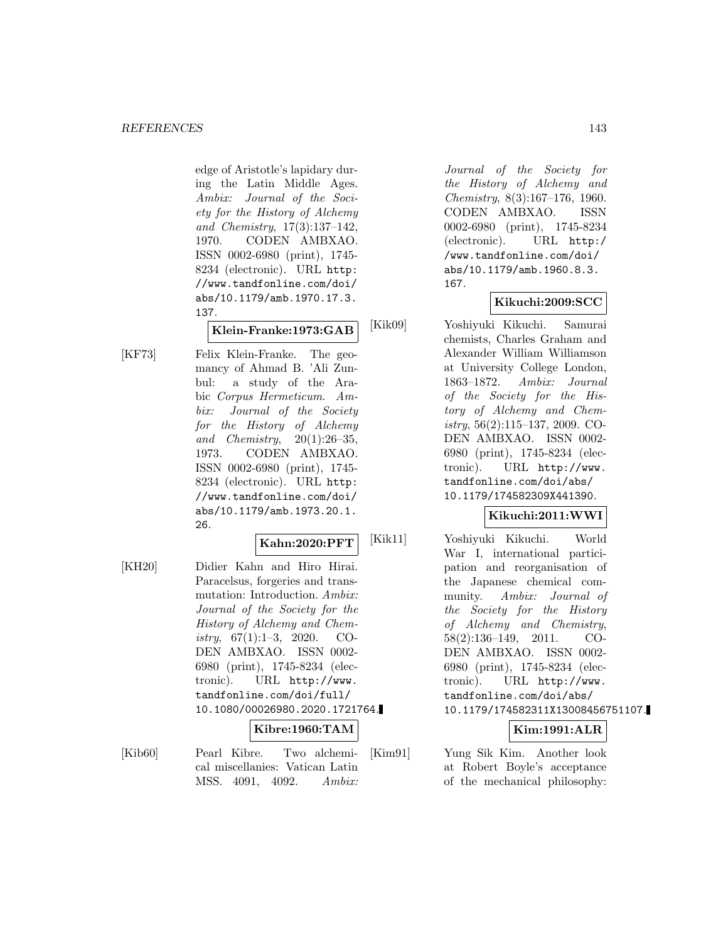edge of Aristotle's lapidary during the Latin Middle Ages. Ambix: Journal of the Society for the History of Alchemy and Chemistry, 17(3):137–142, 1970. CODEN AMBXAO. ISSN 0002-6980 (print), 1745- 8234 (electronic). URL http: //www.tandfonline.com/doi/ abs/10.1179/amb.1970.17.3. 137.

**Klein-Franke:1973:GAB**

[KF73] Felix Klein-Franke. The geomancy of Ahmad B. 'Ali Zunbul: a study of the Arabic Corpus Hermeticum. Ambix: Journal of the Society for the History of Alchemy and Chemistry,  $20(1):26-35$ , 1973. CODEN AMBXAO. ISSN 0002-6980 (print), 1745- 8234 (electronic). URL http: //www.tandfonline.com/doi/ abs/10.1179/amb.1973.20.1. 26.

# **Kahn:2020:PFT**

[KH20] Didier Kahn and Hiro Hirai. Paracelsus, forgeries and transmutation: Introduction. Ambix: Journal of the Society for the History of Alchemy and Chemistry,  $67(1):1-3$ ,  $2020$ . CO-DEN AMBXAO. ISSN 0002- 6980 (print), 1745-8234 (electronic). URL http://www. tandfonline.com/doi/full/ 10.1080/00026980.2020.1721764.

#### **Kibre:1960:TAM**

- 
- [Kib60] Pearl Kibre. Two alchemical miscellanies: Vatican Latin MSS. 4091, 4092. Ambix:

Journal of the Society for the History of Alchemy and Chemistry, 8(3):167–176, 1960. CODEN AMBXAO. ISSN 0002-6980 (print), 1745-8234 (electronic). URL http:/ /www.tandfonline.com/doi/ abs/10.1179/amb.1960.8.3. 167.

## **Kikuchi:2009:SCC**

[Kik09] Yoshiyuki Kikuchi. Samurai chemists, Charles Graham and Alexander William Williamson at University College London, 1863–1872. Ambix: Journal of the Society for the History of Alchemy and Chemistry, 56(2):115–137, 2009. CO-DEN AMBXAO. ISSN 0002- 6980 (print), 1745-8234 (electronic). URL http://www. tandfonline.com/doi/abs/ 10.1179/174582309X441390.

## **Kikuchi:2011:WWI**

[Kik11] Yoshiyuki Kikuchi. World War I, international participation and reorganisation of the Japanese chemical community. Ambix: Journal of the Society for the History of Alchemy and Chemistry, 58(2):136–149, 2011. CO-DEN AMBXAO. ISSN 0002- 6980 (print), 1745-8234 (electronic). URL http://www. tandfonline.com/doi/abs/ 10.1179/174582311X13008456751107.

## **Kim:1991:ALR**

[Kim91] Yung Sik Kim. Another look at Robert Boyle's acceptance of the mechanical philosophy: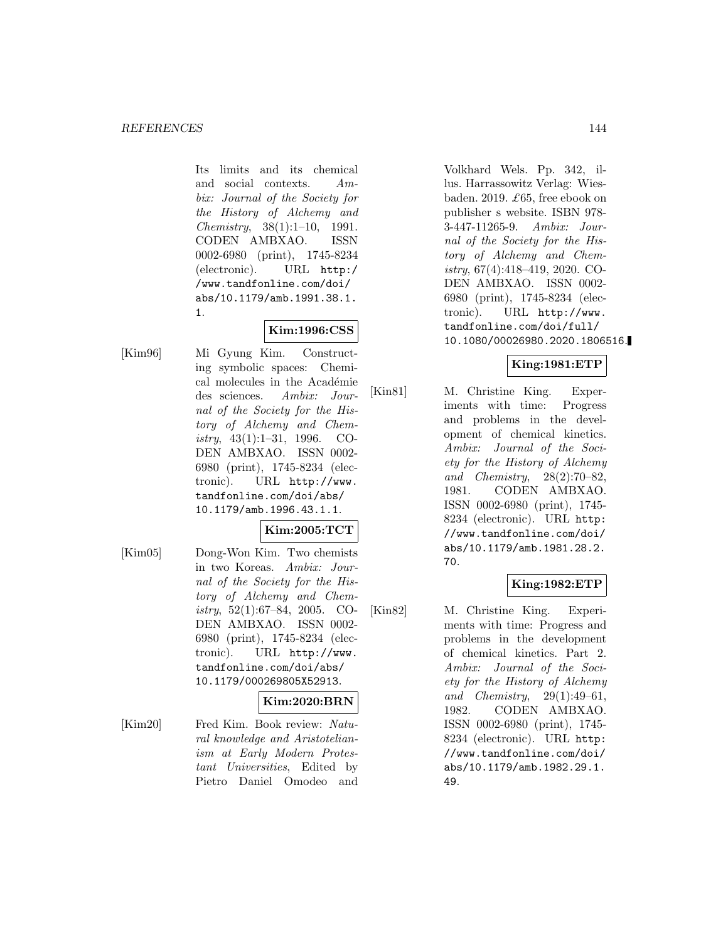Its limits and its chemical and social contexts. Ambix: Journal of the Society for the History of Alchemy and Chemistry, 38(1):1–10, 1991. CODEN AMBXAO. ISSN 0002-6980 (print), 1745-8234 (electronic). URL http:/ /www.tandfonline.com/doi/ abs/10.1179/amb.1991.38.1. 1.

# **Kim:1996:CSS**

[Kim96] Mi Gyung Kim. Constructing symbolic spaces: Chemical molecules in the Académie des sciences. Ambix: Journal of the Society for the History of Alchemy and Chemistry, 43(1):1–31, 1996. CO-DEN AMBXAO. ISSN 0002- 6980 (print), 1745-8234 (electronic). URL http://www. tandfonline.com/doi/abs/ 10.1179/amb.1996.43.1.1.

# **Kim:2005:TCT**

[Kim05] Dong-Won Kim. Two chemists in two Koreas. Ambix: Journal of the Society for the History of Alchemy and Chemistry, 52(1):67–84, 2005. CO-DEN AMBXAO. ISSN 0002- 6980 (print), 1745-8234 (electronic). URL http://www. tandfonline.com/doi/abs/ 10.1179/000269805X52913.

## **Kim:2020:BRN**

[Kim20] Fred Kim. Book review: Natural knowledge and Aristotelianism at Early Modern Protestant Universities, Edited by Pietro Daniel Omodeo and Volkhard Wels. Pp. 342, illus. Harrassowitz Verlag: Wiesbaden. 2019. £65, free ebook on publisher s website. ISBN 978- 3-447-11265-9. Ambix: Journal of the Society for the History of Alchemy and Chemistry, 67(4):418–419, 2020. CO-DEN AMBXAO. ISSN 0002- 6980 (print), 1745-8234 (electronic). URL http://www. tandfonline.com/doi/full/ 10.1080/00026980.2020.1806516.

# **King:1981:ETP**

[Kin81] M. Christine King. Experiments with time: Progress and problems in the development of chemical kinetics. Ambix: Journal of the Society for the History of Alchemy and Chemistry, 28(2):70–82, 1981. CODEN AMBXAO. ISSN 0002-6980 (print), 1745- 8234 (electronic). URL http: //www.tandfonline.com/doi/ abs/10.1179/amb.1981.28.2. 70.

## **King:1982:ETP**

[Kin82] M. Christine King. Experiments with time: Progress and problems in the development of chemical kinetics. Part 2. Ambix: Journal of the Society for the History of Alchemy and Chemistry,  $29(1):49-61$ , 1982. CODEN AMBXAO. ISSN 0002-6980 (print), 1745- 8234 (electronic). URL http: //www.tandfonline.com/doi/ abs/10.1179/amb.1982.29.1. 49.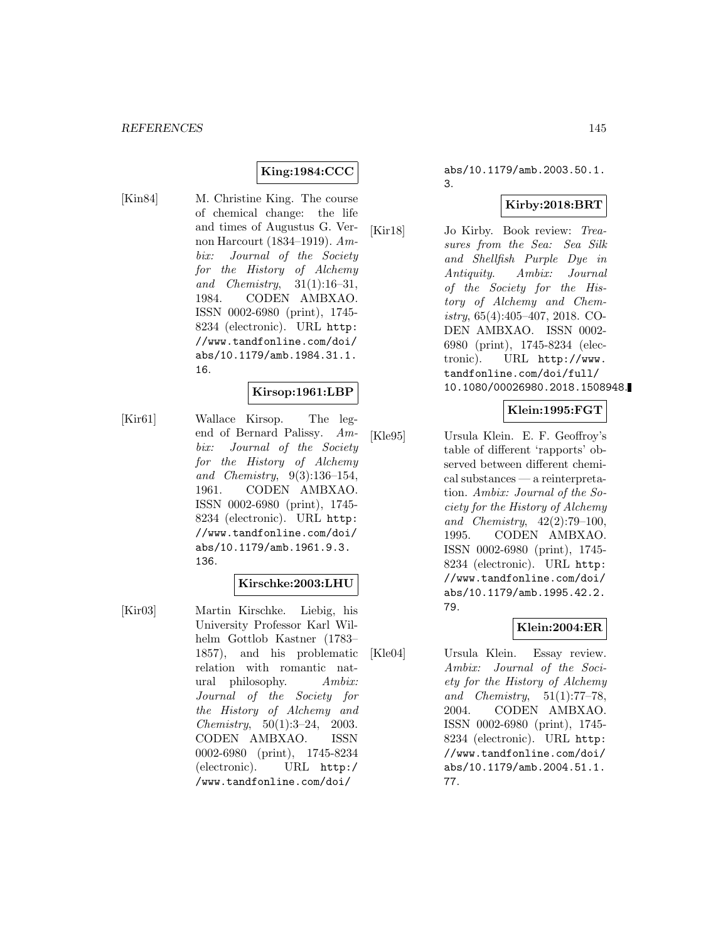#### **King:1984:CCC**

[Kin84] M. Christine King. The course of chemical change: the life and times of Augustus G. Vernon Harcourt (1834–1919). Ambix: Journal of the Society for the History of Alchemy and Chemistry,  $31(1):16-31$ , 1984. CODEN AMBXAO. ISSN 0002-6980 (print), 1745- 8234 (electronic). URL http: //www.tandfonline.com/doi/ abs/10.1179/amb.1984.31.1. 16.

## **Kirsop:1961:LBP**

[Kir61] Wallace Kirsop. The legend of Bernard Palissy. Ambix: Journal of the Society for the History of Alchemy and Chemistry, 9(3):136–154, 1961. CODEN AMBXAO. ISSN 0002-6980 (print), 1745- 8234 (electronic). URL http: //www.tandfonline.com/doi/ abs/10.1179/amb.1961.9.3. 136.

#### **Kirschke:2003:LHU**

[Kir03] Martin Kirschke. Liebig, his University Professor Karl Wilhelm Gottlob Kastner (1783– 1857), and his problematic relation with romantic natural philosophy. Ambix: Journal of the Society for the History of Alchemy and Chemistry, 50(1):3–24, 2003. CODEN AMBXAO. ISSN 0002-6980 (print), 1745-8234 (electronic). URL http:/ /www.tandfonline.com/doi/

## abs/10.1179/amb.2003.50.1. 3.

## **Kirby:2018:BRT**

[Kir18] Jo Kirby. Book review: Treasures from the Sea: Sea Silk and Shellfish Purple Dye in Antiquity. Ambix: Journal of the Society for the History of Alchemy and Chem $istry, 65(4):405-407, 2018. CO-$ DEN AMBXAO. ISSN 0002- 6980 (print), 1745-8234 (electronic). URL http://www. tandfonline.com/doi/full/ 10.1080/00026980.2018.1508948.

## **Klein:1995:FGT**

[Kle95] Ursula Klein. E. F. Geoffroy's table of different 'rapports' observed between different chemical substances — a reinterpretation. Ambix: Journal of the Society for the History of Alchemy and Chemistry, 42(2):79–100, 1995. CODEN AMBXAO. ISSN 0002-6980 (print), 1745- 8234 (electronic). URL http: //www.tandfonline.com/doi/ abs/10.1179/amb.1995.42.2. 79.

#### **Klein:2004:ER**

[Kle04] Ursula Klein. Essay review. Ambix: Journal of the Society for the History of Alchemy and Chemistry,  $51(1):77-78$ , 2004. CODEN AMBXAO. ISSN 0002-6980 (print), 1745- 8234 (electronic). URL http: //www.tandfonline.com/doi/ abs/10.1179/amb.2004.51.1. 77.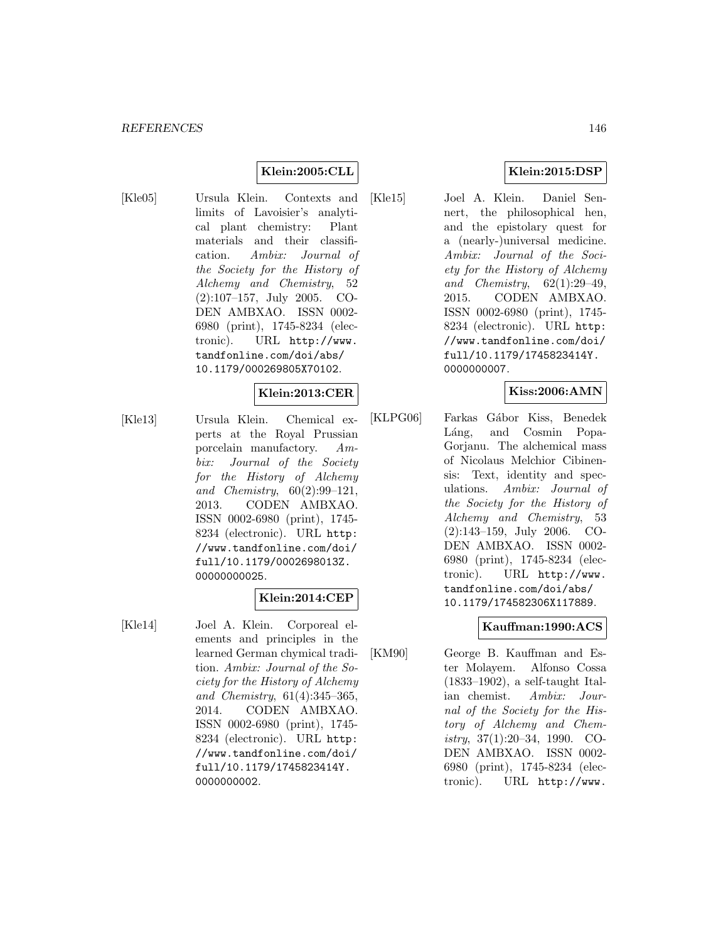## **Klein:2005:CLL**

[Kle05] Ursula Klein. Contexts and limits of Lavoisier's analytical plant chemistry: Plant materials and their classification. Ambix: Journal of the Society for the History of Alchemy and Chemistry, 52 (2):107–157, July 2005. CO-DEN AMBXAO. ISSN 0002- 6980 (print), 1745-8234 (electronic). URL http://www. tandfonline.com/doi/abs/ 10.1179/000269805X70102.

#### **Klein:2013:CER**

[Kle13] Ursula Klein. Chemical experts at the Royal Prussian porcelain manufactory. Ambix: Journal of the Society for the History of Alchemy and Chemistry, 60(2):99–121, 2013. CODEN AMBXAO. ISSN 0002-6980 (print), 1745- 8234 (electronic). URL http: //www.tandfonline.com/doi/ full/10.1179/0002698013Z. 00000000025.

#### **Klein:2014:CEP**

[Kle14] Joel A. Klein. Corporeal elements and principles in the learned German chymical tradition. Ambix: Journal of the Society for the History of Alchemy and Chemistry, 61(4):345–365, 2014. CODEN AMBXAO. ISSN 0002-6980 (print), 1745- 8234 (electronic). URL http: //www.tandfonline.com/doi/ full/10.1179/1745823414Y. 000000002.

## **Klein:2015:DSP**

[Kle15] Joel A. Klein. Daniel Sennert, the philosophical hen, and the epistolary quest for a (nearly-)universal medicine. Ambix: Journal of the Society for the History of Alchemy and Chemistry, 62(1):29–49, 2015. CODEN AMBXAO. ISSN 0002-6980 (print), 1745- 8234 (electronic). URL http: //www.tandfonline.com/doi/ full/10.1179/1745823414Y. 0000000007.

## **Kiss:2006:AMN**

[KLPG06] Farkas Gábor Kiss, Benedek Láng, and Cosmin Popa-Gorjanu. The alchemical mass of Nicolaus Melchior Cibinensis: Text, identity and speculations. Ambix: Journal of the Society for the History of Alchemy and Chemistry, 53 (2):143–159, July 2006. CO-DEN AMBXAO. ISSN 0002- 6980 (print), 1745-8234 (electronic). URL http://www. tandfonline.com/doi/abs/ 10.1179/174582306X117889.

## **Kauffman:1990:ACS**

[KM90] George B. Kauffman and Ester Molayem. Alfonso Cossa (1833–1902), a self-taught Italian chemist. Ambix: Journal of the Society for the History of Alchemy and Chemistry, 37(1):20–34, 1990. CO-DEN AMBXAO. ISSN 0002- 6980 (print), 1745-8234 (electronic). URL http://www.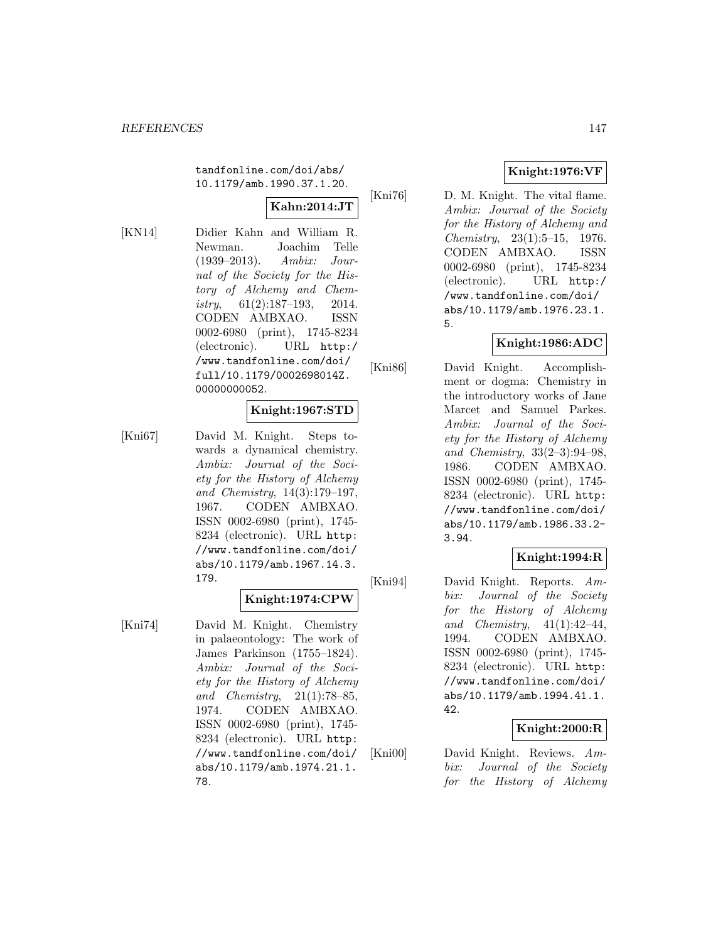tandfonline.com/doi/abs/ 10.1179/amb.1990.37.1.20.

# **Kahn:2014:JT**

[KN14] Didier Kahn and William R. Newman. Joachim Telle (1939–2013). Ambix: Journal of the Society for the History of Alchemy and Chemistry,  $61(2):187-193$ ,  $2014$ . CODEN AMBXAO. ISSN 0002-6980 (print), 1745-8234 (electronic). URL http:/ /www.tandfonline.com/doi/ full/10.1179/0002698014Z. 00000000052.

## **Knight:1967:STD**

[Kni67] David M. Knight. Steps towards a dynamical chemistry. Ambix: Journal of the Society for the History of Alchemy and Chemistry, 14(3):179–197, 1967. CODEN AMBXAO. ISSN 0002-6980 (print), 1745- 8234 (electronic). URL http: //www.tandfonline.com/doi/ abs/10.1179/amb.1967.14.3. 179.

## **Knight:1974:CPW**

[Kni74] David M. Knight. Chemistry in palaeontology: The work of James Parkinson (1755–1824). Ambix: Journal of the Society for the History of Alchemy and Chemistry, 21(1):78–85, 1974. CODEN AMBXAO. ISSN 0002-6980 (print), 1745- 8234 (electronic). URL http: //www.tandfonline.com/doi/ abs/10.1179/amb.1974.21.1. 78.

# **Knight:1976:VF**

[Kni76] D. M. Knight. The vital flame. Ambix: Journal of the Society for the History of Alchemy and Chemistry, 23(1):5–15, 1976. CODEN AMBXAO. ISSN 0002-6980 (print), 1745-8234 (electronic). URL http:/ /www.tandfonline.com/doi/ abs/10.1179/amb.1976.23.1. 5.

# **Knight:1986:ADC**

[Kni86] David Knight. Accomplishment or dogma: Chemistry in the introductory works of Jane Marcet and Samuel Parkes. Ambix: Journal of the Society for the History of Alchemy and Chemistry, 33(2–3):94–98, 1986. CODEN AMBXAO. ISSN 0002-6980 (print), 1745- 8234 (electronic). URL http: //www.tandfonline.com/doi/ abs/10.1179/amb.1986.33.2- 3.94.

## **Knight:1994:R**

[Kni94] David Knight. Reports. Ambix: Journal of the Society for the History of Alchemy and Chemistry,  $41(1):42-44$ , 1994. CODEN AMBXAO. ISSN 0002-6980 (print), 1745- 8234 (electronic). URL http: //www.tandfonline.com/doi/ abs/10.1179/amb.1994.41.1. 42.

## **Knight:2000:R**

[Kni00] David Knight. Reviews. Ambix: Journal of the Society for the History of Alchemy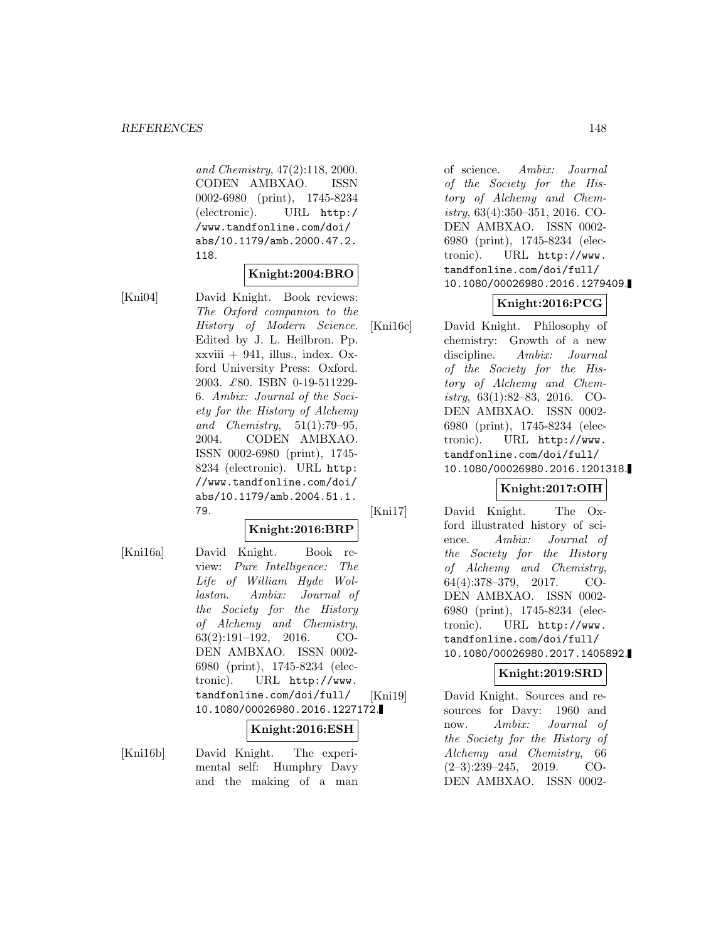and Chemistry, 47(2):118, 2000. CODEN AMBXAO. ISSN 0002-6980 (print), 1745-8234 (electronic). URL http:/ /www.tandfonline.com/doi/ abs/10.1179/amb.2000.47.2. 118.

## **Knight:2004:BRO**

[Kni04] David Knight. Book reviews: The Oxford companion to the History of Modern Science. Edited by J. L. Heilbron. Pp.  $xxviii + 941$ , illus., index. Oxford University Press: Oxford. 2003. £80. ISBN 0-19-511229- 6. Ambix: Journal of the Society for the History of Alchemy and Chemistry, 51(1):79–95, 2004. CODEN AMBXAO. ISSN 0002-6980 (print), 1745- 8234 (electronic). URL http: //www.tandfonline.com/doi/ abs/10.1179/amb.2004.51.1. 79.

## **Knight:2016:BRP**

[Kni16a] David Knight. Book review: Pure Intelligence: The Life of William Hyde Wollaston. Ambix: Journal of the Society for the History of Alchemy and Chemistry, 63(2):191–192, 2016. CO-DEN AMBXAO. ISSN 0002- 6980 (print), 1745-8234 (electronic). URL http://www. tandfonline.com/doi/full/ 10.1080/00026980.2016.1227172.

#### **Knight:2016:ESH**

[Kni16b] David Knight. The experimental self: Humphry Davy and the making of a man of science. Ambix: Journal of the Society for the History of Alchemy and Chemistry, 63(4):350–351, 2016. CO-DEN AMBXAO. ISSN 0002- 6980 (print), 1745-8234 (electronic). URL http://www. tandfonline.com/doi/full/ 10.1080/00026980.2016.1279409.

## **Knight:2016:PCG**

[Kni16c] David Knight. Philosophy of chemistry: Growth of a new discipline. Ambix: Journal of the Society for the History of Alchemy and Chemistry, 63(1):82–83, 2016. CO-DEN AMBXAO. ISSN 0002- 6980 (print), 1745-8234 (electronic). URL http://www. tandfonline.com/doi/full/ 10.1080/00026980.2016.1201318.

## **Knight:2017:OIH**

[Kni17] David Knight. The Oxford illustrated history of science. Ambix: Journal of the Society for the History of Alchemy and Chemistry, 64(4):378–379, 2017. CO-DEN AMBXAO. ISSN 0002- 6980 (print), 1745-8234 (electronic). URL http://www. tandfonline.com/doi/full/ 10.1080/00026980.2017.1405892.

## **Knight:2019:SRD**

[Kni19] David Knight. Sources and resources for Davy: 1960 and now. Ambix: Journal of the Society for the History of Alchemy and Chemistry, 66 (2–3):239–245, 2019. CO-DEN AMBXAO. ISSN 0002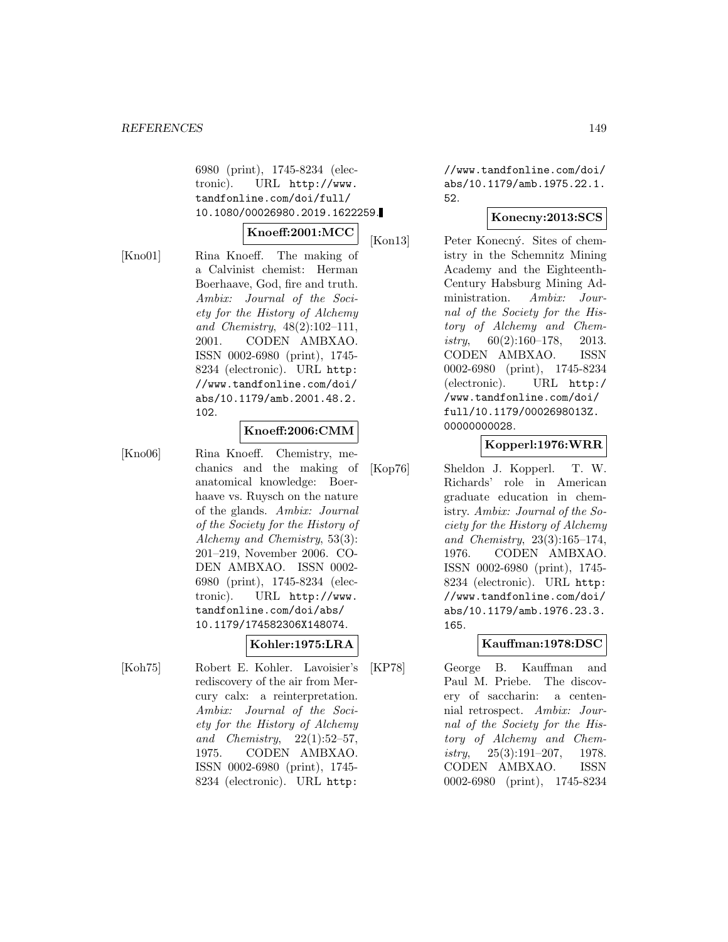6980 (print), 1745-8234 (electronic). URL http://www. tandfonline.com/doi/full/ 10.1080/00026980.2019.1622259.

#### **Knoeff:2001:MCC**

[Kno01] Rina Knoeff. The making of a Calvinist chemist: Herman Boerhaave, God, fire and truth. Ambix: Journal of the Society for the History of Alchemy and Chemistry, 48(2):102–111, 2001. CODEN AMBXAO. ISSN 0002-6980 (print), 1745- 8234 (electronic). URL http: //www.tandfonline.com/doi/ abs/10.1179/amb.2001.48.2. 102.

#### **Knoeff:2006:CMM**

[Kno06] Rina Knoeff. Chemistry, mechanics and the making of anatomical knowledge: Boerhaave vs. Ruysch on the nature of the glands. Ambix: Journal of the Society for the History of Alchemy and Chemistry, 53(3): 201–219, November 2006. CO-DEN AMBXAO. ISSN 0002- 6980 (print), 1745-8234 (electronic). URL http://www. tandfonline.com/doi/abs/ 10.1179/174582306X148074.

**Kohler:1975:LRA**

[Koh75] Robert E. Kohler. Lavoisier's rediscovery of the air from Mercury calx: a reinterpretation. Ambix: Journal of the Society for the History of Alchemy and Chemistry, 22(1):52–57, 1975. CODEN AMBXAO. ISSN 0002-6980 (print), 1745- 8234 (electronic). URL http:

//www.tandfonline.com/doi/ abs/10.1179/amb.1975.22.1. 52.

## **Konecny:2013:SCS**

[Kon13] Peter Konecný. Sites of chemistry in the Schemnitz Mining Academy and the Eighteenth-Century Habsburg Mining Administration. Ambix: Journal of the Society for the History of Alchemy and Chemistry,  $60(2):160-178$ ,  $2013$ . CODEN AMBXAO. ISSN 0002-6980 (print), 1745-8234 (electronic). URL http:/ /www.tandfonline.com/doi/ full/10.1179/0002698013Z. 00000000028.

#### **Kopperl:1976:WRR**

[Kop76] Sheldon J. Kopperl. T. W. Richards' role in American graduate education in chemistry. Ambix: Journal of the Society for the History of Alchemy and Chemistry, 23(3):165–174, 1976. CODEN AMBXAO. ISSN 0002-6980 (print), 1745- 8234 (electronic). URL http: //www.tandfonline.com/doi/ abs/10.1179/amb.1976.23.3. 165.

#### **Kauffman:1978:DSC**

[KP78] George B. Kauffman and Paul M. Priebe. The discovery of saccharin: a centennial retrospect. Ambix: Journal of the Society for the History of Alchemy and Chemistry,  $25(3):191-207$ , 1978. CODEN AMBXAO. ISSN 0002-6980 (print), 1745-8234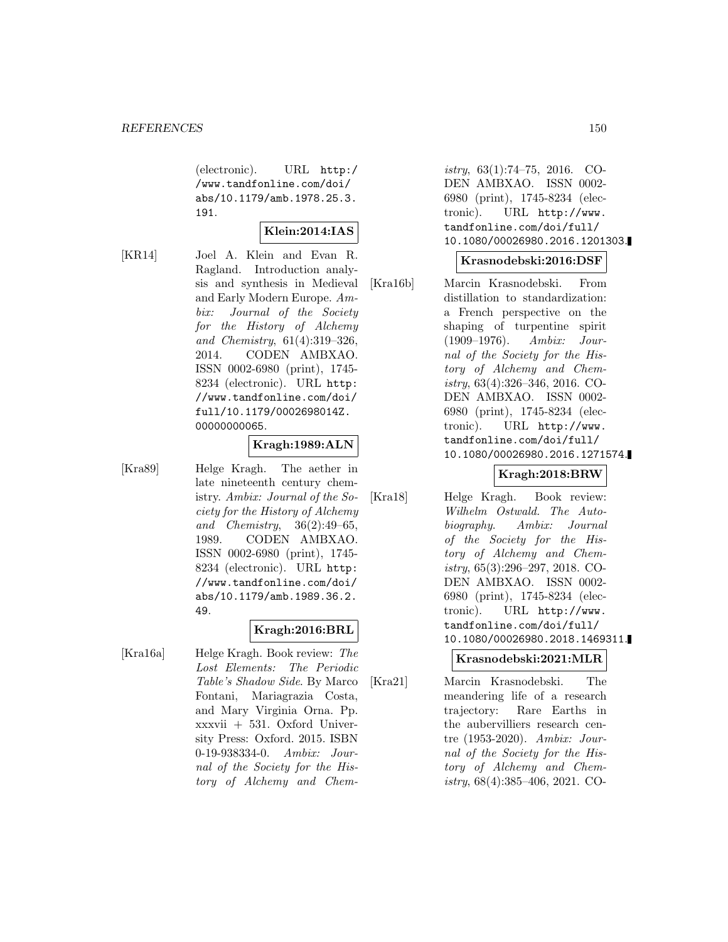(electronic). URL http:/ /www.tandfonline.com/doi/ abs/10.1179/amb.1978.25.3. 191.

## **Klein:2014:IAS**

[KR14] Joel A. Klein and Evan R. Ragland. Introduction analysis and synthesis in Medieval and Early Modern Europe. Ambix: Journal of the Society for the History of Alchemy and Chemistry, 61(4):319–326, 2014. CODEN AMBXAO. ISSN 0002-6980 (print), 1745- 8234 (electronic). URL http: //www.tandfonline.com/doi/ full/10.1179/0002698014Z. 00000000065.

#### **Kragh:1989:ALN**

[Kra89] Helge Kragh. The aether in late nineteenth century chemistry. Ambix: Journal of the Society for the History of Alchemy and Chemistry, 36(2):49–65, 1989. CODEN AMBXAO. ISSN 0002-6980 (print), 1745- 8234 (electronic). URL http: //www.tandfonline.com/doi/ abs/10.1179/amb.1989.36.2. 49.

## **Kragh:2016:BRL**

[Kra16a] Helge Kragh. Book review: The Lost Elements: The Periodic Table's Shadow Side. By Marco Fontani, Mariagrazia Costa, and Mary Virginia Orna. Pp. xxxvii + 531. Oxford University Press: Oxford. 2015. ISBN 0-19-938334-0. Ambix: Journal of the Society for the History of Alchemy and Chemistry, 63(1):74–75, 2016. CO-DEN AMBXAO. ISSN 0002- 6980 (print), 1745-8234 (electronic). URL http://www. tandfonline.com/doi/full/ 10.1080/00026980.2016.1201303.

#### **Krasnodebski:2016:DSF**

[Kra16b] Marcin Krasnodebski. From distillation to standardization: a French perspective on the shaping of turpentine spirit (1909–1976). Ambix: Journal of the Society for the History of Alchemy and Chemistry, 63(4):326–346, 2016. CO-DEN AMBXAO. ISSN 0002- 6980 (print), 1745-8234 (electronic). URL http://www. tandfonline.com/doi/full/ 10.1080/00026980.2016.1271574.

# **Kragh:2018:BRW**

[Kra18] Helge Kragh. Book review: Wilhelm Ostwald. The Autobiography. Ambix: Journal of the Society for the History of Alchemy and Chemistry, 65(3):296–297, 2018. CO-DEN AMBXAO. ISSN 0002- 6980 (print), 1745-8234 (electronic). URL http://www. tandfonline.com/doi/full/ 10.1080/00026980.2018.1469311.

## **Krasnodebski:2021:MLR**

[Kra21] Marcin Krasnodebski. The meandering life of a research trajectory: Rare Earths in the aubervilliers research centre (1953-2020). Ambix: Journal of the Society for the History of Alchemy and Chemistry, 68(4):385–406, 2021. CO-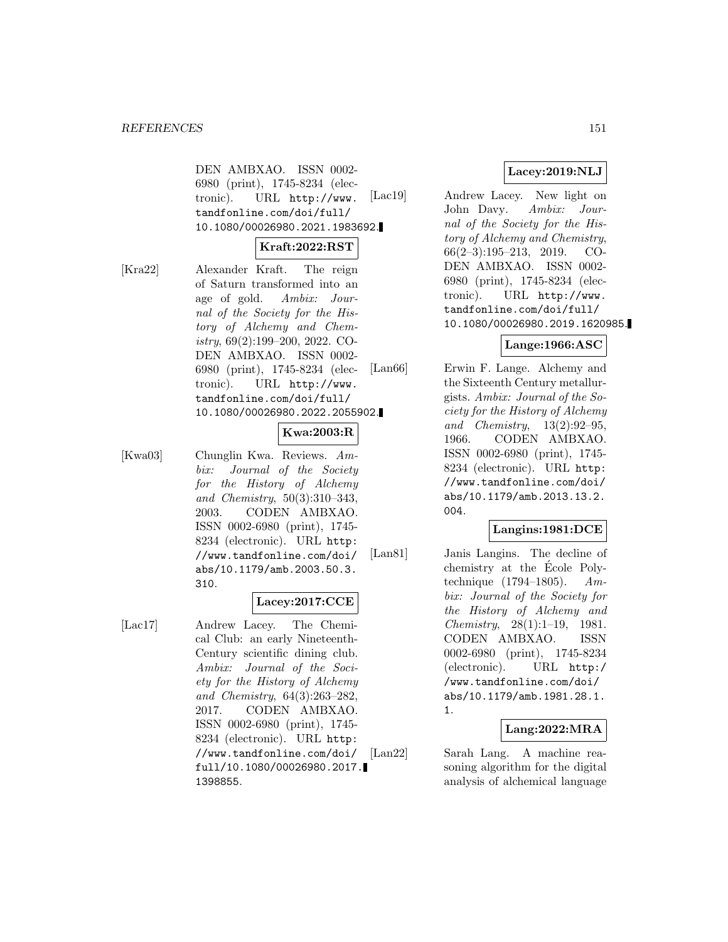DEN AMBXAO. ISSN 0002- 6980 (print), 1745-8234 (electronic). URL http://www. tandfonline.com/doi/full/ 10.1080/00026980.2021.1983692.

## **Kraft:2022:RST**

[Kra22] Alexander Kraft. The reign of Saturn transformed into an age of gold. Ambix: Journal of the Society for the History of Alchemy and Chemistry, 69(2):199–200, 2022. CO-DEN AMBXAO. ISSN 0002- 6980 (print), 1745-8234 (electronic). URL http://www. tandfonline.com/doi/full/ 10.1080/00026980.2022.2055902.

#### **Kwa:2003:R**

[Kwa03] Chunglin Kwa. Reviews. Ambix: Journal of the Society for the History of Alchemy and Chemistry, 50(3):310–343, 2003. CODEN AMBXAO. ISSN 0002-6980 (print), 1745- 8234 (electronic). URL http: //www.tandfonline.com/doi/ abs/10.1179/amb.2003.50.3. 310.

# **Lacey:2017:CCE**

[Lac17] Andrew Lacey. The Chemical Club: an early Nineteenth-Century scientific dining club. Ambix: Journal of the Society for the History of Alchemy and Chemistry, 64(3):263–282, 2017. CODEN AMBXAO. ISSN 0002-6980 (print), 1745- 8234 (electronic). URL http: //www.tandfonline.com/doi/ full/10.1080/00026980.2017. 1398855.

## **Lacey:2019:NLJ**

[Lac19] Andrew Lacey. New light on John Davy. Ambix: Journal of the Society for the History of Alchemy and Chemistry, 66(2–3):195–213, 2019. CO-DEN AMBXAO. ISSN 0002- 6980 (print), 1745-8234 (electronic). URL http://www. tandfonline.com/doi/full/ 10.1080/00026980.2019.1620985.

## **Lange:1966:ASC**

[Lan66] Erwin F. Lange. Alchemy and the Sixteenth Century metallurgists. Ambix: Journal of the Society for the History of Alchemy and Chemistry, 13(2):92–95, 1966. CODEN AMBXAO. ISSN 0002-6980 (print), 1745- 8234 (electronic). URL http: //www.tandfonline.com/doi/ abs/10.1179/amb.2013.13.2. 004.

#### **Langins:1981:DCE**

[Lan81] Janis Langins. The decline of chemistry at the Ecole Polytechnique  $(1794-1805)$ . Ambix: Journal of the Society for the History of Alchemy and Chemistry, 28(1):1–19, 1981. CODEN AMBXAO. ISSN 0002-6980 (print), 1745-8234 (electronic). URL http:/ /www.tandfonline.com/doi/ abs/10.1179/amb.1981.28.1. 1.

#### **Lang:2022:MRA**

[Lan22] Sarah Lang. A machine reasoning algorithm for the digital analysis of alchemical language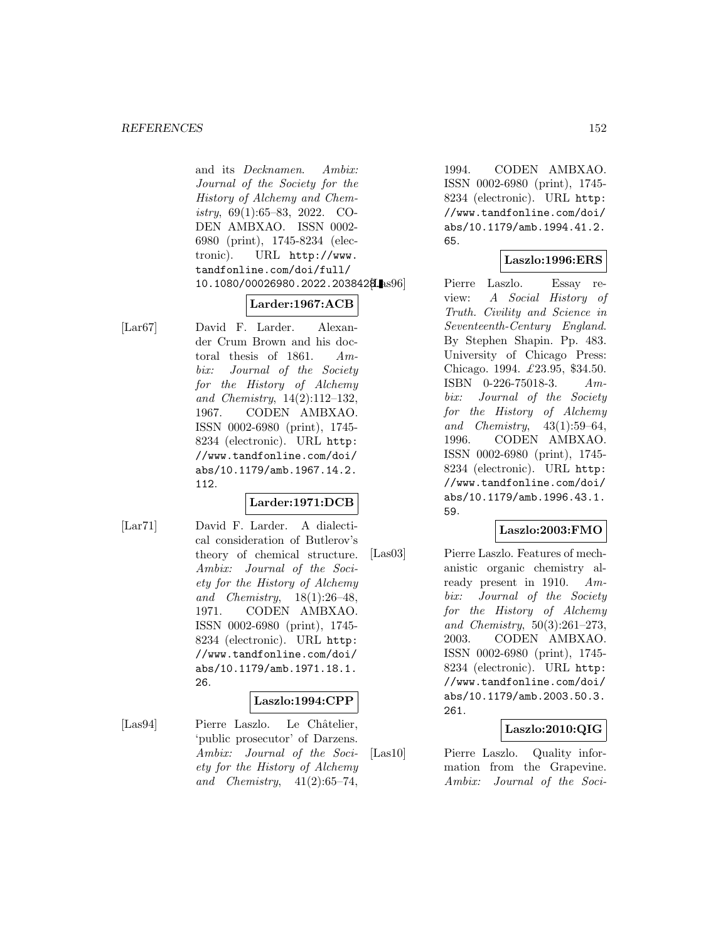#### *REFERENCES* 152

and its Decknamen. Ambix: Journal of the Society for the History of Alchemy and Chemistry, 69(1):65–83, 2022. CO-DEN AMBXAO. ISSN 0002- 6980 (print), 1745-8234 (electronic). URL http://www. tandfonline.com/doi/full/ 10.1080/00026980.2022.2038428.

## **Larder:1967:ACB**

[Lar67] David F. Larder. Alexander Crum Brown and his doctoral thesis of 1861. Ambix: Journal of the Society for the History of Alchemy and Chemistry, 14(2):112–132, 1967. CODEN AMBXAO. ISSN 0002-6980 (print), 1745- 8234 (electronic). URL http: //www.tandfonline.com/doi/ abs/10.1179/amb.1967.14.2. 112.

# **Larder:1971:DCB**

[Lar71] David F. Larder. A dialectical consideration of Butlerov's theory of chemical structure. Ambix: Journal of the Society for the History of Alchemy and Chemistry, 18(1):26–48, 1971. CODEN AMBXAO. ISSN 0002-6980 (print), 1745- 8234 (electronic). URL http: //www.tandfonline.com/doi/ abs/10.1179/amb.1971.18.1. 26.

#### **Laszlo:1994:CPP**

[Las94] Pierre Laszlo. Le Châtelier, 'public prosecutor' of Darzens. Ambix: Journal of the Society for the History of Alchemy and *Chemistry*,  $41(2):65-74$ ,

1994. CODEN AMBXAO. ISSN 0002-6980 (print), 1745- 8234 (electronic). URL http: //www.tandfonline.com/doi/ abs/10.1179/amb.1994.41.2. 65.

## **Laszlo:1996:ERS**

Pierre Laszlo. Essay review: A Social History of Truth. Civility and Science in Seventeenth-Century England. By Stephen Shapin. Pp. 483. University of Chicago Press: Chicago. 1994. £23.95, \$34.50. ISBN 0-226-75018-3. Ambix: Journal of the Society for the History of Alchemy and Chemistry,  $43(1):59-64$ , 1996. CODEN AMBXAO. ISSN 0002-6980 (print), 1745- 8234 (electronic). URL http: //www.tandfonline.com/doi/ abs/10.1179/amb.1996.43.1. 59.

## **Laszlo:2003:FMO**

[Las03] Pierre Laszlo. Features of mechanistic organic chemistry already present in 1910.  $Am$ bix: Journal of the Society for the History of Alchemy and Chemistry, 50(3):261–273, 2003. CODEN AMBXAO. ISSN 0002-6980 (print), 1745- 8234 (electronic). URL http: //www.tandfonline.com/doi/ abs/10.1179/amb.2003.50.3. 261.

#### **Laszlo:2010:QIG**

[Las10] Pierre Laszlo. Quality information from the Grapevine. Ambix: Journal of the Soci-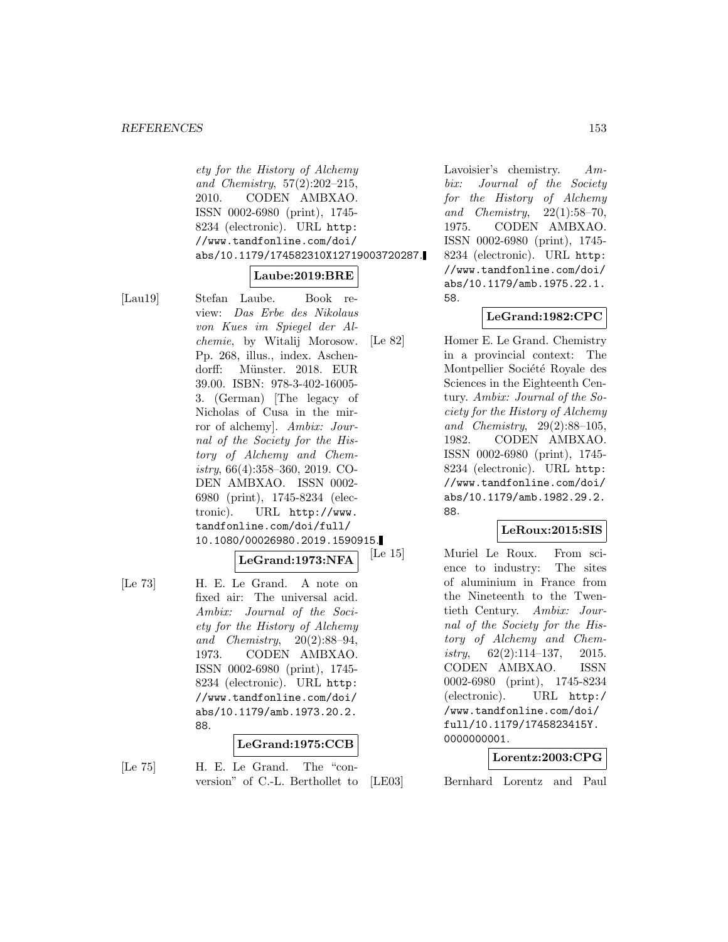ety for the History of Alchemy and Chemistry, 57(2):202–215, 2010. CODEN AMBXAO. ISSN 0002-6980 (print), 1745- 8234 (electronic). URL http: //www.tandfonline.com/doi/ abs/10.1179/174582310X12719003720287.

#### **Laube:2019:BRE**

[Lau19] Stefan Laube. Book review: Das Erbe des Nikolaus von Kues im Spiegel der Alchemie, by Witalij Morosow. Pp. 268, illus., index. Aschendorff: Münster. 2018. EUR 39.00. ISBN: 978-3-402-16005- 3. (German) [The legacy of Nicholas of Cusa in the mirror of alchemy]. Ambix: Journal of the Society for the History of Alchemy and Chemistry, 66(4):358–360, 2019. CO-DEN AMBXAO. ISSN 0002- 6980 (print), 1745-8234 (electronic). URL http://www. tandfonline.com/doi/full/ 10.1080/00026980.2019.1590915.

## **LeGrand:1973:NFA**

[Le 73] H. E. Le Grand. A note on fixed air: The universal acid. Ambix: Journal of the Society for the History of Alchemy and Chemistry, 20(2):88–94, 1973. CODEN AMBXAO. ISSN 0002-6980 (print), 1745- 8234 (electronic). URL http: //www.tandfonline.com/doi/ abs/10.1179/amb.1973.20.2. 88.

# **LeGrand:1975:CCB**

[Le 75] H. E. Le Grand. The "conversion" of C.-L. Berthollet to Lavoisier's chemistry. Ambix: Journal of the Society for the History of Alchemy and Chemistry, 22(1):58–70, 1975. CODEN AMBXAO. ISSN 0002-6980 (print), 1745- 8234 (electronic). URL http: //www.tandfonline.com/doi/ abs/10.1179/amb.1975.22.1. 58.

# **LeGrand:1982:CPC**

[Le 82] Homer E. Le Grand. Chemistry in a provincial context: The Montpellier Société Royale des Sciences in the Eighteenth Century. Ambix: Journal of the Society for the History of Alchemy and Chemistry, 29(2):88–105, 1982. CODEN AMBXAO. ISSN 0002-6980 (print), 1745- 8234 (electronic). URL http: //www.tandfonline.com/doi/ abs/10.1179/amb.1982.29.2. 88.

## **LeRoux:2015:SIS**

[Le 15] Muriel Le Roux. From science to industry: The sites of aluminium in France from the Nineteenth to the Twentieth Century. Ambix: Journal of the Society for the History of Alchemy and Chemistry,  $62(2):114-137$ ,  $2015$ . CODEN AMBXAO. ISSN 0002-6980 (print), 1745-8234 (electronic). URL http:/ /www.tandfonline.com/doi/ full/10.1179/1745823415Y. 000000001.

#### **Lorentz:2003:CPG**

[LE03] Bernhard Lorentz and Paul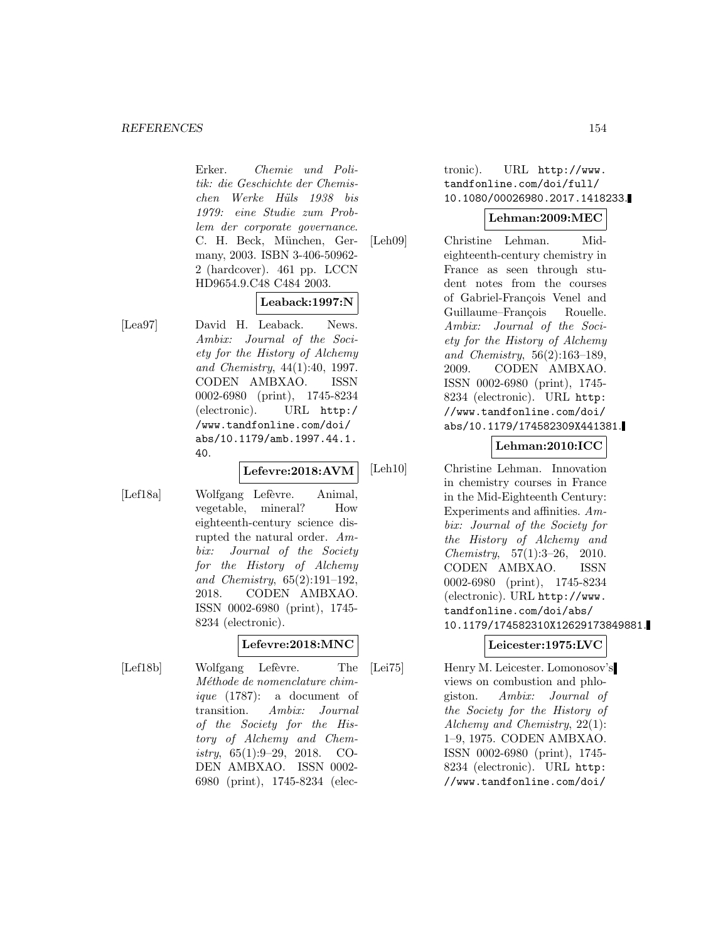#### *REFERENCES* 154

Erker. Chemie und Politik: die Geschichte der Chemischen Werke Hüls 1938 bis 1979: eine Studie zum Problem der corporate governance. C. H. Beck, München, Germany, 2003. ISBN 3-406-50962- 2 (hardcover). 461 pp. LCCN HD9654.9.C48 C484 2003.

## **Leaback:1997:N**

[Lea97] David H. Leaback. News. Ambix: Journal of the Society for the History of Alchemy and Chemistry, 44(1):40, 1997. CODEN AMBXAO. ISSN 0002-6980 (print), 1745-8234 (electronic). URL http:/ /www.tandfonline.com/doi/ abs/10.1179/amb.1997.44.1. 40.

#### **Lefevre:2018:AVM**

[Lef18a] Wolfgang Lefèvre. Animal, vegetable, mineral? How eighteenth-century science disrupted the natural order. Ambix: Journal of the Society for the History of Alchemy and Chemistry, 65(2):191–192, 2018. CODEN AMBXAO. ISSN 0002-6980 (print), 1745- 8234 (electronic).

#### **Lefevre:2018:MNC**

[Lef18b] Wolfgang Lefèvre. The Méthode de nomenclature chimique (1787): a document of transition. Ambix: Journal of the Society for the History of Alchemy and Chemistry, 65(1):9–29, 2018. CO-DEN AMBXAO. ISSN 0002- 6980 (print), 1745-8234 (electronic). URL http://www. tandfonline.com/doi/full/ 10.1080/00026980.2017.1418233.

#### **Lehman:2009:MEC**

[Leh09] Christine Lehman. Mideighteenth-century chemistry in France as seen through student notes from the courses of Gabriel-François Venel and Guillaume–François Rouelle. Ambix: Journal of the Society for the History of Alchemy and Chemistry, 56(2):163–189, 2009. CODEN AMBXAO. ISSN 0002-6980 (print), 1745- 8234 (electronic). URL http: //www.tandfonline.com/doi/ abs/10.1179/174582309X441381.

## **Lehman:2010:ICC**

[Leh10] Christine Lehman. Innovation in chemistry courses in France in the Mid-Eighteenth Century: Experiments and affinities. Ambix: Journal of the Society for the History of Alchemy and Chemistry, 57(1):3–26, 2010. CODEN AMBXAO. ISSN 0002-6980 (print), 1745-8234 (electronic). URL http://www. tandfonline.com/doi/abs/ 10.1179/174582310X12629173849881.

## **Leicester:1975:LVC**

[Lei75] Henry M. Leicester. Lomonosov's views on combustion and phlogiston. Ambix: Journal of the Society for the History of Alchemy and Chemistry, 22(1): 1–9, 1975. CODEN AMBXAO. ISSN 0002-6980 (print), 1745- 8234 (electronic). URL http: //www.tandfonline.com/doi/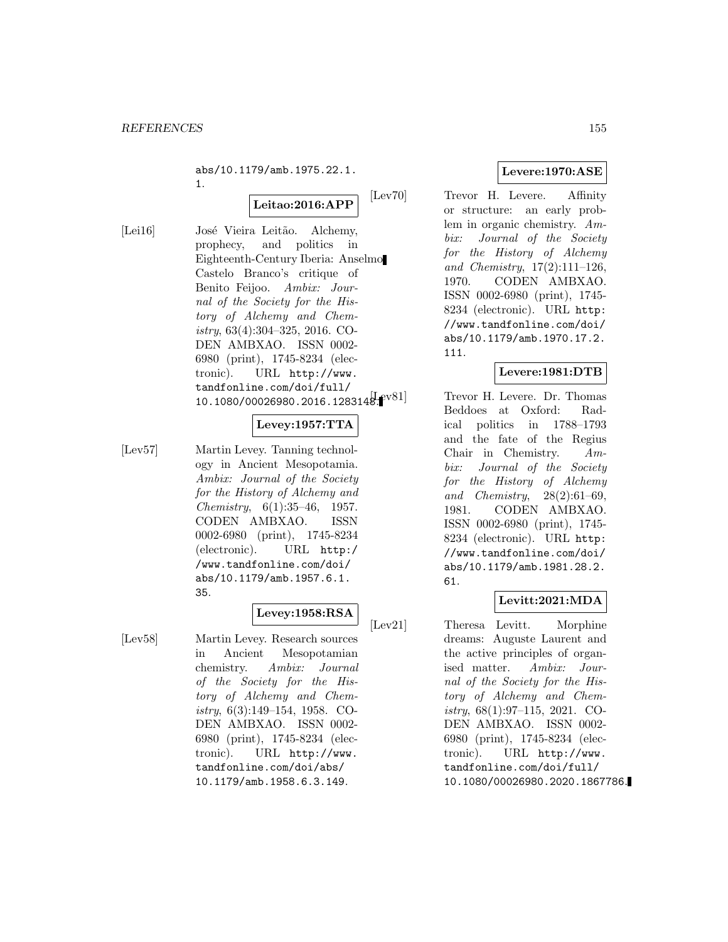abs/10.1179/amb.1975.22.1. 1.

## **Leitao:2016:APP**

[Lei16] José Vieira Leitão. Alchemy, prophecy, and politics in Eighteenth-Century Iberia: Anselmo Castelo Branco's critique of Benito Feijoo. Ambix: Journal of the Society for the History of Alchemy and Chemistry, 63(4):304–325, 2016. CO-DEN AMBXAO. ISSN 0002- 6980 (print), 1745-8234 (electronic). URL http://www. tandfonline.com/doi/full/ 10.1080/00026980.2016.1283148.<sup>[V81]</sup>

## **Levey:1957:TTA**

[Lev57] Martin Levey. Tanning technology in Ancient Mesopotamia. Ambix: Journal of the Society for the History of Alchemy and Chemistry, 6(1):35–46, 1957. CODEN AMBXAO. ISSN 0002-6980 (print), 1745-8234 (electronic). URL http:/ /www.tandfonline.com/doi/ abs/10.1179/amb.1957.6.1. 35.

# **Levey:1958:RSA**

[Lev58] Martin Levey. Research sources in Ancient Mesopotamian chemistry. Ambix: Journal of the Society for the History of Alchemy and Chemistry, 6(3):149–154, 1958. CO-DEN AMBXAO. ISSN 0002- 6980 (print), 1745-8234 (electronic). URL http://www. tandfonline.com/doi/abs/ 10.1179/amb.1958.6.3.149.

## **Levere:1970:ASE**

[Lev70] Trevor H. Levere. Affinity or structure: an early problem in organic chemistry. Ambix: Journal of the Society for the History of Alchemy and Chemistry, 17(2):111–126, 1970. CODEN AMBXAO. ISSN 0002-6980 (print), 1745- 8234 (electronic). URL http: //www.tandfonline.com/doi/ abs/10.1179/amb.1970.17.2. 111.

## **Levere:1981:DTB**

Trevor H. Levere. Dr. Thomas Beddoes at Oxford: Radical politics in 1788–1793 and the fate of the Regius Chair in Chemistry. Ambix: Journal of the Society for the History of Alchemy and Chemistry, 28(2):61–69, 1981. CODEN AMBXAO. ISSN 0002-6980 (print), 1745- 8234 (electronic). URL http: //www.tandfonline.com/doi/ abs/10.1179/amb.1981.28.2. 61.

## **Levitt:2021:MDA**

[Lev21] Theresa Levitt. Morphine dreams: Auguste Laurent and the active principles of organised matter. Ambix: Journal of the Society for the History of Alchemy and Chemistry, 68(1):97–115, 2021. CO-DEN AMBXAO. ISSN 0002- 6980 (print), 1745-8234 (electronic). URL http://www. tandfonline.com/doi/full/ 10.1080/00026980.2020.1867786.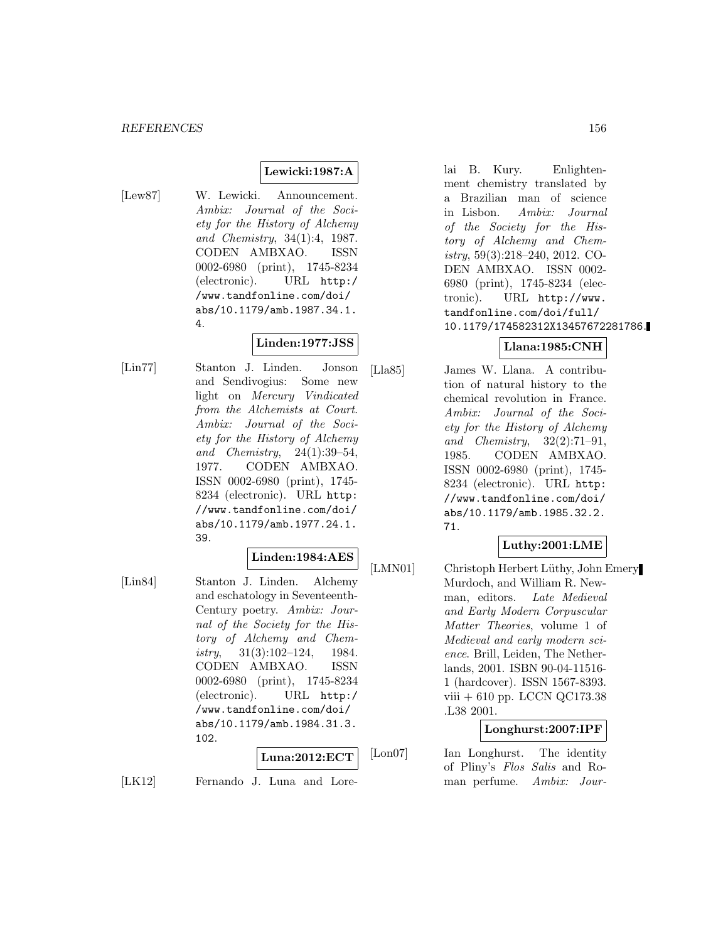## **Lewicki:1987:A**

- 
- [Lew87] W. Lewicki. Announcement. Ambix: Journal of the Society for the History of Alchemy and Chemistry, 34(1):4, 1987. CODEN AMBXAO. ISSN 0002-6980 (print), 1745-8234 (electronic). URL http:/ /www.tandfonline.com/doi/ abs/10.1179/amb.1987.34.1. 4.

## **Linden:1977:JSS**

[Lin77] Stanton J. Linden. Jonson and Sendivogius: Some new light on Mercury Vindicated from the Alchemists at Court. Ambix: Journal of the Society for the History of Alchemy and Chemistry, 24(1):39–54, 1977. CODEN AMBXAO. ISSN 0002-6980 (print), 1745- 8234 (electronic). URL http: //www.tandfonline.com/doi/ abs/10.1179/amb.1977.24.1. 39.

#### **Linden:1984:AES**

[Lin84] Stanton J. Linden. Alchemy and eschatology in Seventeenth-Century poetry. Ambix: Journal of the Society for the History of Alchemy and Chemistry, 31(3):102–124, 1984. CODEN AMBXAO. ISSN 0002-6980 (print), 1745-8234 (electronic). URL http:/ /www.tandfonline.com/doi/ abs/10.1179/amb.1984.31.3. 102.

#### **Luna:2012:ECT**

[LK12] Fernando J. Luna and Lore-

lai B. Kury. Enlightenment chemistry translated by a Brazilian man of science in Lisbon. Ambix: Journal of the Society for the History of Alchemy and Chemistry, 59(3):218–240, 2012. CO-DEN AMBXAO. ISSN 0002- 6980 (print), 1745-8234 (electronic). URL http://www. tandfonline.com/doi/full/ 10.1179/174582312X13457672281786.

## **Llana:1985:CNH**

[Lla85] James W. Llana. A contribution of natural history to the chemical revolution in France. Ambix: Journal of the Society for the History of Alchemy and Chemistry, 32(2):71–91, 1985. CODEN AMBXAO. ISSN 0002-6980 (print), 1745- 8234 (electronic). URL http: //www.tandfonline.com/doi/ abs/10.1179/amb.1985.32.2. 71.

## **Luthy:2001:LME**

[LMN01] Christoph Herbert Lüthy, John Emery Murdoch, and William R. Newman, editors. Late Medieval and Early Modern Corpuscular Matter Theories, volume 1 of Medieval and early modern science. Brill, Leiden, The Netherlands, 2001. ISBN 90-04-11516- 1 (hardcover). ISSN 1567-8393. viii  $+610$  pp. LCCN QC173.38 .L38 2001.

#### **Longhurst:2007:IPF**

[Lon07] Ian Longhurst. The identity of Pliny's Flos Salis and Roman perfume. Ambix: Jour-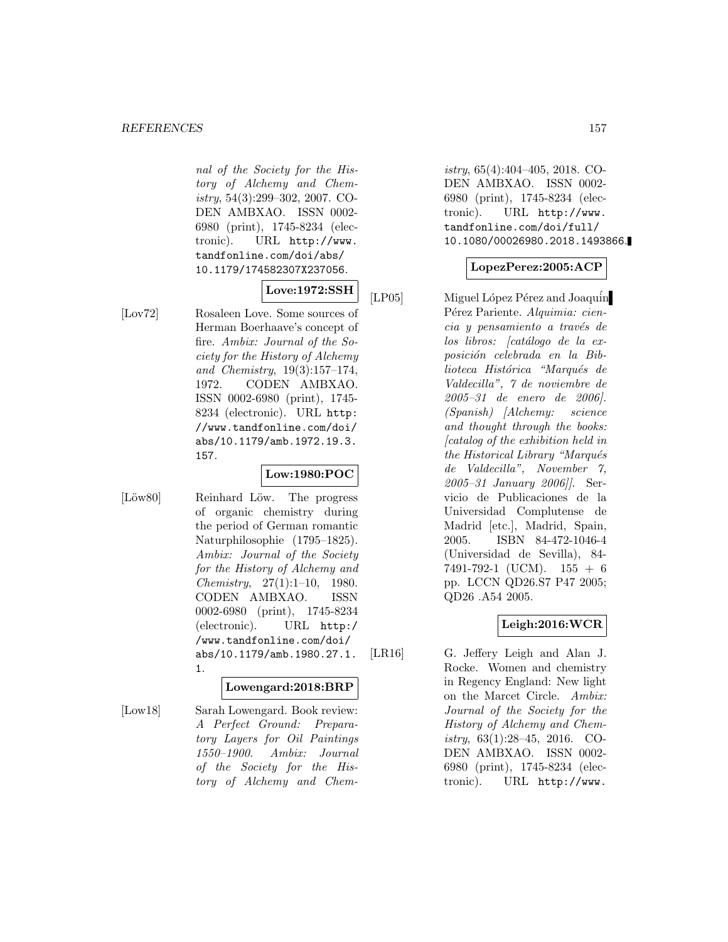#### *REFERENCES* 157

nal of the Society for the History of Alchemy and Chemistry, 54(3):299–302, 2007. CO-DEN AMBXAO. ISSN 0002- 6980 (print), 1745-8234 (electronic). URL http://www. tandfonline.com/doi/abs/ 10.1179/174582307X237056.

# **Love:1972:SSH**

[Lov72] Rosaleen Love. Some sources of Herman Boerhaave's concept of fire. Ambix: Journal of the Society for the History of Alchemy and Chemistry, 19(3):157–174, 1972. CODEN AMBXAO. ISSN 0002-6980 (print), 1745- 8234 (electronic). URL http: //www.tandfonline.com/doi/ abs/10.1179/amb.1972.19.3. 157.

# **Low:1980:POC**

[Löw80] Reinhard Löw. The progress of organic chemistry during the period of German romantic Naturphilosophie (1795–1825).

Ambix: Journal of the Society for the History of Alchemy and Chemistry, 27(1):1–10, 1980. CODEN AMBXAO. ISSN 0002-6980 (print), 1745-8234 (electronic). URL http:/ /www.tandfonline.com/doi/ abs/10.1179/amb.1980.27.1. 1.

#### **Lowengard:2018:BRP**

[Low18] Sarah Lowengard. Book review: A Perfect Ground: Preparatory Layers for Oil Paintings 1550–1900. Ambix: Journal of the Society for the History of Alchemy and Chemistry, 65(4):404–405, 2018. CO-DEN AMBXAO. ISSN 0002- 6980 (print), 1745-8234 (electronic). URL http://www. tandfonline.com/doi/full/ 10.1080/00026980.2018.1493866.

#### **LopezPerez:2005:ACP**

[LP05] Miguel López Pérez and Joaquin Pérez Pariente. Alquimia: cien $cia$  y pensamiento a través de los libros: (catálogo de la exposición celebrada en la Biblioteca Histórica "Marqués de Valdecilla", 7 de noviembre de 2005–31 de enero de 2006]. (Spanish) [Alchemy: science and thought through the books: [catalog of the exhibition held in the Historical Library "Marqués" de Valdecilla", November 7, 2005–31 January 2006]]. Servicio de Publicaciones de la Universidad Complutense de Madrid [etc.], Madrid, Spain, 2005. ISBN 84-472-1046-4 (Universidad de Sevilla), 84- 7491-792-1 (UCM). 155 + 6 pp. LCCN QD26.S7 P47 2005; QD26 .A54 2005.

## **Leigh:2016:WCR**

[LR16] G. Jeffery Leigh and Alan J. Rocke. Women and chemistry in Regency England: New light on the Marcet Circle. Ambix: Journal of the Society for the History of Alchemy and Chemistry, 63(1):28–45, 2016. CO-DEN AMBXAO. ISSN 0002- 6980 (print), 1745-8234 (electronic). URL http://www.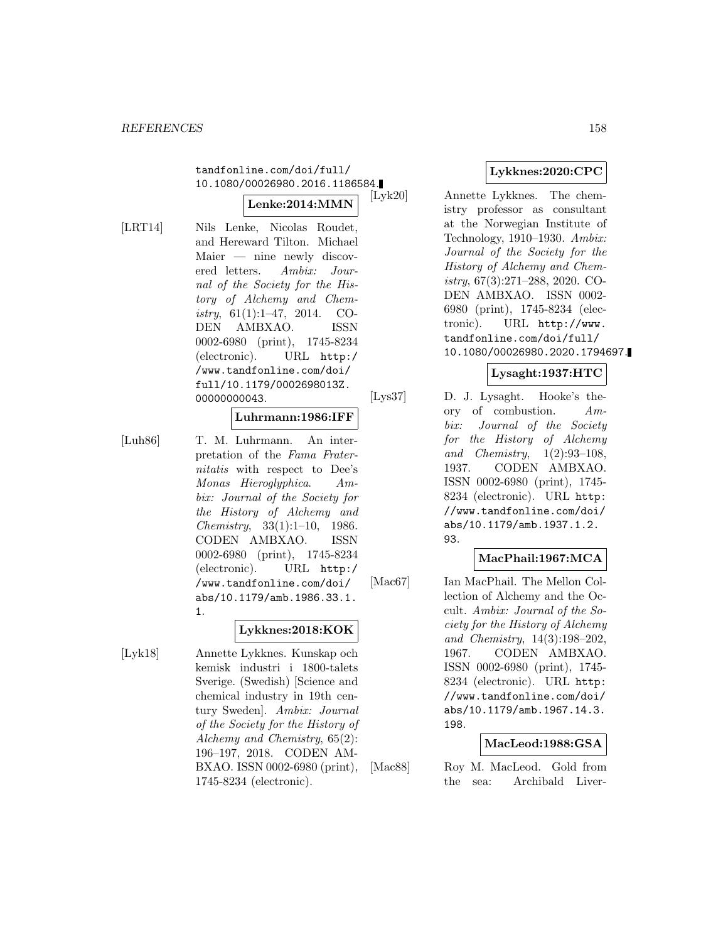tandfonline.com/doi/full/ 10.1080/00026980.2016.1186584.

#### **Lenke:2014:MMN**

- 
- [LRT14] Nils Lenke, Nicolas Roudet, and Hereward Tilton. Michael Maier — nine newly discovered letters. Ambix: Journal of the Society for the History of Alchemy and Chemistry, 61(1):1–47, 2014. CO-DEN AMBXAO. ISSN 0002-6980 (print), 1745-8234 (electronic). URL http:/ /www.tandfonline.com/doi/ full/10.1179/0002698013Z. 00000000043.

#### **Luhrmann:1986:IFF**

- [Luh86] T. M. Luhrmann. An interpretation of the Fama Fraternitatis with respect to Dee's Monas Hieroglyphica. Ambix: Journal of the Society for the History of Alchemy and Chemistry, 33(1):1–10, 1986. CODEN AMBXAO. ISSN 0002-6980 (print), 1745-8234 (electronic). URL http:/ /www.tandfonline.com/doi/ abs/10.1179/amb.1986.33.1.
	- 1.

## **Lykknes:2018:KOK**

[Lyk18] Annette Lykknes. Kunskap och kemisk industri i 1800-talets Sverige. (Swedish) [Science and chemical industry in 19th century Sweden]. Ambix: Journal of the Society for the History of Alchemy and Chemistry, 65(2): 196–197, 2018. CODEN AM-BXAO. ISSN 0002-6980 (print), 1745-8234 (electronic).

# **Lykknes:2020:CPC**

Annette Lykknes. The chemistry professor as consultant at the Norwegian Institute of Technology, 1910–1930. Ambix: Journal of the Society for the History of Alchemy and Chemistry, 67(3):271–288, 2020. CO-DEN AMBXAO. ISSN 0002- 6980 (print), 1745-8234 (electronic). URL http://www. tandfonline.com/doi/full/ 10.1080/00026980.2020.1794697.

## **Lysaght:1937:HTC**

[Lys37] D. J. Lysaght. Hooke's theory of combustion. Ambix: Journal of the Society for the History of Alchemy and Chemistry,  $1(2):93-108$ , 1937. CODEN AMBXAO. ISSN 0002-6980 (print), 1745- 8234 (electronic). URL http: //www.tandfonline.com/doi/ abs/10.1179/amb.1937.1.2. 93.

## **MacPhail:1967:MCA**

[Mac67] Ian MacPhail. The Mellon Collection of Alchemy and the Occult. Ambix: Journal of the Society for the History of Alchemy and Chemistry, 14(3):198–202, 1967. CODEN AMBXAO. ISSN 0002-6980 (print), 1745- 8234 (electronic). URL http: //www.tandfonline.com/doi/ abs/10.1179/amb.1967.14.3. 198.

## **MacLeod:1988:GSA**

[Mac88] Roy M. MacLeod. Gold from the sea: Archibald Liver-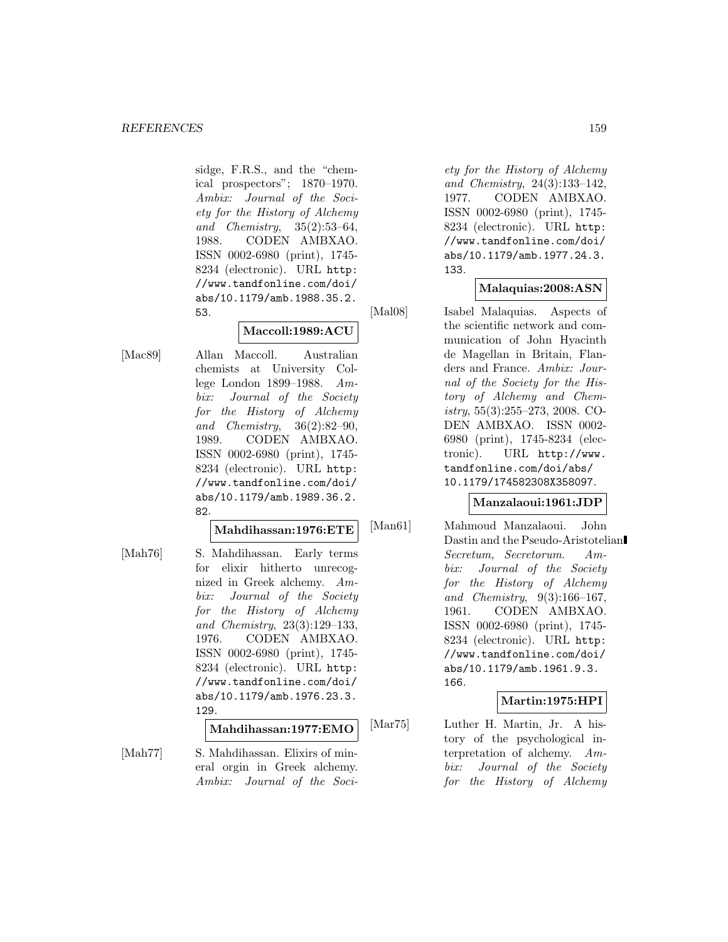sidge, F.R.S., and the "chemical prospectors"; 1870–1970. Ambix: Journal of the Society for the History of Alchemy and Chemistry, 35(2):53–64, 1988. CODEN AMBXAO. ISSN 0002-6980 (print), 1745- 8234 (electronic). URL http: //www.tandfonline.com/doi/ abs/10.1179/amb.1988.35.2. 53.

# **Maccoll:1989:ACU**

[Mac89] Allan Maccoll. Australian chemists at University College London 1899–1988. Ambix: Journal of the Society for the History of Alchemy and Chemistry, 36(2):82–90, 1989. CODEN AMBXAO. ISSN 0002-6980 (print), 1745- 8234 (electronic). URL http: //www.tandfonline.com/doi/ abs/10.1179/amb.1989.36.2. 82.

**Mahdihassan:1976:ETE**

[Mah76] S. Mahdihassan. Early terms for elixir hitherto unrecognized in Greek alchemy. Ambix: Journal of the Society for the History of Alchemy and Chemistry, 23(3):129–133, 1976. CODEN AMBXAO. ISSN 0002-6980 (print), 1745- 8234 (electronic). URL http: //www.tandfonline.com/doi/ abs/10.1179/amb.1976.23.3. 129.

**Mahdihassan:1977:EMO**

[Mah77] S. Mahdihassan. Elixirs of mineral orgin in Greek alchemy. Ambix: Journal of the Society for the History of Alchemy and Chemistry, 24(3):133–142, 1977. CODEN AMBXAO. ISSN 0002-6980 (print), 1745- 8234 (electronic). URL http: //www.tandfonline.com/doi/ abs/10.1179/amb.1977.24.3. 133.

## **Malaquias:2008:ASN**

[Mal08] Isabel Malaquias. Aspects of the scientific network and communication of John Hyacinth de Magellan in Britain, Flanders and France. Ambix: Journal of the Society for the History of Alchemy and Chem $istry, 55(3):255-273, 2008. CO-$ DEN AMBXAO. ISSN 0002- 6980 (print), 1745-8234 (electronic). URL http://www. tandfonline.com/doi/abs/ 10.1179/174582308X358097.

## **Manzalaoui:1961:JDP**

[Man61] Mahmoud Manzalaoui. John Dastin and the Pseudo-Aristotelian Secretum, Secretorum. Ambix: Journal of the Society for the History of Alchemy and Chemistry, 9(3):166–167, 1961. CODEN AMBXAO. ISSN 0002-6980 (print), 1745- 8234 (electronic). URL http: //www.tandfonline.com/doi/ abs/10.1179/amb.1961.9.3. 166.

## **Martin:1975:HPI**

[Mar75] Luther H. Martin, Jr. A history of the psychological interpretation of alchemy. Ambix: Journal of the Society for the History of Alchemy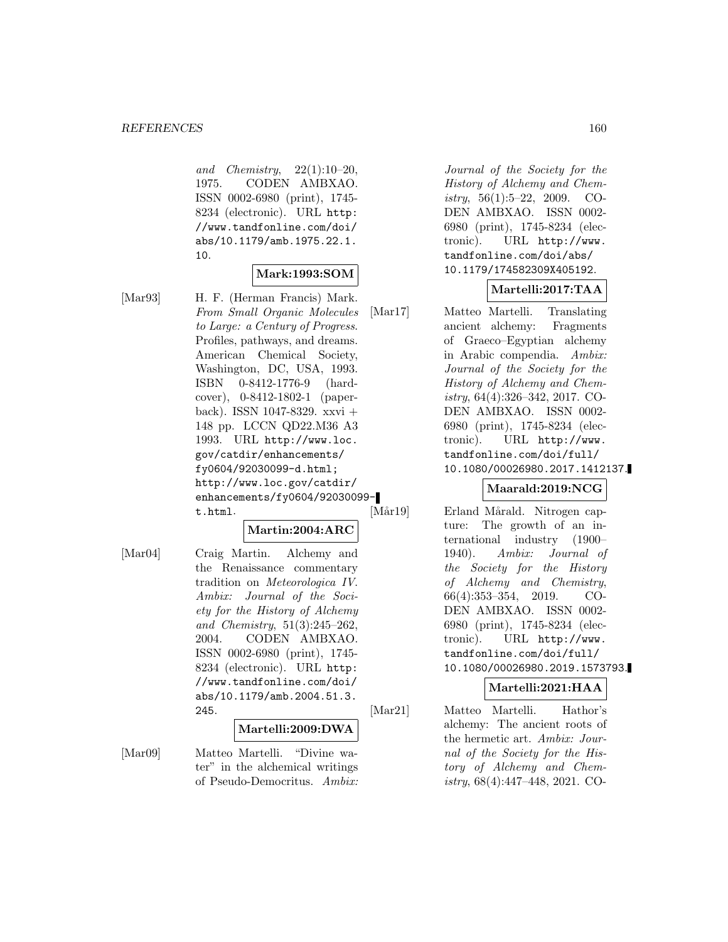and Chemistry, 22(1):10–20, 1975. CODEN AMBXAO. ISSN 0002-6980 (print), 1745- 8234 (electronic). URL http: //www.tandfonline.com/doi/ abs/10.1179/amb.1975.22.1. 10.

## **Mark:1993:SOM**

[Mar93] H. F. (Herman Francis) Mark. From Small Organic Molecules to Large: a Century of Progress. Profiles, pathways, and dreams. American Chemical Society, Washington, DC, USA, 1993. ISBN 0-8412-1776-9 (hardcover), 0-8412-1802-1 (paperback). ISSN 1047-8329. xxvi + 148 pp. LCCN QD22.M36 A3 1993. URL http://www.loc. gov/catdir/enhancements/ fy0604/92030099-d.html; http://www.loc.gov/catdir/ enhancements/fy0604/92030099t.html.

# **Martin:2004:ARC**

[Mar04] Craig Martin. Alchemy and the Renaissance commentary tradition on Meteorologica IV. Ambix: Journal of the Society for the History of Alchemy and Chemistry, 51(3):245–262, 2004. CODEN AMBXAO. ISSN 0002-6980 (print), 1745- 8234 (electronic). URL http: //www.tandfonline.com/doi/ abs/10.1179/amb.2004.51.3. 245.

#### **Martelli:2009:DWA**

[Mar09] Matteo Martelli. "Divine water" in the alchemical writings of Pseudo-Democritus. Ambix: Journal of the Society for the History of Alchemy and Chemistry,  $56(1):5-22$ ,  $2009$ . CO-DEN AMBXAO. ISSN 0002- 6980 (print), 1745-8234 (electronic). URL http://www. tandfonline.com/doi/abs/ 10.1179/174582309X405192.

## **Martelli:2017:TAA**

[Mar17] Matteo Martelli. Translating ancient alchemy: Fragments of Graeco–Egyptian alchemy in Arabic compendia. Ambix: Journal of the Society for the History of Alchemy and Chemistry, 64(4):326–342, 2017. CO-DEN AMBXAO. ISSN 0002- 6980 (print), 1745-8234 (electronic). URL http://www. tandfonline.com/doi/full/ 10.1080/00026980.2017.1412137.

## **Maarald:2019:NCG**

[Mår19] Erland Mårald. Nitrogen capture: The growth of an international industry (1900– 1940). Ambix: Journal of the Society for the History of Alchemy and Chemistry, 66(4):353–354, 2019. CO-DEN AMBXAO. ISSN 0002- 6980 (print), 1745-8234 (electronic). URL http://www. tandfonline.com/doi/full/ 10.1080/00026980.2019.1573793.

#### **Martelli:2021:HAA**

[Mar21] Matteo Martelli. Hathor's alchemy: The ancient roots of the hermetic art. Ambix: Journal of the Society for the History of Alchemy and Chemistry, 68(4):447–448, 2021. CO-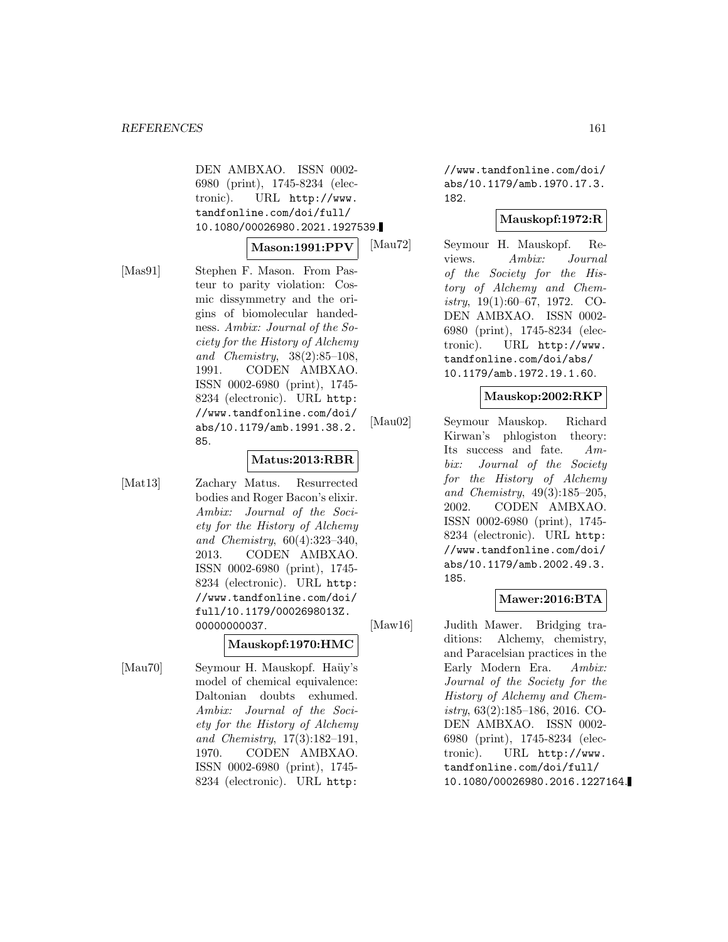DEN AMBXAO. ISSN 0002- 6980 (print), 1745-8234 (electronic). URL http://www. tandfonline.com/doi/full/ 10.1080/00026980.2021.1927539.

## **Mason:1991:PPV**

[Mas91] Stephen F. Mason. From Pasteur to parity violation: Cosmic dissymmetry and the origins of biomolecular handedness. Ambix: Journal of the Society for the History of Alchemy and Chemistry, 38(2):85–108, 1991. CODEN AMBXAO. ISSN 0002-6980 (print), 1745- 8234 (electronic). URL http: //www.tandfonline.com/doi/ abs/10.1179/amb.1991.38.2. 85.

#### **Matus:2013:RBR**

[Mat13] Zachary Matus. Resurrected bodies and Roger Bacon's elixir. Ambix: Journal of the Society for the History of Alchemy and Chemistry, 60(4):323–340, 2013. CODEN AMBXAO. ISSN 0002-6980 (print), 1745- 8234 (electronic). URL http: //www.tandfonline.com/doi/ full/10.1179/0002698013Z. 00000000037.

#### **Mauskopf:1970:HMC**

[Mau70] Seymour H. Mauskopf. Haüy's model of chemical equivalence: Daltonian doubts exhumed. Ambix: Journal of the Society for the History of Alchemy and Chemistry, 17(3):182–191, 1970. CODEN AMBXAO. ISSN 0002-6980 (print), 1745- 8234 (electronic). URL http:

//www.tandfonline.com/doi/ abs/10.1179/amb.1970.17.3. 182.

## **Mauskopf:1972:R**

[Mau72] Seymour H. Mauskopf. Reviews. Ambix: Journal of the Society for the History of Alchemy and Chemistry, 19(1):60–67, 1972. CO-DEN AMBXAO. ISSN 0002- 6980 (print), 1745-8234 (electronic). URL http://www. tandfonline.com/doi/abs/ 10.1179/amb.1972.19.1.60.

## **Mauskop:2002:RKP**

[Mau02] Seymour Mauskop. Richard Kirwan's phlogiston theory: Its success and fate. Ambix: Journal of the Society for the History of Alchemy and Chemistry, 49(3):185–205, 2002. CODEN AMBXAO. ISSN 0002-6980 (print), 1745- 8234 (electronic). URL http: //www.tandfonline.com/doi/ abs/10.1179/amb.2002.49.3. 185.

## **Mawer:2016:BTA**

[Maw16] Judith Mawer. Bridging traditions: Alchemy, chemistry, and Paracelsian practices in the Early Modern Era. Ambix: Journal of the Society for the History of Alchemy and Chemistry, 63(2):185–186, 2016. CO-DEN AMBXAO. ISSN 0002- 6980 (print), 1745-8234 (electronic). URL http://www. tandfonline.com/doi/full/ 10.1080/00026980.2016.1227164.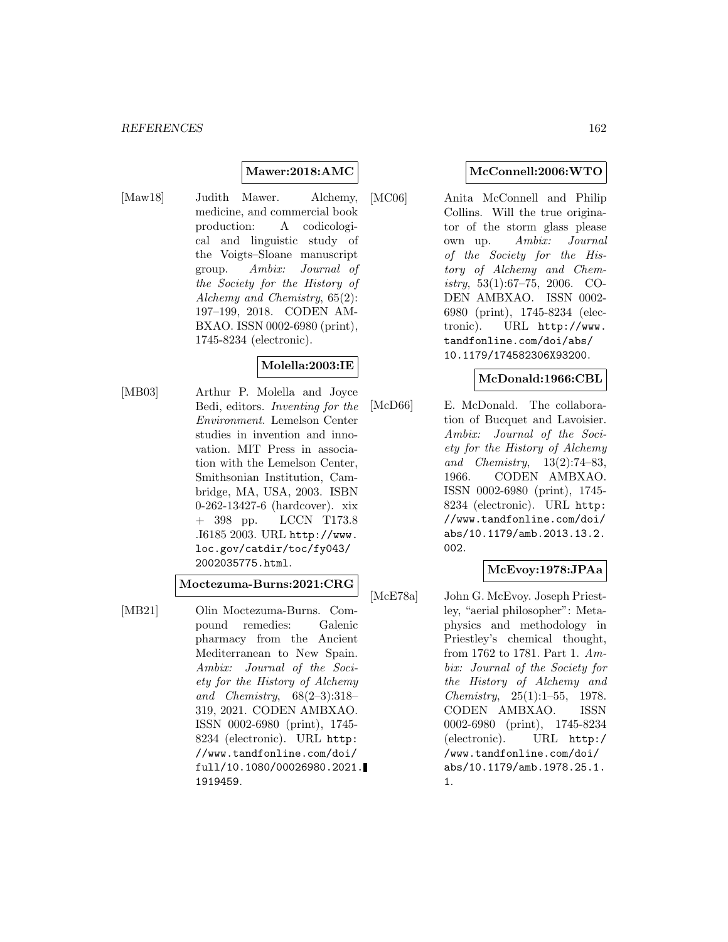#### **Mawer:2018:AMC**

[Maw18] Judith Mawer. Alchemy, medicine, and commercial book production: A codicological and linguistic study of the Voigts–Sloane manuscript group. Ambix: Journal of the Society for the History of Alchemy and Chemistry, 65(2): 197–199, 2018. CODEN AM-BXAO. ISSN 0002-6980 (print), 1745-8234 (electronic).

#### **Molella:2003:IE**

[MB03] Arthur P. Molella and Joyce Bedi, editors. Inventing for the Environment. Lemelson Center studies in invention and innovation. MIT Press in association with the Lemelson Center, Smithsonian Institution, Cambridge, MA, USA, 2003. ISBN 0-262-13427-6 (hardcover). xix + 398 pp. LCCN T173.8 .I6185 2003. URL http://www. loc.gov/catdir/toc/fy043/ 2002035775.html.

**Moctezuma-Burns:2021:CRG**

[MB21] Olin Moctezuma-Burns. Compound remedies: Galenic pharmacy from the Ancient Mediterranean to New Spain. Ambix: Journal of the Society for the History of Alchemy and Chemistry,  $68(2-3):318-$ 319, 2021. CODEN AMBXAO. ISSN 0002-6980 (print), 1745- 8234 (electronic). URL http: //www.tandfonline.com/doi/ full/10.1080/00026980.2021. 1919459.

#### **McConnell:2006:WTO**

[MC06] Anita McConnell and Philip Collins. Will the true originator of the storm glass please own up. Ambix: Journal of the Society for the History of Alchemy and Chemistry, 53(1):67–75, 2006. CO-DEN AMBXAO. ISSN 0002- 6980 (print), 1745-8234 (electronic). URL http://www. tandfonline.com/doi/abs/ 10.1179/174582306X93200.

#### **McDonald:1966:CBL**

[McD66] E. McDonald. The collaboration of Bucquet and Lavoisier. Ambix: Journal of the Society for the History of Alchemy and Chemistry, 13(2):74–83, 1966. CODEN AMBXAO. ISSN 0002-6980 (print), 1745- 8234 (electronic). URL http: //www.tandfonline.com/doi/ abs/10.1179/amb.2013.13.2. 002.

## **McEvoy:1978:JPAa**

[McE78a] John G. McEvoy. Joseph Priestley, "aerial philosopher": Metaphysics and methodology in Priestley's chemical thought, from 1762 to 1781. Part 1. Ambix: Journal of the Society for the History of Alchemy and Chemistry, 25(1):1–55, 1978. CODEN AMBXAO. ISSN 0002-6980 (print), 1745-8234 (electronic). URL http:/ /www.tandfonline.com/doi/ abs/10.1179/amb.1978.25.1. 1.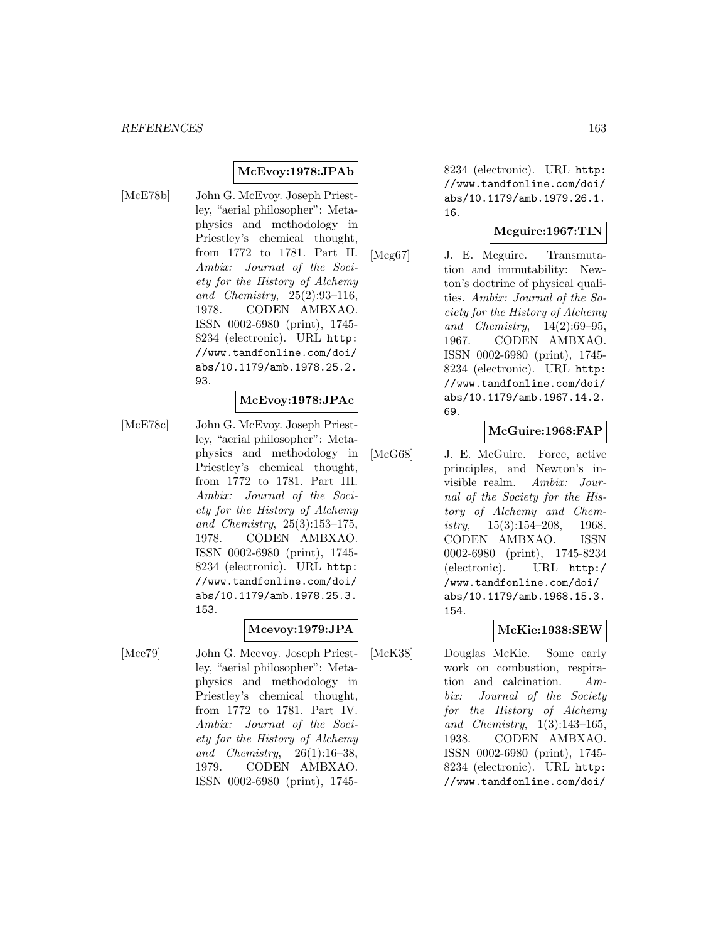## **McEvoy:1978:JPAb**

- 
- [McE78b] John G. McEvoy. Joseph Priestley, "aerial philosopher": Metaphysics and methodology in Priestley's chemical thought, from 1772 to 1781. Part II. Ambix: Journal of the Society for the History of Alchemy and Chemistry, 25(2):93–116, 1978. CODEN AMBXAO. ISSN 0002-6980 (print), 1745- 8234 (electronic). URL http: //www.tandfonline.com/doi/ abs/10.1179/amb.1978.25.2. 93.

#### **McEvoy:1978:JPAc**

[McE78c] John G. McEvoy. Joseph Priestley, "aerial philosopher": Metaphysics and methodology in Priestley's chemical thought, from 1772 to 1781. Part III. Ambix: Journal of the Society for the History of Alchemy and Chemistry, 25(3):153–175, 1978. CODEN AMBXAO. ISSN 0002-6980 (print), 1745- 8234 (electronic). URL http: //www.tandfonline.com/doi/ abs/10.1179/amb.1978.25.3. 153.

## **Mcevoy:1979:JPA**

[Mce79] John G. Mcevoy. Joseph Priestley, "aerial philosopher": Metaphysics and methodology in Priestley's chemical thought, from 1772 to 1781. Part IV. Ambix: Journal of the Society for the History of Alchemy and Chemistry, 26(1):16–38, 1979. CODEN AMBXAO. ISSN 0002-6980 (print), 17458234 (electronic). URL http: //www.tandfonline.com/doi/ abs/10.1179/amb.1979.26.1. 16.

#### **Mcguire:1967:TIN**

[Mcg67] J. E. Mcguire. Transmutation and immutability: Newton's doctrine of physical qualities. Ambix: Journal of the Society for the History of Alchemy and Chemistry, 14(2):69–95, 1967. CODEN AMBXAO. ISSN 0002-6980 (print), 1745- 8234 (electronic). URL http: //www.tandfonline.com/doi/ abs/10.1179/amb.1967.14.2. 69.

## **McGuire:1968:FAP**

[McG68] J. E. McGuire. Force, active principles, and Newton's invisible realm. Ambix: Journal of the Society for the History of Alchemy and Chemistry,  $15(3):154-208$ ,  $1968$ . CODEN AMBXAO. ISSN 0002-6980 (print), 1745-8234 (electronic). URL http:/ /www.tandfonline.com/doi/ abs/10.1179/amb.1968.15.3. 154.

## **McKie:1938:SEW**

[McK38] Douglas McKie. Some early work on combustion, respiration and calcination. Ambix: Journal of the Society for the History of Alchemy and Chemistry, 1(3):143–165, 1938. CODEN AMBXAO. ISSN 0002-6980 (print), 1745- 8234 (electronic). URL http: //www.tandfonline.com/doi/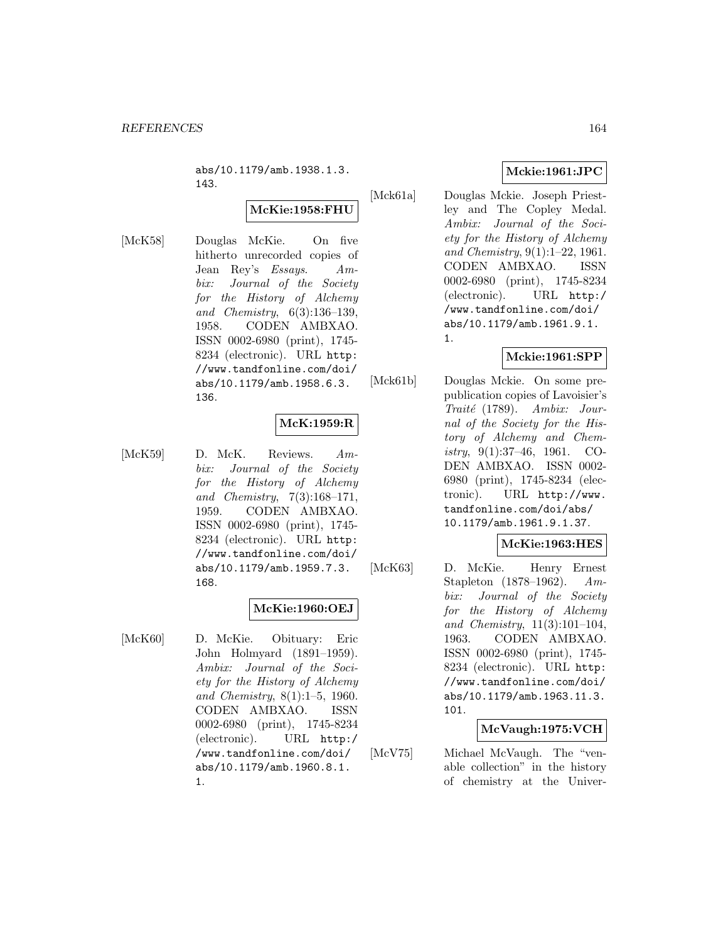abs/10.1179/amb.1938.1.3. 143.

# **McKie:1958:FHU**

[McK58] Douglas McKie. On five hitherto unrecorded copies of Jean Rey's Essays. Ambix: Journal of the Society for the History of Alchemy and Chemistry, 6(3):136–139, 1958. CODEN AMBXAO. ISSN 0002-6980 (print), 1745- 8234 (electronic). URL http: //www.tandfonline.com/doi/ abs/10.1179/amb.1958.6.3. 136.

# **McK:1959:R**

[McK59] D. McK. Reviews. Ambix: Journal of the Society for the History of Alchemy and Chemistry, 7(3):168–171, 1959. CODEN AMBXAO. ISSN 0002-6980 (print), 1745- 8234 (electronic). URL http: //www.tandfonline.com/doi/ abs/10.1179/amb.1959.7.3. 168.

## **McKie:1960:OEJ**

[McK60] D. McKie. Obituary: Eric John Holmyard (1891–1959). Ambix: Journal of the Society for the History of Alchemy and Chemistry, 8(1):1–5, 1960. CODEN AMBXAO. ISSN 0002-6980 (print), 1745-8234 (electronic). URL http:/ /www.tandfonline.com/doi/ abs/10.1179/amb.1960.8.1. 1.

## **Mckie:1961:JPC**

[Mck61a] Douglas Mckie. Joseph Priestley and The Copley Medal. Ambix: Journal of the Society for the History of Alchemy and Chemistry, 9(1):1–22, 1961. CODEN AMBXAO. ISSN 0002-6980 (print), 1745-8234 (electronic). URL http:/ /www.tandfonline.com/doi/ abs/10.1179/amb.1961.9.1. 1.

## **Mckie:1961:SPP**

[Mck61b] Douglas Mckie. On some prepublication copies of Lavoisier's Traité (1789). Ambix: Journal of the Society for the History of Alchemy and Chemistry, 9(1):37–46, 1961. CO-DEN AMBXAO. ISSN 0002- 6980 (print), 1745-8234 (electronic). URL http://www. tandfonline.com/doi/abs/ 10.1179/amb.1961.9.1.37.

## **McKie:1963:HES**

[McK63] D. McKie. Henry Ernest Stapleton (1878–1962). Ambix: Journal of the Society for the History of Alchemy and Chemistry, 11(3):101–104, 1963. CODEN AMBXAO. ISSN 0002-6980 (print), 1745- 8234 (electronic). URL http: //www.tandfonline.com/doi/ abs/10.1179/amb.1963.11.3. 101.

## **McVaugh:1975:VCH**

[McV75] Michael McVaugh. The "venable collection" in the history of chemistry at the Univer-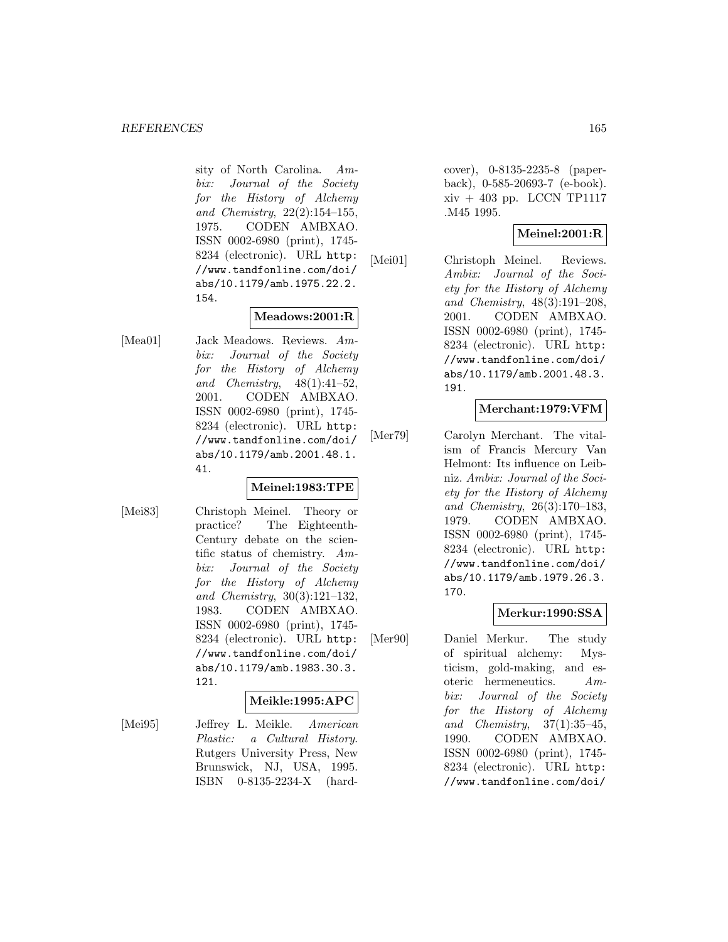sity of North Carolina. Ambix: Journal of the Society for the History of Alchemy and Chemistry, 22(2):154–155, 1975. CODEN AMBXAO. ISSN 0002-6980 (print), 1745- 8234 (electronic). URL http: //www.tandfonline.com/doi/ abs/10.1179/amb.1975.22.2. 154.

## **Meadows:2001:R**

[Mea01] Jack Meadows. Reviews. Ambix: Journal of the Society for the History of Alchemy and Chemistry, 48(1):41–52, 2001. CODEN AMBXAO. ISSN 0002-6980 (print), 1745- 8234 (electronic). URL http: //www.tandfonline.com/doi/ abs/10.1179/amb.2001.48.1. 41.

## **Meinel:1983:TPE**

[Mei83] Christoph Meinel. Theory or practice? The Eighteenth-Century debate on the scientific status of chemistry. Ambix: Journal of the Society for the History of Alchemy and Chemistry, 30(3):121–132, 1983. CODEN AMBXAO. ISSN 0002-6980 (print), 1745- 8234 (electronic). URL http: //www.tandfonline.com/doi/ abs/10.1179/amb.1983.30.3. 121.

#### **Meikle:1995:APC**

[Mei95] Jeffrey L. Meikle. American Plastic: a Cultural History. Rutgers University Press, New Brunswick, NJ, USA, 1995. ISBN 0-8135-2234-X (hardcover), 0-8135-2235-8 (paperback), 0-585-20693-7 (e-book).  $xiv + 403$  pp. LCCN TP1117 .M45 1995.

# **Meinel:2001:R**

[Mei01] Christoph Meinel. Reviews. Ambix: Journal of the Society for the History of Alchemy and Chemistry, 48(3):191–208, 2001. CODEN AMBXAO. ISSN 0002-6980 (print), 1745- 8234 (electronic). URL http: //www.tandfonline.com/doi/ abs/10.1179/amb.2001.48.3. 191.

## **Merchant:1979:VFM**

[Mer79] Carolyn Merchant. The vitalism of Francis Mercury Van Helmont: Its influence on Leibniz. Ambix: Journal of the Society for the History of Alchemy and Chemistry, 26(3):170–183, 1979. CODEN AMBXAO. ISSN 0002-6980 (print), 1745- 8234 (electronic). URL http: //www.tandfonline.com/doi/ abs/10.1179/amb.1979.26.3. 170.

## **Merkur:1990:SSA**

[Mer90] Daniel Merkur. The study of spiritual alchemy: Mysticism, gold-making, and esoteric hermeneutics. Ambix: Journal of the Society for the History of Alchemy and Chemistry, 37(1):35–45, 1990. CODEN AMBXAO. ISSN 0002-6980 (print), 1745- 8234 (electronic). URL http: //www.tandfonline.com/doi/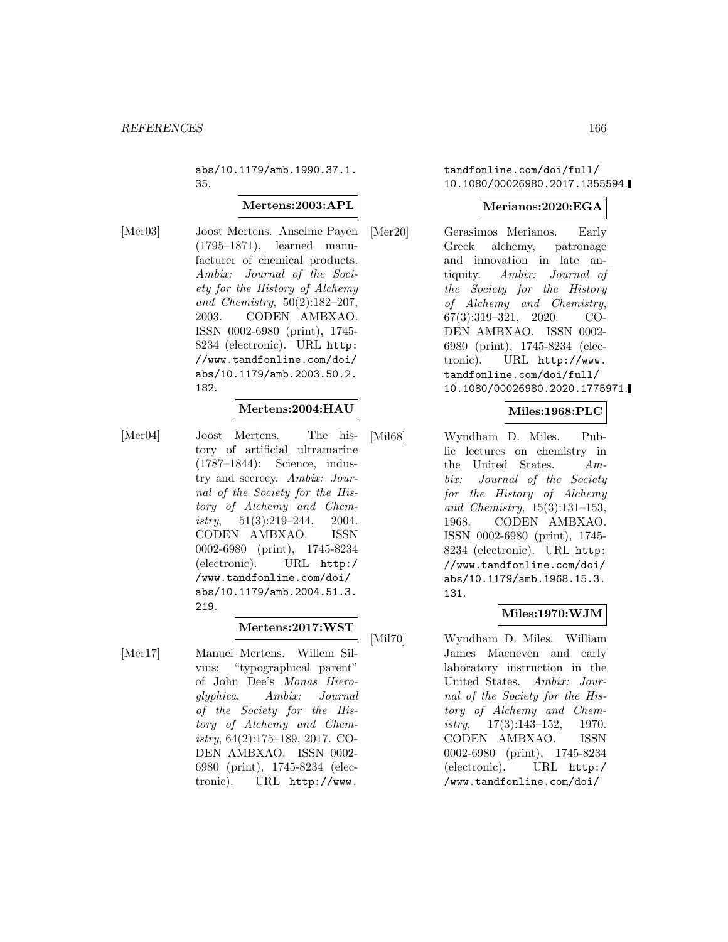abs/10.1179/amb.1990.37.1. 35.

#### **Mertens:2003:APL**

[Mer03] Joost Mertens. Anselme Payen (1795–1871), learned manufacturer of chemical products. Ambix: Journal of the Society for the History of Alchemy and Chemistry, 50(2):182–207, 2003. CODEN AMBXAO. ISSN 0002-6980 (print), 1745- 8234 (electronic). URL http: //www.tandfonline.com/doi/ abs/10.1179/amb.2003.50.2. 182.

#### **Mertens:2004:HAU**

[Mer04] Joost Mertens. The history of artificial ultramarine (1787–1844): Science, industry and secrecy. Ambix: Journal of the Society for the History of Alchemy and Chemistry,  $51(3):219-244$ ,  $2004$ . CODEN AMBXAO. ISSN 0002-6980 (print), 1745-8234 (electronic). URL http:/ /www.tandfonline.com/doi/ abs/10.1179/amb.2004.51.3. 219.

## **Mertens:2017:WST**

[Mer17] Manuel Mertens. Willem Silvius: "typographical parent" of John Dee's Monas Hieroglyphica. Ambix: Journal of the Society for the History of Alchemy and Chemistry, 64(2):175–189, 2017. CO-DEN AMBXAO. ISSN 0002- 6980 (print), 1745-8234 (electronic). URL http://www.

## tandfonline.com/doi/full/ 10.1080/00026980.2017.1355594.

## **Merianos:2020:EGA**

[Mer20] Gerasimos Merianos. Early Greek alchemy, patronage and innovation in late antiquity. Ambix: Journal of the Society for the History of Alchemy and Chemistry, 67(3):319–321, 2020. CO-DEN AMBXAO. ISSN 0002- 6980 (print), 1745-8234 (electronic). URL http://www. tandfonline.com/doi/full/ 10.1080/00026980.2020.1775971.

## **Miles:1968:PLC**

[Mil68] Wyndham D. Miles. Public lectures on chemistry in the United States. Ambix: Journal of the Society for the History of Alchemy and Chemistry, 15(3):131–153, 1968. CODEN AMBXAO. ISSN 0002-6980 (print), 1745- 8234 (electronic). URL http: //www.tandfonline.com/doi/ abs/10.1179/amb.1968.15.3. 131.

#### **Miles:1970:WJM**

[Mil70] Wyndham D. Miles. William James Macneven and early laboratory instruction in the United States. Ambix: Journal of the Society for the History of Alchemy and Chemistry,  $17(3):143-152$ ,  $1970$ . CODEN AMBXAO. ISSN 0002-6980 (print), 1745-8234 (electronic). URL http:/ /www.tandfonline.com/doi/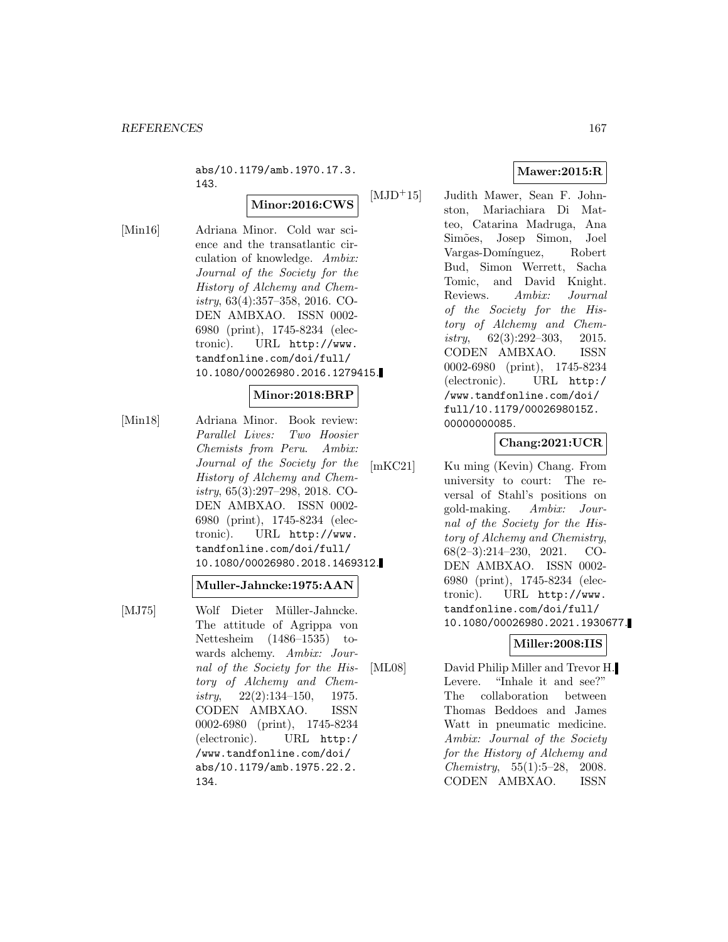abs/10.1179/amb.1970.17.3. 143.

## **Minor:2016:CWS**

[Min16] Adriana Minor. Cold war science and the transatlantic circulation of knowledge. Ambix: Journal of the Society for the History of Alchemy and Chemistry, 63(4):357–358, 2016. CO-DEN AMBXAO. ISSN 0002- 6980 (print), 1745-8234 (electronic). URL http://www. tandfonline.com/doi/full/ 10.1080/00026980.2016.1279415.

#### **Minor:2018:BRP**

[Min18] Adriana Minor. Book review: Parallel Lives: Two Hoosier Chemists from Peru. Ambix: Journal of the Society for the History of Alchemy and Chemistry, 65(3):297–298, 2018. CO-DEN AMBXAO. ISSN 0002- 6980 (print), 1745-8234 (electronic). URL http://www. tandfonline.com/doi/full/ 10.1080/00026980.2018.1469312.

#### **Muller-Jahncke:1975:AAN**

[MJ75] Wolf Dieter Müller-Jahncke. The attitude of Agrippa von Nettesheim (1486–1535) towards alchemy. Ambix: Journal of the Society for the History of Alchemy and Chemistry,  $22(2):134-150$ , 1975. CODEN AMBXAO. ISSN 0002-6980 (print), 1745-8234 (electronic). URL http:/ /www.tandfonline.com/doi/ abs/10.1179/amb.1975.22.2. 134.

## **Mawer:2015:R**

[MJD<sup>+</sup>15] Judith Mawer, Sean F. Johnston, Mariachiara Di Matteo, Catarina Madruga, Ana Simões, Josep Simon, Joel Vargas-Domínguez, Robert Bud, Simon Werrett, Sacha Tomic, and David Knight. Reviews. Ambix: Journal of the Society for the History of Alchemy and Chemistry,  $62(3):292-303$ ,  $2015$ . CODEN AMBXAO. ISSN 0002-6980 (print), 1745-8234 (electronic). URL http:/ /www.tandfonline.com/doi/ full/10.1179/0002698015Z. 00000000085.

#### **Chang:2021:UCR**

[mKC21] Ku ming (Kevin) Chang. From university to court: The reversal of Stahl's positions on gold-making. Ambix: Journal of the Society for the History of Alchemy and Chemistry, 68(2–3):214–230, 2021. CO-DEN AMBXAO. ISSN 0002- 6980 (print), 1745-8234 (electronic). URL http://www. tandfonline.com/doi/full/ 10.1080/00026980.2021.1930677.

# **Miller:2008:IIS**

[ML08] David Philip Miller and Trevor H. Levere. "Inhale it and see?" The collaboration between Thomas Beddoes and James Watt in pneumatic medicine. Ambix: Journal of the Society for the History of Alchemy and Chemistry, 55(1):5–28, 2008. CODEN AMBXAO. ISSN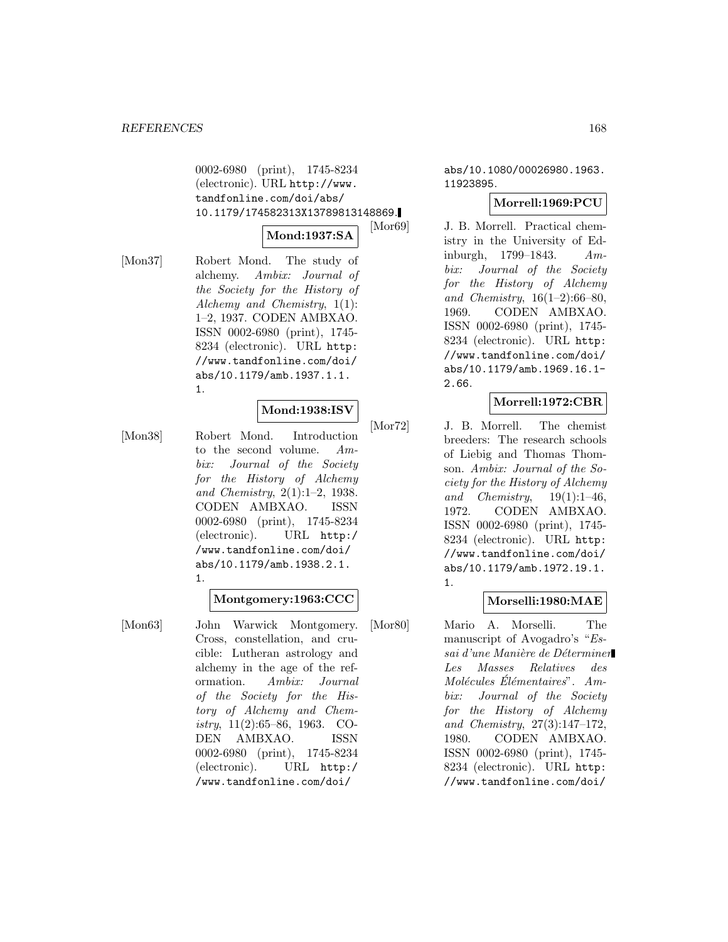0002-6980 (print), 1745-8234 (electronic). URL http://www. tandfonline.com/doi/abs/ 10.1179/174582313X13789813148869.

#### **Mond:1937:SA**

[Mon37] Robert Mond. The study of alchemy. Ambix: Journal of the Society for the History of Alchemy and Chemistry, 1(1): 1–2, 1937. CODEN AMBXAO. ISSN 0002-6980 (print), 1745- 8234 (electronic). URL http: //www.tandfonline.com/doi/ abs/10.1179/amb.1937.1.1. 1.

#### **Mond:1938:ISV**

[Mon38] Robert Mond. Introduction to the second volume. Ambix: Journal of the Society for the History of Alchemy and Chemistry, 2(1):1–2, 1938. CODEN AMBXAO. ISSN 0002-6980 (print), 1745-8234 (electronic). URL http:/ /www.tandfonline.com/doi/ abs/10.1179/amb.1938.2.1. 1.

#### **Montgomery:1963:CCC**

[Mon63] John Warwick Montgomery. Cross, constellation, and crucible: Lutheran astrology and alchemy in the age of the reformation. Ambix: Journal of the Society for the History of Alchemy and Chemistry, 11(2):65–86, 1963. CO-DEN AMBXAO. ISSN 0002-6980 (print), 1745-8234 (electronic). URL http:/ /www.tandfonline.com/doi/

abs/10.1080/00026980.1963. 11923895.

## **Morrell:1969:PCU**

[Mor69] J. B. Morrell. Practical chemistry in the University of Edinburgh, 1799–1843. Ambix: Journal of the Society for the History of Alchemy and Chemistry,  $16(1-2):66-80$ , 1969. CODEN AMBXAO. ISSN 0002-6980 (print), 1745- 8234 (electronic). URL http: //www.tandfonline.com/doi/ abs/10.1179/amb.1969.16.1- 2.66.

## **Morrell:1972:CBR**

[Mor72] J. B. Morrell. The chemist breeders: The research schools of Liebig and Thomas Thomson. Ambix: Journal of the Society for the History of Alchemy and Chemistry,  $19(1):1-46$ , 1972. CODEN AMBXAO. ISSN 0002-6980 (print), 1745- 8234 (electronic). URL http: //www.tandfonline.com/doi/ abs/10.1179/amb.1972.19.1. 1.

#### **Morselli:1980:MAE**

[Mor80] Mario A. Morselli. The manuscript of Avogadro's "Essai d'une Manière de Déterminer Les Masses Relatives des  $Molécules$   $Él{\'e}mentaires"$ . Ambix: Journal of the Society for the History of Alchemy and Chemistry, 27(3):147–172, 1980. CODEN AMBXAO. ISSN 0002-6980 (print), 1745- 8234 (electronic). URL http: //www.tandfonline.com/doi/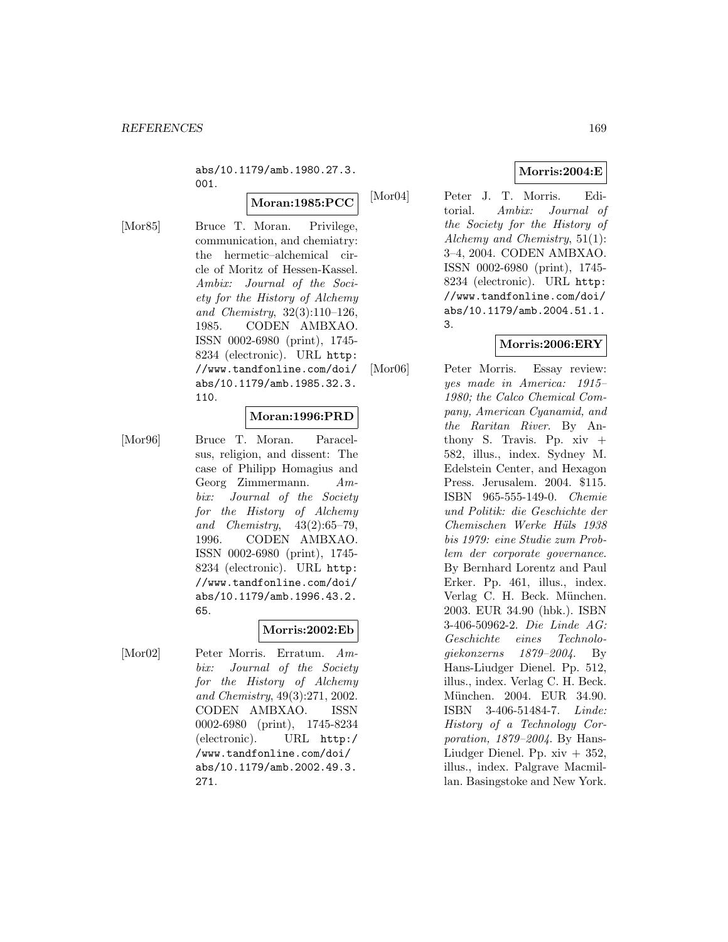abs/10.1179/amb.1980.27.3. 001.

## **Moran:1985:PCC**

[Mor85] Bruce T. Moran. Privilege, communication, and chemiatry: the hermetic–alchemical circle of Moritz of Hessen-Kassel. Ambix: Journal of the Society for the History of Alchemy and Chemistry, 32(3):110–126, 1985. CODEN AMBXAO. ISSN 0002-6980 (print), 1745- 8234 (electronic). URL http: //www.tandfonline.com/doi/ abs/10.1179/amb.1985.32.3. 110.

## **Moran:1996:PRD**

[Mor96] Bruce T. Moran. Paracelsus, religion, and dissent: The case of Philipp Homagius and Georg Zimmermann. Ambix: Journal of the Society for the History of Alchemy and Chemistry, 43(2):65–79, 1996. CODEN AMBXAO. ISSN 0002-6980 (print), 1745- 8234 (electronic). URL http: //www.tandfonline.com/doi/ abs/10.1179/amb.1996.43.2. 65.

## **Morris:2002:Eb**

[Mor02] Peter Morris. Erratum. Ambix: Journal of the Society for the History of Alchemy and Chemistry, 49(3):271, 2002. CODEN AMBXAO. ISSN 0002-6980 (print), 1745-8234 (electronic). URL http:/ /www.tandfonline.com/doi/ abs/10.1179/amb.2002.49.3. 271.

## **Morris:2004:E**

[Mor04] Peter J. T. Morris. Editorial. Ambix: Journal of the Society for the History of Alchemy and Chemistry, 51(1): 3–4, 2004. CODEN AMBXAO. ISSN 0002-6980 (print), 1745- 8234 (electronic). URL http: //www.tandfonline.com/doi/ abs/10.1179/amb.2004.51.1. 3.

## **Morris:2006:ERY**

[Mor06] Peter Morris. Essay review: yes made in America: 1915– 1980; the Calco Chemical Company, American Cyanamid, and the Raritan River. By Anthony S. Travis. Pp. xiv + 582, illus., index. Sydney M. Edelstein Center, and Hexagon Press. Jerusalem. 2004. \$115. ISBN 965-555-149-0. Chemie und Politik: die Geschichte der Chemischen Werke Hüls 1938 bis 1979: eine Studie zum Problem der corporate governance. By Bernhard Lorentz and Paul Erker. Pp. 461, illus., index. Verlag C. H. Beck. München. 2003. EUR 34.90 (hbk.). ISBN 3-406-50962-2. Die Linde AG: Geschichte eines Technologiekonzerns 1879–2004. By Hans-Liudger Dienel. Pp. 512, illus., index. Verlag C. H. Beck. München. 2004. EUR 34.90. ISBN 3-406-51484-7. Linde: History of a Technology Corporation, 1879–2004. By Hans-Liudger Dienel. Pp.  $xiv + 352$ , illus., index. Palgrave Macmillan. Basingstoke and New York.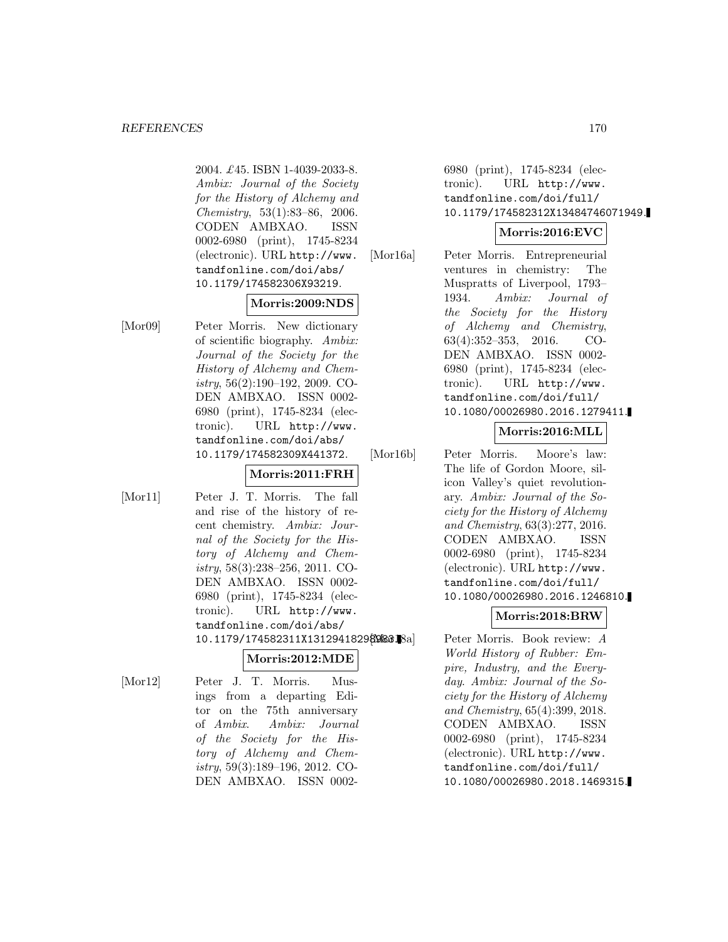2004. £45. ISBN 1-4039-2033-8. Ambix: Journal of the Society for the History of Alchemy and Chemistry, 53(1):83–86, 2006. CODEN AMBXAO. ISSN 0002-6980 (print), 1745-8234 (electronic). URL http://www. tandfonline.com/doi/abs/ 10.1179/174582306X93219.

## **Morris:2009:NDS**

[Mor09] Peter Morris. New dictionary of scientific biography. Ambix: Journal of the Society for the History of Alchemy and Chemistry, 56(2):190–192, 2009. CO-DEN AMBXAO. ISSN 0002- 6980 (print), 1745-8234 (electronic). URL http://www. tandfonline.com/doi/abs/ 10.1179/174582309X441372.

# **Morris:2011:FRH**

[Mor11] Peter J. T. Morris. The fall and rise of the history of recent chemistry. Ambix: Journal of the Society for the History of Alchemy and Chemistry, 58(3):238–256, 2011. CO-DEN AMBXAO. ISSN 0002- 6980 (print), 1745-8234 (electronic). URL http://www. tandfonline.com/doi/abs/ 10.1179/174582311X131294182989883.8a

#### **Morris:2012:MDE**

[Mor12] Peter J. T. Morris. Musings from a departing Editor on the 75th anniversary of Ambix. Ambix: Journal of the Society for the History of Alchemy and Chemistry, 59(3):189–196, 2012. CO-DEN AMBXAO. ISSN 00026980 (print), 1745-8234 (electronic). URL http://www. tandfonline.com/doi/full/ 10.1179/174582312X13484746071949.

## **Morris:2016:EVC**

[Mor16a] Peter Morris. Entrepreneurial ventures in chemistry: The Muspratts of Liverpool, 1793– 1934. Ambix: Journal of the Society for the History of Alchemy and Chemistry, 63(4):352–353, 2016. CO-DEN AMBXAO. ISSN 0002- 6980 (print), 1745-8234 (electronic). URL http://www. tandfonline.com/doi/full/ 10.1080/00026980.2016.1279411.

## **Morris:2016:MLL**

[Mor16b] Peter Morris. Moore's law: The life of Gordon Moore, silicon Valley's quiet revolutionary. Ambix: Journal of the Society for the History of Alchemy and Chemistry, 63(3):277, 2016. CODEN AMBXAO. ISSN 0002-6980 (print), 1745-8234 (electronic). URL http://www. tandfonline.com/doi/full/ 10.1080/00026980.2016.1246810.

## **Morris:2018:BRW**

Peter Morris. Book review: A World History of Rubber: Empire, Industry, and the Everyday. Ambix: Journal of the Society for the History of Alchemy and Chemistry, 65(4):399, 2018. CODEN AMBXAO. ISSN 0002-6980 (print), 1745-8234 (electronic). URL http://www. tandfonline.com/doi/full/ 10.1080/00026980.2018.1469315.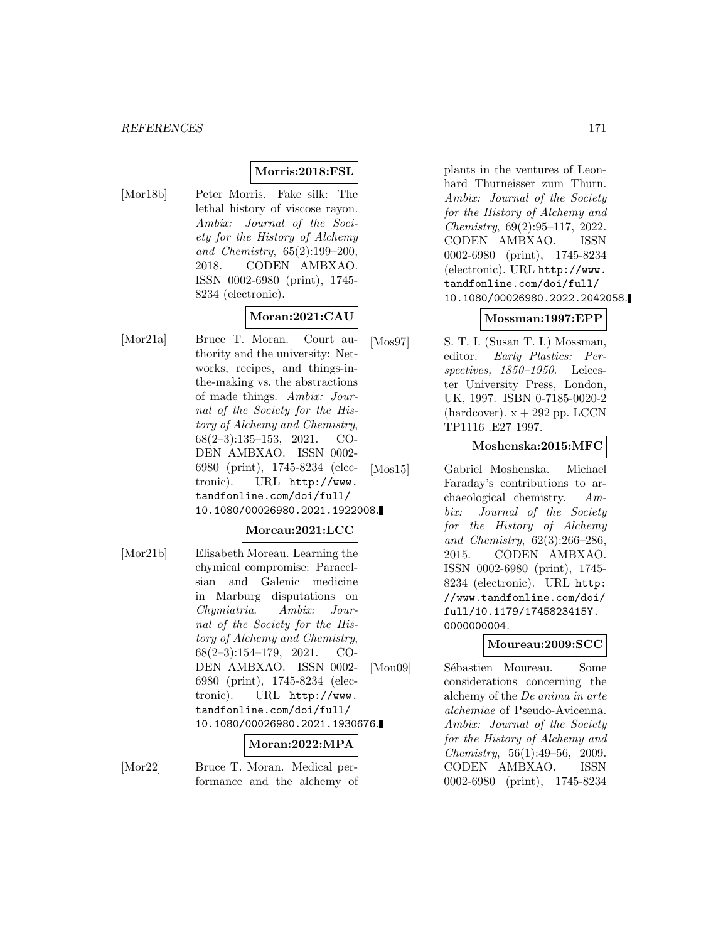## **Morris:2018:FSL**

[Mor18b] Peter Morris. Fake silk: The lethal history of viscose rayon. Ambix: Journal of the Society for the History of Alchemy and Chemistry, 65(2):199–200, 2018. CODEN AMBXAO. ISSN 0002-6980 (print), 1745- 8234 (electronic).

# **Moran:2021:CAU**

[Mor21a] Bruce T. Moran. Court authority and the university: Networks, recipes, and things-inthe-making vs. the abstractions of made things. Ambix: Journal of the Society for the History of Alchemy and Chemistry, 68(2–3):135–153, 2021. CO-DEN AMBXAO. ISSN 0002- 6980 (print), 1745-8234 (electronic). URL http://www. tandfonline.com/doi/full/ 10.1080/00026980.2021.1922008.

#### **Moreau:2021:LCC**

[Mor21b] Elisabeth Moreau. Learning the chymical compromise: Paracelsian and Galenic medicine in Marburg disputations on Chymiatria. Ambix: Journal of the Society for the History of Alchemy and Chemistry, 68(2–3):154–179, 2021. CO-DEN AMBXAO. ISSN 0002- 6980 (print), 1745-8234 (electronic). URL http://www. tandfonline.com/doi/full/ 10.1080/00026980.2021.1930676.

#### **Moran:2022:MPA**

[Mor22] Bruce T. Moran. Medical performance and the alchemy of plants in the ventures of Leonhard Thurneisser zum Thurn. Ambix: Journal of the Society for the History of Alchemy and Chemistry, 69(2):95–117, 2022. CODEN AMBXAO. ISSN 0002-6980 (print), 1745-8234 (electronic). URL http://www. tandfonline.com/doi/full/ 10.1080/00026980.2022.2042058.

## **Mossman:1997:EPP**

[Mos97] S. T. I. (Susan T. I.) Mossman, editor. Early Plastics: Perspectives, 1850–1950. Leicester University Press, London, UK, 1997. ISBN 0-7185-0020-2 (hardcover).  $x + 292$  pp. LCCN TP1116 .E27 1997.

#### **Moshenska:2015:MFC**

[Mos15] Gabriel Moshenska. Michael Faraday's contributions to archaeological chemistry. Ambix: Journal of the Society for the History of Alchemy and Chemistry, 62(3):266–286, 2015. CODEN AMBXAO. ISSN 0002-6980 (print), 1745- 8234 (electronic). URL http: //www.tandfonline.com/doi/ full/10.1179/1745823415Y. 0000000004.

#### **Moureau:2009:SCC**

[Mou09] Sébastien Moureau. Some considerations concerning the alchemy of the De anima in arte alchemiae of Pseudo-Avicenna. Ambix: Journal of the Society for the History of Alchemy and Chemistry, 56(1):49–56, 2009. CODEN AMBXAO. ISSN 0002-6980 (print), 1745-8234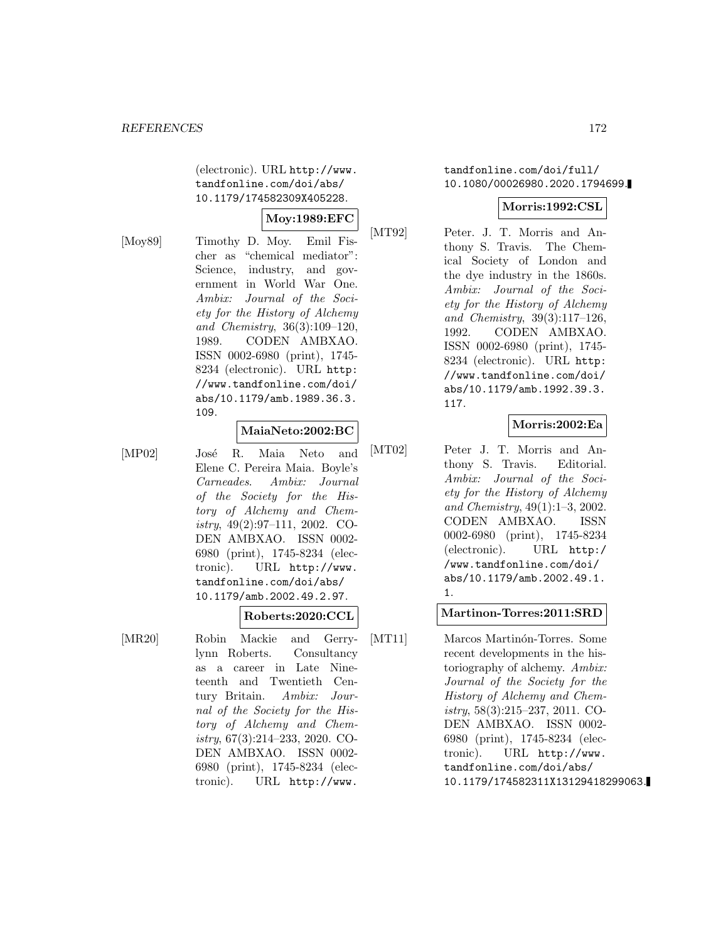(electronic). URL http://www. tandfonline.com/doi/abs/ 10.1179/174582309X405228.

## **Moy:1989:EFC**

[Moy89] Timothy D. Moy. Emil Fischer as "chemical mediator": Science, industry, and government in World War One. Ambix: Journal of the Society for the History of Alchemy and Chemistry, 36(3):109–120, 1989. CODEN AMBXAO. ISSN 0002-6980 (print), 1745- 8234 (electronic). URL http: //www.tandfonline.com/doi/ abs/10.1179/amb.1989.36.3. 109.

#### **MaiaNeto:2002:BC**

[MP02] José R. Maia Neto and Elene C. Pereira Maia. Boyle's Carneades. Ambix: Journal of the Society for the History of Alchemy and Chemistry, 49(2):97–111, 2002. CO-DEN AMBXAO. ISSN 0002- 6980 (print), 1745-8234 (electronic). URL http://www. tandfonline.com/doi/abs/ 10.1179/amb.2002.49.2.97.

#### **Roberts:2020:CCL**

[MR20] Robin Mackie and Gerrylynn Roberts. Consultancy as a career in Late Nineteenth and Twentieth Century Britain. Ambix: Journal of the Society for the History of Alchemy and Chemistry, 67(3):214–233, 2020. CO-DEN AMBXAO. ISSN 0002- 6980 (print), 1745-8234 (electronic). URL http://www.

tandfonline.com/doi/full/ 10.1080/00026980.2020.1794699.

#### **Morris:1992:CSL**

[MT92] Peter. J. T. Morris and Anthony S. Travis. The Chemical Society of London and the dye industry in the 1860s. Ambix: Journal of the Society for the History of Alchemy and Chemistry, 39(3):117–126, 1992. CODEN AMBXAO. ISSN 0002-6980 (print), 1745- 8234 (electronic). URL http: //www.tandfonline.com/doi/ abs/10.1179/amb.1992.39.3. 117.

## **Morris:2002:Ea**

[MT02] Peter J. T. Morris and Anthony S. Travis. Editorial. Ambix: Journal of the Society for the History of Alchemy and Chemistry, 49(1):1–3, 2002. CODEN AMBXAO. ISSN 0002-6980 (print), 1745-8234 (electronic). URL http:/ /www.tandfonline.com/doi/ abs/10.1179/amb.2002.49.1. 1.

## **Martinon-Torres:2011:SRD**

[MT11] Marcos Martinón-Torres. Some recent developments in the historiography of alchemy. Ambix: Journal of the Society for the History of Alchemy and Chemistry, 58(3):215–237, 2011. CO-DEN AMBXAO. ISSN 0002- 6980 (print), 1745-8234 (electronic). URL http://www. tandfonline.com/doi/abs/ 10.1179/174582311X13129418299063.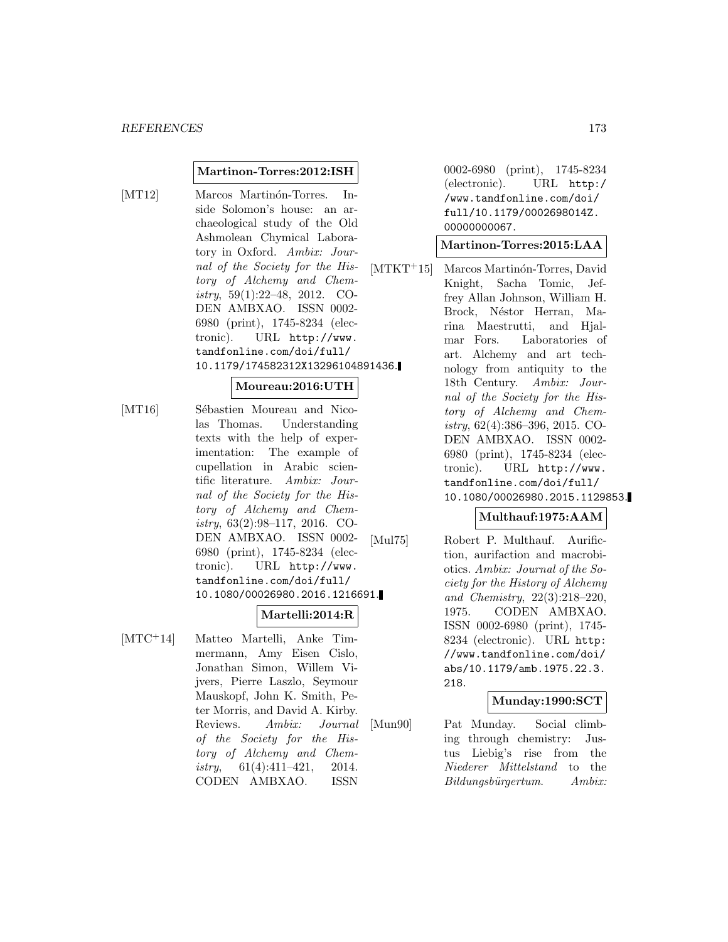#### **Martinon-Torres:2012:ISH**

[MT12] Marcos Martinón-Torres. Inside Solomon's house: an archaeological study of the Old Ashmolean Chymical Laboratory in Oxford. Ambix: Journal of the Society for the History of Alchemy and Chemistry, 59(1):22–48, 2012. CO-DEN AMBXAO. ISSN 0002- 6980 (print), 1745-8234 (electronic). URL http://www. tandfonline.com/doi/full/ 10.1179/174582312X13296104891436.

## **Moureau:2016:UTH**

[MT16] Sébastien Moureau and Nicolas Thomas. Understanding texts with the help of experimentation: The example of cupellation in Arabic scientific literature. Ambix: Journal of the Society for the History of Alchemy and Chemistry, 63(2):98–117, 2016. CO-DEN AMBXAO. ISSN 0002- 6980 (print), 1745-8234 (electronic). URL http://www. tandfonline.com/doi/full/ 10.1080/00026980.2016.1216691.

#### **Martelli:2014:R**

[MTC<sup>+</sup>14] Matteo Martelli, Anke Timmermann, Amy Eisen Cislo, Jonathan Simon, Willem Vijvers, Pierre Laszlo, Seymour Mauskopf, John K. Smith, Peter Morris, and David A. Kirby. Reviews. Ambix: Journal of the Society for the History of Alchemy and Chemistry, 61(4):411–421, 2014. CODEN AMBXAO. ISSN

0002-6980 (print), 1745-8234 (electronic). URL http:/ /www.tandfonline.com/doi/ full/10.1179/0002698014Z. 00000000067.

#### **Martinon-Torres:2015:LAA**

[MTKT<sup>+</sup>15] Marcos Martinón-Torres, David Knight, Sacha Tomic, Jeffrey Allan Johnson, William H. Brock, Néstor Herran, Marina Maestrutti, and Hjalmar Fors. Laboratories of art. Alchemy and art technology from antiquity to the 18th Century. Ambix: Journal of the Society for the History of Alchemy and Chemistry, 62(4):386–396, 2015. CO-DEN AMBXAO. ISSN 0002- 6980 (print), 1745-8234 (electronic). URL http://www. tandfonline.com/doi/full/ 10.1080/00026980.2015.1129853.

#### **Multhauf:1975:AAM**

[Mul75] Robert P. Multhauf. Aurifiction, aurifaction and macrobiotics. Ambix: Journal of the Society for the History of Alchemy and Chemistry, 22(3):218–220, 1975. CODEN AMBXAO. ISSN 0002-6980 (print), 1745- 8234 (electronic). URL http: //www.tandfonline.com/doi/ abs/10.1179/amb.1975.22.3. 218.

#### **Munday:1990:SCT**

[Mun90] Pat Munday. Social climbing through chemistry: Justus Liebig's rise from the Niederer Mittelstand to the Bildungsbürgertum. Ambix: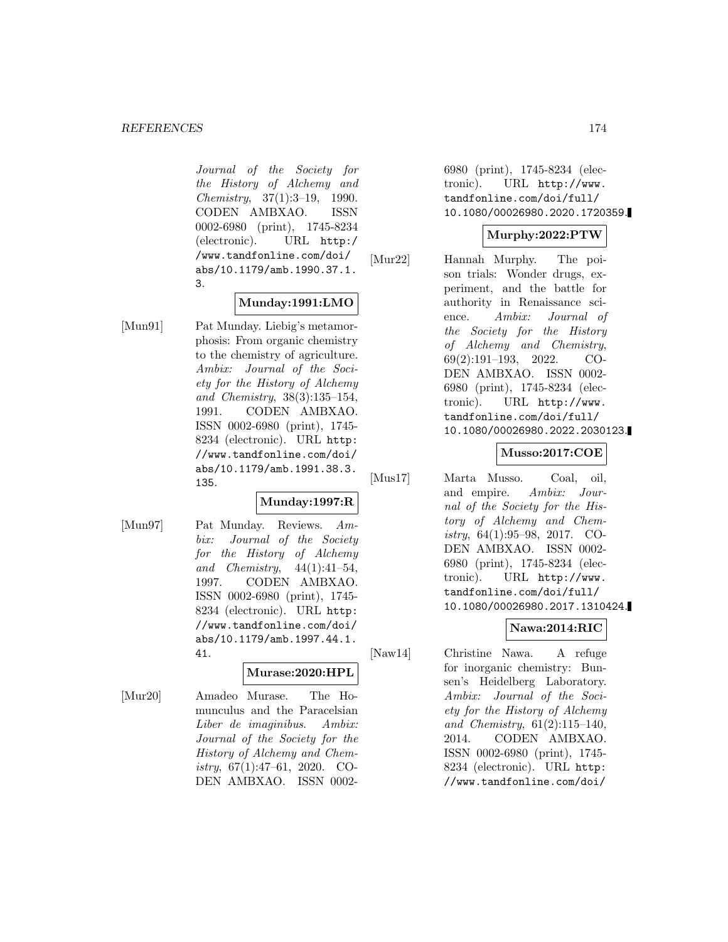Journal of the Society for the History of Alchemy and Chemistry, 37(1):3–19, 1990. CODEN AMBXAO. ISSN 0002-6980 (print), 1745-8234 (electronic). URL http:/ /www.tandfonline.com/doi/ abs/10.1179/amb.1990.37.1. 3.

## **Munday:1991:LMO**

[Mun91] Pat Munday. Liebig's metamorphosis: From organic chemistry to the chemistry of agriculture. Ambix: Journal of the Society for the History of Alchemy and Chemistry, 38(3):135–154, 1991. CODEN AMBXAO. ISSN 0002-6980 (print), 1745- 8234 (electronic). URL http: //www.tandfonline.com/doi/ abs/10.1179/amb.1991.38.3. 135.

#### **Munday:1997:R**

- 
- [Mun97] Pat Munday. Reviews. Ambix: Journal of the Society for the History of Alchemy and Chemistry,  $44(1):41-54$ , 1997. CODEN AMBXAO. ISSN 0002-6980 (print), 1745- 8234 (electronic). URL http: //www.tandfonline.com/doi/ abs/10.1179/amb.1997.44.1. 41.

## **Murase:2020:HPL**

[Mur20] Amadeo Murase. The Homunculus and the Paracelsian Liber de imaginibus. Ambix: Journal of the Society for the History of Alchemy and Chemistry, 67(1):47–61, 2020. CO-DEN AMBXAO. ISSN 00026980 (print), 1745-8234 (electronic). URL http://www. tandfonline.com/doi/full/ 10.1080/00026980.2020.1720359.

## **Murphy:2022:PTW**

[Mur22] Hannah Murphy. The poison trials: Wonder drugs, experiment, and the battle for authority in Renaissance science. Ambix: Journal of the Society for the History of Alchemy and Chemistry, 69(2):191–193, 2022. CO-DEN AMBXAO. ISSN 0002- 6980 (print), 1745-8234 (electronic). URL http://www. tandfonline.com/doi/full/ 10.1080/00026980.2022.2030123.

## **Musso:2017:COE**

[Mus17] Marta Musso. Coal, oil, and empire. Ambix: Journal of the Society for the History of Alchemy and Chemistry, 64(1):95–98, 2017. CO-DEN AMBXAO. ISSN 0002- 6980 (print), 1745-8234 (electronic). URL http://www. tandfonline.com/doi/full/ 10.1080/00026980.2017.1310424.

# **Nawa:2014:RIC**

[Naw14] Christine Nawa. A refuge for inorganic chemistry: Bunsen's Heidelberg Laboratory. Ambix: Journal of the Society for the History of Alchemy and Chemistry, 61(2):115–140, 2014. CODEN AMBXAO. ISSN 0002-6980 (print), 1745- 8234 (electronic). URL http: //www.tandfonline.com/doi/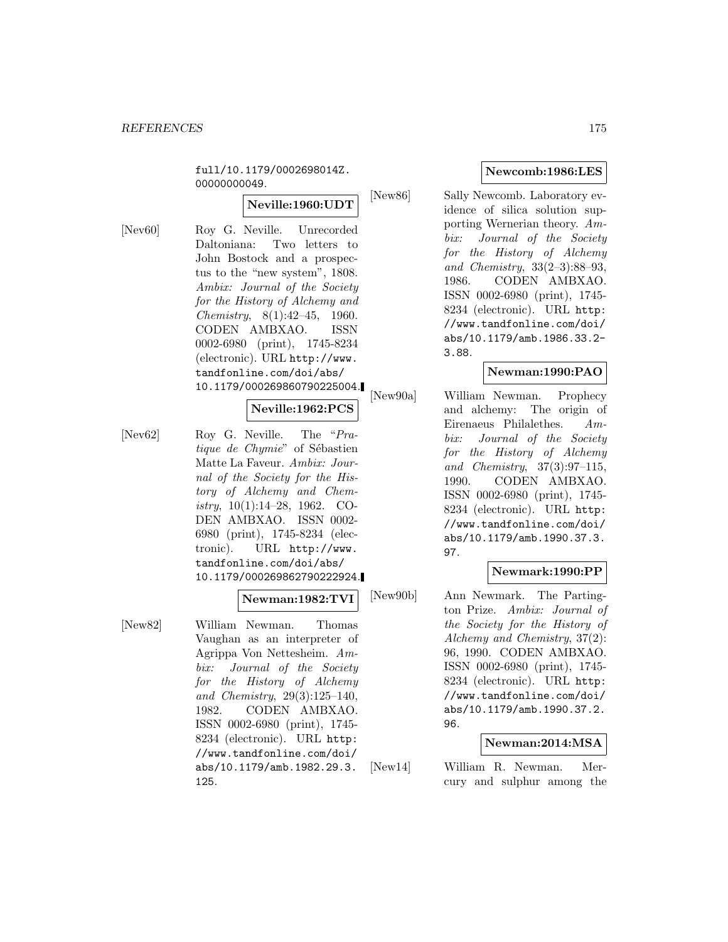full/10.1179/0002698014Z. 00000000049.

## **Neville:1960:UDT**

[Nev60] Roy G. Neville. Unrecorded Daltoniana: Two letters to John Bostock and a prospectus to the "new system", 1808. Ambix: Journal of the Society for the History of Alchemy and Chemistry, 8(1):42–45, 1960. CODEN AMBXAO. ISSN 0002-6980 (print), 1745-8234 (electronic). URL http://www. tandfonline.com/doi/abs/ 10.1179/000269860790225004.

#### **Neville:1962:PCS**

[Nev62] Roy G. Neville. The "Pratique de Chymie" of Sébastien Matte La Faveur. Ambix: Journal of the Society for the History of Alchemy and Chemistry,  $10(1)$ :14-28, 1962. CO-DEN AMBXAO. ISSN 0002- 6980 (print), 1745-8234 (electronic). URL http://www. tandfonline.com/doi/abs/ 10.1179/000269862790222924.

#### **Newman:1982:TVI**

[New82] William Newman. Thomas Vaughan as an interpreter of Agrippa Von Nettesheim. Ambix: Journal of the Society for the History of Alchemy and Chemistry, 29(3):125–140, 1982. CODEN AMBXAO. ISSN 0002-6980 (print), 1745- 8234 (electronic). URL http: //www.tandfonline.com/doi/ abs/10.1179/amb.1982.29.3. 125.

## **Newcomb:1986:LES**

[New86] Sally Newcomb. Laboratory evidence of silica solution supporting Wernerian theory. Ambix: Journal of the Society for the History of Alchemy and Chemistry, 33(2–3):88–93, 1986. CODEN AMBXAO. ISSN 0002-6980 (print), 1745- 8234 (electronic). URL http: //www.tandfonline.com/doi/ abs/10.1179/amb.1986.33.2- 3.88.

## **Newman:1990:PAO**

[New90a] William Newman. Prophecy and alchemy: The origin of Eirenaeus Philalethes. Ambix: Journal of the Society for the History of Alchemy and Chemistry, 37(3):97–115, 1990. CODEN AMBXAO. ISSN 0002-6980 (print), 1745- 8234 (electronic). URL http: //www.tandfonline.com/doi/ abs/10.1179/amb.1990.37.3. 97.

## **Newmark:1990:PP**

[New90b] Ann Newmark. The Partington Prize. Ambix: Journal of the Society for the History of Alchemy and Chemistry, 37(2): 96, 1990. CODEN AMBXAO. ISSN 0002-6980 (print), 1745- 8234 (electronic). URL http: //www.tandfonline.com/doi/ abs/10.1179/amb.1990.37.2. 96.

#### **Newman:2014:MSA**

[New14] William R. Newman. Mercury and sulphur among the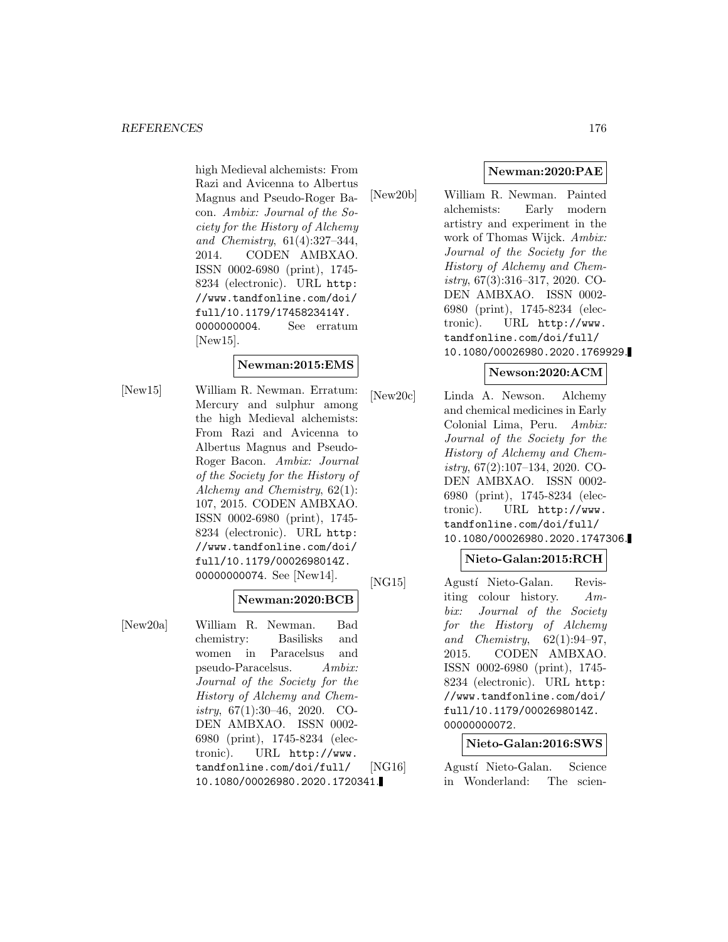high Medieval alchemists: From Razi and Avicenna to Albertus Magnus and Pseudo-Roger Bacon. Ambix: Journal of the Society for the History of Alchemy and Chemistry, 61(4):327–344, 2014. CODEN AMBXAO. ISSN 0002-6980 (print), 1745- 8234 (electronic). URL http: //www.tandfonline.com/doi/ full/10.1179/1745823414Y. 0000000004. See erratum [New15].

## **Newman:2015:EMS**

[New15] William R. Newman. Erratum: Mercury and sulphur among the high Medieval alchemists: From Razi and Avicenna to Albertus Magnus and Pseudo-Roger Bacon. Ambix: Journal of the Society for the History of Alchemy and Chemistry, 62(1): 107, 2015. CODEN AMBXAO. ISSN 0002-6980 (print), 1745- 8234 (electronic). URL http: //www.tandfonline.com/doi/ full/10.1179/0002698014Z. 00000000074. See [New14].

#### **Newman:2020:BCB**

[New20a] William R. Newman. Bad chemistry: Basilisks and women in Paracelsus and pseudo-Paracelsus. Ambix: Journal of the Society for the History of Alchemy and Chemistry, 67(1):30–46, 2020. CO-DEN AMBXAO. ISSN 0002- 6980 (print), 1745-8234 (electronic). URL http://www. tandfonline.com/doi/full/ 10.1080/00026980.2020.1720341.

#### **Newman:2020:PAE**

[New20b] William R. Newman. Painted alchemists: Early modern artistry and experiment in the work of Thomas Wijck. Ambix: Journal of the Society for the History of Alchemy and Chemistry, 67(3):316–317, 2020. CO-DEN AMBXAO. ISSN 0002- 6980 (print), 1745-8234 (electronic). URL http://www. tandfonline.com/doi/full/ 10.1080/00026980.2020.1769929.

## **Newson:2020:ACM**

[New20c] Linda A. Newson. Alchemy and chemical medicines in Early Colonial Lima, Peru. Ambix: Journal of the Society for the History of Alchemy and Chemistry, 67(2):107–134, 2020. CO-DEN AMBXAO. ISSN 0002- 6980 (print), 1745-8234 (electronic). URL http://www. tandfonline.com/doi/full/ 10.1080/00026980.2020.1747306.

## **Nieto-Galan:2015:RCH**

[NG15] Agustí Nieto-Galan. Revisiting colour history. Ambix: Journal of the Society for the History of Alchemy and Chemistry,  $62(1):94-97$ , 2015. CODEN AMBXAO. ISSN 0002-6980 (print), 1745- 8234 (electronic). URL http: //www.tandfonline.com/doi/ full/10.1179/0002698014Z. 00000000072.

#### **Nieto-Galan:2016:SWS**

[NG16] Agustí Nieto-Galan. Science in Wonderland: The scien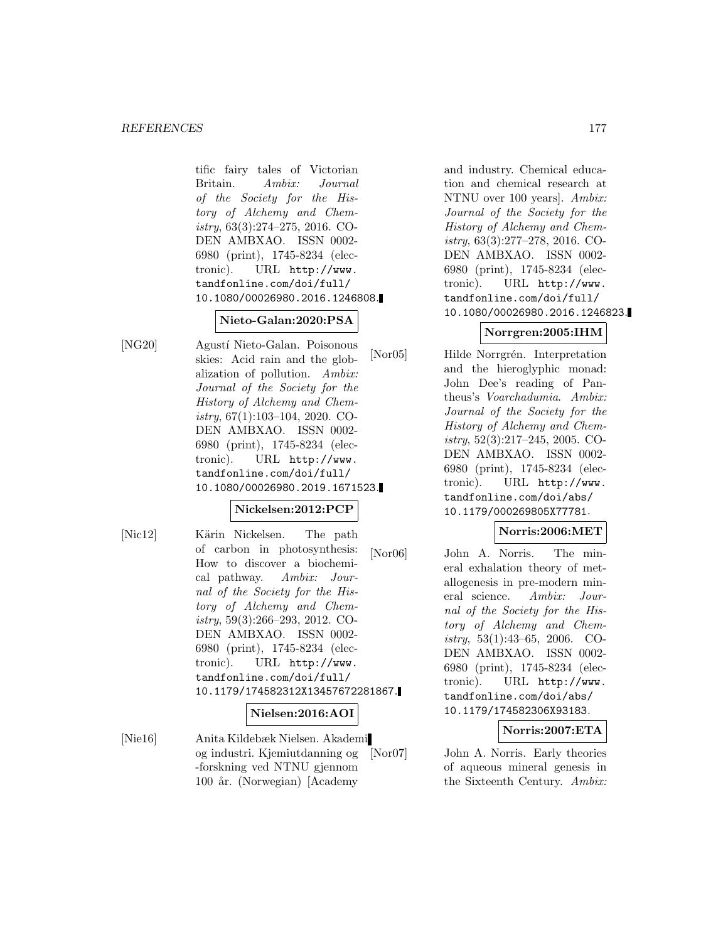tific fairy tales of Victorian Britain. Ambix: Journal of the Society for the History of Alchemy and Chemistry, 63(3):274–275, 2016. CO-DEN AMBXAO. ISSN 0002- 6980 (print), 1745-8234 (electronic). URL http://www. tandfonline.com/doi/full/ 10.1080/00026980.2016.1246808.

## **Nieto-Galan:2020:PSA**

[NG20] Agustí Nieto-Galan. Poisonous skies: Acid rain and the globalization of pollution. Ambix: Journal of the Society for the History of Alchemy and Chem $istry, 67(1):103-104, 2020. CO-$ DEN AMBXAO. ISSN 0002- 6980 (print), 1745-8234 (electronic). URL http://www. tandfonline.com/doi/full/ 10.1080/00026980.2019.1671523.

# **Nickelsen:2012:PCP**

[Nic12] Kärin Nickelsen. The path of carbon in photosynthesis: How to discover a biochemical pathway. Ambix: Journal of the Society for the History of Alchemy and Chemistry, 59(3):266–293, 2012. CO-DEN AMBXAO. ISSN 0002- 6980 (print), 1745-8234 (electronic). URL http://www. tandfonline.com/doi/full/ 10.1179/174582312X13457672281867.

## **Nielsen:2016:AOI**

[Nie16] Anita Kildebæk Nielsen. Akademi og industri. Kjemiutdanning og -forskning ved NTNU gjennom 100 år. (Norwegian) [Academy

and industry. Chemical education and chemical research at NTNU over 100 years]. Ambix: Journal of the Society for the History of Alchemy and Chemistry, 63(3):277–278, 2016. CO-DEN AMBXAO. ISSN 0002- 6980 (print), 1745-8234 (electronic). URL http://www. tandfonline.com/doi/full/ 10.1080/00026980.2016.1246823.

## **Norrgren:2005:IHM**

[Nor05] Hilde Norrgrén. Interpretation and the hieroglyphic monad: John Dee's reading of Pantheus's Voarchadumia. Ambix: Journal of the Society for the History of Alchemy and Chemistry, 52(3):217–245, 2005. CO-DEN AMBXAO. ISSN 0002- 6980 (print), 1745-8234 (electronic). URL http://www. tandfonline.com/doi/abs/ 10.1179/000269805X77781.

## **Norris:2006:MET**

[Nor06] John A. Norris. The mineral exhalation theory of metallogenesis in pre-modern mineral science. Ambix: Journal of the Society for the History of Alchemy and Chemistry, 53(1):43–65, 2006. CO-DEN AMBXAO. ISSN 0002- 6980 (print), 1745-8234 (electronic). URL http://www. tandfonline.com/doi/abs/ 10.1179/174582306X93183.

## **Norris:2007:ETA**

[Nor07] John A. Norris. Early theories of aqueous mineral genesis in the Sixteenth Century. Ambix: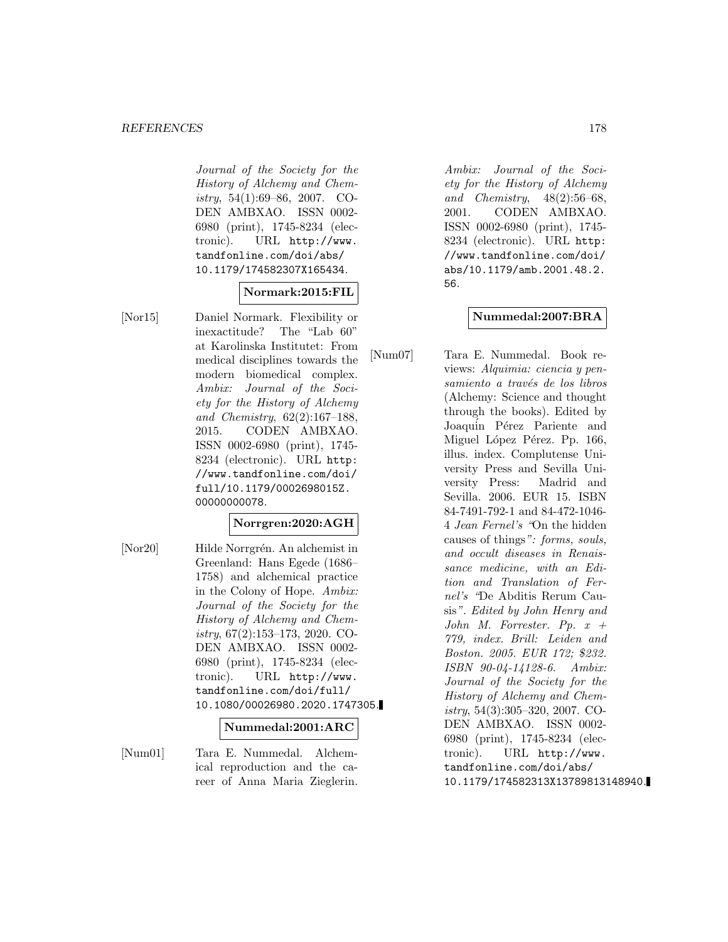#### *REFERENCES* 178

Journal of the Society for the History of Alchemy and Chemistry,  $54(1):69-86$ ,  $2007$ . CO-DEN AMBXAO. ISSN 0002- 6980 (print), 1745-8234 (electronic). URL http://www. tandfonline.com/doi/abs/ 10.1179/174582307X165434.

#### **Normark:2015:FIL**

[Nor15] Daniel Normark. Flexibility or inexactitude? The "Lab 60" at Karolinska Institutet: From medical disciplines towards the modern biomedical complex. Ambix: Journal of the Society for the History of Alchemy and Chemistry, 62(2):167–188, 2015. CODEN AMBXAO. ISSN 0002-6980 (print), 1745- 8234 (electronic). URL http: //www.tandfonline.com/doi/ full/10.1179/0002698015Z. 00000000078.

#### **Norrgren:2020:AGH**

[Nor20] Hilde Norrgrén. An alchemist in Greenland: Hans Egede (1686– 1758) and alchemical practice in the Colony of Hope. Ambix: Journal of the Society for the History of Alchemy and Chemistry, 67(2):153–173, 2020. CO-DEN AMBXAO. ISSN 0002- 6980 (print), 1745-8234 (electronic). URL http://www. tandfonline.com/doi/full/ 10.1080/00026980.2020.1747305.

#### **Nummedal:2001:ARC**

[Num01] Tara E. Nummedal. Alchemical reproduction and the career of Anna Maria Zieglerin.

Ambix: Journal of the Society for the History of Alchemy and Chemistry, 48(2):56–68, 2001. CODEN AMBXAO. ISSN 0002-6980 (print), 1745- 8234 (electronic). URL http: //www.tandfonline.com/doi/ abs/10.1179/amb.2001.48.2. 56.

## **Nummedal:2007:BRA**

[Num07] Tara E. Nummedal. Book reviews: Alquimia: ciencia y pensamiento a través de los libros (Alchemy: Science and thought through the books). Edited by Joaquin Pérez Pariente and Miguel López Pérez. Pp. 166, illus. index. Complutense University Press and Sevilla University Press: Madrid and Sevilla. 2006. EUR 15. ISBN 84-7491-792-1 and 84-472-1046- 4 Jean Fernel's "On the hidden causes of things": forms, souls, and occult diseases in Renaissance medicine, with an Edition and Translation of Fernel's "De Abditis Rerum Causis". Edited by John Henry and John M. Forrester. Pp.  $x +$ 779, index. Brill: Leiden and Boston. 2005. EUR 172; *\$*232. ISBN 90-04-14128-6. Ambix: Journal of the Society for the History of Alchemy and Chemistry, 54(3):305–320, 2007. CO-DEN AMBXAO. ISSN 0002- 6980 (print), 1745-8234 (electronic). URL http://www. tandfonline.com/doi/abs/ 10.1179/174582313X13789813148940.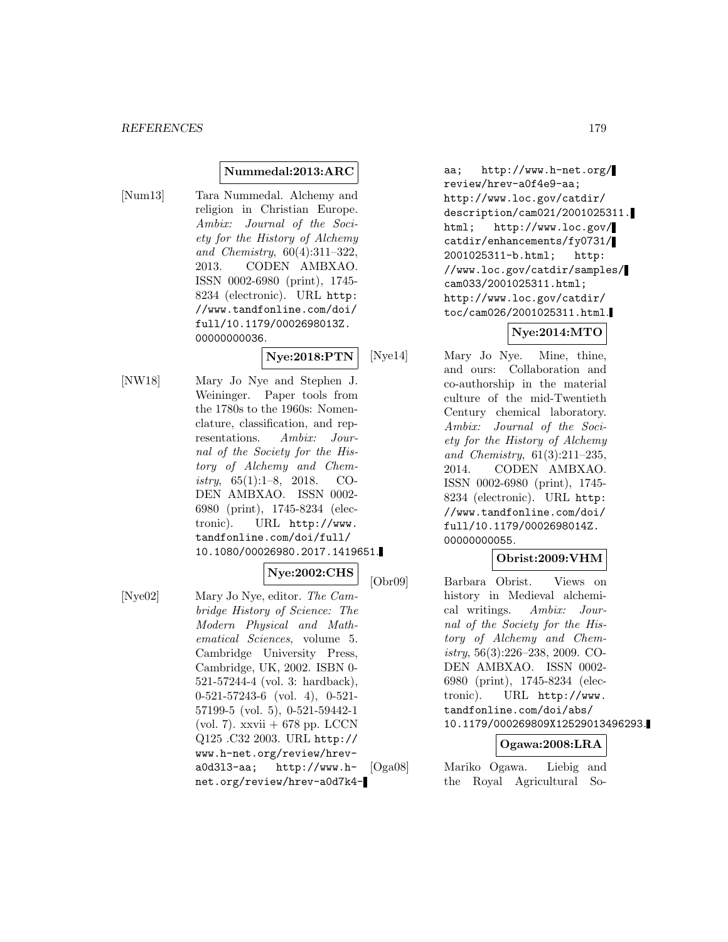#### **Nummedal:2013:ARC**

[Num13] Tara Nummedal. Alchemy and religion in Christian Europe. Ambix: Journal of the Society for the History of Alchemy and Chemistry, 60(4):311–322, 2013. CODEN AMBXAO. ISSN 0002-6980 (print), 1745- 8234 (electronic). URL http: //www.tandfonline.com/doi/ full/10.1179/0002698013Z. 00000000036.

#### **Nye:2018:PTN**

[NW18] Mary Jo Nye and Stephen J. Weininger. Paper tools from the 1780s to the 1960s: Nomenclature, classification, and representations. Ambix: Journal of the Society for the History of Alchemy and Chemistry,  $65(1):1-8$ , 2018. CO-DEN AMBXAO. ISSN 0002- 6980 (print), 1745-8234 (electronic). URL http://www. tandfonline.com/doi/full/ 10.1080/00026980.2017.1419651.

## **Nye:2002:CHS**

[Nye02] Mary Jo Nye, editor. The Cambridge History of Science: The Modern Physical and Mathematical Sciences, volume 5. Cambridge University Press, Cambridge, UK, 2002. ISBN 0- 521-57244-4 (vol. 3: hardback), 0-521-57243-6 (vol. 4), 0-521- 57199-5 (vol. 5), 0-521-59442-1 (vol. 7). xxvii  $+$  678 pp. LCCN Q125 .C32 2003. URL http:// www.h-net.org/review/hreva0d3l3-aa; http://www.hnet.org/review/hrev-a0d7k4aa; http://www.h-net.org/ review/hrev-a0f4e9-aa; http://www.loc.gov/catdir/ description/cam021/2001025311. html; http://www.loc.gov/ catdir/enhancements/fy0731/ 2001025311-b.html; http: //www.loc.gov/catdir/samples/ cam033/2001025311.html; http://www.loc.gov/catdir/ toc/cam026/2001025311.html.

## **Nye:2014:MTO**

[Nye14] Mary Jo Nye. Mine, thine, and ours: Collaboration and co-authorship in the material culture of the mid-Twentieth Century chemical laboratory. Ambix: Journal of the Society for the History of Alchemy and Chemistry, 61(3):211–235, 2014. CODEN AMBXAO. ISSN 0002-6980 (print), 1745- 8234 (electronic). URL http: //www.tandfonline.com/doi/ full/10.1179/0002698014Z. 00000000055.

## **Obrist:2009:VHM**

[Obr09] Barbara Obrist. Views on history in Medieval alchemical writings. Ambix: Journal of the Society for the History of Alchemy and Chemistry, 56(3):226–238, 2009. CO-DEN AMBXAO. ISSN 0002- 6980 (print), 1745-8234 (electronic). URL http://www. tandfonline.com/doi/abs/ 10.1179/000269809X12529013496293.

# **Ogawa:2008:LRA**

[Oga08] Mariko Ogawa. Liebig and the Royal Agricultural So-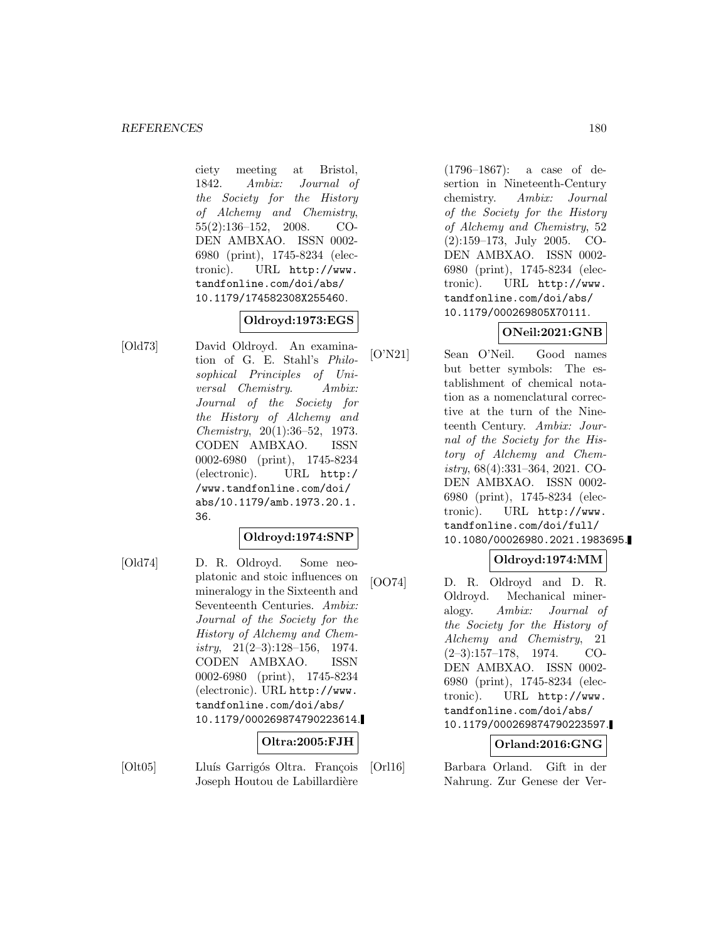ciety meeting at Bristol, 1842. Ambix: Journal of the Society for the History of Alchemy and Chemistry, 55(2):136–152, 2008. CO-DEN AMBXAO. ISSN 0002- 6980 (print), 1745-8234 (electronic). URL http://www. tandfonline.com/doi/abs/ 10.1179/174582308X255460.

# **Oldroyd:1973:EGS**

[Old73] David Oldroyd. An examination of G. E. Stahl's Philosophical Principles of Universal Chemistry. Ambix: Journal of the Society for the History of Alchemy and Chemistry, 20(1):36–52, 1973. CODEN AMBXAO. ISSN 0002-6980 (print), 1745-8234 (electronic). URL http:/ /www.tandfonline.com/doi/ abs/10.1179/amb.1973.20.1. 36.

#### **Oldroyd:1974:SNP**

[Old74] D. R. Oldroyd. Some neoplatonic and stoic influences on mineralogy in the Sixteenth and Seventeenth Centuries. Ambix: Journal of the Society for the History of Alchemy and Chemistry,  $21(2-3):128-156$ , 1974. CODEN AMBXAO. ISSN 0002-6980 (print), 1745-8234 (electronic). URL http://www. tandfonline.com/doi/abs/ 10.1179/000269874790223614.

#### **Oltra:2005:FJH**

[Olt05] Lluís Garrigós Oltra. François Joseph Houtou de Labillardière

(1796–1867): a case of desertion in Nineteenth-Century chemistry. Ambix: Journal of the Society for the History of Alchemy and Chemistry, 52 (2):159–173, July 2005. CO-DEN AMBXAO. ISSN 0002- 6980 (print), 1745-8234 (electronic). URL http://www. tandfonline.com/doi/abs/ 10.1179/000269805X70111.

## **ONeil:2021:GNB**

[O'N21] Sean O'Neil. Good names but better symbols: The establishment of chemical notation as a nomenclatural corrective at the turn of the Nineteenth Century. Ambix: Journal of the Society for the History of Alchemy and Chemistry, 68(4):331–364, 2021. CO-DEN AMBXAO. ISSN 0002- 6980 (print), 1745-8234 (electronic). URL http://www. tandfonline.com/doi/full/ 10.1080/00026980.2021.1983695.

## **Oldroyd:1974:MM**

[OO74] D. R. Oldroyd and D. R. Oldroyd. Mechanical mineralogy. Ambix: Journal of the Society for the History of Alchemy and Chemistry, 21 (2–3):157–178, 1974. CO-DEN AMBXAO. ISSN 0002- 6980 (print), 1745-8234 (electronic). URL http://www. tandfonline.com/doi/abs/ 10.1179/000269874790223597.

## **Orland:2016:GNG**

[Orl16] Barbara Orland. Gift in der Nahrung. Zur Genese der Ver-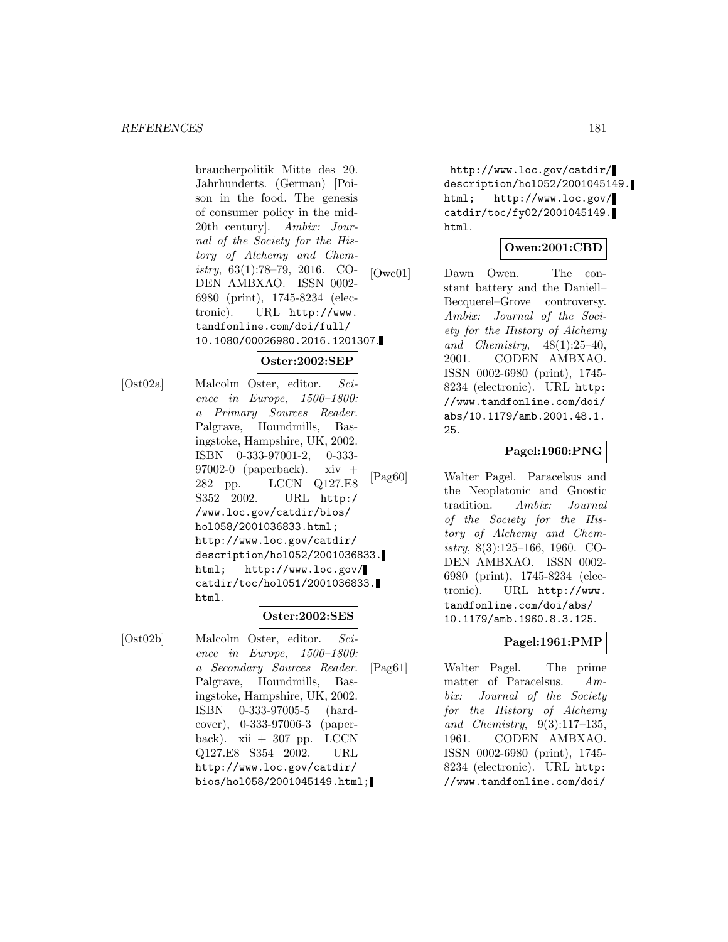braucherpolitik Mitte des 20. Jahrhunderts. (German) [Poison in the food. The genesis of consumer policy in the mid-20th century]. Ambix: Journal of the Society for the History of Alchemy and Chemistry, 63(1):78–79, 2016. CO-DEN AMBXAO. ISSN 0002- 6980 (print), 1745-8234 (electronic). URL http://www. tandfonline.com/doi/full/ 10.1080/00026980.2016.1201307.

## **Oster:2002:SEP**

[Ost02a] Malcolm Oster, editor. Science in Europe, 1500–1800: a Primary Sources Reader. Palgrave, Houndmills, Basingstoke, Hampshire, UK, 2002. ISBN 0-333-97001-2, 0-333- 97002-0 (paperback).  $xiv +$ 282 pp. LCCN Q127.E8 S352 2002. URL http:/ /www.loc.gov/catdir/bios/ hol058/2001036833.html; http://www.loc.gov/catdir/ description/hol052/2001036833. html; http://www.loc.gov/ catdir/toc/hol051/2001036833. html.

## **Oster:2002:SES**

[Ost02b] Malcolm Oster, editor. Science in Europe, 1500–1800: a Secondary Sources Reader. Palgrave, Houndmills, Basingstoke, Hampshire, UK, 2002. ISBN 0-333-97005-5 (hardcover), 0-333-97006-3 (paperback). xii  $+307$  pp. LCCN Q127.E8 S354 2002. URL http://www.loc.gov/catdir/ bios/hol058/2001045149.html;

http://www.loc.gov/catdir/ description/hol052/2001045149. html; http://www.loc.gov/ catdir/toc/fy02/2001045149. html.

## **Owen:2001:CBD**

[Owe01] Dawn Owen. The constant battery and the Daniell– Becquerel–Grove controversy. Ambix: Journal of the Society for the History of Alchemy and Chemistry,  $48(1):25-40$ , 2001. CODEN AMBXAO. ISSN 0002-6980 (print), 1745- 8234 (electronic). URL http: //www.tandfonline.com/doi/ abs/10.1179/amb.2001.48.1. 25.

## **Pagel:1960:PNG**

[Pag60] Walter Pagel. Paracelsus and the Neoplatonic and Gnostic tradition. Ambix: Journal of the Society for the History of Alchemy and Chemistry, 8(3):125–166, 1960. CO-DEN AMBXAO. ISSN 0002- 6980 (print), 1745-8234 (electronic). URL http://www. tandfonline.com/doi/abs/ 10.1179/amb.1960.8.3.125.

#### **Pagel:1961:PMP**

[Pag61] Walter Pagel. The prime matter of Paracelsus. Ambix: Journal of the Society for the History of Alchemy and Chemistry, 9(3):117–135, 1961. CODEN AMBXAO. ISSN 0002-6980 (print), 1745- 8234 (electronic). URL http: //www.tandfonline.com/doi/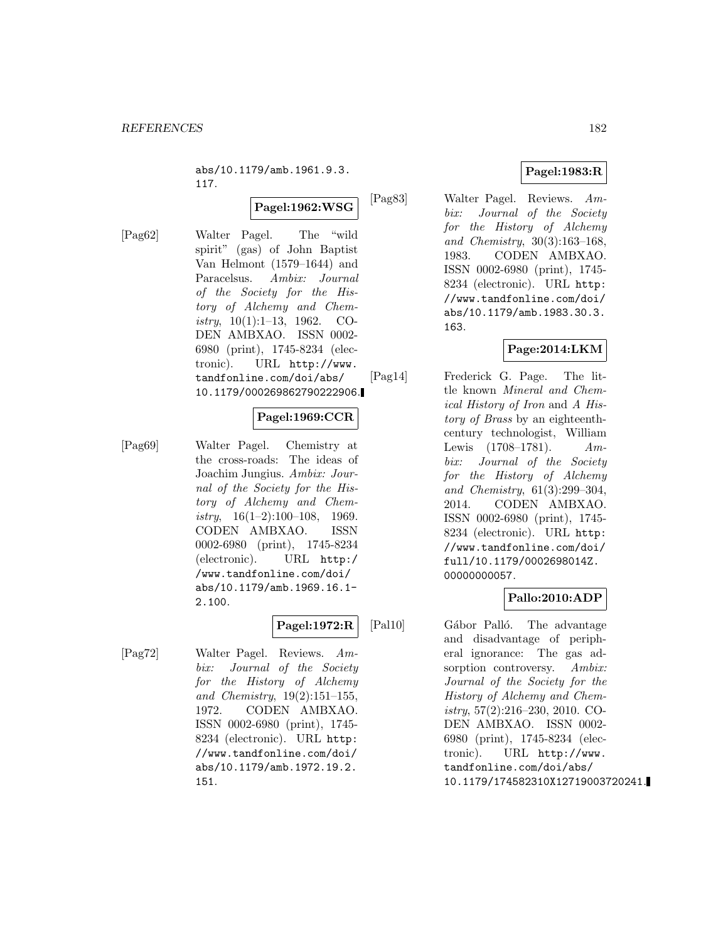abs/10.1179/amb.1961.9.3. 117.

## **Pagel:1962:WSG**

[Pag62] Walter Pagel. The "wild spirit" (gas) of John Baptist Van Helmont (1579–1644) and Paracelsus. Ambix: Journal of the Society for the History of Alchemy and Chemistry, 10(1):1–13, 1962. CO-DEN AMBXAO. ISSN 0002- 6980 (print), 1745-8234 (electronic). URL http://www. tandfonline.com/doi/abs/ 10.1179/000269862790222906.

## **Pagel:1969:CCR**

[Pag69] Walter Pagel. Chemistry at the cross-roads: The ideas of Joachim Jungius. Ambix: Journal of the Society for the History of Alchemy and Chemistry,  $16(1-2):100-108$ , 1969. CODEN AMBXAO. ISSN 0002-6980 (print), 1745-8234 (electronic). URL http:/ /www.tandfonline.com/doi/ abs/10.1179/amb.1969.16.1- 2.100.

#### **Pagel:1972:R**

[Pag72] Walter Pagel. Reviews. Ambix: Journal of the Society for the History of Alchemy and Chemistry, 19(2):151–155, 1972. CODEN AMBXAO. ISSN 0002-6980 (print), 1745- 8234 (electronic). URL http: //www.tandfonline.com/doi/ abs/10.1179/amb.1972.19.2. 151.

## **Pagel:1983:R**

[Pag83] Walter Pagel. Reviews. Ambix: Journal of the Society for the History of Alchemy and Chemistry, 30(3):163–168, 1983. CODEN AMBXAO. ISSN 0002-6980 (print), 1745- 8234 (electronic). URL http: //www.tandfonline.com/doi/ abs/10.1179/amb.1983.30.3. 163.

## **Page:2014:LKM**

[Pag14] Frederick G. Page. The little known Mineral and Chemical History of Iron and A History of Brass by an eighteenthcentury technologist, William Lewis  $(1708-1781)$ . Ambix: Journal of the Society for the History of Alchemy and Chemistry, 61(3):299–304, 2014. CODEN AMBXAO. ISSN 0002-6980 (print), 1745- 8234 (electronic). URL http: //www.tandfonline.com/doi/ full/10.1179/0002698014Z. 00000000057.

## **Pallo:2010:ADP**

[Pal10] Gábor Palló. The advantage and disadvantage of peripheral ignorance: The gas adsorption controversy. Ambix: Journal of the Society for the History of Alchemy and Chemistry, 57(2):216–230, 2010. CO-DEN AMBXAO. ISSN 0002- 6980 (print), 1745-8234 (electronic). URL http://www. tandfonline.com/doi/abs/ 10.1179/174582310X12719003720241.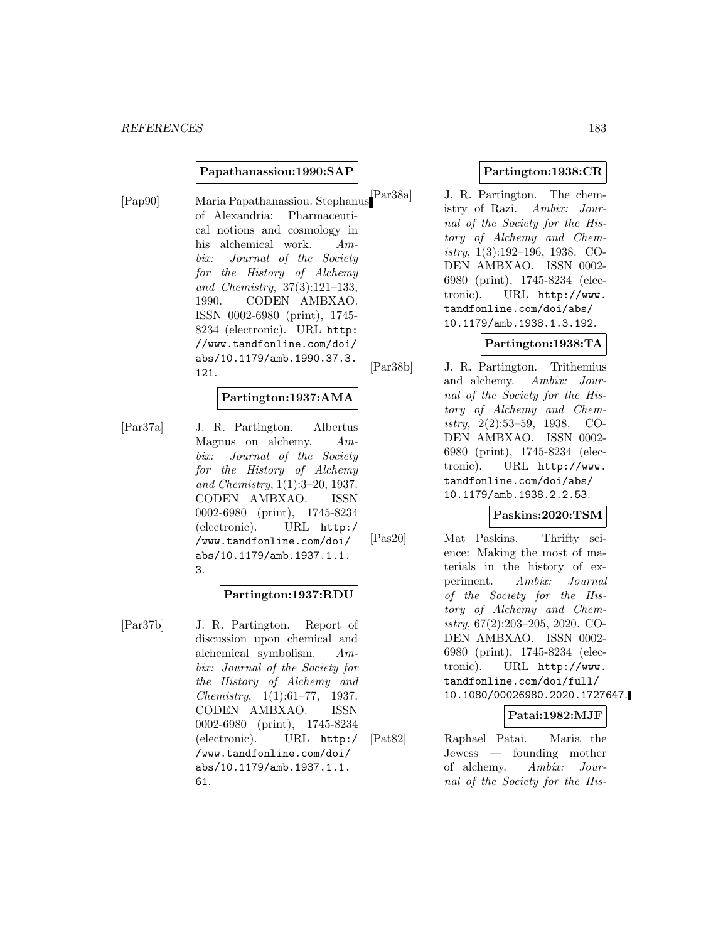#### **Papathanassiou:1990:SAP**

[Pap90] Maria Papathanassiou. Stephanus of Alexandria: Pharmaceutical notions and cosmology in his alchemical work. Ambix: Journal of the Society for the History of Alchemy and Chemistry, 37(3):121–133, 1990. CODEN AMBXAO. ISSN 0002-6980 (print), 1745- 8234 (electronic). URL http: //www.tandfonline.com/doi/ abs/10.1179/amb.1990.37.3. 121.

#### **Partington:1937:AMA**

[Par37a] J. R. Partington. Albertus Magnus on alchemy.  $Am$ bix: Journal of the Society for the History of Alchemy and Chemistry, 1(1):3–20, 1937. CODEN AMBXAO. ISSN 0002-6980 (print), 1745-8234 (electronic). URL http:/ /www.tandfonline.com/doi/ abs/10.1179/amb.1937.1.1. 3.

#### **Partington:1937:RDU**

[Par37b] J. R. Partington. Report of discussion upon chemical and alchemical symbolism. Ambix: Journal of the Society for the History of Alchemy and Chemistry, 1(1):61–77, 1937. CODEN AMBXAO. ISSN 0002-6980 (print), 1745-8234 (electronic). URL http:/ /www.tandfonline.com/doi/ abs/10.1179/amb.1937.1.1. 61.

## **Partington:1938:CR**

J. R. Partington. The chemistry of Razi. Ambix: Journal of the Society for the History of Alchemy and Chemistry, 1(3):192–196, 1938. CO-DEN AMBXAO. ISSN 0002- 6980 (print), 1745-8234 (electronic). URL http://www. tandfonline.com/doi/abs/ 10.1179/amb.1938.1.3.192.

#### **Partington:1938:TA**

[Par38b] J. R. Partington. Trithemius and alchemy. Ambix: Journal of the Society for the History of Alchemy and Chemistry, 2(2):53–59, 1938. CO-DEN AMBXAO. ISSN 0002- 6980 (print), 1745-8234 (electronic). URL http://www. tandfonline.com/doi/abs/ 10.1179/amb.1938.2.2.53.

#### **Paskins:2020:TSM**

[Pas20] Mat Paskins. Thrifty science: Making the most of materials in the history of experiment. Ambix: Journal of the Society for the History of Alchemy and Chemistry, 67(2):203–205, 2020. CO-DEN AMBXAO. ISSN 0002- 6980 (print), 1745-8234 (electronic). URL http://www. tandfonline.com/doi/full/ 10.1080/00026980.2020.1727647.

#### **Patai:1982:MJF**

[Pat82] Raphael Patai. Maria the Jewess — founding mother of alchemy. Ambix: Journal of the Society for the His-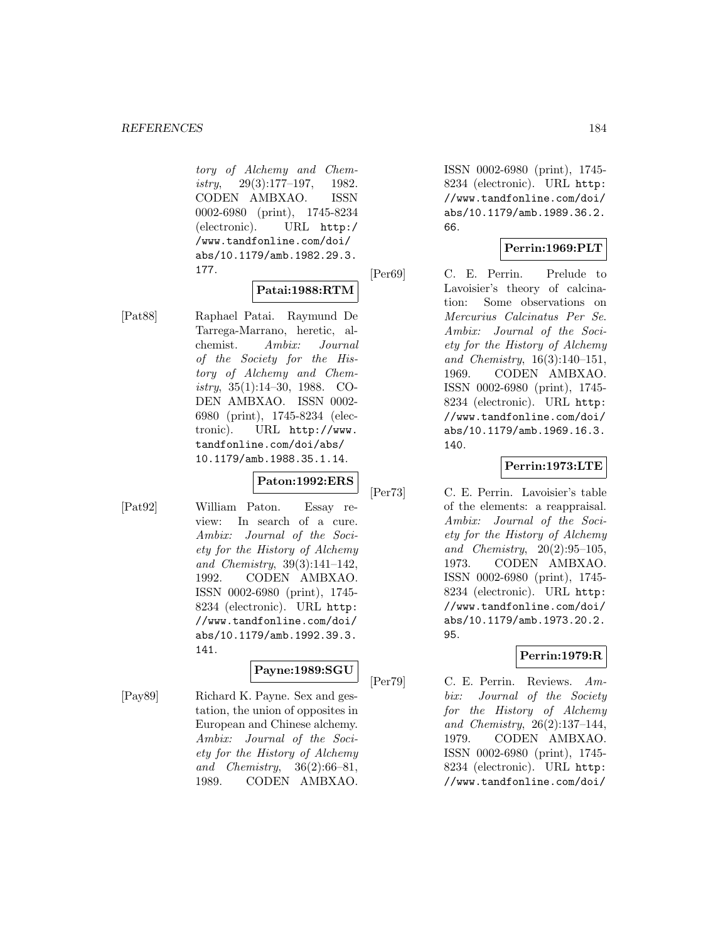tory of Alchemy and Chemistry, 29(3):177–197, 1982. CODEN AMBXAO. ISSN 0002-6980 (print), 1745-8234 (electronic). URL http:/ /www.tandfonline.com/doi/ abs/10.1179/amb.1982.29.3. 177.

## **Patai:1988:RTM**

[Pat88] Raphael Patai. Raymund De Tarrega-Marrano, heretic, alchemist. Ambix: Journal of the Society for the History of Alchemy and Chemistry, 35(1):14–30, 1988. CO-DEN AMBXAO. ISSN 0002- 6980 (print), 1745-8234 (electronic). URL http://www. tandfonline.com/doi/abs/ 10.1179/amb.1988.35.1.14.

#### **Paton:1992:ERS**

[Pat92] William Paton. Essay review: In search of a cure. Ambix: Journal of the Society for the History of Alchemy and Chemistry, 39(3):141–142, 1992. CODEN AMBXAO. ISSN 0002-6980 (print), 1745- 8234 (electronic). URL http: //www.tandfonline.com/doi/ abs/10.1179/amb.1992.39.3. 141.

#### **Payne:1989:SGU**

[Pay89] Richard K. Payne. Sex and gestation, the union of opposites in European and Chinese alchemy. Ambix: Journal of the Society for the History of Alchemy and Chemistry, 36(2):66–81, 1989. CODEN AMBXAO.

ISSN 0002-6980 (print), 1745- 8234 (electronic). URL http: //www.tandfonline.com/doi/ abs/10.1179/amb.1989.36.2. 66.

## **Perrin:1969:PLT**

[Per69] C. E. Perrin. Prelude to Lavoisier's theory of calcination: Some observations on Mercurius Calcinatus Per Se. Ambix: Journal of the Society for the History of Alchemy and Chemistry, 16(3):140–151, 1969. CODEN AMBXAO. ISSN 0002-6980 (print), 1745- 8234 (electronic). URL http: //www.tandfonline.com/doi/ abs/10.1179/amb.1969.16.3. 140.

## **Perrin:1973:LTE**

[Per73] C. E. Perrin. Lavoisier's table of the elements: a reappraisal. Ambix: Journal of the Society for the History of Alchemy and Chemistry, 20(2):95–105, 1973. CODEN AMBXAO. ISSN 0002-6980 (print), 1745- 8234 (electronic). URL http: //www.tandfonline.com/doi/ abs/10.1179/amb.1973.20.2. 95.

## **Perrin:1979:R**

[Per79] C. E. Perrin. Reviews. Ambix: Journal of the Society for the History of Alchemy and Chemistry, 26(2):137–144, 1979. CODEN AMBXAO. ISSN 0002-6980 (print), 1745- 8234 (electronic). URL http: //www.tandfonline.com/doi/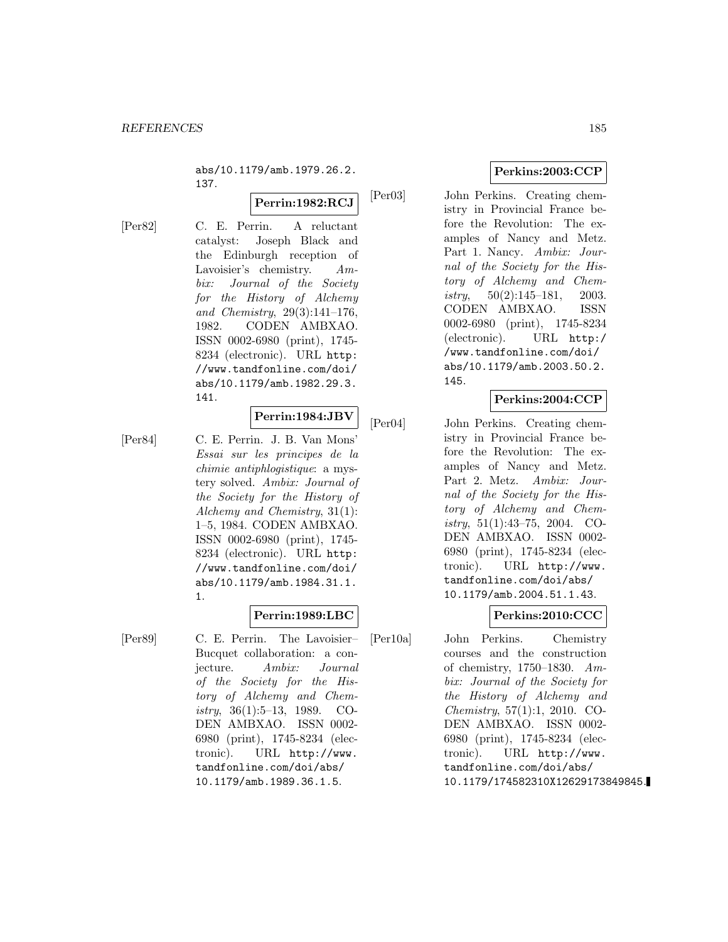abs/10.1179/amb.1979.26.2. 137.

## **Perrin:1982:RCJ**

[Per82] C. E. Perrin. A reluctant catalyst: Joseph Black and the Edinburgh reception of Lavoisier's chemistry. Ambix: Journal of the Society for the History of Alchemy and Chemistry, 29(3):141–176, 1982. CODEN AMBXAO. ISSN 0002-6980 (print), 1745- 8234 (electronic). URL http: //www.tandfonline.com/doi/ abs/10.1179/amb.1982.29.3. 141.

# **Perrin:1984:JBV**

[Per84] C. E. Perrin. J. B. Van Mons' Essai sur les principes de la chimie antiphlogistique: a mystery solved. Ambix: Journal of the Society for the History of Alchemy and Chemistry, 31(1): 1–5, 1984. CODEN AMBXAO. ISSN 0002-6980 (print), 1745- 8234 (electronic). URL http: //www.tandfonline.com/doi/ abs/10.1179/amb.1984.31.1. 1.

## **Perrin:1989:LBC**

[Per89] C. E. Perrin. The Lavoisier– Bucquet collaboration: a conjecture. Ambix: Journal of the Society for the History of Alchemy and Chemistry, 36(1):5–13, 1989. CO-DEN AMBXAO. ISSN 0002- 6980 (print), 1745-8234 (electronic). URL http://www. tandfonline.com/doi/abs/ 10.1179/amb.1989.36.1.5.

## **Perkins:2003:CCP**

[Per03] John Perkins. Creating chemistry in Provincial France before the Revolution: The examples of Nancy and Metz. Part 1. Nancy. Ambix: Journal of the Society for the History of Alchemy and Chemistry,  $50(2):145-181$ ,  $2003$ . CODEN AMBXAO. ISSN 0002-6980 (print), 1745-8234 (electronic). URL http:/ /www.tandfonline.com/doi/ abs/10.1179/amb.2003.50.2. 145.

## **Perkins:2004:CCP**

[Per04] John Perkins. Creating chemistry in Provincial France before the Revolution: The examples of Nancy and Metz. Part 2. Metz. Ambix: Journal of the Society for the History of Alchemy and Chemistry,  $51(1):43-75$ ,  $2004$ . CO-DEN AMBXAO. ISSN 0002- 6980 (print), 1745-8234 (electronic). URL http://www. tandfonline.com/doi/abs/ 10.1179/amb.2004.51.1.43.

## **Perkins:2010:CCC**

[Per10a] John Perkins. Chemistry courses and the construction of chemistry, 1750–1830. Ambix: Journal of the Society for the History of Alchemy and Chemistry, 57(1):1, 2010. CO-DEN AMBXAO. ISSN 0002- 6980 (print), 1745-8234 (electronic). URL http://www. tandfonline.com/doi/abs/ 10.1179/174582310X12629173849845.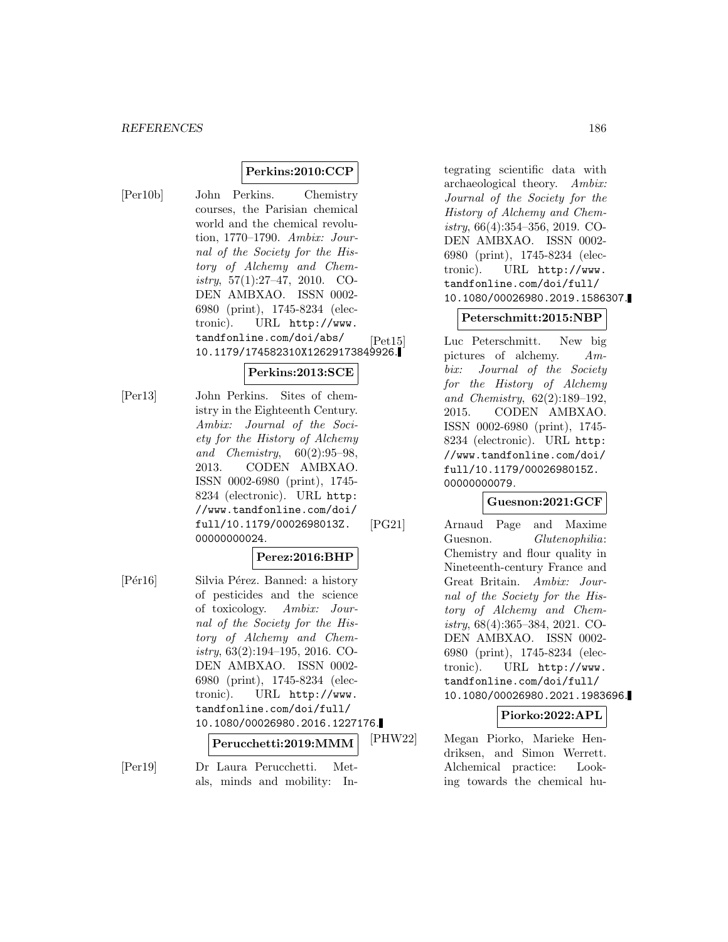#### **Perkins:2010:CCP**

- 
- [Per10b] John Perkins. Chemistry courses, the Parisian chemical world and the chemical revolution, 1770–1790. Ambix: Journal of the Society for the History of Alchemy and Chemistry, 57(1):27–47, 2010. CO-DEN AMBXAO. ISSN 0002- 6980 (print), 1745-8234 (electronic). URL http://www. tandfonline.com/doi/abs/ 10.1179/174582310X12629173849926.

#### **Perkins:2013:SCE**

[Per13] John Perkins. Sites of chemistry in the Eighteenth Century. Ambix: Journal of the Society for the History of Alchemy and Chemistry,  $60(2):95-98$ , 2013. CODEN AMBXAO. ISSN 0002-6980 (print), 1745- 8234 (electronic). URL http: //www.tandfonline.com/doi/ full/10.1179/0002698013Z. 00000000024.

#### **Perez:2016:BHP**

[Pér16] Silvia Pérez. Banned: a history of pesticides and the science of toxicology. Ambix: Journal of the Society for the History of Alchemy and Chem $istry, 63(2):194–195, 2016. CO-$ DEN AMBXAO. ISSN 0002- 6980 (print), 1745-8234 (electronic). URL http://www. tandfonline.com/doi/full/ 10.1080/00026980.2016.1227176.

#### **Perucchetti:2019:MMM**

[Per19] Dr Laura Perucchetti. Metals, minds and mobility: Integrating scientific data with archaeological theory. Ambix: Journal of the Society for the History of Alchemy and Chemistry, 66(4):354–356, 2019. CO-DEN AMBXAO. ISSN 0002- 6980 (print), 1745-8234 (electronic). URL http://www. tandfonline.com/doi/full/ 10.1080/00026980.2019.1586307.

#### **Peterschmitt:2015:NBP**

[Pet15] Luc Peterschmitt. New big pictures of alchemy. Ambix: Journal of the Society for the History of Alchemy and Chemistry, 62(2):189–192, 2015. CODEN AMBXAO. ISSN 0002-6980 (print), 1745- 8234 (electronic). URL http: //www.tandfonline.com/doi/ full/10.1179/0002698015Z. 00000000079.

#### **Guesnon:2021:GCF**

[PG21] Arnaud Page and Maxime Guesnon. Glutenophilia: Chemistry and flour quality in Nineteenth-century France and Great Britain. Ambix: Journal of the Society for the History of Alchemy and Chem $istry, 68(4):365-384, 2021.$  CO-DEN AMBXAO. ISSN 0002- 6980 (print), 1745-8234 (electronic). URL http://www. tandfonline.com/doi/full/ 10.1080/00026980.2021.1983696.

#### **Piorko:2022:APL**

[PHW22] Megan Piorko, Marieke Hendriksen, and Simon Werrett. Alchemical practice: Looking towards the chemical hu-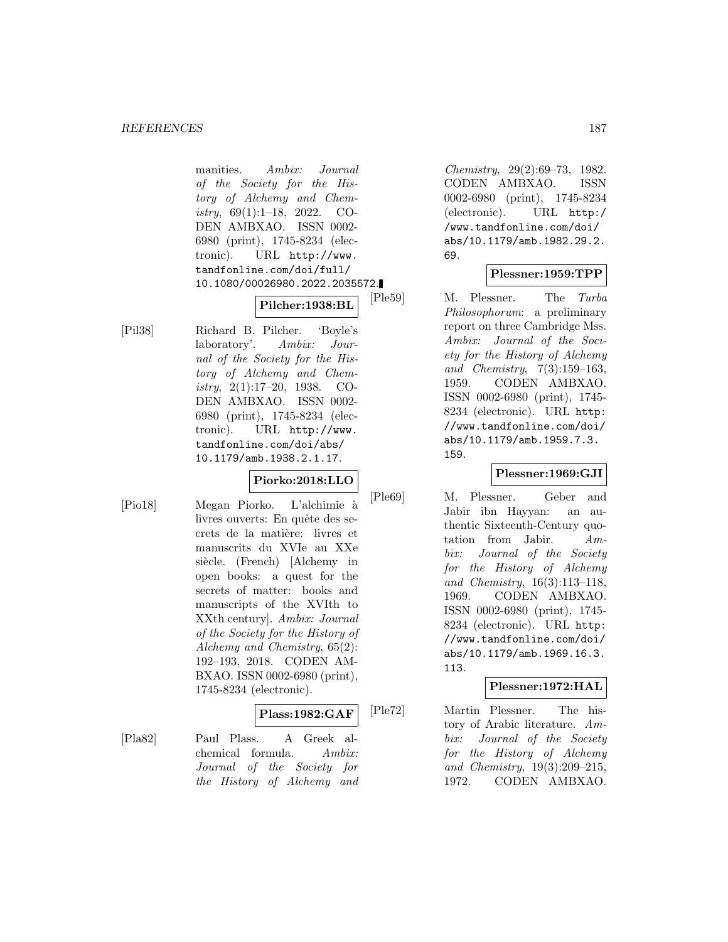#### *REFERENCES* 187

manities. Ambix: Journal of the Society for the History of Alchemy and Chemistry, 69(1):1–18, 2022. CO-DEN AMBXAO. ISSN 0002- 6980 (print), 1745-8234 (electronic). URL http://www. tandfonline.com/doi/full/ 10.1080/00026980.2022.2035572.

**Pilcher:1938:BL**

[Pil38] Richard B. Pilcher. 'Boyle's laboratory'. Ambix: Journal of the Society for the History of Alchemy and Chemistry, 2(1):17–20, 1938. CO-DEN AMBXAO. ISSN 0002- 6980 (print), 1745-8234 (electronic). URL http://www. tandfonline.com/doi/abs/ 10.1179/amb.1938.2.1.17.

## **Piorko:2018:LLO**

[Pio18] Megan Piorko. L'alchimie à livres ouverts: En quête des secrets de la matière: livres et manuscrits du XVIe au XXe siècle. (French) [Alchemy in open books: a quest for the secrets of matter: books and manuscripts of the XVIth to XXth century]. Ambix: Journal of the Society for the History of Alchemy and Chemistry, 65(2): 192–193, 2018. CODEN AM-BXAO. ISSN 0002-6980 (print), 1745-8234 (electronic).

#### **Plass:1982:GAF**

[Pla82] Paul Plass. A Greek alchemical formula. Ambix: Journal of the Society for the History of Alchemy and

Chemistry, 29(2):69–73, 1982. CODEN AMBXAO. ISSN 0002-6980 (print), 1745-8234 (electronic). URL http:/ /www.tandfonline.com/doi/ abs/10.1179/amb.1982.29.2. 69.

## **Plessner:1959:TPP**

[Ple59] M. Plessner. The Turba Philosophorum: a preliminary report on three Cambridge Mss. Ambix: Journal of the Society for the History of Alchemy and Chemistry, 7(3):159–163, 1959. CODEN AMBXAO. ISSN 0002-6980 (print), 1745- 8234 (electronic). URL http: //www.tandfonline.com/doi/ abs/10.1179/amb.1959.7.3. 159.

## **Plessner:1969:GJI**

[Ple69] M. Plessner. Geber and Jabir ibn Hayyan: an authentic Sixteenth-Century quotation from Jabir. Ambix: Journal of the Society for the History of Alchemy and Chemistry, 16(3):113–118, 1969. CODEN AMBXAO. ISSN 0002-6980 (print), 1745- 8234 (electronic). URL http: //www.tandfonline.com/doi/ abs/10.1179/amb.1969.16.3. 113.

## **Plessner:1972:HAL**

[Ple72] Martin Plessner. The history of Arabic literature. Ambix: Journal of the Society for the History of Alchemy and Chemistry, 19(3):209–215, 1972. CODEN AMBXAO.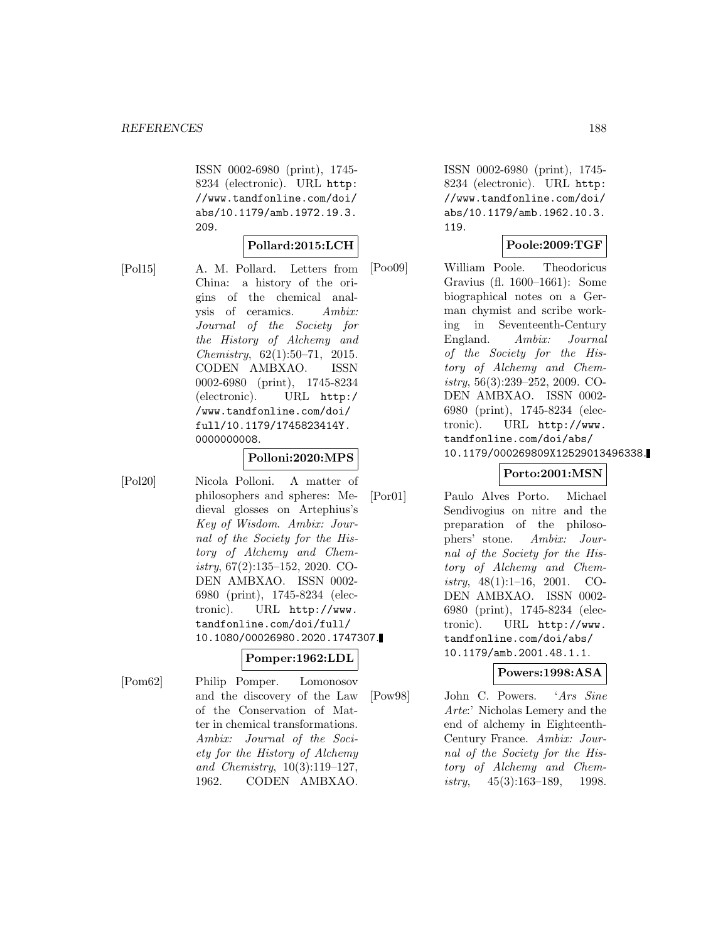ISSN 0002-6980 (print), 1745- 8234 (electronic). URL http: //www.tandfonline.com/doi/ abs/10.1179/amb.1972.19.3. 209.

## **Pollard:2015:LCH**

[Pol15] A. M. Pollard. Letters from China: a history of the origins of the chemical analysis of ceramics. Ambix: Journal of the Society for the History of Alchemy and Chemistry, 62(1):50–71, 2015. CODEN AMBXAO. ISSN 0002-6980 (print), 1745-8234 (electronic). URL http:/ /www.tandfonline.com/doi/ full/10.1179/1745823414Y. 0000000008.

#### **Polloni:2020:MPS**

[Pol20] Nicola Polloni. A matter of philosophers and spheres: Medieval glosses on Artephius's Key of Wisdom. Ambix: Journal of the Society for the History of Alchemy and Chemistry, 67(2):135–152, 2020. CO-DEN AMBXAO. ISSN 0002- 6980 (print), 1745-8234 (electronic). URL http://www. tandfonline.com/doi/full/ 10.1080/00026980.2020.1747307.

#### **Pomper:1962:LDL**

[Pom62] Philip Pomper. Lomonosov and the discovery of the Law of the Conservation of Matter in chemical transformations. Ambix: Journal of the Society for the History of Alchemy and Chemistry, 10(3):119–127, 1962. CODEN AMBXAO.

ISSN 0002-6980 (print), 1745- 8234 (electronic). URL http: //www.tandfonline.com/doi/ abs/10.1179/amb.1962.10.3. 119.

#### **Poole:2009:TGF**

[Poo09] William Poole. Theodoricus Gravius (fl. 1600–1661): Some biographical notes on a German chymist and scribe working in Seventeenth-Century England. Ambix: Journal of the Society for the History of Alchemy and Chemistry, 56(3):239–252, 2009. CO-DEN AMBXAO. ISSN 0002- 6980 (print), 1745-8234 (electronic). URL http://www. tandfonline.com/doi/abs/ 10.1179/000269809X12529013496338.

## **Porto:2001:MSN**

[Por01] Paulo Alves Porto. Michael Sendivogius on nitre and the preparation of the philosophers' stone. Ambix: Journal of the Society for the History of Alchemy and Chemistry, 48(1):1–16, 2001. CO-DEN AMBXAO. ISSN 0002- 6980 (print), 1745-8234 (electronic). URL http://www. tandfonline.com/doi/abs/ 10.1179/amb.2001.48.1.1.

## **Powers:1998:ASA**

[Pow98] John C. Powers. 'Ars Sine Arte:' Nicholas Lemery and the end of alchemy in Eighteenth-Century France. Ambix: Journal of the Society for the History of Alchemy and Chemistry,  $45(3):163-189$ , 1998.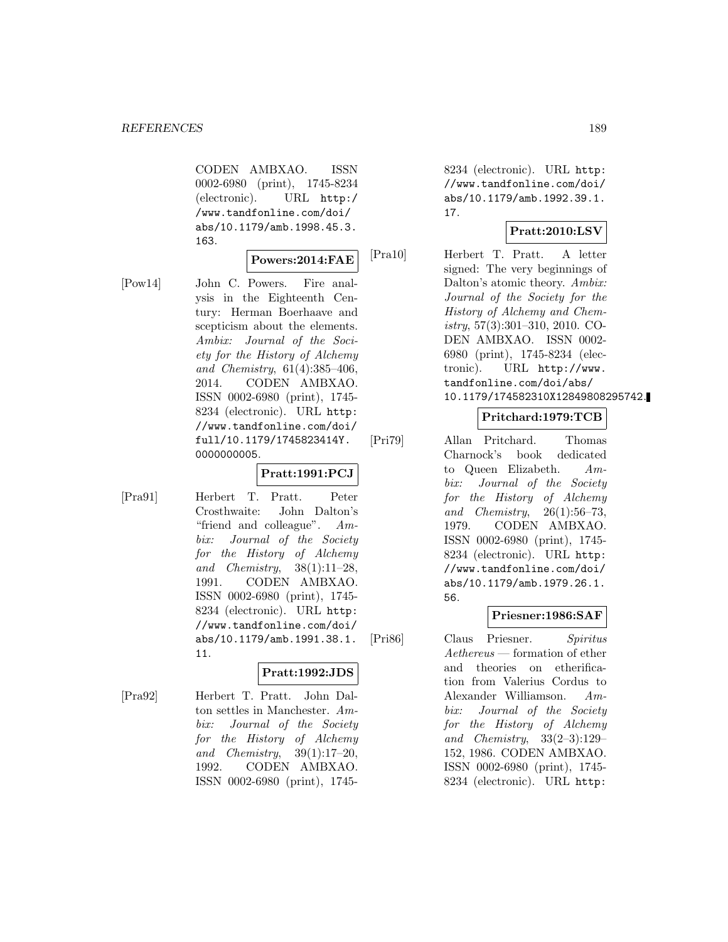CODEN AMBXAO. ISSN 0002-6980 (print), 1745-8234 (electronic). URL http:/ /www.tandfonline.com/doi/ abs/10.1179/amb.1998.45.3. 163.

## **Powers:2014:FAE**

[Pow14] John C. Powers. Fire analysis in the Eighteenth Century: Herman Boerhaave and scepticism about the elements. Ambix: Journal of the Society for the History of Alchemy and Chemistry, 61(4):385–406, 2014. CODEN AMBXAO. ISSN 0002-6980 (print), 1745- 8234 (electronic). URL http: //www.tandfonline.com/doi/ full/10.1179/1745823414Y. 000000005.

#### **Pratt:1991:PCJ**

[Pra91] Herbert T. Pratt. Peter Crosthwaite: John Dalton's "friend and colleague". Ambix: Journal of the Society for the History of Alchemy and Chemistry, 38(1):11–28, 1991. CODEN AMBXAO. ISSN 0002-6980 (print), 1745- 8234 (electronic). URL http: //www.tandfonline.com/doi/ abs/10.1179/amb.1991.38.1. 11.

## **Pratt:1992:JDS**

[Pra92] Herbert T. Pratt. John Dalton settles in Manchester. Ambix: Journal of the Society for the History of Alchemy and Chemistry, 39(1):17–20, 1992. CODEN AMBXAO. ISSN 0002-6980 (print), 17458234 (electronic). URL http: //www.tandfonline.com/doi/ abs/10.1179/amb.1992.39.1. 17.

#### **Pratt:2010:LSV**

[Pra10] Herbert T. Pratt. A letter signed: The very beginnings of Dalton's atomic theory. Ambix: Journal of the Society for the History of Alchemy and Chemistry, 57(3):301–310, 2010. CO-DEN AMBXAO. ISSN 0002- 6980 (print), 1745-8234 (electronic). URL http://www. tandfonline.com/doi/abs/ 10.1179/174582310X12849808295742.

## **Pritchard:1979:TCB**

[Pri79] Allan Pritchard. Thomas Charnock's book dedicated to Queen Elizabeth. Ambix: Journal of the Society for the History of Alchemy and Chemistry,  $26(1):56-73$ , 1979. CODEN AMBXAO. ISSN 0002-6980 (print), 1745- 8234 (electronic). URL http: //www.tandfonline.com/doi/ abs/10.1179/amb.1979.26.1. 56.

#### **Priesner:1986:SAF**

[Pri86] Claus Priesner. Spiritus Aethereus — formation of ether and theories on etherification from Valerius Cordus to Alexander Williamson. Ambix: Journal of the Society for the History of Alchemy and Chemistry, 33(2–3):129– 152, 1986. CODEN AMBXAO. ISSN 0002-6980 (print), 1745- 8234 (electronic). URL http: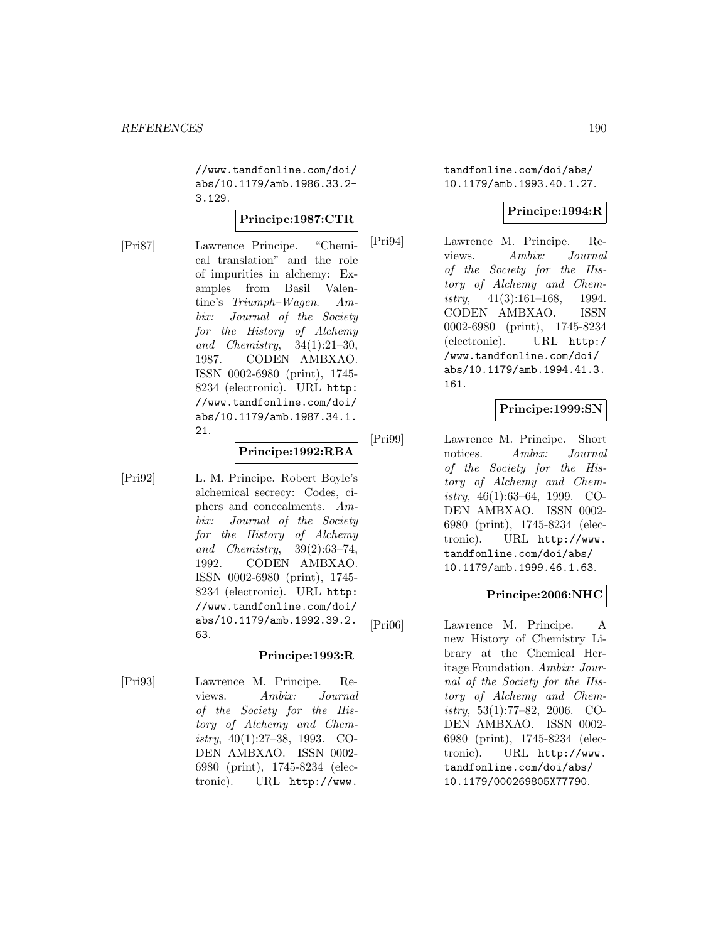//www.tandfonline.com/doi/ abs/10.1179/amb.1986.33.2- 3.129.

## **Principe:1987:CTR**

[Pri87] Lawrence Principe. "Chemical translation" and the role of impurities in alchemy: Examples from Basil Valentine's Triumph–Wagen. Ambix: Journal of the Society for the History of Alchemy and Chemistry, 34(1):21–30, 1987. CODEN AMBXAO. ISSN 0002-6980 (print), 1745- 8234 (electronic). URL http: //www.tandfonline.com/doi/ abs/10.1179/amb.1987.34.1. 21.

## **Principe:1992:RBA**

[Pri92] L. M. Principe. Robert Boyle's alchemical secrecy: Codes, ciphers and concealments. Ambix: Journal of the Society for the History of Alchemy and Chemistry, 39(2):63–74, 1992. CODEN AMBXAO. ISSN 0002-6980 (print), 1745- 8234 (electronic). URL http: //www.tandfonline.com/doi/ abs/10.1179/amb.1992.39.2. 63.

# **Principe:1993:R**

[Pri93] Lawrence M. Principe. Reviews. Ambix: Journal of the Society for the History of Alchemy and Chemistry, 40(1):27–38, 1993. CO-DEN AMBXAO. ISSN 0002- 6980 (print), 1745-8234 (electronic). URL http://www.

tandfonline.com/doi/abs/ 10.1179/amb.1993.40.1.27.

# **Principe:1994:R**

[Pri94] Lawrence M. Principe. Reviews. Ambix: Journal of the Society for the History of Alchemy and Chemistry,  $41(3):161-168$ , 1994. CODEN AMBXAO. ISSN 0002-6980 (print), 1745-8234 (electronic). URL http:/ /www.tandfonline.com/doi/ abs/10.1179/amb.1994.41.3. 161.

## **Principe:1999:SN**

[Pri99] Lawrence M. Principe. Short notices. Ambix: Journal of the Society for the History of Alchemy and Chemistry, 46(1):63–64, 1999. CO-DEN AMBXAO. ISSN 0002- 6980 (print), 1745-8234 (electronic). URL http://www. tandfonline.com/doi/abs/ 10.1179/amb.1999.46.1.63.

## **Principe:2006:NHC**

[Pri06] Lawrence M. Principe. A new History of Chemistry Library at the Chemical Heritage Foundation. Ambix: Journal of the Society for the History of Alchemy and Chemistry, 53(1):77–82, 2006. CO-DEN AMBXAO. ISSN 0002- 6980 (print), 1745-8234 (electronic). URL http://www. tandfonline.com/doi/abs/ 10.1179/000269805X77790.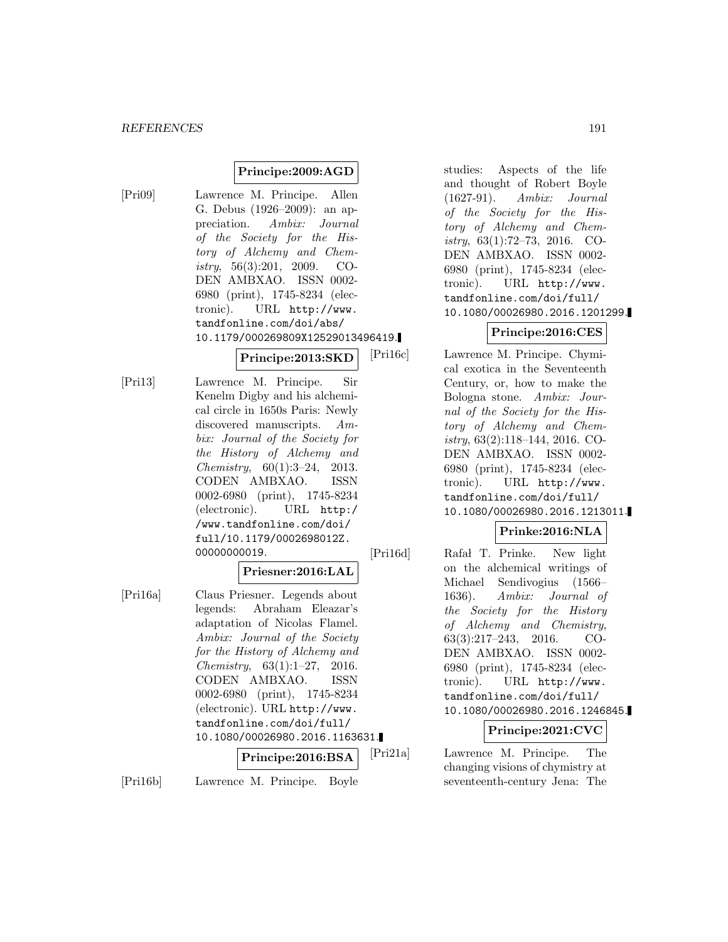## **Principe:2009:AGD**

[Pri09] Lawrence M. Principe. Allen G. Debus (1926–2009): an appreciation. Ambix: Journal of the Society for the History of Alchemy and Chemistry, 56(3):201, 2009. CO-DEN AMBXAO. ISSN 0002- 6980 (print), 1745-8234 (electronic). URL http://www. tandfonline.com/doi/abs/ 10.1179/000269809X12529013496419.

#### **Principe:2013:SKD**

[Pri13] Lawrence M. Principe. Sir Kenelm Digby and his alchemical circle in 1650s Paris: Newly discovered manuscripts. Ambix: Journal of the Society for the History of Alchemy and Chemistry, 60(1):3–24, 2013. CODEN AMBXAO. ISSN 0002-6980 (print), 1745-8234 (electronic). URL http:/ /www.tandfonline.com/doi/ full/10.1179/0002698012Z. 00000000019.

## **Priesner:2016:LAL**

[Pri16a] Claus Priesner. Legends about legends: Abraham Eleazar's adaptation of Nicolas Flamel. Ambix: Journal of the Society for the History of Alchemy and Chemistry, 63(1):1–27, 2016. CODEN AMBXAO. ISSN 0002-6980 (print), 1745-8234 (electronic). URL http://www. tandfonline.com/doi/full/ 10.1080/00026980.2016.1163631. **Principe:2016:BSA**

[Pri16b] Lawrence M. Principe. Boyle

studies: Aspects of the life and thought of Robert Boyle (1627-91). Ambix: Journal of the Society for the History of Alchemy and Chemistry, 63(1):72–73, 2016. CO-DEN AMBXAO. ISSN 0002- 6980 (print), 1745-8234 (electronic). URL http://www. tandfonline.com/doi/full/ 10.1080/00026980.2016.1201299.

## **Principe:2016:CES**

[Pri16c] Lawrence M. Principe. Chymical exotica in the Seventeenth Century, or, how to make the Bologna stone. Ambix: Journal of the Society for the History of Alchemy and Chemistry, 63(2):118–144, 2016. CO-DEN AMBXAO. ISSN 0002- 6980 (print), 1745-8234 (electronic). URL http://www. tandfonline.com/doi/full/ 10.1080/00026980.2016.1213011.

## **Prinke:2016:NLA**

[Pri16d] Rafal T. Prinke. New light on the alchemical writings of Michael Sendivogius (1566– 1636). Ambix: Journal of the Society for the History of Alchemy and Chemistry, 63(3):217–243, 2016. CO-DEN AMBXAO. ISSN 0002- 6980 (print), 1745-8234 (electronic). URL http://www. tandfonline.com/doi/full/ 10.1080/00026980.2016.1246845.

## **Principe:2021:CVC**

[Pri21a] Lawrence M. Principe. The changing visions of chymistry at seventeenth-century Jena: The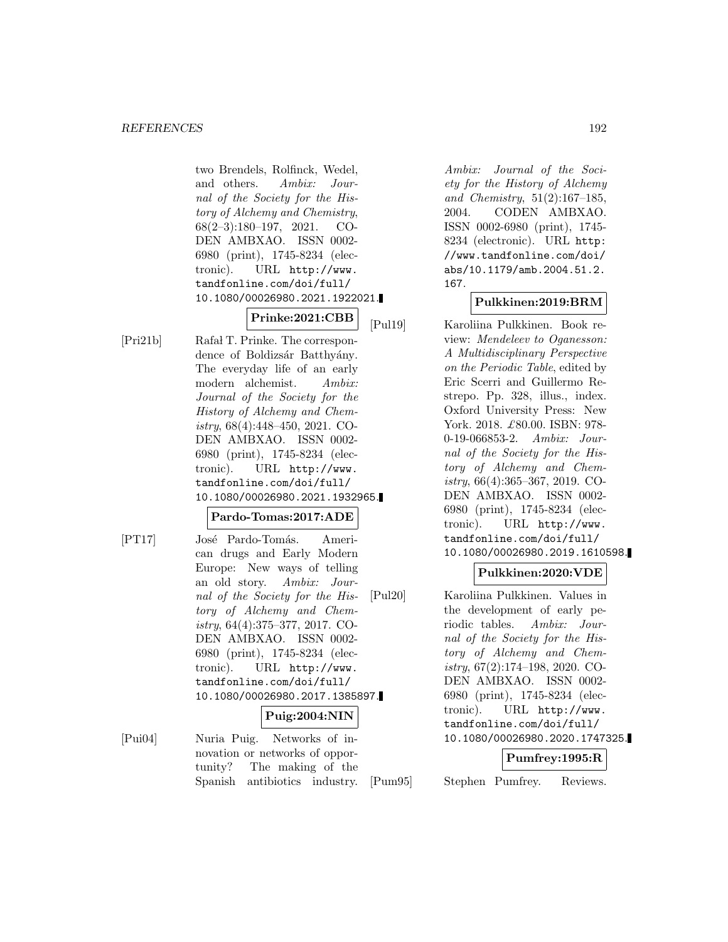two Brendels, Rolfinck, Wedel, and others. Ambix: Journal of the Society for the History of Alchemy and Chemistry, 68(2–3):180–197, 2021. CO-DEN AMBXAO. ISSN 0002- 6980 (print), 1745-8234 (electronic). URL http://www. tandfonline.com/doi/full/ 10.1080/00026980.2021.1922021.

**Prinke:2021:CBB**

- 
- [Pri21b] Rafał T. Prinke. The correspondence of Boldizsár Batthyány. The everyday life of an early modern alchemist. Ambix: Journal of the Society for the History of Alchemy and Chemistry, 68(4):448–450, 2021. CO-DEN AMBXAO. ISSN 0002- 6980 (print), 1745-8234 (electronic). URL http://www. tandfonline.com/doi/full/ 10.1080/00026980.2021.1932965.

## **Pardo-Tomas:2017:ADE**

[PT17] José Pardo-Tomás. American drugs and Early Modern Europe: New ways of telling an old story. Ambix: Journal of the Society for the History of Alchemy and Chemistry, 64(4):375–377, 2017. CO-DEN AMBXAO. ISSN 0002- 6980 (print), 1745-8234 (electronic). URL http://www. tandfonline.com/doi/full/ 10.1080/00026980.2017.1385897.

## **Puig:2004:NIN**

[Pui04] Nuria Puig. Networks of innovation or networks of opportunity? The making of the Spanish antibiotics industry.

Ambix: Journal of the Society for the History of Alchemy and Chemistry, 51(2):167–185, 2004. CODEN AMBXAO. ISSN 0002-6980 (print), 1745- 8234 (electronic). URL http: //www.tandfonline.com/doi/ abs/10.1179/amb.2004.51.2. 167.

## **Pulkkinen:2019:BRM**

[Pul19] Karoliina Pulkkinen. Book review: Mendeleev to Oganesson: A Multidisciplinary Perspective on the Periodic Table, edited by Eric Scerri and Guillermo Restrepo. Pp. 328, illus., index. Oxford University Press: New York. 2018. £80.00. ISBN: 978-0-19-066853-2. Ambix: Journal of the Society for the History of Alchemy and Chemistry, 66(4):365–367, 2019. CO-DEN AMBXAO. ISSN 0002- 6980 (print), 1745-8234 (electronic). URL http://www. tandfonline.com/doi/full/ 10.1080/00026980.2019.1610598.

## **Pulkkinen:2020:VDE**

[Pul20] Karoliina Pulkkinen. Values in the development of early periodic tables. Ambix: Journal of the Society for the History of Alchemy and Chemistry, 67(2):174–198, 2020. CO-DEN AMBXAO. ISSN 0002- 6980 (print), 1745-8234 (electronic). URL http://www. tandfonline.com/doi/full/ 10.1080/00026980.2020.1747325.

#### **Pumfrey:1995:R**

[Pum95] Stephen Pumfrey. Reviews.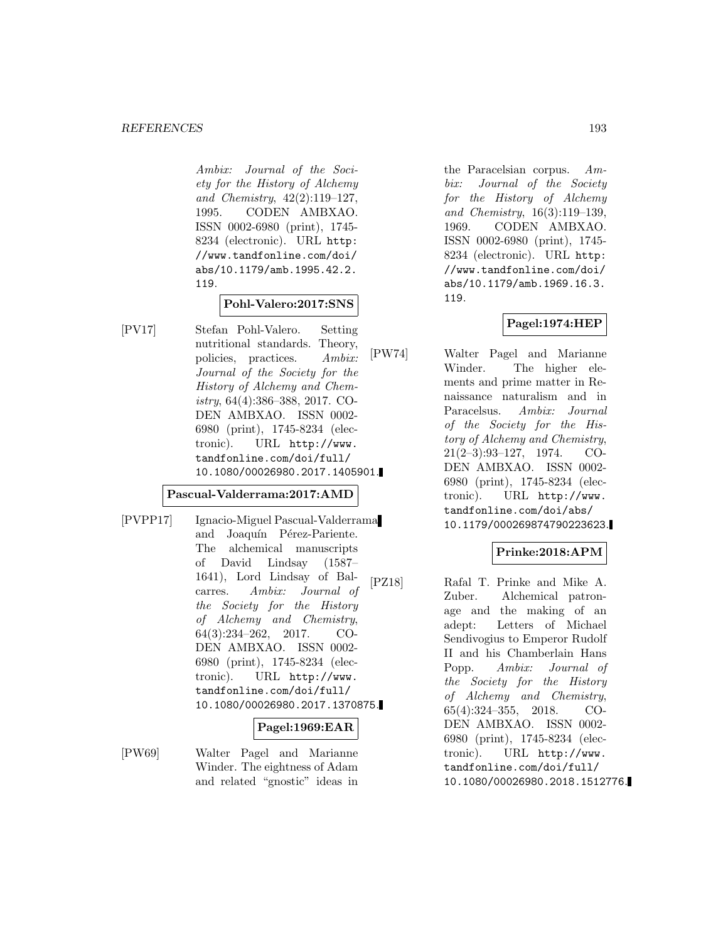Ambix: Journal of the Society for the History of Alchemy and Chemistry, 42(2):119–127, 1995. CODEN AMBXAO. ISSN 0002-6980 (print), 1745- 8234 (electronic). URL http: //www.tandfonline.com/doi/ abs/10.1179/amb.1995.42.2. 119.

## **Pohl-Valero:2017:SNS**

[PV17] Stefan Pohl-Valero. Setting nutritional standards. Theory, policies, practices. Ambix: Journal of the Society for the History of Alchemy and Chemistry, 64(4):386–388, 2017. CO-DEN AMBXAO. ISSN 0002- 6980 (print), 1745-8234 (electronic). URL http://www. tandfonline.com/doi/full/ 10.1080/00026980.2017.1405901.

#### **Pascual-Valderrama:2017:AMD**

[PVPP17] Ignacio-Miguel Pascual-Valderrama and Joaquín Pérez-Pariente. The alchemical manuscripts of David Lindsay (1587– 1641), Lord Lindsay of Balcarres. Ambix: Journal of the Society for the History of Alchemy and Chemistry, 64(3):234–262, 2017. CO-DEN AMBXAO. ISSN 0002- 6980 (print), 1745-8234 (electronic). URL http://www. tandfonline.com/doi/full/ 10.1080/00026980.2017.1370875.

#### **Pagel:1969:EAR**

[PW69] Walter Pagel and Marianne Winder. The eightness of Adam and related "gnostic" ideas in

the Paracelsian corpus. Ambix: Journal of the Society for the History of Alchemy and Chemistry, 16(3):119–139, 1969. CODEN AMBXAO. ISSN 0002-6980 (print), 1745- 8234 (electronic). URL http: //www.tandfonline.com/doi/ abs/10.1179/amb.1969.16.3. 119.

## **Pagel:1974:HEP**

[PW74] Walter Pagel and Marianne Winder. The higher elements and prime matter in Renaissance naturalism and in Paracelsus. Ambix: Journal of the Society for the History of Alchemy and Chemistry, 21(2–3):93–127, 1974. CO-DEN AMBXAO. ISSN 0002- 6980 (print), 1745-8234 (electronic). URL http://www. tandfonline.com/doi/abs/ 10.1179/000269874790223623.

## **Prinke:2018:APM**

[PZ18] Rafal T. Prinke and Mike A. Zuber. Alchemical patronage and the making of an adept: Letters of Michael Sendivogius to Emperor Rudolf II and his Chamberlain Hans Popp. Ambix: Journal of the Society for the History of Alchemy and Chemistry, 65(4):324–355, 2018. CO-DEN AMBXAO. ISSN 0002- 6980 (print), 1745-8234 (electronic). URL http://www. tandfonline.com/doi/full/ 10.1080/00026980.2018.1512776.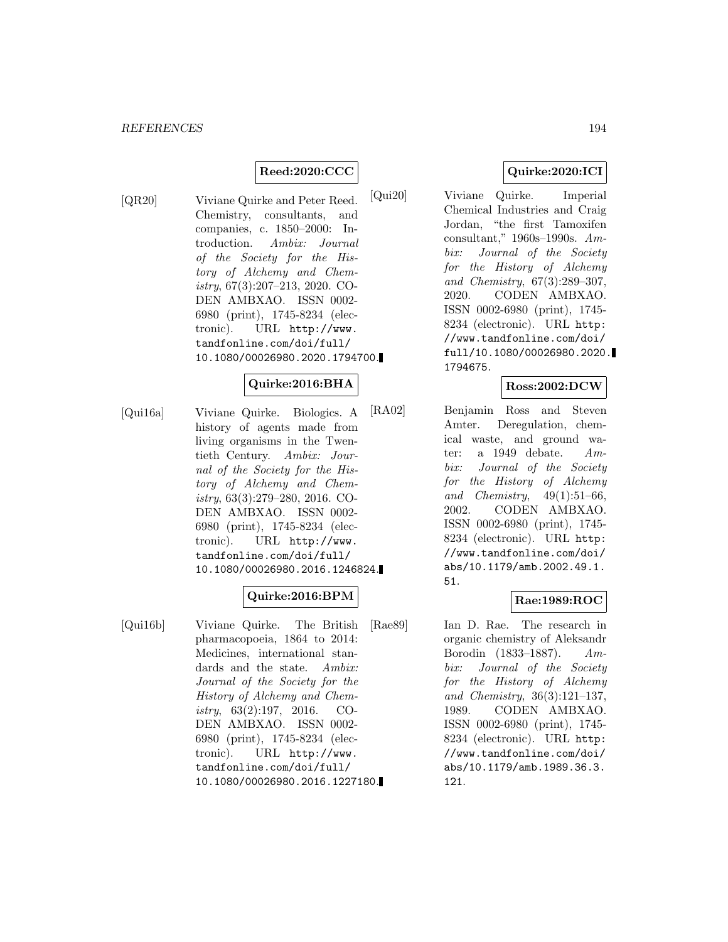## **Reed:2020:CCC**

[QR20] Viviane Quirke and Peter Reed. Chemistry, consultants, and companies, c. 1850–2000: Introduction. Ambix: Journal of the Society for the History of Alchemy and Chemistry, 67(3):207–213, 2020. CO-DEN AMBXAO. ISSN 0002- 6980 (print), 1745-8234 (electronic). URL http://www. tandfonline.com/doi/full/ 10.1080/00026980.2020.1794700.

## **Quirke:2016:BHA**

[Qui16a] Viviane Quirke. Biologics. A history of agents made from living organisms in the Twentieth Century. Ambix: Journal of the Society for the History of Alchemy and Chemistry, 63(3):279–280, 2016. CO-DEN AMBXAO. ISSN 0002- 6980 (print), 1745-8234 (electronic). URL http://www. tandfonline.com/doi/full/ 10.1080/00026980.2016.1246824.

## **Quirke:2016:BPM**

[Qui16b] Viviane Quirke. The British pharmacopoeia, 1864 to 2014: Medicines, international standards and the state. Ambix: Journal of the Society for the History of Alchemy and Chemistry, 63(2):197, 2016. CO-DEN AMBXAO. ISSN 0002- 6980 (print), 1745-8234 (electronic). URL http://www. tandfonline.com/doi/full/ 10.1080/00026980.2016.1227180.

## **Quirke:2020:ICI**

[Qui20] Viviane Quirke. Imperial Chemical Industries and Craig Jordan, "the first Tamoxifen consultant," 1960s–1990s. Ambix: Journal of the Society for the History of Alchemy and Chemistry, 67(3):289–307, 2020. CODEN AMBXAO. ISSN 0002-6980 (print), 1745- 8234 (electronic). URL http: //www.tandfonline.com/doi/ full/10.1080/00026980.2020. 1794675.

#### **Ross:2002:DCW**

[RA02] Benjamin Ross and Steven Amter. Deregulation, chemical waste, and ground water: a  $1949$  debate.  $Am$ bix: Journal of the Society for the History of Alchemy and Chemistry,  $49(1):51-66$ , 2002. CODEN AMBXAO. ISSN 0002-6980 (print), 1745- 8234 (electronic). URL http: //www.tandfonline.com/doi/ abs/10.1179/amb.2002.49.1. 51.

## **Rae:1989:ROC**

[Rae89] Ian D. Rae. The research in organic chemistry of Aleksandr Borodin (1833–1887). Ambix: Journal of the Society for the History of Alchemy and Chemistry, 36(3):121–137, 1989. CODEN AMBXAO. ISSN 0002-6980 (print), 1745- 8234 (electronic). URL http: //www.tandfonline.com/doi/ abs/10.1179/amb.1989.36.3. 121.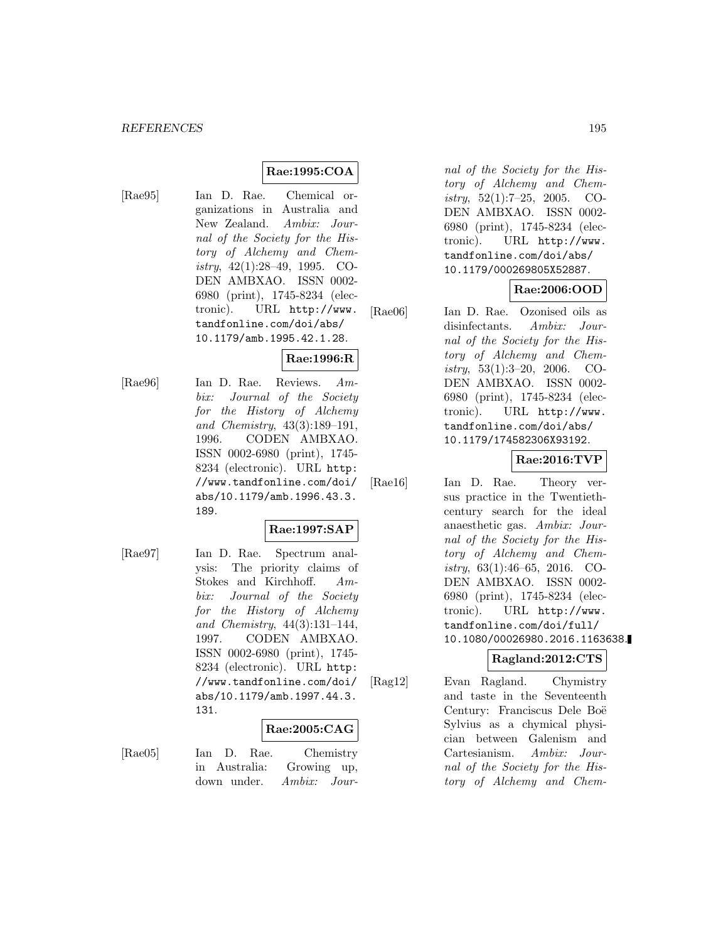## **Rae:1995:COA**

[Rae95] Ian D. Rae. Chemical organizations in Australia and New Zealand. Ambix: Journal of the Society for the History of Alchemy and Chemistry,  $42(1):28-49$ , 1995. CO-DEN AMBXAO. ISSN 0002- 6980 (print), 1745-8234 (electronic). URL http://www. tandfonline.com/doi/abs/ 10.1179/amb.1995.42.1.28.

## **Rae:1996:R**

[Rae96] Ian D. Rae. Reviews. Ambix: Journal of the Society for the History of Alchemy and Chemistry, 43(3):189–191, 1996. CODEN AMBXAO. ISSN 0002-6980 (print), 1745- 8234 (electronic). URL http: //www.tandfonline.com/doi/ abs/10.1179/amb.1996.43.3. 189.

# **Rae:1997:SAP**

[Rae97] Ian D. Rae. Spectrum analysis: The priority claims of Stokes and Kirchhoff. Ambix: Journal of the Society for the History of Alchemy and Chemistry, 44(3):131–144, 1997. CODEN AMBXAO. ISSN 0002-6980 (print), 1745- 8234 (electronic). URL http: //www.tandfonline.com/doi/ abs/10.1179/amb.1997.44.3. 131.

#### **Rae:2005:CAG**

[Rae05] Ian D. Rae. Chemistry in Australia: Growing up, down under. Ambix: Journal of the Society for the History of Alchemy and Chemistry,  $52(1)$ :7-25, 2005. CO-DEN AMBXAO. ISSN 0002- 6980 (print), 1745-8234 (electronic). URL http://www. tandfonline.com/doi/abs/ 10.1179/000269805X52887.

## **Rae:2006:OOD**

[Rae06] Ian D. Rae. Ozonised oils as disinfectants. Ambix: Journal of the Society for the History of Alchemy and Chemistry, 53(1):3–20, 2006. CO-DEN AMBXAO. ISSN 0002- 6980 (print), 1745-8234 (electronic). URL http://www. tandfonline.com/doi/abs/ 10.1179/174582306X93192.

## **Rae:2016:TVP**

[Rae16] Ian D. Rae. Theory versus practice in the Twentiethcentury search for the ideal anaesthetic gas. Ambix: Journal of the Society for the History of Alchemy and Chemistry,  $63(1):46-65$ ,  $2016$ . CO-DEN AMBXAO. ISSN 0002- 6980 (print), 1745-8234 (electronic). URL http://www. tandfonline.com/doi/full/ 10.1080/00026980.2016.1163638.

## **Ragland:2012:CTS**

[Rag12] Evan Ragland. Chymistry and taste in the Seventeenth Century: Franciscus Dele Boë Sylvius as a chymical physician between Galenism and Cartesianism. Ambix: Journal of the Society for the History of Alchemy and Chem-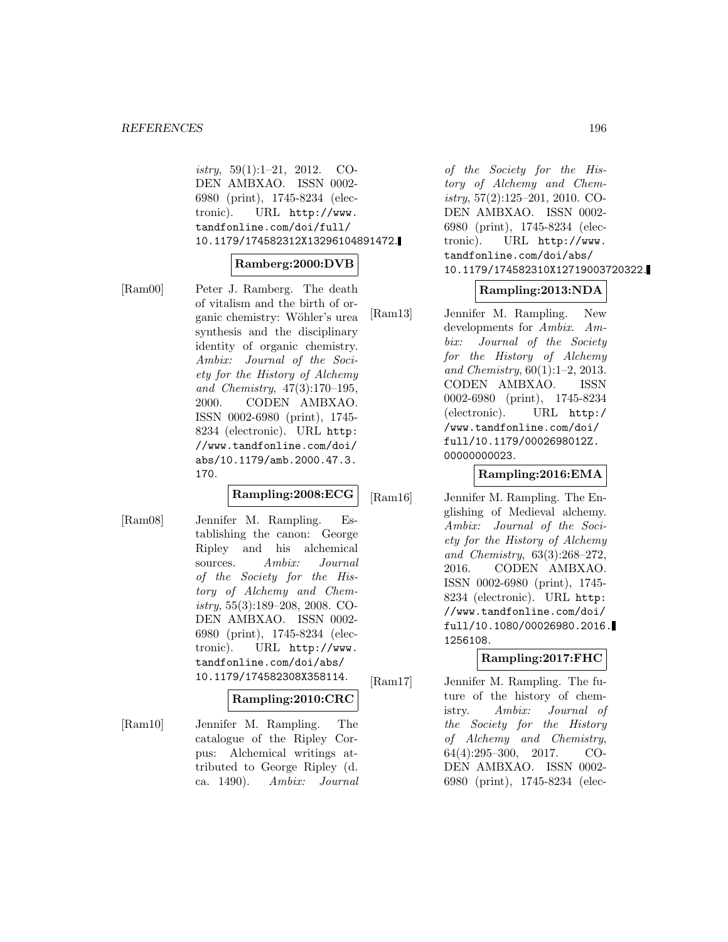#### *REFERENCES* 196

istry, 59(1):1–21, 2012. CO-DEN AMBXAO. ISSN 0002- 6980 (print), 1745-8234 (electronic). URL http://www. tandfonline.com/doi/full/ 10.1179/174582312X13296104891472.

#### **Ramberg:2000:DVB**

[Ram00] Peter J. Ramberg. The death of vitalism and the birth of organic chemistry: Wöhler's urea synthesis and the disciplinary identity of organic chemistry. Ambix: Journal of the Society for the History of Alchemy and Chemistry, 47(3):170–195, 2000. CODEN AMBXAO. ISSN 0002-6980 (print), 1745- 8234 (electronic). URL http: //www.tandfonline.com/doi/ abs/10.1179/amb.2000.47.3. 170.

## **Rampling:2008:ECG**

[Ram08] Jennifer M. Rampling. Establishing the canon: George Ripley and his alchemical sources. Ambix: Journal of the Society for the History of Alchemy and Chem $istry, 55(3):189-208, 2008.$  CO-DEN AMBXAO. ISSN 0002- 6980 (print), 1745-8234 (electronic). URL http://www. tandfonline.com/doi/abs/ 10.1179/174582308X358114.

## **Rampling:2010:CRC**

[Ram10] Jennifer M. Rampling. The catalogue of the Ripley Corpus: Alchemical writings attributed to George Ripley (d. ca. 1490). Ambix: Journal of the Society for the History of Alchemy and Chemistry, 57(2):125–201, 2010. CO-DEN AMBXAO. ISSN 0002- 6980 (print), 1745-8234 (electronic). URL http://www. tandfonline.com/doi/abs/ 10.1179/174582310X12719003720322.

## **Rampling:2013:NDA**

[Ram13] Jennifer M. Rampling. New developments for Ambix. Ambix: Journal of the Society for the History of Alchemy and Chemistry, 60(1):1–2, 2013. CODEN AMBXAO. ISSN 0002-6980 (print), 1745-8234 (electronic). URL http:/ /www.tandfonline.com/doi/ full/10.1179/0002698012Z. 00000000023.

## **Rampling:2016:EMA**

[Ram16] Jennifer M. Rampling. The Englishing of Medieval alchemy. Ambix: Journal of the Society for the History of Alchemy and Chemistry, 63(3):268–272, 2016. CODEN AMBXAO. ISSN 0002-6980 (print), 1745- 8234 (electronic). URL http: //www.tandfonline.com/doi/ full/10.1080/00026980.2016. 1256108.

## **Rampling:2017:FHC**

[Ram17] Jennifer M. Rampling. The future of the history of chemistry. Ambix: Journal of the Society for the History of Alchemy and Chemistry, 64(4):295–300, 2017. CO-DEN AMBXAO. ISSN 0002- 6980 (print), 1745-8234 (elec-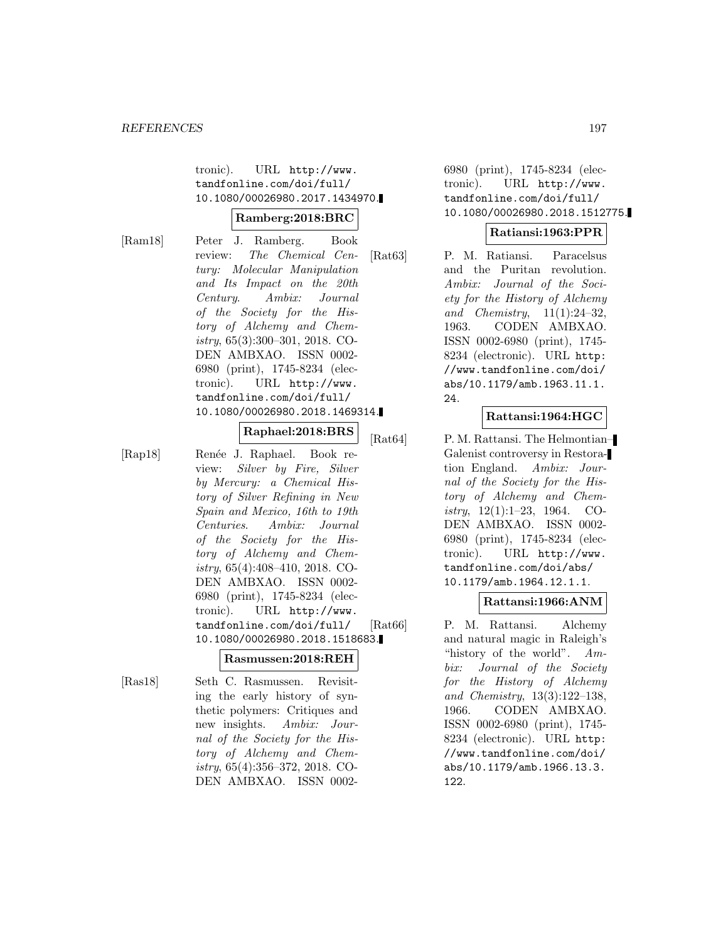tronic). URL http://www. tandfonline.com/doi/full/ 10.1080/00026980.2017.1434970.

## **Ramberg:2018:BRC**

[Ram18] Peter J. Ramberg. Book review: The Chemical Century: Molecular Manipulation and Its Impact on the 20th Century. Ambix: Journal of the Society for the History of Alchemy and Chemistry, 65(3):300–301, 2018. CO-DEN AMBXAO. ISSN 0002- 6980 (print), 1745-8234 (electronic). URL http://www. tandfonline.com/doi/full/ 10.1080/00026980.2018.1469314.

#### **Raphael:2018:BRS**

[Rap18] Renée J. Raphael. Book review: Silver by Fire, Silver by Mercury: a Chemical History of Silver Refining in New Spain and Mexico, 16th to 19th Centuries. Ambix: Journal of the Society for the History of Alchemy and Chemistry, 65(4):408–410, 2018. CO-DEN AMBXAO. ISSN 0002- 6980 (print), 1745-8234 (electronic). URL http://www. tandfonline.com/doi/full/ 10.1080/00026980.2018.1518683.

#### **Rasmussen:2018:REH**

[Ras18] Seth C. Rasmussen. Revisiting the early history of synthetic polymers: Critiques and new insights. Ambix: Journal of the Society for the History of Alchemy and Chemistry, 65(4):356–372, 2018. CO-DEN AMBXAO. ISSN 00026980 (print), 1745-8234 (electronic). URL http://www. tandfonline.com/doi/full/ 10.1080/00026980.2018.1512775.

#### **Ratiansi:1963:PPR**

[Rat63] P. M. Ratiansi. Paracelsus and the Puritan revolution. Ambix: Journal of the Society for the History of Alchemy and Chemistry,  $11(1):24-32$ , 1963. CODEN AMBXAO. ISSN 0002-6980 (print), 1745- 8234 (electronic). URL http: //www.tandfonline.com/doi/ abs/10.1179/amb.1963.11.1. 24.

## **Rattansi:1964:HGC**

[Rat64] P. M. Rattansi. The Helmontian– Galenist controversy in Restoration England. Ambix: Journal of the Society for the History of Alchemy and Chemistry, 12(1):1–23, 1964. CO-DEN AMBXAO. ISSN 0002- 6980 (print), 1745-8234 (electronic). URL http://www. tandfonline.com/doi/abs/ 10.1179/amb.1964.12.1.1.

## **Rattansi:1966:ANM**

[Rat66] P. M. Rattansi. Alchemy and natural magic in Raleigh's "history of the world".  $Am$ bix: Journal of the Society for the History of Alchemy and Chemistry, 13(3):122–138, 1966. CODEN AMBXAO. ISSN 0002-6980 (print), 1745- 8234 (electronic). URL http: //www.tandfonline.com/doi/ abs/10.1179/amb.1966.13.3. 122.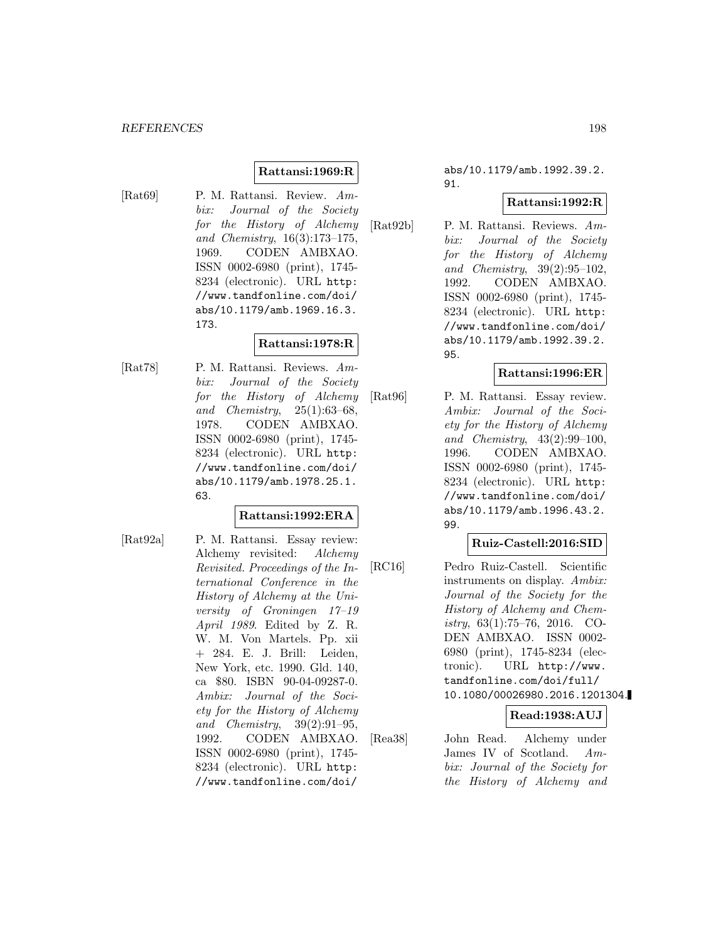## **Rattansi:1969:R**

- 
- [Rat69] P. M. Rattansi. Review. Ambix: Journal of the Society for the History of Alchemy and Chemistry, 16(3):173–175, 1969. CODEN AMBXAO. ISSN 0002-6980 (print), 1745- 8234 (electronic). URL http: //www.tandfonline.com/doi/ abs/10.1179/amb.1969.16.3. 173.

## **Rattansi:1978:R**

- 
- [Rat78] P. M. Rattansi. Reviews. Ambix: Journal of the Society for the History of Alchemy and Chemistry, 25(1):63–68, 1978. CODEN AMBXAO. ISSN 0002-6980 (print), 1745- 8234 (electronic). URL http: //www.tandfonline.com/doi/ abs/10.1179/amb.1978.25.1. 63.

## **Rattansi:1992:ERA**

[Rat92a] P. M. Rattansi. Essay review: Alchemy revisited: Alchemy Revisited. Proceedings of the International Conference in the History of Alchemy at the University of Groningen 17–19 April 1989. Edited by Z. R. W. M. Von Martels. Pp. xii + 284. E. J. Brill: Leiden, New York, etc. 1990. Gld. 140, ca \$80. ISBN 90-04-09287-0. Ambix: Journal of the Society for the History of Alchemy and Chemistry, 39(2):91–95, 1992. CODEN AMBXAO. ISSN 0002-6980 (print), 1745- 8234 (electronic). URL http: //www.tandfonline.com/doi/

## abs/10.1179/amb.1992.39.2. 91.

## **Rattansi:1992:R**

[Rat92b] P. M. Rattansi. Reviews. Ambix: Journal of the Society for the History of Alchemy and Chemistry, 39(2):95–102, 1992. CODEN AMBXAO. ISSN 0002-6980 (print), 1745- 8234 (electronic). URL http: //www.tandfonline.com/doi/ abs/10.1179/amb.1992.39.2. 95.

## **Rattansi:1996:ER**

[Rat96] P. M. Rattansi. Essay review. Ambix: Journal of the Society for the History of Alchemy and Chemistry, 43(2):99–100, 1996. CODEN AMBXAO. ISSN 0002-6980 (print), 1745- 8234 (electronic). URL http: //www.tandfonline.com/doi/ abs/10.1179/amb.1996.43.2. 99.

#### **Ruiz-Castell:2016:SID**

[RC16] Pedro Ruiz-Castell. Scientific instruments on display. Ambix: Journal of the Society for the History of Alchemy and Chemistry,  $63(1)$ :75–76, 2016. CO-DEN AMBXAO. ISSN 0002- 6980 (print), 1745-8234 (electronic). URL http://www. tandfonline.com/doi/full/ 10.1080/00026980.2016.1201304.

#### **Read:1938:AUJ**

[Rea38] John Read. Alchemy under James IV of Scotland. Ambix: Journal of the Society for the History of Alchemy and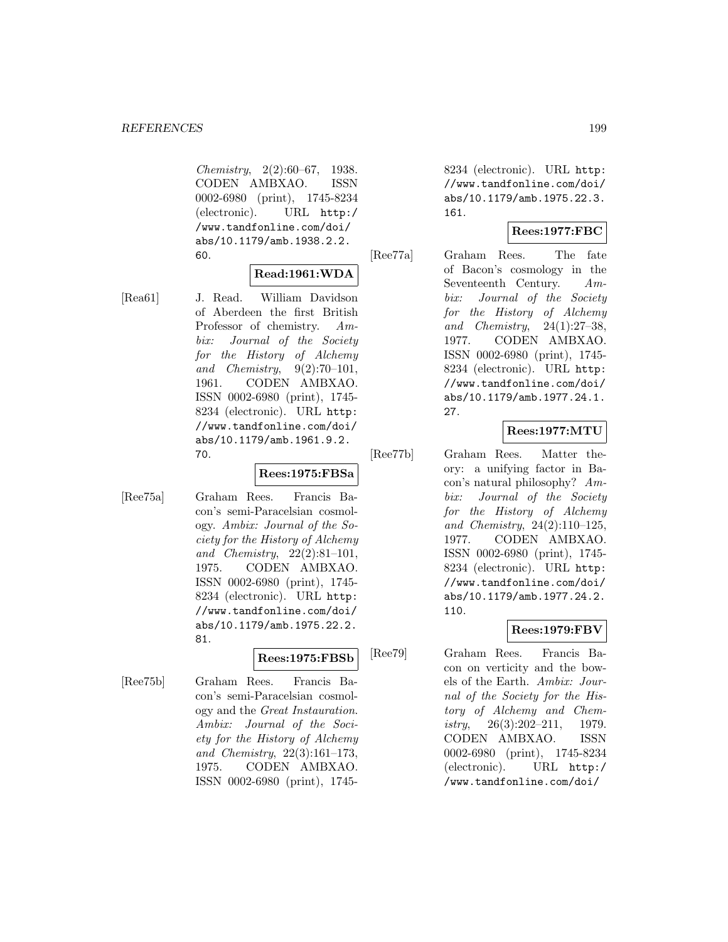Chemistry, 2(2):60–67, 1938. CODEN AMBXAO. ISSN 0002-6980 (print), 1745-8234 (electronic). URL http:/ /www.tandfonline.com/doi/ abs/10.1179/amb.1938.2.2. 60.

#### **Read:1961:WDA**

[Rea61] J. Read. William Davidson of Aberdeen the first British Professor of chemistry. Ambix: Journal of the Society for the History of Alchemy and Chemistry,  $9(2):70-101$ , 1961. CODEN AMBXAO. ISSN 0002-6980 (print), 1745- 8234 (electronic). URL http: //www.tandfonline.com/doi/ abs/10.1179/amb.1961.9.2. 70.

#### **Rees:1975:FBSa**

[Ree75a] Graham Rees. Francis Bacon's semi-Paracelsian cosmology. Ambix: Journal of the Society for the History of Alchemy and Chemistry, 22(2):81–101, 1975. CODEN AMBXAO. ISSN 0002-6980 (print), 1745- 8234 (electronic). URL http: //www.tandfonline.com/doi/ abs/10.1179/amb.1975.22.2. 81.

## **Rees:1975:FBSb**

[Ree75b] Graham Rees. Francis Bacon's semi-Paracelsian cosmology and the Great Instauration. Ambix: Journal of the Society for the History of Alchemy and Chemistry, 22(3):161–173, 1975. CODEN AMBXAO. ISSN 0002-6980 (print), 17458234 (electronic). URL http: //www.tandfonline.com/doi/ abs/10.1179/amb.1975.22.3. 161.

## **Rees:1977:FBC**

[Ree77a] Graham Rees. The fate of Bacon's cosmology in the Seventeenth Century. Ambix: Journal of the Society for the History of Alchemy and Chemistry, 24(1):27–38, 1977. CODEN AMBXAO. ISSN 0002-6980 (print), 1745- 8234 (electronic). URL http: //www.tandfonline.com/doi/ abs/10.1179/amb.1977.24.1. 27.

# **Rees:1977:MTU**

[Ree77b] Graham Rees. Matter theory: a unifying factor in Bacon's natural philosophy? Ambix: Journal of the Society for the History of Alchemy and Chemistry, 24(2):110–125, 1977. CODEN AMBXAO. ISSN 0002-6980 (print), 1745- 8234 (electronic). URL http: //www.tandfonline.com/doi/ abs/10.1179/amb.1977.24.2. 110.

# **Rees:1979:FBV**

[Ree79] Graham Rees. Francis Bacon on verticity and the bowels of the Earth. Ambix: Journal of the Society for the History of Alchemy and Chemistry, 26(3):202–211, 1979. CODEN AMBXAO. ISSN 0002-6980 (print), 1745-8234 (electronic). URL http:/ /www.tandfonline.com/doi/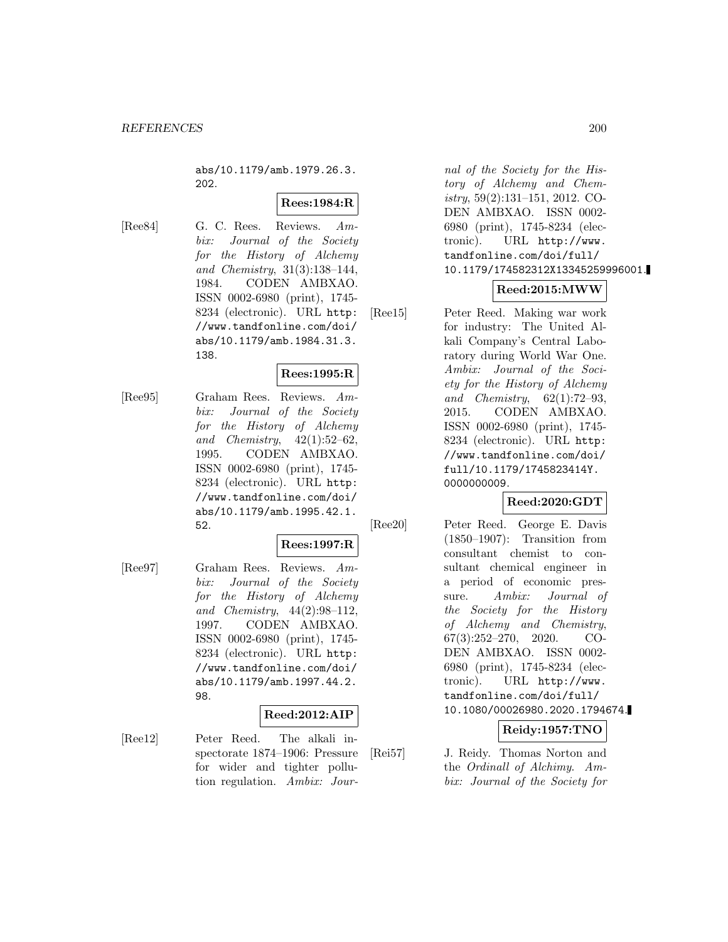abs/10.1179/amb.1979.26.3. 202.

## **Rees:1984:R**

[Ree84] G. C. Rees. Reviews. Ambix: Journal of the Society for the History of Alchemy and Chemistry, 31(3):138–144, 1984. CODEN AMBXAO. ISSN 0002-6980 (print), 1745- 8234 (electronic). URL http: //www.tandfonline.com/doi/ abs/10.1179/amb.1984.31.3. 138.

## **Rees:1995:R**

[Ree95] Graham Rees. Reviews. Ambix: Journal of the Society for the History of Alchemy and Chemistry,  $42(1):52-62$ , 1995. CODEN AMBXAO. ISSN 0002-6980 (print), 1745- 8234 (electronic). URL http: //www.tandfonline.com/doi/ abs/10.1179/amb.1995.42.1. 52.

## **Rees:1997:R**

[Ree97] Graham Rees. Reviews. Ambix: Journal of the Society for the History of Alchemy and Chemistry, 44(2):98–112, 1997. CODEN AMBXAO. ISSN 0002-6980 (print), 1745- 8234 (electronic). URL http: //www.tandfonline.com/doi/ abs/10.1179/amb.1997.44.2. 98.

#### **Reed:2012:AIP**

[Ree12] Peter Reed. The alkali inspectorate 1874–1906: Pressure for wider and tighter pollution regulation. Ambix: Journal of the Society for the History of Alchemy and Chemistry, 59(2):131–151, 2012. CO-DEN AMBXAO. ISSN 0002- 6980 (print), 1745-8234 (electronic). URL http://www. tandfonline.com/doi/full/ 10.1179/174582312X13345259996001.

#### **Reed:2015:MWW**

[Ree15] Peter Reed. Making war work for industry: The United Alkali Company's Central Laboratory during World War One. Ambix: Journal of the Society for the History of Alchemy and Chemistry, 62(1):72–93, 2015. CODEN AMBXAO. ISSN 0002-6980 (print), 1745- 8234 (electronic). URL http: //www.tandfonline.com/doi/ full/10.1179/1745823414Y. 0000000009.

## **Reed:2020:GDT**

[Ree20] Peter Reed. George E. Davis (1850–1907): Transition from consultant chemist to consultant chemical engineer in a period of economic pressure. Ambix: Journal of the Society for the History of Alchemy and Chemistry, 67(3):252–270, 2020. CO-DEN AMBXAO. ISSN 0002- 6980 (print), 1745-8234 (electronic). URL http://www. tandfonline.com/doi/full/ 10.1080/00026980.2020.1794674.

## **Reidy:1957:TNO**

[Rei57] J. Reidy. Thomas Norton and the Ordinall of Alchimy. Ambix: Journal of the Society for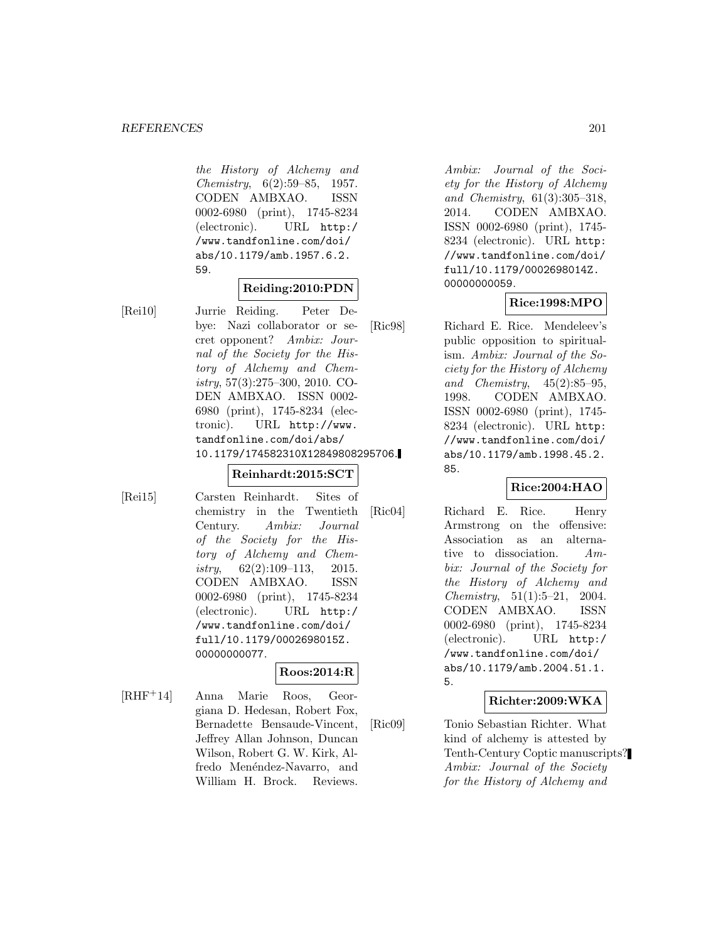the History of Alchemy and Chemistry, 6(2):59–85, 1957. CODEN AMBXAO. ISSN 0002-6980 (print), 1745-8234 (electronic). URL http:/ /www.tandfonline.com/doi/ abs/10.1179/amb.1957.6.2. 59.

## **Reiding:2010:PDN**

[Rei10] Jurrie Reiding. Peter Debye: Nazi collaborator or secret opponent? Ambix: Journal of the Society for the History of Alchemy and Chem $istry, 57(3):275-300, 2010. CO-$ DEN AMBXAO. ISSN 0002- 6980 (print), 1745-8234 (electronic). URL http://www. tandfonline.com/doi/abs/ 10.1179/174582310X12849808295706.

## **Reinhardt:2015:SCT**

[Rei15] Carsten Reinhardt. Sites of chemistry in the Twentieth Century. Ambix: Journal of the Society for the History of Alchemy and Chemistry,  $62(2):109-113$ ,  $2015$ . CODEN AMBXAO. ISSN 0002-6980 (print), 1745-8234 (electronic). URL http:/ /www.tandfonline.com/doi/ full/10.1179/0002698015Z. 00000000077.

## **Roos:2014:R**

[RHF<sup>+</sup>14] Anna Marie Roos, Georgiana D. Hedesan, Robert Fox, Bernadette Bensaude-Vincent, Jeffrey Allan Johnson, Duncan Wilson, Robert G. W. Kirk, Alfredo Menéndez-Navarro, and William H. Brock. Reviews.

Ambix: Journal of the Society for the History of Alchemy and Chemistry, 61(3):305–318, 2014. CODEN AMBXAO. ISSN 0002-6980 (print), 1745- 8234 (electronic). URL http: //www.tandfonline.com/doi/ full/10.1179/0002698014Z. 00000000059.

## **Rice:1998:MPO**

[Ric98] Richard E. Rice. Mendeleev's public opposition to spiritualism. Ambix: Journal of the Society for the History of Alchemy and Chemistry, 45(2):85–95, 1998. CODEN AMBXAO. ISSN 0002-6980 (print), 1745- 8234 (electronic). URL http: //www.tandfonline.com/doi/ abs/10.1179/amb.1998.45.2. 85.

## **Rice:2004:HAO**

[Ric04] Richard E. Rice. Henry Armstrong on the offensive: Association as an alternative to dissociation. Ambix: Journal of the Society for the History of Alchemy and Chemistry, 51(1):5–21, 2004. CODEN AMBXAO. ISSN 0002-6980 (print), 1745-8234 (electronic). URL http:/ /www.tandfonline.com/doi/ abs/10.1179/amb.2004.51.1. 5.

#### **Richter:2009:WKA**

[Ric09] Tonio Sebastian Richter. What kind of alchemy is attested by Tenth-Century Coptic manuscripts? Ambix: Journal of the Society for the History of Alchemy and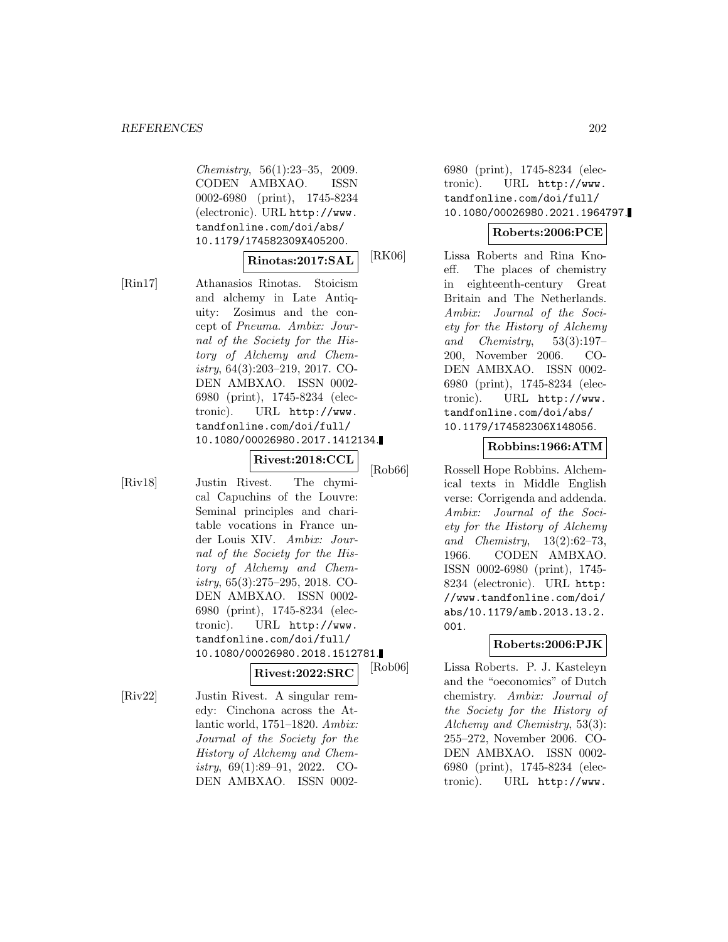Chemistry, 56(1):23–35, 2009. CODEN AMBXAO. ISSN 0002-6980 (print), 1745-8234 (electronic). URL http://www. tandfonline.com/doi/abs/ 10.1179/174582309X405200.

## **Rinotas:2017:SAL**

[Rin17] Athanasios Rinotas. Stoicism and alchemy in Late Antiquity: Zosimus and the concept of Pneuma. Ambix: Journal of the Society for the History of Alchemy and Chemistry, 64(3):203–219, 2017. CO-DEN AMBXAO. ISSN 0002- 6980 (print), 1745-8234 (electronic). URL http://www. tandfonline.com/doi/full/ 10.1080/00026980.2017.1412134.

[Riv18] Justin Rivest. The chymical Capuchins of the Louvre: Seminal principles and charitable vocations in France under Louis XIV. Ambix: Journal of the Society for the History of Alchemy and Chemistry, 65(3):275–295, 2018. CO-DEN AMBXAO. ISSN 0002- 6980 (print), 1745-8234 (electronic). URL http://www. tandfonline.com/doi/full/ 10.1080/00026980.2018.1512781.

**Rivest:2018:CCL**

**Rivest:2022:SRC**

[Riv22] Justin Rivest. A singular remedy: Cinchona across the Atlantic world, 1751–1820. Ambix: Journal of the Society for the History of Alchemy and Chemistry, 69(1):89–91, 2022. CO-DEN AMBXAO. ISSN 00026980 (print), 1745-8234 (electronic). URL http://www. tandfonline.com/doi/full/ 10.1080/00026980.2021.1964797.

## **Roberts:2006:PCE**

[RK06] Lissa Roberts and Rina Knoeff. The places of chemistry in eighteenth-century Great Britain and The Netherlands. Ambix: Journal of the Society for the History of Alchemy and Chemistry,  $53(3):197-$ 200, November 2006. CO-DEN AMBXAO. ISSN 0002- 6980 (print), 1745-8234 (electronic). URL http://www. tandfonline.com/doi/abs/ 10.1179/174582306X148056.

#### **Robbins:1966:ATM**

[Rob66] Rossell Hope Robbins. Alchemical texts in Middle English verse: Corrigenda and addenda. Ambix: Journal of the Society for the History of Alchemy and Chemistry, 13(2):62–73, 1966. CODEN AMBXAO. ISSN 0002-6980 (print), 1745- 8234 (electronic). URL http: //www.tandfonline.com/doi/ abs/10.1179/amb.2013.13.2. 001.

## **Roberts:2006:PJK**

[Rob06] Lissa Roberts. P. J. Kasteleyn and the "oeconomics" of Dutch chemistry. Ambix: Journal of the Society for the History of Alchemy and Chemistry, 53(3): 255–272, November 2006. CO-DEN AMBXAO. ISSN 0002- 6980 (print), 1745-8234 (electronic). URL http://www.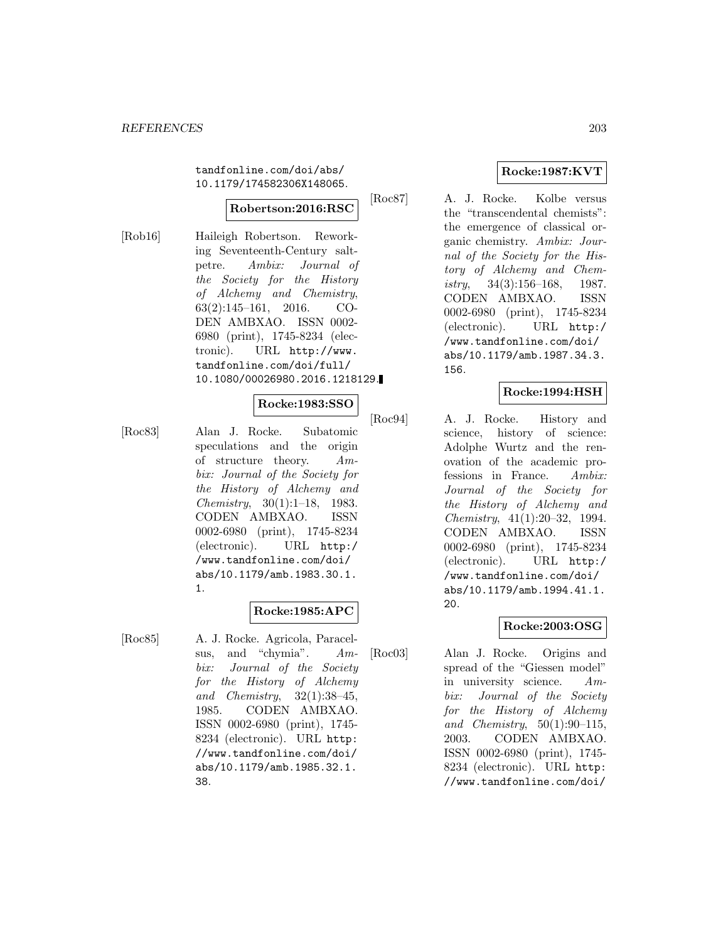tandfonline.com/doi/abs/ 10.1179/174582306X148065.

#### **Robertson:2016:RSC**

[Rob16] Haileigh Robertson. Reworking Seventeenth-Century saltpetre. Ambix: Journal of the Society for the History of Alchemy and Chemistry, 63(2):145–161, 2016. CO-DEN AMBXAO. ISSN 0002- 6980 (print), 1745-8234 (electronic). URL http://www. tandfonline.com/doi/full/ 10.1080/00026980.2016.1218129.

#### **Rocke:1983:SSO**

[Roc83] Alan J. Rocke. Subatomic speculations and the origin of structure theory. Ambix: Journal of the Society for the History of Alchemy and Chemistry, 30(1):1–18, 1983. CODEN AMBXAO. ISSN 0002-6980 (print), 1745-8234 (electronic). URL http:/ /www.tandfonline.com/doi/ abs/10.1179/amb.1983.30.1. 1.

## **Rocke:1985:APC**

[Roc85] A. J. Rocke. Agricola, Paracelsus, and "chymia". Ambix: Journal of the Society for the History of Alchemy and Chemistry, 32(1):38–45, 1985. CODEN AMBXAO. ISSN 0002-6980 (print), 1745- 8234 (electronic). URL http: //www.tandfonline.com/doi/ abs/10.1179/amb.1985.32.1. 38.

## **Rocke:1987:KVT**

[Roc87] A. J. Rocke. Kolbe versus the "transcendental chemists": the emergence of classical organic chemistry. Ambix: Journal of the Society for the History of Alchemy and Chemistry,  $34(3):156-168$ , 1987. CODEN AMBXAO. ISSN 0002-6980 (print), 1745-8234 (electronic). URL http:/ /www.tandfonline.com/doi/ abs/10.1179/amb.1987.34.3. 156.

## **Rocke:1994:HSH**

[Roc94] A. J. Rocke. History and science, history of science: Adolphe Wurtz and the renovation of the academic professions in France. Ambix: Journal of the Society for the History of Alchemy and Chemistry, 41(1):20–32, 1994. CODEN AMBXAO. ISSN 0002-6980 (print), 1745-8234 (electronic). URL http:/ /www.tandfonline.com/doi/ abs/10.1179/amb.1994.41.1. 20.

## **Rocke:2003:OSG**

[Roc03] Alan J. Rocke. Origins and spread of the "Giessen model" in university science. Ambix: Journal of the Society for the History of Alchemy and Chemistry,  $50(1):90-115$ , 2003. CODEN AMBXAO. ISSN 0002-6980 (print), 1745- 8234 (electronic). URL http: //www.tandfonline.com/doi/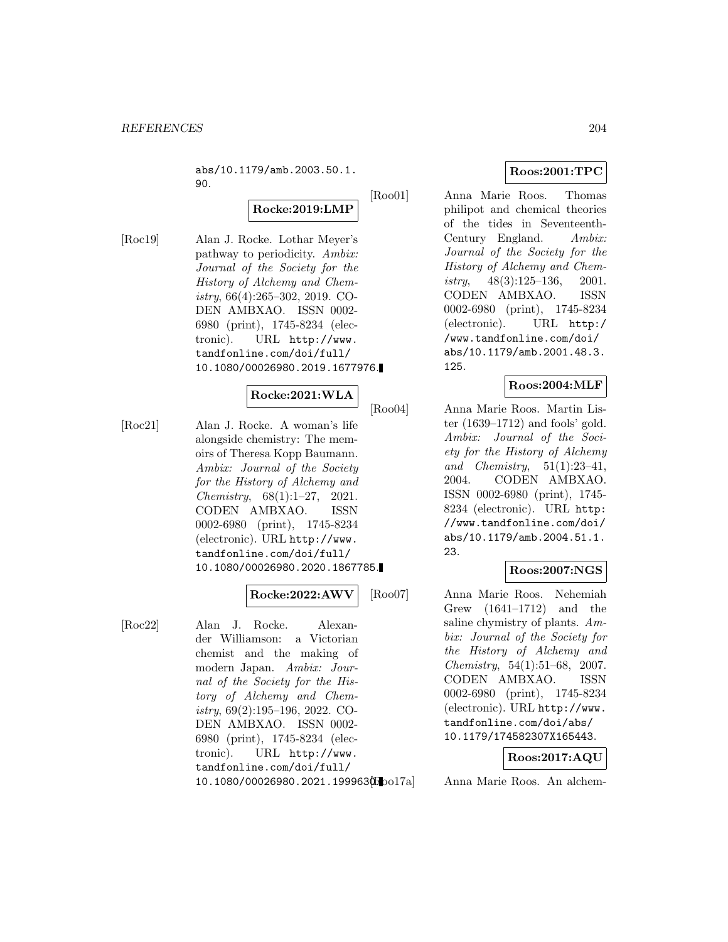abs/10.1179/amb.2003.50.1. 90.

# **Rocke:2019:LMP**

[Roc19] Alan J. Rocke. Lothar Meyer's pathway to periodicity. Ambix: Journal of the Society for the History of Alchemy and Chemistry, 66(4):265–302, 2019. CO-DEN AMBXAO. ISSN 0002- 6980 (print), 1745-8234 (electronic). URL http://www. tandfonline.com/doi/full/ 10.1080/00026980.2019.1677976.

# **Rocke:2021:WLA**

[Roc21] Alan J. Rocke. A woman's life alongside chemistry: The memoirs of Theresa Kopp Baumann. Ambix: Journal of the Society for the History of Alchemy and Chemistry, 68(1):1–27, 2021. CODEN AMBXAO. ISSN 0002-6980 (print), 1745-8234 (electronic). URL http://www. tandfonline.com/doi/full/ 10.1080/00026980.2020.1867785.

## **Rocke:2022:AWV**

[Roc22] Alan J. Rocke. Alexander Williamson: a Victorian chemist and the making of modern Japan. Ambix: Journal of the Society for the History of Alchemy and Chemistry, 69(2):195–196, 2022. CO-DEN AMBXAO. ISSN 0002- 6980 (print), 1745-8234 (electronic). URL http://www. tandfonline.com/doi/full/ 10.1080/00026980.2021.1999630.0017a

## **Roos:2001:TPC**

[Roo01] Anna Marie Roos. Thomas philipot and chemical theories of the tides in Seventeenth-Century England. Ambix: Journal of the Society for the History of Alchemy and Chemistry,  $48(3):125-136$ ,  $2001$ . CODEN AMBXAO. ISSN 0002-6980 (print), 1745-8234 (electronic). URL http:/ /www.tandfonline.com/doi/ abs/10.1179/amb.2001.48.3. 125.

## **Roos:2004:MLF**

[Roo04] Anna Marie Roos. Martin Lister (1639–1712) and fools' gold. Ambix: Journal of the Society for the History of Alchemy and Chemistry,  $51(1):23-41$ , 2004. CODEN AMBXAO. ISSN 0002-6980 (print), 1745- 8234 (electronic). URL http: //www.tandfonline.com/doi/ abs/10.1179/amb.2004.51.1. 23.

## **Roos:2007:NGS**

[Roo07] Anna Marie Roos. Nehemiah Grew (1641–1712) and the saline chymistry of plants.  $Am$ bix: Journal of the Society for the History of Alchemy and Chemistry, 54(1):51–68, 2007. CODEN AMBXAO. ISSN 0002-6980 (print), 1745-8234 (electronic). URL http://www. tandfonline.com/doi/abs/ 10.1179/174582307X165443.

## **Roos:2017:AQU**

Anna Marie Roos. An alchem-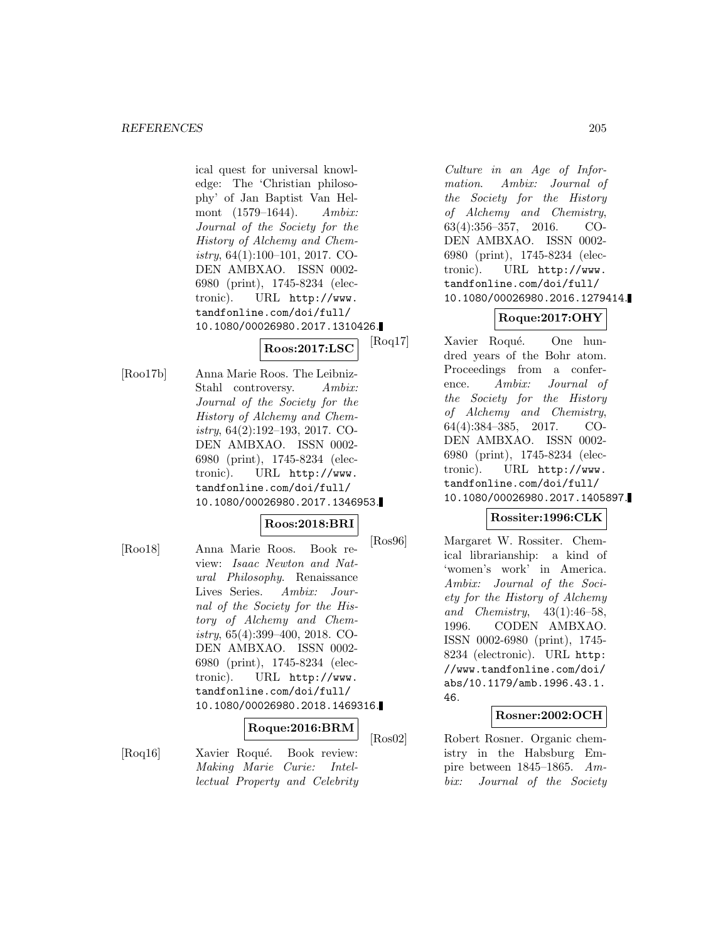ical quest for universal knowledge: The 'Christian philosophy' of Jan Baptist Van Helmont (1579–1644). Ambix: Journal of the Society for the History of Alchemy and Chemistry, 64(1):100–101, 2017. CO-DEN AMBXAO. ISSN 0002- 6980 (print), 1745-8234 (electronic). URL http://www. tandfonline.com/doi/full/ 10.1080/00026980.2017.1310426.

$$
\fbox{Roos:} 2017:\text{LSC} \qquad \text{[Roq]}
$$

[Roo17b] Anna Marie Roos. The Leibniz-Stahl controversy. Ambix: Journal of the Society for the History of Alchemy and Chemistry, 64(2):192–193, 2017. CO-DEN AMBXAO. ISSN 0002- 6980 (print), 1745-8234 (electronic). URL http://www. tandfonline.com/doi/full/ 10.1080/00026980.2017.1346953.

#### **Roos:2018:BRI**

- [Roo18] Anna Marie Roos. Book review: Isaac Newton and Natural Philosophy. Renaissance Lives Series. Ambix: Journal of the Society for the History of Alchemy and Chemistry, 65(4):399–400, 2018. CO-DEN AMBXAO. ISSN 0002- 6980 (print), 1745-8234 (elec
	- tronic). URL http://www. tandfonline.com/doi/full/ 10.1080/00026980.2018.1469316.

#### **Roque:2016:BRM**

[Roq16] Xavier Roqué. Book review: Making Marie Curie: Intellectual Property and Celebrity

Culture in an Age of Information. Ambix: Journal of the Society for the History of Alchemy and Chemistry, 63(4):356–357, 2016. CO-DEN AMBXAO. ISSN 0002- 6980 (print), 1745-8234 (electronic). URL http://www. tandfonline.com/doi/full/ 10.1080/00026980.2016.1279414.

# **Roque:2017:OHY**

[17] Xavier Roqué. One hundred years of the Bohr atom. Proceedings from a conference. Ambix: Journal of the Society for the History of Alchemy and Chemistry, 64(4):384–385, 2017. CO-DEN AMBXAO. ISSN 0002- 6980 (print), 1745-8234 (electronic). URL http://www. tandfonline.com/doi/full/ 10.1080/00026980.2017.1405897.

## **Rossiter:1996:CLK**

[Ros96] Margaret W. Rossiter. Chemical librarianship: a kind of 'women's work' in America. Ambix: Journal of the Society for the History of Alchemy and Chemistry, 43(1):46–58, 1996. CODEN AMBXAO. ISSN 0002-6980 (print), 1745- 8234 (electronic). URL http: //www.tandfonline.com/doi/ abs/10.1179/amb.1996.43.1. 46.

#### **Rosner:2002:OCH**

[Ros02] Robert Rosner. Organic chemistry in the Habsburg Empire between 1845–1865. Ambix: Journal of the Society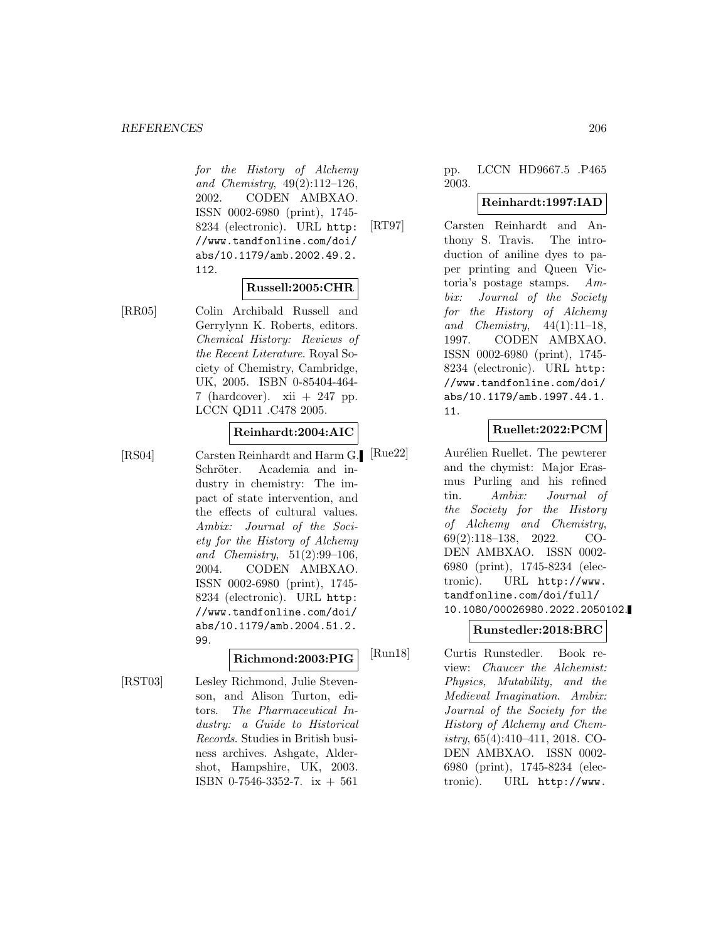for the History of Alchemy and Chemistry, 49(2):112–126, 2002. CODEN AMBXAO. ISSN 0002-6980 (print), 1745- 8234 (electronic). URL http: //www.tandfonline.com/doi/ abs/10.1179/amb.2002.49.2. 112.

#### **Russell:2005:CHR**

[RR05] Colin Archibald Russell and Gerrylynn K. Roberts, editors. Chemical History: Reviews of the Recent Literature. Royal Society of Chemistry, Cambridge, UK, 2005. ISBN 0-85404-464- 7 (hardcover). xii + 247 pp. LCCN QD11 .C478 2005.

## **Reinhardt:2004:AIC**

[RS04] Carsten Reinhardt and Harm G. Schröter. Academia and industry in chemistry: The impact of state intervention, and the effects of cultural values. Ambix: Journal of the Society for the History of Alchemy and Chemistry, 51(2):99–106, 2004. CODEN AMBXAO. ISSN 0002-6980 (print), 1745- 8234 (electronic). URL http: //www.tandfonline.com/doi/ abs/10.1179/amb.2004.51.2. 99.

## **Richmond:2003:PIG**

[RST03] Lesley Richmond, Julie Stevenson, and Alison Turton, editors. The Pharmaceutical Industry: a Guide to Historical Records. Studies in British business archives. Ashgate, Aldershot, Hampshire, UK, 2003. ISBN 0-7546-3352-7. ix  $+561$ 

## pp. LCCN HD9667.5 .P465 2003.

## **Reinhardt:1997:IAD**

[RT97] Carsten Reinhardt and Anthony S. Travis. The introduction of aniline dyes to paper printing and Queen Victoria's postage stamps. Ambix: Journal of the Society for the History of Alchemy and Chemistry,  $44(1):11-18$ , 1997. CODEN AMBXAO. ISSN 0002-6980 (print), 1745- 8234 (electronic). URL http: //www.tandfonline.com/doi/ abs/10.1179/amb.1997.44.1. 11.

# **Ruellet:2022:PCM**

Aurélien Ruellet. The pewterer and the chymist: Major Erasmus Purling and his refined tin. Ambix: Journal of the Society for the History of Alchemy and Chemistry, 69(2):118–138, 2022. CO-DEN AMBXAO. ISSN 0002- 6980 (print), 1745-8234 (electronic). URL http://www. tandfonline.com/doi/full/ 10.1080/00026980.2022.2050102.

## **Runstedler:2018:BRC**

[Run18] Curtis Runstedler. Book review: Chaucer the Alchemist: Physics, Mutability, and the Medieval Imagination. Ambix: Journal of the Society for the History of Alchemy and Chemistry, 65(4):410–411, 2018. CO-DEN AMBXAO. ISSN 0002- 6980 (print), 1745-8234 (electronic). URL http://www.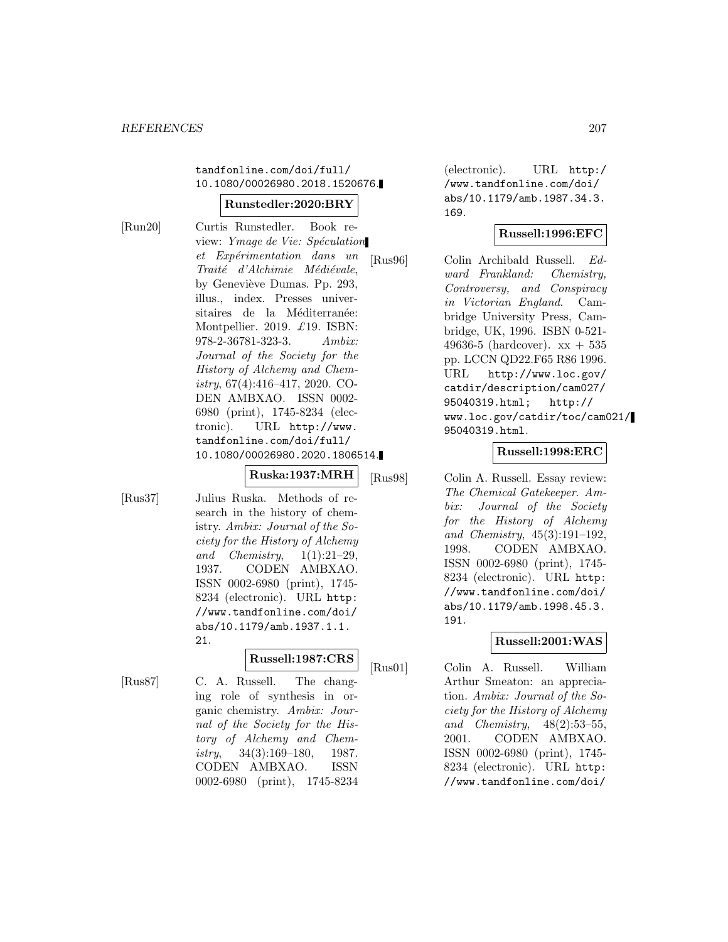tandfonline.com/doi/full/ 10.1080/00026980.2018.1520676.

#### **Runstedler:2020:BRY**

[Run20] Curtis Runstedler. Book review: Ymage de Vie: Spéculation et Expérimentation dans un Traité d'Alchimie Médiévale, by Geneviève Dumas. Pp. 293, illus., index. Presses universitaires de la Méditerranée: Montpellier. 2019. £19. ISBN: 978-2-36781-323-3. Ambix: Journal of the Society for the History of Alchemy and Chemistry, 67(4):416–417, 2020. CO-DEN AMBXAO. ISSN 0002- 6980 (print), 1745-8234 (electronic). URL http://www. tandfonline.com/doi/full/ 10.1080/00026980.2020.1806514.

**Ruska:1937:MRH**

[Rus37] Julius Ruska. Methods of research in the history of chemistry. Ambix: Journal of the Society for the History of Alchemy and Chemistry,  $1(1):21-29$ , 1937. CODEN AMBXAO. ISSN 0002-6980 (print), 1745- 8234 (electronic). URL http: //www.tandfonline.com/doi/ abs/10.1179/amb.1937.1.1. 21.

# **Russell:1987:CRS**

[Rus87] C. A. Russell. The changing role of synthesis in organic chemistry. Ambix: Journal of the Society for the History of Alchemy and Chemistry, 34(3):169–180, 1987. CODEN AMBXAO. ISSN 0002-6980 (print), 1745-8234

(electronic). URL http:/ /www.tandfonline.com/doi/ abs/10.1179/amb.1987.34.3. 169.

## **Russell:1996:EFC**

[Rus96] Colin Archibald Russell. Edward Frankland: Chemistry, Controversy, and Conspiracy in Victorian England. Cambridge University Press, Cambridge, UK, 1996. ISBN 0-521- 49636-5 (hardcover).  $xx + 535$ pp. LCCN QD22.F65 R86 1996. URL http://www.loc.gov/ catdir/description/cam027/ 95040319.html; http:// www.loc.gov/catdir/toc/cam021/ 95040319.html.

## **Russell:1998:ERC**

[Rus98] Colin A. Russell. Essay review: The Chemical Gatekeeper. Ambix: Journal of the Society for the History of Alchemy and Chemistry, 45(3):191–192, 1998. CODEN AMBXAO. ISSN 0002-6980 (print), 1745- 8234 (electronic). URL http: //www.tandfonline.com/doi/ abs/10.1179/amb.1998.45.3. 191.

#### **Russell:2001:WAS**

[Rus01] Colin A. Russell. William Arthur Smeaton: an appreciation. Ambix: Journal of the Society for the History of Alchemy and Chemistry, 48(2):53–55, 2001. CODEN AMBXAO. ISSN 0002-6980 (print), 1745- 8234 (electronic). URL http: //www.tandfonline.com/doi/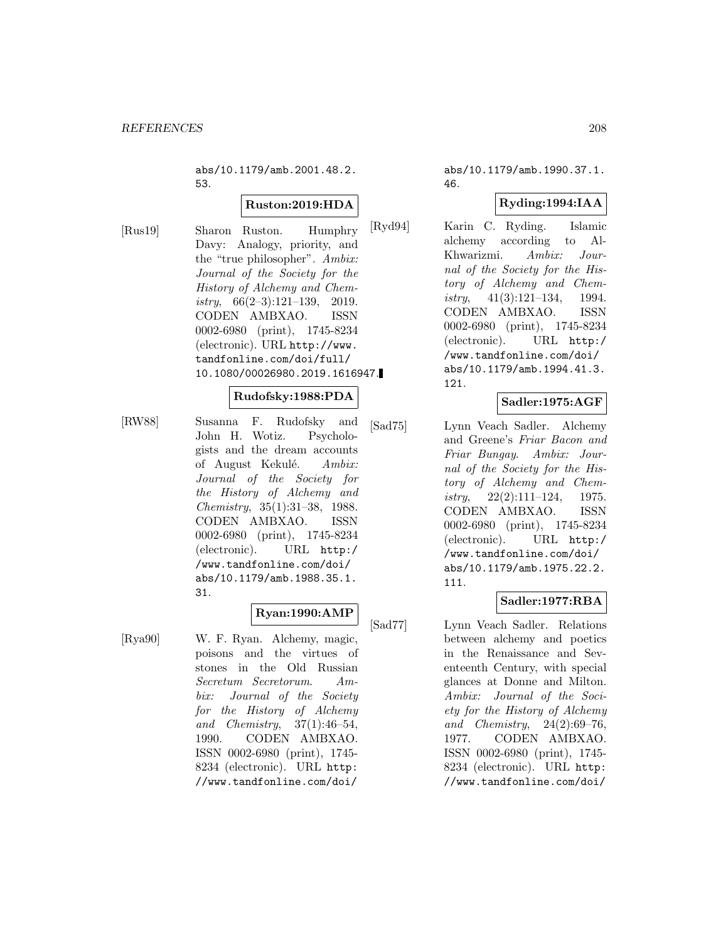abs/10.1179/amb.2001.48.2. 53.

#### **Ruston:2019:HDA**

[Rus19] Sharon Ruston. Humphry Davy: Analogy, priority, and the "true philosopher". Ambix: Journal of the Society for the History of Alchemy and Chemistry,  $66(2-3):121-139$ ,  $2019$ . CODEN AMBXAO. ISSN 0002-6980 (print), 1745-8234 (electronic). URL http://www. tandfonline.com/doi/full/ 10.1080/00026980.2019.1616947.

## **Rudofsky:1988:PDA**

[RW88] Susanna F. Rudofsky and John H. Wotiz. Psychologists and the dream accounts of August Kekulé. Ambix: Journal of the Society for the History of Alchemy and Chemistry, 35(1):31–38, 1988. CODEN AMBXAO. ISSN 0002-6980 (print), 1745-8234 (electronic). URL http:/ /www.tandfonline.com/doi/ abs/10.1179/amb.1988.35.1. 31.

# **Ryan:1990:AMP**

[Rya90] W. F. Ryan. Alchemy, magic, poisons and the virtues of stones in the Old Russian Secretum Secretorum. Ambix: Journal of the Society for the History of Alchemy and Chemistry, 37(1):46–54, 1990. CODEN AMBXAO. ISSN 0002-6980 (print), 1745- 8234 (electronic). URL http: //www.tandfonline.com/doi/

abs/10.1179/amb.1990.37.1. 46.

## **Ryding:1994:IAA**

[Ryd94] Karin C. Ryding. Islamic alchemy according to Al-Khwarizmi. Ambix: Journal of the Society for the History of Alchemy and Chemistry,  $41(3):121-134$ , 1994. CODEN AMBXAO. ISSN 0002-6980 (print), 1745-8234 (electronic). URL http:/ /www.tandfonline.com/doi/ abs/10.1179/amb.1994.41.3. 121.

#### **Sadler:1975:AGF**

[Sad75] Lynn Veach Sadler. Alchemy and Greene's Friar Bacon and Friar Bungay. Ambix: Journal of the Society for the History of Alchemy and Chemistry,  $22(2):111-124$ , 1975. CODEN AMBXAO. ISSN 0002-6980 (print), 1745-8234 (electronic). URL http:/ /www.tandfonline.com/doi/ abs/10.1179/amb.1975.22.2. 111.

#### **Sadler:1977:RBA**

[Sad77] Lynn Veach Sadler. Relations between alchemy and poetics in the Renaissance and Seventeenth Century, with special glances at Donne and Milton. Ambix: Journal of the Society for the History of Alchemy and Chemistry, 24(2):69–76, 1977. CODEN AMBXAO. ISSN 0002-6980 (print), 1745- 8234 (electronic). URL http: //www.tandfonline.com/doi/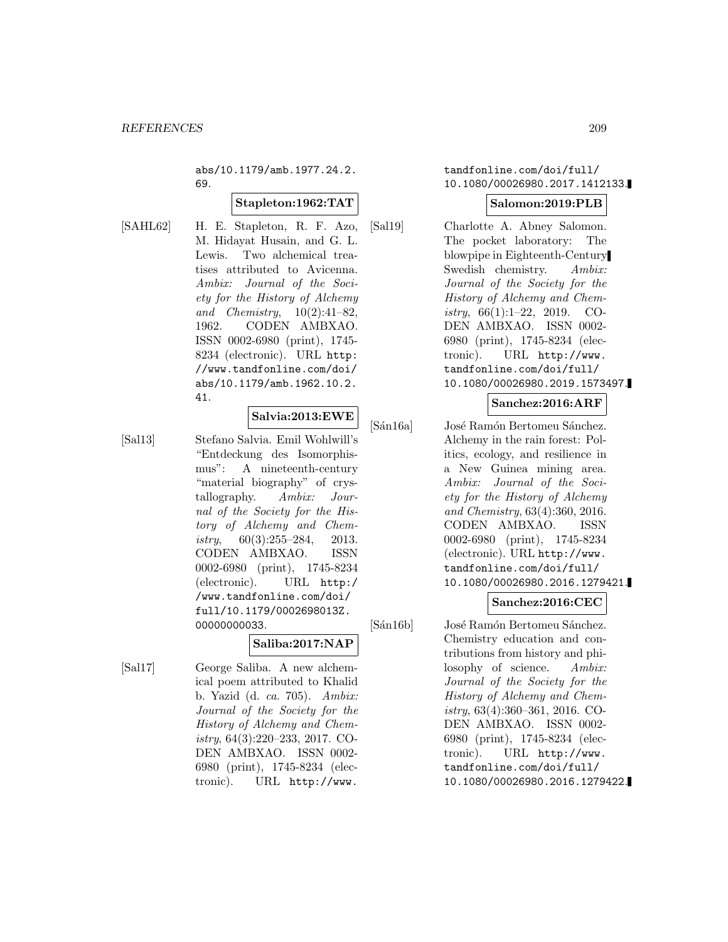abs/10.1179/amb.1977.24.2. 69.

## **Stapleton:1962:TAT**

- 
- [SAHL62] H. E. Stapleton, R. F. Azo, M. Hidayat Husain, and G. L. Lewis. Two alchemical treatises attributed to Avicenna. Ambix: Journal of the Society for the History of Alchemy and Chemistry, 10(2):41–82, 1962. CODEN AMBXAO. ISSN 0002-6980 (print), 1745- 8234 (electronic). URL http: //www.tandfonline.com/doi/ abs/10.1179/amb.1962.10.2. 41.

# **Salvia:2013:EWE**

[Sal13] Stefano Salvia. Emil Wohlwill's "Entdeckung des Isomorphismus": A nineteenth-century "material biography" of crystallography. Ambix: Journal of the Society for the History of Alchemy and Chemistry,  $60(3):255-284$ ,  $2013$ . CODEN AMBXAO. ISSN 0002-6980 (print), 1745-8234 (electronic). URL http:/ /www.tandfonline.com/doi/ full/10.1179/0002698013Z. 00000000033.

**Saliba:2017:NAP**

[Sal17] George Saliba. A new alchemical poem attributed to Khalid b. Yazid (d. ca. 705). Ambix: Journal of the Society for the History of Alchemy and Chemistry, 64(3):220–233, 2017. CO-DEN AMBXAO. ISSN 0002- 6980 (print), 1745-8234 (electronic). URL http://www.

tandfonline.com/doi/full/ 10.1080/00026980.2017.1412133.

#### **Salomon:2019:PLB**

[Sal19] Charlotte A. Abney Salomon. The pocket laboratory: The blowpipe in Eighteenth-Century Swedish chemistry. Ambix: Journal of the Society for the History of Alchemy and Chemistry, 66(1):1–22, 2019. CO-DEN AMBXAO. ISSN 0002- 6980 (print), 1745-8234 (electronic). URL http://www. tandfonline.com/doi/full/ 10.1080/00026980.2019.1573497.

#### **Sanchez:2016:ARF**

[Sán16a] José Ramón Bertomeu Sánchez. Alchemy in the rain forest: Politics, ecology, and resilience in a New Guinea mining area. Ambix: Journal of the Society for the History of Alchemy and Chemistry, 63(4):360, 2016. CODEN AMBXAO. ISSN 0002-6980 (print), 1745-8234 (electronic). URL http://www. tandfonline.com/doi/full/ 10.1080/00026980.2016.1279421.

#### **Sanchez:2016:CEC**

[Sán16b] José Ramón Bertomeu Sánchez. Chemistry education and contributions from history and philosophy of science. Ambix: Journal of the Society for the History of Alchemy and Chemistry, 63(4):360–361, 2016. CO-DEN AMBXAO. ISSN 0002- 6980 (print), 1745-8234 (electronic). URL http://www. tandfonline.com/doi/full/ 10.1080/00026980.2016.1279422.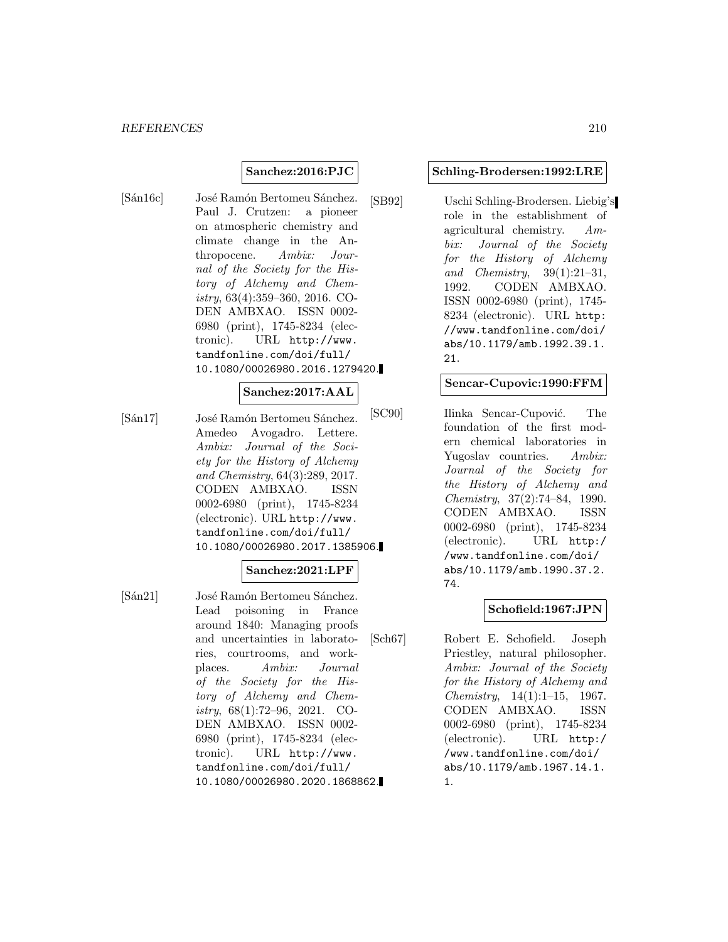#### **Sanchez:2016:PJC**

[Sán16c] José Ramón Bertomeu Sánchez. Paul J. Crutzen: a pioneer on atmospheric chemistry and climate change in the Anthropocene. Ambix: Journal of the Society for the History of Alchemy and Chem $istry, 63(4):359-360, 2016.$  CO-DEN AMBXAO. ISSN 0002- 6980 (print), 1745-8234 (electronic). URL http://www. tandfonline.com/doi/full/ 10.1080/00026980.2016.1279420.

#### **Sanchez:2017:AAL**

[Sán17] José Ramón Bertomeu Sánchez. Amedeo Avogadro. Lettere. Ambix: Journal of the Society for the History of Alchemy and Chemistry, 64(3):289, 2017. CODEN AMBXAO. ISSN 0002-6980 (print), 1745-8234 (electronic). URL http://www. tandfonline.com/doi/full/ 10.1080/00026980.2017.1385906.

#### **Sanchez:2021:LPF**

[Sán21] José Ramón Bertomeu Sánchez. Lead poisoning in France around 1840: Managing proofs and uncertainties in laboratories, courtrooms, and workplaces. Ambix: Journal of the Society for the History of Alchemy and Chemistry, 68(1):72–96, 2021. CO-DEN AMBXAO. ISSN 0002- 6980 (print), 1745-8234 (electronic). URL http://www. tandfonline.com/doi/full/ 10.1080/00026980.2020.1868862.

#### **Schling-Brodersen:1992:LRE**

[SB92] Uschi Schling-Brodersen. Liebig's role in the establishment of agricultural chemistry. Ambix: Journal of the Society for the History of Alchemy and Chemistry,  $39(1):21-31$ , 1992. CODEN AMBXAO. ISSN 0002-6980 (print), 1745- 8234 (electronic). URL http: //www.tandfonline.com/doi/ abs/10.1179/amb.1992.39.1. 21.

#### **Sencar-Cupovic:1990:FFM**

[SC90] Ilinka Sencar-Cupović. The foundation of the first modern chemical laboratories in Yugoslav countries. Ambix: Journal of the Society for the History of Alchemy and Chemistry, 37(2):74–84, 1990. CODEN AMBXAO. ISSN 0002-6980 (print), 1745-8234 (electronic). URL http:/ /www.tandfonline.com/doi/ abs/10.1179/amb.1990.37.2. 74.

## **Schofield:1967:JPN**

[Sch67] Robert E. Schofield. Joseph Priestley, natural philosopher. Ambix: Journal of the Society for the History of Alchemy and Chemistry, 14(1):1–15, 1967. CODEN AMBXAO. ISSN 0002-6980 (print), 1745-8234 (electronic). URL http:/ /www.tandfonline.com/doi/ abs/10.1179/amb.1967.14.1. 1.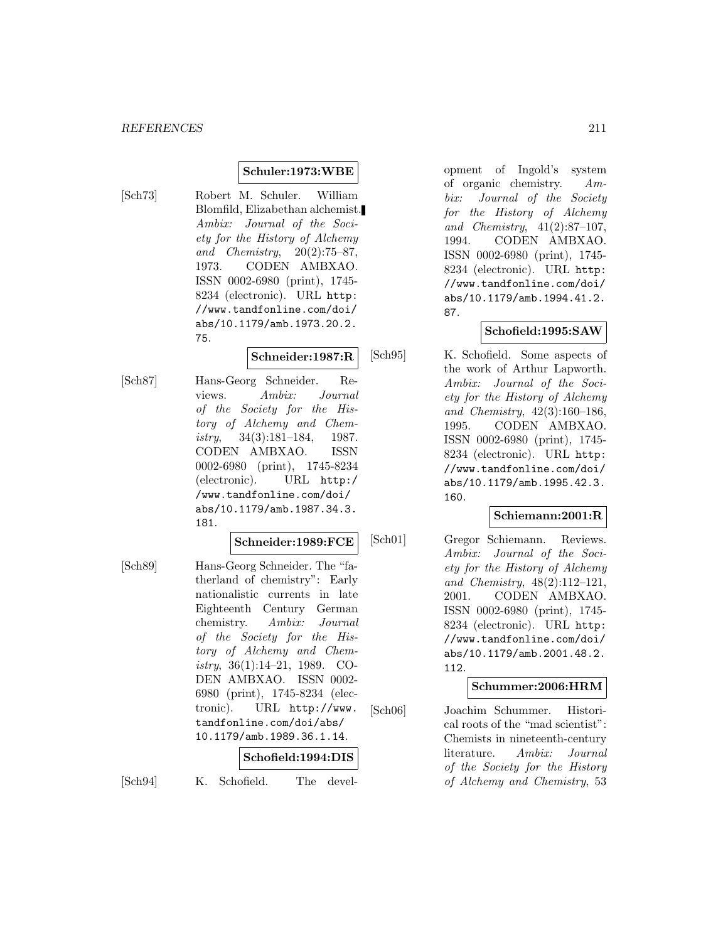#### **Schuler:1973:WBE**

[Sch73] Robert M. Schuler. William Blomfild, Elizabethan alchemist. Ambix: Journal of the Society for the History of Alchemy and Chemistry, 20(2):75–87, 1973. CODEN AMBXAO. ISSN 0002-6980 (print), 1745- 8234 (electronic). URL http: //www.tandfonline.com/doi/ abs/10.1179/amb.1973.20.2. 75.

#### **Schneider:1987:R**

[Sch87] Hans-Georg Schneider. Reviews. Ambix: Journal of the Society for the History of Alchemy and Chemistry, 34(3):181–184, 1987. CODEN AMBXAO. ISSN 0002-6980 (print), 1745-8234 (electronic). URL http:/ /www.tandfonline.com/doi/ abs/10.1179/amb.1987.34.3. 181.

#### **Schneider:1989:FCE**

[Sch89] Hans-Georg Schneider. The "fatherland of chemistry": Early nationalistic currents in late Eighteenth Century German chemistry. Ambix: Journal of the Society for the History of Alchemy and Chemistry,  $36(1):14-21$ , 1989. CO-DEN AMBXAO. ISSN 0002- 6980 (print), 1745-8234 (electronic). URL http://www. tandfonline.com/doi/abs/ 10.1179/amb.1989.36.1.14.

#### **Schofield:1994:DIS**

[Sch94] K. Schofield. The devel-

opment of Ingold's system of organic chemistry. Ambix: Journal of the Society for the History of Alchemy and Chemistry, 41(2):87–107, 1994. CODEN AMBXAO. ISSN 0002-6980 (print), 1745- 8234 (electronic). URL http: //www.tandfonline.com/doi/ abs/10.1179/amb.1994.41.2. 87.

#### **Schofield:1995:SAW**

[Sch95] K. Schofield. Some aspects of the work of Arthur Lapworth. Ambix: Journal of the Society for the History of Alchemy and Chemistry, 42(3):160–186, 1995. CODEN AMBXAO. ISSN 0002-6980 (print), 1745- 8234 (electronic). URL http: //www.tandfonline.com/doi/ abs/10.1179/amb.1995.42.3. 160.

## **Schiemann:2001:R**

[Sch01] Gregor Schiemann. Reviews. Ambix: Journal of the Society for the History of Alchemy and Chemistry, 48(2):112–121, 2001. CODEN AMBXAO. ISSN 0002-6980 (print), 1745- 8234 (electronic). URL http: //www.tandfonline.com/doi/ abs/10.1179/amb.2001.48.2. 112.

#### **Schummer:2006:HRM**

[Sch06] Joachim Schummer. Historical roots of the "mad scientist": Chemists in nineteenth-century literature. Ambix: Journal of the Society for the History of Alchemy and Chemistry, 53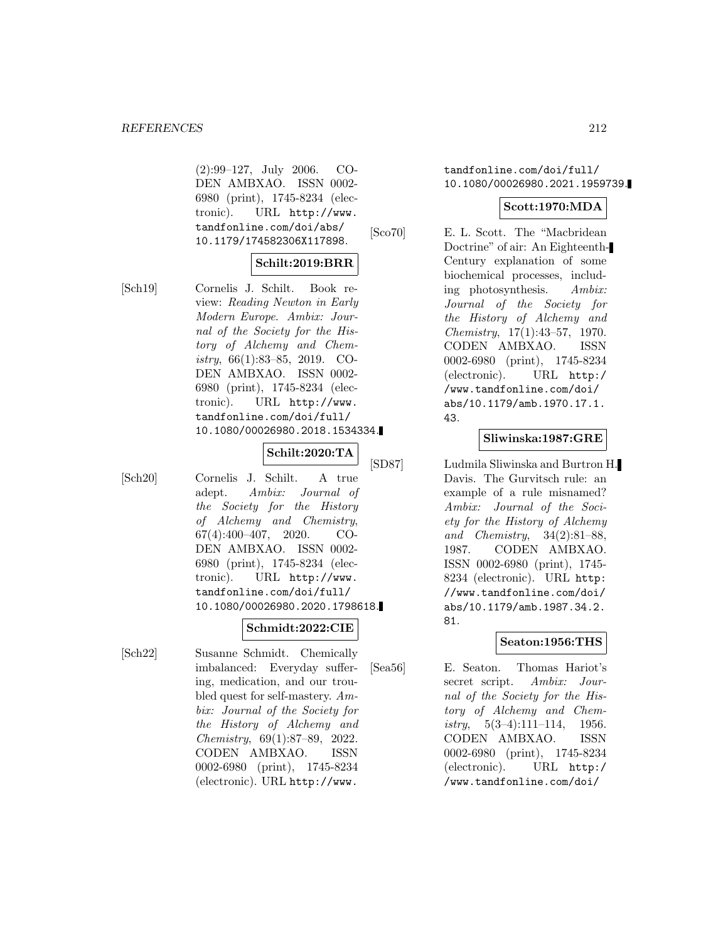#### *REFERENCES* 212

(2):99–127, July 2006. CO-DEN AMBXAO. ISSN 0002- 6980 (print), 1745-8234 (electronic). URL http://www. tandfonline.com/doi/abs/ 10.1179/174582306X117898.

#### **Schilt:2019:BRR**

[Sch19] Cornelis J. Schilt. Book review: Reading Newton in Early Modern Europe. Ambix: Journal of the Society for the History of Alchemy and Chemistry, 66(1):83–85, 2019. CO-DEN AMBXAO. ISSN 0002- 6980 (print), 1745-8234 (electronic). URL http://www. tandfonline.com/doi/full/ 10.1080/00026980.2018.1534334.

## **Schilt:2020:TA**

[Sch20] Cornelis J. Schilt. A true adept. Ambix: Journal of the Society for the History of Alchemy and Chemistry, 67(4):400–407, 2020. CO-DEN AMBXAO. ISSN 0002- 6980 (print), 1745-8234 (electronic). URL http://www. tandfonline.com/doi/full/ 10.1080/00026980.2020.1798618.

# **Schmidt:2022:CIE**

[Sch22] Susanne Schmidt. Chemically imbalanced: Everyday suffering, medication, and our troubled quest for self-mastery. Ambix: Journal of the Society for the History of Alchemy and Chemistry, 69(1):87–89, 2022. CODEN AMBXAO. ISSN 0002-6980 (print), 1745-8234 (electronic). URL http://www.

tandfonline.com/doi/full/ 10.1080/00026980.2021.1959739.

## **Scott:1970:MDA**

[Sco70] E. L. Scott. The "Macbridean Doctrine" of air: An Eighteenth-Century explanation of some biochemical processes, including photosynthesis. Ambix: Journal of the Society for the History of Alchemy and Chemistry, 17(1):43–57, 1970. CODEN AMBXAO. ISSN 0002-6980 (print), 1745-8234 (electronic). URL http:/ /www.tandfonline.com/doi/ abs/10.1179/amb.1970.17.1. 43.

# **Sliwinska:1987:GRE**

[SD87] Ludmila Sliwinska and Burtron H. Davis. The Gurvitsch rule: an example of a rule misnamed? Ambix: Journal of the Society for the History of Alchemy and Chemistry, 34(2):81–88, 1987. CODEN AMBXAO. ISSN 0002-6980 (print), 1745- 8234 (electronic). URL http: //www.tandfonline.com/doi/ abs/10.1179/amb.1987.34.2. 81.

## **Seaton:1956:THS**

[Sea56] E. Seaton. Thomas Hariot's secret script. Ambix: Journal of the Society for the History of Alchemy and Chemistry,  $5(3-4):111-114$ , 1956. CODEN AMBXAO. ISSN 0002-6980 (print), 1745-8234 (electronic). URL http:/ /www.tandfonline.com/doi/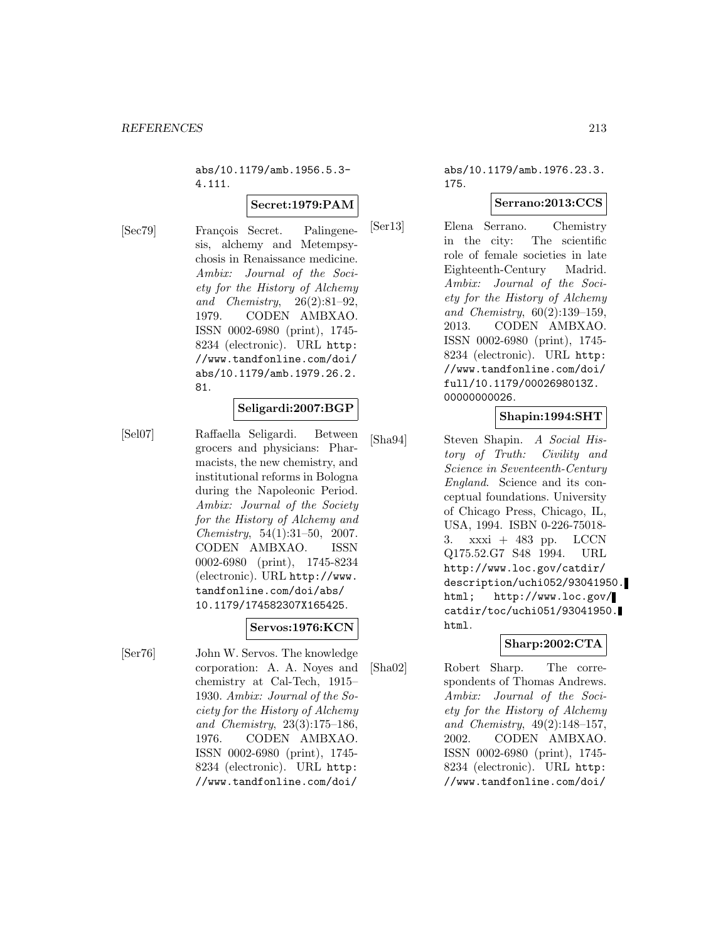abs/10.1179/amb.1956.5.3- 4.111.

#### **Secret:1979:PAM**

[Sec79] François Secret. Palingenesis, alchemy and Metempsychosis in Renaissance medicine. Ambix: Journal of the Society for the History of Alchemy and Chemistry, 26(2):81–92, 1979. CODEN AMBXAO. ISSN 0002-6980 (print), 1745- 8234 (electronic). URL http: //www.tandfonline.com/doi/ abs/10.1179/amb.1979.26.2. 81.

#### **Seligardi:2007:BGP**

[Sel07] Raffaella Seligardi. Between grocers and physicians: Pharmacists, the new chemistry, and institutional reforms in Bologna during the Napoleonic Period. Ambix: Journal of the Society for the History of Alchemy and Chemistry, 54(1):31–50, 2007. CODEN AMBXAO. ISSN 0002-6980 (print), 1745-8234 (electronic). URL http://www. tandfonline.com/doi/abs/ 10.1179/174582307X165425.

# **Servos:1976:KCN**

[Ser76] John W. Servos. The knowledge corporation: A. A. Noyes and chemistry at Cal-Tech, 1915– 1930. Ambix: Journal of the Society for the History of Alchemy and Chemistry, 23(3):175–186, 1976. CODEN AMBXAO. ISSN 0002-6980 (print), 1745- 8234 (electronic). URL http: //www.tandfonline.com/doi/

#### abs/10.1179/amb.1976.23.3. 175.

## **Serrano:2013:CCS**

[Ser13] Elena Serrano. Chemistry in the city: The scientific role of female societies in late Eighteenth-Century Madrid. Ambix: Journal of the Society for the History of Alchemy and Chemistry, 60(2):139–159, 2013. CODEN AMBXAO. ISSN 0002-6980 (print), 1745- 8234 (electronic). URL http: //www.tandfonline.com/doi/ full/10.1179/0002698013Z. 00000000026.

## **Shapin:1994:SHT**

[Sha94] Steven Shapin. A Social History of Truth: Civility and Science in Seventeenth-Century England. Science and its conceptual foundations. University of Chicago Press, Chicago, IL, USA, 1994. ISBN 0-226-75018- 3. xxxi + 483 pp. LCCN Q175.52.G7 S48 1994. URL http://www.loc.gov/catdir/ description/uchi052/93041950. html; http://www.loc.gov/ catdir/toc/uchi051/93041950. html.

## **Sharp:2002:CTA**

[Sha02] Robert Sharp. The correspondents of Thomas Andrews. Ambix: Journal of the Society for the History of Alchemy and Chemistry, 49(2):148–157, 2002. CODEN AMBXAO. ISSN 0002-6980 (print), 1745- 8234 (electronic). URL http: //www.tandfonline.com/doi/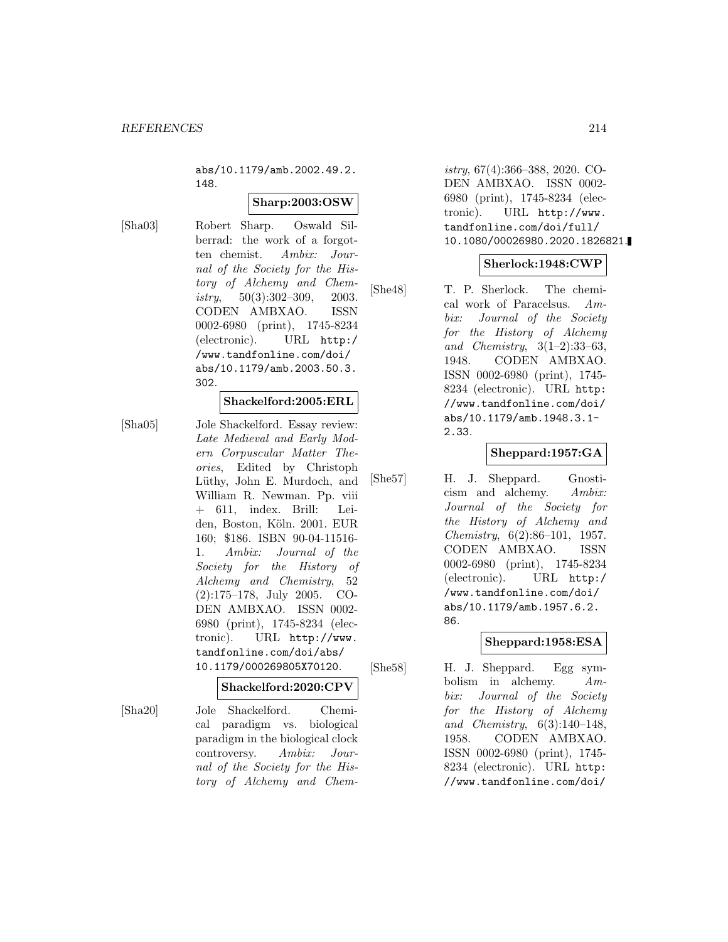abs/10.1179/amb.2002.49.2. 148.

## **Sharp:2003:OSW**

[Sha03] Robert Sharp. Oswald Silberrad: the work of a forgotten chemist. Ambix: Journal of the Society for the History of Alchemy and Chemistry,  $50(3):302-309$ ,  $2003$ . CODEN AMBXAO. ISSN 0002-6980 (print), 1745-8234 (electronic). URL http:/ /www.tandfonline.com/doi/ abs/10.1179/amb.2003.50.3. 302.

#### **Shackelford:2005:ERL**

[Sha05] Jole Shackelford. Essay review: Late Medieval and Early Modern Corpuscular Matter Theories, Edited by Christoph Lüthy, John E. Murdoch, and William R. Newman. Pp. viii + 611, index. Brill: Leiden, Boston, Köln. 2001. EUR 160; \$186. ISBN 90-04-11516- 1. Ambix: Journal of the Society for the History of Alchemy and Chemistry, 52 (2):175–178, July 2005. CO-DEN AMBXAO. ISSN 0002- 6980 (print), 1745-8234 (electronic). URL http://www. tandfonline.com/doi/abs/ 10.1179/000269805X70120.

#### **Shackelford:2020:CPV**

[Sha20] Jole Shackelford. Chemical paradigm vs. biological paradigm in the biological clock controversy. Ambix: Journal of the Society for the History of Alchemy and Chemistry, 67(4):366–388, 2020. CO-DEN AMBXAO. ISSN 0002- 6980 (print), 1745-8234 (electronic). URL http://www. tandfonline.com/doi/full/ 10.1080/00026980.2020.1826821.

#### **Sherlock:1948:CWP**

[She48] T. P. Sherlock. The chemical work of Paracelsus. Ambix: Journal of the Society for the History of Alchemy and Chemistry, 3(1–2):33–63, 1948. CODEN AMBXAO. ISSN 0002-6980 (print), 1745- 8234 (electronic). URL http: //www.tandfonline.com/doi/ abs/10.1179/amb.1948.3.1- 2.33.

## **Sheppard:1957:GA**

[She57] H. J. Sheppard. Gnosticism and alchemy. Ambix: Journal of the Society for the History of Alchemy and Chemistry, 6(2):86–101, 1957. CODEN AMBXAO. ISSN 0002-6980 (print), 1745-8234 (electronic). URL http:/ /www.tandfonline.com/doi/ abs/10.1179/amb.1957.6.2. 86.

#### **Sheppard:1958:ESA**

[She58] H. J. Sheppard. Egg symbolism in alchemy. Ambix: Journal of the Society for the History of Alchemy and Chemistry, 6(3):140–148, 1958. CODEN AMBXAO. ISSN 0002-6980 (print), 1745- 8234 (electronic). URL http: //www.tandfonline.com/doi/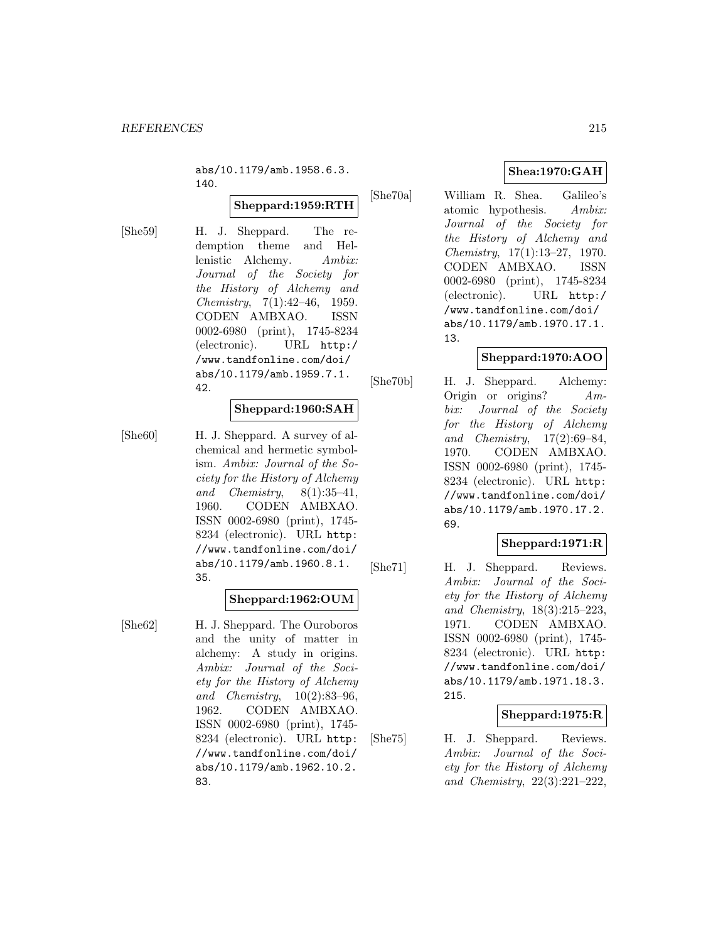abs/10.1179/amb.1958.6.3. 140.

## **Sheppard:1959:RTH**

[She59] H. J. Sheppard. The redemption theme and Hellenistic Alchemy. Ambix: Journal of the Society for the History of Alchemy and Chemistry, 7(1):42–46, 1959. CODEN AMBXAO. ISSN 0002-6980 (print), 1745-8234 (electronic). URL http:/ /www.tandfonline.com/doi/ abs/10.1179/amb.1959.7.1. 42.

## **Sheppard:1960:SAH**

[She60] H. J. Sheppard. A survey of alchemical and hermetic symbolism. Ambix: Journal of the Society for the History of Alchemy and Chemistry,  $8(1):35-41$ , 1960. CODEN AMBXAO. ISSN 0002-6980 (print), 1745- 8234 (electronic). URL http: //www.tandfonline.com/doi/ abs/10.1179/amb.1960.8.1. 35.

#### **Sheppard:1962:OUM**

[She62] H. J. Sheppard. The Ouroboros and the unity of matter in alchemy: A study in origins. Ambix: Journal of the Society for the History of Alchemy and Chemistry,  $10(2):83-96$ , 1962. CODEN AMBXAO. ISSN 0002-6980 (print), 1745- 8234 (electronic). URL http: //www.tandfonline.com/doi/ abs/10.1179/amb.1962.10.2. 83.

## **Shea:1970:GAH**

[She70a] William R. Shea. Galileo's atomic hypothesis. Ambix: Journal of the Society for the History of Alchemy and Chemistry, 17(1):13–27, 1970. CODEN AMBXAO. ISSN 0002-6980 (print), 1745-8234 (electronic). URL http:/ /www.tandfonline.com/doi/ abs/10.1179/amb.1970.17.1. 13.

## **Sheppard:1970:AOO**

[She70b] H. J. Sheppard. Alchemy: Origin or origins? Ambix: Journal of the Society for the History of Alchemy and Chemistry, 17(2):69–84, 1970. CODEN AMBXAO. ISSN 0002-6980 (print), 1745- 8234 (electronic). URL http: //www.tandfonline.com/doi/ abs/10.1179/amb.1970.17.2. 69.

## **Sheppard:1971:R**

[She71] H. J. Sheppard. Reviews. Ambix: Journal of the Society for the History of Alchemy and Chemistry, 18(3):215–223, 1971. CODEN AMBXAO. ISSN 0002-6980 (print), 1745- 8234 (electronic). URL http: //www.tandfonline.com/doi/ abs/10.1179/amb.1971.18.3. 215.

#### **Sheppard:1975:R**

[She75] H. J. Sheppard. Reviews. Ambix: Journal of the Society for the History of Alchemy and Chemistry, 22(3):221–222,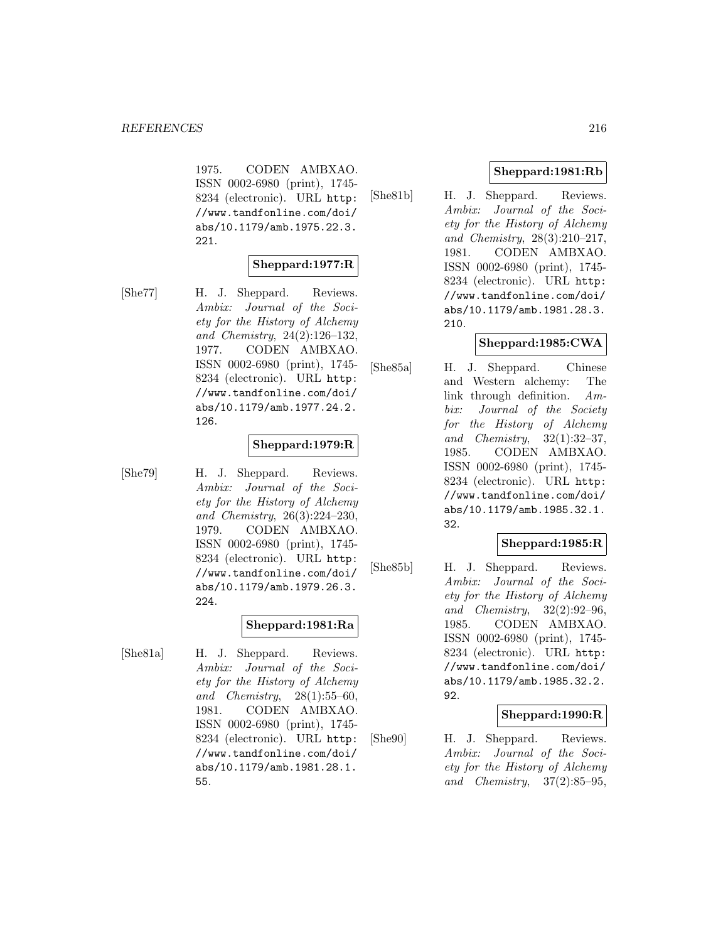1975. CODEN AMBXAO. ISSN 0002-6980 (print), 1745- 8234 (electronic). URL http: //www.tandfonline.com/doi/ abs/10.1179/amb.1975.22.3. 221.

#### **Sheppard:1977:R**

[She77] H. J. Sheppard. Reviews. Ambix: Journal of the Society for the History of Alchemy and Chemistry, 24(2):126–132, 1977. CODEN AMBXAO. ISSN 0002-6980 (print), 1745- 8234 (electronic). URL http: //www.tandfonline.com/doi/ abs/10.1179/amb.1977.24.2. 126.

#### **Sheppard:1979:R**

[She79] H. J. Sheppard. Reviews. Ambix: Journal of the Society for the History of Alchemy and Chemistry, 26(3):224–230, 1979. CODEN AMBXAO. ISSN 0002-6980 (print), 1745- 8234 (electronic). URL http: //www.tandfonline.com/doi/ abs/10.1179/amb.1979.26.3. 224.

#### **Sheppard:1981:Ra**

[She81a] H. J. Sheppard. Reviews. Ambix: Journal of the Society for the History of Alchemy and Chemistry,  $28(1):55-60$ , 1981. CODEN AMBXAO. ISSN 0002-6980 (print), 1745- 8234 (electronic). URL http: //www.tandfonline.com/doi/ abs/10.1179/amb.1981.28.1. 55.

## **Sheppard:1981:Rb**

[She81b] H. J. Sheppard. Reviews. Ambix: Journal of the Society for the History of Alchemy and Chemistry, 28(3):210–217, 1981. CODEN AMBXAO. ISSN 0002-6980 (print), 1745- 8234 (electronic). URL http: //www.tandfonline.com/doi/ abs/10.1179/amb.1981.28.3. 210.

## **Sheppard:1985:CWA**

[She85a] H. J. Sheppard. Chinese and Western alchemy: The link through definition.  $Am$ bix: Journal of the Society for the History of Alchemy and Chemistry, 32(1):32–37, 1985. CODEN AMBXAO. ISSN 0002-6980 (print), 1745- 8234 (electronic). URL http: //www.tandfonline.com/doi/ abs/10.1179/amb.1985.32.1. 32.

#### **Sheppard:1985:R**

[She85b] H. J. Sheppard. Reviews. Ambix: Journal of the Society for the History of Alchemy and Chemistry, 32(2):92–96, 1985. CODEN AMBXAO. ISSN 0002-6980 (print), 1745- 8234 (electronic). URL http: //www.tandfonline.com/doi/ abs/10.1179/amb.1985.32.2. 92.

#### **Sheppard:1990:R**

[She90] H. J. Sheppard. Reviews. Ambix: Journal of the Society for the History of Alchemy and Chemistry, 37(2):85–95,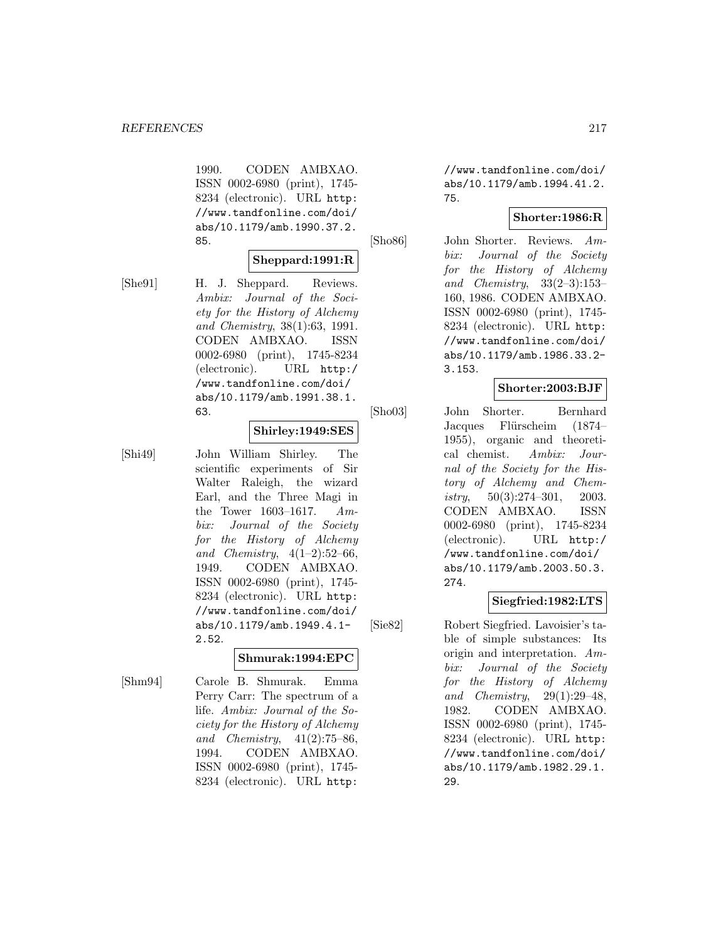1990. CODEN AMBXAO. ISSN 0002-6980 (print), 1745- 8234 (electronic). URL http: //www.tandfonline.com/doi/ abs/10.1179/amb.1990.37.2. 85.

#### **Sheppard:1991:R**

[She91] H. J. Sheppard. Reviews. Ambix: Journal of the Society for the History of Alchemy and Chemistry, 38(1):63, 1991. CODEN AMBXAO. ISSN 0002-6980 (print), 1745-8234 (electronic). URL http:/ /www.tandfonline.com/doi/ abs/10.1179/amb.1991.38.1. 63.

### **Shirley:1949:SES**

[Shi49] John William Shirley. The scientific experiments of Sir Walter Raleigh, the wizard Earl, and the Three Magi in the Tower 1603–1617. Ambix: Journal of the Society for the History of Alchemy and Chemistry,  $4(1-2):52-66$ , 1949. CODEN AMBXAO. ISSN 0002-6980 (print), 1745- 8234 (electronic). URL http: //www.tandfonline.com/doi/ abs/10.1179/amb.1949.4.1- 2.52.

# **Shmurak:1994:EPC**

[Shm94] Carole B. Shmurak. Emma Perry Carr: The spectrum of a life. Ambix: Journal of the Society for the History of Alchemy and Chemistry, 41(2):75–86, 1994. CODEN AMBXAO. ISSN 0002-6980 (print), 1745- 8234 (electronic). URL http:

//www.tandfonline.com/doi/ abs/10.1179/amb.1994.41.2. 75.

#### **Shorter:1986:R**

[Sho86] John Shorter. Reviews. Ambix: Journal of the Society for the History of Alchemy and Chemistry, 33(2–3):153– 160, 1986. CODEN AMBXAO. ISSN 0002-6980 (print), 1745- 8234 (electronic). URL http: //www.tandfonline.com/doi/ abs/10.1179/amb.1986.33.2- 3.153.

### **Shorter:2003:BJF**

[Sho03] John Shorter. Bernhard Jacques Flürscheim (1874– 1955), organic and theoretical chemist. Ambix: Journal of the Society for the History of Alchemy and Chemistry,  $50(3):274-301$ ,  $2003$ . CODEN AMBXAO. ISSN 0002-6980 (print), 1745-8234 (electronic). URL http:/ /www.tandfonline.com/doi/ abs/10.1179/amb.2003.50.3. 274.

# **Siegfried:1982:LTS**

[Sie82] Robert Siegfried. Lavoisier's table of simple substances: Its origin and interpretation. Ambix: Journal of the Society for the History of Alchemy and Chemistry, 29(1):29–48, 1982. CODEN AMBXAO. ISSN 0002-6980 (print), 1745- 8234 (electronic). URL http: //www.tandfonline.com/doi/ abs/10.1179/amb.1982.29.1. 29.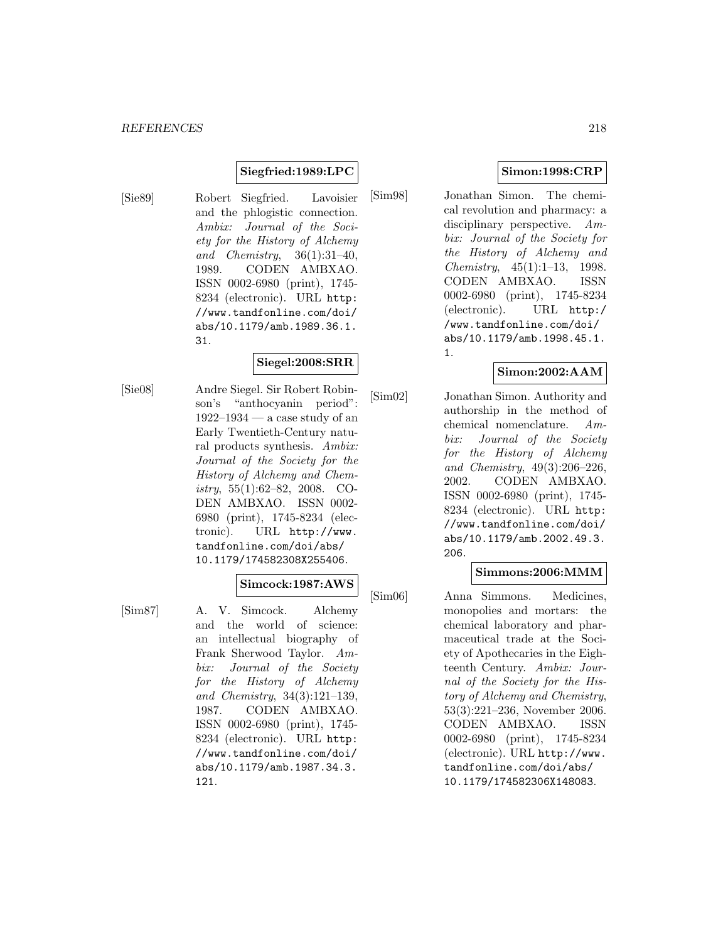### **Siegfried:1989:LPC**

[Sie89] Robert Siegfried. Lavoisier and the phlogistic connection. Ambix: Journal of the Society for the History of Alchemy and Chemistry, 36(1):31–40, 1989. CODEN AMBXAO. ISSN 0002-6980 (print), 1745- 8234 (electronic). URL http: //www.tandfonline.com/doi/ abs/10.1179/amb.1989.36.1. 31.

# **Siegel:2008:SRR**

[Sie08] Andre Siegel. Sir Robert Robinson's "anthocyanin period":  $1922-1934$  — a case study of an Early Twentieth-Century natural products synthesis. Ambix: Journal of the Society for the History of Alchemy and Chemistry, 55(1):62–82, 2008. CO-DEN AMBXAO. ISSN 0002- 6980 (print), 1745-8234 (electronic). URL http://www. tandfonline.com/doi/abs/ 10.1179/174582308X255406.

#### **Simcock:1987:AWS**

[Sim87] A. V. Simcock. Alchemy and the world of science: an intellectual biography of Frank Sherwood Taylor. Ambix: Journal of the Society for the History of Alchemy and Chemistry, 34(3):121–139, 1987. CODEN AMBXAO. ISSN 0002-6980 (print), 1745- 8234 (electronic). URL http: //www.tandfonline.com/doi/ abs/10.1179/amb.1987.34.3. 121.

## **Simon:1998:CRP**

[Sim98] Jonathan Simon. The chemical revolution and pharmacy: a disciplinary perspective. Ambix: Journal of the Society for the History of Alchemy and Chemistry, 45(1):1–13, 1998. CODEN AMBXAO. ISSN 0002-6980 (print), 1745-8234 (electronic). URL http:/ /www.tandfonline.com/doi/ abs/10.1179/amb.1998.45.1. 1.

# **Simon:2002:AAM**

[Sim02] Jonathan Simon. Authority and authorship in the method of chemical nomenclature. Ambix: Journal of the Society for the History of Alchemy and Chemistry, 49(3):206–226, 2002. CODEN AMBXAO. ISSN 0002-6980 (print), 1745- 8234 (electronic). URL http: //www.tandfonline.com/doi/ abs/10.1179/amb.2002.49.3. 206.

#### **Simmons:2006:MMM**

[Sim06] Anna Simmons. Medicines, monopolies and mortars: the chemical laboratory and pharmaceutical trade at the Society of Apothecaries in the Eighteenth Century. Ambix: Journal of the Society for the History of Alchemy and Chemistry, 53(3):221–236, November 2006. CODEN AMBXAO. ISSN 0002-6980 (print), 1745-8234 (electronic). URL http://www. tandfonline.com/doi/abs/ 10.1179/174582306X148083.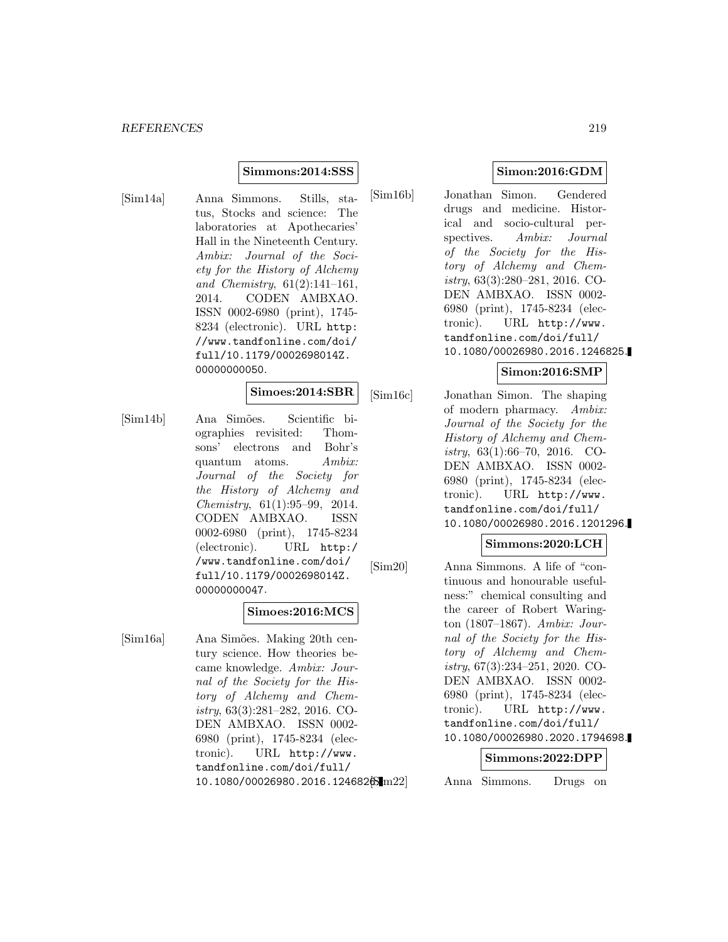#### **Simmons:2014:SSS**

[Sim14a] Anna Simmons. Stills, status, Stocks and science: The laboratories at Apothecaries' Hall in the Nineteenth Century. Ambix: Journal of the Society for the History of Alchemy and Chemistry, 61(2):141–161, 2014. CODEN AMBXAO. ISSN 0002-6980 (print), 1745- 8234 (electronic). URL http: //www.tandfonline.com/doi/ full/10.1179/0002698014Z. 00000000050.

**Simoes:2014:SBR**

[Sim14b] Ana Simões. Scientific biographies revisited: Thomsons' electrons and Bohr's quantum atoms. Ambix: Journal of the Society for the History of Alchemy and Chemistry, 61(1):95–99, 2014. CODEN AMBXAO. ISSN 0002-6980 (print), 1745-8234 (electronic). URL http:/ /www.tandfonline.com/doi/ full/10.1179/0002698014Z. 00000000047.

#### **Simoes:2016:MCS**

[Sim16a] Ana Simões. Making 20th century science. How theories became knowledge. Ambix: Journal of the Society for the History of Alchemy and Chemistry, 63(3):281–282, 2016. CO-DEN AMBXAO. ISSN 0002- 6980 (print), 1745-8234 (electronic). URL http://www. tandfonline.com/doi/full/ 10.1080/00026980.2016.1246826.

### **Simon:2016:GDM**

[Sim16b] Jonathan Simon. Gendered drugs and medicine. Historical and socio-cultural perspectives. Ambix: Journal of the Society for the History of Alchemy and Chemistry, 63(3):280–281, 2016. CO-DEN AMBXAO. ISSN 0002- 6980 (print), 1745-8234 (electronic). URL http://www. tandfonline.com/doi/full/ 10.1080/00026980.2016.1246825.

#### **Simon:2016:SMP**

[Sim16c] Jonathan Simon. The shaping of modern pharmacy. Ambix: Journal of the Society for the History of Alchemy and Chemistry, 63(1):66–70, 2016. CO-DEN AMBXAO. ISSN 0002- 6980 (print), 1745-8234 (electronic). URL http://www. tandfonline.com/doi/full/ 10.1080/00026980.2016.1201296.

#### **Simmons:2020:LCH**

[Sim20] Anna Simmons. A life of "continuous and honourable usefulness:" chemical consulting and the career of Robert Warington (1807–1867). Ambix: Journal of the Society for the History of Alchemy and Chemistry, 67(3):234–251, 2020. CO-DEN AMBXAO. ISSN 0002- 6980 (print), 1745-8234 (electronic). URL http://www. tandfonline.com/doi/full/ 10.1080/00026980.2020.1794698.

#### **Simmons:2022:DPP**

Anna Simmons. Drugs on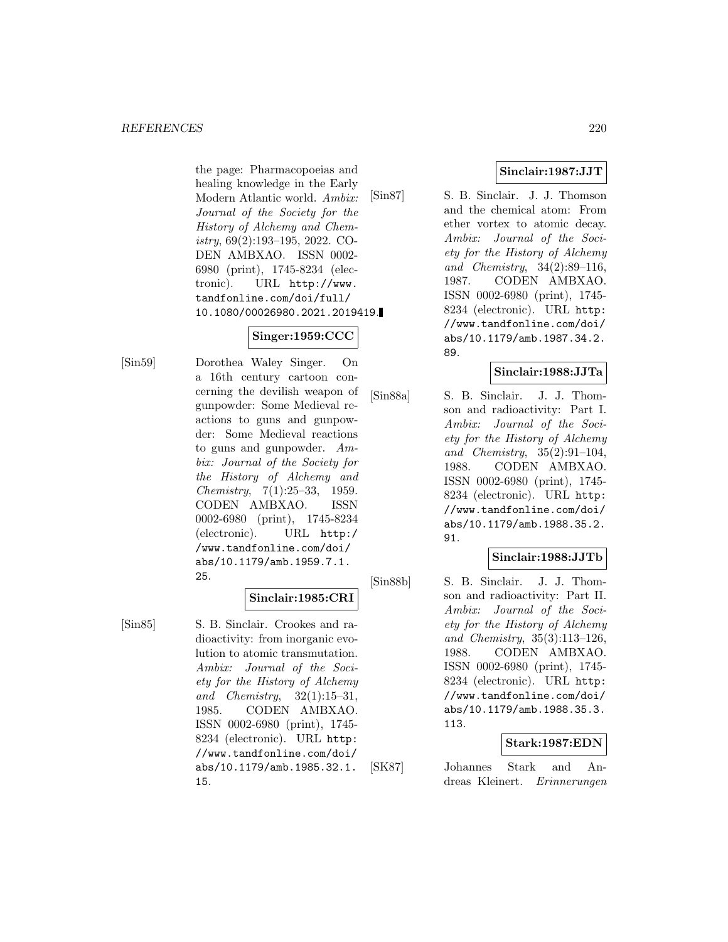the page: Pharmacopoeias and healing knowledge in the Early Modern Atlantic world. Ambix: Journal of the Society for the History of Alchemy and Chemistry, 69(2):193–195, 2022. CO-DEN AMBXAO. ISSN 0002- 6980 (print), 1745-8234 (electronic). URL http://www. tandfonline.com/doi/full/ 10.1080/00026980.2021.2019419.

# **Singer:1959:CCC**

[Sin59] Dorothea Waley Singer. On a 16th century cartoon concerning the devilish weapon of gunpowder: Some Medieval reactions to guns and gunpowder: Some Medieval reactions to guns and gunpowder.  $Am$ bix: Journal of the Society for the History of Alchemy and Chemistry, 7(1):25–33, 1959. CODEN AMBXAO. ISSN 0002-6980 (print), 1745-8234 (electronic). URL http:/ /www.tandfonline.com/doi/ abs/10.1179/amb.1959.7.1. 25.

# **Sinclair:1985:CRI**

[Sin85] S. B. Sinclair. Crookes and radioactivity: from inorganic evolution to atomic transmutation. Ambix: Journal of the Society for the History of Alchemy and Chemistry,  $32(1):15-31$ , 1985. CODEN AMBXAO. ISSN 0002-6980 (print), 1745- 8234 (electronic). URL http: //www.tandfonline.com/doi/ abs/10.1179/amb.1985.32.1. 15.

# **Sinclair:1987:JJT**

[Sin87] S. B. Sinclair. J. J. Thomson and the chemical atom: From ether vortex to atomic decay. Ambix: Journal of the Society for the History of Alchemy and Chemistry, 34(2):89–116, 1987. CODEN AMBXAO. ISSN 0002-6980 (print), 1745- 8234 (electronic). URL http: //www.tandfonline.com/doi/ abs/10.1179/amb.1987.34.2. 89.

# **Sinclair:1988:JJTa**

[Sin88a] S. B. Sinclair. J. J. Thomson and radioactivity: Part I. Ambix: Journal of the Society for the History of Alchemy and Chemistry, 35(2):91–104, 1988. CODEN AMBXAO. ISSN 0002-6980 (print), 1745- 8234 (electronic). URL http: //www.tandfonline.com/doi/ abs/10.1179/amb.1988.35.2. 91.

# **Sinclair:1988:JJTb**

[Sin88b] S. B. Sinclair. J. J. Thomson and radioactivity: Part II. Ambix: Journal of the Society for the History of Alchemy and Chemistry, 35(3):113–126, 1988. CODEN AMBXAO. ISSN 0002-6980 (print), 1745- 8234 (electronic). URL http: //www.tandfonline.com/doi/ abs/10.1179/amb.1988.35.3. 113.

# **Stark:1987:EDN**

[SK87] Johannes Stark and Andreas Kleinert. Erinnerungen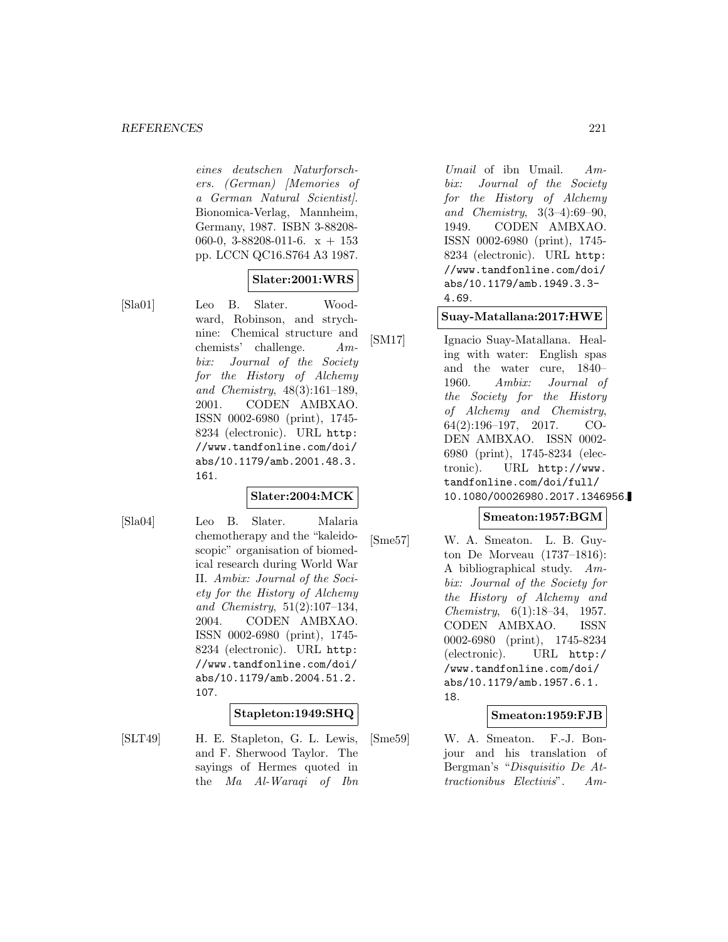eines deutschen Naturforschers. (German) [Memories of a German Natural Scientist]. Bionomica-Verlag, Mannheim, Germany, 1987. ISBN 3-88208- 060-0, 3-88208-011-6.  $x + 153$ pp. LCCN QC16.S764 A3 1987.

### **Slater:2001:WRS**

[Sla01] Leo B. Slater. Woodward, Robinson, and strychnine: Chemical structure and chemists' challenge. Ambix: Journal of the Society for the History of Alchemy and Chemistry, 48(3):161–189, 2001. CODEN AMBXAO. ISSN 0002-6980 (print), 1745- 8234 (electronic). URL http: //www.tandfonline.com/doi/ abs/10.1179/amb.2001.48.3. 161.

### **Slater:2004:MCK**

- 
- [Sla04] Leo B. Slater. Malaria chemotherapy and the "kaleidoscopic" organisation of biomedical research during World War II. Ambix: Journal of the Society for the History of Alchemy and Chemistry, 51(2):107–134, 2004. CODEN AMBXAO. ISSN 0002-6980 (print), 1745- 8234 (electronic). URL http: //www.tandfonline.com/doi/ abs/10.1179/amb.2004.51.2. 107.

#### **Stapleton:1949:SHQ**

[SLT49] H. E. Stapleton, G. L. Lewis, and F. Sherwood Taylor. The sayings of Hermes quoted in the Ma Al-Waraqi of Ibn

Umail of ibn Umail. Ambix: Journal of the Society for the History of Alchemy and Chemistry, 3(3–4):69–90, 1949. CODEN AMBXAO. ISSN 0002-6980 (print), 1745- 8234 (electronic). URL http: //www.tandfonline.com/doi/ abs/10.1179/amb.1949.3.3- 4.69.

#### **Suay-Matallana:2017:HWE**

[SM17] Ignacio Suay-Matallana. Healing with water: English spas and the water cure, 1840– 1960. Ambix: Journal of the Society for the History of Alchemy and Chemistry, 64(2):196–197, 2017. CO-DEN AMBXAO. ISSN 0002- 6980 (print), 1745-8234 (electronic). URL http://www. tandfonline.com/doi/full/ 10.1080/00026980.2017.1346956.

# **Smeaton:1957:BGM**

[Sme57] W. A. Smeaton. L. B. Guyton De Morveau (1737–1816): A bibliographical study. Ambix: Journal of the Society for the History of Alchemy and Chemistry, 6(1):18–34, 1957. CODEN AMBXAO. ISSN 0002-6980 (print), 1745-8234 (electronic). URL http:/ /www.tandfonline.com/doi/ abs/10.1179/amb.1957.6.1. 18.

#### **Smeaton:1959:FJB**

[Sme59] W. A. Smeaton. F.-J. Bonjour and his translation of Bergman's "Disquisitio De Attractionibus Electivis". Am-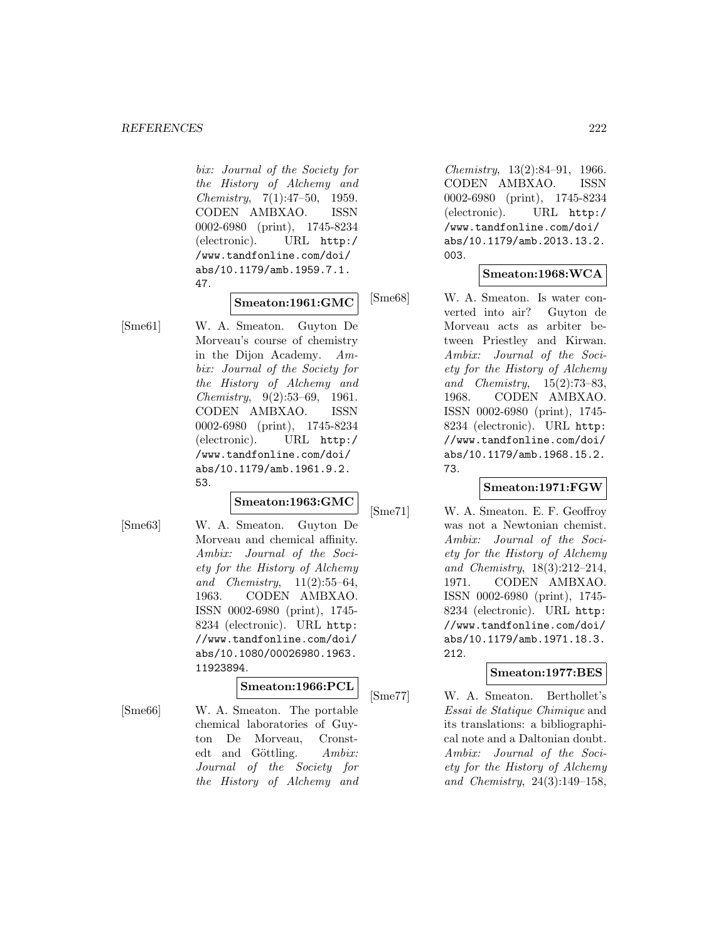bix: Journal of the Society for the History of Alchemy and Chemistry, 7(1):47–50, 1959. CODEN AMBXAO. ISSN 0002-6980 (print), 1745-8234 (electronic). URL http:/ /www.tandfonline.com/doi/ abs/10.1179/amb.1959.7.1. 47.

#### **Smeaton:1961:GMC**

[Sme61] W. A. Smeaton. Guyton De Morveau's course of chemistry in the Dijon Academy. Ambix: Journal of the Society for the History of Alchemy and Chemistry, 9(2):53–69, 1961. CODEN AMBXAO. ISSN 0002-6980 (print), 1745-8234 (electronic). URL http:/ /www.tandfonline.com/doi/ abs/10.1179/amb.1961.9.2. 53.

## **Smeaton:1963:GMC**

[Sme63] W. A. Smeaton. Guyton De Morveau and chemical affinity. Ambix: Journal of the Society for the History of Alchemy and Chemistry, 11(2):55–64, 1963. CODEN AMBXAO. ISSN 0002-6980 (print), 1745- 8234 (electronic). URL http: //www.tandfonline.com/doi/ abs/10.1080/00026980.1963. 11923894.

#### **Smeaton:1966:PCL**

the History of Alchemy and

[Sme66] W. A. Smeaton. The portable chemical laboratories of Guyton De Morveau, Cronstedt and Göttling.  $Ambix$ : Journal of the Society for

Chemistry, 13(2):84–91, 1966. CODEN AMBXAO. ISSN 0002-6980 (print), 1745-8234 (electronic). URL http:/ /www.tandfonline.com/doi/ abs/10.1179/amb.2013.13.2. 003.

### **Smeaton:1968:WCA**

[Sme68] W. A. Smeaton. Is water converted into air? Guyton de Morveau acts as arbiter between Priestley and Kirwan. Ambix: Journal of the Society for the History of Alchemy and Chemistry, 15(2):73–83, 1968. CODEN AMBXAO. ISSN 0002-6980 (print), 1745- 8234 (electronic). URL http: //www.tandfonline.com/doi/ abs/10.1179/amb.1968.15.2. 73.

#### **Smeaton:1971:FGW**

[Sme71] W. A. Smeaton. E. F. Geoffroy was not a Newtonian chemist. Ambix: Journal of the Society for the History of Alchemy and Chemistry, 18(3):212–214, 1971. CODEN AMBXAO. ISSN 0002-6980 (print), 1745- 8234 (electronic). URL http: //www.tandfonline.com/doi/ abs/10.1179/amb.1971.18.3. 212.

#### **Smeaton:1977:BES**

[Sme77] W. A. Smeaton. Berthollet's Essai de Statique Chimique and its translations: a bibliographical note and a Daltonian doubt. Ambix: Journal of the Society for the History of Alchemy and Chemistry, 24(3):149–158,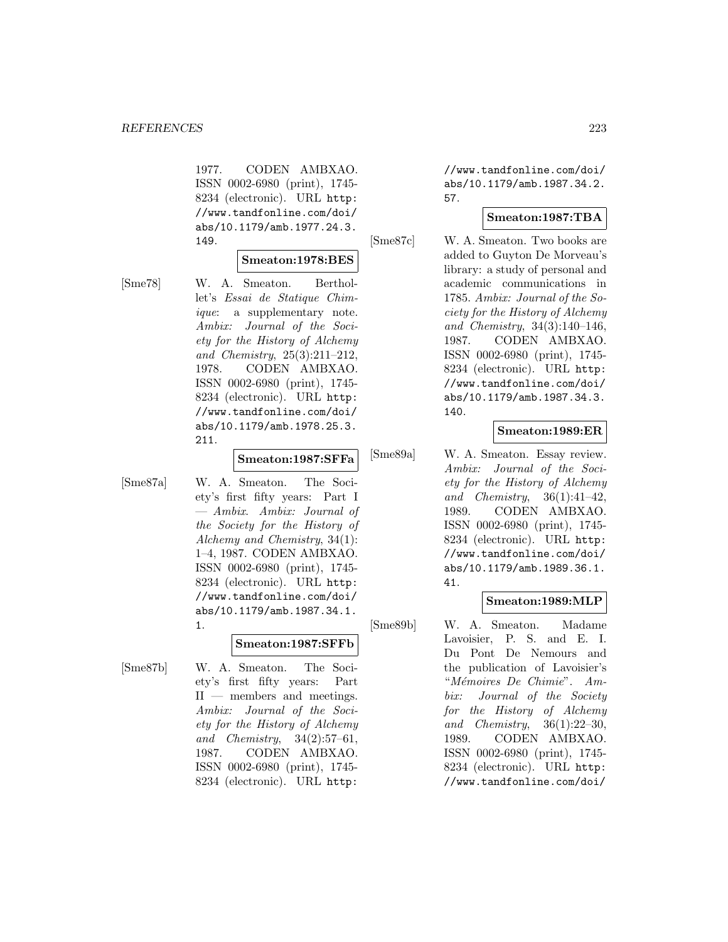1977. CODEN AMBXAO. ISSN 0002-6980 (print), 1745- 8234 (electronic). URL http: //www.tandfonline.com/doi/ abs/10.1179/amb.1977.24.3. 149.

#### **Smeaton:1978:BES**

[Sme78] W. A. Smeaton. Berthollet's Essai de Statique Chimique: a supplementary note. Ambix: Journal of the Society for the History of Alchemy and Chemistry, 25(3):211–212, 1978. CODEN AMBXAO. ISSN 0002-6980 (print), 1745- 8234 (electronic). URL http: //www.tandfonline.com/doi/ abs/10.1179/amb.1978.25.3. 211.

#### **Smeaton:1987:SFFa**

[Sme87a] W. A. Smeaton. The Society's first fifty years: Part I — Ambix. Ambix: Journal of the Society for the History of Alchemy and Chemistry, 34(1): 1–4, 1987. CODEN AMBXAO. ISSN 0002-6980 (print), 1745- 8234 (electronic). URL http: //www.tandfonline.com/doi/ abs/10.1179/amb.1987.34.1. 1.

**Smeaton:1987:SFFb**

[Sme87b] W. A. Smeaton. The Society's first fifty years: Part II — members and meetings. Ambix: Journal of the Society for the History of Alchemy and Chemistry, 34(2):57–61, 1987. CODEN AMBXAO. ISSN 0002-6980 (print), 1745- 8234 (electronic). URL http:

//www.tandfonline.com/doi/ abs/10.1179/amb.1987.34.2. 57.

#### **Smeaton:1987:TBA**

[Sme87c] W. A. Smeaton. Two books are added to Guyton De Morveau's library: a study of personal and academic communications in 1785. Ambix: Journal of the Society for the History of Alchemy and Chemistry, 34(3):140–146, 1987. CODEN AMBXAO. ISSN 0002-6980 (print), 1745- 8234 (electronic). URL http: //www.tandfonline.com/doi/ abs/10.1179/amb.1987.34.3. 140.

# **Smeaton:1989:ER**

[Sme89a] W. A. Smeaton. Essay review. Ambix: Journal of the Society for the History of Alchemy and Chemistry,  $36(1):41-42$ , 1989. CODEN AMBXAO. ISSN 0002-6980 (print), 1745- 8234 (electronic). URL http: //www.tandfonline.com/doi/ abs/10.1179/amb.1989.36.1. 41.

#### **Smeaton:1989:MLP**

[Sme89b] W. A. Smeaton. Madame Lavoisier, P. S. and E. I. Du Pont De Nemours and the publication of Lavoisier's "Mémoires De Chimie". Ambix: Journal of the Society for the History of Alchemy and Chemistry, 36(1):22–30, 1989. CODEN AMBXAO. ISSN 0002-6980 (print), 1745- 8234 (electronic). URL http: //www.tandfonline.com/doi/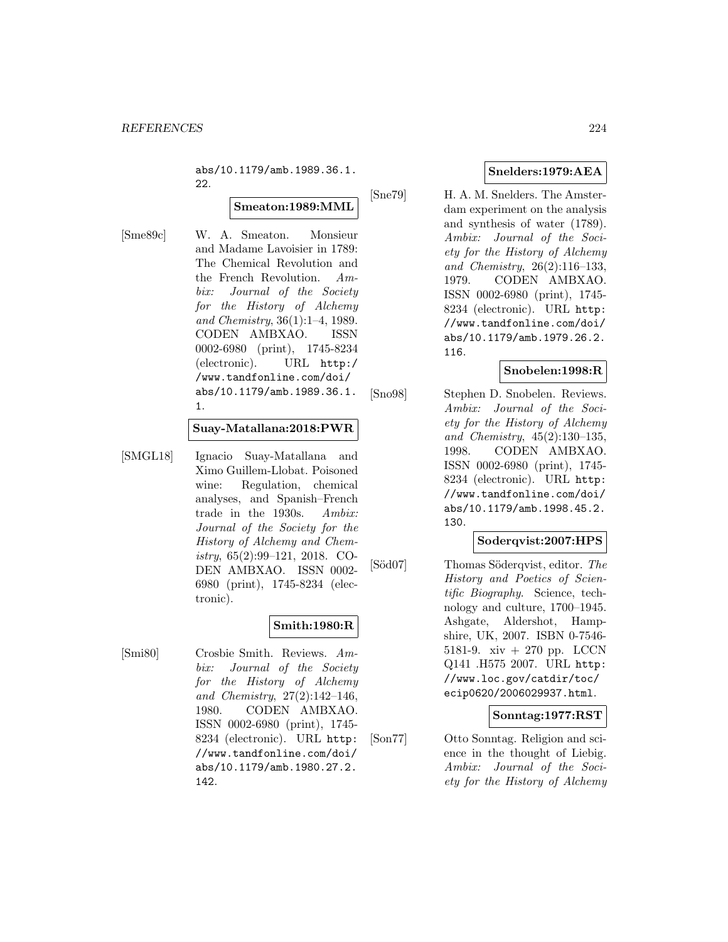abs/10.1179/amb.1989.36.1. 22.

#### **Smeaton:1989:MML**

[Sme89c] W. A. Smeaton. Monsieur and Madame Lavoisier in 1789: The Chemical Revolution and the French Revolution. Ambix: Journal of the Society for the History of Alchemy and Chemistry, 36(1):1–4, 1989. CODEN AMBXAO. ISSN 0002-6980 (print), 1745-8234 (electronic). URL http:/ /www.tandfonline.com/doi/ abs/10.1179/amb.1989.36.1. 1.

#### **Suay-Matallana:2018:PWR**

[SMGL18] Ignacio Suay-Matallana and Ximo Guillem-Llobat. Poisoned wine: Regulation, chemical analyses, and Spanish–French trade in the 1930s. Ambix: Journal of the Society for the History of Alchemy and Chemistry, 65(2):99–121, 2018. CO-DEN AMBXAO. ISSN 0002- 6980 (print), 1745-8234 (electronic).

#### **Smith:1980:R**

[Smi80] Crosbie Smith. Reviews. Ambix: Journal of the Society for the History of Alchemy and Chemistry, 27(2):142–146, 1980. CODEN AMBXAO. ISSN 0002-6980 (print), 1745- 8234 (electronic). URL http: //www.tandfonline.com/doi/ abs/10.1179/amb.1980.27.2. 142.

#### **Snelders:1979:AEA**

[Sne79] H. A. M. Snelders. The Amsterdam experiment on the analysis and synthesis of water (1789). Ambix: Journal of the Society for the History of Alchemy and Chemistry, 26(2):116–133, 1979. CODEN AMBXAO. ISSN 0002-6980 (print), 1745- 8234 (electronic). URL http: //www.tandfonline.com/doi/ abs/10.1179/amb.1979.26.2. 116.

#### **Snobelen:1998:R**

[Sno98] Stephen D. Snobelen. Reviews. Ambix: Journal of the Society for the History of Alchemy and Chemistry, 45(2):130–135, 1998. CODEN AMBXAO. ISSN 0002-6980 (print), 1745- 8234 (electronic). URL http: //www.tandfonline.com/doi/ abs/10.1179/amb.1998.45.2. 130.

#### **Soderqvist:2007:HPS**

[Söd07] Thomas Söderqvist, editor. The History and Poetics of Scientific Biography. Science, technology and culture, 1700–1945. Ashgate, Aldershot, Hampshire, UK, 2007. ISBN 0-7546- 5181-9. xiv + 270 pp. LCCN Q141 .H575 2007. URL http: //www.loc.gov/catdir/toc/ ecip0620/2006029937.html.

#### **Sonntag:1977:RST**

[Son77] Otto Sonntag. Religion and science in the thought of Liebig. Ambix: Journal of the Society for the History of Alchemy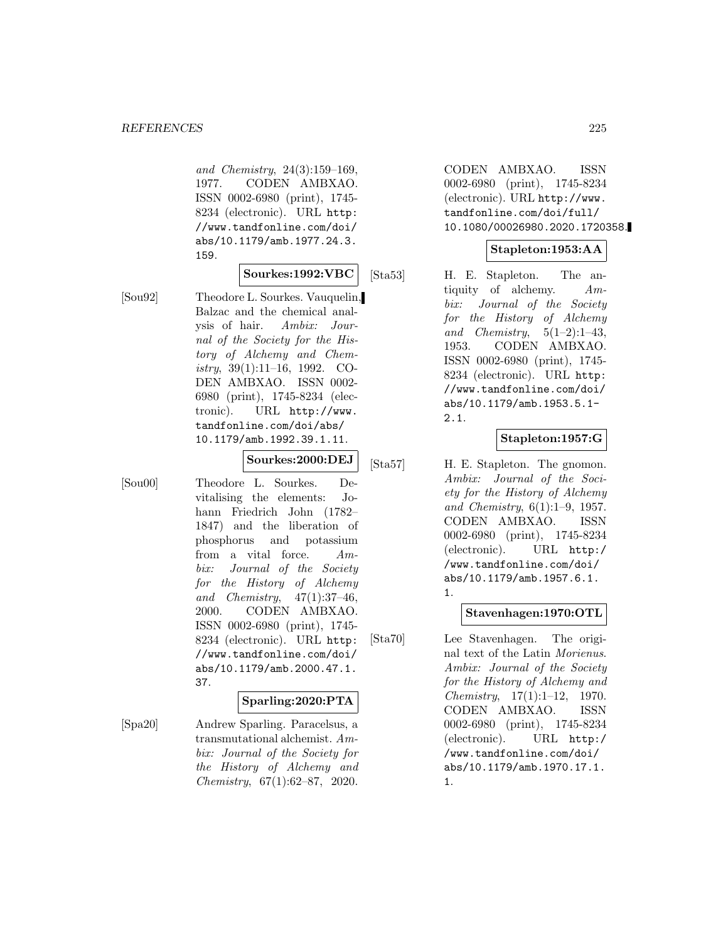and Chemistry, 24(3):159–169, 1977. CODEN AMBXAO. ISSN 0002-6980 (print), 1745- 8234 (electronic). URL http: //www.tandfonline.com/doi/ abs/10.1179/amb.1977.24.3. 159.

#### **Sourkes:1992:VBC**

[Sou92] Theodore L. Sourkes. Vauquelin, Balzac and the chemical analysis of hair. Ambix: Journal of the Society for the History of Alchemy and Chemistry, 39(1):11–16, 1992. CO-DEN AMBXAO. ISSN 0002- 6980 (print), 1745-8234 (electronic). URL http://www. tandfonline.com/doi/abs/ 10.1179/amb.1992.39.1.11.

#### **Sourkes:2000:DEJ**

[Sou00] Theodore L. Sourkes. Devitalising the elements: Johann Friedrich John (1782– 1847) and the liberation of phosphorus and potassium from a vital force. Ambix: Journal of the Society for the History of Alchemy and Chemistry, 47(1):37–46, 2000. CODEN AMBXAO. ISSN 0002-6980 (print), 1745- 8234 (electronic). URL http: //www.tandfonline.com/doi/ abs/10.1179/amb.2000.47.1. 37.

#### **Sparling:2020:PTA**

[Spa20] Andrew Sparling. Paracelsus, a transmutational alchemist. Ambix: Journal of the Society for the History of Alchemy and Chemistry, 67(1):62–87, 2020.

CODEN AMBXAO. ISSN 0002-6980 (print), 1745-8234 (electronic). URL http://www. tandfonline.com/doi/full/ 10.1080/00026980.2020.1720358.

### **Stapleton:1953:AA**

[Sta53] H. E. Stapleton. The antiquity of alchemy. Ambix: Journal of the Society for the History of Alchemy and Chemistry,  $5(1-2):1-43$ , 1953. CODEN AMBXAO. ISSN 0002-6980 (print), 1745- 8234 (electronic). URL http: //www.tandfonline.com/doi/ abs/10.1179/amb.1953.5.1- 2.1.

### **Stapleton:1957:G**

[Sta57] H. E. Stapleton. The gnomon. Ambix: Journal of the Society for the History of Alchemy and Chemistry, 6(1):1–9, 1957. CODEN AMBXAO. ISSN 0002-6980 (print), 1745-8234 (electronic). URL http:/ /www.tandfonline.com/doi/ abs/10.1179/amb.1957.6.1. 1.

#### **Stavenhagen:1970:OTL**

[Sta70] Lee Stavenhagen. The original text of the Latin Morienus. Ambix: Journal of the Society for the History of Alchemy and Chemistry, 17(1):1–12, 1970. CODEN AMBXAO. ISSN 0002-6980 (print), 1745-8234 (electronic). URL http:/ /www.tandfonline.com/doi/ abs/10.1179/amb.1970.17.1. 1.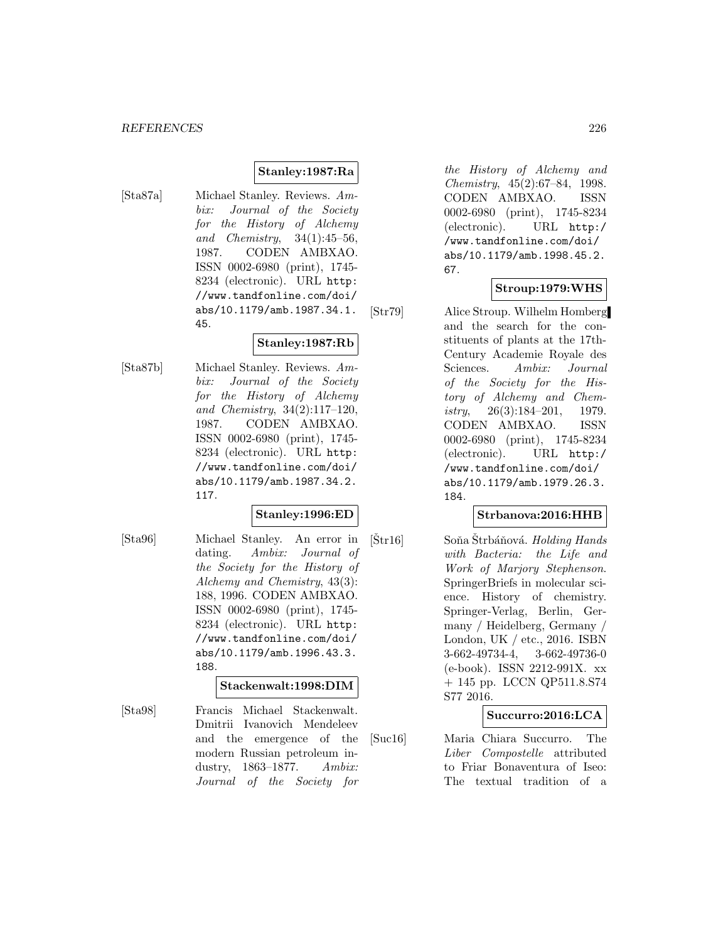#### **Stanley:1987:Ra**

- 
- [Sta87a] Michael Stanley. Reviews. Ambix: Journal of the Society for the History of Alchemy and Chemistry, 34(1):45–56, 1987. CODEN AMBXAO. ISSN 0002-6980 (print), 1745- 8234 (electronic). URL http: //www.tandfonline.com/doi/ abs/10.1179/amb.1987.34.1. 45.

# **Stanley:1987:Rb**

[Sta87b] Michael Stanley. Reviews. Ambix: Journal of the Society for the History of Alchemy and Chemistry, 34(2):117–120, 1987. CODEN AMBXAO. ISSN 0002-6980 (print), 1745- 8234 (electronic). URL http: //www.tandfonline.com/doi/ abs/10.1179/amb.1987.34.2. 117.

#### **Stanley:1996:ED**

[Sta96] Michael Stanley. An error in dating. Ambix: Journal of the Society for the History of Alchemy and Chemistry, 43(3): 188, 1996. CODEN AMBXAO. ISSN 0002-6980 (print), 1745- 8234 (electronic). URL http: //www.tandfonline.com/doi/ abs/10.1179/amb.1996.43.3. 188.

#### **Stackenwalt:1998:DIM**

[Sta98] Francis Michael Stackenwalt. Dmitrii Ivanovich Mendeleev and the emergence of the modern Russian petroleum industry, 1863–1877. Ambix: Journal of the Society for the History of Alchemy and Chemistry, 45(2):67–84, 1998. CODEN AMBXAO. ISSN 0002-6980 (print), 1745-8234 (electronic). URL http:/ /www.tandfonline.com/doi/ abs/10.1179/amb.1998.45.2. 67.

### **Stroup:1979:WHS**

[Str79] Alice Stroup. Wilhelm Homberg and the search for the constituents of plants at the 17th-Century Academie Royale des Sciences. Ambix: Journal of the Society for the History of Alchemy and Chemistry,  $26(3):184-201$ , 1979. CODEN AMBXAO. ISSN 0002-6980 (print), 1745-8234 (electronic). URL http:/ /www.tandfonline.com/doi/ abs/10.1179/amb.1979.26.3. 184.

#### **Strbanova:2016:HHB**

 $[\text{Str}16]$  Soňa Štrbáňová. Holding Hands with Bacteria: the Life and Work of Marjory Stephenson. SpringerBriefs in molecular science. History of chemistry. Springer-Verlag, Berlin, Germany / Heidelberg, Germany / London, UK / etc., 2016. ISBN 3-662-49734-4, 3-662-49736-0 (e-book). ISSN 2212-991X. xx + 145 pp. LCCN QP511.8.S74 S77 2016.

#### **Succurro:2016:LCA**

[Suc16] Maria Chiara Succurro. The Liber Compostelle attributed to Friar Bonaventura of Iseo: The textual tradition of a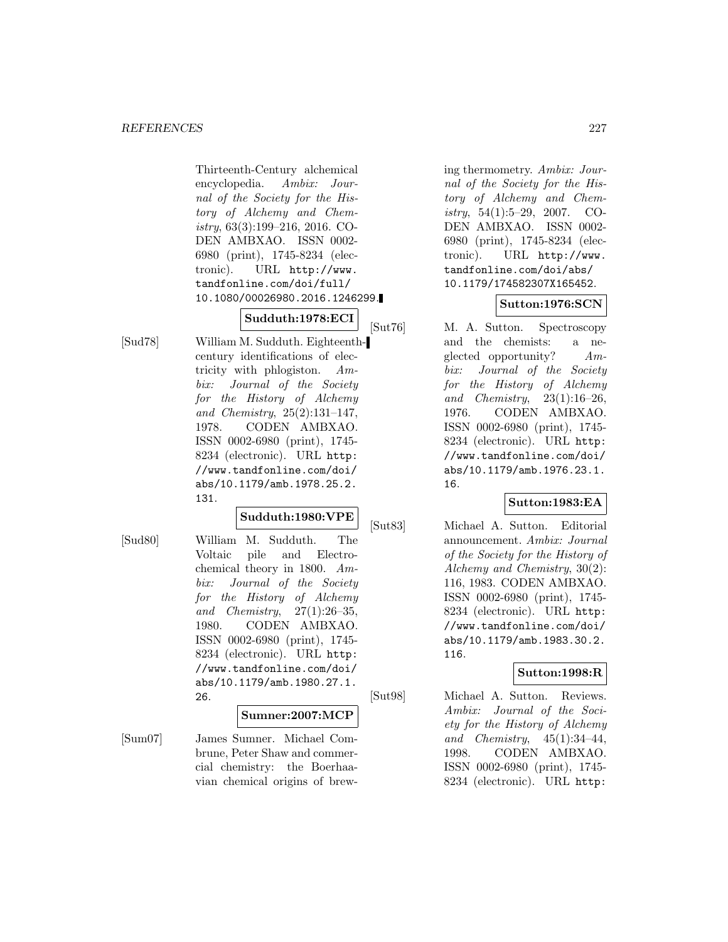Thirteenth-Century alchemical encyclopedia. Ambix: Journal of the Society for the History of Alchemy and Chemistry, 63(3):199–216, 2016. CO-DEN AMBXAO. ISSN 0002- 6980 (print), 1745-8234 (electronic). URL http://www. tandfonline.com/doi/full/ 10.1080/00026980.2016.1246299.

# **Sudduth:1978:ECI**

[Sud78] William M. Sudduth. Eighteenthcentury identifications of electricity with phlogiston. Ambix: Journal of the Society for the History of Alchemy and Chemistry, 25(2):131–147, 1978. CODEN AMBXAO. ISSN 0002-6980 (print), 1745- 8234 (electronic). URL http: //www.tandfonline.com/doi/ abs/10.1179/amb.1978.25.2. 131.

# **Sudduth:1980:VPE**

[Sud80] William M. Sudduth. The Voltaic pile and Electrochemical theory in 1800. Ambix: Journal of the Society for the History of Alchemy and Chemistry,  $27(1):26-35$ , 1980. CODEN AMBXAO. ISSN 0002-6980 (print), 1745- 8234 (electronic). URL http: //www.tandfonline.com/doi/ abs/10.1179/amb.1980.27.1. 26.

# **Sumner:2007:MCP**

[Sum07] James Sumner. Michael Combrune, Peter Shaw and commercial chemistry: the Boerhaavian chemical origins of brewing thermometry. Ambix: Journal of the Society for the History of Alchemy and Chemistry,  $54(1):5-29$ ,  $2007$ . CO-DEN AMBXAO. ISSN 0002- 6980 (print), 1745-8234 (electronic). URL http://www. tandfonline.com/doi/abs/ 10.1179/174582307X165452.

# **Sutton:1976:SCN**

[Sut76] M. A. Sutton. Spectroscopy and the chemists: a neglected opportunity? Ambix: Journal of the Society for the History of Alchemy and Chemistry,  $23(1):16-26$ , 1976. CODEN AMBXAO. ISSN 0002-6980 (print), 1745- 8234 (electronic). URL http: //www.tandfonline.com/doi/ abs/10.1179/amb.1976.23.1. 16.

# **Sutton:1983:EA**

[Sut83] Michael A. Sutton. Editorial announcement. Ambix: Journal of the Society for the History of Alchemy and Chemistry, 30(2): 116, 1983. CODEN AMBXAO. ISSN 0002-6980 (print), 1745- 8234 (electronic). URL http: //www.tandfonline.com/doi/ abs/10.1179/amb.1983.30.2. 116.

# **Sutton:1998:R**

[Sut98] Michael A. Sutton. Reviews. Ambix: Journal of the Society for the History of Alchemy and Chemistry, 45(1):34–44, 1998. CODEN AMBXAO. ISSN 0002-6980 (print), 1745- 8234 (electronic). URL http: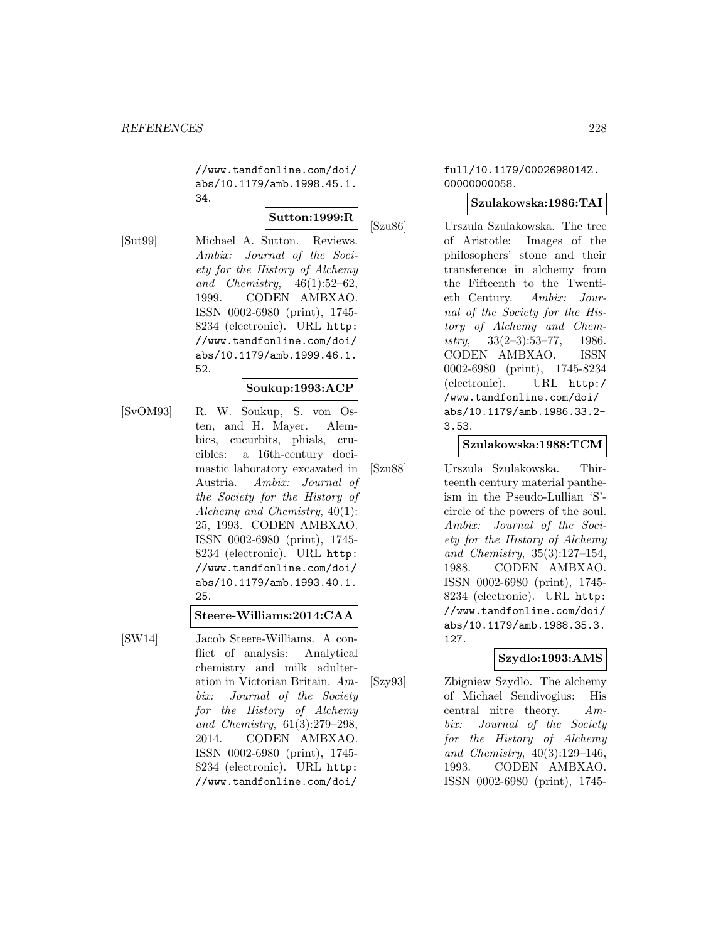//www.tandfonline.com/doi/ abs/10.1179/amb.1998.45.1. 34.

# **Sutton:1999:R**

[Sut99] Michael A. Sutton. Reviews. Ambix: Journal of the Society for the History of Alchemy and Chemistry, 46(1):52–62, 1999. CODEN AMBXAO. ISSN 0002-6980 (print), 1745- 8234 (electronic). URL http: //www.tandfonline.com/doi/ abs/10.1179/amb.1999.46.1. 52.

#### **Soukup:1993:ACP**

[SvOM93] R. W. Soukup, S. von Osten, and H. Mayer. Alembics, cucurbits, phials, crucibles: a 16th-century docimastic laboratory excavated in Austria. Ambix: Journal of the Society for the History of Alchemy and Chemistry, 40(1): 25, 1993. CODEN AMBXAO. ISSN 0002-6980 (print), 1745- 8234 (electronic). URL http: //www.tandfonline.com/doi/ abs/10.1179/amb.1993.40.1. 25.

#### **Steere-Williams:2014:CAA**

[SW14] Jacob Steere-Williams. A conflict of analysis: Analytical chemistry and milk adulteration in Victorian Britain. Ambix: Journal of the Society for the History of Alchemy and Chemistry, 61(3):279–298, 2014. CODEN AMBXAO. ISSN 0002-6980 (print), 1745- 8234 (electronic). URL http: //www.tandfonline.com/doi/

#### full/10.1179/0002698014Z. 00000000058.

#### **Szulakowska:1986:TAI**

[Szu86] Urszula Szulakowska. The tree of Aristotle: Images of the philosophers' stone and their transference in alchemy from the Fifteenth to the Twentieth Century. Ambix: Journal of the Society for the History of Alchemy and Chemistry,  $33(2-3):53-77$ , 1986. CODEN AMBXAO. ISSN 0002-6980 (print), 1745-8234 (electronic). URL http:/ /www.tandfonline.com/doi/ abs/10.1179/amb.1986.33.2- 3.53.

#### **Szulakowska:1988:TCM**

[Szu88] Urszula Szulakowska. Thirteenth century material pantheism in the Pseudo-Lullian 'S' circle of the powers of the soul. Ambix: Journal of the Society for the History of Alchemy and Chemistry, 35(3):127–154, 1988. CODEN AMBXAO. ISSN 0002-6980 (print), 1745- 8234 (electronic). URL http: //www.tandfonline.com/doi/ abs/10.1179/amb.1988.35.3. 127.

#### **Szydlo:1993:AMS**

[Szy93] Zbigniew Szydlo. The alchemy of Michael Sendivogius: His central nitre theory. Ambix: Journal of the Society for the History of Alchemy and Chemistry, 40(3):129–146, 1993. CODEN AMBXAO. ISSN 0002-6980 (print), 1745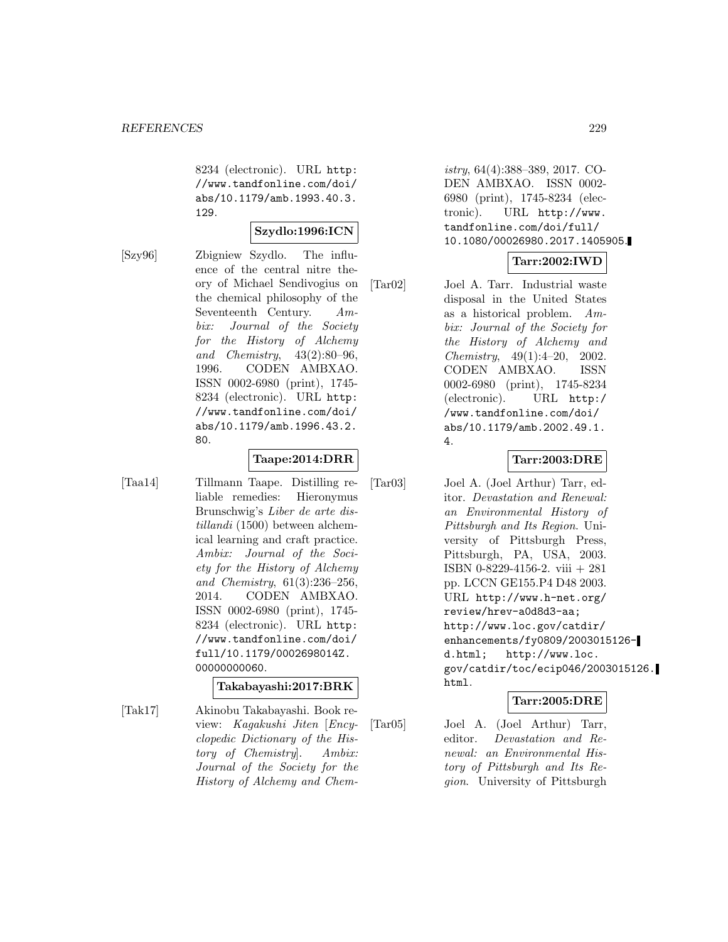8234 (electronic). URL http: //www.tandfonline.com/doi/ abs/10.1179/amb.1993.40.3. 129.

#### **Szydlo:1996:ICN**

[Szy96] Zbigniew Szydlo. The influence of the central nitre theory of Michael Sendivogius on the chemical philosophy of the Seventeenth Century. Ambix: Journal of the Society for the History of Alchemy and Chemistry, 43(2):80–96, 1996. CODEN AMBXAO. ISSN 0002-6980 (print), 1745- 8234 (electronic). URL http: //www.tandfonline.com/doi/ abs/10.1179/amb.1996.43.2. 80.

# **Taape:2014:DRR**

[Taa14] Tillmann Taape. Distilling reliable remedies: Hieronymus Brunschwig's Liber de arte distillandi (1500) between alchemical learning and craft practice. Ambix: Journal of the Society for the History of Alchemy and Chemistry, 61(3):236–256, 2014. CODEN AMBXAO. ISSN 0002-6980 (print), 1745- 8234 (electronic). URL http: //www.tandfonline.com/doi/ full/10.1179/0002698014Z. 0000000000.

#### **Takabayashi:2017:BRK**

[Tak17] Akinobu Takabayashi. Book review: Kagakushi Jiten [Encyclopedic Dictionary of the History of Chemistry]. Ambix: Journal of the Society for the History of Alchemy and Chemistry, 64(4):388–389, 2017. CO-DEN AMBXAO. ISSN 0002- 6980 (print), 1745-8234 (electronic). URL http://www. tandfonline.com/doi/full/ 10.1080/00026980.2017.1405905.

# **Tarr:2002:IWD**

[Tar02] Joel A. Tarr. Industrial waste disposal in the United States as a historical problem. Ambix: Journal of the Society for the History of Alchemy and Chemistry, 49(1):4–20, 2002. CODEN AMBXAO. ISSN 0002-6980 (print), 1745-8234 (electronic). URL http:/ /www.tandfonline.com/doi/ abs/10.1179/amb.2002.49.1. 4.

#### **Tarr:2003:DRE**

[Tar03] Joel A. (Joel Arthur) Tarr, editor. Devastation and Renewal: an Environmental History of Pittsburgh and Its Region. University of Pittsburgh Press, Pittsburgh, PA, USA, 2003. ISBN 0-8229-4156-2. viii + 281 pp. LCCN GE155.P4 D48 2003. URL http://www.h-net.org/ review/hrev-a0d8d3-aa; http://www.loc.gov/catdir/ enhancements/fy0809/2003015126 d.html; http://www.loc. gov/catdir/toc/ecip046/2003015126. html.

# **Tarr:2005:DRE**

[Tar05] Joel A. (Joel Arthur) Tarr, editor. Devastation and Renewal: an Environmental History of Pittsburgh and Its Region. University of Pittsburgh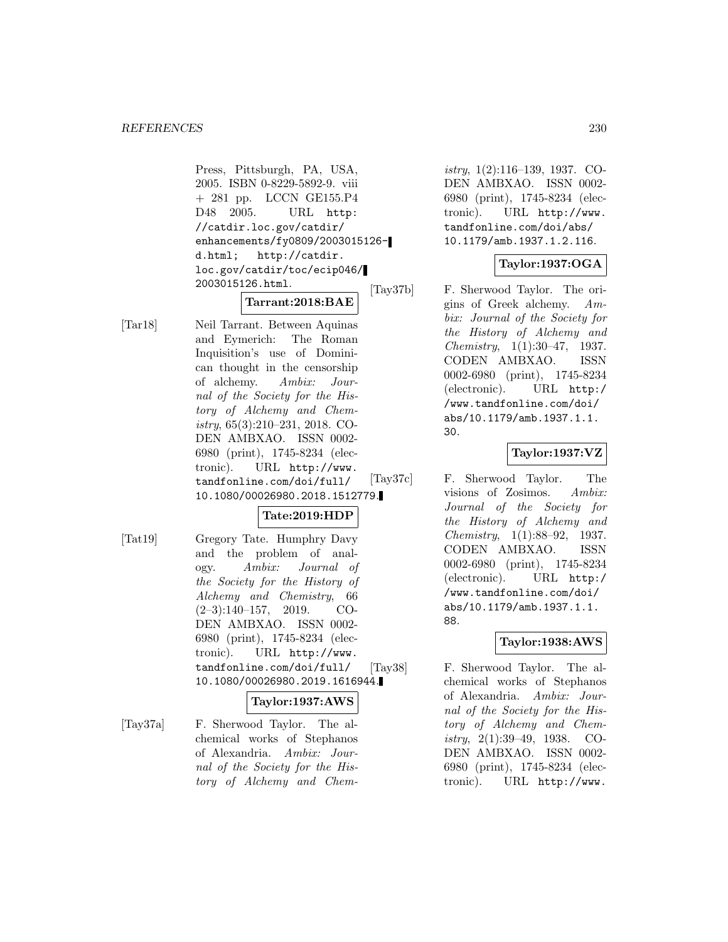Press, Pittsburgh, PA, USA, 2005. ISBN 0-8229-5892-9. viii + 281 pp. LCCN GE155.P4 D48 2005. URL http: //catdir.loc.gov/catdir/ enhancements/fy0809/2003015126 d.html; http://catdir. loc.gov/catdir/toc/ecip046/ 2003015126.html.

# **Tarrant:2018:BAE**

[Tar18] Neil Tarrant. Between Aquinas and Eymerich: The Roman Inquisition's use of Dominican thought in the censorship of alchemy. Ambix: Journal of the Society for the History of Alchemy and Chemistry, 65(3):210–231, 2018. CO-DEN AMBXAO. ISSN 0002- 6980 (print), 1745-8234 (electronic). URL http://www. tandfonline.com/doi/full/ 10.1080/00026980.2018.1512779.

# **Tate:2019:HDP**

[Tat19] Gregory Tate. Humphry Davy and the problem of analogy. Ambix: Journal of the Society for the History of Alchemy and Chemistry, 66 (2–3):140–157, 2019. CO-DEN AMBXAO. ISSN 0002- 6980 (print), 1745-8234 (electronic). URL http://www. tandfonline.com/doi/full/ 10.1080/00026980.2019.1616944.

### **Taylor:1937:AWS**

[Tay37a] F. Sherwood Taylor. The alchemical works of Stephanos of Alexandria. Ambix: Journal of the Society for the History of Alchemy and Chemistry, 1(2):116–139, 1937. CO-DEN AMBXAO. ISSN 0002- 6980 (print), 1745-8234 (electronic). URL http://www. tandfonline.com/doi/abs/ 10.1179/amb.1937.1.2.116.

# **Taylor:1937:OGA**

[Tay37b] F. Sherwood Taylor. The origins of Greek alchemy. Ambix: Journal of the Society for the History of Alchemy and Chemistry, 1(1):30–47, 1937. CODEN AMBXAO. ISSN 0002-6980 (print), 1745-8234 (electronic). URL http:/ /www.tandfonline.com/doi/ abs/10.1179/amb.1937.1.1. 30.

# **Taylor:1937:VZ**

[Tay37c] F. Sherwood Taylor. The visions of Zosimos. Ambix: Journal of the Society for the History of Alchemy and Chemistry, 1(1):88–92, 1937. CODEN AMBXAO. ISSN 0002-6980 (print), 1745-8234 (electronic). URL http:/ /www.tandfonline.com/doi/ abs/10.1179/amb.1937.1.1. 88.

# **Taylor:1938:AWS**

[Tay38] F. Sherwood Taylor. The alchemical works of Stephanos of Alexandria. Ambix: Journal of the Society for the History of Alchemy and Chemistry, 2(1):39–49, 1938. CO-DEN AMBXAO. ISSN 0002- 6980 (print), 1745-8234 (electronic). URL http://www.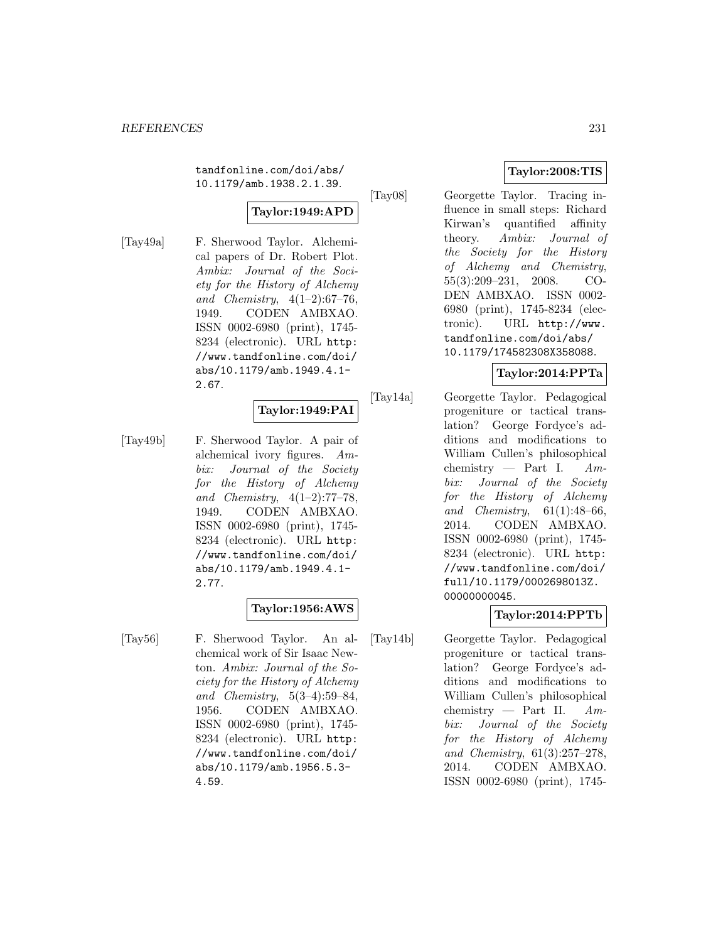tandfonline.com/doi/abs/ 10.1179/amb.1938.2.1.39.

# **Taylor:1949:APD**

[Tay49a] F. Sherwood Taylor. Alchemical papers of Dr. Robert Plot. Ambix: Journal of the Society for the History of Alchemy and Chemistry,  $4(1-2):67-76$ , 1949. CODEN AMBXAO. ISSN 0002-6980 (print), 1745- 8234 (electronic). URL http: //www.tandfonline.com/doi/ abs/10.1179/amb.1949.4.1- 2.67.

### **Taylor:1949:PAI**

[Tay49b] F. Sherwood Taylor. A pair of alchemical ivory figures. Ambix: Journal of the Society for the History of Alchemy and Chemistry, 4(1–2):77–78, 1949. CODEN AMBXAO. ISSN 0002-6980 (print), 1745- 8234 (electronic). URL http: //www.tandfonline.com/doi/ abs/10.1179/amb.1949.4.1- 2.77.

# **Taylor:1956:AWS**

[Tay56] F. Sherwood Taylor. An alchemical work of Sir Isaac Newton. Ambix: Journal of the Society for the History of Alchemy and Chemistry, 5(3–4):59–84, 1956. CODEN AMBXAO. ISSN 0002-6980 (print), 1745- 8234 (electronic). URL http: //www.tandfonline.com/doi/ abs/10.1179/amb.1956.5.3- 4.59.

# **Taylor:2008:TIS**

[Tay08] Georgette Taylor. Tracing influence in small steps: Richard Kirwan's quantified affinity theory. Ambix: Journal of the Society for the History of Alchemy and Chemistry, 55(3):209–231, 2008. CO-DEN AMBXAO. ISSN 0002- 6980 (print), 1745-8234 (electronic). URL http://www. tandfonline.com/doi/abs/ 10.1179/174582308X358088.

# **Taylor:2014:PPTa**

[Tay14a] Georgette Taylor. Pedagogical progeniture or tactical translation? George Fordyce's additions and modifications to William Cullen's philosophical chemistry — Part I.  $Am$ bix: Journal of the Society for the History of Alchemy and Chemistry, 61(1):48–66, 2014. CODEN AMBXAO. ISSN 0002-6980 (print), 1745- 8234 (electronic). URL http: //www.tandfonline.com/doi/ full/10.1179/0002698013Z. 00000000045.

# **Taylor:2014:PPTb**

[Tay14b] Georgette Taylor. Pedagogical progeniture or tactical translation? George Fordyce's additions and modifications to William Cullen's philosophical chemistry — Part II.  $Am$ bix: Journal of the Society for the History of Alchemy and Chemistry, 61(3):257–278, 2014. CODEN AMBXAO. ISSN 0002-6980 (print), 1745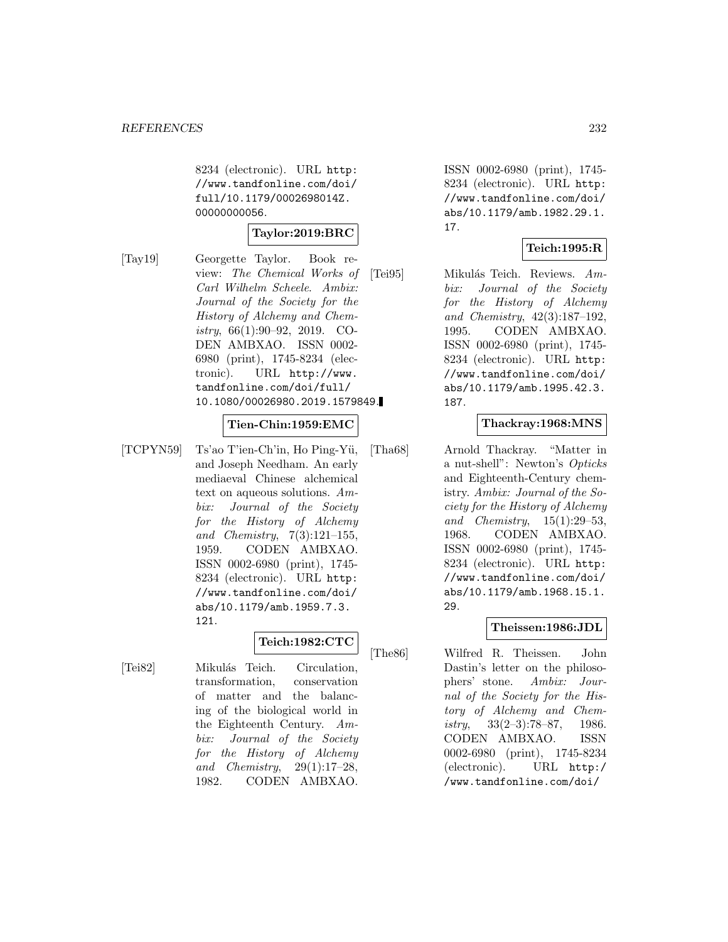8234 (electronic). URL http: //www.tandfonline.com/doi/ full/10.1179/0002698014Z. 00000000056.

### **Taylor:2019:BRC**

[Tay19] Georgette Taylor. Book review: The Chemical Works of Carl Wilhelm Scheele. Ambix: Journal of the Society for the History of Alchemy and Chemistry, 66(1):90–92, 2019. CO-DEN AMBXAO. ISSN 0002- 6980 (print), 1745-8234 (electronic). URL http://www. tandfonline.com/doi/full/ 10.1080/00026980.2019.1579849.

#### **Tien-Chin:1959:EMC**

[TCPYN59] Ts'ao T'ien-Ch'in, Ho Ping-Yü, and Joseph Needham. An early mediaeval Chinese alchemical text on aqueous solutions.  $Am$ bix: Journal of the Society for the History of Alchemy and Chemistry, 7(3):121–155, 1959. CODEN AMBXAO. ISSN 0002-6980 (print), 1745- 8234 (electronic). URL http: //www.tandfonline.com/doi/ abs/10.1179/amb.1959.7.3. 121.

# **Teich:1982:CTC**

[Tei82] Mikulás Teich. Circulation, transformation, conservation of matter and the balancing of the biological world in the Eighteenth Century. Ambix: Journal of the Society for the History of Alchemy and Chemistry, 29(1):17–28, 1982. CODEN AMBXAO.

ISSN 0002-6980 (print), 1745- 8234 (electronic). URL http: //www.tandfonline.com/doi/ abs/10.1179/amb.1982.29.1. 17.

### **Teich:1995:R**

[Tei95] Mikulás Teich. Reviews. Ambix: Journal of the Society for the History of Alchemy and Chemistry, 42(3):187–192, 1995. CODEN AMBXAO. ISSN 0002-6980 (print), 1745- 8234 (electronic). URL http: //www.tandfonline.com/doi/ abs/10.1179/amb.1995.42.3. 187.

#### **Thackray:1968:MNS**

[Tha68] Arnold Thackray. "Matter in a nut-shell": Newton's Opticks and Eighteenth-Century chemistry. Ambix: Journal of the Society for the History of Alchemy and Chemistry,  $15(1):29-53$ , 1968. CODEN AMBXAO. ISSN 0002-6980 (print), 1745- 8234 (electronic). URL http: //www.tandfonline.com/doi/ abs/10.1179/amb.1968.15.1. 29.

# **Theissen:1986:JDL**

[The86] Wilfred R. Theissen. John Dastin's letter on the philosophers' stone. Ambix: Journal of the Society for the History of Alchemy and Chemistry,  $33(2-3):78-87$ , 1986. CODEN AMBXAO. ISSN 0002-6980 (print), 1745-8234 (electronic). URL http:/ /www.tandfonline.com/doi/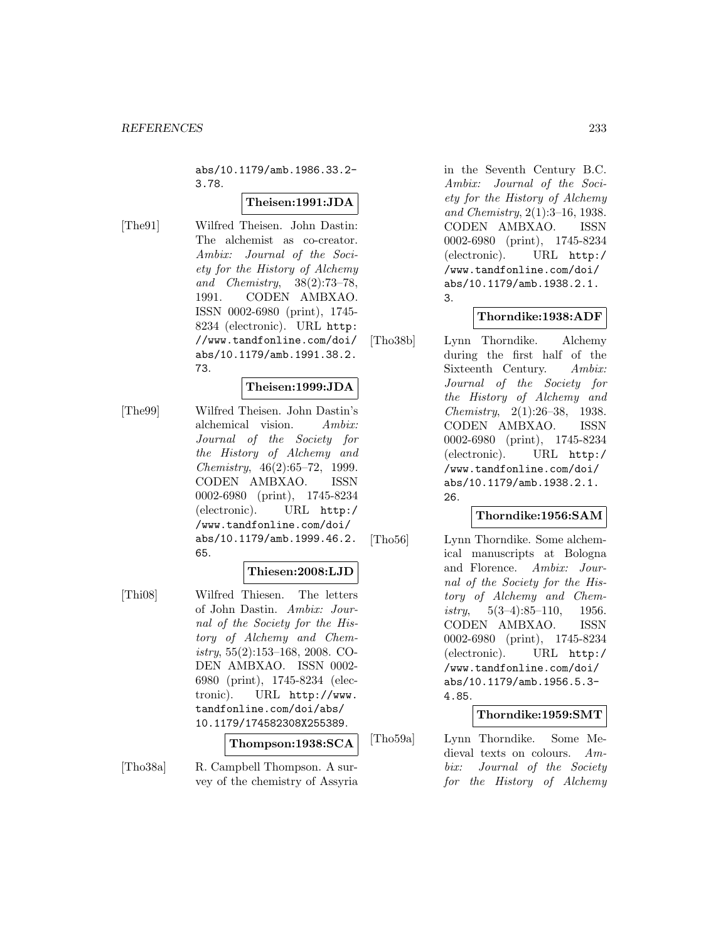abs/10.1179/amb.1986.33.2- 3.78.

#### **Theisen:1991:JDA**

[The91] Wilfred Theisen. John Dastin: The alchemist as co-creator. Ambix: Journal of the Society for the History of Alchemy and Chemistry, 38(2):73–78, 1991. CODEN AMBXAO. ISSN 0002-6980 (print), 1745- 8234 (electronic). URL http: //www.tandfonline.com/doi/ abs/10.1179/amb.1991.38.2. 73.

#### **Theisen:1999:JDA**

[The99] Wilfred Theisen. John Dastin's alchemical vision. Ambix: Journal of the Society for the History of Alchemy and Chemistry, 46(2):65–72, 1999. CODEN AMBXAO. ISSN 0002-6980 (print), 1745-8234 (electronic). URL http:/ /www.tandfonline.com/doi/ abs/10.1179/amb.1999.46.2. 65.

#### **Thiesen:2008:LJD**

[Thi08] Wilfred Thiesen. The letters of John Dastin. Ambix: Journal of the Society for the History of Alchemy and Chem $istry, 55(2):153–168, 2008. CO-$ DEN AMBXAO. ISSN 0002- 6980 (print), 1745-8234 (electronic). URL http://www. tandfonline.com/doi/abs/ 10.1179/174582308X255389.

#### **Thompson:1938:SCA**

[Tho38a] R. Campbell Thompson. A survey of the chemistry of Assyria in the Seventh Century B.C. Ambix: Journal of the Society for the History of Alchemy and Chemistry, 2(1):3–16, 1938. CODEN AMBXAO. ISSN 0002-6980 (print), 1745-8234 (electronic). URL http:/ /www.tandfonline.com/doi/ abs/10.1179/amb.1938.2.1. 3.

# **Thorndike:1938:ADF**

[Tho38b] Lynn Thorndike. Alchemy during the first half of the Sixteenth Century. Ambix: Journal of the Society for the History of Alchemy and Chemistry, 2(1):26–38, 1938. CODEN AMBXAO. ISSN 0002-6980 (print), 1745-8234 (electronic). URL http:/ /www.tandfonline.com/doi/ abs/10.1179/amb.1938.2.1. 26.

## **Thorndike:1956:SAM**

[Tho56] Lynn Thorndike. Some alchemical manuscripts at Bologna and Florence. Ambix: Journal of the Society for the History of Alchemy and Chemistry,  $5(3-4):85-110$ , 1956. CODEN AMBXAO. ISSN 0002-6980 (print), 1745-8234 (electronic). URL http:/ /www.tandfonline.com/doi/ abs/10.1179/amb.1956.5.3- 4.85.

#### **Thorndike:1959:SMT**

[Tho59a] Lynn Thorndike. Some Medieval texts on colours. Ambix: Journal of the Society for the History of Alchemy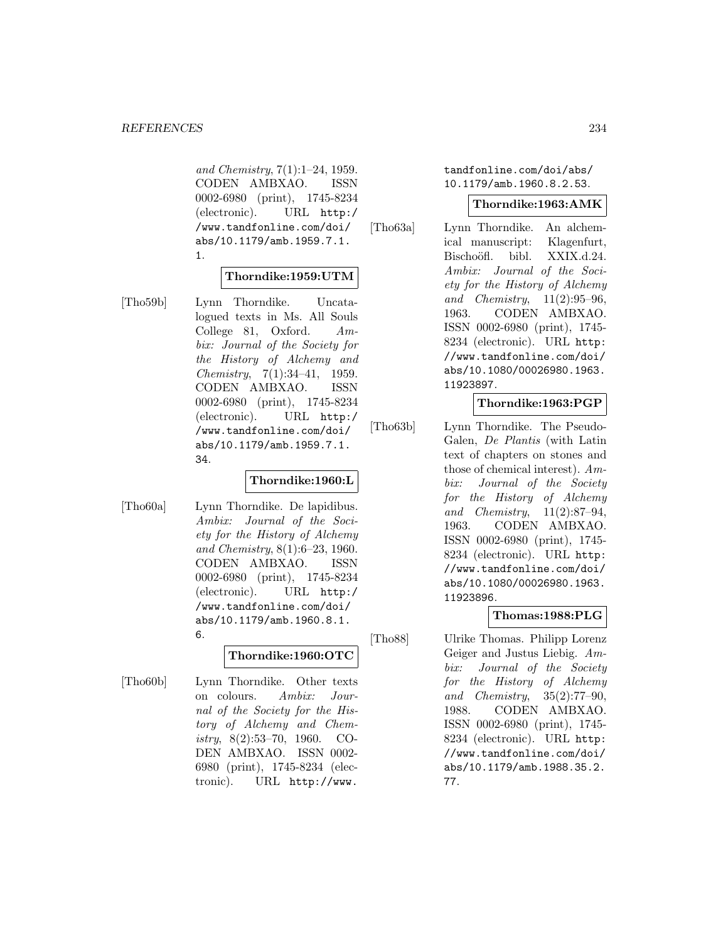and Chemistry, 7(1):1–24, 1959. CODEN AMBXAO. ISSN 0002-6980 (print), 1745-8234 (electronic). URL http:/ /www.tandfonline.com/doi/ abs/10.1179/amb.1959.7.1. 1.

#### **Thorndike:1959:UTM**

[Tho59b] Lynn Thorndike. Uncatalogued texts in Ms. All Souls College 81, Oxford. Ambix: Journal of the Society for the History of Alchemy and Chemistry, 7(1):34–41, 1959. CODEN AMBXAO. ISSN 0002-6980 (print), 1745-8234 (electronic). URL http:/ /www.tandfonline.com/doi/ abs/10.1179/amb.1959.7.1. 34.

#### **Thorndike:1960:L**

[Tho60a] Lynn Thorndike. De lapidibus. Ambix: Journal of the Society for the History of Alchemy and Chemistry, 8(1):6–23, 1960. CODEN AMBXAO. ISSN 0002-6980 (print), 1745-8234 (electronic). URL http:/ /www.tandfonline.com/doi/ abs/10.1179/amb.1960.8.1. 6.

# **Thorndike:1960:OTC**

[Tho60b] Lynn Thorndike. Other texts on colours. Ambix: Journal of the Society for the History of Alchemy and Chemistry, 8(2):53–70, 1960. CO-DEN AMBXAO. ISSN 0002- 6980 (print), 1745-8234 (electronic). URL http://www.

tandfonline.com/doi/abs/ 10.1179/amb.1960.8.2.53.

#### **Thorndike:1963:AMK**

[Tho63a] Lynn Thorndike. An alchemical manuscript: Klagenfurt, Bischoöfl. bibl. XXIX.d.24. Ambix: Journal of the Society for the History of Alchemy and Chemistry, 11(2):95–96, 1963. CODEN AMBXAO. ISSN 0002-6980 (print), 1745- 8234 (electronic). URL http: //www.tandfonline.com/doi/ abs/10.1080/00026980.1963. 11923897.

#### **Thorndike:1963:PGP**

[Tho63b] Lynn Thorndike. The Pseudo-Galen, De Plantis (with Latin text of chapters on stones and those of chemical interest). Ambix: Journal of the Society for the History of Alchemy and Chemistry, 11(2):87–94, 1963. CODEN AMBXAO. ISSN 0002-6980 (print), 1745- 8234 (electronic). URL http: //www.tandfonline.com/doi/ abs/10.1080/00026980.1963. 11923896.

#### **Thomas:1988:PLG**

[Tho88] Ulrike Thomas. Philipp Lorenz Geiger and Justus Liebig. Ambix: Journal of the Society for the History of Alchemy and Chemistry, 35(2):77–90, 1988. CODEN AMBXAO. ISSN 0002-6980 (print), 1745- 8234 (electronic). URL http: //www.tandfonline.com/doi/ abs/10.1179/amb.1988.35.2. 77.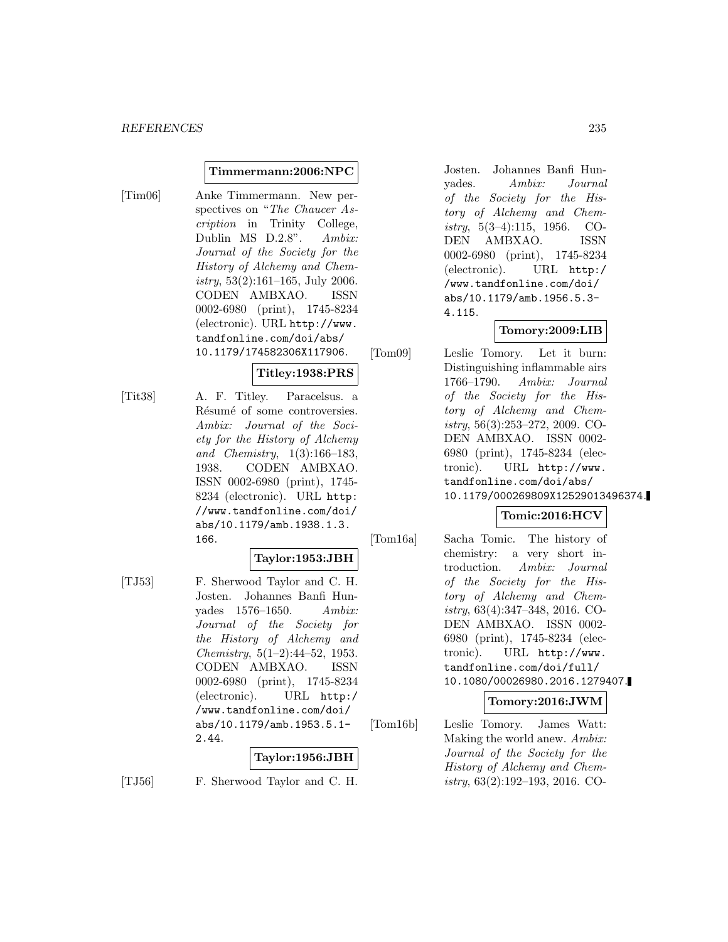#### **Timmermann:2006:NPC**

[Tim06] Anke Timmermann. New perspectives on "The Chaucer Ascription in Trinity College, Dublin MS D.2.8". Ambix: Journal of the Society for the History of Alchemy and Chem $istry, 53(2):161-165, July 2006.$ CODEN AMBXAO. ISSN 0002-6980 (print), 1745-8234 (electronic). URL http://www. tandfonline.com/doi/abs/ 10.1179/174582306X117906.

#### **Titley:1938:PRS**

[Tit38] A. F. Titley. Paracelsus. a Résumé of some controversies. Ambix: Journal of the Society for the History of Alchemy and Chemistry, 1(3):166–183, 1938. CODEN AMBXAO. ISSN 0002-6980 (print), 1745- 8234 (electronic). URL http: //www.tandfonline.com/doi/ abs/10.1179/amb.1938.1.3. 166.

#### **Taylor:1953:JBH**

[TJ53] F. Sherwood Taylor and C. H. Josten. Johannes Banfi Hunyades 1576–1650. Ambix: Journal of the Society for the History of Alchemy and Chemistry, 5(1–2):44–52, 1953. CODEN AMBXAO. ISSN 0002-6980 (print), 1745-8234 (electronic). URL http:/ /www.tandfonline.com/doi/ abs/10.1179/amb.1953.5.1- 2.44.

### **Taylor:1956:JBH**

[TJ56] F. Sherwood Taylor and C. H.

Josten. Johannes Banfi Hunyades. Ambix: Journal of the Society for the History of Alchemy and Chemistry,  $5(3-4):115$ , 1956. CO-DEN AMBXAO. ISSN 0002-6980 (print), 1745-8234 (electronic). URL http:/ /www.tandfonline.com/doi/ abs/10.1179/amb.1956.5.3- 4.115.

#### **Tomory:2009:LIB**

[Tom09] Leslie Tomory. Let it burn: Distinguishing inflammable airs 1766–1790. Ambix: Journal of the Society for the History of Alchemy and Chemistry, 56(3):253–272, 2009. CO-DEN AMBXAO. ISSN 0002- 6980 (print), 1745-8234 (electronic). URL http://www. tandfonline.com/doi/abs/ 10.1179/000269809X12529013496374.

# **Tomic:2016:HCV**

[Tom16a] Sacha Tomic. The history of chemistry: a very short introduction. Ambix: Journal of the Society for the History of Alchemy and Chemistry, 63(4):347–348, 2016. CO-DEN AMBXAO. ISSN 0002- 6980 (print), 1745-8234 (electronic). URL http://www. tandfonline.com/doi/full/ 10.1080/00026980.2016.1279407.

#### **Tomory:2016:JWM**

[Tom16b] Leslie Tomory. James Watt: Making the world anew. Ambix: Journal of the Society for the History of Alchemy and Chem $istry, 63(2):192-193, 2016.$  CO-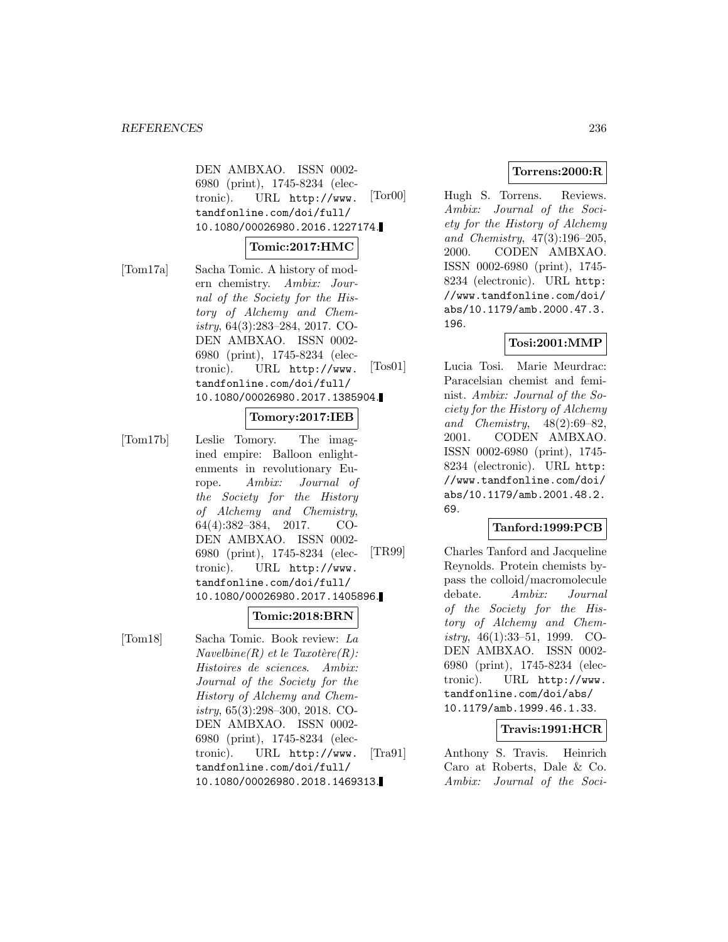DEN AMBXAO. ISSN 0002- 6980 (print), 1745-8234 (electronic). URL http://www. tandfonline.com/doi/full/ 10.1080/00026980.2016.1227174.

#### **Tomic:2017:HMC**

[Tom17a] Sacha Tomic. A history of modern chemistry. Ambix: Journal of the Society for the History of Alchemy and Chemistry, 64(3):283–284, 2017. CO-DEN AMBXAO. ISSN 0002- 6980 (print), 1745-8234 (electronic). URL http://www. tandfonline.com/doi/full/ 10.1080/00026980.2017.1385904.

#### **Tomory:2017:IEB**

[Tom17b] Leslie Tomory. The imagined empire: Balloon enlightenments in revolutionary Europe. Ambix: Journal of the Society for the History of Alchemy and Chemistry, 64(4):382–384, 2017. CO-DEN AMBXAO. ISSN 0002- 6980 (print), 1745-8234 (electronic). URL http://www. tandfonline.com/doi/full/ 10.1080/00026980.2017.1405896.

#### **Tomic:2018:BRN**

[Tom18] Sacha Tomic. Book review: La  $Navelbine(R)$  et le Taxotère(R): Histoires de sciences. Ambix: Journal of the Society for the History of Alchemy and Chemistry, 65(3):298–300, 2018. CO-DEN AMBXAO. ISSN 0002- 6980 (print), 1745-8234 (electronic). URL http://www. tandfonline.com/doi/full/ 10.1080/00026980.2018.1469313.

### **Torrens:2000:R**

[Tor00] Hugh S. Torrens. Reviews. Ambix: Journal of the Society for the History of Alchemy and Chemistry, 47(3):196–205, 2000. CODEN AMBXAO. ISSN 0002-6980 (print), 1745- 8234 (electronic). URL http: //www.tandfonline.com/doi/ abs/10.1179/amb.2000.47.3. 196.

### **Tosi:2001:MMP**

[Tos01] Lucia Tosi. Marie Meurdrac: Paracelsian chemist and feminist. Ambix: Journal of the Society for the History of Alchemy and Chemistry, 48(2):69–82, 2001. CODEN AMBXAO. ISSN 0002-6980 (print), 1745- 8234 (electronic). URL http: //www.tandfonline.com/doi/ abs/10.1179/amb.2001.48.2. 69.

#### **Tanford:1999:PCB**

[TR99] Charles Tanford and Jacqueline Reynolds. Protein chemists bypass the colloid/macromolecule debate. Ambix: Journal of the Society for the History of Alchemy and Chemistry,  $46(1):33-51$ , 1999. CO-DEN AMBXAO. ISSN 0002- 6980 (print), 1745-8234 (electronic). URL http://www. tandfonline.com/doi/abs/ 10.1179/amb.1999.46.1.33.

#### **Travis:1991:HCR**

[Tra91] Anthony S. Travis. Heinrich Caro at Roberts, Dale & Co. Ambix: Journal of the Soci-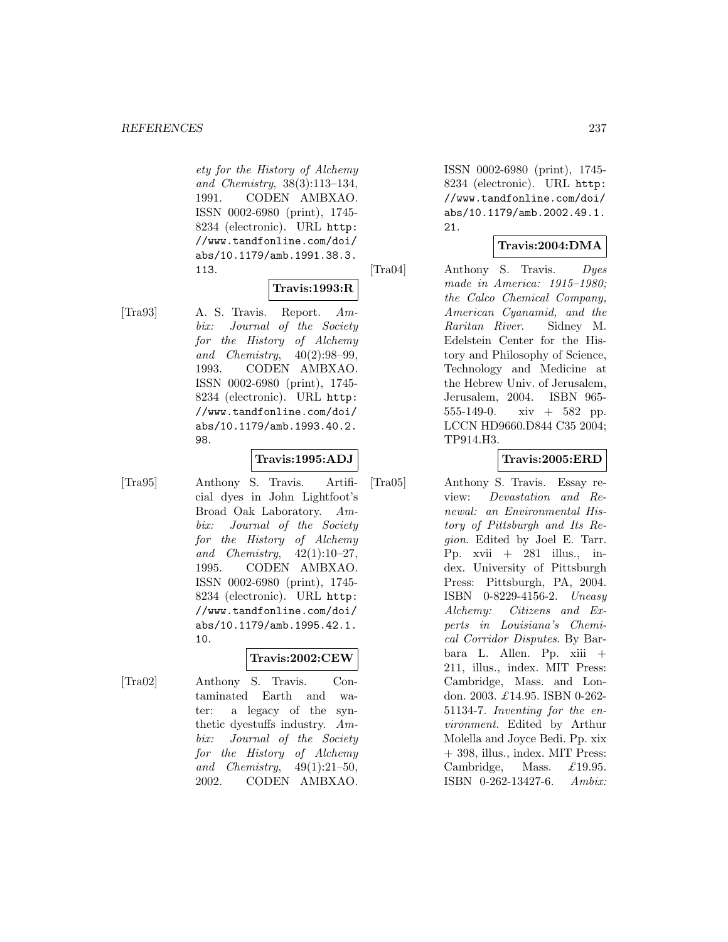ety for the History of Alchemy and Chemistry, 38(3):113–134, 1991. CODEN AMBXAO. ISSN 0002-6980 (print), 1745- 8234 (electronic). URL http: //www.tandfonline.com/doi/ abs/10.1179/amb.1991.38.3. 113.

### **Travis:1993:R**

[Tra93] A. S. Travis. Report. Ambix: Journal of the Society for the History of Alchemy and Chemistry, 40(2):98–99, 1993. CODEN AMBXAO. ISSN 0002-6980 (print), 1745- 8234 (electronic). URL http: //www.tandfonline.com/doi/ abs/10.1179/amb.1993.40.2. 98.

### **Travis:1995:ADJ**

[Tra95] Anthony S. Travis. Artificial dyes in John Lightfoot's Broad Oak Laboratory. Ambix: Journal of the Society for the History of Alchemy and Chemistry,  $42(1):10-27$ , 1995. CODEN AMBXAO. ISSN 0002-6980 (print), 1745- 8234 (electronic). URL http: //www.tandfonline.com/doi/ abs/10.1179/amb.1995.42.1. 10.

# **Travis:2002:CEW**

[Tra02] Anthony S. Travis. Contaminated Earth and water: a legacy of the synthetic dyestuffs industry. Ambix: Journal of the Society for the History of Alchemy and Chemistry, 49(1):21–50, 2002. CODEN AMBXAO.

ISSN 0002-6980 (print), 1745- 8234 (electronic). URL http: //www.tandfonline.com/doi/ abs/10.1179/amb.2002.49.1. 21.

# **Travis:2004:DMA**

[Tra04] Anthony S. Travis. Dyes made in America: 1915–1980; the Calco Chemical Company, American Cyanamid, and the Raritan River. Sidney M. Edelstein Center for the History and Philosophy of Science, Technology and Medicine at the Hebrew Univ. of Jerusalem, Jerusalem, 2004. ISBN 965- 555-149-0. xiv + 582 pp. LCCN HD9660.D844 C35 2004; TP914.H3.

# **Travis:2005:ERD**

[Tra05] Anthony S. Travis. Essay review: Devastation and Renewal: an Environmental History of Pittsburgh and Its Region. Edited by Joel E. Tarr. Pp. xvii + 281 illus., index. University of Pittsburgh Press: Pittsburgh, PA, 2004. ISBN 0-8229-4156-2. Uneasy Alchemy: Citizens and Experts in Louisiana's Chemical Corridor Disputes. By Barbara L. Allen. Pp. xiii + 211, illus., index. MIT Press: Cambridge, Mass. and London. 2003. £14.95. ISBN 0-262- 51134-7. Inventing for the environment. Edited by Arthur Molella and Joyce Bedi. Pp. xix + 398, illus., index. MIT Press: Cambridge, Mass. £19.95. ISBN 0-262-13427-6. Ambix: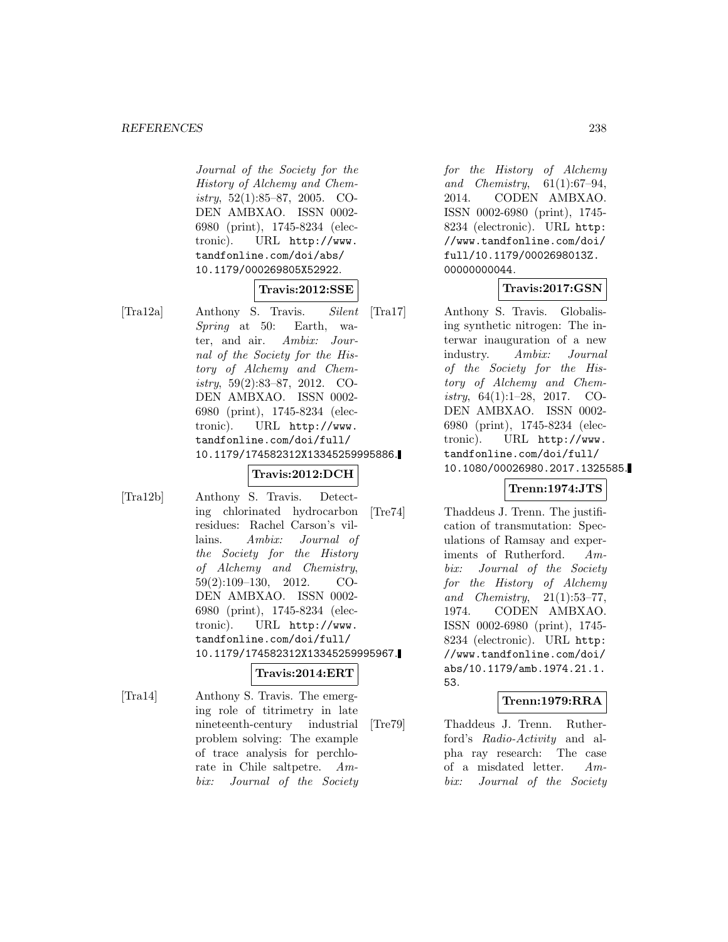#### *REFERENCES* 238

Journal of the Society for the History of Alchemy and Chemistry, 52(1):85–87, 2005. CO-DEN AMBXAO. ISSN 0002- 6980 (print), 1745-8234 (electronic). URL http://www. tandfonline.com/doi/abs/ 10.1179/000269805X52922.

**Travis:2012:SSE**

[Tra12a] Anthony S. Travis. Silent Spring at 50: Earth, water, and air. Ambix: Journal of the Society for the History of Alchemy and Chemistry, 59(2):83–87, 2012. CO-DEN AMBXAO. ISSN 0002- 6980 (print), 1745-8234 (electronic). URL http://www. tandfonline.com/doi/full/ 10.1179/174582312X13345259995886.

$$
Travis: 2012: DCH
$$

[Tra12b] Anthony S. Travis. Detecting chlorinated hydrocarbon residues: Rachel Carson's villains. Ambix: Journal of the Society for the History of Alchemy and Chemistry, 59(2):109–130, 2012. CO-DEN AMBXAO. ISSN 0002- 6980 (print), 1745-8234 (electronic). URL http://www. tandfonline.com/doi/full/ 10.1179/174582312X13345259995967.

#### **Travis:2014:ERT**

[Tra14] Anthony S. Travis. The emerging role of titrimetry in late nineteenth-century industrial problem solving: The example of trace analysis for perchlorate in Chile saltpetre. Ambix: Journal of the Society for the History of Alchemy and Chemistry, 61(1):67–94, 2014. CODEN AMBXAO. ISSN 0002-6980 (print), 1745- 8234 (electronic). URL http: //www.tandfonline.com/doi/ full/10.1179/0002698013Z. 00000000044.

### **Travis:2017:GSN**

[Tra17] Anthony S. Travis. Globalising synthetic nitrogen: The interwar inauguration of a new industry. Ambix: Journal of the Society for the History of Alchemy and Chemistry, 64(1):1–28, 2017. CO-DEN AMBXAO. ISSN 0002- 6980 (print), 1745-8234 (electronic). URL http://www. tandfonline.com/doi/full/ 10.1080/00026980.2017.1325585.

# **Trenn:1974:JTS**

[Tre74] Thaddeus J. Trenn. The justification of transmutation: Speculations of Ramsay and experiments of Rutherford. Ambix: Journal of the Society for the History of Alchemy and Chemistry,  $21(1):53-77$ , 1974. CODEN AMBXAO. ISSN 0002-6980 (print), 1745- 8234 (electronic). URL http: //www.tandfonline.com/doi/ abs/10.1179/amb.1974.21.1. 53.

# **Trenn:1979:RRA**

[Tre79] Thaddeus J. Trenn. Rutherford's Radio-Activity and alpha ray research: The case of a misdated letter. Ambix: Journal of the Society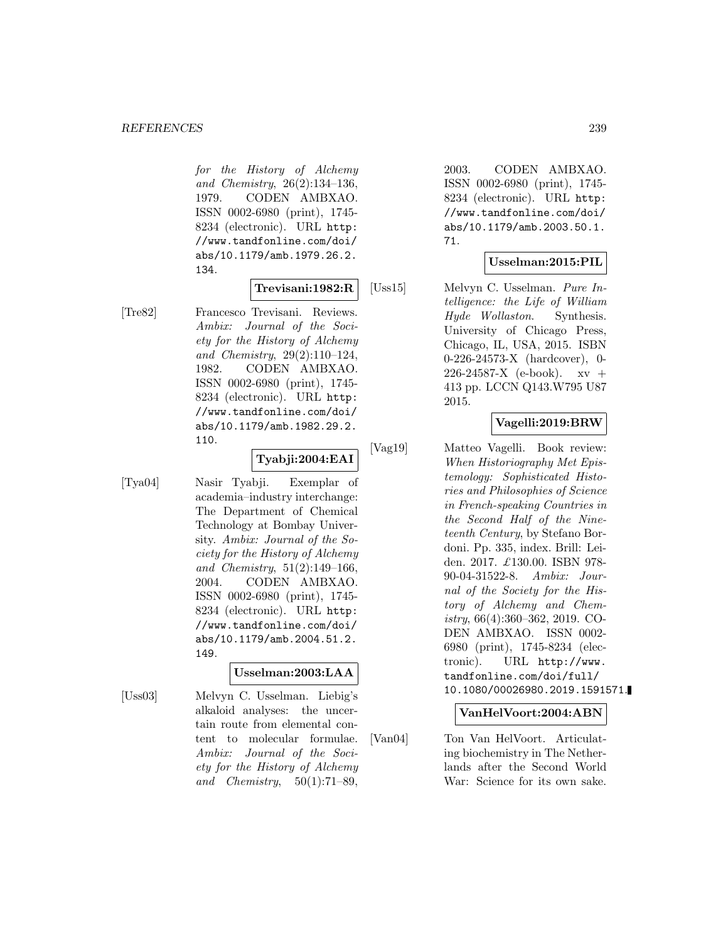for the History of Alchemy and Chemistry, 26(2):134–136, 1979. CODEN AMBXAO. ISSN 0002-6980 (print), 1745- 8234 (electronic). URL http: //www.tandfonline.com/doi/ abs/10.1179/amb.1979.26.2. 134.

### **Trevisani:1982:R**

[Tre82] Francesco Trevisani. Reviews. Ambix: Journal of the Society for the History of Alchemy and Chemistry, 29(2):110–124, 1982. CODEN AMBXAO. ISSN 0002-6980 (print), 1745- 8234 (electronic). URL http: //www.tandfonline.com/doi/ abs/10.1179/amb.1982.29.2. 110.

# **Tyabji:2004:EAI**

[Tya04] Nasir Tyabji. Exemplar of academia–industry interchange: The Department of Chemical Technology at Bombay University. Ambix: Journal of the Society for the History of Alchemy and Chemistry, 51(2):149–166, 2004. CODEN AMBXAO. ISSN 0002-6980 (print), 1745- 8234 (electronic). URL http: //www.tandfonline.com/doi/ abs/10.1179/amb.2004.51.2. 149.

#### **Usselman:2003:LAA**

[Uss03] Melvyn C. Usselman. Liebig's alkaloid analyses: the uncertain route from elemental content to molecular formulae. Ambix: Journal of the Society for the History of Alchemy and Chemistry,  $50(1):71-89$ ,

2003. CODEN AMBXAO. ISSN 0002-6980 (print), 1745- 8234 (electronic). URL http: //www.tandfonline.com/doi/ abs/10.1179/amb.2003.50.1. 71.

### **Usselman:2015:PIL**

[Uss15] Melvyn C. Usselman. Pure Intelligence: the Life of William Hyde Wollaston. Synthesis. University of Chicago Press, Chicago, IL, USA, 2015. ISBN 0-226-24573-X (hardcover), 0-  $226 - 24587 - X$  (e-book).  $xy +$ 413 pp. LCCN Q143.W795 U87 2015.

# **Vagelli:2019:BRW**

[Vag19] Matteo Vagelli. Book review: When Historiography Met Epistemology: Sophisticated Histories and Philosophies of Science in French-speaking Countries in the Second Half of the Nineteenth Century, by Stefano Bordoni. Pp. 335, index. Brill: Leiden. 2017. £130.00. ISBN 978- 90-04-31522-8. Ambix: Journal of the Society for the History of Alchemy and Chemistry, 66(4):360–362, 2019. CO-DEN AMBXAO. ISSN 0002- 6980 (print), 1745-8234 (electronic). URL http://www. tandfonline.com/doi/full/ 10.1080/00026980.2019.1591571.

#### **VanHelVoort:2004:ABN**

[Van04] Ton Van HelVoort. Articulating biochemistry in The Netherlands after the Second World War: Science for its own sake.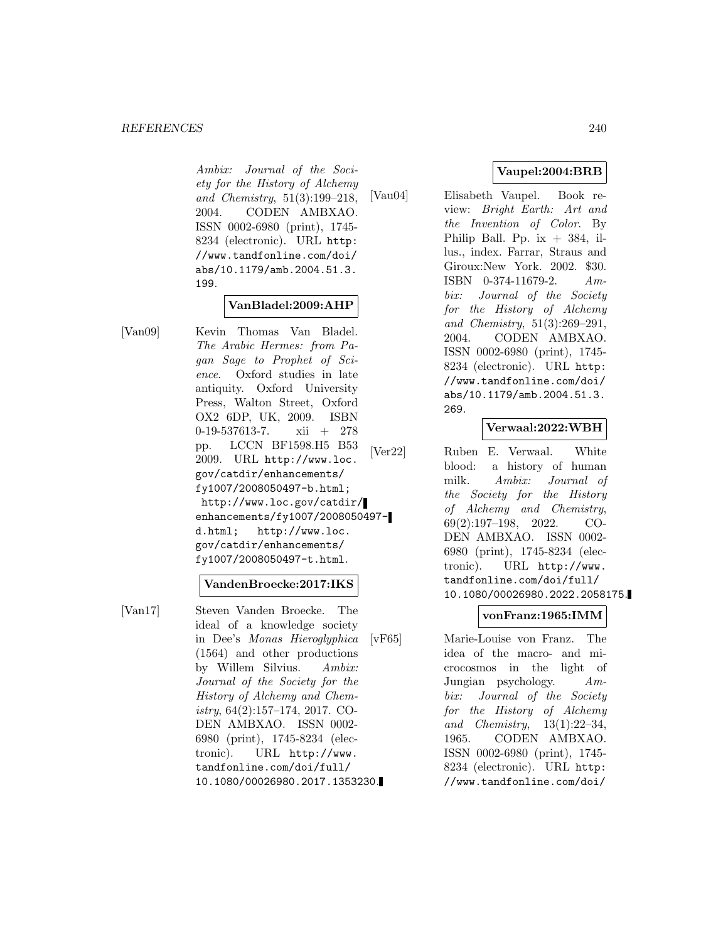#### *REFERENCES* 240

Ambix: Journal of the Society for the History of Alchemy and Chemistry, 51(3):199–218, 2004. CODEN AMBXAO. ISSN 0002-6980 (print), 1745- 8234 (electronic). URL http: //www.tandfonline.com/doi/ abs/10.1179/amb.2004.51.3. 199.

#### **VanBladel:2009:AHP**

[Van09] Kevin Thomas Van Bladel. The Arabic Hermes: from Pagan Sage to Prophet of Science. Oxford studies in late antiquity. Oxford University Press, Walton Street, Oxford OX2 6DP, UK, 2009. ISBN 0-19-537613-7. xii + 278 pp. LCCN BF1598.H5 B53 2009. URL http://www.loc. gov/catdir/enhancements/ fy1007/2008050497-b.html; http://www.loc.gov/catdir/ enhancements/fy1007/2008050497 d.html; http://www.loc. gov/catdir/enhancements/ fy1007/2008050497-t.html.

#### **VandenBroecke:2017:IKS**

[Van17] Steven Vanden Broecke. The ideal of a knowledge society in Dee's Monas Hieroglyphica (1564) and other productions by Willem Silvius. Ambix: Journal of the Society for the History of Alchemy and Chemistry, 64(2):157–174, 2017. CO-DEN AMBXAO. ISSN 0002- 6980 (print), 1745-8234 (electronic). URL http://www. tandfonline.com/doi/full/ 10.1080/00026980.2017.1353230.

# **Vaupel:2004:BRB**

[Vau04] Elisabeth Vaupel. Book review: Bright Earth: Art and the Invention of Color. By Philip Ball. Pp. ix  $+384$ , illus., index. Farrar, Straus and Giroux:New York. 2002. \$30. ISBN 0-374-11679-2. Ambix: Journal of the Society for the History of Alchemy and Chemistry, 51(3):269–291, 2004. CODEN AMBXAO. ISSN 0002-6980 (print), 1745- 8234 (electronic). URL http: //www.tandfonline.com/doi/ abs/10.1179/amb.2004.51.3. 269.

#### **Verwaal:2022:WBH**

[Ver22] Ruben E. Verwaal. White blood: a history of human milk. Ambix: Journal of the Society for the History of Alchemy and Chemistry, 69(2):197–198, 2022. CO-DEN AMBXAO. ISSN 0002- 6980 (print), 1745-8234 (electronic). URL http://www. tandfonline.com/doi/full/ 10.1080/00026980.2022.2058175.

#### **vonFranz:1965:IMM**

[vF65] Marie-Louise von Franz. The idea of the macro- and microcosmos in the light of Jungian psychology. Ambix: Journal of the Society for the History of Alchemy and Chemistry, 13(1):22–34, 1965. CODEN AMBXAO. ISSN 0002-6980 (print), 1745- 8234 (electronic). URL http: //www.tandfonline.com/doi/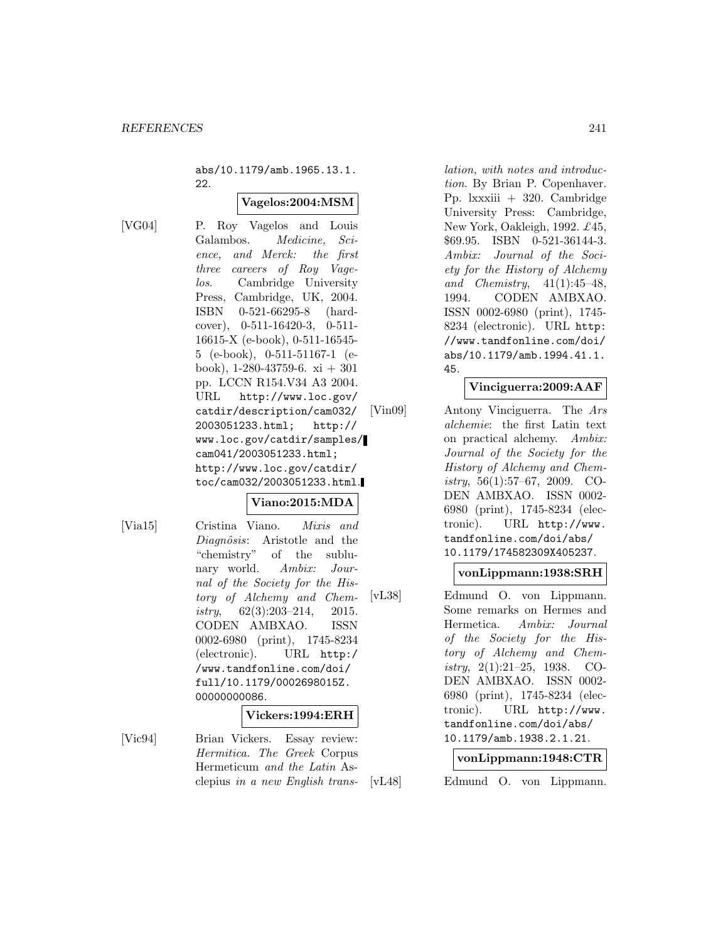abs/10.1179/amb.1965.13.1.  $22.$ 

#### **Vagelos:2004:MSM**

[VG04] P. Roy Vagelos and Louis Galambos. Medicine, Science, and Merck: the first three careers of Roy Vagelos. Cambridge University Press, Cambridge, UK, 2004. ISBN 0-521-66295-8 (hardcover), 0-511-16420-3, 0-511- 16615-X (e-book), 0-511-16545- 5 (e-book), 0-511-51167-1 (ebook), 1-280-43759-6.  $xi + 301$ pp. LCCN R154.V34 A3 2004. URL http://www.loc.gov/ catdir/description/cam032/ 2003051233.html; http:// www.loc.gov/catdir/samples/ cam041/2003051233.html; http://www.loc.gov/catdir/ toc/cam032/2003051233.html.

# **Viano:2015:MDA**

[Via15] Cristina Viano. Mixis and Diagnôsis: Aristotle and the "chemistry" of the sublunary world. Ambix: Journal of the Society for the History of Alchemy and Chemistry,  $62(3):203-214$ ,  $2015$ . CODEN AMBXAO. ISSN 0002-6980 (print), 1745-8234 (electronic). URL http:/ /www.tandfonline.com/doi/ full/10.1179/0002698015Z. 00000000086.

#### **Vickers:1994:ERH**

[Vic94] Brian Vickers. Essay review: Hermitica. The Greek Corpus Hermeticum and the Latin Asclepius in a new English translation, with notes and introduction. By Brian P. Copenhaver. Pp. lxxxiii + 320. Cambridge University Press: Cambridge, New York, Oakleigh, 1992. £45, \$69.95. ISBN 0-521-36144-3. Ambix: Journal of the Society for the History of Alchemy and Chemistry, 41(1):45–48, 1994. CODEN AMBXAO. ISSN 0002-6980 (print), 1745- 8234 (electronic). URL http: //www.tandfonline.com/doi/ abs/10.1179/amb.1994.41.1. 45.

### **Vinciguerra:2009:AAF**

[Vin09] Antony Vinciguerra. The Ars alchemie: the first Latin text on practical alchemy. Ambix: Journal of the Society for the History of Alchemy and Chemistry, 56(1):57–67, 2009. CO-DEN AMBXAO. ISSN 0002- 6980 (print), 1745-8234 (electronic). URL http://www. tandfonline.com/doi/abs/ 10.1179/174582309X405237.

#### **vonLippmann:1938:SRH**

[vL38] Edmund O. von Lippmann. Some remarks on Hermes and Hermetica. Ambix: Journal of the Society for the History of Alchemy and Chemistry, 2(1):21–25, 1938. CO-DEN AMBXAO. ISSN 0002- 6980 (print), 1745-8234 (electronic). URL http://www. tandfonline.com/doi/abs/ 10.1179/amb.1938.2.1.21.

#### **vonLippmann:1948:CTR**

[vL48] Edmund O. von Lippmann.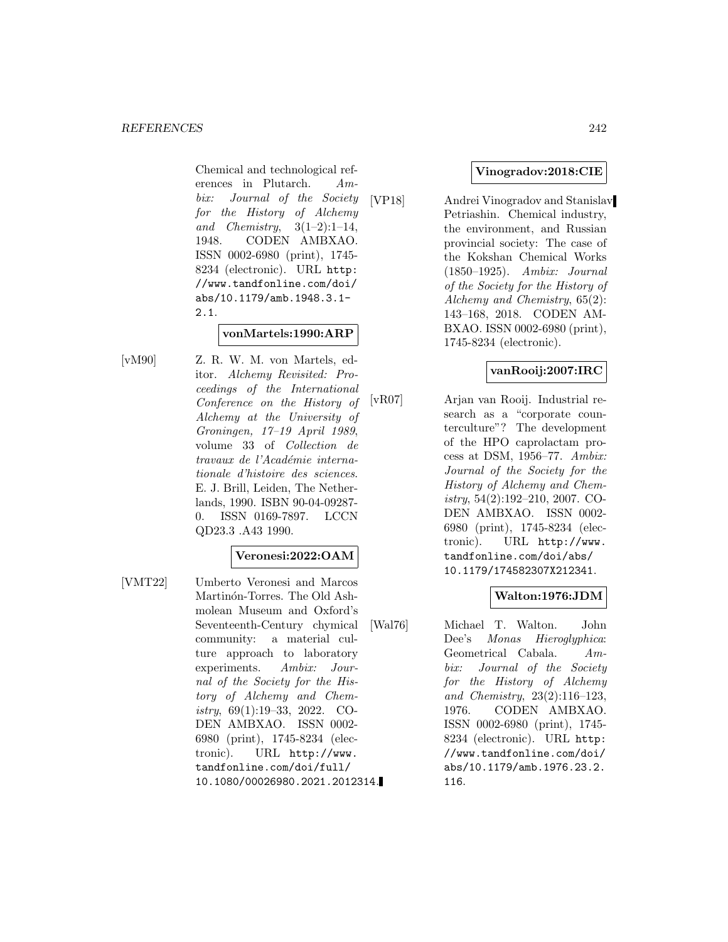Chemical and technological references in Plutarch. Ambix: Journal of the Society for the History of Alchemy and Chemistry,  $3(1-2):1-14$ , 1948. CODEN AMBXAO. ISSN 0002-6980 (print), 1745- 8234 (electronic). URL http: //www.tandfonline.com/doi/ abs/10.1179/amb.1948.3.1- 2.1.

### **vonMartels:1990:ARP**

[vM90] Z. R. W. M. von Martels, editor. Alchemy Revisited: Proceedings of the International Conference on the History of Alchemy at the University of Groningen, 17–19 April 1989, volume 33 of Collection de travaux de l'Académie internationale d'histoire des sciences. E. J. Brill, Leiden, The Netherlands, 1990. ISBN 90-04-09287- 0. ISSN 0169-7897. LCCN QD23.3 .A43 1990.

### **Veronesi:2022:OAM**

[VMT22] Umberto Veronesi and Marcos Martinón-Torres. The Old Ashmolean Museum and Oxford's Seventeenth-Century chymical community: a material culture approach to laboratory experiments. Ambix: Journal of the Society for the History of Alchemy and Chemistry, 69(1):19–33, 2022. CO-DEN AMBXAO. ISSN 0002- 6980 (print), 1745-8234 (electronic). URL http://www. tandfonline.com/doi/full/ 10.1080/00026980.2021.2012314.

#### **Vinogradov:2018:CIE**

[VP18] Andrei Vinogradov and Stanislav Petriashin. Chemical industry, the environment, and Russian provincial society: The case of the Kokshan Chemical Works (1850–1925). Ambix: Journal of the Society for the History of Alchemy and Chemistry, 65(2): 143–168, 2018. CODEN AM-BXAO. ISSN 0002-6980 (print), 1745-8234 (electronic).

# **vanRooij:2007:IRC**

[vR07] Arjan van Rooij. Industrial research as a "corporate counterculture"? The development of the HPO caprolactam process at DSM, 1956–77. Ambix: Journal of the Society for the History of Alchemy and Chemistry, 54(2):192–210, 2007. CO-DEN AMBXAO. ISSN 0002- 6980 (print), 1745-8234 (electronic). URL http://www. tandfonline.com/doi/abs/ 10.1179/174582307X212341.

# **Walton:1976:JDM**

[Wal76] Michael T. Walton. John Dee's Monas Hieroglyphica: Geometrical Cabala. Ambix: Journal of the Society for the History of Alchemy and Chemistry, 23(2):116–123, 1976. CODEN AMBXAO. ISSN 0002-6980 (print), 1745- 8234 (electronic). URL http: //www.tandfonline.com/doi/ abs/10.1179/amb.1976.23.2. 116.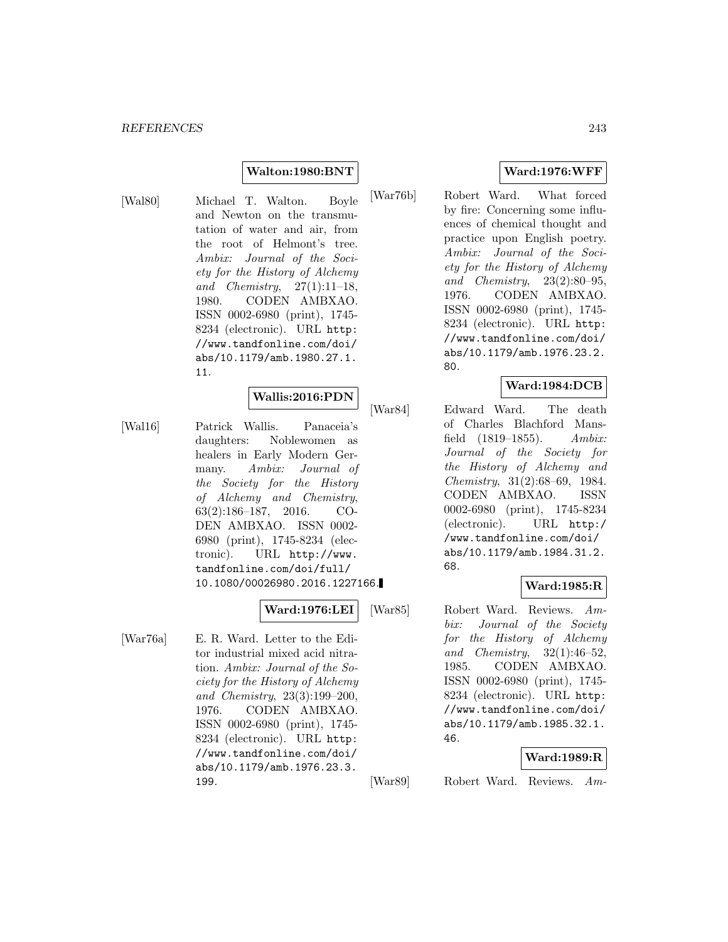#### **Walton:1980:BNT**

[Wal80] Michael T. Walton. Boyle and Newton on the transmutation of water and air, from the root of Helmont's tree. Ambix: Journal of the Society for the History of Alchemy and Chemistry, 27(1):11–18, 1980. CODEN AMBXAO. ISSN 0002-6980 (print), 1745- 8234 (electronic). URL http: //www.tandfonline.com/doi/ abs/10.1179/amb.1980.27.1. 11.

# **Wallis:2016:PDN**

[Wal16] Patrick Wallis. Panaceia's daughters: Noblewomen as healers in Early Modern Germany. Ambix: Journal of the Society for the History of Alchemy and Chemistry, 63(2):186–187, 2016. CO-DEN AMBXAO. ISSN 0002- 6980 (print), 1745-8234 (electronic). URL http://www. tandfonline.com/doi/full/ 10.1080/00026980.2016.1227166.

# **Ward:1976:LEI**

[War76a] E. R. Ward. Letter to the Editor industrial mixed acid nitration. Ambix: Journal of the Society for the History of Alchemy and Chemistry, 23(3):199–200, 1976. CODEN AMBXAO. ISSN 0002-6980 (print), 1745- 8234 (electronic). URL http: //www.tandfonline.com/doi/ abs/10.1179/amb.1976.23.3. 199.

## **Ward:1976:WFF**

[War76b] Robert Ward. What forced by fire: Concerning some influences of chemical thought and practice upon English poetry. Ambix: Journal of the Society for the History of Alchemy and Chemistry, 23(2):80–95, 1976. CODEN AMBXAO. ISSN 0002-6980 (print), 1745- 8234 (electronic). URL http: //www.tandfonline.com/doi/ abs/10.1179/amb.1976.23.2. 80.

### **Ward:1984:DCB**

[War84] Edward Ward. The death of Charles Blachford Mansfield (1819–1855). Ambix: Journal of the Society for the History of Alchemy and Chemistry, 31(2):68–69, 1984. CODEN AMBXAO. ISSN 0002-6980 (print), 1745-8234 (electronic). URL http:/ /www.tandfonline.com/doi/ abs/10.1179/amb.1984.31.2. 68.

#### **Ward:1985:R**

[War85] Robert Ward. Reviews. Ambix: Journal of the Society for the History of Alchemy and Chemistry,  $32(1):46-52$ , 1985. CODEN AMBXAO. ISSN 0002-6980 (print), 1745- 8234 (electronic). URL http: //www.tandfonline.com/doi/ abs/10.1179/amb.1985.32.1. 46.

#### **Ward:1989:R**

[War89] Robert Ward. Reviews. Am-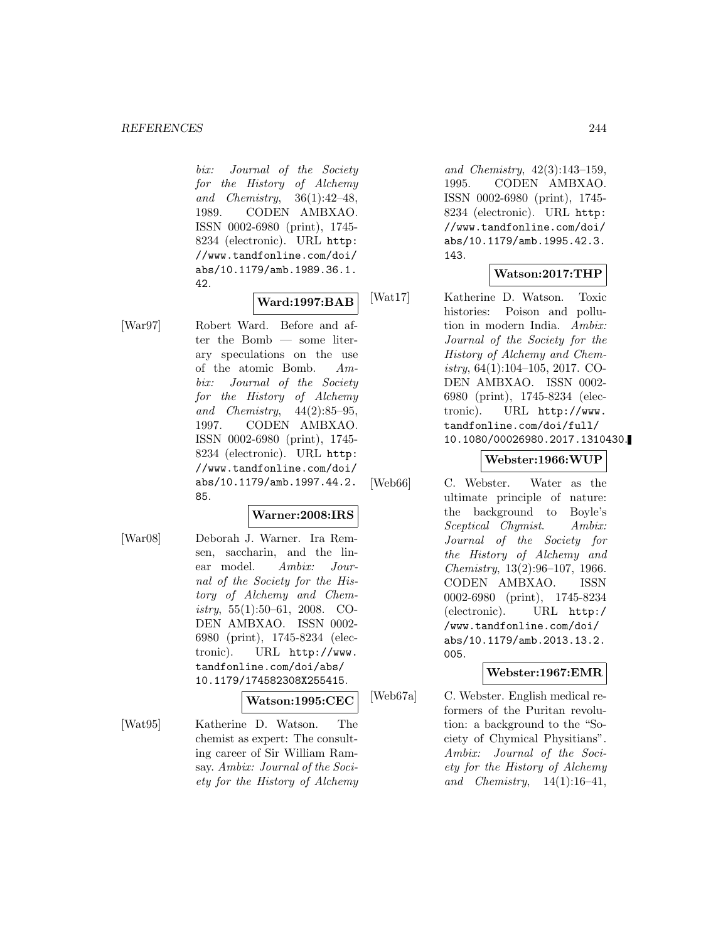bix: Journal of the Society for the History of Alchemy and Chemistry, 36(1):42–48, 1989. CODEN AMBXAO. ISSN 0002-6980 (print), 1745- 8234 (electronic). URL http: //www.tandfonline.com/doi/ abs/10.1179/amb.1989.36.1. 42.

# **Ward:1997:BAB**

[War97] Robert Ward. Before and after the Bomb — some literary speculations on the use of the atomic Bomb. Ambix: Journal of the Society for the History of Alchemy and Chemistry, 44(2):85–95, 1997. CODEN AMBXAO. ISSN 0002-6980 (print), 1745- 8234 (electronic). URL http: //www.tandfonline.com/doi/ abs/10.1179/amb.1997.44.2. 85.

# **Warner:2008:IRS**

[War08] Deborah J. Warner. Ira Remsen, saccharin, and the linear model. Ambix: Journal of the Society for the History of Alchemy and Chemistry,  $55(1):50-61$ ,  $2008$ . CO-DEN AMBXAO. ISSN 0002- 6980 (print), 1745-8234 (electronic). URL http://www. tandfonline.com/doi/abs/ 10.1179/174582308X255415.

#### **Watson:1995:CEC**

[Wat95] Katherine D. Watson. The chemist as expert: The consulting career of Sir William Ramsay. Ambix: Journal of the Society for the History of Alchemy and Chemistry, 42(3):143–159, 1995. CODEN AMBXAO. ISSN 0002-6980 (print), 1745- 8234 (electronic). URL http: //www.tandfonline.com/doi/ abs/10.1179/amb.1995.42.3. 143.

# **Watson:2017:THP**

[Wat17] Katherine D. Watson. Toxic histories: Poison and pollution in modern India. Ambix: Journal of the Society for the History of Alchemy and Chemistry, 64(1):104–105, 2017. CO-DEN AMBXAO. ISSN 0002- 6980 (print), 1745-8234 (electronic). URL http://www. tandfonline.com/doi/full/ 10.1080/00026980.2017.1310430.

#### **Webster:1966:WUP**

[Web66] C. Webster. Water as the ultimate principle of nature: the background to Boyle's Sceptical Chymist. Ambix: Journal of the Society for the History of Alchemy and Chemistry, 13(2):96–107, 1966. CODEN AMBXAO. ISSN 0002-6980 (print), 1745-8234 (electronic). URL http:/ /www.tandfonline.com/doi/ abs/10.1179/amb.2013.13.2. 005.

#### **Webster:1967:EMR**

[Web67a] C. Webster. English medical reformers of the Puritan revolution: a background to the "Society of Chymical Physitians". Ambix: Journal of the Society for the History of Alchemy and Chemistry,  $14(1):16-41$ ,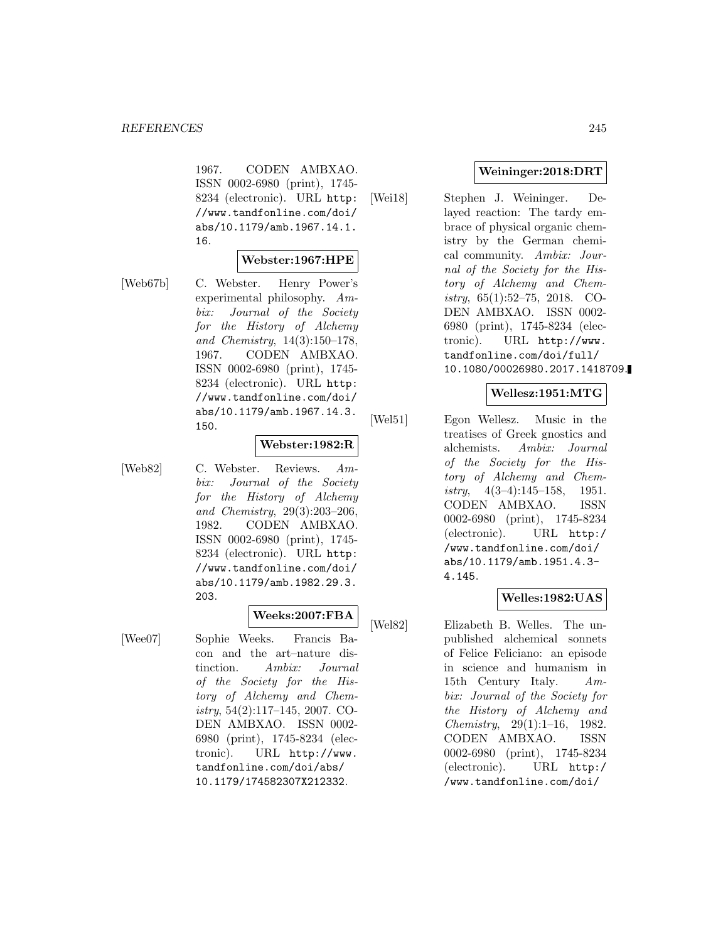1967. CODEN AMBXAO. ISSN 0002-6980 (print), 1745- 8234 (electronic). URL http: //www.tandfonline.com/doi/ abs/10.1179/amb.1967.14.1. 16.

#### **Webster:1967:HPE**

[Web67b] C. Webster. Henry Power's experimental philosophy. Ambix: Journal of the Society for the History of Alchemy and Chemistry, 14(3):150–178, 1967. CODEN AMBXAO. ISSN 0002-6980 (print), 1745- 8234 (electronic). URL http: //www.tandfonline.com/doi/ abs/10.1179/amb.1967.14.3. 150.

#### **Webster:1982:R**

[Web82] C. Webster. Reviews. Ambix: Journal of the Society for the History of Alchemy and Chemistry, 29(3):203–206, 1982. CODEN AMBXAO. ISSN 0002-6980 (print), 1745- 8234 (electronic). URL http: //www.tandfonline.com/doi/ abs/10.1179/amb.1982.29.3. 203.

# **Weeks:2007:FBA**

[Wee07] Sophie Weeks. Francis Bacon and the art–nature distinction. Ambix: Journal of the Society for the History of Alchemy and Chemistry, 54(2):117–145, 2007. CO-DEN AMBXAO. ISSN 0002- 6980 (print), 1745-8234 (electronic). URL http://www. tandfonline.com/doi/abs/ 10.1179/174582307X212332.

### **Weininger:2018:DRT**

[Wei18] Stephen J. Weininger. Delayed reaction: The tardy embrace of physical organic chemistry by the German chemical community. Ambix: Journal of the Society for the History of Alchemy and Chemistry, 65(1):52–75, 2018. CO-DEN AMBXAO. ISSN 0002- 6980 (print), 1745-8234 (electronic). URL http://www. tandfonline.com/doi/full/ 10.1080/00026980.2017.1418709.

#### **Wellesz:1951:MTG**

[Wel51] Egon Wellesz. Music in the treatises of Greek gnostics and alchemists. Ambix: Journal of the Society for the History of Alchemy and Chemistry, 4(3–4):145–158, 1951. CODEN AMBXAO. ISSN 0002-6980 (print), 1745-8234 (electronic). URL http:/ /www.tandfonline.com/doi/ abs/10.1179/amb.1951.4.3- 4.145.

#### **Welles:1982:UAS**

[Wel82] Elizabeth B. Welles. The unpublished alchemical sonnets of Felice Feliciano: an episode in science and humanism in 15th Century Italy. Ambix: Journal of the Society for the History of Alchemy and Chemistry, 29(1):1–16, 1982. CODEN AMBXAO. ISSN 0002-6980 (print), 1745-8234 (electronic). URL http:/ /www.tandfonline.com/doi/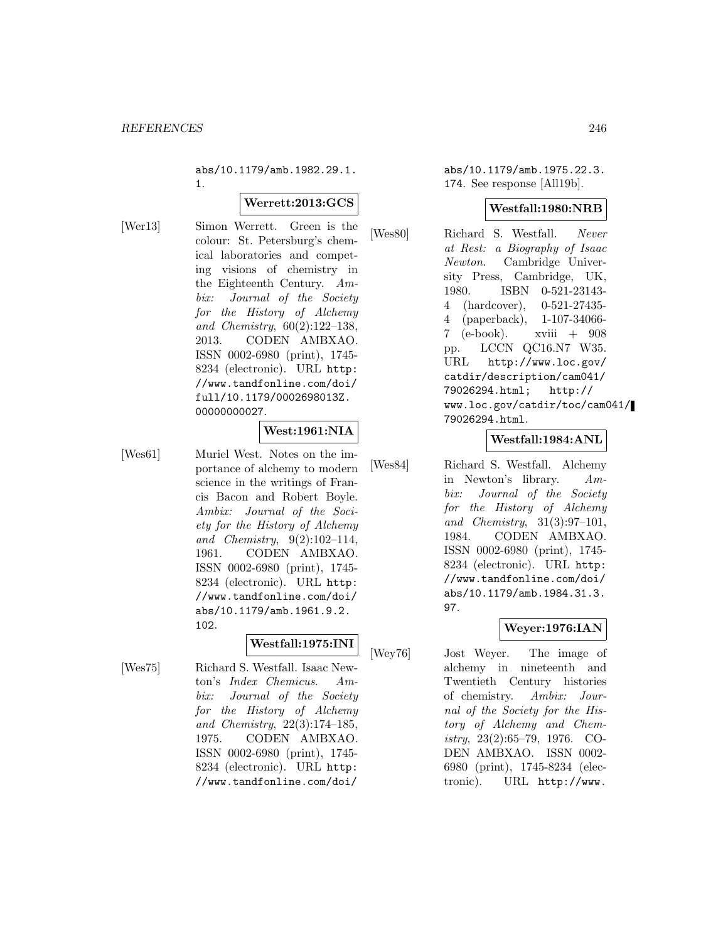abs/10.1179/amb.1982.29.1. 1.

#### **Werrett:2013:GCS**

[Wer13] Simon Werrett. Green is the colour: St. Petersburg's chemical laboratories and competing visions of chemistry in the Eighteenth Century. Ambix: Journal of the Society for the History of Alchemy and Chemistry, 60(2):122–138, 2013. CODEN AMBXAO. ISSN 0002-6980 (print), 1745- 8234 (electronic). URL http: //www.tandfonline.com/doi/ full/10.1179/0002698013Z. 00000000027.

### **West:1961:NIA**

[Wes61] Muriel West. Notes on the importance of alchemy to modern science in the writings of Francis Bacon and Robert Boyle. Ambix: Journal of the Society for the History of Alchemy and Chemistry, 9(2):102–114, 1961. CODEN AMBXAO. ISSN 0002-6980 (print), 1745- 8234 (electronic). URL http: //www.tandfonline.com/doi/ abs/10.1179/amb.1961.9.2. 102.

#### **Westfall:1975:INI**

[Wes75] Richard S. Westfall. Isaac Newton's Index Chemicus. Ambix: Journal of the Society for the History of Alchemy and Chemistry, 22(3):174–185, 1975. CODEN AMBXAO. ISSN 0002-6980 (print), 1745- 8234 (electronic). URL http: //www.tandfonline.com/doi/

abs/10.1179/amb.1975.22.3. 174. See response [All19b].

### **Westfall:1980:NRB**

[Wes80] Richard S. Westfall. Never at Rest: a Biography of Isaac Newton. Cambridge University Press, Cambridge, UK, 1980. ISBN 0-521-23143- 4 (hardcover), 0-521-27435- 4 (paperback), 1-107-34066- 7 (e-book). xviii + 908 pp. LCCN QC16.N7 W35. URL http://www.loc.gov/ catdir/description/cam041/ 79026294.html; http:// www.loc.gov/catdir/toc/cam041/ 79026294.html.

#### **Westfall:1984:ANL**

[Wes84] Richard S. Westfall. Alchemy in Newton's library. Ambix: Journal of the Society for the History of Alchemy and Chemistry, 31(3):97–101, 1984. CODEN AMBXAO. ISSN 0002-6980 (print), 1745- 8234 (electronic). URL http: //www.tandfonline.com/doi/ abs/10.1179/amb.1984.31.3. 97.

#### **Weyer:1976:IAN**

[Wey76] Jost Weyer. The image of alchemy in nineteenth and Twentieth Century histories of chemistry. Ambix: Journal of the Society for the History of Alchemy and Chemistry, 23(2):65–79, 1976. CO-DEN AMBXAO. ISSN 0002- 6980 (print), 1745-8234 (electronic). URL http://www.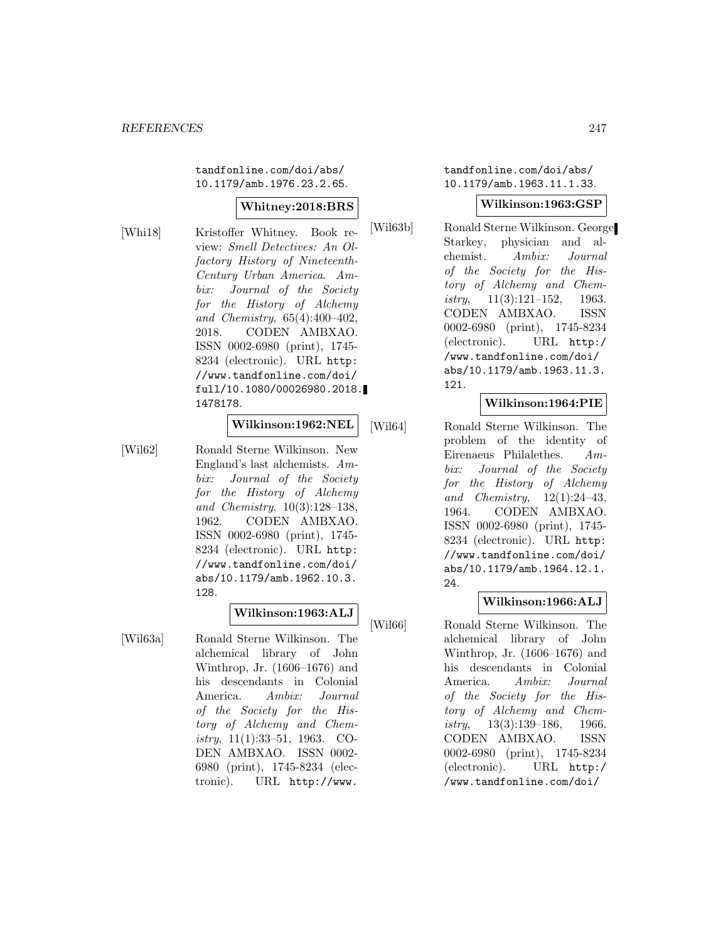tandfonline.com/doi/abs/ 10.1179/amb.1976.23.2.65.

### **Whitney:2018:BRS**

[Whi18] Kristoffer Whitney. Book review: Smell Detectives: An Olfactory History of Nineteenth-Century Urban America. Ambix: Journal of the Society for the History of Alchemy and Chemistry, 65(4):400–402, 2018. CODEN AMBXAO. ISSN 0002-6980 (print), 1745- 8234 (electronic). URL http: //www.tandfonline.com/doi/ full/10.1080/00026980.2018. 1478178.

# **Wilkinson:1962:NEL**

[Wil62] Ronald Sterne Wilkinson. New England's last alchemists. Ambix: Journal of the Society for the History of Alchemy and Chemistry, 10(3):128–138, 1962. CODEN AMBXAO. ISSN 0002-6980 (print), 1745- 8234 (electronic). URL http: //www.tandfonline.com/doi/ abs/10.1179/amb.1962.10.3. 128.

# **Wilkinson:1963:ALJ**

[Wil63a] Ronald Sterne Wilkinson. The alchemical library of John Winthrop, Jr. (1606–1676) and his descendants in Colonial America. Ambix: Journal of the Society for the History of Alchemy and Chemistry, 11(1):33–51, 1963. CO-DEN AMBXAO. ISSN 0002- 6980 (print), 1745-8234 (electronic). URL http://www.

tandfonline.com/doi/abs/ 10.1179/amb.1963.11.1.33.

#### **Wilkinson:1963:GSP**

[Wil63b] Ronald Sterne Wilkinson. George Starkey, physician and alchemist. Ambix: Journal of the Society for the History of Alchemy and Chemistry,  $11(3):121-152$ ,  $1963$ . CODEN AMBXAO. ISSN 0002-6980 (print), 1745-8234 (electronic). URL http:/ /www.tandfonline.com/doi/ abs/10.1179/amb.1963.11.3. 121.

#### **Wilkinson:1964:PIE**

[Wil64] Ronald Sterne Wilkinson. The problem of the identity of Eirenaeus Philalethes. Ambix: Journal of the Society for the History of Alchemy and Chemistry,  $12(1):24-43$ , 1964. CODEN AMBXAO. ISSN 0002-6980 (print), 1745- 8234 (electronic). URL http: //www.tandfonline.com/doi/ abs/10.1179/amb.1964.12.1. 24.

#### **Wilkinson:1966:ALJ**

[Wil66] Ronald Sterne Wilkinson. The alchemical library of John Winthrop, Jr. (1606–1676) and his descendants in Colonial America. Ambix: Journal of the Society for the History of Alchemy and Chemistry, 13(3):139–186, 1966. CODEN AMBXAO. ISSN 0002-6980 (print), 1745-8234 (electronic). URL http:/ /www.tandfonline.com/doi/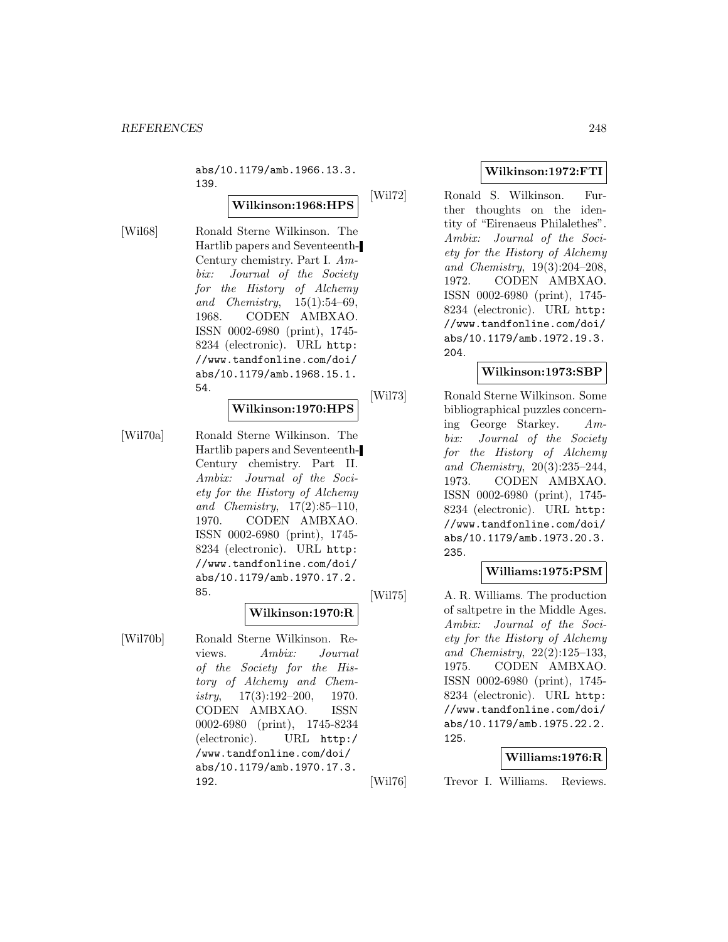abs/10.1179/amb.1966.13.3. 139.

# **Wilkinson:1968:HPS**

[Wil68] Ronald Sterne Wilkinson. The Hartlib papers and Seventeenth-Century chemistry. Part I. Ambix: Journal of the Society for the History of Alchemy and Chemistry,  $15(1):54-69$ , 1968. CODEN AMBXAO. ISSN 0002-6980 (print), 1745- 8234 (electronic). URL http: //www.tandfonline.com/doi/ abs/10.1179/amb.1968.15.1. 54.

#### **Wilkinson:1970:HPS**

[Wil70a] Ronald Sterne Wilkinson. The Hartlib papers and Seventeenth-Century chemistry. Part II. Ambix: Journal of the Society for the History of Alchemy and Chemistry, 17(2):85–110, 1970. CODEN AMBXAO. ISSN 0002-6980 (print), 1745- 8234 (electronic). URL http: //www.tandfonline.com/doi/ abs/10.1179/amb.1970.17.2. 85.

# **Wilkinson:1970:R**

[Wil70b] Ronald Sterne Wilkinson. Reviews. Ambix: Journal of the Society for the History of Alchemy and Chemistry,  $17(3):192-200$ ,  $1970$ . CODEN AMBXAO. ISSN 0002-6980 (print), 1745-8234 (electronic). URL http:/ /www.tandfonline.com/doi/ abs/10.1179/amb.1970.17.3. 192.

## **Wilkinson:1972:FTI**

[Wil72] Ronald S. Wilkinson. Further thoughts on the identity of "Eirenaeus Philalethes". Ambix: Journal of the Society for the History of Alchemy and Chemistry, 19(3):204–208, 1972. CODEN AMBXAO. ISSN 0002-6980 (print), 1745- 8234 (electronic). URL http: //www.tandfonline.com/doi/ abs/10.1179/amb.1972.19.3. 204.

#### **Wilkinson:1973:SBP**

[Wil73] Ronald Sterne Wilkinson. Some bibliographical puzzles concerning George Starkey. Ambix: Journal of the Society for the History of Alchemy and Chemistry, 20(3):235–244, 1973. CODEN AMBXAO. ISSN 0002-6980 (print), 1745- 8234 (electronic). URL http: //www.tandfonline.com/doi/ abs/10.1179/amb.1973.20.3. 235.

#### **Williams:1975:PSM**

[Wil75] A. R. Williams. The production of saltpetre in the Middle Ages. Ambix: Journal of the Society for the History of Alchemy and Chemistry, 22(2):125–133, 1975. CODEN AMBXAO. ISSN 0002-6980 (print), 1745- 8234 (electronic). URL http: //www.tandfonline.com/doi/ abs/10.1179/amb.1975.22.2. 125.

#### **Williams:1976:R**

[Wil76] Trevor I. Williams. Reviews.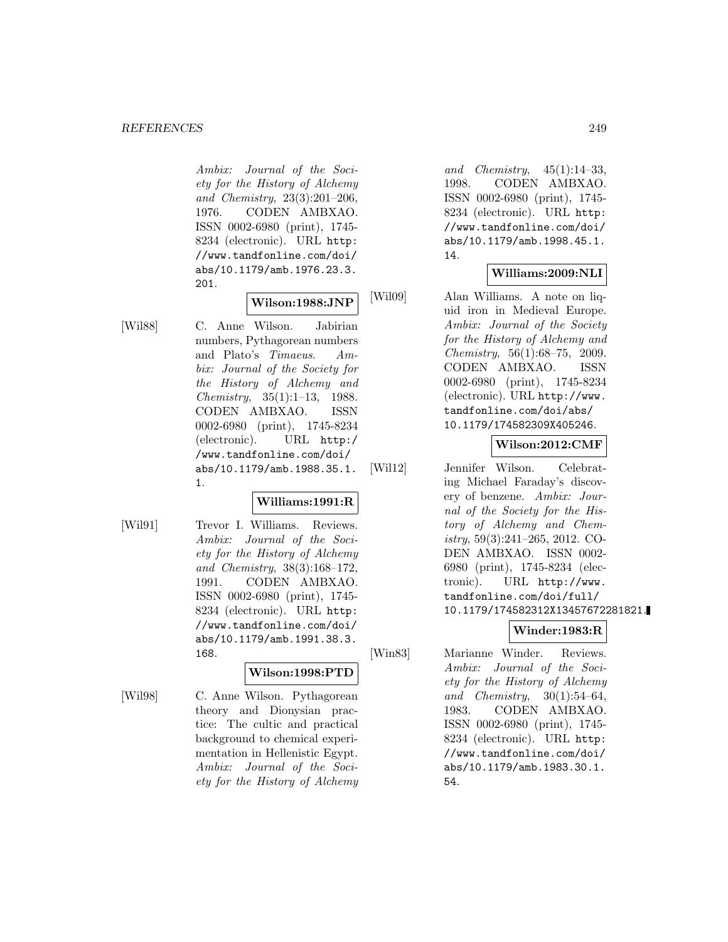Ambix: Journal of the Society for the History of Alchemy and Chemistry, 23(3):201–206, 1976. CODEN AMBXAO. ISSN 0002-6980 (print), 1745- 8234 (electronic). URL http: //www.tandfonline.com/doi/ abs/10.1179/amb.1976.23.3. 201.

# **Wilson:1988:JNP**

[Wil88] C. Anne Wilson. Jabirian numbers, Pythagorean numbers and Plato's Timaeus. Ambix: Journal of the Society for the History of Alchemy and Chemistry, 35(1):1–13, 1988. CODEN AMBXAO. ISSN 0002-6980 (print), 1745-8234 (electronic). URL http:/ /www.tandfonline.com/doi/ abs/10.1179/amb.1988.35.1. 1.

#### **Williams:1991:R**

[Wil91] Trevor I. Williams. Reviews. Ambix: Journal of the Society for the History of Alchemy and Chemistry, 38(3):168–172, 1991. CODEN AMBXAO. ISSN 0002-6980 (print), 1745- 8234 (electronic). URL http: //www.tandfonline.com/doi/ abs/10.1179/amb.1991.38.3. 168.

# **Wilson:1998:PTD**

[Wil98] C. Anne Wilson. Pythagorean theory and Dionysian practice: The cultic and practical background to chemical experimentation in Hellenistic Egypt. Ambix: Journal of the Society for the History of Alchemy and Chemistry, 45(1):14–33, 1998. CODEN AMBXAO. ISSN 0002-6980 (print), 1745- 8234 (electronic). URL http: //www.tandfonline.com/doi/ abs/10.1179/amb.1998.45.1. 14.

# **Williams:2009:NLI**

[Wil09] Alan Williams. A note on liquid iron in Medieval Europe. Ambix: Journal of the Society for the History of Alchemy and Chemistry, 56(1):68–75, 2009. CODEN AMBXAO. ISSN 0002-6980 (print), 1745-8234 (electronic). URL http://www. tandfonline.com/doi/abs/ 10.1179/174582309X405246.

# **Wilson:2012:CMF**

[Wil12] Jennifer Wilson. Celebrating Michael Faraday's discovery of benzene. Ambix: Journal of the Society for the History of Alchemy and Chemistry, 59(3):241–265, 2012. CO-DEN AMBXAO. ISSN 0002- 6980 (print), 1745-8234 (electronic). URL http://www. tandfonline.com/doi/full/ 10.1179/174582312X13457672281821.

# **Winder:1983:R**

[Win83] Marianne Winder. Reviews. Ambix: Journal of the Society for the History of Alchemy and Chemistry,  $30(1):54-64$ , 1983. CODEN AMBXAO. ISSN 0002-6980 (print), 1745- 8234 (electronic). URL http: //www.tandfonline.com/doi/ abs/10.1179/amb.1983.30.1. 54.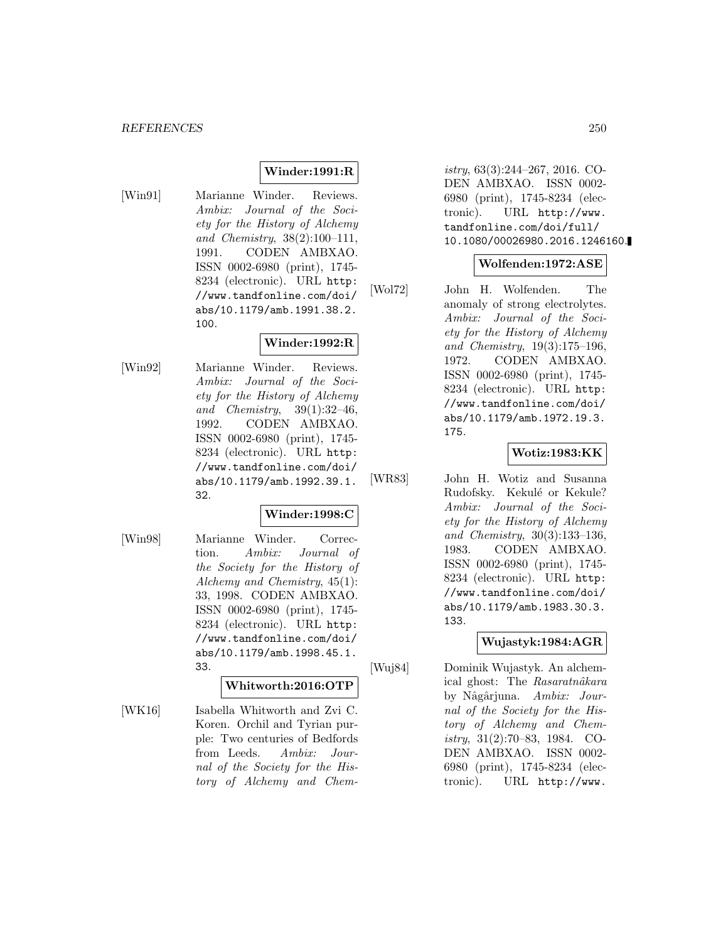## **Winder:1991:R**

[Win91] Marianne Winder. Reviews. Ambix: Journal of the Society for the History of Alchemy and Chemistry, 38(2):100–111, 1991. CODEN AMBXAO. ISSN 0002-6980 (print), 1745- 8234 (electronic). URL http: //www.tandfonline.com/doi/ abs/10.1179/amb.1991.38.2. 100.

### **Winder:1992:R**

[Win92] Marianne Winder. Reviews. Ambix: Journal of the Society for the History of Alchemy and Chemistry, 39(1):32–46, 1992. CODEN AMBXAO. ISSN 0002-6980 (print), 1745- 8234 (electronic). URL http: //www.tandfonline.com/doi/ abs/10.1179/amb.1992.39.1. 32.

#### **Winder:1998:C**

[Win98] Marianne Winder. Correction. Ambix: Journal of the Society for the History of Alchemy and Chemistry, 45(1): 33, 1998. CODEN AMBXAO. ISSN 0002-6980 (print), 1745- 8234 (electronic). URL http: //www.tandfonline.com/doi/ abs/10.1179/amb.1998.45.1. 33.

#### **Whitworth:2016:OTP**

[WK16] Isabella Whitworth and Zvi C. Koren. Orchil and Tyrian purple: Two centuries of Bedfords from Leeds. Ambix: Journal of the Society for the History of Alchemy and Chemistry, 63(3):244–267, 2016. CO-DEN AMBXAO. ISSN 0002- 6980 (print), 1745-8234 (electronic). URL http://www. tandfonline.com/doi/full/ 10.1080/00026980.2016.1246160.

#### **Wolfenden:1972:ASE**

[Wol72] John H. Wolfenden. The anomaly of strong electrolytes. Ambix: Journal of the Society for the History of Alchemy and Chemistry, 19(3):175–196, 1972. CODEN AMBXAO. ISSN 0002-6980 (print), 1745- 8234 (electronic). URL http: //www.tandfonline.com/doi/ abs/10.1179/amb.1972.19.3. 175.

### **Wotiz:1983:KK**

[WR83] John H. Wotiz and Susanna Rudofsky. Kekulé or Kekule? Ambix: Journal of the Society for the History of Alchemy and Chemistry, 30(3):133–136, 1983. CODEN AMBXAO. ISSN 0002-6980 (print), 1745- 8234 (electronic). URL http: //www.tandfonline.com/doi/ abs/10.1179/amb.1983.30.3. 133.

#### **Wujastyk:1984:AGR**

[Wuj84] Dominik Wujastyk. An alchemical ghost: The Rasaratnâkara by Nâgârjuna. Ambix: Journal of the Society for the History of Alchemy and Chemistry, 31(2):70–83, 1984. CO-DEN AMBXAO. ISSN 0002- 6980 (print), 1745-8234 (electronic). URL http://www.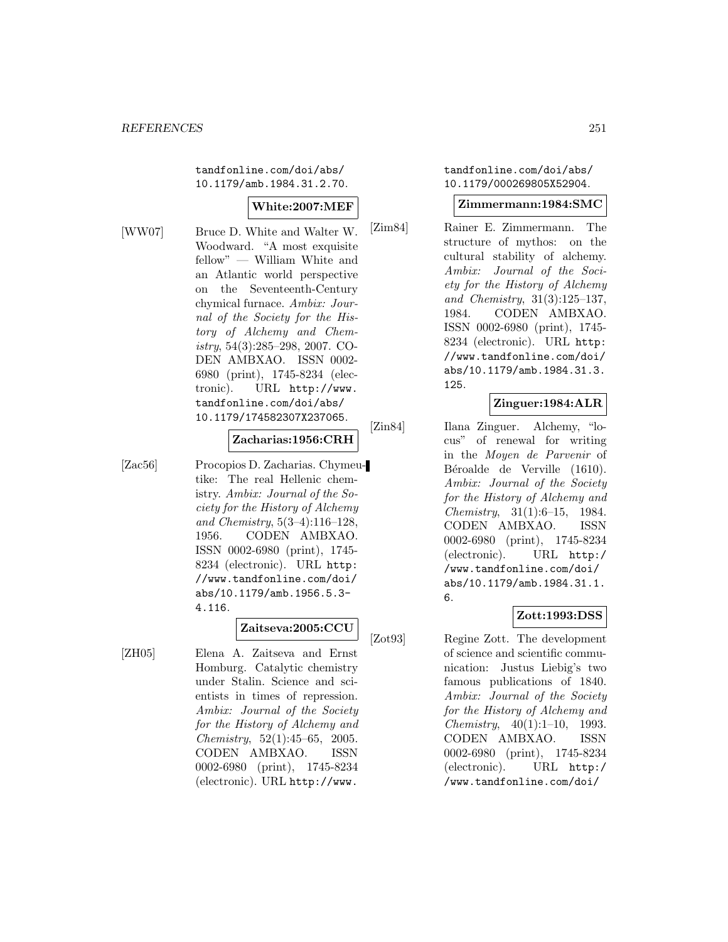tandfonline.com/doi/abs/ 10.1179/amb.1984.31.2.70.

# **White:2007:MEF**

[WW07] Bruce D. White and Walter W. Woodward. "A most exquisite fellow" — William White and an Atlantic world perspective on the Seventeenth-Century chymical furnace. Ambix: Journal of the Society for the History of Alchemy and Chemistry, 54(3):285–298, 2007. CO-DEN AMBXAO. ISSN 0002- 6980 (print), 1745-8234 (electronic). URL http://www. tandfonline.com/doi/abs/ 10.1179/174582307X237065.

#### **Zacharias:1956:CRH**

[Zac56] Procopios D. Zacharias. Chymeutike: The real Hellenic chemistry. Ambix: Journal of the Society for the History of Alchemy and Chemistry, 5(3–4):116–128, 1956. CODEN AMBXAO. ISSN 0002-6980 (print), 1745- 8234 (electronic). URL http: //www.tandfonline.com/doi/ abs/10.1179/amb.1956.5.3- 4.116.

# **Zaitseva:2005:CCU**

[ZH05] Elena A. Zaitseva and Ernst Homburg. Catalytic chemistry under Stalin. Science and scientists in times of repression. Ambix: Journal of the Society for the History of Alchemy and Chemistry, 52(1):45–65, 2005. CODEN AMBXAO. ISSN 0002-6980 (print), 1745-8234 (electronic). URL http://www.

tandfonline.com/doi/abs/ 10.1179/000269805X52904.

#### **Zimmermann:1984:SMC**

[Zim84] Rainer E. Zimmermann. The structure of mythos: on the cultural stability of alchemy. Ambix: Journal of the Society for the History of Alchemy and Chemistry, 31(3):125–137, 1984. CODEN AMBXAO. ISSN 0002-6980 (print), 1745- 8234 (electronic). URL http: //www.tandfonline.com/doi/ abs/10.1179/amb.1984.31.3. 125.

### **Zinguer:1984:ALR**

[Zin84] Ilana Zinguer. Alchemy, "locus" of renewal for writing in the Moyen de Parvenir of Béroalde de Verville (1610). Ambix: Journal of the Society for the History of Alchemy and Chemistry, 31(1):6–15, 1984. CODEN AMBXAO. ISSN 0002-6980 (print), 1745-8234 (electronic). URL http:/ /www.tandfonline.com/doi/ abs/10.1179/amb.1984.31.1. 6.

### **Zott:1993:DSS**

[Zot93] Regine Zott. The development of science and scientific communication: Justus Liebig's two famous publications of 1840. Ambix: Journal of the Society for the History of Alchemy and Chemistry, 40(1):1–10, 1993. CODEN AMBXAO. ISSN 0002-6980 (print), 1745-8234 (electronic). URL http:/ /www.tandfonline.com/doi/